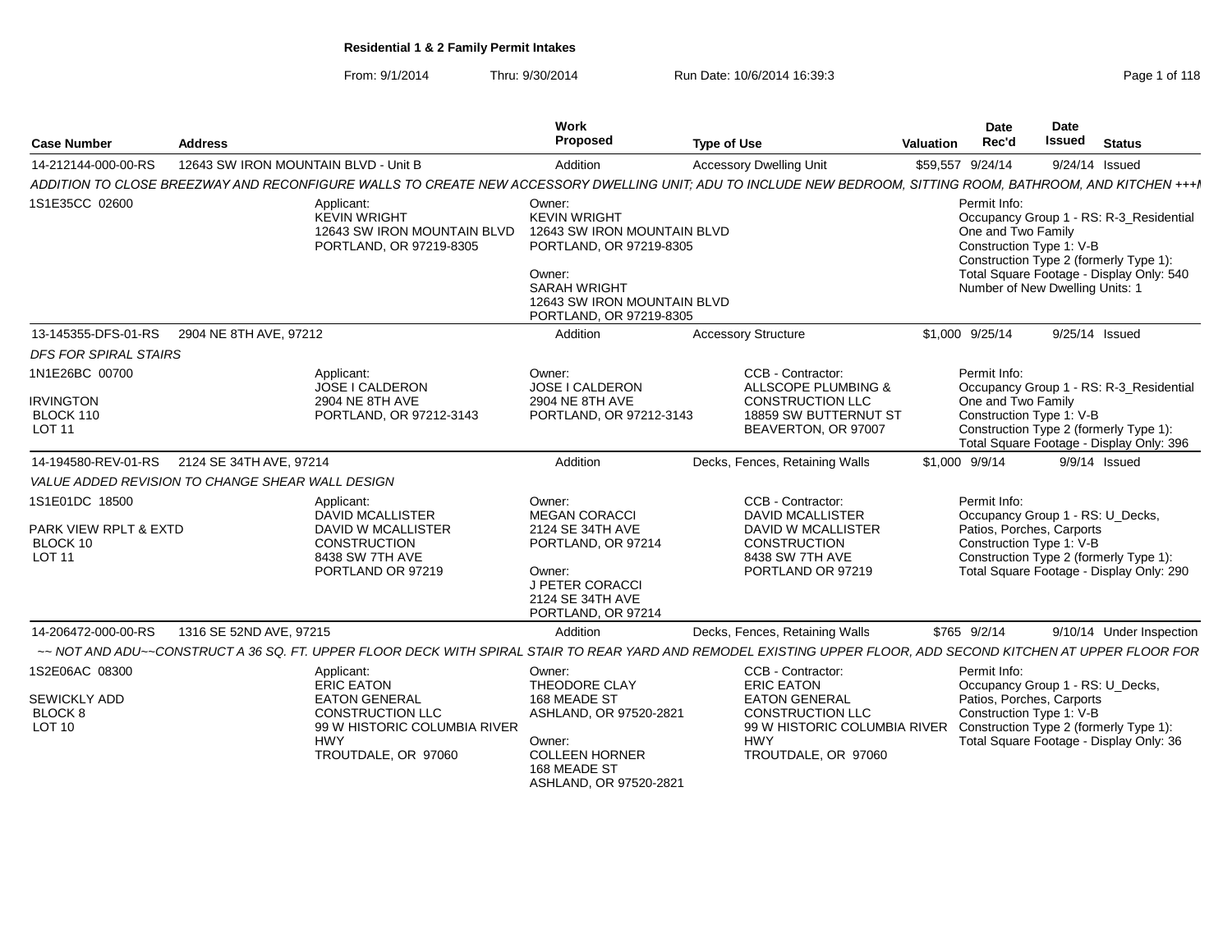From: 9/1/2014Thru: 9/30/2014 Run Date: 10/6/2014 16:39:3<br>
Run Date: 10/6/2014 16:39:3

| <b>Case Number</b>                                                   | <b>Address</b>                                   |                                                                                                                      | Work<br>Proposed                                                                                                                                                                   | <b>Type of Use</b>                                                                                                                                             | Valuation        | <b>Date</b><br>Rec'd               | <b>Date</b><br><b>Issued</b>                                | <b>Status</b>                                                                                                                 |
|----------------------------------------------------------------------|--------------------------------------------------|----------------------------------------------------------------------------------------------------------------------|------------------------------------------------------------------------------------------------------------------------------------------------------------------------------------|----------------------------------------------------------------------------------------------------------------------------------------------------------------|------------------|------------------------------------|-------------------------------------------------------------|-------------------------------------------------------------------------------------------------------------------------------|
| 14-212144-000-00-RS                                                  | 12643 SW IRON MOUNTAIN BLVD - Unit B             |                                                                                                                      | Addition                                                                                                                                                                           | <b>Accessory Dwelling Unit</b>                                                                                                                                 | \$59,557 9/24/14 |                                    |                                                             | 9/24/14 Issued                                                                                                                |
|                                                                      |                                                  |                                                                                                                      |                                                                                                                                                                                    | ADDITION TO CLOSE BREEZWAY AND RECONFIGURE WALLS TO CREATE NEW ACCESSORY DWELLING UNIT; ADU TO INCLUDE NEW BEDROOM, SITTING ROOM, BATHROOM, AND KITCHEN +++I   |                  |                                    |                                                             |                                                                                                                               |
| 1S1E35CC 02600                                                       |                                                  | Applicant:<br><b>KEVIN WRIGHT</b><br>12643 SW IRON MOUNTAIN BLVD<br>PORTLAND, OR 97219-8305                          | Owner:<br><b>KEVIN WRIGHT</b><br>12643 SW IRON MOUNTAIN BLVD<br>PORTLAND, OR 97219-8305<br>Owner:<br><b>SARAH WRIGHT</b><br>12643 SW IRON MOUNTAIN BLVD<br>PORTLAND, OR 97219-8305 |                                                                                                                                                                |                  | Permit Info:<br>One and Two Family | Construction Type 1: V-B<br>Number of New Dwelling Units: 1 | Occupancy Group 1 - RS: R-3_Residential<br>Construction Type 2 (formerly Type 1):<br>Total Square Footage - Display Only: 540 |
| 13-145355-DFS-01-RS                                                  | 2904 NE 8TH AVE, 97212                           |                                                                                                                      | Addition                                                                                                                                                                           | <b>Accessory Structure</b>                                                                                                                                     | \$1,000 9/25/14  |                                    |                                                             | 9/25/14 Issued                                                                                                                |
| <b>DFS FOR SPIRAL STAIRS</b>                                         |                                                  |                                                                                                                      |                                                                                                                                                                                    |                                                                                                                                                                |                  |                                    |                                                             |                                                                                                                               |
| 1N1E26BC 00700<br><b>IRVINGTON</b><br>BLOCK 110<br><b>LOT 11</b>     |                                                  | Applicant:<br><b>JOSE I CALDERON</b><br>2904 NE 8TH AVE<br>PORTLAND, OR 97212-3143                                   | Owner:<br>JOSE I CALDERON<br>2904 NE 8TH AVE<br>PORTLAND, OR 97212-3143                                                                                                            | CCB - Contractor:<br><b>ALLSCOPE PLUMBING &amp;</b><br><b>CONSTRUCTION LLC</b><br>18859 SW BUTTERNUT ST<br>BEAVERTON, OR 97007                                 |                  | Permit Info:<br>One and Two Family | Construction Type 1: V-B                                    | Occupancy Group 1 - RS: R-3_Residential<br>Construction Type 2 (formerly Type 1):<br>Total Square Footage - Display Only: 396 |
|                                                                      | 14-194580-REV-01-RS 2124 SE 34TH AVE, 97214      |                                                                                                                      | Addition                                                                                                                                                                           | Decks, Fences, Retaining Walls                                                                                                                                 | \$1,000 9/9/14   |                                    |                                                             | 9/9/14 Issued                                                                                                                 |
|                                                                      | VALUE ADDED REVISION TO CHANGE SHEAR WALL DESIGN |                                                                                                                      |                                                                                                                                                                                    |                                                                                                                                                                |                  |                                    |                                                             |                                                                                                                               |
| 1S1E01DC 18500<br>PARK VIEW RPLT & EXTD<br>BLOCK 10<br><b>LOT 11</b> |                                                  | Applicant:<br>DAVID MCALLISTER<br>DAVID W MCALLISTER<br><b>CONSTRUCTION</b><br>8438 SW 7TH AVE<br>PORTLAND OR 97219  | Owner:<br><b>MEGAN CORACCI</b><br>2124 SE 34TH AVE<br>PORTLAND, OR 97214<br>Owner:<br>J PETER CORACCI<br>2124 SE 34TH AVE<br>PORTLAND, OR 97214                                    | CCB - Contractor:<br><b>DAVID MCALLISTER</b><br>DAVID W MCALLISTER<br>CONSTRUCTION<br>8438 SW 7TH AVE<br>PORTLAND OR 97219                                     |                  | Permit Info:                       | Patios, Porches, Carports<br>Construction Type 1: V-B       | Occupancy Group 1 - RS: U_Decks,<br>Construction Type 2 (formerly Type 1):<br>Total Square Footage - Display Only: 290        |
| 14-206472-000-00-RS                                                  | 1316 SE 52ND AVE, 97215                          |                                                                                                                      | Addition                                                                                                                                                                           | Decks, Fences, Retaining Walls                                                                                                                                 |                  | \$765 9/2/14                       |                                                             | 9/10/14 Under Inspection                                                                                                      |
|                                                                      |                                                  |                                                                                                                      |                                                                                                                                                                                    | ~~ NOT AND ADU~~CONSTRUCT A 36 SQ. FT. UPPER FLOOR DECK WITH SPIRAL STAIR TO REAR YARD AND REMODEL EXISTING UPPER FLOOR. ADD SECOND KITCHEN AT UPPER FLOOR FOR |                  |                                    |                                                             |                                                                                                                               |
| 1S2E06AC 08300                                                       |                                                  | Applicant:<br><b>ERIC EATON</b>                                                                                      | Owner:<br>THEODORE CLAY                                                                                                                                                            | CCB - Contractor:<br><b>ERIC EATON</b>                                                                                                                         |                  | Permit Info:                       |                                                             | Occupancy Group 1 - RS: U_Decks,                                                                                              |
| <b>SEWICKLY ADD</b><br>BLOCK <sub>8</sub><br>LOT 10                  |                                                  | <b>EATON GENERAL</b><br><b>CONSTRUCTION LLC</b><br>99 W HISTORIC COLUMBIA RIVER<br><b>HWY</b><br>TROUTDALE, OR 97060 | 168 MEADE ST<br>ASHLAND, OR 97520-2821<br>Owner:<br><b>COLLEEN HORNER</b><br>168 MEADE ST<br>ASHLAND, OR 97520-2821                                                                | <b>EATON GENERAL</b><br><b>CONSTRUCTION LLC</b><br>99 W HISTORIC COLUMBIA RIVER Construction Type 2 (formerly Type 1):<br><b>HWY</b><br>TROUTDALE, OR 97060    |                  |                                    | Patios, Porches, Carports<br>Construction Type 1: V-B       | Total Square Footage - Display Only: 36                                                                                       |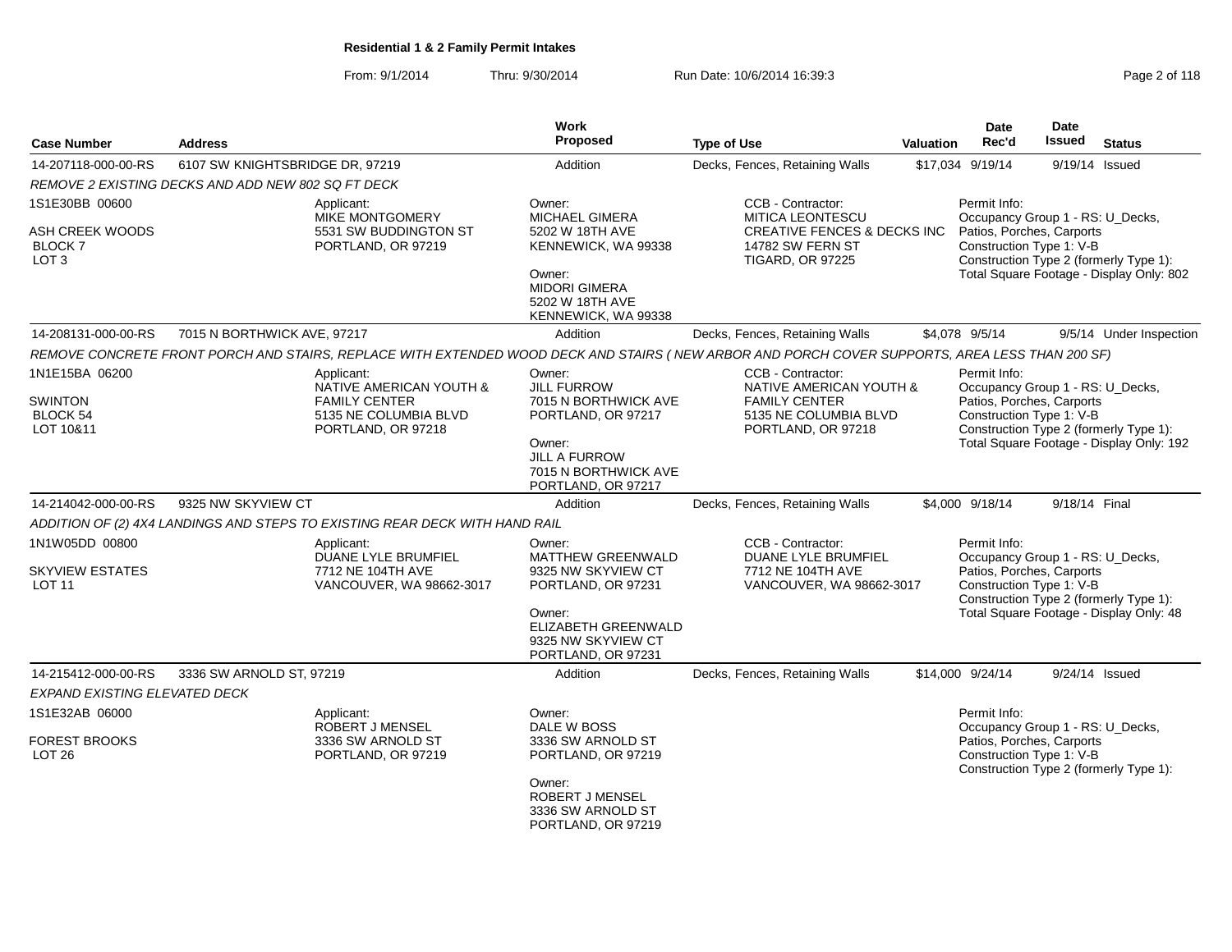From: 9/1/2014Thru: 9/30/2014 Run Date: 10/6/2014 16:39:3<br>
Run Date: 10/6/2014 16:39:3

| <b>Case Number</b>                          | <b>Address</b>                                     |                                                                             | Work<br><b>Proposed</b>                                                      | <b>Type of Use</b>                                                                                                                             | <b>Valuation</b> | Date<br>Rec'd                                                                 | Date<br>Issued | <b>Status</b>                            |
|---------------------------------------------|----------------------------------------------------|-----------------------------------------------------------------------------|------------------------------------------------------------------------------|------------------------------------------------------------------------------------------------------------------------------------------------|------------------|-------------------------------------------------------------------------------|----------------|------------------------------------------|
| 14-207118-000-00-RS                         | 6107 SW KNIGHTSBRIDGE DR, 97219                    |                                                                             | Addition                                                                     | Decks, Fences, Retaining Walls                                                                                                                 |                  | \$17.034 9/19/14                                                              |                | 9/19/14 Issued                           |
|                                             | REMOVE 2 EXISTING DECKS AND ADD NEW 802 SQ FT DECK |                                                                             |                                                                              |                                                                                                                                                |                  |                                                                               |                |                                          |
| 1S1E30BB 00600<br>ASH CREEK WOODS           |                                                    | Applicant:<br>MIKE MONTGOMERY<br>5531 SW BUDDINGTON ST                      | Owner:<br><b>MICHAEL GIMERA</b><br>5202 W 18TH AVE                           | CCB - Contractor:<br><b>MITICA LEONTESCU</b><br><b>CREATIVE FENCES &amp; DECKS INC</b>                                                         |                  | Permit Info:<br>Occupancy Group 1 - RS: U_Decks,<br>Patios, Porches, Carports |                |                                          |
| BLOCK 7<br>LOT <sub>3</sub>                 |                                                    | PORTLAND, OR 97219                                                          | KENNEWICK, WA 99338                                                          | <b>14782 SW FERN ST</b><br><b>TIGARD, OR 97225</b>                                                                                             |                  | Construction Type 1: V-B                                                      |                | Construction Type 2 (formerly Type 1):   |
|                                             |                                                    |                                                                             | Owner:<br>MIDORI GIMERA<br>5202 W 18TH AVE<br>KENNEWICK, WA 99338            |                                                                                                                                                |                  |                                                                               |                | Total Square Footage - Display Only: 802 |
| 14-208131-000-00-RS                         | 7015 N BORTHWICK AVE, 97217                        |                                                                             | Addition                                                                     | Decks, Fences, Retaining Walls                                                                                                                 |                  | \$4,078 9/5/14                                                                |                | 9/5/14 Under Inspection                  |
|                                             |                                                    |                                                                             |                                                                              | REMOVE CONCRETE FRONT PORCH AND STAIRS, REPLACE WITH EXTENDED WOOD DECK AND STAIRS (NEW ARBOR AND PORCH COVER SUPPORTS, AREA LESS THAN 200 SF) |                  |                                                                               |                |                                          |
| 1N1E15BA 06200                              |                                                    | Applicant:<br>NATIVE AMERICAN YOUTH &                                       | Owner:<br><b>JILL FURROW</b>                                                 | CCB - Contractor:<br>NATIVE AMERICAN YOUTH &                                                                                                   |                  | Permit Info:<br>Occupancy Group 1 - RS: U_Decks,                              |                |                                          |
| <b>SWINTON</b><br>BLOCK 54<br>LOT 10&11     |                                                    | <b>FAMILY CENTER</b><br>5135 NE COLUMBIA BLVD<br>PORTLAND, OR 97218         | 7015 N BORTHWICK AVE<br>PORTLAND, OR 97217                                   | <b>FAMILY CENTER</b><br>5135 NE COLUMBIA BLVD<br>PORTLAND, OR 97218                                                                            |                  | Patios, Porches, Carports<br>Construction Type 1: V-B                         |                | Construction Type 2 (formerly Type 1):   |
|                                             |                                                    |                                                                             | Owner:<br><b>JILL A FURROW</b><br>7015 N BORTHWICK AVE<br>PORTLAND, OR 97217 |                                                                                                                                                |                  |                                                                               |                | Total Square Footage - Display Only: 192 |
| 14-214042-000-00-RS                         | 9325 NW SKYVIEW CT                                 |                                                                             | Addition                                                                     | Decks, Fences, Retaining Walls                                                                                                                 |                  | \$4,000 9/18/14                                                               | 9/18/14 Final  |                                          |
|                                             |                                                    | ADDITION OF (2) 4X4 LANDINGS AND STEPS TO EXISTING REAR DECK WITH HAND RAIL |                                                                              |                                                                                                                                                |                  |                                                                               |                |                                          |
| 1N1W05DD 00800                              |                                                    | Applicant:<br>DUANE LYLE BRUMFIEL                                           | Owner:<br>MATTHEW GREENWALD                                                  | CCB - Contractor:<br>DUANE LYLE BRUMFIEL                                                                                                       |                  | Permit Info:<br>Occupancy Group 1 - RS: U_Decks,                              |                |                                          |
| <b>SKYVIEW ESTATES</b><br>LOT <sub>11</sub> |                                                    | 7712 NE 104TH AVE<br>VANCOUVER, WA 98662-3017                               | 9325 NW SKYVIEW CT<br>PORTLAND, OR 97231                                     | 7712 NE 104TH AVE<br>VANCOUVER, WA 98662-3017                                                                                                  |                  | Patios, Porches, Carports<br>Construction Type 1: V-B                         |                | Construction Type 2 (formerly Type 1):   |
|                                             |                                                    |                                                                             | Owner:<br>ELIZABETH GREENWALD<br>9325 NW SKYVIEW CT<br>PORTLAND, OR 97231    |                                                                                                                                                |                  |                                                                               |                | Total Square Footage - Display Only: 48  |
| 14-215412-000-00-RS                         | 3336 SW ARNOLD ST, 97219                           |                                                                             | Addition                                                                     | Decks, Fences, Retaining Walls                                                                                                                 |                  | \$14,000 9/24/14                                                              |                | 9/24/14 Issued                           |
| EXPAND EXISTING ELEVATED DECK               |                                                    |                                                                             |                                                                              |                                                                                                                                                |                  |                                                                               |                |                                          |
| 1S1E32AB 06000                              |                                                    | Applicant:<br>ROBERT J MENSEL                                               | Owner:<br>DALE W BOSS                                                        |                                                                                                                                                |                  | Permit Info:<br>Occupancy Group 1 - RS: U_Decks,                              |                |                                          |
| FOREST BROOKS<br>LOT <sub>26</sub>          |                                                    | 3336 SW ARNOLD ST<br>PORTLAND, OR 97219                                     | 3336 SW ARNOLD ST<br>PORTLAND, OR 97219                                      |                                                                                                                                                |                  | Patios, Porches, Carports<br>Construction Type 1: V-B                         |                | Construction Type 2 (formerly Type 1):   |
|                                             |                                                    |                                                                             | Owner:<br>ROBERT J MENSEL<br>3336 SW ARNOLD ST<br>PORTLAND, OR 97219         |                                                                                                                                                |                  |                                                                               |                |                                          |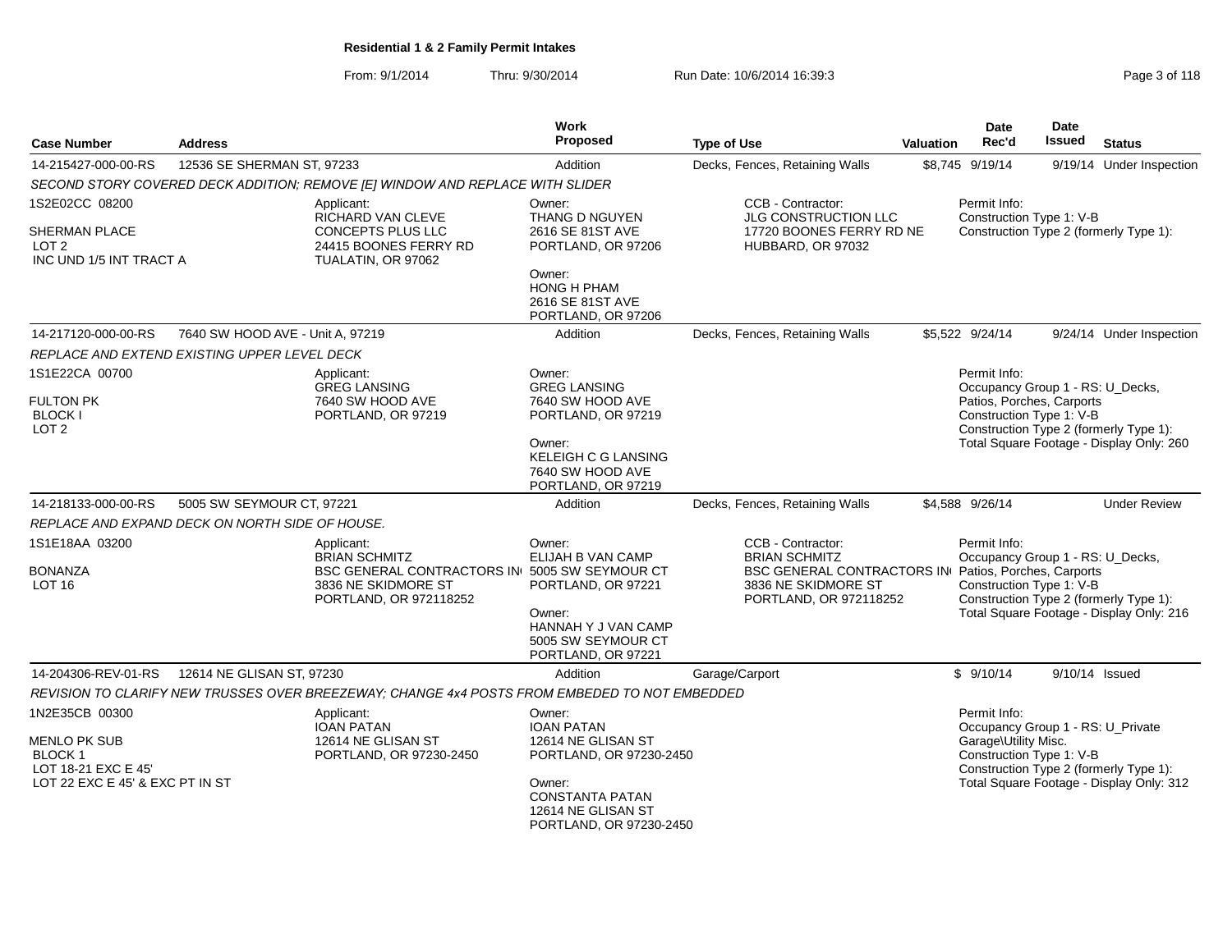From: 9/1/2014Thru: 9/30/2014 Run Date: 10/6/2014 16:39:3<br>
Run Date: 10/6/2014 **Page 3 of 118** 

| <b>Case Number</b>                                                                                         | <b>Address</b>                                  |                                                                                                                   | <b>Work</b><br>Proposed                                                                | <b>Type of Use</b>                                                                                                       | <b>Valuation</b> | Date<br>Rec'd                                                                                             | Date<br><b>Issued</b> | <b>Status</b>                                                                      |
|------------------------------------------------------------------------------------------------------------|-------------------------------------------------|-------------------------------------------------------------------------------------------------------------------|----------------------------------------------------------------------------------------|--------------------------------------------------------------------------------------------------------------------------|------------------|-----------------------------------------------------------------------------------------------------------|-----------------------|------------------------------------------------------------------------------------|
| 14-215427-000-00-RS                                                                                        | 12536 SE SHERMAN ST, 97233                      |                                                                                                                   | Addition                                                                               | Decks, Fences, Retaining Walls                                                                                           |                  | \$8.745 9/19/14                                                                                           |                       | 9/19/14 Under Inspection                                                           |
|                                                                                                            |                                                 | SECOND STORY COVERED DECK ADDITION; REMOVE [E] WINDOW AND REPLACE WITH SLIDER                                     |                                                                                        |                                                                                                                          |                  |                                                                                                           |                       |                                                                                    |
| 1S2E02CC 08200<br>SHERMAN PLACE<br>LOT <sub>2</sub><br>INC UND 1/5 INT TRACT A                             |                                                 | Applicant:<br>RICHARD VAN CLEVE<br><b>CONCEPTS PLUS LLC</b><br>24415 BOONES FERRY RD<br>TUALATIN, OR 97062        | Owner:<br><b>THANG D NGUYEN</b><br>2616 SE 81ST AVE<br>PORTLAND, OR 97206<br>Owner:    | CCB - Contractor:<br>JLG CONSTRUCTION LLC<br>17720 BOONES FERRY RD NE<br>HUBBARD, OR 97032                               |                  | Permit Info:<br>Construction Type 1: V-B                                                                  |                       | Construction Type 2 (formerly Type 1):                                             |
|                                                                                                            |                                                 |                                                                                                                   | HONG H PHAM<br>2616 SE 81ST AVE<br>PORTLAND, OR 97206                                  |                                                                                                                          |                  |                                                                                                           |                       |                                                                                    |
| 14-217120-000-00-RS                                                                                        | 7640 SW HOOD AVE - Unit A, 97219                |                                                                                                                   | Addition                                                                               | Decks, Fences, Retaining Walls                                                                                           |                  | \$5,522 9/24/14                                                                                           |                       | 9/24/14 Under Inspection                                                           |
|                                                                                                            | REPLACE AND EXTEND EXISTING UPPER LEVEL DECK    |                                                                                                                   |                                                                                        |                                                                                                                          |                  |                                                                                                           |                       |                                                                                    |
| 1S1E22CA 00700<br><b>FULTON PK</b><br><b>BLOCK I</b><br>LOT <sub>2</sub>                                   |                                                 | Applicant:<br><b>GREG LANSING</b><br>7640 SW HOOD AVE<br>PORTLAND, OR 97219                                       | Owner:<br><b>GREG LANSING</b><br>7640 SW HOOD AVE<br>PORTLAND, OR 97219<br>Owner:      |                                                                                                                          |                  | Permit Info:<br>Occupancy Group 1 - RS: U_Decks,<br>Patios, Porches, Carports<br>Construction Type 1: V-B |                       | Construction Type 2 (formerly Type 1):<br>Total Square Footage - Display Only: 260 |
|                                                                                                            |                                                 |                                                                                                                   | <b>KELEIGH C G LANSING</b><br>7640 SW HOOD AVE<br>PORTLAND, OR 97219                   |                                                                                                                          |                  |                                                                                                           |                       |                                                                                    |
| 14-218133-000-00-RS                                                                                        | 5005 SW SEYMOUR CT, 97221                       |                                                                                                                   | Addition                                                                               | Decks, Fences, Retaining Walls                                                                                           |                  | \$4,588 9/26/14                                                                                           |                       | <b>Under Review</b>                                                                |
|                                                                                                            | REPLACE AND EXPAND DECK ON NORTH SIDE OF HOUSE. |                                                                                                                   |                                                                                        |                                                                                                                          |                  |                                                                                                           |                       |                                                                                    |
| 1S1E18AA 03200<br>BONANZA<br>LOT 16                                                                        |                                                 | Applicant:<br><b>BRIAN SCHMITZ</b><br><b>BSC GENERAL CONTRACTORS IN 5005 SW SEYMOUR CT</b><br>3836 NE SKIDMORE ST | Owner:<br>ELIJAH B VAN CAMP<br>PORTLAND, OR 97221                                      | CCB - Contractor:<br><b>BRIAN SCHMITZ</b><br>BSC GENERAL CONTRACTORS IN Patios, Porches, Carports<br>3836 NE SKIDMORE ST |                  | Permit Info:<br>Occupancy Group 1 - RS: U_Decks,<br>Construction Type 1: V-B                              |                       |                                                                                    |
|                                                                                                            |                                                 | PORTLAND, OR 972118252                                                                                            | Owner:<br>HANNAH Y J VAN CAMP<br>5005 SW SEYMOUR CT<br>PORTLAND, OR 97221              | PORTLAND, OR 972118252                                                                                                   |                  |                                                                                                           |                       | Construction Type 2 (formerly Type 1):<br>Total Square Footage - Display Only: 216 |
| 14-204306-REV-01-RS                                                                                        | 12614 NE GLISAN ST, 97230                       |                                                                                                                   | Addition                                                                               | Garage/Carport                                                                                                           |                  | \$9/10/14                                                                                                 | 9/10/14 Issued        |                                                                                    |
|                                                                                                            |                                                 | REVISION TO CLARIFY NEW TRUSSES OVER BREEZEWAY; CHANGE 4x4 POSTS FROM EMBEDED TO NOT EMBEDDED                     |                                                                                        |                                                                                                                          |                  |                                                                                                           |                       |                                                                                    |
| 1N2E35CB 00300<br>MENLO PK SUB<br><b>BLOCK 1</b><br>LOT 18-21 EXC E 45'<br>LOT 22 EXC E 45' & EXC PT IN ST |                                                 | Applicant:<br><b>IOAN PATAN</b><br>12614 NE GLISAN ST<br>PORTLAND, OR 97230-2450                                  | Owner:<br><b>IOAN PATAN</b><br>12614 NE GLISAN ST<br>PORTLAND, OR 97230-2450<br>Owner: |                                                                                                                          |                  | Permit Info:<br>Occupancy Group 1 - RS: U_Private<br>Garage\Utility Misc.<br>Construction Type 1: V-B     |                       | Construction Type 2 (formerly Type 1):<br>Total Square Footage - Display Only: 312 |
|                                                                                                            |                                                 |                                                                                                                   | <b>CONSTANTA PATAN</b><br>12614 NE GLISAN ST<br>PORTLAND, OR 97230-2450                |                                                                                                                          |                  |                                                                                                           |                       |                                                                                    |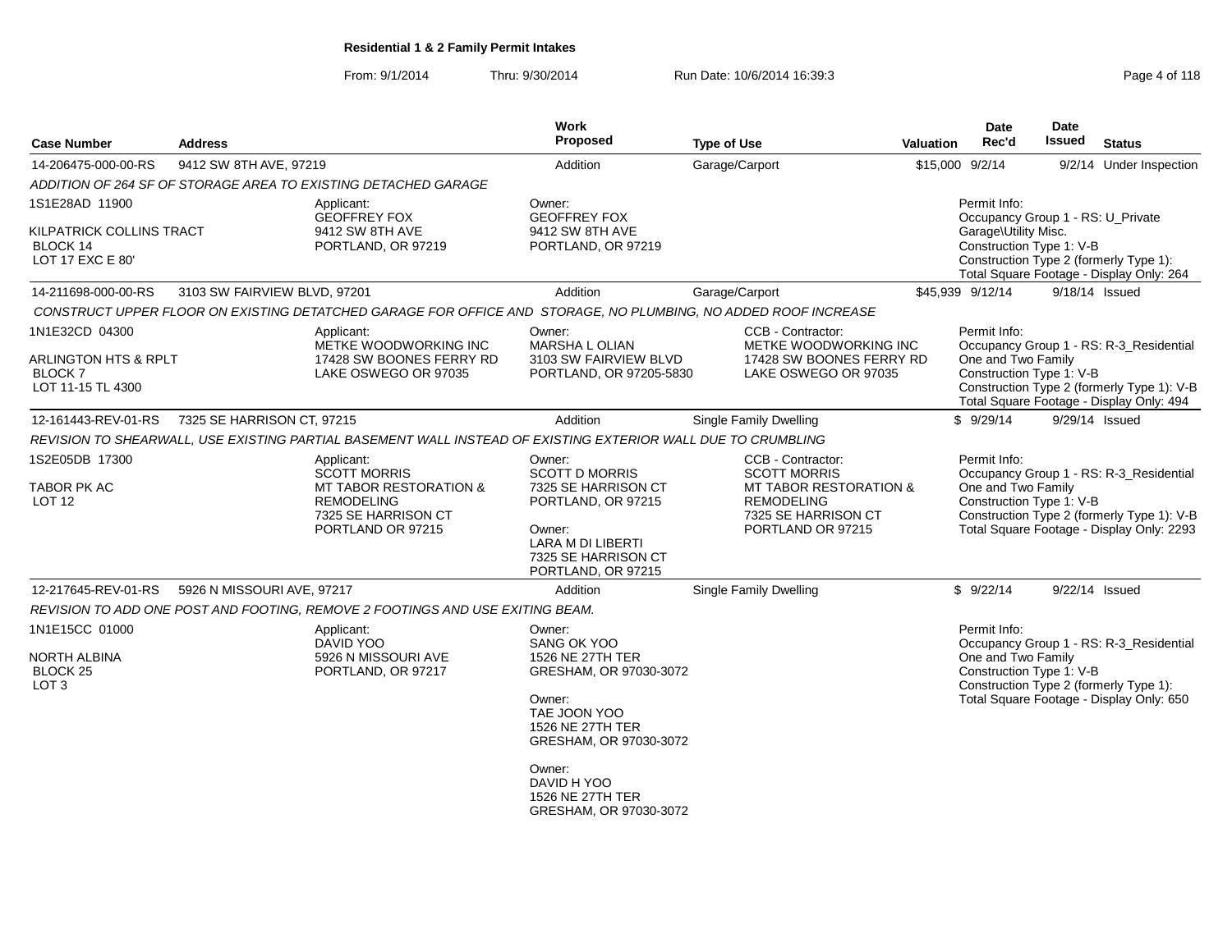### From: 9/1/2014Thru: 9/30/2014 Run Date: 10/6/2014 16:39:3<br>
Run Date: 10/6/2014 16:39:3

| <b>Case Number</b>                                              | <b>Address</b>               |                                                                                                                    | Work<br><b>Proposed</b>                                                      | <b>Type of Use</b>                                                                                             | <b>Valuation</b> | <b>Date</b><br>Rec'd                                           | Date<br><b>Issued</b> | <b>Status</b>                                                                          |
|-----------------------------------------------------------------|------------------------------|--------------------------------------------------------------------------------------------------------------------|------------------------------------------------------------------------------|----------------------------------------------------------------------------------------------------------------|------------------|----------------------------------------------------------------|-----------------------|----------------------------------------------------------------------------------------|
| 14-206475-000-00-RS                                             | 9412 SW 8TH AVE, 97219       |                                                                                                                    | Addition                                                                     | Garage/Carport                                                                                                 |                  | \$15,000 9/2/14                                                |                       | 9/2/14 Under Inspection                                                                |
|                                                                 |                              | ADDITION OF 264 SF OF STORAGE AREA TO EXISTING DETACHED GARAGE                                                     |                                                                              |                                                                                                                |                  |                                                                |                       |                                                                                        |
| 1S1E28AD 11900                                                  |                              | Applicant:<br><b>GEOFFREY FOX</b>                                                                                  | Owner:<br><b>GEOFFREY FOX</b>                                                |                                                                                                                |                  | Permit Info:<br>Occupancy Group 1 - RS: U_Private              |                       |                                                                                        |
| KILPATRICK COLLINS TRACT<br>BLOCK 14<br>LOT 17 EXC E 80'        |                              | 9412 SW 8TH AVE<br>PORTLAND, OR 97219                                                                              | 9412 SW 8TH AVE<br>PORTLAND, OR 97219                                        |                                                                                                                |                  | Garage\Utility Misc.<br>Construction Type 1: V-B               |                       | Construction Type 2 (formerly Type 1):<br>Total Square Footage - Display Only: 264     |
| 14-211698-000-00-RS                                             | 3103 SW FAIRVIEW BLVD, 97201 |                                                                                                                    | Addition                                                                     | Garage/Carport                                                                                                 |                  | \$45,939 9/12/14                                               | 9/18/14 Issued        |                                                                                        |
|                                                                 |                              | CONSTRUCT UPPER FLOOR ON EXISTING DETATCHED GARAGE FOR OFFICE AND STORAGE, NO PLUMBING, NO ADDED ROOF INCREASE     |                                                                              |                                                                                                                |                  |                                                                |                       |                                                                                        |
| 1N1E32CD 04300                                                  |                              | Applicant:<br>METKE WOODWORKING INC                                                                                | Owner:<br>MARSHA L OLIAN                                                     | CCB - Contractor:<br>METKE WOODWORKING INC                                                                     |                  | Permit Info:                                                   |                       | Occupancy Group 1 - RS: R-3_Residential                                                |
| <b>ARLINGTON HTS &amp; RPLT</b><br>BLOCK 7<br>LOT 11-15 TL 4300 |                              | 17428 SW BOONES FERRY RD<br>LAKE OSWEGO OR 97035                                                                   | 3103 SW FAIRVIEW BLVD<br>PORTLAND, OR 97205-5830                             | 17428 SW BOONES FERRY RD<br>LAKE OSWEGO OR 97035                                                               |                  | One and Two Family<br>Construction Type 1: V-B                 |                       | Construction Type 2 (formerly Type 1): V-B<br>Total Square Footage - Display Only: 494 |
| 12-161443-REV-01-RS                                             | 7325 SE HARRISON CT, 97215   |                                                                                                                    | Addition                                                                     | <b>Single Family Dwelling</b>                                                                                  |                  | \$9/29/14                                                      | 9/29/14 Issued        |                                                                                        |
|                                                                 |                              | REVISION TO SHEARWALL, USE EXISTING PARTIAL BASEMENT WALL INSTEAD OF EXISTING EXTERIOR WALL DUE TO CRUMBLING       |                                                                              |                                                                                                                |                  |                                                                |                       |                                                                                        |
| 1S2E05DB 17300<br>TABOR PK AC<br>LOT <sub>12</sub>              |                              | Applicant:<br><b>SCOTT MORRIS</b><br><b>MT TABOR RESTORATION &amp;</b><br><b>REMODELING</b><br>7325 SE HARRISON CT | Owner:<br><b>SCOTT D MORRIS</b><br>7325 SE HARRISON CT<br>PORTLAND, OR 97215 | CCB - Contractor:<br><b>SCOTT MORRIS</b><br>MT TABOR RESTORATION &<br><b>REMODELING</b><br>7325 SE HARRISON CT |                  | Permit Info:<br>One and Two Family<br>Construction Type 1: V-B |                       | Occupancy Group 1 - RS: R-3 Residential<br>Construction Type 2 (formerly Type 1): V-B  |
|                                                                 |                              | PORTLAND OR 97215                                                                                                  | Owner:<br>LARA M DI LIBERTI<br>7325 SE HARRISON CT<br>PORTLAND, OR 97215     | PORTLAND OR 97215                                                                                              |                  |                                                                |                       | Total Square Footage - Display Only: 2293                                              |
| 12-217645-REV-01-RS                                             | 5926 N MISSOURI AVE, 97217   |                                                                                                                    | Addition                                                                     | Single Family Dwelling                                                                                         |                  | \$9/22/14                                                      | 9/22/14 Issued        |                                                                                        |
|                                                                 |                              | REVISION TO ADD ONE POST AND FOOTING, REMOVE 2 FOOTINGS AND USE EXITING BEAM.                                      |                                                                              |                                                                                                                |                  |                                                                |                       |                                                                                        |
| 1N1E15CC 01000                                                  |                              | Applicant:<br>DAVID YOO                                                                                            | Owner:<br>SANG OK YOO                                                        |                                                                                                                |                  | Permit Info:                                                   |                       | Occupancy Group 1 - RS: R-3_Residential                                                |
| NORTH ALBINA<br>BLOCK <sub>25</sub><br>LOT <sub>3</sub>         |                              | 5926 N MISSOURI AVE<br>PORTLAND, OR 97217                                                                          | 1526 NE 27TH TER<br>GRESHAM, OR 97030-3072                                   |                                                                                                                |                  | One and Two Family<br>Construction Type 1: V-B                 |                       | Construction Type 2 (formerly Type 1):                                                 |
|                                                                 |                              |                                                                                                                    | Owner:<br>TAE JOON YOO<br>1526 NE 27TH TER<br>GRESHAM, OR 97030-3072         |                                                                                                                |                  |                                                                |                       | Total Square Footage - Display Only: 650                                               |
|                                                                 |                              |                                                                                                                    | Owner:<br>DAVID H YOO<br>1526 NE 27TH TER<br>GRESHAM, OR 97030-3072          |                                                                                                                |                  |                                                                |                       |                                                                                        |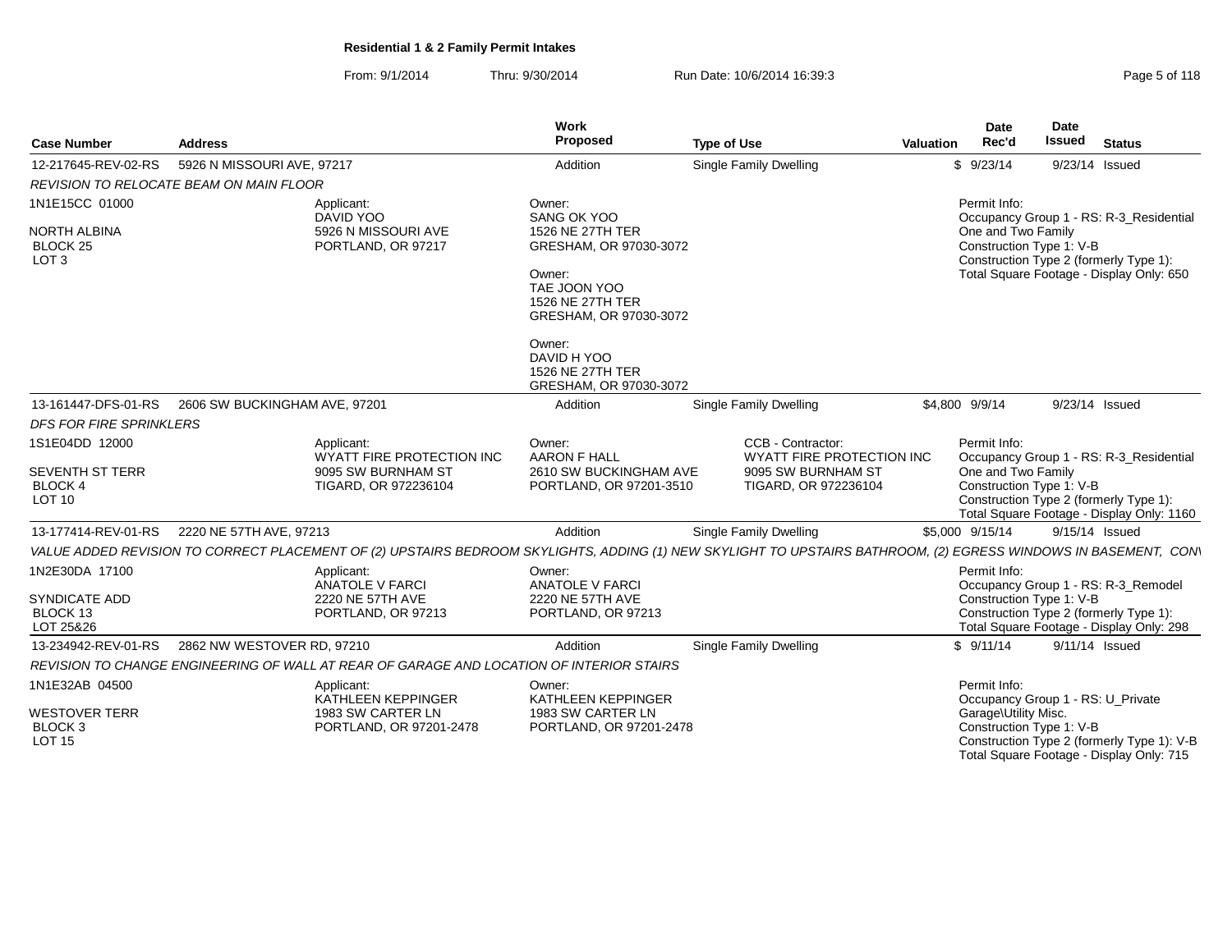From: 9/1/2014Thru: 9/30/2014 Run Date: 10/6/2014 16:39:3<br>
Run Date: 10/6/2014 **Page 5 of 118** 

| <b>Case Number</b>                                                    | <b>Address</b>                                                                                                                                                  | Work<br>Proposed                                                                                                  | <b>Type of Use</b>                                                                                  | Valuation | <b>Date</b><br>Rec'd                                           | Date<br><b>Issued</b> | <b>Status</b>                                                                                                                  |
|-----------------------------------------------------------------------|-----------------------------------------------------------------------------------------------------------------------------------------------------------------|-------------------------------------------------------------------------------------------------------------------|-----------------------------------------------------------------------------------------------------|-----------|----------------------------------------------------------------|-----------------------|--------------------------------------------------------------------------------------------------------------------------------|
| 12-217645-REV-02-RS                                                   | 5926 N MISSOURI AVE, 97217                                                                                                                                      | Addition                                                                                                          | Single Family Dwelling                                                                              |           | \$9/23/14                                                      |                       | 9/23/14 Issued                                                                                                                 |
|                                                                       | <b>REVISION TO RELOCATE BEAM ON MAIN FLOOR</b>                                                                                                                  |                                                                                                                   |                                                                                                     |           |                                                                |                       |                                                                                                                                |
| 1N1E15CC 01000<br><b>NORTH ALBINA</b><br>BLOCK 25<br>LOT <sub>3</sub> | Applicant:<br>DAVID YOO<br>5926 N MISSOURI AVE<br>PORTLAND, OR 97217                                                                                            | Owner:<br>SANG OK YOO<br>1526 NE 27TH TER<br>GRESHAM, OR 97030-3072<br>Owner:<br>TAE JOON YOO<br>1526 NE 27TH TER |                                                                                                     |           | Permit Info:<br>One and Two Family<br>Construction Type 1: V-B |                       | Occupancy Group 1 - RS: R-3_Residential<br>Construction Type 2 (formerly Type 1):<br>Total Square Footage - Display Only: 650  |
|                                                                       |                                                                                                                                                                 | GRESHAM, OR 97030-3072<br>Owner:<br>DAVID H YOO<br>1526 NE 27TH TER<br>GRESHAM, OR 97030-3072                     |                                                                                                     |           |                                                                |                       |                                                                                                                                |
|                                                                       | 13-161447-DFS-01-RS   2606 SW BUCKINGHAM AVE, 97201                                                                                                             | Addition                                                                                                          | <b>Single Family Dwelling</b>                                                                       |           | \$4,800 9/9/14                                                 |                       | 9/23/14 Issued                                                                                                                 |
| <b>DFS FOR FIRE SPRINKLERS</b>                                        |                                                                                                                                                                 |                                                                                                                   |                                                                                                     |           |                                                                |                       |                                                                                                                                |
| 1S1E04DD 12000<br><b>SEVENTH ST TERR</b><br>BLOCK 4<br><b>LOT 10</b>  | Applicant:<br>WYATT FIRE PROTECTION INC<br>9095 SW BURNHAM ST<br>TIGARD, OR 972236104                                                                           | Owner:<br><b>AARON F HALL</b><br>2610 SW BUCKINGHAM AVE<br>PORTLAND, OR 97201-3510                                | CCB - Contractor:<br><b>WYATT FIRE PROTECTION INC</b><br>9095 SW BURNHAM ST<br>TIGARD, OR 972236104 |           | Permit Info:<br>One and Two Family<br>Construction Type 1: V-B |                       | Occupancy Group 1 - RS: R-3_Residential<br>Construction Type 2 (formerly Type 1):<br>Total Square Footage - Display Only: 1160 |
|                                                                       | 13-177414-REV-01-RS 2220 NE 57TH AVE, 97213                                                                                                                     | Addition                                                                                                          | <b>Single Family Dwelling</b>                                                                       |           | \$5,000 9/15/14                                                |                       | 9/15/14 Issued                                                                                                                 |
|                                                                       | VALUE ADDED REVISION TO CORRECT PLACEMENT OF (2) UPSTAIRS BEDROOM SKYLIGHTS, ADDING (1) NEW SKYLIGHT TO UPSTAIRS BATHROOM, (2) EGRESS WINDOWS IN BASEMENT, CON' |                                                                                                                   |                                                                                                     |           |                                                                |                       |                                                                                                                                |
| 1N2E30DA 17100<br>SYNDICATE ADD<br>BLOCK 13<br>LOT 25&26              | Applicant:<br>ANATOLE V FARCI<br>2220 NE 57TH AVE<br>PORTLAND, OR 97213                                                                                         | Owner:<br><b>ANATOLE V FARCI</b><br>2220 NE 57TH AVE<br>PORTLAND, OR 97213                                        |                                                                                                     |           | Permit Info:<br>Construction Type 1: V-B                       |                       | Occupancy Group 1 - RS: R-3_Remodel<br>Construction Type 2 (formerly Type 1):<br>Total Square Footage - Display Only: 298      |
| 13-234942-REV-01-RS                                                   | 2862 NW WESTOVER RD, 97210                                                                                                                                      | Addition                                                                                                          | Single Family Dwelling                                                                              |           | \$9/11/14                                                      |                       | 9/11/14 Issued                                                                                                                 |
|                                                                       | REVISION TO CHANGE ENGINEERING OF WALL AT REAR OF GARAGE AND LOCATION OF INTERIOR STAIRS                                                                        |                                                                                                                   |                                                                                                     |           |                                                                |                       |                                                                                                                                |
| 1N1E32AB 04500                                                        | Applicant:<br>KATHLEEN KEPPINGER                                                                                                                                | Owner:<br>KATHLEEN KEPPINGER                                                                                      |                                                                                                     |           | Permit Info:<br>Occupancy Group 1 - RS: U_Private              |                       |                                                                                                                                |
| <b>WESTOVER TERR</b><br>BLOCK <sub>3</sub><br><b>LOT 15</b>           | 1983 SW CARTER LN<br>PORTLAND, OR 97201-2478                                                                                                                    | 1983 SW CARTER LN<br>PORTLAND, OR 97201-2478                                                                      |                                                                                                     |           | Garage\Utility Misc.<br>Construction Type 1: V-B               |                       | Construction Type 2 (formerly Type 1): V-B<br>Total Square Footage - Display Only: 715                                         |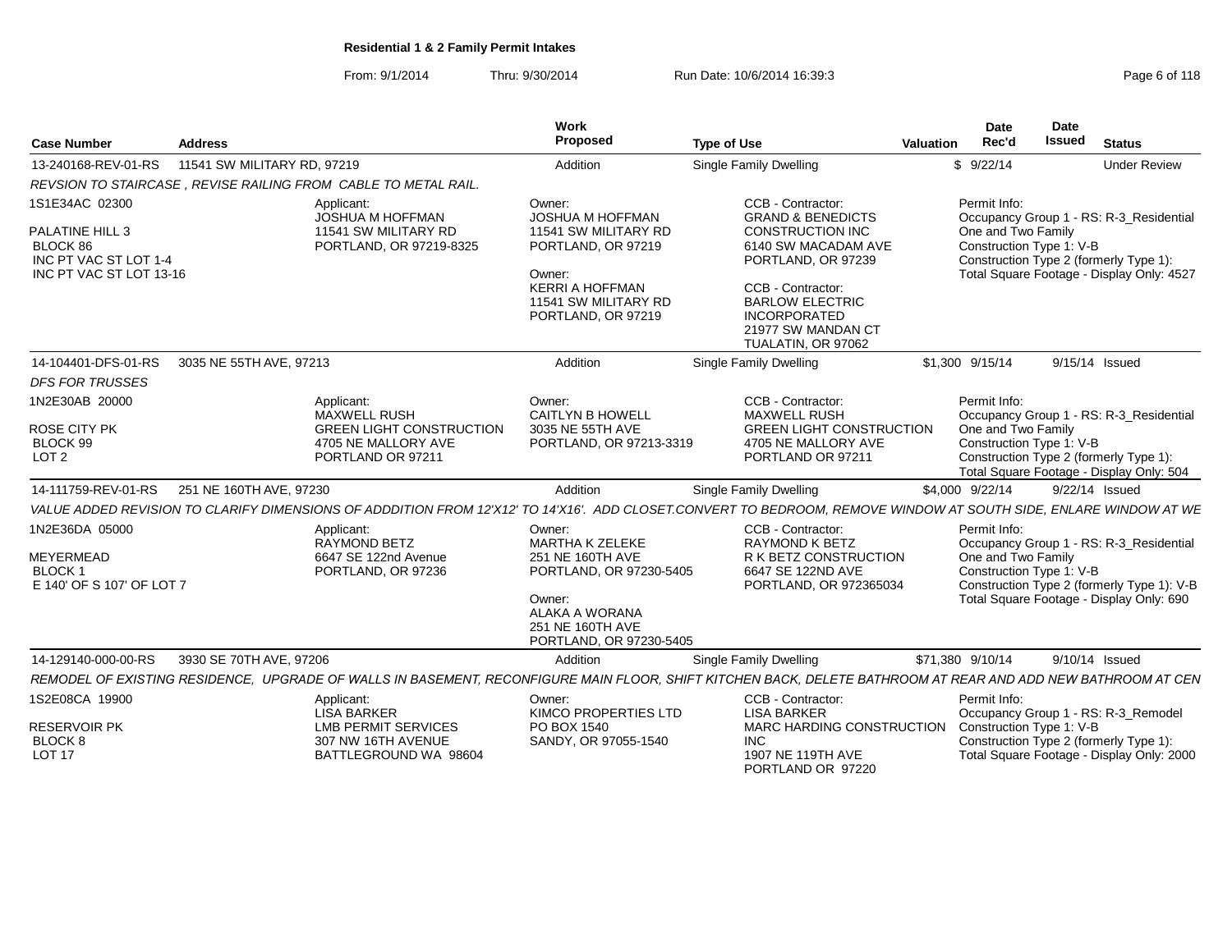From: 9/1/2014Thru: 9/30/2014 Run Date: 10/6/2014 16:39:3

|                                                                                                   |                                                                                                                                                              | Work                                                                                                                                                       |                                                                                                                                                                                                                                      | Date                                                           | Date                                                                                                                              |
|---------------------------------------------------------------------------------------------------|--------------------------------------------------------------------------------------------------------------------------------------------------------------|------------------------------------------------------------------------------------------------------------------------------------------------------------|--------------------------------------------------------------------------------------------------------------------------------------------------------------------------------------------------------------------------------------|----------------------------------------------------------------|-----------------------------------------------------------------------------------------------------------------------------------|
| <b>Case Number</b>                                                                                | <b>Address</b>                                                                                                                                               | Proposed                                                                                                                                                   | <b>Type of Use</b>                                                                                                                                                                                                                   | Rec'd<br>Valuation                                             | <b>Issued</b><br><b>Status</b>                                                                                                    |
|                                                                                                   |                                                                                                                                                              | Addition                                                                                                                                                   | Single Family Dwelling                                                                                                                                                                                                               | \$9/22/14                                                      | <b>Under Review</b>                                                                                                               |
|                                                                                                   | REVSION TO STAIRCASE, REVISE RAILING FROM CABLE TO METAL RAIL                                                                                                |                                                                                                                                                            |                                                                                                                                                                                                                                      |                                                                |                                                                                                                                   |
| 1S1E34AC 02300<br>PALATINE HILL 3<br>BLOCK 86<br>INC PT VAC ST LOT 1-4<br>INC PT VAC ST LOT 13-16 | Applicant:<br>JOSHUA M HOFFMAN<br>11541 SW MILITARY RD<br>PORTLAND, OR 97219-8325                                                                            | Owner:<br>JOSHUA M HOFFMAN<br>11541 SW MILITARY RD<br>PORTLAND, OR 97219<br>Owner:<br><b>KERRI A HOFFMAN</b><br>11541 SW MILITARY RD<br>PORTLAND, OR 97219 | CCB - Contractor:<br><b>GRAND &amp; BENEDICTS</b><br><b>CONSTRUCTION INC</b><br>6140 SW MACADAM AVE<br>PORTLAND, OR 97239<br>CCB - Contractor:<br><b>BARLOW ELECTRIC</b><br>INCORPORATED<br>21977 SW MANDAN CT<br>TUALATIN, OR 97062 | Permit Info:<br>One and Two Family<br>Construction Type 1: V-B | Occupancy Group 1 - RS: R-3 Residential<br>Construction Type 2 (formerly Type 1):<br>Total Square Footage - Display Only: 4527    |
|                                                                                                   | 14-104401-DFS-01-RS 3035 NE 55TH AVE, 97213                                                                                                                  | Addition                                                                                                                                                   | Single Family Dwelling                                                                                                                                                                                                               | \$1,300 9/15/14                                                | 9/15/14 Issued                                                                                                                    |
| <b>DFS FOR TRUSSES</b>                                                                            |                                                                                                                                                              |                                                                                                                                                            |                                                                                                                                                                                                                                      |                                                                |                                                                                                                                   |
| 1N2E30AB 20000<br>ROSE CITY PK<br>BLOCK 99<br>LOT <sub>2</sub>                                    | Applicant:<br><b>MAXWELL RUSH</b><br><b>GREEN LIGHT CONSTRUCTION</b><br>4705 NE MALLORY AVE<br>PORTLAND OR 97211                                             | Owner:<br><b>CAITLYN B HOWEL</b><br>3035 NE 55TH AVE<br>PORTLAND, OR 97213-3319                                                                            | CCB - Contractor:<br><b>MAXWELL RUSH</b><br><b>GREEN LIGHT CONSTRUCTION</b><br>4705 NE MALLORY AVE<br>PORTLAND OR 97211                                                                                                              | Permit Info:<br>One and Two Family<br>Construction Type 1: V-B | Occupancy Group 1 - RS: R-3_Residential<br>Construction Type 2 (formerly Type 1):<br>Total Square Footage - Display Only: 504     |
|                                                                                                   | 14-111759-REV-01-RS 251 NE 160TH AVE, 97230                                                                                                                  | Addition                                                                                                                                                   | Single Family Dwelling                                                                                                                                                                                                               | \$4,000 9/22/14                                                | 9/22/14 Issued                                                                                                                    |
|                                                                                                   | VALUE ADDED REVISION TO CLARIFY DIMENSIONS OF ADDDITION FROM 12'X12' TO 14'X16'. ADD CLOSET.CONVERT                                                          |                                                                                                                                                            | TO BEDROOM, REMOVE WINDOW AT SOUTH SIDE, ENLARE WINDOW AT WE                                                                                                                                                                         |                                                                |                                                                                                                                   |
| 1N2E36DA 05000<br><b>MEYERMEAD</b><br>BLOCK 1<br>E 140' OF S 107' OF LOT 7                        | Applicant:<br><b>RAYMOND BETZ</b><br>6647 SE 122nd Avenue<br>PORTLAND, OR 97236                                                                              | Owner:<br>MARTHA K ZELEKE<br>251 NE 160TH AVE<br>PORTLAND, OR 97230-5405<br>Owner:<br>ALAKA A WORANA<br>251 NE 160TH AVE<br>PORTLAND, OR 97230-5405        | CCB - Contractor:<br><b>RAYMOND K BETZ</b><br>R K BETZ CONSTRUCTION<br>6647 SE 122ND AVE<br>PORTLAND, OR 972365034                                                                                                                   | Permit Info:<br>One and Two Family<br>Construction Type 1: V-B | Occupancy Group 1 - RS: R-3 Residential<br>Construction Type 2 (formerly Type 1): V-B<br>Total Square Footage - Display Only: 690 |
| 14-129140-000-00-RS                                                                               | 3930 SE 70TH AVE, 97206                                                                                                                                      | Addition                                                                                                                                                   | Single Family Dwelling                                                                                                                                                                                                               | \$71,380 9/10/14                                               | 9/10/14 Issued                                                                                                                    |
|                                                                                                   | REMODEL OF EXISTING RESIDENCE, UPGRADE OF WALLS IN BASEMENT, RECONFIGURE MAIN FLOOR, SHIFT KITCHEN BACK, DELETE BATHROOM AT REAR AND ADD NEW BATHROOM AT CEN |                                                                                                                                                            |                                                                                                                                                                                                                                      |                                                                |                                                                                                                                   |
| 1S2E08CA 19900                                                                                    | Applicant:<br>LISA BARKER                                                                                                                                    | Owner:<br>KIMCO PROPERTIES LTD                                                                                                                             | CCB - Contractor:<br>LISA BARKER                                                                                                                                                                                                     | Permit Info:                                                   | Occupancy Group 1 - RS: R-3_Remodel                                                                                               |
| <b>RESERVOIR PK</b><br><b>BLOCK 8</b><br><b>LOT 17</b>                                            | <b>LMB PERMIT SERVICES</b><br>307 NW 16TH AVENUE<br>BATTLEGROUND WA 98604                                                                                    | PO BOX 1540<br>SANDY, OR 97055-1540                                                                                                                        | MARC HARDING CONSTRUCTION Construction Type 1: V-B<br>INC<br>1907 NE 119TH AVE<br>PORTLAND OR 97220                                                                                                                                  |                                                                | Construction Type 2 (formerly Type 1)<br>Total Square Footage - Display Only: 2000                                                |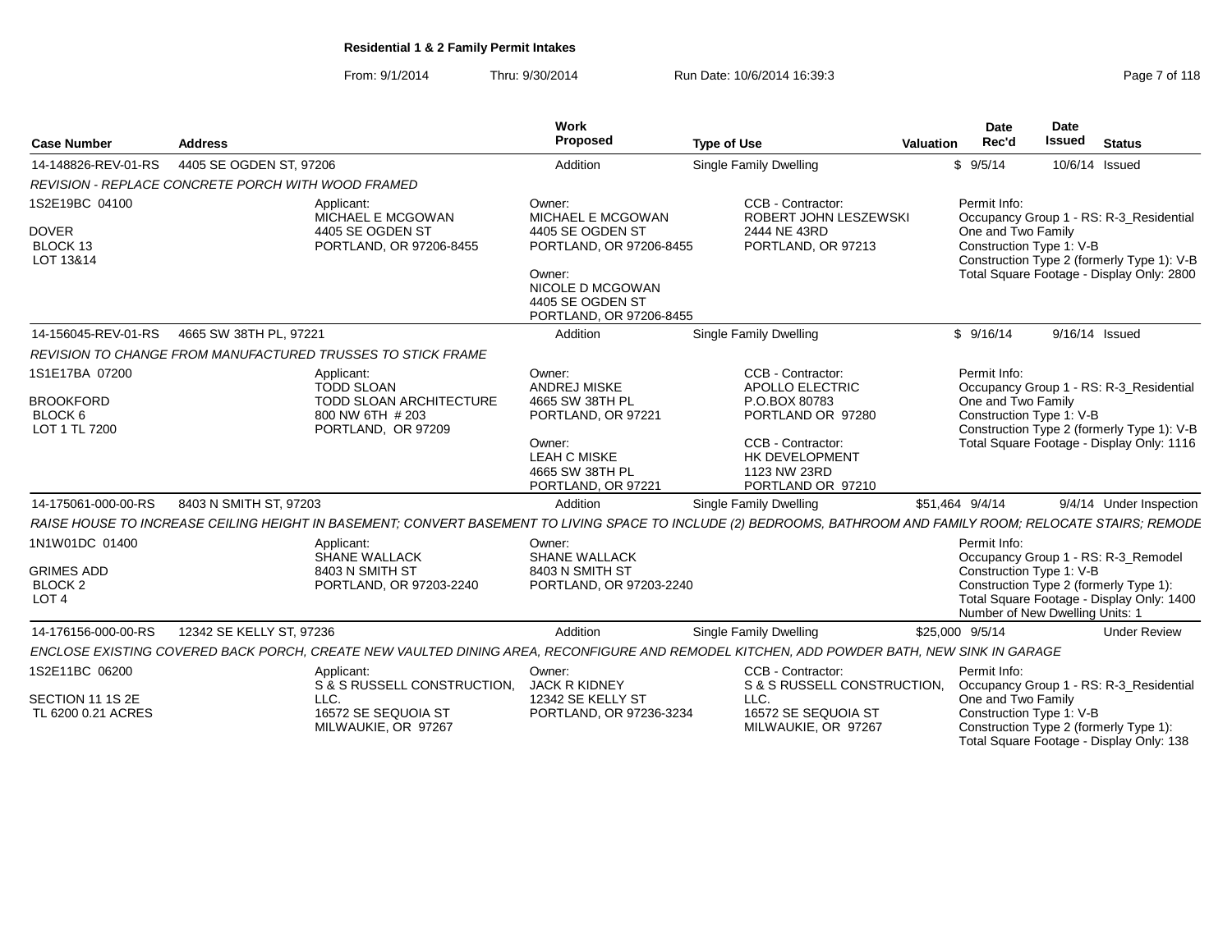From: 9/1/2014Thru: 9/30/2014 Run Date: 10/6/2014 16:39:3<br>
Page 7 of 118

| <b>Case Number</b><br><b>Address</b>                                      |                                                                                                                                                                 | <b>Work</b><br>Proposed                                                                                                                                 | <b>Type of Use</b>                                                                                                                                     | <b>Valuation</b> | <b>Date</b><br>Rec'd                                                        | <b>Date</b><br><b>Issued</b> | <b>Status</b>                                                                                                                      |
|---------------------------------------------------------------------------|-----------------------------------------------------------------------------------------------------------------------------------------------------------------|---------------------------------------------------------------------------------------------------------------------------------------------------------|--------------------------------------------------------------------------------------------------------------------------------------------------------|------------------|-----------------------------------------------------------------------------|------------------------------|------------------------------------------------------------------------------------------------------------------------------------|
| 14-148826-REV-01-RS                                                       | 4405 SE OGDEN ST, 97206                                                                                                                                         | Addition                                                                                                                                                | <b>Single Family Dwelling</b>                                                                                                                          |                  | \$9/5/14                                                                    | 10/6/14 Issued               |                                                                                                                                    |
|                                                                           | REVISION - REPLACE CONCRETE PORCH WITH WOOD FRAMED                                                                                                              |                                                                                                                                                         |                                                                                                                                                        |                  |                                                                             |                              |                                                                                                                                    |
| 1S2E19BC 04100<br><b>DOVER</b><br>BLOCK 13<br>LOT 13&14                   | Applicant:<br>MICHAEL E MCGOWAN<br>4405 SE OGDEN ST<br>PORTLAND, OR 97206-8455                                                                                  | Owner:<br>MICHAEL E MCGOWAN<br>4405 SE OGDEN ST<br>PORTLAND, OR 97206-8455<br>Owner:<br>NICOLE D MCGOWAN<br>4405 SE OGDEN ST<br>PORTLAND, OR 97206-8455 | CCB - Contractor:<br>ROBERT JOHN LESZEWSKI<br>2444 NE 43RD<br>PORTLAND, OR 97213                                                                       |                  | Permit Info:<br>One and Two Family<br>Construction Type 1: V-B              |                              | Occupancy Group 1 - RS: R-3_Residential<br>Construction Type 2 (formerly Type 1): V-B<br>Total Square Footage - Display Only: 2800 |
| 14-156045-REV-01-RS                                                       | 4665 SW 38TH PL, 97221                                                                                                                                          | Addition                                                                                                                                                | <b>Single Family Dwelling</b>                                                                                                                          |                  | \$9/16/14                                                                   | 9/16/14 Issued               |                                                                                                                                    |
|                                                                           | REVISION TO CHANGE FROM MANUFACTURED TRUSSES TO STICK FRAME                                                                                                     |                                                                                                                                                         |                                                                                                                                                        |                  |                                                                             |                              |                                                                                                                                    |
| 1S1E17BA 07200<br><b>BROOKFORD</b><br>BLOCK 6<br>LOT 1 TL 7200            | Applicant:<br><b>TODD SLOAN</b><br><b>TODD SLOAN ARCHITECTURE</b><br>800 NW 6TH # 203<br>PORTLAND, OR 97209                                                     | Owner:<br><b>ANDREJ MISKE</b><br>4665 SW 38TH PL<br>PORTLAND, OR 97221<br>Owner:<br><b>LEAH C MISKE</b><br>4665 SW 38TH PL<br>PORTLAND, OR 97221        | CCB - Contractor:<br>APOLLO ELECTRIC<br>P.O.BOX 80783<br>PORTLAND OR 97280<br>CCB - Contractor:<br>HK DEVELOPMENT<br>1123 NW 23RD<br>PORTLAND OR 97210 |                  | Permit Info:<br>One and Two Family<br>Construction Type 1: V-B              |                              | Occupancy Group 1 - RS: R-3_Residential<br>Construction Type 2 (formerly Type 1): V-B<br>Total Square Footage - Display Only: 1116 |
| 14-175061-000-00-RS                                                       | 8403 N SMITH ST, 97203                                                                                                                                          | Addition                                                                                                                                                | <b>Single Family Dwelling</b>                                                                                                                          | \$51.464 9/4/14  |                                                                             |                              | 9/4/14 Under Inspection                                                                                                            |
|                                                                           | RAISE HOUSE TO INCREASE CEILING HEIGHT IN BASEMENT; CONVERT BASEMENT TO LIVING SPACE TO INCLUDE (2) BEDROOMS, BATHROOM AND FAMILY ROOM; RELOCATE STAIRS; REMODE |                                                                                                                                                         |                                                                                                                                                        |                  |                                                                             |                              |                                                                                                                                    |
| 1N1W01DC 01400<br><b>GRIMES ADD</b><br><b>BLOCK 2</b><br>LOT <sub>4</sub> | Applicant:<br>SHANE WALLACK<br>8403 N SMITH ST<br>PORTLAND, OR 97203-2240                                                                                       | Owner:<br><b>SHANE WALLACK</b><br>8403 N SMITH ST<br>PORTLAND, OR 97203-2240                                                                            |                                                                                                                                                        |                  | Permit Info:<br>Construction Type 1: V-B<br>Number of New Dwelling Units: 1 |                              | Occupancy Group 1 - RS: R-3_Remodel<br>Construction Type 2 (formerly Type 1):<br>Total Square Footage - Display Only: 1400         |
| 14-176156-000-00-RS                                                       | 12342 SE KELLY ST, 97236                                                                                                                                        | Addition                                                                                                                                                | Single Family Dwelling                                                                                                                                 | \$25,000 9/5/14  |                                                                             |                              | <b>Under Review</b>                                                                                                                |
|                                                                           | ENCLOSE EXISTING COVERED BACK PORCH, CREATE NEW VAULTED DINING AREA, RECONFIGURE AND REMODEL KITCHEN, ADD POWDER BATH, NEW SINK IN GARAGE                       |                                                                                                                                                         |                                                                                                                                                        |                  |                                                                             |                              |                                                                                                                                    |
| 1S2E11BC 06200<br>SECTION 11 1S 2E<br>TL 6200 0.21 ACRES                  | Applicant:<br>S & S RUSSELL CONSTRUCTION.<br>LLC.<br>16572 SE SEQUOIA ST<br>MILWAUKIE, OR 97267                                                                 | Owner:<br><b>JACK R KIDNEY</b><br>12342 SE KELLY ST<br>PORTLAND, OR 97236-3234                                                                          | CCB - Contractor:<br>S & S RUSSELL CONSTRUCTION,<br>LLC.<br>16572 SE SEQUOIA ST<br>MILWAUKIE, OR 97267                                                 |                  | Permit Info:<br>One and Two Family<br>Construction Type 1: V-B              |                              | Occupancy Group 1 - RS: R-3_Residential<br>Construction Type 2 (formerly Type 1):<br>Total Square Footage - Display Only: 138      |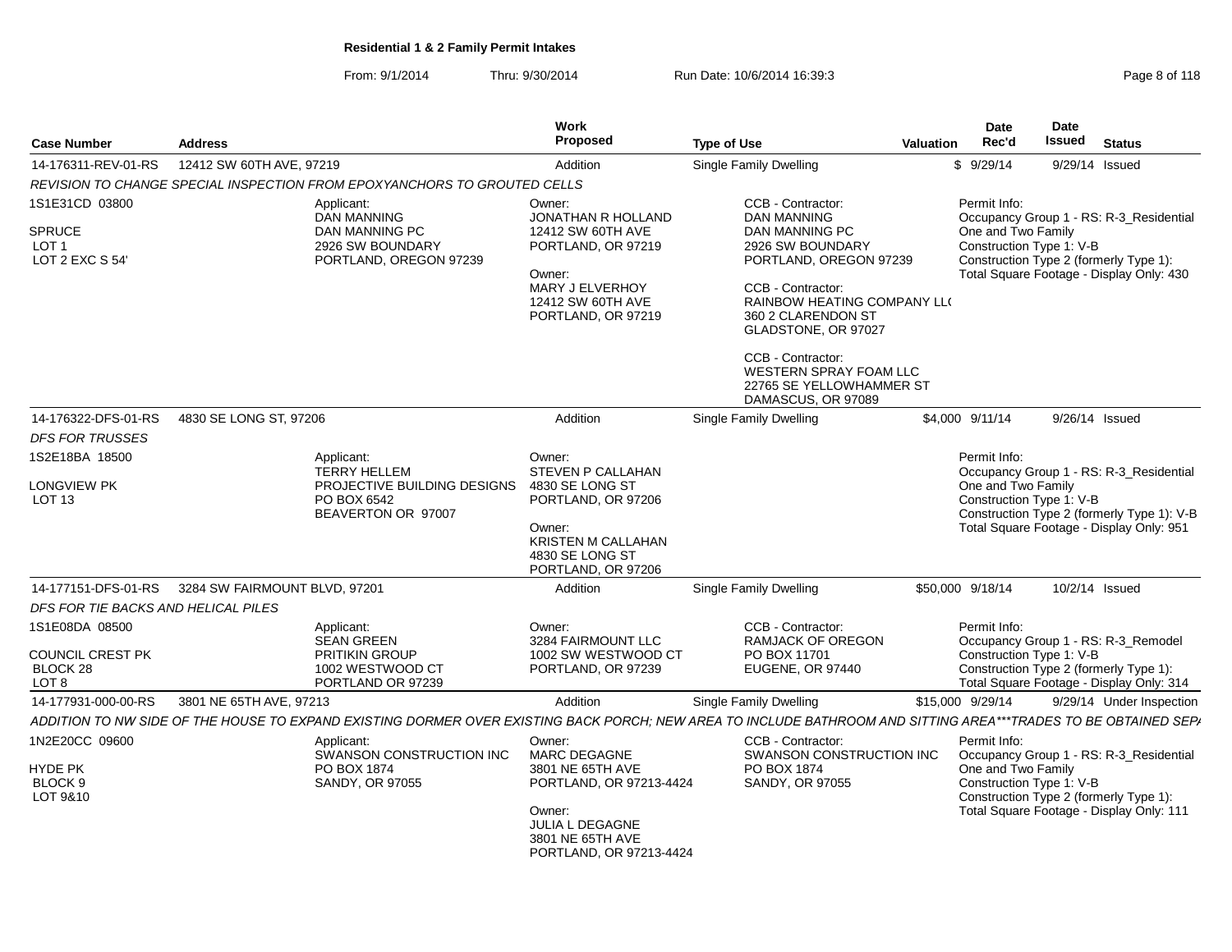From: 9/1/2014Thru: 9/30/2014 Run Date: 10/6/2014 16:39:3<br>
Run Date: 10/6/2014 **Page 8 of 118** 

| <b>Address</b><br>Case Number                                             |                                                                          |                                                                                                   | Work<br>Proposed                                                                                                                                                | <b>Type of Use</b>                                                                                                                                              | Valuation | <b>Date</b><br>Rec'd                                                                                                                                                                            | Date<br>Issued | <b>Status</b>                                                                                                             |  |
|---------------------------------------------------------------------------|--------------------------------------------------------------------------|---------------------------------------------------------------------------------------------------|-----------------------------------------------------------------------------------------------------------------------------------------------------------------|-----------------------------------------------------------------------------------------------------------------------------------------------------------------|-----------|-------------------------------------------------------------------------------------------------------------------------------------------------------------------------------------------------|----------------|---------------------------------------------------------------------------------------------------------------------------|--|
| 14-176311-REV-01-RS                                                       | 12412 SW 60TH AVE, 97219                                                 |                                                                                                   | Addition                                                                                                                                                        |                                                                                                                                                                 | \$9/29/14 | 9/29/14 Issued                                                                                                                                                                                  |                |                                                                                                                           |  |
|                                                                           |                                                                          | REVISION TO CHANGE SPECIAL INSPECTION FROM EPOXYANCHORS TO GROUTED CELLS                          |                                                                                                                                                                 |                                                                                                                                                                 |           |                                                                                                                                                                                                 |                |                                                                                                                           |  |
| 1S1E31CD 03800                                                            |                                                                          | Applicant:<br><b>DAN MANNING</b>                                                                  | Owner:<br>JONATHAN R HOLLAND                                                                                                                                    | CCB - Contractor:<br><b>DAN MANNING</b>                                                                                                                         |           | Permit Info:                                                                                                                                                                                    |                | Occupancy Group 1 - RS: R-3_Residential                                                                                   |  |
| <b>SPRUCE</b><br>LOT 1<br>LOT 2 EXC S 54'                                 | DAN MANNING PC<br>2926 SW BOUNDARY<br>PORTLAND, OREGON 97239             |                                                                                                   | 12412 SW 60TH AVE<br>PORTLAND, OR 97219<br>Owner:<br>MARY J ELVERHOY<br>12412 SW 60TH AVE<br>PORTLAND, OR 97219                                                 | DAN MANNING PC<br>2926 SW BOUNDARY<br>PORTLAND, OREGON 97239<br>CCB - Contractor:<br>RAINBOW HEATING COMPANY LLO<br>360 2 CLARENDON ST<br>GLADSTONE, OR 97027   |           | One and Two Family<br>Construction Type 1: V-B                                                                                                                                                  |                | Construction Type 2 (formerly Type 1):<br>Total Square Footage - Display Only: 430                                        |  |
|                                                                           |                                                                          |                                                                                                   |                                                                                                                                                                 | CCB - Contractor:<br>WESTERN SPRAY FOAM LLC<br>22765 SE YELLOWHAMMER ST<br>DAMASCUS, OR 97089                                                                   |           |                                                                                                                                                                                                 |                |                                                                                                                           |  |
| 14-176322-DFS-01-RS                                                       | 4830 SE LONG ST, 97206                                                   |                                                                                                   | Addition                                                                                                                                                        | <b>Single Family Dwelling</b>                                                                                                                                   |           | \$4,000 9/11/14                                                                                                                                                                                 | 9/26/14 Issued |                                                                                                                           |  |
| <b>DFS FOR TRUSSES</b>                                                    |                                                                          |                                                                                                   |                                                                                                                                                                 |                                                                                                                                                                 |           |                                                                                                                                                                                                 |                |                                                                                                                           |  |
| 1S2E18BA 18500                                                            |                                                                          | Applicant:<br><b>TERRY HELLEM</b>                                                                 | Owner:<br><b>STEVEN P CALLAHAN</b>                                                                                                                              |                                                                                                                                                                 |           | Permit Info:                                                                                                                                                                                    |                | Occupancy Group 1 - RS: R-3_Residential                                                                                   |  |
| <b>LONGVIEW PK</b><br>LOT <sub>13</sub>                                   |                                                                          | PROJECTIVE BUILDING DESIGNS<br>PO BOX 6542<br>BEAVERTON OR 97007                                  | 4830 SE LONG ST<br>PORTLAND, OR 97206<br>Owner:<br>KRISTEN M CALLAHAN<br>4830 SE LONG ST<br>PORTLAND, OR 97206                                                  |                                                                                                                                                                 |           | One and Two Family<br>Construction Type 1: V-B                                                                                                                                                  |                | Construction Type 2 (formerly Type 1): V-B<br>Total Square Footage - Display Only: 951                                    |  |
| 14-177151-DFS-01-RS                                                       | 3284 SW FAIRMOUNT BLVD, 97201                                            |                                                                                                   | Addition                                                                                                                                                        | <b>Single Family Dwelling</b>                                                                                                                                   |           | \$50,000 9/18/14                                                                                                                                                                                | 10/2/14 Issued |                                                                                                                           |  |
| DFS FOR TIE BACKS AND HELICAL PILES                                       |                                                                          |                                                                                                   |                                                                                                                                                                 |                                                                                                                                                                 |           |                                                                                                                                                                                                 |                |                                                                                                                           |  |
| 1S1E08DA 08500<br><b>COUNCIL CREST PK</b><br>BLOCK 28<br>LOT <sub>8</sub> |                                                                          | Applicant:<br><b>SEAN GREEN</b><br><b>PRITIKIN GROUP</b><br>1002 WESTWOOD CT<br>PORTLAND OR 97239 | Owner:<br>3284 FAIRMOUNT LLC<br>1002 SW WESTWOOD CT<br>PORTLAND, OR 97239                                                                                       | CCB - Contractor:<br>RAMJACK OF OREGON<br>PO BOX 11701<br>EUGENE, OR 97440                                                                                      |           | Permit Info:<br>Construction Type 1: V-B                                                                                                                                                        |                | Occupancy Group 1 - RS: R-3_Remodel<br>Construction Type 2 (formerly Type 1):<br>Total Square Footage - Display Only: 314 |  |
| 14-177931-000-00-RS                                                       | 3801 NE 65TH AVE, 97213                                                  |                                                                                                   | Addition                                                                                                                                                        | <b>Single Family Dwelling</b>                                                                                                                                   |           | \$15,000 9/29/14                                                                                                                                                                                |                | 9/29/14 Under Inspection                                                                                                  |  |
|                                                                           |                                                                          |                                                                                                   |                                                                                                                                                                 | ADDITION TO NW SIDE OF THE HOUSE TO EXPAND EXISTING DORMER OVER EXISTING BACK PORCH; NEW AREA TO INCLUDE BATHROOM AND SITTING AREA***TRADES TO BE OBTAINED SEPA |           |                                                                                                                                                                                                 |                |                                                                                                                           |  |
| 1N2E20CC 09600<br>HYDE PK<br>BLOCK <sub>9</sub><br>LOT 9&10               | Applicant:<br>SWANSON CONSTRUCTION INC<br>PO BOX 1874<br>SANDY, OR 97055 |                                                                                                   | Owner:<br><b>MARC DEGAGNE</b><br>3801 NE 65TH AVE<br>PORTLAND, OR 97213-4424<br>Owner:<br><b>JULIA L DEGAGNE</b><br>3801 NE 65TH AVE<br>PORTLAND, OR 97213-4424 | CCB - Contractor:<br>SWANSON CONSTRUCTION INC<br>PO BOX 1874<br>SANDY, OR 97055                                                                                 |           | Permit Info:<br>Occupancy Group 1 - RS: R-3_Residential<br>One and Two Family<br>Construction Type 1: V-B<br>Construction Type 2 (formerly Type 1):<br>Total Square Footage - Display Only: 111 |                |                                                                                                                           |  |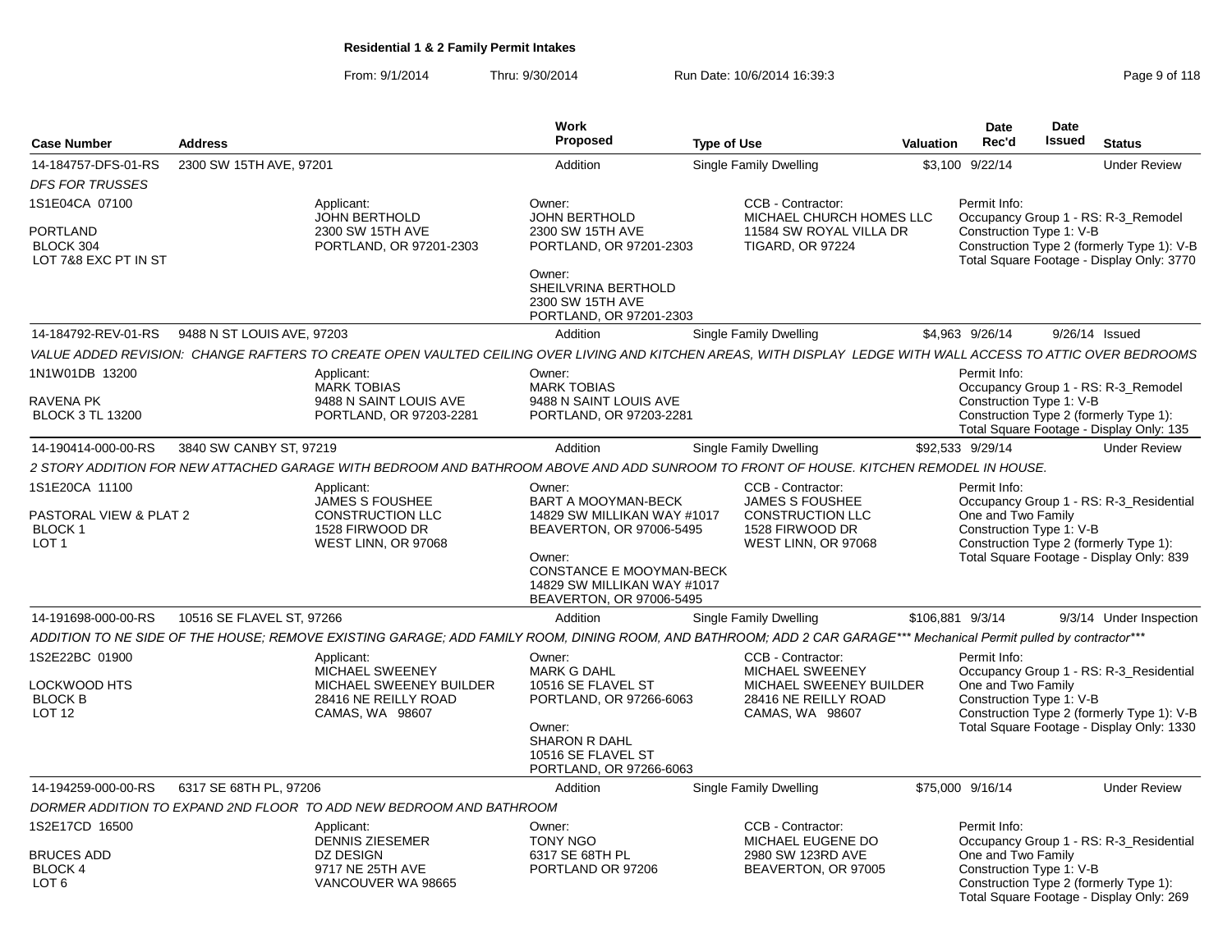From: 9/1/2014Thru: 9/30/2014 Run Date: 10/6/2014 16:39:3<br>
Run Date: 10/6/2014 16:39:3

| <b>Case Number</b>                                                            | <b>Address</b>             |                                                                                                                                                                     | <b>Work</b><br><b>Proposed</b>                                                                                                                                                            | <b>Type of Use</b> |                                                                                                                   | Valuation        | Date<br>Rec'd                                                  | <b>Date</b><br>Issued | <b>Status</b>                                                                                                                      |
|-------------------------------------------------------------------------------|----------------------------|---------------------------------------------------------------------------------------------------------------------------------------------------------------------|-------------------------------------------------------------------------------------------------------------------------------------------------------------------------------------------|--------------------|-------------------------------------------------------------------------------------------------------------------|------------------|----------------------------------------------------------------|-----------------------|------------------------------------------------------------------------------------------------------------------------------------|
|                                                                               |                            |                                                                                                                                                                     |                                                                                                                                                                                           |                    |                                                                                                                   |                  |                                                                |                       |                                                                                                                                    |
| 14-184757-DFS-01-RS<br><b>DFS FOR TRUSSES</b>                                 | 2300 SW 15TH AVE, 97201    |                                                                                                                                                                     | Addition                                                                                                                                                                                  |                    | <b>Single Family Dwelling</b>                                                                                     | \$3,100          | 9/22/14                                                        |                       | <b>Under Review</b>                                                                                                                |
| 1S1E04CA 07100<br>PORTLAND<br>BLOCK 304<br>LOT 7&8 EXC PT IN ST               |                            | Applicant:<br><b>JOHN BERTHOLD</b><br>2300 SW 15TH AVE<br>PORTLAND, OR 97201-2303                                                                                   | Owner:<br><b>JOHN BERTHOLD</b><br>2300 SW 15TH AVE<br>PORTLAND, OR 97201-2303<br>Owner:<br>SHEILVRINA BERTHOLD<br>2300 SW 15TH AVE                                                        |                    | CCB - Contractor:<br>MICHAEL CHURCH HOMES LLC<br>11584 SW ROYAL VILLA DR<br><b>TIGARD, OR 97224</b>               |                  | Permit Info:<br>Construction Type 1: V-B                       |                       | Occupancy Group 1 - RS: R-3_Remodel<br>Construction Type 2 (formerly Type 1): V-B<br>Total Square Footage - Display Only: 3770     |
|                                                                               |                            |                                                                                                                                                                     | PORTLAND, OR 97201-2303                                                                                                                                                                   |                    |                                                                                                                   |                  |                                                                |                       |                                                                                                                                    |
| 14-184792-REV-01-RS                                                           | 9488 N ST LOUIS AVE, 97203 |                                                                                                                                                                     | Addition                                                                                                                                                                                  |                    | Single Family Dwelling                                                                                            |                  | \$4,963 9/26/14                                                |                       | 9/26/14 Issued                                                                                                                     |
|                                                                               |                            | VALUE ADDED REVISION: CHANGE RAFTERS TO CREATE OPEN VAULTED CEILING OVER LIVING AND KITCHEN AREAS, WITH DISPLAY LEDGE WITH WALL ACCESS TO ATTIC OVER BEDROOMS       |                                                                                                                                                                                           |                    |                                                                                                                   |                  |                                                                |                       |                                                                                                                                    |
| 1N1W01DB 13200<br>RAVENA PK<br><b>BLOCK 3 TL 13200</b>                        |                            | Applicant:<br><b>MARK TOBIAS</b><br>9488 N SAINT LOUIS AVE<br>PORTLAND, OR 97203-2281                                                                               | Owner:<br><b>MARK TOBIAS</b><br>9488 N SAINT LOUIS AVE<br>PORTLAND, OR 97203-2281                                                                                                         |                    |                                                                                                                   |                  | Permit Info:<br>Construction Type 1: V-B                       |                       | Occupancy Group 1 - RS: R-3_Remodel<br>Construction Type 2 (formerly Type 1):<br>Total Square Footage - Display Only: 135          |
| 14-190414-000-00-RS                                                           | 3840 SW CANBY ST, 97219    |                                                                                                                                                                     | Addition                                                                                                                                                                                  |                    | Single Family Dwelling                                                                                            |                  | \$92,533 9/29/14                                               |                       | <b>Under Review</b>                                                                                                                |
|                                                                               |                            | 2 STORY ADDITION FOR NEW ATTACHED GARAGE WITH BEDROOM AND BATHROOM ABOVE AND ADD SUNROOM TO FRONT OF HOUSE. KITCHEN REMODEL IN HOUSE.                               |                                                                                                                                                                                           |                    |                                                                                                                   |                  |                                                                |                       |                                                                                                                                    |
| 1S1E20CA 11100<br>PASTORAL VIEW & PLAT 2<br><b>BLOCK1</b><br>LOT <sub>1</sub> |                            | Applicant:<br><b>JAMES S FOUSHEE</b><br><b>CONSTRUCTION LLC</b><br>1528 FIRWOOD DR<br>WEST LINN, OR 97068                                                           | Owner:<br>BART A MOOYMAN-BECK<br>14829 SW MILLIKAN WAY #1017<br>BEAVERTON, OR 97006-5495<br>Owner:<br>CONSTANCE E MOOYMAN-BECK<br>14829 SW MILLIKAN WAY #1017<br>BEAVERTON, OR 97006-5495 |                    | CCB - Contractor:<br><b>JAMES S FOUSHEE</b><br><b>CONSTRUCTION LLC</b><br>1528 FIRWOOD DR<br>WEST LINN, OR 97068  |                  | Permit Info:<br>One and Two Family<br>Construction Type 1: V-B |                       | Occupancy Group 1 - RS: R-3_Residential<br>Construction Type 2 (formerly Type 1):<br>Total Square Footage - Display Only: 839      |
| 14-191698-000-00-RS                                                           | 10516 SE FLAVEL ST, 97266  |                                                                                                                                                                     | Addition                                                                                                                                                                                  |                    | Single Family Dwelling                                                                                            | \$106,881 9/3/14 |                                                                |                       | 9/3/14 Under Inspection                                                                                                            |
|                                                                               |                            | ADDITION TO NE SIDE OF THE HOUSE; REMOVE EXISTING GARAGE; ADD FAMILY ROOM, DINING ROOM, AND BATHROOM; ADD 2 CAR GARAGE*** Mechanical Permit pulled by contractor*** |                                                                                                                                                                                           |                    |                                                                                                                   |                  |                                                                |                       |                                                                                                                                    |
| 1S2E22BC 01900<br>LOCKWOOD HTS<br>BLOCK B<br><b>LOT 12</b>                    |                            | Applicant:<br>MICHAEL SWEENEY<br>MICHAEL SWEENEY BUILDER<br>28416 NE REILLY ROAD<br>CAMAS, WA 98607                                                                 | Owner:<br><b>MARK G DAHL</b><br>10516 SE FLAVEL ST<br>PORTLAND, OR 97266-6063<br>Owner:<br><b>SHARON R DAHL</b><br>10516 SE FLAVEL ST<br>PORTLAND, OR 97266-6063                          |                    | CCB - Contractor:<br><b>MICHAEL SWEENEY</b><br>MICHAEL SWEENEY BUILDER<br>28416 NE REILLY ROAD<br>CAMAS, WA 98607 |                  | Permit Info:<br>One and Two Family<br>Construction Type 1: V-B |                       | Occupancy Group 1 - RS: R-3 Residential<br>Construction Type 2 (formerly Type 1): V-B<br>Total Square Footage - Display Only: 1330 |
| 14-194259-000-00-RS                                                           | 6317 SE 68TH PL, 97206     |                                                                                                                                                                     | Addition                                                                                                                                                                                  |                    | Single Family Dwelling                                                                                            |                  | \$75,000 9/16/14                                               |                       | <b>Under Review</b>                                                                                                                |
|                                                                               |                            | DORMER ADDITION TO EXPAND 2ND FLOOR TO ADD NEW BEDROOM AND BATHROOM                                                                                                 |                                                                                                                                                                                           |                    |                                                                                                                   |                  |                                                                |                       |                                                                                                                                    |
| 1S2E17CD 16500<br><b>BRUCES ADD</b><br><b>BLOCK 4</b><br>LOT <sub>6</sub>     |                            | Applicant:<br><b>DENNIS ZIESEMER</b><br>DZ DESIGN<br>9717 NE 25TH AVE<br>VANCOUVER WA 98665                                                                         | Owner:<br><b>TONY NGO</b><br>6317 SE 68TH PL<br>PORTLAND OR 97206                                                                                                                         |                    | CCB - Contractor:<br><b>MICHAEL EUGENE DO</b><br>2980 SW 123RD AVE<br>BEAVERTON, OR 97005                         |                  | Permit Info:<br>One and Two Family<br>Construction Type 1: V-B |                       | Occupancy Group 1 - RS: R-3 Residential<br>Construction Type 2 (formerly Type 1):<br>Total Square Footage - Display Only: 269      |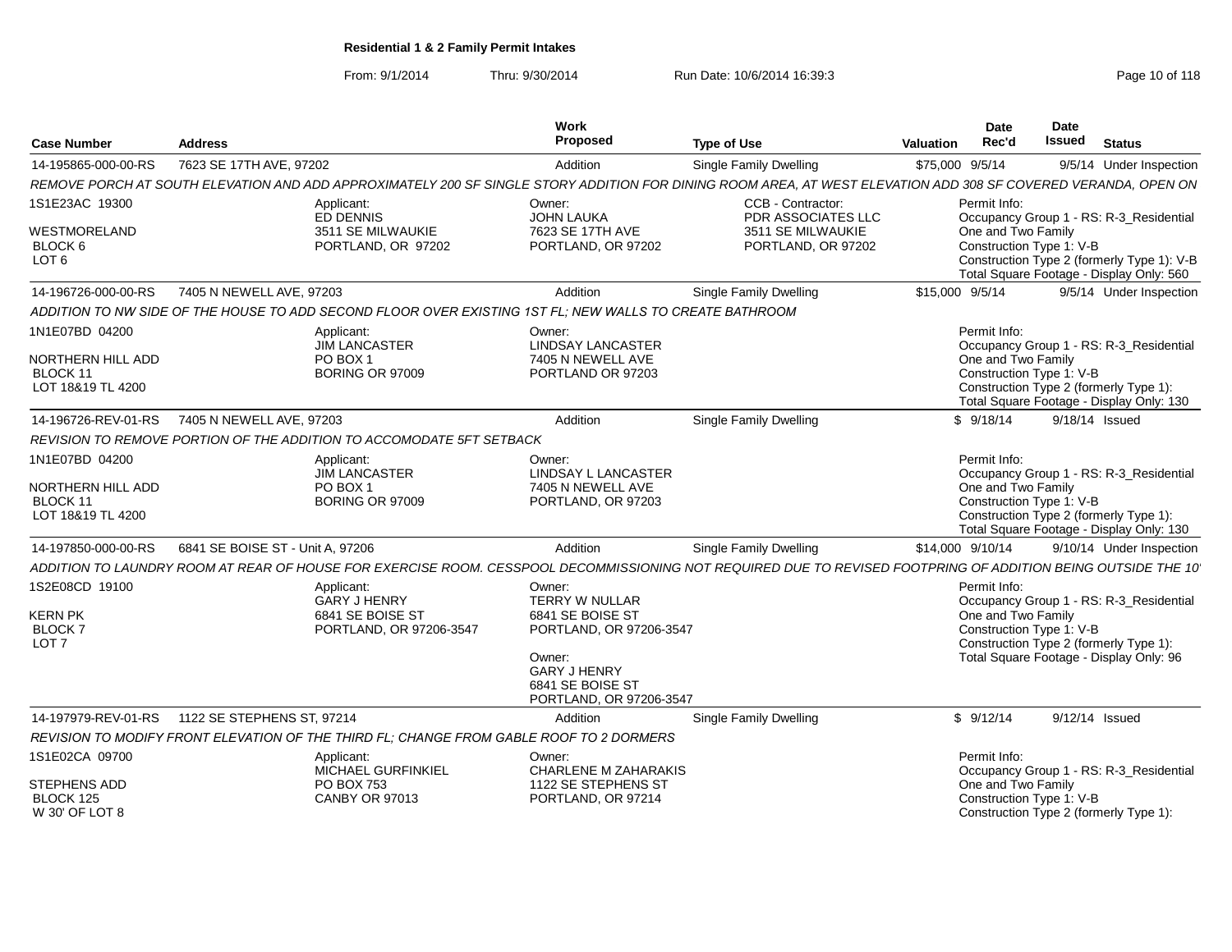From: 9/1/2014Thru: 9/30/2014 Run Date: 10/6/2014 16:39:3<br>
Page 10 of 118

| <b>Case Number</b>                                                    | <b>Address</b>                                                                                                                                                 | Work<br>Proposed                                                                                                                                        | <b>Type of Use</b>                                                                 | <b>Date</b><br>Rec'd<br>Valuation                              | Date<br>Issued<br><b>Status</b>                                                                                                   |  |
|-----------------------------------------------------------------------|----------------------------------------------------------------------------------------------------------------------------------------------------------------|---------------------------------------------------------------------------------------------------------------------------------------------------------|------------------------------------------------------------------------------------|----------------------------------------------------------------|-----------------------------------------------------------------------------------------------------------------------------------|--|
| 14-195865-000-00-RS                                                   | 7623 SE 17TH AVE, 97202                                                                                                                                        | Addition                                                                                                                                                | <b>Single Family Dwelling</b>                                                      | \$75,000 9/5/14                                                | 9/5/14 Under Inspection                                                                                                           |  |
|                                                                       | REMOVE PORCH AT SOUTH ELEVATION AND ADD APPROXIMATELY 200 SF SINGLE STORY ADDITION FOR DINING ROOM AREA, AT WEST ELEVATION ADD 308 SF COVERED VERANDA, OPEN ON |                                                                                                                                                         |                                                                                    |                                                                |                                                                                                                                   |  |
| 1S1E23AC 19300<br>WESTMORELAND<br>BLOCK 6<br>LOT <sub>6</sub>         | Applicant:<br>ED DENNIS<br>3511 SE MILWAUKIE<br>PORTLAND, OR 97202                                                                                             | Owner:<br>JOHN LAUKA<br>7623 SE 17TH AVE<br>PORTLAND, OR 97202                                                                                          | CCB - Contractor:<br>PDR ASSOCIATES LLC<br>3511 SE MILWAUKIE<br>PORTLAND, OR 97202 | Permit Info:<br>One and Two Family<br>Construction Type 1: V-B | Occupancy Group 1 - RS: R-3_Residential<br>Construction Type 2 (formerly Type 1): V-B<br>Total Square Footage - Display Only: 560 |  |
| 14-196726-000-00-RS                                                   | 7405 N NEWELL AVE, 97203                                                                                                                                       | Addition                                                                                                                                                | Single Family Dwelling                                                             | \$15,000 9/5/14                                                | 9/5/14 Under Inspection                                                                                                           |  |
|                                                                       | ADDITION TO NW SIDE OF THE HOUSE TO ADD SECOND FLOOR OVER EXISTING 1ST FL; NEW WALLS TO CREATE BATHROOM                                                        |                                                                                                                                                         |                                                                                    |                                                                |                                                                                                                                   |  |
| 1N1E07BD 04200<br>NORTHERN HILL ADD<br>BLOCK 11<br>LOT 18&19 TL 4200  | Applicant:<br><b>JIM LANCASTER</b><br>PO BOX 1<br><b>BORING OR 97009</b>                                                                                       | Owner:<br><b>LINDSAY LANCASTER</b><br>7405 N NEWELL AVE<br>PORTLAND OR 97203                                                                            |                                                                                    | Permit Info:<br>One and Two Family<br>Construction Type 1: V-B | Occupancy Group 1 - RS: R-3 Residential<br>Construction Type 2 (formerly Type 1):<br>Total Square Footage - Display Only: 130     |  |
| 14-196726-REV-01-RS                                                   | 7405 N NEWELL AVE, 97203                                                                                                                                       | Addition                                                                                                                                                | <b>Single Family Dwelling</b>                                                      | \$9/18/14                                                      | 9/18/14 Issued                                                                                                                    |  |
|                                                                       | REVISION TO REMOVE PORTION OF THE ADDITION TO ACCOMODATE 5FT SETBACK                                                                                           |                                                                                                                                                         |                                                                                    |                                                                |                                                                                                                                   |  |
| 1N1E07BD 04200<br>NORTHERN HILL ADD<br>BLOCK 11<br>LOT 18&19 TL 4200  | Applicant:<br><b>JIM LANCASTER</b><br>PO BOX 1<br><b>BORING OR 97009</b>                                                                                       | Owner:<br><b>LINDSAY L LANCASTER</b><br>7405 N NEWELL AVE<br>PORTLAND, OR 97203                                                                         |                                                                                    | Permit Info:<br>One and Two Family<br>Construction Type 1: V-B | Occupancy Group 1 - RS: R-3_Residential<br>Construction Type 2 (formerly Type 1):<br>Total Square Footage - Display Only: 130     |  |
| 14-197850-000-00-RS                                                   | 6841 SE BOISE ST - Unit A, 97206                                                                                                                               | Addition                                                                                                                                                | Single Family Dwelling                                                             | \$14,000 9/10/14                                               | 9/10/14 Under Inspection                                                                                                          |  |
|                                                                       | ADDITION TO LAUNDRY ROOM AT REAR OF HOUSE FOR EXERCISE ROOM. CESSPOOL DECOMMISSIONING NOT REQUIRED DUE TO REVISED FOOTPRING OF ADDITION BEING OUTSIDE THE 10   |                                                                                                                                                         |                                                                                    |                                                                |                                                                                                                                   |  |
| 1S2E08CD 19100<br><b>KERN PK</b><br><b>BLOCK7</b><br>LOT <sub>7</sub> | Applicant:<br><b>GARY J HENRY</b><br>6841 SE BOISE ST<br>PORTLAND, OR 97206-3547                                                                               | Owner:<br>TERRY W NULLAR<br>6841 SE BOISE ST<br>PORTLAND, OR 97206-3547<br>Owner:<br><b>GARY J HENRY</b><br>6841 SE BOISE ST<br>PORTLAND, OR 97206-3547 |                                                                                    | Permit Info:<br>One and Two Family<br>Construction Type 1: V-B | Occupancy Group 1 - RS: R-3_Residential<br>Construction Type 2 (formerly Type 1):<br>Total Square Footage - Display Only: 96      |  |
| 14-197979-REV-01-RS                                                   | 1122 SE STEPHENS ST. 97214                                                                                                                                     | Addition                                                                                                                                                | Single Family Dwelling                                                             | \$9/12/14                                                      | 9/12/14 Issued                                                                                                                    |  |
|                                                                       | REVISION TO MODIFY FRONT ELEVATION OF THE THIRD FL; CHANGE FROM GABLE ROOF TO 2 DORMERS                                                                        |                                                                                                                                                         |                                                                                    |                                                                |                                                                                                                                   |  |
| 1S1E02CA 09700<br>STEPHENS ADD<br>BLOCK 125<br>W 30' OF LOT 8         | Applicant:<br>MICHAEL GURFINKIEL<br><b>PO BOX 753</b><br><b>CANBY OR 97013</b>                                                                                 | Owner:<br><b>CHARLENE M ZAHARAKIS</b><br>1122 SE STEPHENS ST<br>PORTLAND, OR 97214                                                                      |                                                                                    | Permit Info:<br>One and Two Family<br>Construction Type 1: V-B | Occupancy Group 1 - RS: R-3_Residential<br>Construction Type 2 (formerly Type 1):                                                 |  |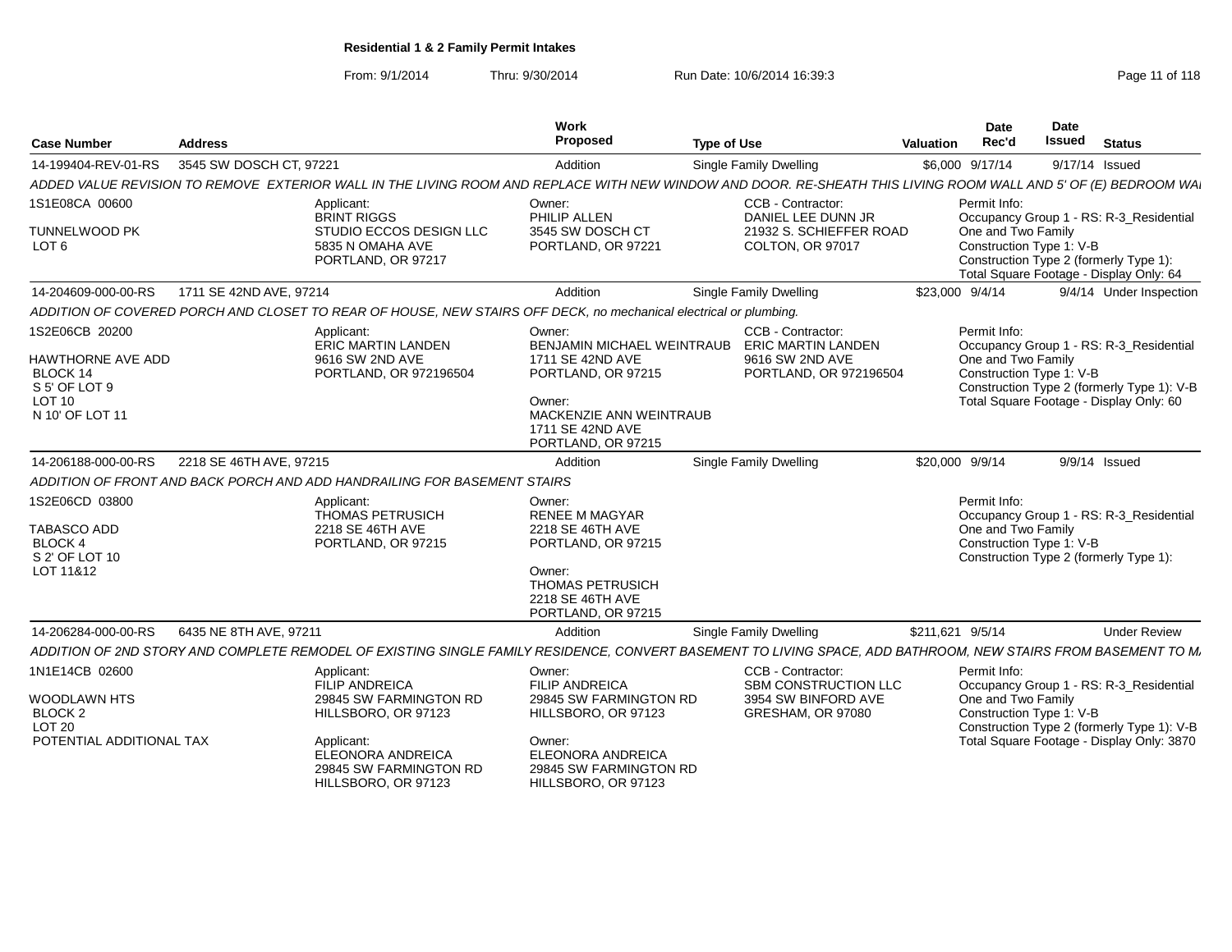From: 9/1/2014Thru: 9/30/2014 Run Date: 10/6/2014 16:39:3<br>
Page 11 of 118

| <b>Case Number</b>                                                                                   | <b>Address</b>                                                                                                                                                    | Work<br>Proposed                                                                                                                                                        | <b>Type of Use</b>                                                                                              | Valuation        | Date<br>Rec'd                      | Date<br><b>Issued</b>    | <b>Status</b>                                                                                                                      |
|------------------------------------------------------------------------------------------------------|-------------------------------------------------------------------------------------------------------------------------------------------------------------------|-------------------------------------------------------------------------------------------------------------------------------------------------------------------------|-----------------------------------------------------------------------------------------------------------------|------------------|------------------------------------|--------------------------|------------------------------------------------------------------------------------------------------------------------------------|
| 14-199404-REV-01-RS                                                                                  | 3545 SW DOSCH CT, 97221                                                                                                                                           | Addition                                                                                                                                                                | <b>Single Family Dwelling</b>                                                                                   | \$6,000 9/17/14  |                                    | 9/17/14 Issued           |                                                                                                                                    |
|                                                                                                      | ADDED VALUE REVISION TO REMOVE EXTERIOR WALL IN THE LIVING ROOM AND REPLACE WITH NEW WINDOW AND DOOR. RE-SHEATH THIS LIVING ROOM WALL AND 5' OF (E) BEDROOM WAL   |                                                                                                                                                                         |                                                                                                                 |                  |                                    |                          |                                                                                                                                    |
| 1S1E08CA 00600<br><b>TUNNELWOOD PK</b><br>LOT <sub>6</sub>                                           | Applicant:<br><b>BRINT RIGGS</b><br>STUDIO ECCOS DESIGN LLC<br>5835 N OMAHA AVE<br>PORTLAND, OR 97217                                                             | Owner:<br>PHILIP ALLEN<br>3545 SW DOSCH CT<br>PORTLAND, OR 97221                                                                                                        | CCB - Contractor:<br>DANIEL LEE DUNN JR<br>21932 S. SCHIEFFER ROAD<br>COLTON, OR 97017                          |                  | Permit Info:<br>One and Two Family | Construction Type 1: V-B | Occupancy Group 1 - RS: R-3_Residential<br>Construction Type 2 (formerly Type 1):<br>Total Square Footage - Display Only: 64       |
| 14-204609-000-00-RS                                                                                  | 1711 SE 42ND AVE, 97214                                                                                                                                           | Addition                                                                                                                                                                | Single Family Dwelling                                                                                          | \$23,000 9/4/14  |                                    |                          | 9/4/14 Under Inspection                                                                                                            |
|                                                                                                      | ADDITION OF COVERED PORCH AND CLOSET TO REAR OF HOUSE, NEW STAIRS OFF DECK, no mechanical electrical or plumbing.                                                 |                                                                                                                                                                         |                                                                                                                 |                  |                                    |                          |                                                                                                                                    |
| 1S2E06CB 20200<br>HAWTHORNE AVE ADD<br>BLOCK 14<br>S 5' OF LOT 9<br><b>LOT 10</b><br>N 10' OF LOT 11 | <b>Applicant</b><br>ERIC MARTIN LANDEN<br>9616 SW 2ND AVE<br>PORTLAND, OR 972196504                                                                               | Owner:<br>1711 SE 42ND AVE<br>PORTLAND, OR 97215<br>Owner:<br>MACKENZIE ANN WEINTRAUB<br>1711 SE 42ND AVE<br>PORTLAND, OR 97215                                         | CCB - Contractor:<br>BENJAMIN MICHAEL WEINTRAUB ERIC MARTIN LANDEN<br>9616 SW 2ND AVE<br>PORTLAND, OR 972196504 |                  | Permit Info:<br>One and Two Family | Construction Type 1: V-B | Occupancy Group 1 - RS: R-3_Residential<br>Construction Type 2 (formerly Type 1): V-B<br>Total Square Footage - Display Only: 60   |
| 14-206188-000-00-RS                                                                                  | 2218 SE 46TH AVE, 97215                                                                                                                                           | Addition                                                                                                                                                                | Single Family Dwelling                                                                                          | \$20,000 9/9/14  |                                    |                          | $9/9/14$ Issued                                                                                                                    |
|                                                                                                      | ADDITION OF FRONT AND BACK PORCH AND ADD HANDRAILING FOR BASEMENT STAIRS                                                                                          |                                                                                                                                                                         |                                                                                                                 |                  |                                    |                          |                                                                                                                                    |
| 1S2E06CD 03800<br>TABASCO ADD<br><b>BLOCK 4</b><br>S 2' OF LOT 10<br>LOT 11&12                       | Applicant:<br><b>THOMAS PETRUSICH</b><br>2218 SE 46TH AVE<br>PORTLAND, OR 97215                                                                                   | Owner:<br><b>RENEE M MAGYAR</b><br>2218 SE 46TH AVE<br>PORTLAND, OR 97215<br>Owner:<br>THOMAS PETRUSICH<br>2218 SE 46TH AVE<br>PORTLAND, OR 97215                       |                                                                                                                 |                  | Permit Info:<br>One and Two Family | Construction Type 1: V-B | Occupancy Group 1 - RS: R-3_Residential<br>Construction Type 2 (formerly Type 1):                                                  |
| 14-206284-000-00-RS                                                                                  | 6435 NE 8TH AVE, 97211                                                                                                                                            | Addition                                                                                                                                                                | <b>Single Family Dwelling</b>                                                                                   | \$211,621 9/5/14 |                                    |                          | <b>Under Review</b>                                                                                                                |
|                                                                                                      | ADDITION OF 2ND STORY AND COMPLETE REMODEL OF EXISTING SINGLE FAMILY RESIDENCE, CONVERT BASEMENT TO LIVING SPACE, ADD BATHROOM, NEW STAIRS FROM BASEMENT TO M.    |                                                                                                                                                                         |                                                                                                                 |                  |                                    |                          |                                                                                                                                    |
| 1N1E14CB 02600<br>WOODLAWN HTS<br>BLOCK <sub>2</sub><br><b>LOT 20</b><br>POTENTIAL ADDITIONAL TAX    | Applicant:<br>FILIP ANDREICA<br>29845 SW FARMINGTON RD<br>HILLSBORO, OR 97123<br>Applicant:<br>ELEONORA ANDREICA<br>29845 SW FARMINGTON RD<br>HILLSBORO, OR 97123 | Owner:<br><b>FILIP ANDREICA</b><br>29845 SW FARMINGTON RD<br>HILLSBORO, OR 97123<br>Owner:<br><b>ELEONORA ANDREICA</b><br>29845 SW FARMINGTON RD<br>HILLSBORO, OR 97123 | CCB - Contractor:<br>SBM CONSTRUCTION LLC<br>3954 SW BINFORD AVE<br>GRESHAM, OR 97080                           |                  | Permit Info:<br>One and Two Family | Construction Type 1: V-B | Occupancy Group 1 - RS: R-3_Residential<br>Construction Type 2 (formerly Type 1): V-B<br>Total Square Footage - Display Only: 3870 |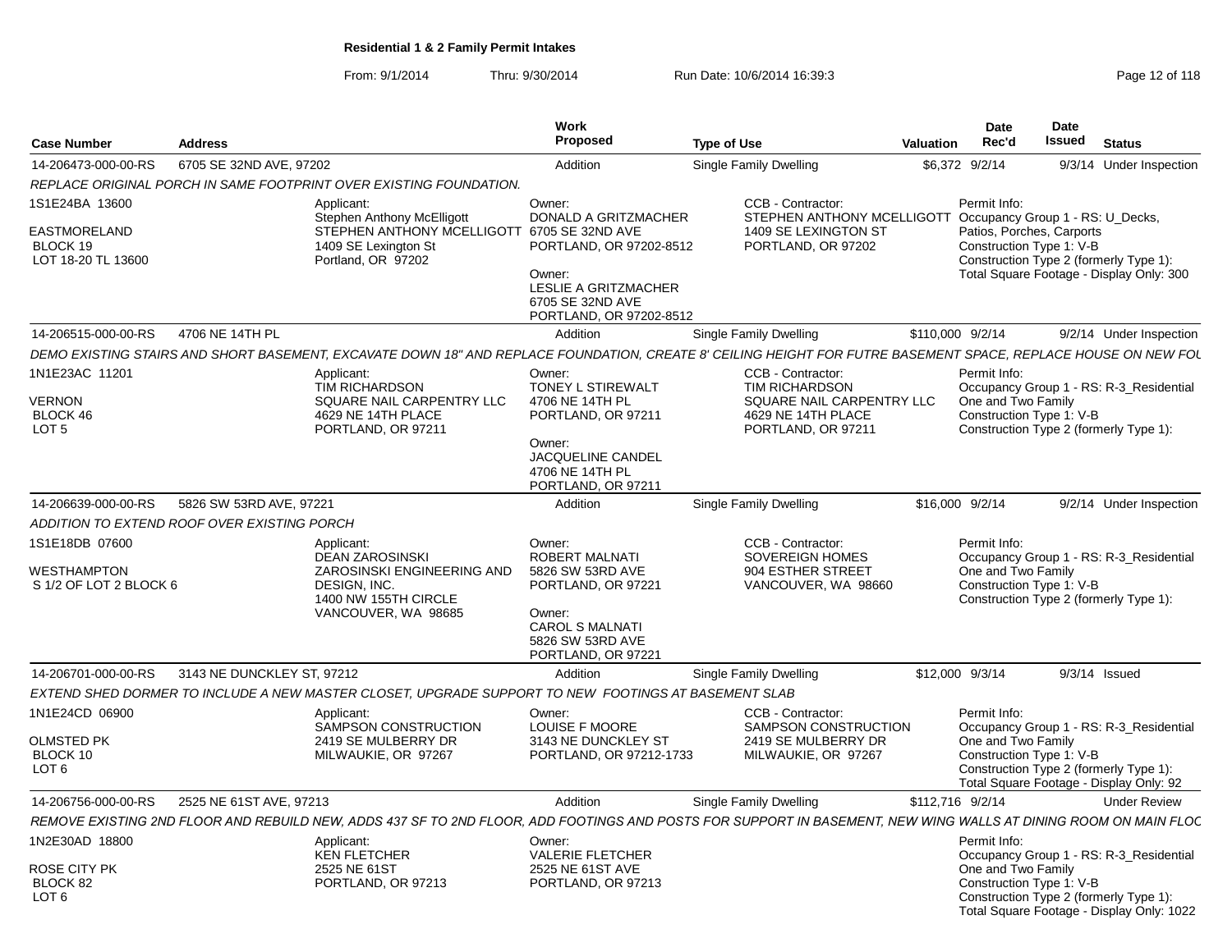From: 9/1/2014Thru: 9/30/2014 Run Date: 10/6/2014 16:39:3<br> **Thru: 9/30/2014** Page 12 of 118

| <b>Case Number</b>                             | <b>Address</b>                              |                                                                                                              | Work<br>Proposed                                                                                                                              | <b>Type of Use</b>                                                                                                                                              | <b>Valuation</b> | Date<br>Rec'd                                                                                                                               | <b>Date</b><br>Issued | <b>Status</b>   |                         |
|------------------------------------------------|---------------------------------------------|--------------------------------------------------------------------------------------------------------------|-----------------------------------------------------------------------------------------------------------------------------------------------|-----------------------------------------------------------------------------------------------------------------------------------------------------------------|------------------|---------------------------------------------------------------------------------------------------------------------------------------------|-----------------------|-----------------|-------------------------|
| 14-206473-000-00-RS                            | 6705 SE 32ND AVE, 97202                     |                                                                                                              | Addition                                                                                                                                      | Single Family Dwelling                                                                                                                                          |                  | \$6,372 9/2/14                                                                                                                              |                       |                 | 9/3/14 Under Inspection |
|                                                |                                             | REPLACE ORIGINAL PORCH IN SAME FOOTPRINT OVER EXISTING FOUNDATION.                                           |                                                                                                                                               |                                                                                                                                                                 |                  |                                                                                                                                             |                       |                 |                         |
| 1S1E24BA 13600                                 |                                             | Applicant:<br>Stephen Anthony McElligott                                                                     | Owner:<br>DONALD A GRITZMACHER                                                                                                                | CCB - Contractor:<br>STEPHEN ANTHONY MCELLIGOTT                                                                                                                 |                  | Permit Info:<br>Occupancy Group 1 - RS: U Decks,                                                                                            |                       |                 |                         |
| EASTMORELAND<br>BLOCK 19<br>LOT 18-20 TL 13600 |                                             | STEPHEN ANTHONY MCELLIGOTT 6705 SE 32ND AVE<br>1409 SE Lexington St<br>Portland, OR 97202                    | PORTLAND, OR 97202-8512<br>Owner:<br>LESLIE A GRITZMACHER<br>6705 SE 32ND AVE<br>PORTLAND, OR 97202-8512                                      | 1409 SE LEXINGTON ST<br>PORTLAND, OR 97202                                                                                                                      |                  | Patios, Porches, Carports<br>Construction Type 1: V-B<br>Construction Type 2 (formerly Type 1):<br>Total Square Footage - Display Only: 300 |                       |                 |                         |
| 14-206515-000-00-RS                            | 4706 NE 14TH PL                             |                                                                                                              | Addition                                                                                                                                      | Single Family Dwelling                                                                                                                                          | \$110,000 9/2/14 |                                                                                                                                             |                       |                 | 9/2/14 Under Inspection |
|                                                |                                             |                                                                                                              |                                                                                                                                               | DEMO EXISTING STAIRS AND SHORT BASEMENT, EXCAVATE DOWN 18" AND REPLACE FOUNDATION, CREATE 8' CEILING HEIGHT FOR FUTRE BASEMENT SPACE, REPLACE HOUSE ON NEW FOL  |                  |                                                                                                                                             |                       |                 |                         |
| 1N1E23AC 11201                                 |                                             | Applicant:                                                                                                   | Owner:                                                                                                                                        | CCB - Contractor:                                                                                                                                               |                  | Permit Info:                                                                                                                                |                       |                 |                         |
|                                                |                                             | TIM RICHARDSON                                                                                               | TONEY L STIREWALT                                                                                                                             | <b>TIM RICHARDSON</b>                                                                                                                                           |                  | Occupancy Group 1 - RS: R-3_Residential                                                                                                     |                       |                 |                         |
| <b>VERNON</b>                                  |                                             | SQUARE NAIL CARPENTRY LLC                                                                                    | 4706 NE 14TH PL                                                                                                                               | SQUARE NAIL CARPENTRY LLC                                                                                                                                       |                  | One and Two Family                                                                                                                          |                       |                 |                         |
| BLOCK 46<br>LOT <sub>5</sub>                   |                                             | 4629 NE 14TH PLACE<br>PORTLAND, OR 97211                                                                     | PORTLAND, OR 97211                                                                                                                            | 4629 NE 14TH PLACE<br>PORTLAND, OR 97211                                                                                                                        |                  | Construction Type 1: V-B<br>Construction Type 2 (formerly Type 1):                                                                          |                       |                 |                         |
|                                                |                                             |                                                                                                              | Owner:<br>JACQUELINE CANDEL<br>4706 NE 14TH PL<br>PORTLAND, OR 97211                                                                          |                                                                                                                                                                 |                  |                                                                                                                                             |                       |                 |                         |
| 14-206639-000-00-RS                            | 5826 SW 53RD AVE, 97221                     |                                                                                                              | Addition                                                                                                                                      | Single Family Dwelling                                                                                                                                          |                  | \$16,000 9/2/14                                                                                                                             |                       |                 | 9/2/14 Under Inspection |
|                                                | ADDITION TO EXTEND ROOF OVER EXISTING PORCH |                                                                                                              |                                                                                                                                               |                                                                                                                                                                 |                  |                                                                                                                                             |                       |                 |                         |
| 1S1E18DB 07600                                 |                                             | Applicant:                                                                                                   | Owner:                                                                                                                                        | CCB - Contractor:                                                                                                                                               |                  | Permit Info:                                                                                                                                |                       |                 |                         |
| WESTHAMPTON<br>S 1/2 OF LOT 2 BLOCK 6          |                                             | DEAN ZAROSINSKI<br>ZAROSINSKI ENGINEERING AND<br>DESIGN, INC.<br>1400 NW 155TH CIRCLE<br>VANCOUVER, WA 98685 | <b>ROBERT MALNATI</b><br>5826 SW 53RD AVE<br>PORTLAND, OR 97221<br>Owner:<br><b>CAROL S MALNATI</b><br>5826 SW 53RD AVE<br>PORTLAND, OR 97221 | <b>SOVEREIGN HOMES</b><br>904 ESTHER STREET<br>VANCOUVER, WA 98660                                                                                              |                  | Occupancy Group 1 - RS: R-3_Residential<br>One and Two Family<br>Construction Type 1: V-B<br>Construction Type 2 (formerly Type 1):         |                       |                 |                         |
| 14-206701-000-00-RS                            | 3143 NE DUNCKLEY ST, 97212                  |                                                                                                              | Addition                                                                                                                                      | Single Family Dwelling                                                                                                                                          |                  | \$12,000 9/3/14                                                                                                                             |                       | $9/3/14$ Issued |                         |
|                                                |                                             | EXTEND SHED DORMER TO INCLUDE A NEW MASTER CLOSET, UPGRADE SUPPORT TO NEW FOOTINGS AT BASEMENT SLAB          |                                                                                                                                               |                                                                                                                                                                 |                  |                                                                                                                                             |                       |                 |                         |
| 1N1E24CD 06900                                 |                                             | Applicant:<br>SAMPSON CONSTRUCTION                                                                           | Owner:<br><b>LOUISE F MOORE</b>                                                                                                               | CCB - Contractor:<br><b>SAMPSON CONSTRUCTION</b>                                                                                                                |                  | Permit Info:<br>Occupancy Group 1 - RS: R-3 Residential                                                                                     |                       |                 |                         |
| <b>OLMSTED PK</b>                              |                                             | 2419 SE MULBERRY DR                                                                                          | 3143 NE DUNCKLEY ST                                                                                                                           | 2419 SE MULBERRY DR                                                                                                                                             |                  | One and Two Family                                                                                                                          |                       |                 |                         |
| BLOCK 10                                       |                                             | MILWAUKIE, OR 97267                                                                                          | PORTLAND, OR 97212-1733                                                                                                                       | MILWAUKIE, OR 97267                                                                                                                                             |                  | Construction Type 1: V-B                                                                                                                    |                       |                 |                         |
| LOT <sub>6</sub>                               |                                             |                                                                                                              |                                                                                                                                               |                                                                                                                                                                 |                  | Construction Type 2 (formerly Type 1):<br>Total Square Footage - Display Only: 92                                                           |                       |                 |                         |
| 14-206756-000-00-RS                            | 2525 NE 61ST AVE, 97213                     |                                                                                                              | Addition                                                                                                                                      | Single Family Dwelling                                                                                                                                          | \$112,716 9/2/14 |                                                                                                                                             |                       |                 | <b>Under Review</b>     |
|                                                |                                             |                                                                                                              |                                                                                                                                               | REMOVE EXISTING 2ND FLOOR AND REBUILD NEW, ADDS 437 SF TO 2ND FLOOR, ADD FOOTINGS AND POSTS FOR SUPPORT IN BASEMENT, NEW WING WALLS AT DINING ROOM ON MAIN FLOC |                  |                                                                                                                                             |                       |                 |                         |
| 1N2E30AD 18800                                 |                                             | Applicant:                                                                                                   | Owner:                                                                                                                                        |                                                                                                                                                                 |                  | Permit Info:                                                                                                                                |                       |                 |                         |
|                                                |                                             | <b>KEN FLETCHER</b>                                                                                          | <b>VALERIE FLETCHER</b>                                                                                                                       |                                                                                                                                                                 |                  | Occupancy Group 1 - RS: R-3_Residential                                                                                                     |                       |                 |                         |
| ROSE CITY PK                                   |                                             | 2525 NE 61ST                                                                                                 | 2525 NE 61ST AVE                                                                                                                              |                                                                                                                                                                 |                  | One and Two Family                                                                                                                          |                       |                 |                         |
| BLOCK 82<br>LOT <sub>6</sub>                   |                                             | PORTLAND, OR 97213                                                                                           | PORTLAND, OR 97213                                                                                                                            |                                                                                                                                                                 |                  | Construction Type 1: V-B<br>Construction Type 2 (formerly Type 1):                                                                          |                       |                 |                         |
|                                                |                                             |                                                                                                              |                                                                                                                                               |                                                                                                                                                                 |                  | Total Square Footage - Display Only: 1022                                                                                                   |                       |                 |                         |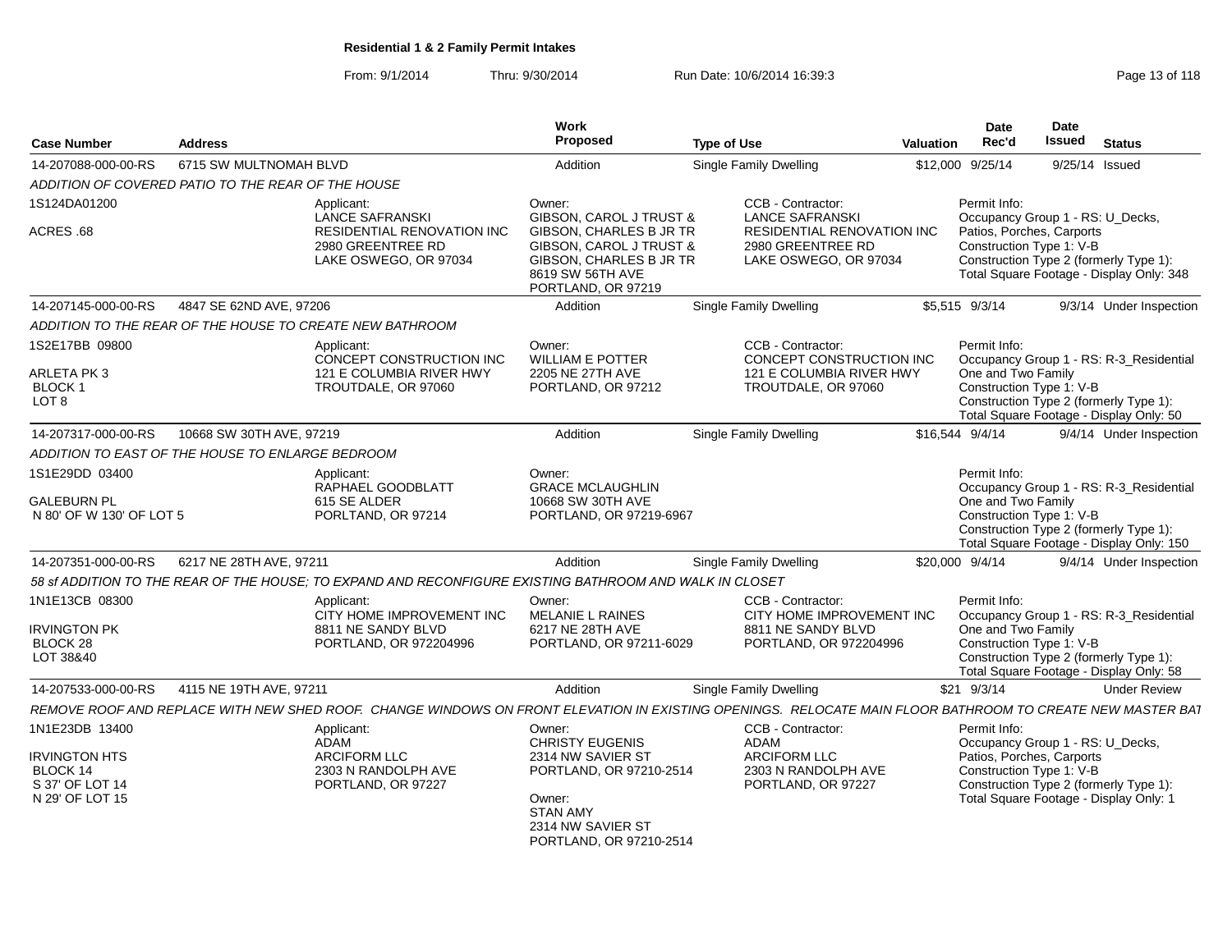From: 9/1/2014

Thru: 9/30/2014 Run Date: 10/6/2014 16:39:3<br>
Page 13 of 118

| <b>Case Number</b>                                                     | <b>Address</b>           |                                                                                                                                                           | Work<br>Proposed                                                                                                               | <b>Type of Use</b> |                                                                                                  | Valuation | <b>Date</b><br>Rec'd                                                                                                                                                                            | Date<br><b>Issued</b> | <b>Status</b>       |                         |
|------------------------------------------------------------------------|--------------------------|-----------------------------------------------------------------------------------------------------------------------------------------------------------|--------------------------------------------------------------------------------------------------------------------------------|--------------------|--------------------------------------------------------------------------------------------------|-----------|-------------------------------------------------------------------------------------------------------------------------------------------------------------------------------------------------|-----------------------|---------------------|-------------------------|
| 14-207088-000-00-RS                                                    | 6715 SW MULTNOMAH BLVD   |                                                                                                                                                           | Addition                                                                                                                       |                    | <b>Single Family Dwelling</b>                                                                    |           | \$12,000 9/25/14                                                                                                                                                                                |                       | 9/25/14 Issued      |                         |
| ADDITION OF COVERED PATIO TO THE REAR OF THE HOUSE                     |                          |                                                                                                                                                           |                                                                                                                                |                    |                                                                                                  |           |                                                                                                                                                                                                 |                       |                     |                         |
| 1S124DA01200                                                           |                          | Applicant:<br><b>LANCE SAFRANSKI</b>                                                                                                                      | Owner:<br><b>GIBSON, CAROL J TRUST &amp;</b>                                                                                   |                    | CCB - Contractor:<br><b>LANCE SAFRANSKI</b>                                                      |           | Permit Info:<br>Occupancy Group 1 - RS: U_Decks,                                                                                                                                                |                       |                     |                         |
| ACRES .68                                                              |                          | <b>RESIDENTIAL RENOVATION INC</b><br>2980 GREENTREE RD<br>LAKE OSWEGO, OR 97034                                                                           | <b>GIBSON, CHARLES B JR TR</b><br>GIBSON, CAROL J TRUST &<br>GIBSON, CHARLES B JR TR<br>8619 SW 56TH AVE<br>PORTLAND, OR 97219 |                    | <b>RESIDENTIAL RENOVATION INC</b><br>2980 GREENTREE RD<br>LAKE OSWEGO, OR 97034                  |           | Patios, Porches, Carports<br>Construction Type 1: V-B<br>Construction Type 2 (formerly Type 1):<br>Total Square Footage - Display Only: 348                                                     |                       |                     |                         |
| 14-207145-000-00-RS                                                    | 4847 SE 62ND AVE, 97206  |                                                                                                                                                           | Addition                                                                                                                       |                    | <b>Single Family Dwelling</b>                                                                    |           | \$5.515 9/3/14                                                                                                                                                                                  |                       |                     | 9/3/14 Under Inspection |
|                                                                        |                          | ADDITION TO THE REAR OF THE HOUSE TO CREATE NEW BATHROOM                                                                                                  |                                                                                                                                |                    |                                                                                                  |           |                                                                                                                                                                                                 |                       |                     |                         |
| 1S2E17BB 09800<br>ARLETA PK 3<br>BLOCK 1<br>LOT 8                      |                          | Applicant:<br>CONCEPT CONSTRUCTION INC<br>121 E COLUMBIA RIVER HWY<br>TROUTDALE, OR 97060                                                                 | Owner:<br><b>WILLIAM E POTTER</b><br>2205 NE 27TH AVE<br>PORTLAND, OR 97212                                                    |                    | CCB - Contractor:<br>CONCEPT CONSTRUCTION INC<br>121 E COLUMBIA RIVER HWY<br>TROUTDALE, OR 97060 |           | Permit Info:<br>Occupancy Group 1 - RS: R-3 Residential<br>One and Two Family<br>Construction Type 1: V-B<br>Construction Type 2 (formerly Type 1):<br>Total Square Footage - Display Only: 50  |                       |                     |                         |
| 14-207317-000-00-RS                                                    | 10668 SW 30TH AVE, 97219 |                                                                                                                                                           | Addition                                                                                                                       |                    | Single Family Dwelling                                                                           |           | \$16.544 9/4/14                                                                                                                                                                                 |                       |                     | 9/4/14 Under Inspection |
| ADDITION TO EAST OF THE HOUSE TO ENLARGE BEDROOM                       |                          |                                                                                                                                                           |                                                                                                                                |                    |                                                                                                  |           |                                                                                                                                                                                                 |                       |                     |                         |
| 1S1E29DD 03400<br><b>GALEBURN PL</b><br>N 80' OF W 130' OF LOT 5       |                          | Applicant:<br>RAPHAEL GOODBLATT<br>615 SE ALDER<br>PORLTAND, OR 97214                                                                                     | Owner:<br><b>GRACE MCLAUGHLIN</b><br>10668 SW 30TH AVE<br>PORTLAND, OR 97219-6967                                              |                    |                                                                                                  |           | Permit Info:<br>Occupancy Group 1 - RS: R-3_Residential<br>One and Two Family<br>Construction Type 1: V-B<br>Construction Type 2 (formerly Type 1):<br>Total Square Footage - Display Only: 150 |                       |                     |                         |
| 14-207351-000-00-RS                                                    | 6217 NE 28TH AVE, 97211  |                                                                                                                                                           | Addition                                                                                                                       |                    | <b>Single Family Dwelling</b>                                                                    |           | \$20,000 9/4/14                                                                                                                                                                                 |                       |                     | 9/4/14 Under Inspection |
|                                                                        |                          | 58 ST ADDITION TO THE REAR OF THE HOUSE: TO EXPAND AND RECONFIGURE EXISTING BATHROOM AND WALK IN CLOSET                                                   |                                                                                                                                |                    |                                                                                                  |           |                                                                                                                                                                                                 |                       |                     |                         |
| 1N1E13CB 08300                                                         |                          | Applicant:<br>CITY HOME IMPROVEMENT INC                                                                                                                   | Owner:<br>MELANIE L RAINES                                                                                                     |                    | CCB - Contractor:<br>CITY HOME IMPROVEMENT INC                                                   |           | Permit Info:<br>Occupancy Group 1 - RS: R-3_Residential                                                                                                                                         |                       |                     |                         |
| <b>IRVINGTON PK</b>                                                    |                          | 8811 NE SANDY BLVD                                                                                                                                        | 6217 NE 28TH AVE                                                                                                               |                    | 8811 NE SANDY BLVD                                                                               |           | One and Two Family                                                                                                                                                                              |                       |                     |                         |
| BLOCK 28<br>LOT 38&40                                                  |                          | PORTLAND, OR 972204996                                                                                                                                    | PORTLAND, OR 97211-6029                                                                                                        |                    | PORTLAND, OR 972204996                                                                           |           | Construction Type 1: V-B<br>Construction Type 2 (formerly Type 1):<br>Total Square Footage - Display Only: 58                                                                                   |                       |                     |                         |
| 14-207533-000-00-RS                                                    | 4115 NE 19TH AVE, 97211  |                                                                                                                                                           | Addition                                                                                                                       |                    | <b>Single Family Dwelling</b>                                                                    |           | $$21$ 9/3/14                                                                                                                                                                                    |                       | <b>Under Review</b> |                         |
|                                                                        |                          | REMOVE ROOF AND REPLACE WITH NEW SHED ROOF. CHANGE WINDOWS ON FRONT ELEVATION IN EXISTING OPENINGS. RELOCATE MAIN FLOOR BATHROOM TO CREATE NEW MASTER BAT |                                                                                                                                |                    |                                                                                                  |           |                                                                                                                                                                                                 |                       |                     |                         |
| 1N1E23DB 13400                                                         |                          | Applicant:                                                                                                                                                | Owner:                                                                                                                         |                    | CCB - Contractor:                                                                                |           | Permit Info:                                                                                                                                                                                    |                       |                     |                         |
| <b>IRVINGTON HTS</b><br>BLOCK 14<br>S 37' OF LOT 14<br>N 29' OF LOT 15 |                          | ADAM<br>ARCIFORM LLC<br>2303 N RANDOLPH AVE<br>PORTLAND, OR 97227                                                                                         | CHRISTY EUGENIS<br>2314 NW SAVIER ST<br>PORTLAND, OR 97210-2514<br>Owner:                                                      |                    | ADAM<br><b>ARCIFORM LLC</b><br>2303 N RANDOLPH AVE<br>PORTLAND, OR 97227                         |           | Occupancy Group 1 - RS: U_Decks,<br>Patios, Porches, Carports<br>Construction Type 1: V-B<br>Construction Type 2 (formerly Type 1):<br>Total Square Footage - Display Only: 1                   |                       |                     |                         |
|                                                                        |                          |                                                                                                                                                           | <b>STAN AMY</b><br>2314 NW SAVIER ST<br>PORTLAND, OR 97210-2514                                                                |                    |                                                                                                  |           |                                                                                                                                                                                                 |                       |                     |                         |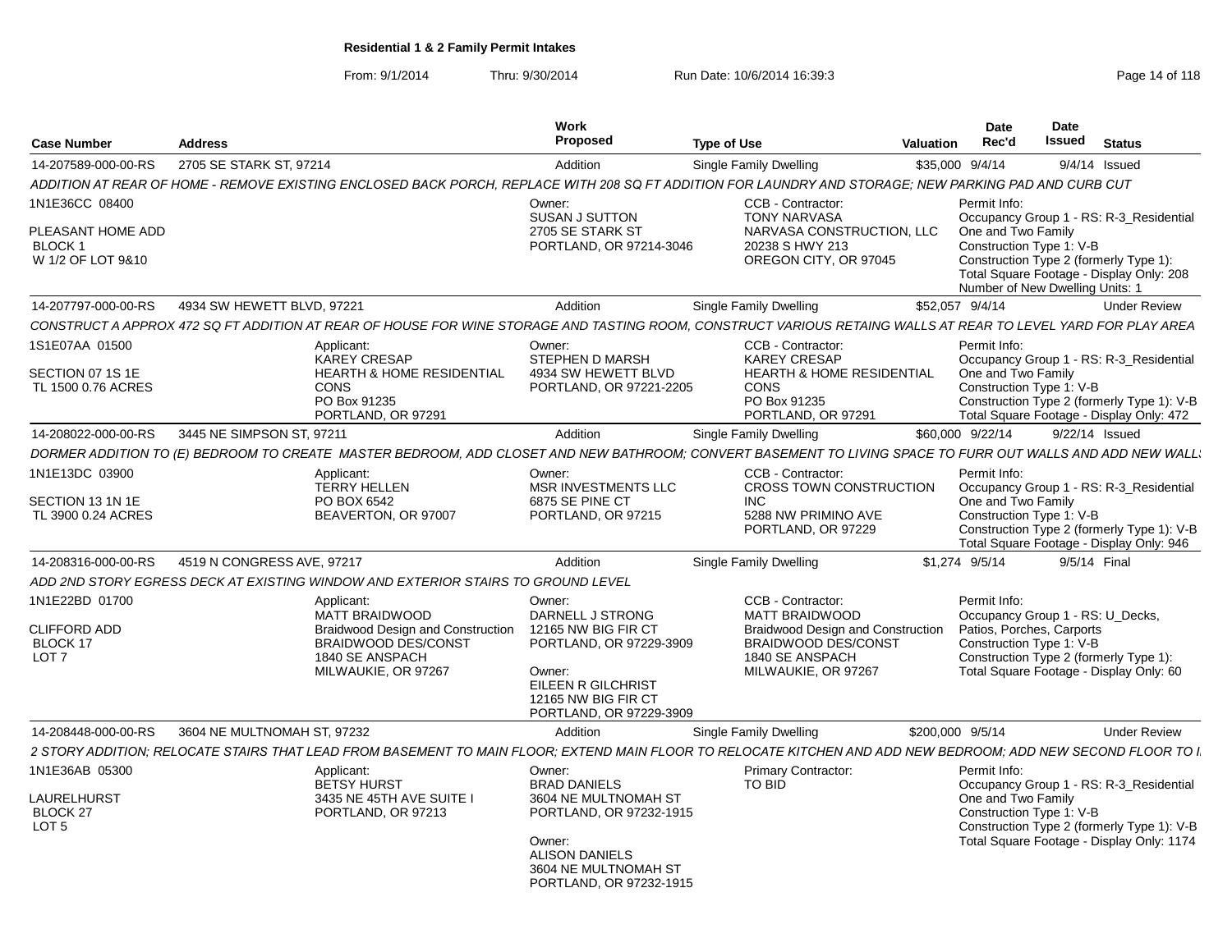From: 9/1/2014Thru: 9/30/2014 Run Date: 10/6/2014 16:39:3<br>
Page 14 of 118

|                                                |                                                                                                                                                                |                                          | Work<br>Proposed                                                        |                    |                                                                                           |                  | Date<br>Rec'd                      | <b>Date</b><br><b>Issued</b>                                                                                          |
|------------------------------------------------|----------------------------------------------------------------------------------------------------------------------------------------------------------------|------------------------------------------|-------------------------------------------------------------------------|--------------------|-------------------------------------------------------------------------------------------|------------------|------------------------------------|-----------------------------------------------------------------------------------------------------------------------|
| <b>Case Number</b>                             | <b>Address</b>                                                                                                                                                 |                                          |                                                                         | <b>Type of Use</b> |                                                                                           | Valuation        |                                    | <b>Status</b>                                                                                                         |
| 14-207589-000-00-RS                            | 2705 SE STARK ST, 97214                                                                                                                                        |                                          | Addition                                                                |                    | Single Family Dwelling                                                                    | \$35,000 9/4/14  |                                    | $9/4/14$ Issued                                                                                                       |
|                                                | ADDITION AT REAR OF HOME - REMOVE EXISTING ENCLOSED BACK PORCH, REPLACE WITH 208 SQ FT ADDITION FOR LAUNDRY AND STORAGE; NEW PARKING PAD AND CURB CUT          |                                          |                                                                         |                    |                                                                                           |                  |                                    |                                                                                                                       |
| 1N1E36CC 08400<br>PLEASANT HOME ADD<br>BLOCK 1 |                                                                                                                                                                |                                          | Owner:<br>SUSAN J SUTTON<br>2705 SE STARK ST<br>PORTLAND, OR 97214-3046 |                    | CCB - Contractor:<br><b>TONY NARVASA</b><br>NARVASA CONSTRUCTION, LLC<br>20238 S HWY 213  |                  | Permit Info:<br>One and Two Family | Occupancy Group 1 - RS: R-3_Residential<br>Construction Type 1: V-B                                                   |
| W 1/2 OF LOT 9&10                              |                                                                                                                                                                |                                          |                                                                         |                    | OREGON CITY, OR 97045                                                                     |                  |                                    | Construction Type 2 (formerly Type 1):<br>Total Square Footage - Display Only: 208<br>Number of New Dwelling Units: 1 |
| 14-207797-000-00-RS                            | 4934 SW HEWETT BLVD, 97221                                                                                                                                     |                                          | Addition                                                                |                    | Single Family Dwelling                                                                    | \$52,057 9/4/14  |                                    | <b>Under Review</b>                                                                                                   |
|                                                | CONSTRUCT A APPROX 472 SQ FT ADDITION AT REAR OF HOUSE FOR WINE STORAGE AND TASTING ROOM. CONSTRUCT VARIOUS RETAING WALLS AT REAR TO LEVEL YARD FOR PLAY AREA  |                                          |                                                                         |                    |                                                                                           |                  |                                    |                                                                                                                       |
| 1S1E07AA 01500                                 | Applicant:<br><b>KAREY CRESAP</b>                                                                                                                              |                                          | Owner:<br>STEPHEN D MARSH                                               |                    | CCB - Contractor:<br><b>KAREY CRESAP</b>                                                  |                  | Permit Info:                       | Occupancy Group 1 - RS: R-3_Residential                                                                               |
| SECTION 07 1S 1E<br>TL 1500 0.76 ACRES         | CONS<br>PO Box 91235<br>PORTLAND, OR 97291                                                                                                                     | <b>HEARTH &amp; HOME RESIDENTIAL</b>     | 4934 SW HEWETT BLVD<br>PORTLAND, OR 97221-2205                          |                    | <b>HEARTH &amp; HOME RESIDENTIAL</b><br><b>CONS</b><br>PO Box 91235<br>PORTLAND, OR 97291 |                  | One and Two Family                 | Construction Type 1: V-B<br>Construction Type 2 (formerly Type 1): V-B<br>Total Square Footage - Display Only: 472    |
| 14-208022-000-00-RS                            | 3445 NE SIMPSON ST, 97211                                                                                                                                      |                                          | Addition                                                                |                    | Single Family Dwelling                                                                    |                  | \$60,000 9/22/14                   | 9/22/14 Issued                                                                                                        |
|                                                | DORMER ADDITION TO (E) BEDROOM TO CREATE MASTER BEDROOM, ADD CLOSET AND NEW BATHROOM; CONVERT BASEMENT TO LIVING SPACE TO FURR OUT WALLS AND ADD NEW WALL.     |                                          |                                                                         |                    |                                                                                           |                  |                                    |                                                                                                                       |
| 1N1E13DC 03900                                 | Applicant:                                                                                                                                                     |                                          | Owner:                                                                  |                    | CCB - Contractor:                                                                         |                  | Permit Info:                       |                                                                                                                       |
|                                                | <b>TERRY HELLEN</b>                                                                                                                                            |                                          | MSR INVESTMENTS LLC                                                     |                    | CROSS TOWN CONSTRUCTION                                                                   |                  |                                    | Occupancy Group 1 - RS: R-3_Residential                                                                               |
| SECTION 13 1N 1E                               | PO BOX 6542                                                                                                                                                    |                                          | 6875 SE PINE CT                                                         |                    | INC.                                                                                      |                  | One and Two Family                 |                                                                                                                       |
| TL 3900 0.24 ACRES                             | BEAVERTON, OR 97007                                                                                                                                            |                                          | PORTLAND, OR 97215                                                      |                    | 5288 NW PRIMINO AVE<br>PORTLAND, OR 97229                                                 |                  |                                    | Construction Type 1: V-B<br>Construction Type 2 (formerly Type 1): V-B                                                |
|                                                |                                                                                                                                                                |                                          |                                                                         |                    |                                                                                           |                  |                                    | Total Square Footage - Display Only: 946                                                                              |
| 14-208316-000-00-RS                            | 4519 N CONGRESS AVE, 97217                                                                                                                                     |                                          | Addition                                                                |                    | Single Family Dwelling                                                                    |                  | \$1.274 9/5/14                     | 9/5/14 Final                                                                                                          |
|                                                | ADD 2ND STORY EGRESS DECK AT EXISTING WINDOW AND EXTERIOR STAIRS TO GROUND LEVEL                                                                               |                                          |                                                                         |                    |                                                                                           |                  |                                    |                                                                                                                       |
| 1N1E22BD 01700                                 | Applicant:                                                                                                                                                     |                                          | Owner:                                                                  |                    | CCB - Contractor:                                                                         |                  | Permit Info:                       |                                                                                                                       |
|                                                | MATT BRAIDWOOD                                                                                                                                                 |                                          | DARNELL J STRONG                                                        |                    | <b>MATT BRAIDWOOD</b>                                                                     |                  |                                    | Occupancy Group 1 - RS: U_Decks,                                                                                      |
| <b>CLIFFORD ADD</b>                            |                                                                                                                                                                | <b>Braidwood Design and Construction</b> | 12165 NW BIG FIR CT                                                     |                    | <b>Braidwood Design and Construction</b>                                                  |                  |                                    | Patios, Porches, Carports                                                                                             |
| BLOCK 17<br>LOT <sub>7</sub>                   | BRAIDWOOD DES/CONST<br>1840 SE ANSPACH                                                                                                                         |                                          | PORTLAND, OR 97229-3909                                                 |                    | <b>BRAIDWOOD DES/CONST</b><br>1840 SE ANSPACH                                             |                  |                                    | Construction Type 1: V-B<br>Construction Type 2 (formerly Type 1):                                                    |
|                                                | MILWAUKIE, OR 97267                                                                                                                                            |                                          | Owner:                                                                  |                    | MILWAUKIE, OR 97267                                                                       |                  |                                    | Total Square Footage - Display Only: 60                                                                               |
|                                                |                                                                                                                                                                |                                          | EILEEN R GILCHRIST                                                      |                    |                                                                                           |                  |                                    |                                                                                                                       |
|                                                |                                                                                                                                                                |                                          | 12165 NW BIG FIR CT                                                     |                    |                                                                                           |                  |                                    |                                                                                                                       |
|                                                |                                                                                                                                                                |                                          | PORTLAND, OR 97229-3909                                                 |                    |                                                                                           |                  |                                    |                                                                                                                       |
| 14-208448-000-00-RS                            | 3604 NE MULTNOMAH ST. 97232                                                                                                                                    |                                          | Addition                                                                |                    | Single Family Dwelling                                                                    | \$200,000 9/5/14 |                                    | <b>Under Review</b>                                                                                                   |
|                                                | 2 STORY ADDITION: RELOCATE STAIRS THAT LEAD FROM BASEMENT TO MAIN FLOOR: EXTEND MAIN FLOOR TO RELOCATE KITCHEN AND ADD NEW BEDROOM: ADD NEW SECOND FLOOR TO I. |                                          |                                                                         |                    |                                                                                           |                  |                                    |                                                                                                                       |
| 1N1E36AB 05300                                 | Applicant:                                                                                                                                                     |                                          | Owner:                                                                  |                    | <b>Primary Contractor:</b>                                                                |                  | Permit Info:                       |                                                                                                                       |
| LAURELHURST                                    | <b>BETSY HURST</b><br>3435 NE 45TH AVE SUITE I                                                                                                                 |                                          | <b>BRAD DANIELS</b><br>3604 NE MULTNOMAH ST                             |                    | TO BID                                                                                    |                  | One and Two Family                 | Occupancy Group 1 - RS: R-3_Residential                                                                               |
| BLOCK 27                                       | PORTLAND, OR 97213                                                                                                                                             |                                          | PORTLAND, OR 97232-1915                                                 |                    |                                                                                           |                  |                                    | Construction Type 1: V-B                                                                                              |
| LOT <sub>5</sub>                               |                                                                                                                                                                |                                          |                                                                         |                    |                                                                                           |                  |                                    | Construction Type 2 (formerly Type 1): V-B                                                                            |
|                                                |                                                                                                                                                                |                                          | Owner:                                                                  |                    |                                                                                           |                  |                                    | Total Square Footage - Display Only: 1174                                                                             |
|                                                |                                                                                                                                                                |                                          | <b>ALISON DANIELS</b><br>3604 NE MULTNOMAH ST                           |                    |                                                                                           |                  |                                    |                                                                                                                       |
|                                                |                                                                                                                                                                |                                          | PORTLAND, OR 97232-1915                                                 |                    |                                                                                           |                  |                                    |                                                                                                                       |
|                                                |                                                                                                                                                                |                                          |                                                                         |                    |                                                                                           |                  |                                    |                                                                                                                       |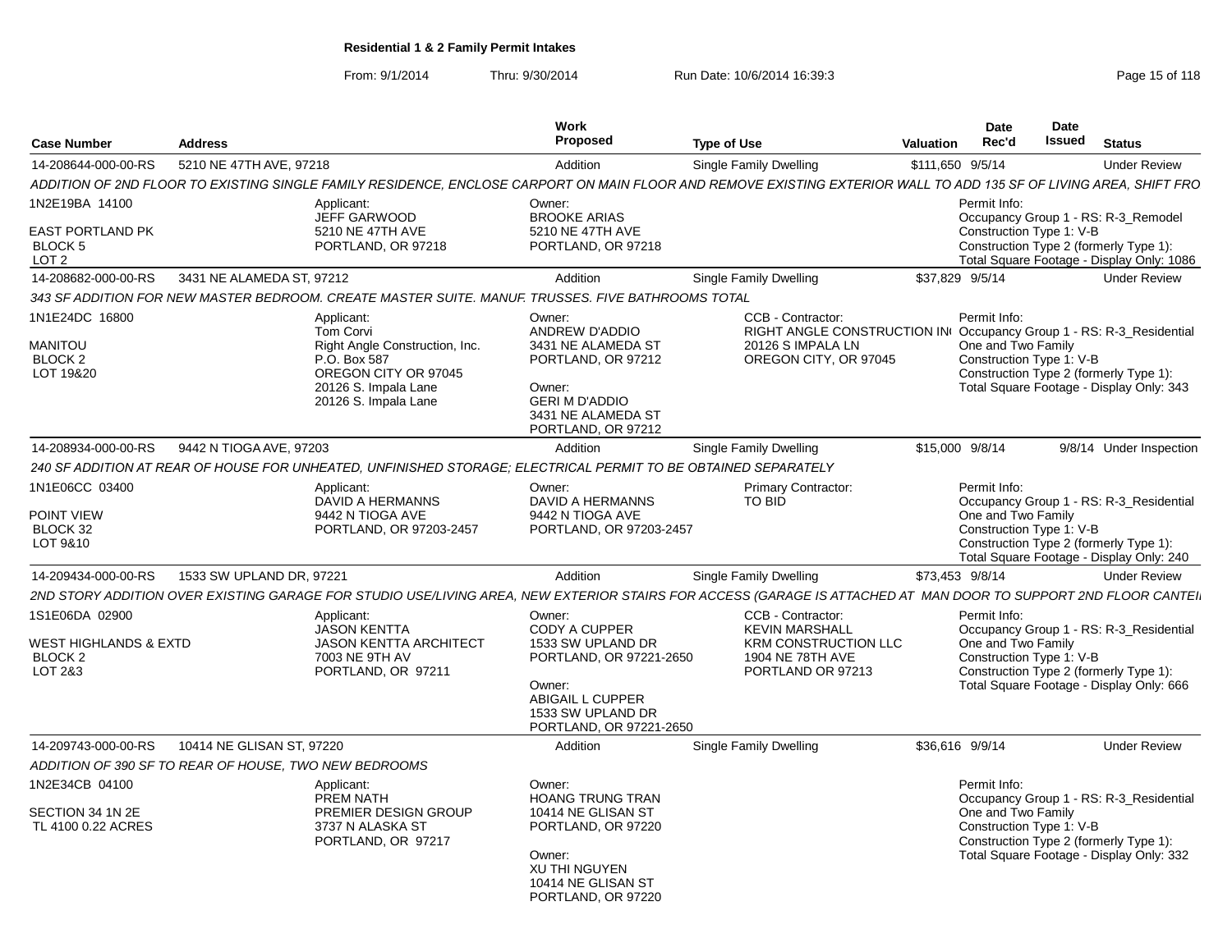From: 9/1/2014Thru: 9/30/2014 Run Date: 10/6/2014 16:39:3<br>
Page 15 of 118

| <b>Case Number</b>                                                       | <b>Address</b>                                        |                                                                                                                                                   | Work<br>Proposed                                                                                                                                      | <b>Type of Use</b>                                                                                                                                                 | Date<br>Rec'd<br>Valuation         | Date<br>Issued<br><b>Status</b>                                                                                                                                                       |
|--------------------------------------------------------------------------|-------------------------------------------------------|---------------------------------------------------------------------------------------------------------------------------------------------------|-------------------------------------------------------------------------------------------------------------------------------------------------------|--------------------------------------------------------------------------------------------------------------------------------------------------------------------|------------------------------------|---------------------------------------------------------------------------------------------------------------------------------------------------------------------------------------|
| 14-208644-000-00-RS                                                      | 5210 NE 47TH AVE, 97218                               |                                                                                                                                                   | Addition                                                                                                                                              | Single Family Dwelling                                                                                                                                             | \$111,650 9/5/14                   | <b>Under Review</b>                                                                                                                                                                   |
|                                                                          |                                                       |                                                                                                                                                   |                                                                                                                                                       | ADDITION OF 2ND FLOOR TO EXISTING SINGLE FAMILY RESIDENCE, ENCLOSE CARPORT ON MAIN FLOOR AND REMOVE EXISTING EXTERIOR WALL TO ADD 135 SF OF LIVING AREA, SHIFT FRO |                                    |                                                                                                                                                                                       |
| 1N2E19BA 14100<br><b>EAST PORTLAND PK</b><br>BLOCK 5<br>LOT <sub>2</sub> |                                                       | Applicant:<br>JEFF GARWOOD<br>5210 NE 47TH AVE<br>PORTLAND, OR 97218                                                                              | Owner:<br><b>BROOKE ARIAS</b><br>5210 NE 47TH AVE<br>PORTLAND, OR 97218                                                                               |                                                                                                                                                                    | Permit Info:                       | Occupancy Group 1 - RS: R-3_Remodel<br>Construction Type 1: V-B<br>Construction Type 2 (formerly Type 1):<br>Total Square Footage - Display Only: 1086                                |
| 14-208682-000-00-RS                                                      | 3431 NE ALAMEDA ST, 97212                             |                                                                                                                                                   | Addition                                                                                                                                              | Single Family Dwelling                                                                                                                                             | \$37,829 9/5/14                    | <b>Under Review</b>                                                                                                                                                                   |
|                                                                          |                                                       | 343 SF ADDITION FOR NEW MASTER BEDROOM. CREATE MASTER SUITE. MANUF. TRUSSES. FIVE BATHROOMS TOTAL                                                 |                                                                                                                                                       |                                                                                                                                                                    |                                    |                                                                                                                                                                                       |
| 1N1E24DC 16800<br><b>MANITOU</b><br>BLOCK <sub>2</sub><br>LOT 19&20      |                                                       | Applicant:<br>Tom Corvi<br>Right Angle Construction, Inc.<br>P.O. Box 587<br>OREGON CITY OR 97045<br>20126 S. Impala Lane<br>20126 S. Impala Lane | Owner:<br>ANDREW D'ADDIO<br>3431 NE ALAMEDA ST<br>PORTLAND, OR 97212<br>Owner:<br><b>GERI M D'ADDIO</b><br>3431 NE ALAMEDA ST<br>PORTLAND, OR 97212   | CCB - Contractor:<br>20126 S IMPALA LN<br>OREGON CITY, OR 97045                                                                                                    | Permit Info:<br>One and Two Family | RIGHT ANGLE CONSTRUCTION IN Occupancy Group 1 - RS: R-3_Residential<br>Construction Type 1: V-B<br>Construction Type 2 (formerly Type 1):<br>Total Square Footage - Display Only: 343 |
|                                                                          | 14-208934-000-00-RS 9442 N TIOGA AVE, 97203           |                                                                                                                                                   | Addition                                                                                                                                              | Single Family Dwelling                                                                                                                                             | \$15,000 9/8/14                    | 9/8/14 Under Inspection                                                                                                                                                               |
|                                                                          |                                                       | 240 SF ADDITION AT REAR OF HOUSE FOR UNHEATED, UNFINISHED STORAGE; ELECTRICAL PERMIT TO BE OBTAINED SEPARATELY                                    |                                                                                                                                                       |                                                                                                                                                                    |                                    |                                                                                                                                                                                       |
| 1N1E06CC 03400<br><b>POINT VIEW</b><br>BLOCK 32<br>LOT 9&10              |                                                       | Applicant:<br>DAVID A HERMANNS<br>9442 N TIOGA AVE<br>PORTLAND, OR 97203-2457                                                                     | Owner:<br>DAVID A HERMANNS<br>9442 N TIOGA AVE<br>PORTLAND, OR 97203-2457                                                                             | <b>Primary Contractor:</b><br>TO BID                                                                                                                               | Permit Info:<br>One and Two Family | Occupancy Group 1 - RS: R-3 Residential<br>Construction Type 1: V-B<br>Construction Type 2 (formerly Type 1):<br>Total Square Footage - Display Only: 240                             |
| 14-209434-000-00-RS                                                      | 1533 SW UPLAND DR. 97221                              |                                                                                                                                                   | Addition                                                                                                                                              | Single Family Dwelling                                                                                                                                             | \$73.453 9/8/14                    | <b>Under Review</b>                                                                                                                                                                   |
|                                                                          |                                                       |                                                                                                                                                   |                                                                                                                                                       | 2ND STORY ADDITION OVER EXISTING GARAGE FOR STUDIO USE/LIVING AREA, NEW EXTERIOR STAIRS FOR ACCESS (GARAGE IS ATTACHED AT MAN DOOR TO SUPPORT 2ND FLOOR CANTEI.    |                                    |                                                                                                                                                                                       |
| 1S1E06DA 02900<br>WEST HIGHLANDS & EXTD<br>BLOCK <sub>2</sub><br>LOT 2&3 |                                                       | Applicant:<br>JASON KENTTA<br><b>JASON KENTTA ARCHITECT</b><br>7003 NE 9TH AV<br>PORTLAND, OR 97211                                               | Owner:<br>CODY A CUPPER<br>1533 SW UPLAND DR<br>PORTLAND, OR 97221-2650<br>Owner:<br>ABIGAIL L CUPPER<br>1533 SW UPLAND DR<br>PORTLAND, OR 97221-2650 | CCB - Contractor:<br><b>KEVIN MARSHALL</b><br><b>KRM CONSTRUCTION LLC</b><br>1904 NE 78TH AVE<br>PORTLAND OR 97213                                                 | Permit Info:<br>One and Two Family | Occupancy Group 1 - RS: R-3_Residential<br>Construction Type 1: V-B<br>Construction Type 2 (formerly Type 1):<br>Total Square Footage - Display Only: 666                             |
| 14-209743-000-00-RS                                                      | 10414 NE GLISAN ST, 97220                             |                                                                                                                                                   | Addition                                                                                                                                              | <b>Single Family Dwelling</b>                                                                                                                                      | \$36,616 9/9/14                    | <b>Under Review</b>                                                                                                                                                                   |
|                                                                          | ADDITION OF 390 SF TO REAR OF HOUSE. TWO NEW BEDROOMS |                                                                                                                                                   |                                                                                                                                                       |                                                                                                                                                                    |                                    |                                                                                                                                                                                       |
| 1N2E34CB 04100<br>SECTION 34 1N 2E<br>TL 4100 0.22 ACRES                 |                                                       | Applicant:<br>PREM NATH<br><b>PREMIER DESIGN GROUP</b><br>3737 N ALASKA ST<br>PORTLAND, OR 97217                                                  | Owner:<br><b>HOANG TRUNG TRAN</b><br>10414 NE GLISAN ST<br>PORTLAND, OR 97220<br>Owner:<br>XU THI NGUYEN<br>10414 NE GLISAN ST<br>PORTLAND, OR 97220  |                                                                                                                                                                    | Permit Info:<br>One and Two Family | Occupancy Group 1 - RS: R-3_Residential<br>Construction Type 1: V-B<br>Construction Type 2 (formerly Type 1):<br>Total Square Footage - Display Only: 332                             |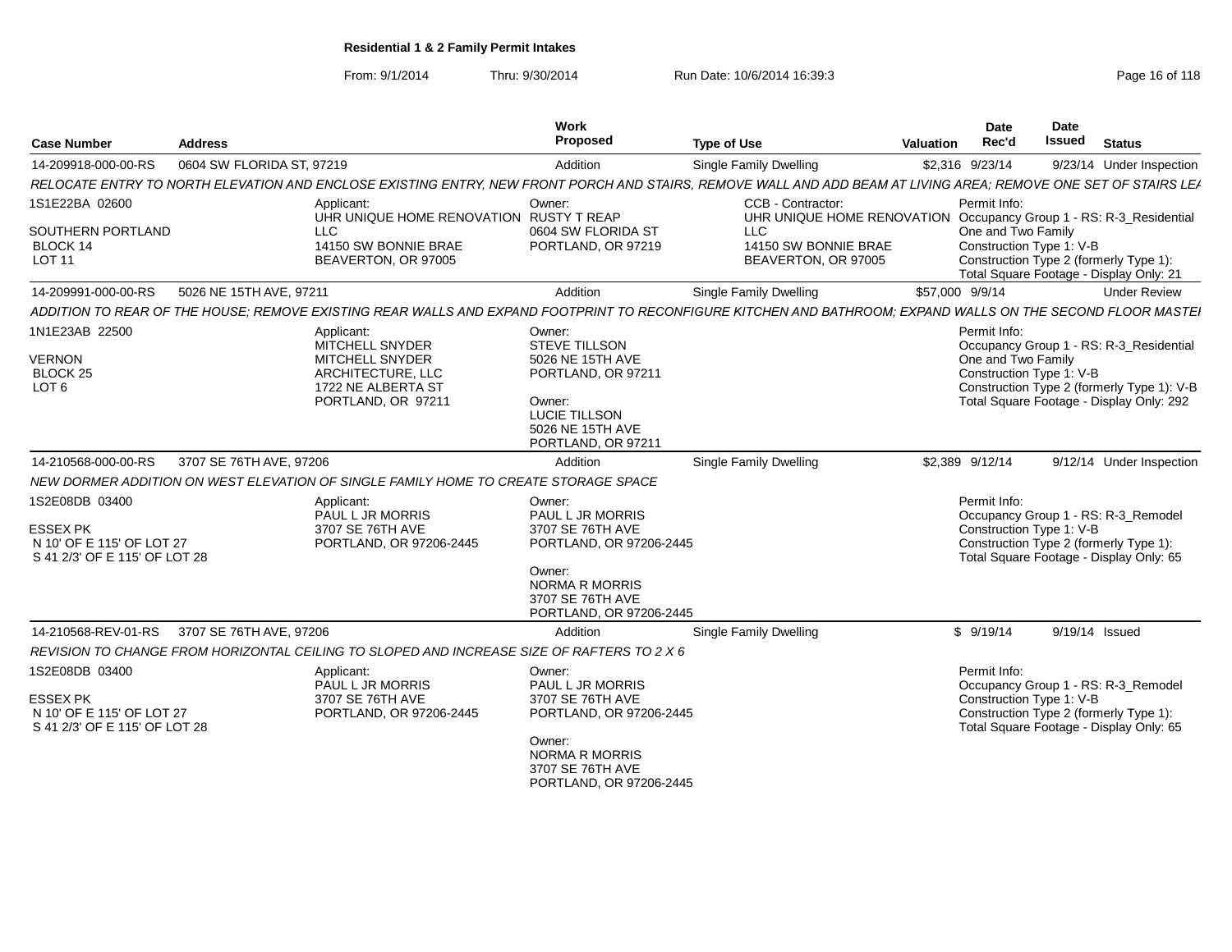From: 9/1/2014

Thru: 9/30/2014 Run Date: 10/6/2014 16:39:3<br>
Page 16 of 118

| <b>Case Number</b>                                                                              | <b>Address</b>            |                                                                                            | Work<br>Proposed                                                                                                                                            | <b>Type of Use</b>                                                                                                                                              | <b>Valuation</b> | <b>Date</b><br>Rec'd                                           | Date<br><b>Issued</b> | <b>Status</b>                                                                                                            |
|-------------------------------------------------------------------------------------------------|---------------------------|--------------------------------------------------------------------------------------------|-------------------------------------------------------------------------------------------------------------------------------------------------------------|-----------------------------------------------------------------------------------------------------------------------------------------------------------------|------------------|----------------------------------------------------------------|-----------------------|--------------------------------------------------------------------------------------------------------------------------|
| 14-209918-000-00-RS                                                                             | 0604 SW FLORIDA ST, 97219 |                                                                                            | Addition                                                                                                                                                    | Single Family Dwelling                                                                                                                                          |                  | \$2,316 9/23/14                                                |                       | 9/23/14 Under Inspection                                                                                                 |
|                                                                                                 |                           |                                                                                            |                                                                                                                                                             | RELOCATE ENTRY TO NORTH ELEVATION AND ENCLOSE EXISTING ENTRY, NEW FRONT PORCH AND STAIRS, REMOVE WALL AND ADD BEAM AT LIVING AREA; REMOVE ONE SET OF STAIRS LEA |                  |                                                                |                       |                                                                                                                          |
| 1S1E22BA 02600                                                                                  |                           | Applicant:                                                                                 | Owner:                                                                                                                                                      | CCB - Contractor:                                                                                                                                               |                  | Permit Info:                                                   |                       |                                                                                                                          |
| SOUTHERN PORTLAND<br>BLOCK 14<br><b>LOT 11</b>                                                  | <b>LLC</b>                | UHR UNIQUE HOME RENOVATION RUSTY T REAP<br>14150 SW BONNIE BRAE<br>BEAVERTON, OR 97005     | 0604 SW FLORIDA ST<br>PORTLAND, OR 97219                                                                                                                    | UHR UNIQUE HOME RENOVATION Occupancy Group 1 - RS: R-3_Residential<br><b>LLC</b><br>14150 SW BONNIE BRAE<br>BEAVERTON, OR 97005                                 |                  | One and Two Family<br>Construction Type 1: V-B                 |                       | Construction Type 2 (formerly Type 1):<br>Total Square Footage - Display Only: 21                                        |
| 14-209991-000-00-RS                                                                             | 5026 NE 15TH AVE, 97211   |                                                                                            | Addition                                                                                                                                                    | Single Family Dwelling                                                                                                                                          |                  | \$57,000 9/9/14                                                |                       | <b>Under Review</b>                                                                                                      |
|                                                                                                 |                           |                                                                                            |                                                                                                                                                             | ADDITION TO REAR OF THE HOUSE: REMOVE EXISTING REAR WALLS AND EXPAND FOOTPRINT TO RECONFIGURE KITCHEN AND BATHROOM: EXPAND WALLS ON THE SECOND FLOOR MASTEI     |                  |                                                                |                       |                                                                                                                          |
| 1N1E23AB 22500<br><b>VERNON</b><br><b>BLOCK 25</b>                                              |                           | Applicant:<br>MITCHELL SNYDER<br>MITCHELL SNYDER<br>ARCHITECTURE, LLC                      | Owner:<br>STEVE TILLSON<br>5026 NE 15TH AVE<br>PORTLAND, OR 97211                                                                                           |                                                                                                                                                                 |                  | Permit Info:<br>One and Two Family<br>Construction Type 1: V-B |                       | Occupancy Group 1 - RS: R-3_Residential                                                                                  |
| LOT <sub>6</sub>                                                                                |                           | 1722 NE ALBERTA ST<br>PORTLAND, OR 97211                                                   | Owner:<br>LUCIE TILLSON<br>5026 NE 15TH AVE<br>PORTLAND, OR 97211                                                                                           |                                                                                                                                                                 |                  |                                                                |                       | Construction Type 2 (formerly Type 1): V-B<br>Total Square Footage - Display Only: 292                                   |
| 14-210568-000-00-RS                                                                             | 3707 SE 76TH AVE, 97206   |                                                                                            | Addition                                                                                                                                                    | <b>Single Family Dwelling</b>                                                                                                                                   |                  | \$2,389 9/12/14                                                |                       | 9/12/14 Under Inspection                                                                                                 |
|                                                                                                 |                           | NEW DORMER ADDITION ON WEST ELEVATION OF SINGLE FAMILY HOME TO CREATE STORAGE SPACE        |                                                                                                                                                             |                                                                                                                                                                 |                  |                                                                |                       |                                                                                                                          |
| 1S2E08DB 03400<br><b>ESSEX PK</b><br>N 10' OF E 115' OF LOT 27<br>S 41 2/3' OF E 115' OF LOT 28 |                           | Applicant:<br>PAUL L JR MORRIS<br>3707 SE 76TH AVE<br>PORTLAND, OR 97206-2445              | Owner:<br>PAUL L JR MORRIS<br>3707 SE 76TH AVE<br>PORTLAND, OR 97206-2445<br>Owner:<br><b>NORMA R MORRIS</b><br>3707 SE 76TH AVE<br>PORTLAND, OR 97206-2445 |                                                                                                                                                                 |                  | Permit Info:<br>Construction Type 1: V-B                       |                       | Occupancy Group 1 - RS: R-3_Remodel<br>Construction Type 2 (formerly Type 1):<br>Total Square Footage - Display Only: 65 |
| 14-210568-REV-01-RS                                                                             | 3707 SE 76TH AVE, 97206   |                                                                                            | Addition                                                                                                                                                    | Single Family Dwelling                                                                                                                                          |                  | \$9/19/14                                                      |                       | 9/19/14 Issued                                                                                                           |
|                                                                                                 |                           | REVISION TO CHANGE FROM HORIZONTAL CEILING TO SLOPED AND INCREASE SIZE OF RAFTERS TO 2 X 6 |                                                                                                                                                             |                                                                                                                                                                 |                  |                                                                |                       |                                                                                                                          |
| 1S2E08DB 03400<br><b>ESSEX PK</b><br>N 10' OF E 115' OF LOT 27<br>S 41 2/3' OF E 115' OF LOT 28 |                           | Applicant:<br>PAUL L JR MORRIS<br>3707 SE 76TH AVE<br>PORTLAND, OR 97206-2445              | Owner:<br>PAUL L JR MORRIS<br>3707 SE 76TH AVE<br>PORTLAND, OR 97206-2445                                                                                   |                                                                                                                                                                 |                  | Permit Info:<br>Construction Type 1: V-B                       |                       | Occupancy Group 1 - RS: R-3_Remodel<br>Construction Type 2 (formerly Type 1):<br>Total Square Footage - Display Only: 65 |
|                                                                                                 |                           |                                                                                            | Owner:<br><b>NORMA R MORRIS</b><br>3707 SE 76TH AVE<br>PORTLAND, OR 97206-2445                                                                              |                                                                                                                                                                 |                  |                                                                |                       |                                                                                                                          |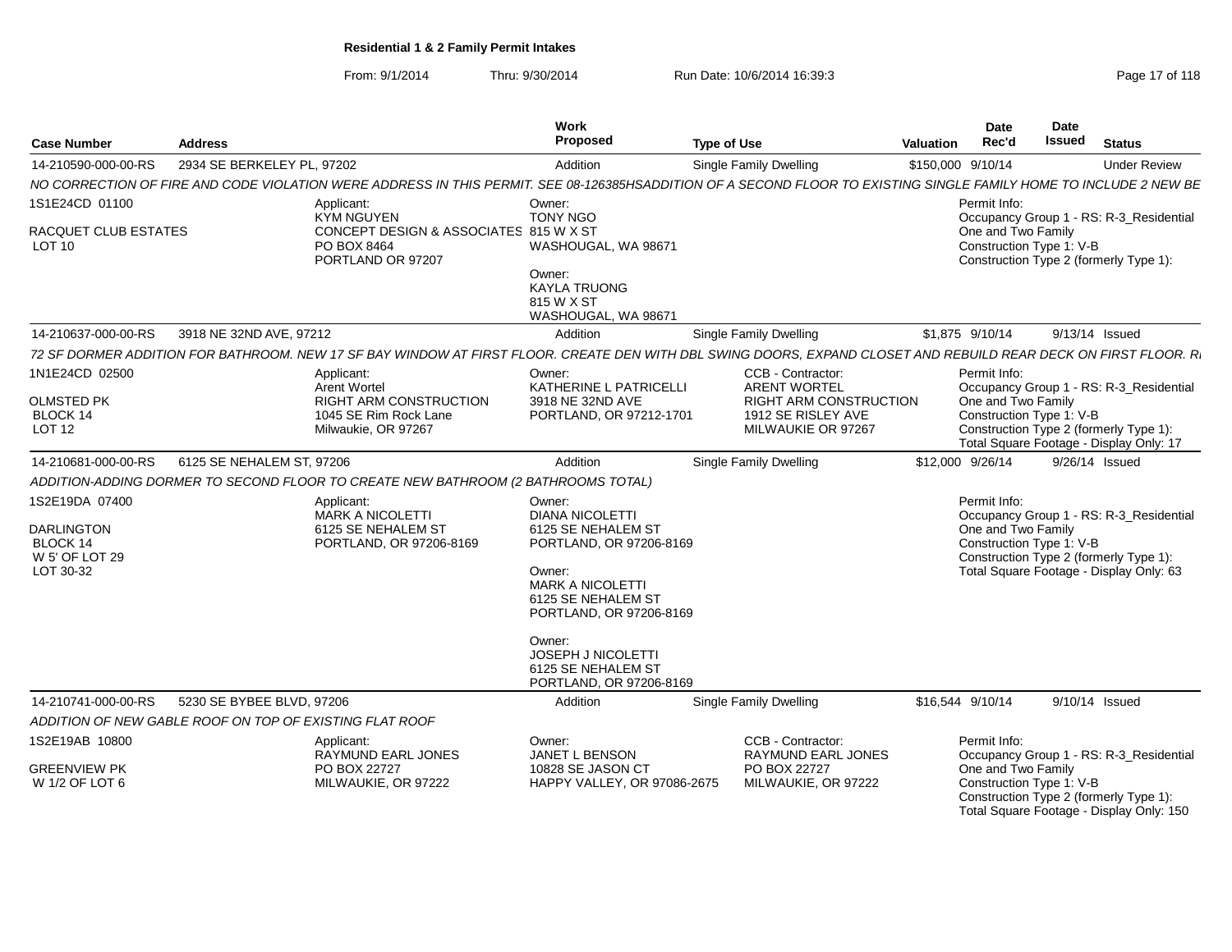From: 9/1/2014Thru: 9/30/2014 Run Date: 10/6/2014 16:39:3<br>
Page 17 of 118

| <b>Case Number</b>                                                                    | <b>Address</b>             |                                                                                                                                                                    | Work<br>Proposed                                                                                                                                                                                        | <b>Type of Use</b>            |                                                                           | Valuation         | Date<br>Rec'd                                                  | Date<br><b>Issued</b> | <b>Status</b>                                                                                                                |
|---------------------------------------------------------------------------------------|----------------------------|--------------------------------------------------------------------------------------------------------------------------------------------------------------------|---------------------------------------------------------------------------------------------------------------------------------------------------------------------------------------------------------|-------------------------------|---------------------------------------------------------------------------|-------------------|----------------------------------------------------------------|-----------------------|------------------------------------------------------------------------------------------------------------------------------|
| 14-210590-000-00-RS                                                                   | 2934 SE BERKELEY PL, 97202 |                                                                                                                                                                    | Addition                                                                                                                                                                                                | <b>Single Family Dwelling</b> |                                                                           | \$150,000 9/10/14 |                                                                |                       | <b>Under Review</b>                                                                                                          |
|                                                                                       |                            | NO CORRECTION OF FIRE AND CODE VIOLATION WERE ADDRESS IN THIS PERMIT. SEE 08-126385HSADDITION OF A SECOND FLOOR TO EXISTING SINGLE FAMILY HOME TO INCLUDE 2 NEW BE |                                                                                                                                                                                                         |                               |                                                                           |                   |                                                                |                       |                                                                                                                              |
| 1S1E24CD 01100                                                                        |                            | Applicant:<br>KYM NGUYEN                                                                                                                                           | Owner:<br><b>TONY NGO</b>                                                                                                                                                                               |                               |                                                                           |                   | Permit Info:                                                   |                       | Occupancy Group 1 - RS: R-3 Residential                                                                                      |
| RACQUET CLUB ESTATES<br>LOT 10                                                        |                            | CONCEPT DESIGN & ASSOCIATES 815 W X ST<br>PO BOX 8464<br>PORTLAND OR 97207                                                                                         | WASHOUGAL, WA 98671<br>Owner:<br><b>KAYLA TRUONG</b><br>815 W X ST<br>WASHOUGAL, WA 98671                                                                                                               |                               |                                                                           |                   | One and Two Family<br>Construction Type 1: V-B                 |                       | Construction Type 2 (formerly Type 1):                                                                                       |
| 14-210637-000-00-RS                                                                   | 3918 NE 32ND AVE, 97212    |                                                                                                                                                                    | Addition                                                                                                                                                                                                | <b>Single Family Dwelling</b> |                                                                           |                   | \$1.875 9/10/14                                                |                       | 9/13/14 Issued                                                                                                               |
|                                                                                       |                            | 72 SF DORMER ADDITION FOR BATHROOM. NEW 17 SF BAY WINDOW AT FIRST FLOOR. CREATE DEN WITH DBL SWING DOORS, EXPAND CLOSET AND REBUILD REAR DECK ON FIRST FLOOR. R.   |                                                                                                                                                                                                         |                               |                                                                           |                   |                                                                |                       |                                                                                                                              |
| 1N1E24CD 02500                                                                        |                            | Applicant:<br><b>Arent Wortel</b>                                                                                                                                  | Owner:<br>KATHERINE L PATRICELLI                                                                                                                                                                        |                               | CCB - Contractor:<br><b>ARENT WORTEL</b>                                  |                   | Permit Info:                                                   |                       | Occupancy Group 1 - RS: R-3 Residential                                                                                      |
| <b>OLMSTED PK</b><br>BLOCK 14<br>LOT <sub>12</sub>                                    |                            | <b>RIGHT ARM CONSTRUCTION</b><br>1045 SE Rim Rock Lane<br>Milwaukie, OR 97267                                                                                      | 3918 NE 32ND AVE<br>PORTLAND, OR 97212-1701                                                                                                                                                             |                               | <b>RIGHT ARM CONSTRUCTION</b><br>1912 SE RISLEY AVE<br>MILWAUKIE OR 97267 |                   | One and Two Family<br>Construction Type 1: V-B                 |                       | Construction Type 2 (formerly Type 1):                                                                                       |
|                                                                                       |                            |                                                                                                                                                                    |                                                                                                                                                                                                         |                               |                                                                           |                   |                                                                |                       | Total Square Footage - Display Only: 17                                                                                      |
| 14-210681-000-00-RS                                                                   | 6125 SE NEHALEM ST, 97206  |                                                                                                                                                                    | Addition                                                                                                                                                                                                | <b>Single Family Dwelling</b> |                                                                           |                   | \$12,000 9/26/14                                               |                       | 9/26/14 Issued                                                                                                               |
|                                                                                       |                            | ADDITION-ADDING DORMER TO SECOND FLOOR TO CREATE NEW BATHROOM (2 BATHROOMS TOTAL)                                                                                  |                                                                                                                                                                                                         |                               |                                                                           |                   |                                                                |                       |                                                                                                                              |
| 1S2E19DA 07400<br><b>DARLINGTON</b><br><b>BLOCK 14</b><br>W 5' OF LOT 29<br>LOT 30-32 |                            | Applicant:<br><b>MARK A NICOLETTI</b><br>6125 SE NEHALEM ST<br>PORTLAND, OR 97206-8169                                                                             | Owner:<br><b>DIANA NICOLETTI</b><br>6125 SE NEHALEM ST<br>PORTLAND, OR 97206-8169<br>Owner:<br><b>MARK A NICOLETTI</b><br>6125 SE NEHALEM ST<br>PORTLAND, OR 97206-8169<br>Owner:<br>JOSEPH J NICOLETTI |                               |                                                                           |                   | Permit Info:<br>One and Two Family<br>Construction Type 1: V-B |                       | Occupancy Group 1 - RS: R-3 Residential<br>Construction Type 2 (formerly Type 1):<br>Total Square Footage - Display Only: 63 |
| 14-210741-000-00-RS                                                                   | 5230 SE BYBEE BLVD, 97206  |                                                                                                                                                                    | 6125 SE NEHALEM ST<br>PORTLAND, OR 97206-8169<br>Addition                                                                                                                                               | <b>Single Family Dwelling</b> |                                                                           |                   | \$16,544 9/10/14                                               |                       | 9/10/14 Issued                                                                                                               |
| ADDITION OF NEW GABLE ROOF ON TOP OF EXISTING FLAT ROOF                               |                            |                                                                                                                                                                    |                                                                                                                                                                                                         |                               |                                                                           |                   |                                                                |                       |                                                                                                                              |
| 1S2E19AB 10800                                                                        |                            | Applicant:                                                                                                                                                         | Owner:                                                                                                                                                                                                  |                               | CCB - Contractor:                                                         |                   | Permit Info:                                                   |                       |                                                                                                                              |
| <b>GREENVIEW PK</b>                                                                   |                            | RAYMUND EARL JONES<br>PO BOX 22727                                                                                                                                 | JANET L BENSON<br>10828 SE JASON CT                                                                                                                                                                     |                               | RAYMUND EARL JONES<br>PO BOX 22727                                        |                   | One and Two Family                                             |                       | Occupancy Group 1 - RS: R-3_Residential                                                                                      |
| W 1/2 OF LOT 6                                                                        |                            | MILWAUKIE, OR 97222                                                                                                                                                | HAPPY VALLEY, OR 97086-2675                                                                                                                                                                             |                               | MILWAUKIE, OR 97222                                                       |                   | Construction Type 1: V-B                                       |                       | Construction Type 2 (formerly Type 1):<br>Total Square Footage - Display Only: 150                                           |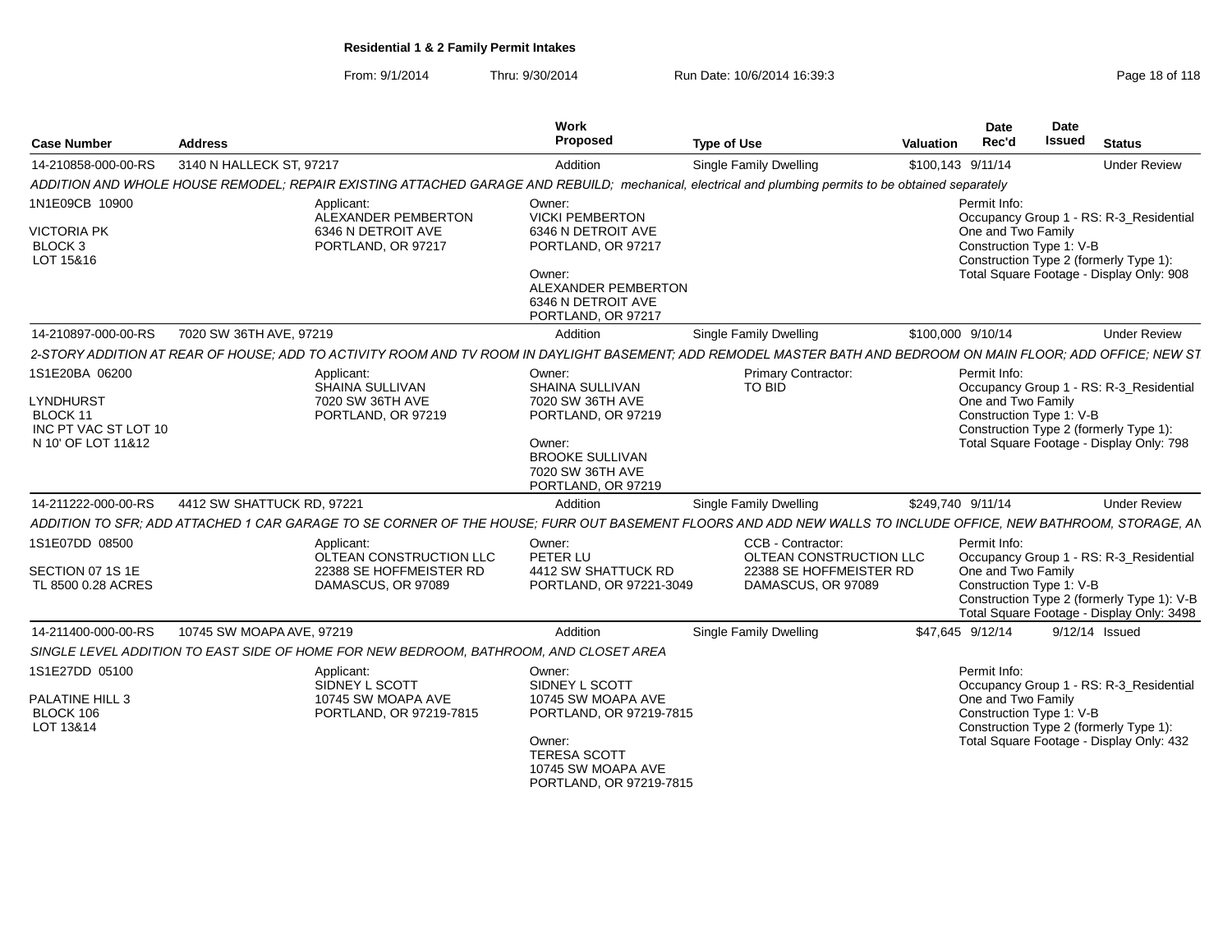From: 9/1/2014Thru: 9/30/2014 Run Date: 10/6/2014 16:39:3<br>
Page 18 of 118

|                                                              |                            |                                                                                       | Work<br>Proposed                                                                                                                                          |                                                                                                                                                                 | Date                                                           | Date<br><b>Issued</b>                                                                                                         |
|--------------------------------------------------------------|----------------------------|---------------------------------------------------------------------------------------|-----------------------------------------------------------------------------------------------------------------------------------------------------------|-----------------------------------------------------------------------------------------------------------------------------------------------------------------|----------------------------------------------------------------|-------------------------------------------------------------------------------------------------------------------------------|
| <b>Case Number</b>                                           | <b>Address</b>             |                                                                                       |                                                                                                                                                           | <b>Type of Use</b>                                                                                                                                              | Rec'd<br>Valuation                                             | Status                                                                                                                        |
| 14-210858-000-00-RS                                          | 3140 N HALLECK ST, 97217   |                                                                                       | Addition                                                                                                                                                  | <b>Single Family Dwelling</b>                                                                                                                                   | \$100,143 9/11/14                                              | <b>Under Review</b>                                                                                                           |
|                                                              |                            | ADDITION AND WHOLE HOUSE REMODEL; REPAIR EXISTING ATTACHED GARAGE AND REBUILD;        | mechanical.                                                                                                                                               | , electrical and plumbing permits to be obtained separately                                                                                                     |                                                                |                                                                                                                               |
| 1N1E09CB 10900<br><b>VICTORIA PK</b><br>BLOCK 3<br>LOT 15&16 |                            | Applicant:<br>ALEXANDER PEMBERTON<br>6346 N DETROIT AVE<br>PORTLAND, OR 97217         | Owner:<br><b>VICKI PEMBERTON</b><br>6346 N DETROIT AVE<br>PORTLAND, OR 97217<br>Owner:<br>ALEXANDER PEMBERTON<br>6346 N DETROIT AVE<br>PORTLAND, OR 97217 |                                                                                                                                                                 | Permit Info:<br>One and Two Family<br>Construction Type 1: V-B | Occupancy Group 1 - RS: R-3_Residential<br>Construction Type 2 (formerly Type 1):<br>Total Square Footage - Display Only: 908 |
| 14-210897-000-00-RS   7020 SW 36TH AVE, 97219                |                            |                                                                                       | Addition                                                                                                                                                  | <b>Single Family Dwelling</b>                                                                                                                                   | \$100,000 9/10/14                                              | <b>Under Review</b>                                                                                                           |
|                                                              |                            |                                                                                       |                                                                                                                                                           | 2-STORY ADDITION AT REAR OF HOUSE; ADD TO ACTIVITY ROOM AND TV ROOM IN DAYLIGHT BASEMENT; ADD REMODEL MASTER BATH AND BEDROOM ON MAIN FLOOR; ADD OFFICE; NEW ST |                                                                |                                                                                                                               |
| 1S1E20BA 06200<br>LYNDHURST<br>BLOCK 11                      |                            | Applicant:<br>SHAINA SULLIVAN<br>7020 SW 36TH AVE<br>PORTLAND, OR 97219               | Owner:<br>SHAINA SULLIVAN<br>7020 SW 36TH AVE<br>PORTLAND, OR 97219                                                                                       | <b>Primary Contractor:</b><br>TO BID                                                                                                                            | Permit Info:<br>One and Two Family<br>Construction Type 1: V-B | Occupancy Group 1 - RS: R-3 Residential                                                                                       |
| INC PT VAC ST LOT 10<br>N 10' OF LOT 11&12                   |                            |                                                                                       | Owner:<br><b>BROOKE SULLIVAN</b><br>7020 SW 36TH AVE<br>PORTLAND, OR 97219                                                                                |                                                                                                                                                                 |                                                                | Construction Type 2 (formerly Type 1):<br>Total Square Footage - Display Only: 798                                            |
| 14-211222-000-00-RS                                          | 4412 SW SHATTUCK RD. 97221 |                                                                                       | Addition                                                                                                                                                  | Single Family Dwelling                                                                                                                                          | \$249,740 9/11/14                                              | <b>Under Review</b>                                                                                                           |
|                                                              |                            | ADDITION TO SFR; ADD ATTACHED 1 CAR GARAGE TO SE CORNER OF THE HOUSE,                 |                                                                                                                                                           | ; FURR OUT BASEMENT FLOORS AND ADD NEW WALLS TO INCLUDE OFFICE, NEW BATHROOM, STORAGE, AN                                                                       |                                                                |                                                                                                                               |
| 1S1E07DD 08500                                               |                            | Applicant:<br>OLTEAN CONSTRUCTION LLC                                                 | Owner:<br>PETER LU                                                                                                                                        | CCB - Contractor:<br>OLTEAN CONSTRUCTION LLC                                                                                                                    | Permit Info:                                                   | Occupancy Group 1 - RS: R-3_Residential                                                                                       |
| SECTION 07 1S 1E<br>TL 8500 0.28 ACRES                       |                            | 22388 SE HOFFMEISTER RD<br>DAMASCUS, OR 97089                                         | 4412 SW SHATTUCK RD<br>PORTLAND, OR 97221-3049                                                                                                            | 22388 SE HOFFMEISTER RD<br>DAMASCUS, OR 97089                                                                                                                   | One and Two Family<br>Construction Type 1: V-B                 | Construction Type 2 (formerly Type 1): V-B<br>Total Square Footage - Display Only: 3498                                       |
| 14-211400-000-00-RS                                          | 10745 SW MOAPA AVE, 97219  |                                                                                       | Addition                                                                                                                                                  | <b>Single Family Dwelling</b>                                                                                                                                   | \$47.645 9/12/14                                               | 9/12/14 Issued                                                                                                                |
|                                                              |                            | SINGLE LEVEL ADDITION TO EAST SIDE OF HOME FOR NEW BEDROOM, BATHROOM, AND CLOSET AREA |                                                                                                                                                           |                                                                                                                                                                 |                                                                |                                                                                                                               |
| 1S1E27DD 05100                                               |                            | Applicant:                                                                            | Owner:                                                                                                                                                    |                                                                                                                                                                 | Permit Info:                                                   |                                                                                                                               |
| PALATINE HILL 3<br>BLOCK 106<br>LOT 13&14                    |                            | SIDNEY L SCOTT<br>10745 SW MOAPA AVE<br>PORTLAND, OR 97219-7815                       | SIDNEY L SCOTT<br>10745 SW MOAPA AVE<br>PORTLAND, OR 97219-7815                                                                                           |                                                                                                                                                                 | One and Two Family<br>Construction Type 1: V-B                 | Occupancy Group 1 - RS: R-3_Residential<br>Construction Type 2 (formerly Type 1):                                             |
|                                                              |                            |                                                                                       | Owner:<br><b>TERESA SCOTT</b><br>10745 SW MOAPA AVE<br>PORTLAND, OR 97219-7815                                                                            |                                                                                                                                                                 |                                                                | Total Square Footage - Display Only: 432                                                                                      |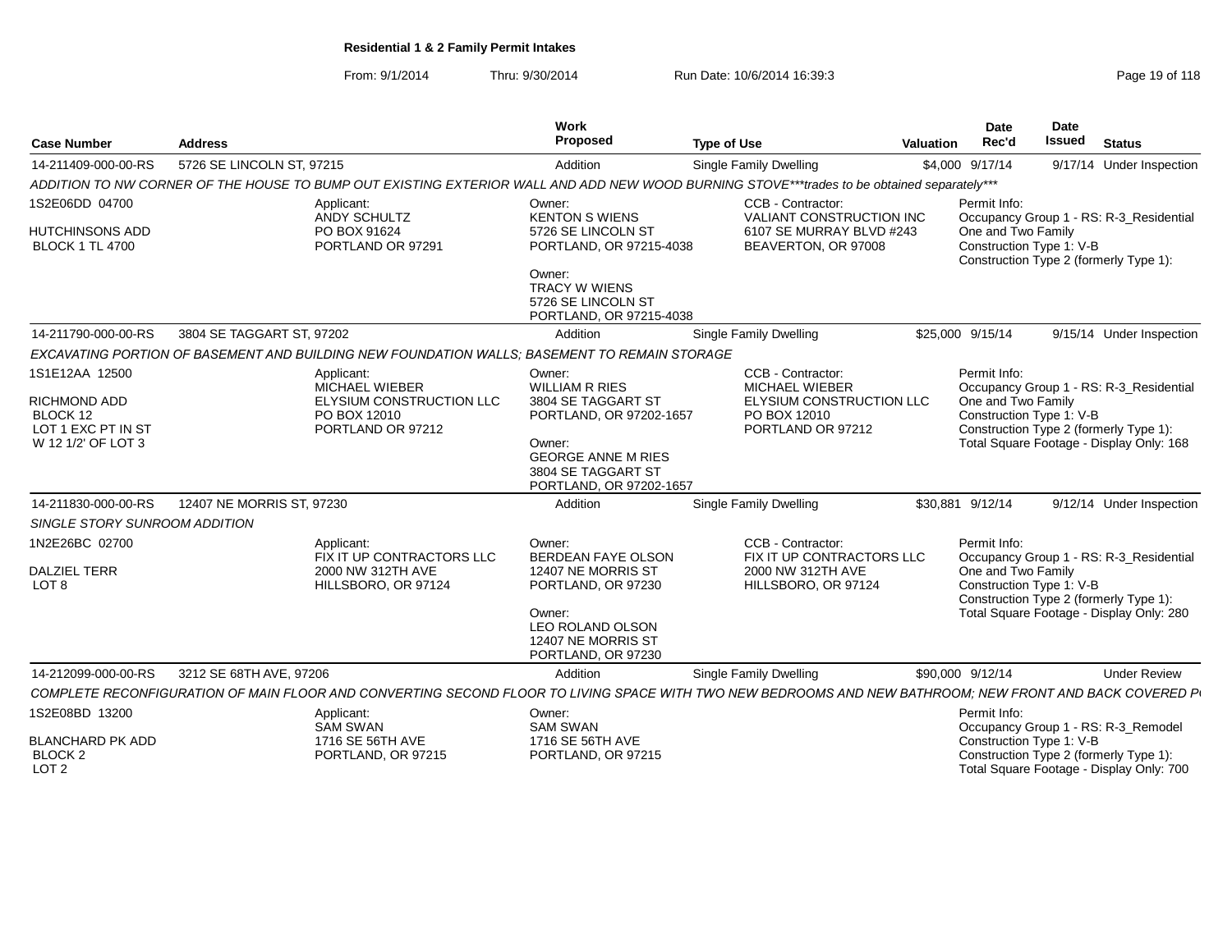From: 9/1/2014Thru: 9/30/2014 Run Date: 10/6/2014 16:39:3<br>
Page 19 of 118

| <b>Case Number</b>                                                | <b>Address</b>                                                |                                                                                              | Work<br>Proposed                                                                     | <b>Type of Use</b>                                                                                                                                      | Valuation | Date<br>Rec'd                                                                                                                        | Date<br>Issued | <b>Status</b>                                                                      |  |
|-------------------------------------------------------------------|---------------------------------------------------------------|----------------------------------------------------------------------------------------------|--------------------------------------------------------------------------------------|---------------------------------------------------------------------------------------------------------------------------------------------------------|-----------|--------------------------------------------------------------------------------------------------------------------------------------|----------------|------------------------------------------------------------------------------------|--|
| 14-211409-000-00-RS                                               | 5726 SE LINCOLN ST, 97215                                     |                                                                                              | Addition                                                                             | Single Family Dwelling                                                                                                                                  |           | \$4,000 9/17/14                                                                                                                      |                | 9/17/14 Under Inspection                                                           |  |
|                                                                   |                                                               |                                                                                              |                                                                                      | ADDITION TO NW CORNER OF THE HOUSE TO BUMP OUT EXISTING EXTERIOR WALL AND ADD NEW WOOD BURNING STOVE***trades to be obtained separately***              |           |                                                                                                                                      |                |                                                                                    |  |
| 1S2E06DD 04700                                                    |                                                               | Applicant:<br>ANDY SCHULTZ                                                                   | Owner:<br><b>KENTON S WIENS</b>                                                      | CCB - Contractor:<br>VALIANT CONSTRUCTION INC                                                                                                           |           | Permit Info:                                                                                                                         |                | Occupancy Group 1 - RS: R-3_Residential                                            |  |
| HUTCHINSONS ADD<br><b>BLOCK 1 TL 4700</b>                         |                                                               | PO BOX 91624<br>PORTLAND OR 97291                                                            | 5726 SE LINCOLN ST<br>PORTLAND, OR 97215-4038                                        | 6107 SE MURRAY BLVD #243<br>BEAVERTON, OR 97008                                                                                                         |           | One and Two Family<br>Construction Type 1: V-B<br>Construction Type 2 (formerly Type 1):                                             |                |                                                                                    |  |
|                                                                   |                                                               |                                                                                              | Owner:<br><b>TRACY W WIENS</b><br>5726 SE LINCOLN ST<br>PORTLAND, OR 97215-4038      |                                                                                                                                                         |           |                                                                                                                                      |                |                                                                                    |  |
| 14-211790-000-00-RS                                               | 3804 SE TAGGART ST, 97202                                     |                                                                                              | Addition                                                                             | <b>Single Family Dwelling</b>                                                                                                                           |           | \$25,000 9/15/14                                                                                                                     |                | 9/15/14 Under Inspection                                                           |  |
|                                                                   |                                                               | EXCAVATING PORTION OF BASEMENT AND BUILDING NEW FOUNDATION WALLS; BASEMENT TO REMAIN STORAGE |                                                                                      |                                                                                                                                                         |           |                                                                                                                                      |                |                                                                                    |  |
| 1S1E12AA 12500                                                    |                                                               | Applicant:<br>MICHAEL WIEBER                                                                 | Owner:<br><b>WILLIAM R RIES</b>                                                      | CCB - Contractor:<br>MICHAEL WIEBER                                                                                                                     |           | Permit Info:                                                                                                                         |                | Occupancy Group 1 - RS: R-3 Residential                                            |  |
| <b>RICHMOND ADD</b><br>BLOCK 12<br>LOT 1 EXC PT IN ST             | ELYSIUM CONSTRUCTION LLC<br>PO BOX 12010<br>PORTLAND OR 97212 |                                                                                              | 3804 SE TAGGART ST<br>PORTLAND, OR 97202-1657                                        | ELYSIUM CONSTRUCTION LLC<br>PO BOX 12010<br>PORTLAND OR 97212                                                                                           |           | One and Two Family<br>Construction Type 1: V-B<br>Construction Type 2 (formerly Type 1):                                             |                |                                                                                    |  |
| W 12 1/2' OF LOT 3                                                |                                                               |                                                                                              | Owner:<br><b>GEORGE ANNE M RIES</b><br>3804 SE TAGGART ST<br>PORTLAND, OR 97202-1657 |                                                                                                                                                         |           |                                                                                                                                      |                | Total Square Footage - Display Only: 168                                           |  |
| 14-211830-000-00-RS                                               | 12407 NE MORRIS ST, 97230                                     |                                                                                              | Addition                                                                             | <b>Single Family Dwelling</b>                                                                                                                           |           | \$30,881 9/12/14                                                                                                                     |                | 9/12/14 Under Inspection                                                           |  |
| SINGLE STORY SUNROOM ADDITION                                     |                                                               |                                                                                              |                                                                                      |                                                                                                                                                         |           |                                                                                                                                      |                |                                                                                    |  |
| 1N2E26BC 02700                                                    |                                                               | Applicant:<br>FIX IT UP CONTRACTORS LLC                                                      | Owner:<br><b>BERDEAN FAYE OLSON</b>                                                  | CCB - Contractor:<br>FIX IT UP CONTRACTORS LLC                                                                                                          |           | Permit Info:                                                                                                                         |                | Occupancy Group 1 - RS: R-3 Residential                                            |  |
| <b>DALZIEL TERR</b><br>LOT <sub>8</sub>                           |                                                               | 2000 NW 312TH AVE<br>HILLSBORO, OR 97124                                                     | 12407 NE MORRIS ST<br>PORTLAND, OR 97230                                             | 2000 NW 312TH AVE<br>HILLSBORO, OR 97124                                                                                                                |           | One and Two Family<br>Construction Type 1: V-B<br>Construction Type 2 (formerly Type 1):<br>Total Square Footage - Display Only: 280 |                |                                                                                    |  |
|                                                                   |                                                               |                                                                                              | Owner:<br>LEO ROLAND OLSON<br>12407 NE MORRIS ST<br>PORTLAND, OR 97230               |                                                                                                                                                         |           |                                                                                                                                      |                |                                                                                    |  |
| 14-212099-000-00-RS                                               | 3212 SE 68TH AVE, 97206                                       |                                                                                              | Addition                                                                             | <b>Single Family Dwelling</b>                                                                                                                           |           | \$90,000 9/12/14                                                                                                                     |                | <b>Under Review</b>                                                                |  |
|                                                                   |                                                               |                                                                                              |                                                                                      | COMPLETE RECONFIGURATION OF MAIN FLOOR AND CONVERTING SECOND FLOOR TO LIVING SPACE WITH TWO NEW BEDROOMS AND NEW BATHROOM: NEW FRONT AND BACK COVERED P |           |                                                                                                                                      |                |                                                                                    |  |
| 1S2E08BD 13200                                                    |                                                               | Applicant:<br><b>SAM SWAN</b>                                                                | Owner:<br><b>SAM SWAN</b>                                                            |                                                                                                                                                         |           | Permit Info:                                                                                                                         |                | Occupancy Group 1 - RS: R-3_Remodel                                                |  |
| <b>BLANCHARD PK ADD</b><br>BLOCK <sub>2</sub><br>LOT <sub>2</sub> |                                                               | 1716 SE 56TH AVE<br>PORTLAND, OR 97215                                                       | 1716 SE 56TH AVE<br>PORTLAND, OR 97215                                               |                                                                                                                                                         |           | Construction Type 1: V-B                                                                                                             |                | Construction Type 2 (formerly Type 1):<br>Total Square Footage - Display Only: 700 |  |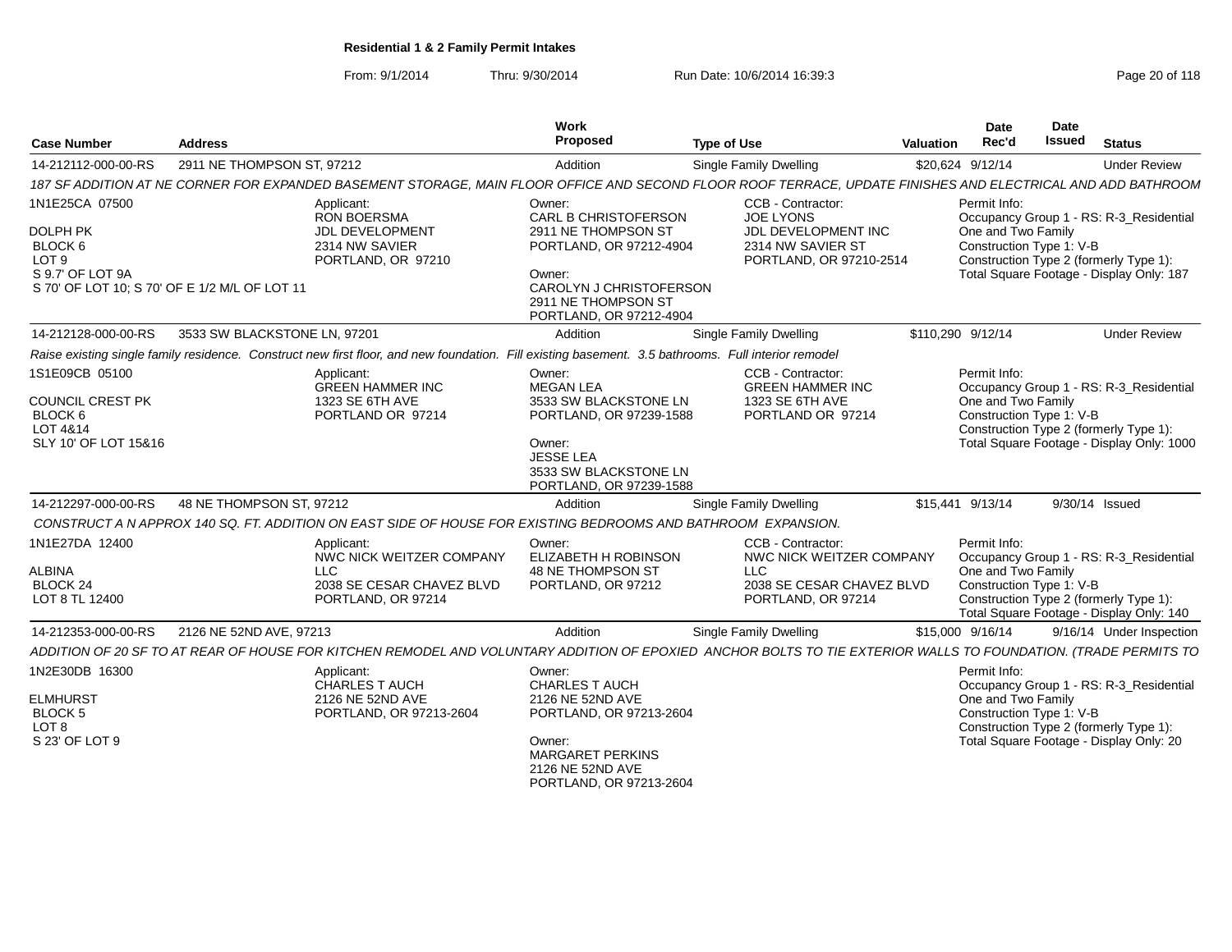From: 9/1/2014Thru: 9/30/2014 Run Date: 10/6/2014 16:39:3<br>
Page 20 of 118

| <b>Case Number</b>                                                                                                             | <b>Address</b>               |                                                                                                                                                                 | Work<br>Proposed                                                                                                                                                               | <b>Type of Use</b>                                                                                             | Valuation | Date<br>Rec'd                                                                      | Date<br><b>Issued</b> | <b>Status</b>                                                                                                                                    |
|--------------------------------------------------------------------------------------------------------------------------------|------------------------------|-----------------------------------------------------------------------------------------------------------------------------------------------------------------|--------------------------------------------------------------------------------------------------------------------------------------------------------------------------------|----------------------------------------------------------------------------------------------------------------|-----------|------------------------------------------------------------------------------------|-----------------------|--------------------------------------------------------------------------------------------------------------------------------------------------|
| 14-212112-000-00-RS                                                                                                            | 2911 NE THOMPSON ST, 97212   |                                                                                                                                                                 | Addition                                                                                                                                                                       | Single Family Dwelling                                                                                         |           | \$20,624 9/12/14                                                                   |                       | <b>Under Review</b>                                                                                                                              |
|                                                                                                                                |                              | 187 SF ADDITION AT NE CORNER FOR EXPANDED BASEMENT STORAGE, MAIN FLOOR OFFICE AND SECOND FLOOR ROOF TERRACE, UPDATE FINISHES AND ELECTRICAL AND ADD BATHROOM    |                                                                                                                                                                                |                                                                                                                |           |                                                                                    |                       |                                                                                                                                                  |
| 1N1E25CA 07500<br>DOLPH PK<br>BLOCK 6<br>LOT <sub>9</sub><br>S 9.7' OF LOT 9A<br>S 70' OF LOT 10; S 70' OF E 1/2 M/L OF LOT 11 |                              | Applicant:<br><b>RON BOERSMA</b><br><b>JDL DEVELOPMENT</b><br>2314 NW SAVIER<br>PORTLAND, OR 97210                                                              | Owner:<br><b>CARL B CHRISTOFERSON</b><br>2911 NE THOMPSON ST<br>PORTLAND, OR 97212-4904<br>Owner:<br>CAROLYN J CHRISTOFERSON<br>2911 NE THOMPSON ST<br>PORTLAND, OR 97212-4904 | CCB - Contractor:<br><b>JOE LYONS</b><br>JDL DEVELOPMENT INC<br>2314 NW SAVIER ST<br>PORTLAND, OR 97210-2514   |           | Permit Info:<br>One and Two Family<br>Construction Type 1: V-B                     |                       | Occupancy Group 1 - RS: R-3_Residential<br>Construction Type 2 (formerly Type 1):<br>Total Square Footage - Display Only: 187                    |
| 14-212128-000-00-RS                                                                                                            | 3533 SW BLACKSTONE LN. 97201 |                                                                                                                                                                 | Addition                                                                                                                                                                       | Single Family Dwelling                                                                                         |           | \$110.290 9/12/14                                                                  |                       | <b>Under Review</b>                                                                                                                              |
|                                                                                                                                |                              | Raise existing single family residence. Construct new first floor, and new foundation. Fill existing basement. 3.5 bathrooms. Full interior remodel             |                                                                                                                                                                                |                                                                                                                |           |                                                                                    |                       |                                                                                                                                                  |
| 1S1E09CB 05100<br>COUNCIL CREST PK<br>BLOCK 6<br>LOT 4&14<br>SLY 10' OF LOT 15&16<br>14-212297-000-00-RS                       | 48 NE THOMPSON ST, 97212     | Applicant:<br><b>GREEN HAMMER INC</b><br>1323 SE 6TH AVE<br>PORTLAND OR 97214                                                                                   | Owner:<br><b>MEGAN LEA</b><br>3533 SW BLACKSTONE LN<br>PORTLAND, OR 97239-1588<br>Owner:<br><b>JESSE LEA</b><br>3533 SW BLACKSTONE LN<br>PORTLAND, OR 97239-1588<br>Addition   | CCB - Contractor:<br><b>GREEN HAMMER INC</b><br>1323 SE 6TH AVE<br>PORTLAND OR 97214<br>Single Family Dwelling |           | Permit Info:<br>One and Two Family<br>Construction Type 1: V-B<br>\$15,441 9/13/14 |                       | Occupancy Group 1 - RS: R-3_Residential<br>Construction Type 2 (formerly Type 1):<br>Total Square Footage - Display Only: 1000<br>9/30/14 Issued |
|                                                                                                                                |                              | CONSTRUCT A N APPROX 140 SQ. FT. ADDITION ON EAST SIDE OF HOUSE FOR EXISTING BEDROOMS AND BATHROOM EXPANSION.                                                   |                                                                                                                                                                                |                                                                                                                |           |                                                                                    |                       |                                                                                                                                                  |
| 1N1E27DA 12400<br>ALBINA<br>BLOCK <sub>24</sub><br>LOT 8 TL 12400                                                              |                              | Applicant:<br>NWC NICK WEITZER COMPANY<br>LLC.<br>2038 SE CESAR CHAVEZ BLVD<br>PORTLAND, OR 97214                                                               | Owner:<br><b>ELIZABETH H ROBINSON</b><br>48 NE THOMPSON ST<br>PORTLAND, OR 97212                                                                                               | CCB - Contractor:<br>NWC NICK WEITZER COMPANY<br>LLC<br>2038 SE CESAR CHAVEZ BLVD<br>PORTLAND, OR 97214        |           | Permit Info:<br>One and Two Family<br>Construction Type 1: V-B                     |                       | Occupancy Group 1 - RS: R-3 Residential<br>Construction Type 2 (formerly Type 1):<br>Total Square Footage - Display Only: 140                    |
| 14-212353-000-00-RS                                                                                                            | 2126 NE 52ND AVE, 97213      |                                                                                                                                                                 | Addition                                                                                                                                                                       | Single Family Dwelling                                                                                         |           | \$15,000 9/16/14                                                                   |                       | 9/16/14 Under Inspection                                                                                                                         |
|                                                                                                                                |                              | ADDITION OF 20 SF TO AT REAR OF HOUSE FOR KITCHEN REMODEL AND VOLUNTARY ADDITION OF EPOXIED ANCHOR BOLTS TO TIE EXTERIOR WALLS TO FOUNDATION. (TRADE PERMITS TO |                                                                                                                                                                                |                                                                                                                |           |                                                                                    |                       |                                                                                                                                                  |
| 1N2E30DB 16300<br><b>ELMHURST</b><br>BLOCK 5<br>LOT 8<br>S 23' OF LOT 9                                                        |                              | Applicant:<br><b>CHARLES T AUCH</b><br>2126 NE 52ND AVE<br>PORTLAND, OR 97213-2604                                                                              | Owner:<br><b>CHARLES T AUCH</b><br>2126 NE 52ND AVE<br>PORTLAND, OR 97213-2604<br>Owner:<br><b>MARGARET PERKINS</b><br>2126 NE 52ND AVE<br>PORTLAND, OR 97213-2604             |                                                                                                                |           | Permit Info:<br>One and Two Family<br>Construction Type 1: V-B                     |                       | Occupancy Group 1 - RS: R-3 Residential<br>Construction Type 2 (formerly Type 1):<br>Total Square Footage - Display Only: 20                     |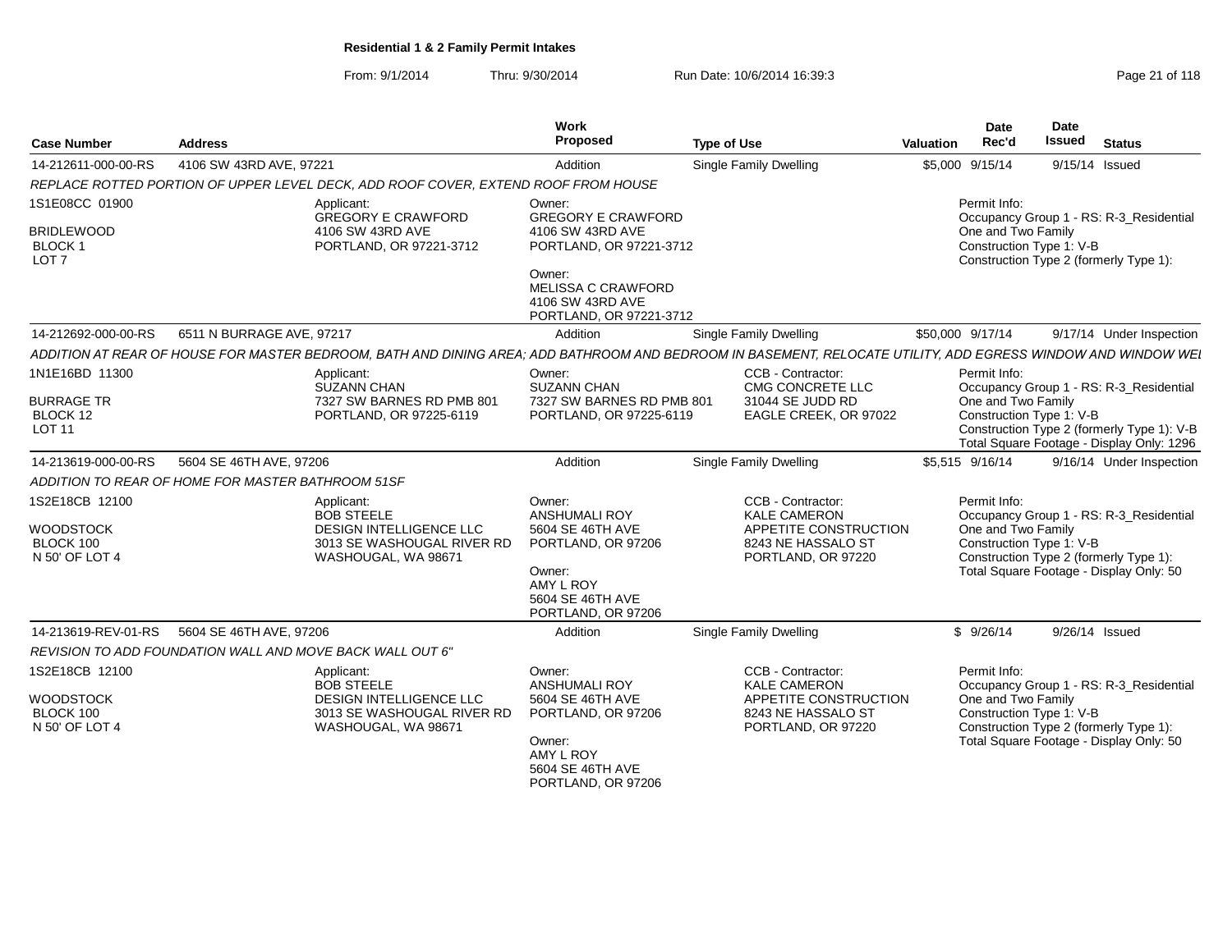From: 9/1/2014Thru: 9/30/2014 Run Date: 10/6/2014 16:39:3<br>
Page 21 of 118

| <b>Case Number</b>                                     | <b>Address</b>                                                                                                                                               | Work<br>Proposed                                                                   | <b>Type of Use</b>                        | Valuation | <b>Date</b><br>Rec'd | Date<br><b>Issued</b>    | <b>Status</b>                                                                           |
|--------------------------------------------------------|--------------------------------------------------------------------------------------------------------------------------------------------------------------|------------------------------------------------------------------------------------|-------------------------------------------|-----------|----------------------|--------------------------|-----------------------------------------------------------------------------------------|
| 14-212611-000-00-RS                                    | 4106 SW 43RD AVE, 97221                                                                                                                                      | Addition                                                                           | <b>Single Family Dwelling</b>             |           | \$5,000 9/15/14      | 9/15/14 Issued           |                                                                                         |
|                                                        | REPLACE ROTTED PORTION OF UPPER LEVEL DECK, ADD ROOF COVER, EXTEND ROOF FROM HOUSE                                                                           |                                                                                    |                                           |           |                      |                          |                                                                                         |
| 1S1E08CC 01900                                         | Applicant:<br><b>GREGORY E CRAWFORD</b>                                                                                                                      | Owner:<br><b>GREGORY E CRAWFORD</b>                                                |                                           |           | Permit Info:         |                          | Occupancy Group 1 - RS: R-3_Residential                                                 |
| <b>BRIDLEWOOD</b><br><b>BLOCK1</b><br>LOT <sub>7</sub> | 4106 SW 43RD AVE<br>PORTLAND, OR 97221-3712                                                                                                                  | 4106 SW 43RD AVE<br>PORTLAND, OR 97221-3712                                        |                                           |           | One and Two Family   | Construction Type 1: V-B | Construction Type 2 (formerly Type 1):                                                  |
|                                                        |                                                                                                                                                              | Owner:<br><b>MELISSA C CRAWFORD</b><br>4106 SW 43RD AVE<br>PORTLAND, OR 97221-3712 |                                           |           |                      |                          |                                                                                         |
| 14-212692-000-00-RS                                    | 6511 N BURRAGE AVE, 97217                                                                                                                                    | Addition                                                                           | <b>Single Family Dwelling</b>             |           | \$50,000 9/17/14     |                          | 9/17/14 Under Inspection                                                                |
|                                                        | ADDITION AT REAR OF HOUSE FOR MASTER BEDROOM, BATH AND DINING AREA; ADD BATHROOM AND BEDROOM IN BASEMENT, RELOCATE UTILITY, ADD EGRESS WINDOW AND WINDOW WEI |                                                                                    |                                           |           |                      |                          |                                                                                         |
| 1N1E16BD 11300                                         | Applicant:<br><b>SUZANN CHAN</b>                                                                                                                             | Owner:<br><b>SUZANN CHAN</b>                                                       | CCB - Contractor:<br>CMG CONCRETE LLC     |           | Permit Info:         |                          | Occupancy Group 1 - RS: R-3_Residential                                                 |
| <b>BURRAGE TR</b><br>BLOCK 12<br><b>LOT 11</b>         | 7327 SW BARNES RD PMB 801<br>PORTLAND, OR 97225-6119                                                                                                         | 7327 SW BARNES RD PMB 801<br>PORTLAND, OR 97225-6119                               | 31044 SE JUDD RD<br>EAGLE CREEK, OR 97022 |           | One and Two Family   | Construction Type 1: V-B | Construction Type 2 (formerly Type 1): V-B<br>Total Square Footage - Display Only: 1296 |
| 14-213619-000-00-RS                                    | 5604 SE 46TH AVE, 97206                                                                                                                                      | Addition                                                                           | <b>Single Family Dwelling</b>             |           | \$5,515 9/16/14      |                          | 9/16/14 Under Inspection                                                                |
|                                                        | ADDITION TO REAR OF HOME FOR MASTER BATHROOM 51SF                                                                                                            |                                                                                    |                                           |           |                      |                          |                                                                                         |
| 1S2E18CB 12100                                         | Applicant:<br><b>BOB STEELE</b>                                                                                                                              | Owner:<br><b>ANSHUMALI ROY</b>                                                     | CCB - Contractor:<br><b>KALE CAMERON</b>  |           | Permit Info:         |                          | Occupancy Group 1 - RS: R-3_Residential                                                 |
| <b>WOODSTOCK</b>                                       | <b>DESIGN INTELLIGENCE LLC</b>                                                                                                                               | 5604 SE 46TH AVE                                                                   | APPETITE CONSTRUCTION                     |           | One and Two Family   |                          |                                                                                         |
| BLOCK 100                                              | 3013 SE WASHOUGAL RIVER RD                                                                                                                                   | PORTLAND, OR 97206                                                                 | 8243 NE HASSALO ST                        |           |                      | Construction Type 1: V-B |                                                                                         |
| N 50' OF LOT 4                                         | WASHOUGAL, WA 98671                                                                                                                                          | Owner:<br>AMY L ROY<br>5604 SE 46TH AVE<br>PORTLAND, OR 97206                      | PORTLAND, OR 97220                        |           |                      |                          | Construction Type 2 (formerly Type 1):<br>Total Square Footage - Display Only: 50       |
| 14-213619-REV-01-RS                                    | 5604 SE 46TH AVE, 97206                                                                                                                                      | Addition                                                                           | Single Family Dwelling                    |           | \$9/26/14            | 9/26/14 Issued           |                                                                                         |
|                                                        | REVISION TO ADD FOUNDATION WALL AND MOVE BACK WALL OUT 6"                                                                                                    |                                                                                    |                                           |           |                      |                          |                                                                                         |
| 1S2E18CB 12100                                         | Applicant:<br><b>BOB STEELE</b>                                                                                                                              | Owner:<br><b>ANSHUMALI ROY</b>                                                     | CCB - Contractor:<br><b>KALE CAMERON</b>  |           | Permit Info:         |                          | Occupancy Group 1 - RS: R-3_Residential                                                 |
| <b>WOODSTOCK</b>                                       | DESIGN INTELLIGENCE LLC                                                                                                                                      | 5604 SE 46TH AVE                                                                   | APPETITE CONSTRUCTION                     |           | One and Two Family   |                          |                                                                                         |
| BLOCK 100<br>N 50' OF LOT 4                            | 3013 SE WASHOUGAL RIVER RD<br>WASHOUGAL, WA 98671                                                                                                            | PORTLAND, OR 97206                                                                 | 8243 NE HASSALO ST<br>PORTLAND, OR 97220  |           |                      | Construction Type 1: V-B | Construction Type 2 (formerly Type 1):                                                  |
|                                                        |                                                                                                                                                              | Owner:<br>AMY L ROY<br>5604 SE 46TH AVE<br>PORTLAND, OR 97206                      |                                           |           |                      |                          | Total Square Footage - Display Only: 50                                                 |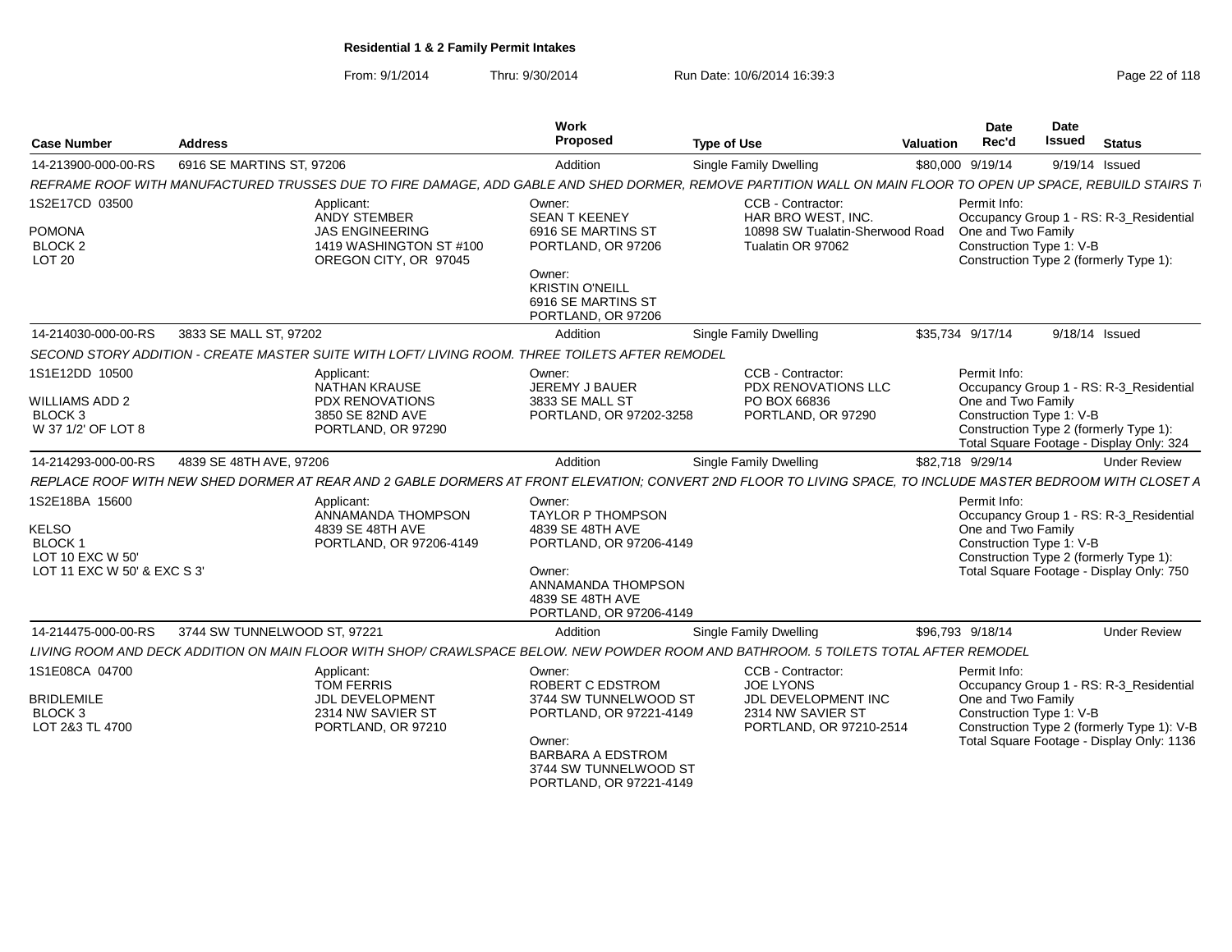From: 9/1/2014Thru: 9/30/2014 Run Date: 10/6/2014 16:39:3<br>
Page 22 of 118

| <b>Case Number</b>                                                                          | <b>Address</b>                                                                                                                                               | Work<br>Proposed                                                                                                                                                         | <b>Type of Use</b>                                                                                           | <b>Valuation</b> | <b>Date</b><br>Rec'd                                           | Date<br><b>Issued</b> | <b>Status</b>                                                                                                                      |
|---------------------------------------------------------------------------------------------|--------------------------------------------------------------------------------------------------------------------------------------------------------------|--------------------------------------------------------------------------------------------------------------------------------------------------------------------------|--------------------------------------------------------------------------------------------------------------|------------------|----------------------------------------------------------------|-----------------------|------------------------------------------------------------------------------------------------------------------------------------|
| 14-213900-000-00-RS                                                                         | 6916 SE MARTINS ST, 97206                                                                                                                                    | Addition                                                                                                                                                                 | <b>Single Family Dwelling</b>                                                                                |                  | \$80,000 9/19/14                                               |                       | 9/19/14 Issued                                                                                                                     |
|                                                                                             | REFRAME ROOF WITH MANUFACTURED TRUSSES DUE TO FIRE DAMAGE, ADD GABLE AND SHED DORMER, REMOVE PARTITION WALL ON MAIN FLOOR TO OPEN UP SPACE, REBUILD STAIRS T |                                                                                                                                                                          |                                                                                                              |                  |                                                                |                       |                                                                                                                                    |
| 1S2E17CD 03500<br><b>POMONA</b><br>BLOCK <sub>2</sub><br>LOT <sub>20</sub>                  | Applicant:<br><b>ANDY STEMBER</b><br><b>JAS ENGINEERING</b><br>1419 WASHINGTON ST #100<br>OREGON CITY, OR 97045                                              | Owner:<br><b>SEAN T KEENEY</b><br>6916 SE MARTINS ST<br>PORTLAND, OR 97206<br>Owner:<br><b>KRISTIN O'NEILL</b><br>6916 SE MARTINS ST<br>PORTLAND, OR 97206               | CCB - Contractor:<br>HAR BRO WEST, INC.<br>10898 SW Tualatin-Sherwood Road<br>Tualatin OR 97062              |                  | Permit Info:<br>One and Two Family<br>Construction Type 1: V-B |                       | Occupancy Group 1 - RS: R-3 Residential<br>Construction Type 2 (formerly Type 1):                                                  |
| 14-214030-000-00-RS                                                                         | 3833 SE MALL ST, 97202                                                                                                                                       | Addition                                                                                                                                                                 | Single Family Dwelling                                                                                       |                  | \$35,734 9/17/14                                               |                       | 9/18/14 Issued                                                                                                                     |
|                                                                                             | SECOND STORY ADDITION - CREATE MASTER SUITE WITH LOFT/ LIVING ROOM. THREE TOILETS AFTER REMODEL                                                              |                                                                                                                                                                          |                                                                                                              |                  |                                                                |                       |                                                                                                                                    |
| 1S1E12DD 10500<br>WILLIAMS ADD 2<br>BLOCK <sub>3</sub><br>W 37 1/2' OF LOT 8                | Applicant:<br><b>NATHAN KRAUSE</b><br><b>PDX RENOVATIONS</b><br>3850 SE 82ND AVE<br>PORTLAND, OR 97290                                                       | Owner:<br>JEREMY J BAUER<br>3833 SE MALL ST<br>PORTLAND, OR 97202-3258                                                                                                   | CCB - Contractor:<br>PDX RENOVATIONS LLC<br>PO BOX 66836<br>PORTLAND, OR 97290                               |                  | Permit Info:<br>One and Two Family<br>Construction Type 1: V-B |                       | Occupancy Group 1 - RS: R-3 Residential<br>Construction Type 2 (formerly Type 1):<br>Total Square Footage - Display Only: 324      |
| 14-214293-000-00-RS                                                                         | 4839 SE 48TH AVE, 97206                                                                                                                                      | Addition                                                                                                                                                                 | Single Family Dwelling                                                                                       |                  | \$82,718 9/29/14                                               |                       | <b>Under Review</b>                                                                                                                |
|                                                                                             | REPLACE ROOF WITH NEW SHED DORMER AT REAR AND 2 GABLE DORMERS AT FRONT ELEVATION: CONVERT 2ND FLOOR TO LIVING SPACE. TO INCLUDE MASTER BEDROOM WITH CLOSET A |                                                                                                                                                                          |                                                                                                              |                  |                                                                |                       |                                                                                                                                    |
| 1S2E18BA 15600<br>KELSO<br><b>BLOCK1</b><br>LOT 10 EXC W 50'<br>LOT 11 EXC W 50' & EXC S 3' | Applicant:<br>ANNAMANDA THOMPSON<br>4839 SE 48TH AVE<br>PORTLAND, OR 97206-4149                                                                              | Owner:<br><b>TAYLOR P THOMPSON</b><br>4839 SE 48TH AVE<br>PORTLAND, OR 97206-4149<br>Owner:<br>ANNAMANDA THOMPSON<br>4839 SE 48TH AVE<br>PORTLAND, OR 97206-4149         |                                                                                                              |                  | Permit Info:<br>One and Two Family<br>Construction Type 1: V-B |                       | Occupancy Group 1 - RS: R-3_Residential<br>Construction Type 2 (formerly Type 1):<br>Total Square Footage - Display Only: 750      |
| 14-214475-000-00-RS                                                                         | 3744 SW TUNNELWOOD ST, 97221                                                                                                                                 | Addition                                                                                                                                                                 | Single Family Dwelling                                                                                       |                  | \$96.793 9/18/14                                               |                       | <b>Under Review</b>                                                                                                                |
|                                                                                             | LIVING ROOM AND DECK ADDITION ON MAIN FLOOR WITH SHOP/ CRAWLSPACE BELOW. NEW POWDER ROOM AND BATHROOM. 5 TOILETS TOTAL AFTER REMODEL                         |                                                                                                                                                                          |                                                                                                              |                  |                                                                |                       |                                                                                                                                    |
| 1S1E08CA 04700<br><b>BRIDLEMILE</b><br>BLOCK <sub>3</sub><br>LOT 2&3 TL 4700                | Applicant:<br><b>TOM FERRIS</b><br><b>JDL DEVELOPMENT</b><br>2314 NW SAVIER ST<br>PORTLAND, OR 97210                                                         | Owner:<br>ROBERT C EDSTROM<br>3744 SW TUNNELWOOD ST<br>PORTLAND, OR 97221-4149<br>Owner:<br><b>BARBARA A EDSTROM</b><br>3744 SW TUNNELWOOD ST<br>PORTLAND, OR 97221-4149 | CCB - Contractor:<br><b>JOE LYONS</b><br>JDL DEVELOPMENT INC<br>2314 NW SAVIER ST<br>PORTLAND, OR 97210-2514 |                  | Permit Info:<br>One and Two Family<br>Construction Type 1: V-B |                       | Occupancy Group 1 - RS: R-3_Residential<br>Construction Type 2 (formerly Type 1): V-B<br>Total Square Footage - Display Only: 1136 |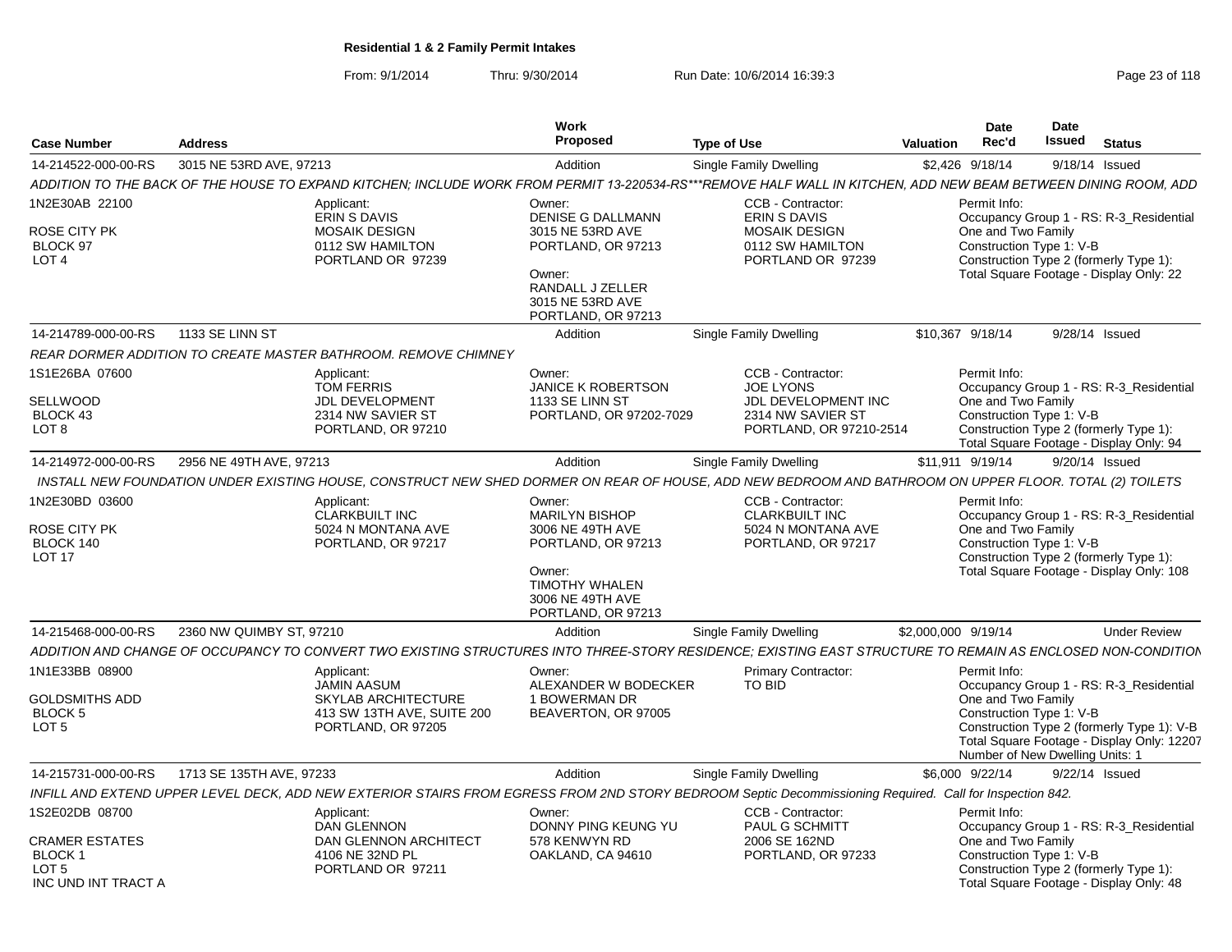From: 9/1/2014Thru: 9/30/2014 Run Date: 10/6/2014 16:39:3<br>
Page 23 of 118

|                                                                                                     |                          |                                                                                                                                                                 | <b>Work</b>                                                                                                                                          |                                                                                                       | <b>Date</b>                                                                                       | <b>Date</b>                                                                                                                         |
|-----------------------------------------------------------------------------------------------------|--------------------------|-----------------------------------------------------------------------------------------------------------------------------------------------------------------|------------------------------------------------------------------------------------------------------------------------------------------------------|-------------------------------------------------------------------------------------------------------|---------------------------------------------------------------------------------------------------|-------------------------------------------------------------------------------------------------------------------------------------|
| <b>Case Number</b>                                                                                  | <b>Address</b>           |                                                                                                                                                                 | Proposed                                                                                                                                             | <b>Type of Use</b>                                                                                    | Rec'd<br>Valuation                                                                                | Issued<br><b>Status</b>                                                                                                             |
| 14-214522-000-00-RS 3015 NE 53RD AVE, 97213                                                         |                          |                                                                                                                                                                 | Addition                                                                                                                                             | <b>Single Family Dwelling</b>                                                                         | \$2,426 9/18/14                                                                                   | 9/18/14 Issued                                                                                                                      |
|                                                                                                     |                          | ADDITION TO THE BACK OF THE HOUSE TO EXPAND KITCHEN; INCLUDE WORK FROM PERMIT 13-220534-RS***REMOVE HALF WALL IN KITCHEN, ADD NEW BEAM BETWEEN DINING ROOM, ADD |                                                                                                                                                      |                                                                                                       |                                                                                                   |                                                                                                                                     |
| IN2E30AB 22100<br>ROSE CITY PK<br>BLOCK 97<br>LOT <sub>4</sub>                                      |                          | Applicant:<br>ERIN S DAVIS<br><b>MOSAIK DESIGN</b><br>0112 SW HAMILTON<br>PORTLAND OR 97239                                                                     | Owner:<br><b>DENISE G DALLMANN</b><br>3015 NE 53RD AVE<br>PORTLAND, OR 97213<br>Owner:<br>RANDALL J ZELLER<br>3015 NE 53RD AVE<br>PORTLAND, OR 97213 | CCB - Contractor:<br>ERIN S DAVIS<br><b>MOSAIK DESIGN</b><br>0112 SW HAMILTON<br>PORTLAND OR 97239    | Permit Info:<br>One and Two Family<br>Construction Type 1: V-B                                    | Occupancy Group 1 - RS: R-3_Residential<br>Construction Type 2 (formerly Type 1):<br>Total Square Footage - Display Only: 22        |
| 14-214789-000-00-RS 1133 SE LINN ST                                                                 |                          |                                                                                                                                                                 | Addition                                                                                                                                             | Single Family Dwelling                                                                                | \$10.367 9/18/14                                                                                  | 9/28/14 Issued                                                                                                                      |
|                                                                                                     |                          | <b>REAR DORMER ADDITION TO CREATE MASTER BATHROOM. REMOVE CHIMNEY</b>                                                                                           |                                                                                                                                                      |                                                                                                       |                                                                                                   |                                                                                                                                     |
| 1S1E26BA 07600<br>SELLWOOD<br>BLOCK 43<br>LOT 8                                                     |                          | Applicant:<br>TOM FERRIS<br><b>JDL DEVELOPMENT</b><br>2314 NW SAVIER ST<br>PORTLAND, OR 97210                                                                   | Owner:<br><b>JANICE K ROBERTSON</b><br>1133 SE LINN ST<br>PORTLAND, OR 97202-7029                                                                    | CCB - Contractor:<br>JOE LYONS<br>JDL DEVELOPMENT INC<br>2314 NW SAVIER ST<br>PORTLAND, OR 97210-2514 | Permit Info:<br>One and Two Family<br>Construction Type 1: V-B                                    | Occupancy Group 1 - RS: R-3_Residential<br>Construction Type 2 (formerly Type 1):<br>Total Square Footage - Display Only: 94        |
| 14-214972-000-00-RS 2956 NE 49TH AVE, 97213                                                         |                          |                                                                                                                                                                 | Addition                                                                                                                                             | <b>Single Family Dwelling</b>                                                                         | \$11.911 9/19/14                                                                                  | 9/20/14 Issued                                                                                                                      |
|                                                                                                     |                          | INSTALL NEW FOUNDATION UNDER EXISTING HOUSE, CONSTRUCT NEW SHED DORMER ON REAR OF HOUSE, ADD NEW BEDROOM AND BATHROOM ON UPPER FLOOR. TOTAL (2) TOILETS         |                                                                                                                                                      |                                                                                                       |                                                                                                   |                                                                                                                                     |
| IN2E30BD 03600<br><b>ROSE CITY PK</b><br>BLOCK 140<br><b>LOT 17</b>                                 |                          | Applicant:<br>CLARKBUILT INC<br>5024 N MONTANA AVE<br>PORTLAND, OR 97217                                                                                        | Owner:<br>MARILYN BISHOP<br>3006 NE 49TH AVE<br>PORTLAND, OR 97213<br>Owner:<br><b>TIMOTHY WHALEN</b><br>3006 NE 49TH AVE<br>PORTLAND, OR 97213      | CCB - Contractor:<br><b>CLARKBUILT INC</b><br>5024 N MONTANA AVE<br>PORTLAND, OR 97217                | Permit Info:<br>One and Two Family<br>Construction Type 1: V-B                                    | Occupancy Group 1 - RS: R-3_Residential<br>Construction Type 2 (formerly Type 1):<br>Total Square Footage - Display Only: 108       |
| 14-215468-000-00-RS                                                                                 | 2360 NW QUIMBY ST. 97210 |                                                                                                                                                                 | Addition                                                                                                                                             | <b>Single Family Dwelling</b>                                                                         | \$2,000,000 9/19/14                                                                               | <b>Under Review</b>                                                                                                                 |
|                                                                                                     |                          | ADDITION AND CHANGE OF OCCUPANCY TO CONVERT TWO EXISTING STRUCTURES INTO THREE-STORY RESIDENCE; EXISTING EAST STRUCTURE TO REMAIN AS ENCLOSED NON-CONDITION     |                                                                                                                                                      |                                                                                                       |                                                                                                   |                                                                                                                                     |
| IN1E33BB 08900<br><b>GOLDSMITHS ADD</b><br><b>BLOCK 5</b><br>LOT <sub>5</sub>                       |                          | Applicant:<br><b>JAMIN AASUM</b><br>SKYLAB ARCHITECTURE<br>413 SW 13TH AVE, SUITE 200<br>PORTLAND, OR 97205                                                     | Owner:<br>ALEXANDER W BODECKER<br>1 BOWERMAN DR<br>BEAVERTON, OR 97005                                                                               | <b>Primary Contractor:</b><br>TO BID                                                                  | Permit Info:<br>One and Two Family<br>Construction Type 1: V-B<br>Number of New Dwelling Units: 1 | Occupancy Group 1 - RS: R-3_Residential<br>Construction Type 2 (formerly Type 1): V-B<br>Total Square Footage - Display Only: 12207 |
| 14-215731-000-00-RS    1713 SE 135TH AVE, 97233                                                     |                          |                                                                                                                                                                 | Addition                                                                                                                                             | <b>Single Family Dwelling</b>                                                                         | \$6,000 9/22/14                                                                                   | 9/22/14 Issued                                                                                                                      |
|                                                                                                     |                          | INFILL AND EXTEND UPPER LEVEL DECK, ADD NEW EXTERIOR STAIRS FROM EGRESS FROM 2ND STORY BEDROOM Septic Decommissioning Required. Call for Inspection 842.        |                                                                                                                                                      |                                                                                                       |                                                                                                   |                                                                                                                                     |
| IS2E02DB 08700<br><b>CRAMER ESTATES</b><br><b>BLOCK1</b><br>LOT <sub>5</sub><br>INC UND INT TRACT A |                          | Applicant:<br>DAN GLENNON<br>DAN GLENNON ARCHITECT<br>4106 NE 32ND PL<br>PORTLAND OR 97211                                                                      | Owner:<br>DONNY PING KEUNG YU<br>578 KENWYN RD<br>OAKLAND, CA 94610                                                                                  | CCB - Contractor:<br>PAUL G SCHMITT<br>2006 SE 162ND<br>PORTLAND, OR 97233                            | Permit Info:<br>One and Two Family<br>Construction Type 1: V-B                                    | Occupancy Group 1 - RS: R-3_Residential<br>Construction Type 2 (formerly Type 1):<br>Total Square Footage - Display Only: 48        |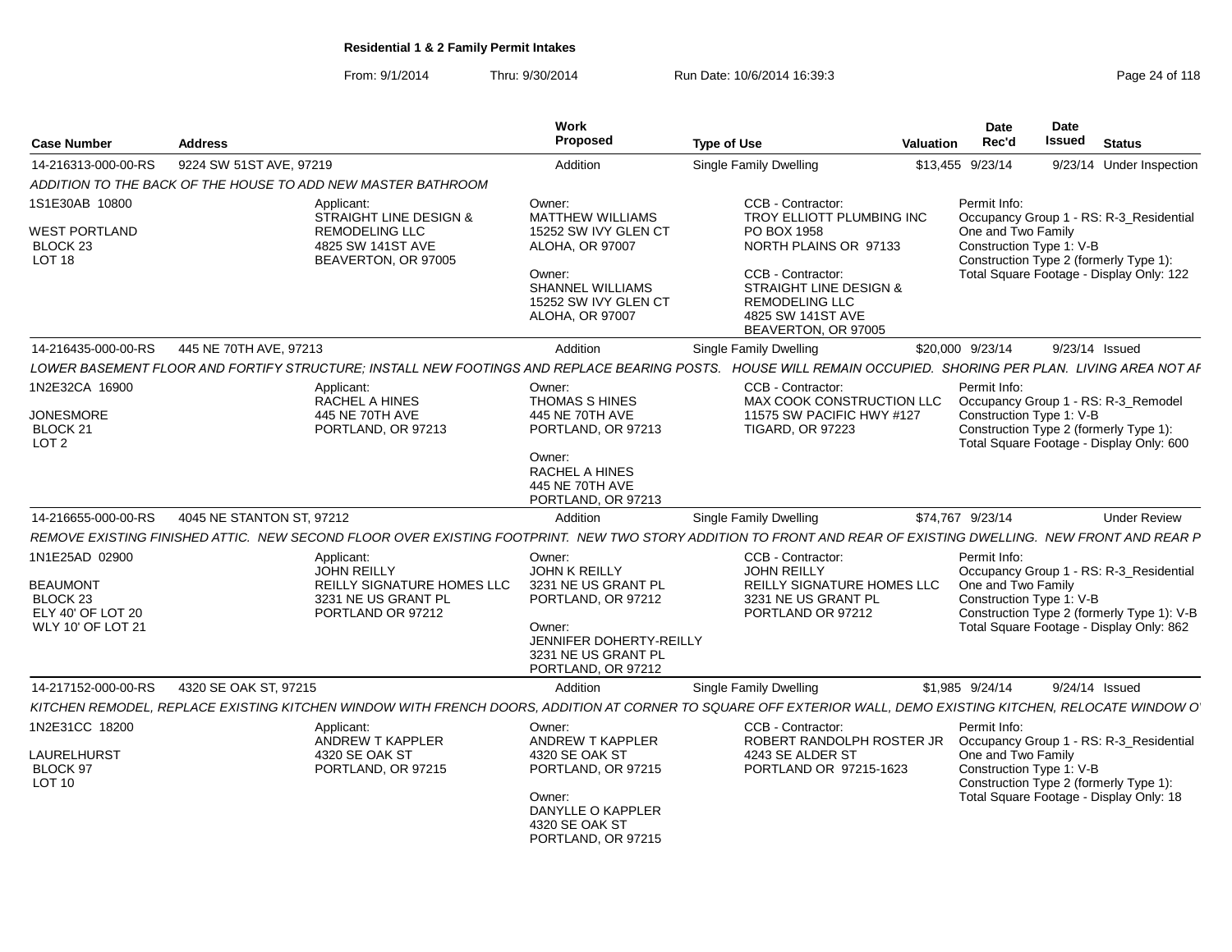From: 9/1/2014Thru: 9/30/2014 Run Date: 10/6/2014 16:39:3<br>
Page 24 of 118

| <b>Case Number</b>                                          | <b>Address</b>                                                                                                                                                | <b>Work</b><br>Proposed                                                                                                 | <b>Type of Use</b>                                                                                                                                       | <b>Valuation</b> | <b>Date</b><br>Rec'd                                                                                                                | Date<br><b>Issued</b> | <b>Status</b>                                                                      |
|-------------------------------------------------------------|---------------------------------------------------------------------------------------------------------------------------------------------------------------|-------------------------------------------------------------------------------------------------------------------------|----------------------------------------------------------------------------------------------------------------------------------------------------------|------------------|-------------------------------------------------------------------------------------------------------------------------------------|-----------------------|------------------------------------------------------------------------------------|
| 14-216313-000-00-RS                                         | 9224 SW 51ST AVE, 97219                                                                                                                                       | Addition                                                                                                                | <b>Single Family Dwelling</b>                                                                                                                            |                  | \$13,455 9/23/14                                                                                                                    |                       | 9/23/14 Under Inspection                                                           |
|                                                             | ADDITION TO THE BACK OF THE HOUSE TO ADD NEW MASTER BATHROOM                                                                                                  |                                                                                                                         |                                                                                                                                                          |                  |                                                                                                                                     |                       |                                                                                    |
| 1S1E30AB 10800                                              | Applicant:<br><b>STRAIGHT LINE DESIGN &amp;</b>                                                                                                               | Owner:<br><b>MATTHEW WILLIAMS</b>                                                                                       | CCB - Contractor:<br>TROY ELLIOTT PLUMBING INC                                                                                                           |                  | Permit Info:                                                                                                                        |                       | Occupancy Group 1 - RS: R-3_Residential                                            |
| <b>WEST PORTLAND</b><br>BLOCK 23<br>LOT <sub>18</sub>       | <b>REMODELING LLC</b><br>4825 SW 141ST AVE<br>BEAVERTON, OR 97005                                                                                             | 15252 SW IVY GLEN CT<br>ALOHA, OR 97007<br>Owner:<br>SHANNEL WILLIAMS<br>15252 SW IVY GLEN CT<br><b>ALOHA, OR 97007</b> | PO BOX 1958<br>NORTH PLAINS OR 97133<br>CCB - Contractor:<br>STRAIGHT LINE DESIGN &<br><b>REMODELING LLC</b><br>4825 SW 141ST AVE<br>BEAVERTON, OR 97005 |                  | One and Two Family<br>Construction Type 1: V-B                                                                                      |                       | Construction Type 2 (formerly Type 1):<br>Total Square Footage - Display Only: 122 |
| 14-216435-000-00-RS                                         | 445 NE 70TH AVE, 97213                                                                                                                                        | Addition                                                                                                                | <b>Single Family Dwelling</b>                                                                                                                            |                  | \$20,000 9/23/14                                                                                                                    |                       | 9/23/14 Issued                                                                     |
|                                                             | LOWER BASEMENT FLOOR AND FORTIFY STRUCTURE; INSTALL NEW FOOTINGS AND REPLACE BEARING POSTS.                                                                   |                                                                                                                         | HOUSE WILL REMAIN OCCUPIED. SHORING PER PLAN. LIVING AREA NOT AF                                                                                         |                  |                                                                                                                                     |                       |                                                                                    |
| 1N2E32CA 16900                                              | Applicant:<br>RACHEL A HINES                                                                                                                                  | Owner:<br>THOMAS S HINES                                                                                                | CCB - Contractor:<br>MAX COOK CONSTRUCTION LLC                                                                                                           |                  | Permit Info:                                                                                                                        |                       | Occupancy Group 1 - RS: R-3_Remodel                                                |
| <b>JONESMORE</b><br>BLOCK <sub>21</sub><br>LOT <sub>2</sub> | 445 NE 70TH AVE<br>PORTLAND, OR 97213                                                                                                                         | 445 NE 70TH AVE<br>PORTLAND, OR 97213<br>Owner:                                                                         | 11575 SW PACIFIC HWY #127<br><b>TIGARD, OR 97223</b>                                                                                                     |                  | Construction Type 1: V-B                                                                                                            |                       | Construction Type 2 (formerly Type 1):<br>Total Square Footage - Display Only: 600 |
|                                                             |                                                                                                                                                               | <b>RACHEL A HINES</b><br>445 NE 70TH AVE<br>PORTLAND, OR 97213                                                          |                                                                                                                                                          |                  |                                                                                                                                     |                       |                                                                                    |
| 14-216655-000-00-RS                                         | 4045 NE STANTON ST, 97212                                                                                                                                     | Addition                                                                                                                | Single Family Dwelling                                                                                                                                   |                  | \$74,767 9/23/14                                                                                                                    |                       | <b>Under Review</b>                                                                |
|                                                             | REMOVE EXISTING FINISHED ATTIC. NEW SECOND FLOOR OVER EXISTING FOOTPRINT. NEW TWO STORY ADDITION TO FRONT AND REAR OF EXISTING DWELLING. NEW FRONT AND REAR P |                                                                                                                         |                                                                                                                                                          |                  |                                                                                                                                     |                       |                                                                                    |
| 1N1E25AD 02900                                              | Applicant:<br><b>JOHN REILLY</b>                                                                                                                              | Owner:<br><b>JOHN K REILLY</b>                                                                                          | CCB - Contractor:<br><b>JOHN REILLY</b>                                                                                                                  |                  | Permit Info:                                                                                                                        |                       | Occupancy Group 1 - RS: R-3_Residential                                            |
| <b>BEAUMONT</b><br>BLOCK <sub>23</sub><br>ELY 40' OF LOT 20 | REILLY SIGNATURE HOMES LLC<br>3231 NE US GRANT PL<br>PORTLAND OR 97212                                                                                        | 3231 NE US GRANT PL<br>PORTLAND, OR 97212                                                                               | REILLY SIGNATURE HOMES LLC<br>3231 NE US GRANT PL<br>PORTLAND OR 97212                                                                                   |                  | One and Two Family<br>Construction Type 1: V-B                                                                                      |                       | Construction Type 2 (formerly Type 1): V-B                                         |
| <b>WLY 10' OF LOT 21</b>                                    |                                                                                                                                                               | Owner:<br>JENNIFER DOHERTY-REILLY<br>3231 NE US GRANT PL<br>PORTLAND, OR 97212                                          |                                                                                                                                                          |                  |                                                                                                                                     |                       | Total Square Footage - Display Only: 862                                           |
| 14-217152-000-00-RS                                         | 4320 SE OAK ST, 97215                                                                                                                                         | Addition                                                                                                                | <b>Single Family Dwelling</b>                                                                                                                            |                  | \$1,985 9/24/14                                                                                                                     |                       | 9/24/14 Issued                                                                     |
|                                                             | KITCHEN REMODEL, REPLACE EXISTING KITCHEN WINDOW WITH FRENCH DOORS, ADDITION AT CORNER TO SQUARE OFF EXTERIOR WALL, DEMO EXISTING KITCHEN, RELOCATE WINDOW O  |                                                                                                                         |                                                                                                                                                          |                  |                                                                                                                                     |                       |                                                                                    |
| 1N2E31CC 18200                                              | Applicant:<br>ANDREW T KAPPLER                                                                                                                                | Owner:<br>ANDREW T KAPPLER                                                                                              | CCB - Contractor:<br>ROBERT RANDOLPH ROSTER JR                                                                                                           |                  | Permit Info:                                                                                                                        |                       | Occupancy Group 1 - RS: R-3_Residential                                            |
| LAURELHURST<br>BLOCK 97<br>LOT 10                           | 4320 SE OAK ST<br>PORTLAND, OR 97215                                                                                                                          | 4320 SE OAK ST<br>PORTLAND, OR 97215                                                                                    | 4243 SE ALDER ST<br>PORTLAND OR 97215-1623                                                                                                               |                  | One and Two Family<br>Construction Type 1: V-B<br>Construction Type 2 (formerly Type 1):<br>Total Square Footage - Display Only: 18 |                       |                                                                                    |
|                                                             |                                                                                                                                                               | Owner:<br>DANYLLE O KAPPLER<br>4320 SE OAK ST<br>PORTLAND, OR 97215                                                     |                                                                                                                                                          |                  |                                                                                                                                     |                       |                                                                                    |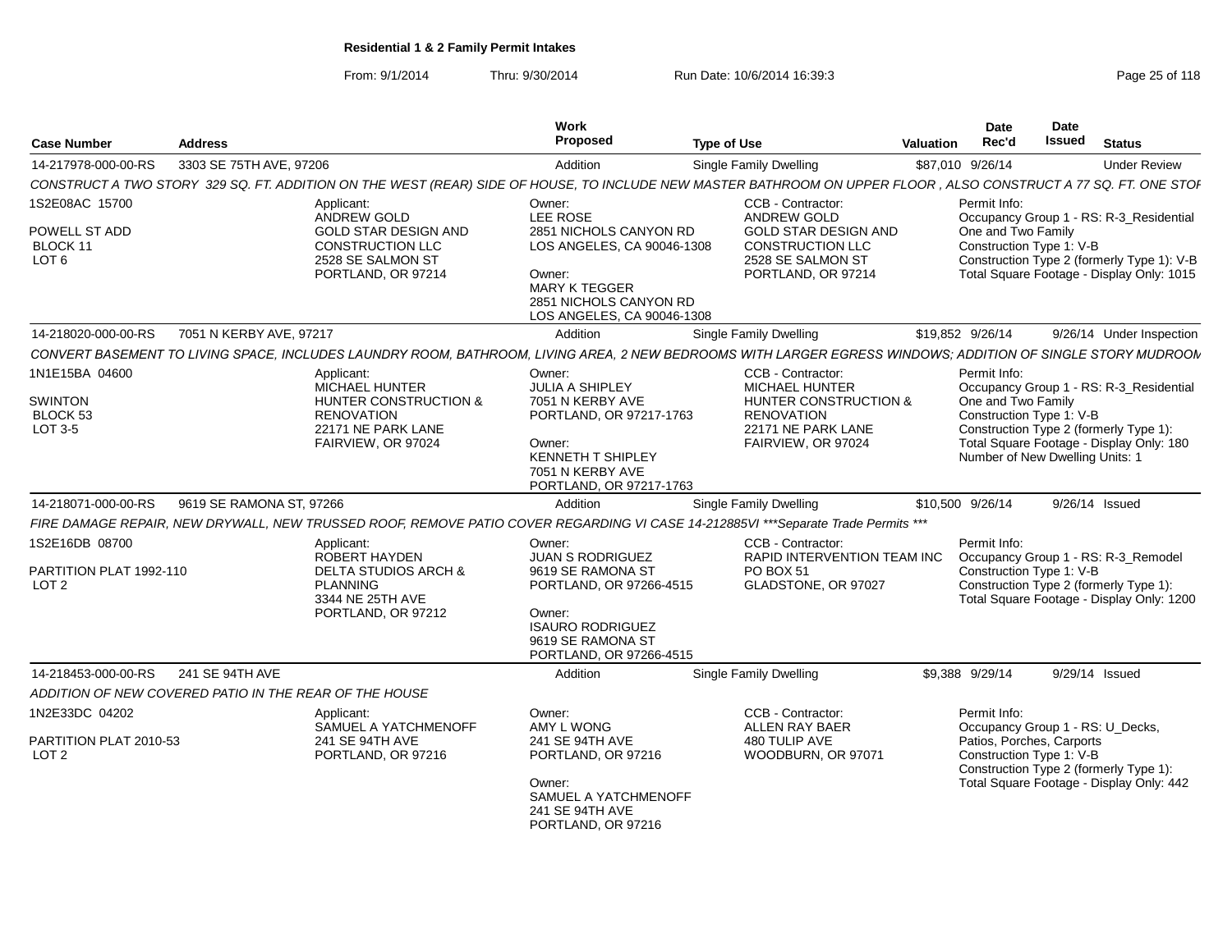From: 9/1/2014Thru: 9/30/2014 Run Date: 10/6/2014 16:39:3<br>
Page 25 of 118

| <b>Case Number</b>                            | <b>Address</b>                                                                               | <b>Work</b><br>Proposed                                                                                                                                          | <b>Type of Use</b>                                                                         | <b>Date</b><br>Rec'd<br><b>Valuation</b> | Date<br><b>Issued</b><br><b>Status</b>                                                                                                            |                     |
|-----------------------------------------------|----------------------------------------------------------------------------------------------|------------------------------------------------------------------------------------------------------------------------------------------------------------------|--------------------------------------------------------------------------------------------|------------------------------------------|---------------------------------------------------------------------------------------------------------------------------------------------------|---------------------|
| 14-217978-000-00-RS                           | 3303 SE 75TH AVE, 97206                                                                      | Addition                                                                                                                                                         | Single Family Dwelling                                                                     | \$87,010 9/26/14                         |                                                                                                                                                   | <b>Under Review</b> |
|                                               |                                                                                              | CONSTRUCT A TWO STORY 329 SQ. FT. ADDITION ON THE WEST (REAR) SIDE OF HOUSE, TO INCLUDE NEW MASTER BATHROOM ON UPPER FLOOR, ALSO CONSTRUCT A 77 SQ. FT. ONE STOI |                                                                                            |                                          |                                                                                                                                                   |                     |
| 1S2E08AC 15700                                | Applicant:<br>ANDREW GOLD                                                                    | Owner:<br>LEE ROSE                                                                                                                                               | CCB - Contractor:<br>ANDREW GOLD                                                           | Permit Info:                             | Occupancy Group 1 - RS: R-3 Residential                                                                                                           |                     |
| POWELL ST ADD<br>BLOCK 11<br>LOT <sub>6</sub> | GOLD STAR DESIGN AND<br><b>CONSTRUCTION LLC</b><br>2528 SE SALMON ST<br>PORTLAND, OR 97214   | 2851 NICHOLS CANYON RD<br>LOS ANGELES, CA 90046-1308<br>Owner:<br><b>MARY K TEGGER</b><br>2851 NICHOLS CANYON RD<br>LOS ANGELES, CA 90046-1308                   | <b>GOLD STAR DESIGN AND</b><br>CONSTRUCTION LLC<br>2528 SE SALMON ST<br>PORTLAND, OR 97214 | One and Two Family                       | Construction Type 1: V-B<br>Construction Type 2 (formerly Type 1): V-B<br>Total Square Footage - Display Only: 1015                               |                     |
| 14-218020-000-00-RS                           | 7051 N KERBY AVE, 97217                                                                      | Addition                                                                                                                                                         | <b>Single Family Dwelling</b>                                                              | \$19,852 9/26/14                         | 9/26/14 Under Inspection                                                                                                                          |                     |
|                                               |                                                                                              | CONVERT BASEMENT TO LIVING SPACE, INCLUDES LAUNDRY ROOM, BATHROOM, LIVING AREA, 2 NEW BEDROOMS WITH LARGER EGRESS WINDOWS; ADDITION OF SINGLE STORY MUDROON      |                                                                                            |                                          |                                                                                                                                                   |                     |
| 1N1E15BA 04600<br><b>SWINTON</b>              | Applicant:<br><b>MICHAEL HUNTER</b><br><b>HUNTER CONSTRUCTION &amp;</b>                      | Owner:<br><b>JULIA A SHIPLEY</b><br>7051 N KERBY AVE                                                                                                             | CCB - Contractor:<br><b>MICHAEL HUNTER</b><br><b>HUNTER CONSTRUCTION &amp;</b>             | Permit Info:<br>One and Two Family       | Occupancy Group 1 - RS: R-3 Residential                                                                                                           |                     |
| BLOCK 53<br>LOT 3-5                           | <b>RENOVATION</b><br>22171 NE PARK LANE<br>FAIRVIEW, OR 97024                                | PORTLAND, OR 97217-1763<br>Owner:<br><b>KENNETH T SHIPLEY</b><br>7051 N KERBY AVE<br>PORTLAND, OR 97217-1763                                                     | <b>RENOVATION</b><br>22171 NE PARK LANE<br>FAIRVIEW, OR 97024                              |                                          | Construction Type 1: V-B<br>Construction Type 2 (formerly Type 1):<br>Total Square Footage - Display Only: 180<br>Number of New Dwelling Units: 1 |                     |
| 14-218071-000-00-RS                           | 9619 SE RAMONA ST. 97266                                                                     | Addition                                                                                                                                                         | Single Family Dwelling                                                                     | \$10,500 9/26/14                         | 9/26/14 Issued                                                                                                                                    |                     |
|                                               |                                                                                              | FIRE DAMAGE REPAIR, NEW DRYWALL, NEW TRUSSED ROOF, REMOVE PATIO COVER REGARDING VI CASE 14-212885VI ***Separate Trade Permits ***                                |                                                                                            |                                          |                                                                                                                                                   |                     |
| 1S2E16DB 08700                                | Applicant:<br><b>ROBERT HAYDEN</b>                                                           | Owner:<br><b>JUAN S RODRIGUEZ</b>                                                                                                                                | <b>CCB - Contractor:</b><br>RAPID INTERVENTION TEAM INC                                    | Permit Info:                             | Occupancy Group 1 - RS: R-3_Remodel                                                                                                               |                     |
| PARTITION PLAT 1992-110<br>LOT <sub>2</sub>   | <b>DELTA STUDIOS ARCH &amp;</b><br><b>PLANNING</b><br>3344 NE 25TH AVE<br>PORTLAND, OR 97212 | 9619 SE RAMONA ST<br>PORTLAND, OR 97266-4515<br>Owner:<br><b>ISAURO RODRIGUEZ</b><br>9619 SE RAMONA ST<br>PORTLAND, OR 97266-4515                                | PO BOX 51<br>GLADSTONE, OR 97027                                                           |                                          | Construction Type 1: V-B<br>Construction Type 2 (formerly Type 1):<br>Total Square Footage - Display Only: 1200                                   |                     |
| 14-218453-000-00-RS                           | 241 SE 94TH AVE                                                                              | Addition                                                                                                                                                         | <b>Single Family Dwelling</b>                                                              | \$9.388 9/29/14                          | 9/29/14 Issued                                                                                                                                    |                     |
|                                               | ADDITION OF NEW COVERED PATIO IN THE REAR OF THE HOUSE                                       |                                                                                                                                                                  |                                                                                            |                                          |                                                                                                                                                   |                     |
| 1N2E33DC 04202                                | Applicant:<br>SAMUEL A YATCHMENOFF                                                           | Owner:<br>AMY L WONG                                                                                                                                             | CCB - Contractor:<br><b>ALLEN RAY BAER</b>                                                 | Permit Info:                             | Occupancy Group 1 - RS: U_Decks,                                                                                                                  |                     |
| PARTITION PLAT 2010-53<br>LOT <sub>2</sub>    | 241 SE 94TH AVE<br>PORTLAND, OR 97216                                                        | 241 SE 94TH AVE<br>PORTLAND, OR 97216<br>Owner:                                                                                                                  | 480 TULIP AVE<br>WOODBURN, OR 97071                                                        |                                          | Patios, Porches, Carports<br>Construction Type 1: V-B<br>Construction Type 2 (formerly Type 1):<br>Total Square Footage - Display Only: 442       |                     |
|                                               |                                                                                              | SAMUEL A YATCHMENOFF<br>241 SE 94TH AVE<br>PORTLAND, OR 97216                                                                                                    |                                                                                            |                                          |                                                                                                                                                   |                     |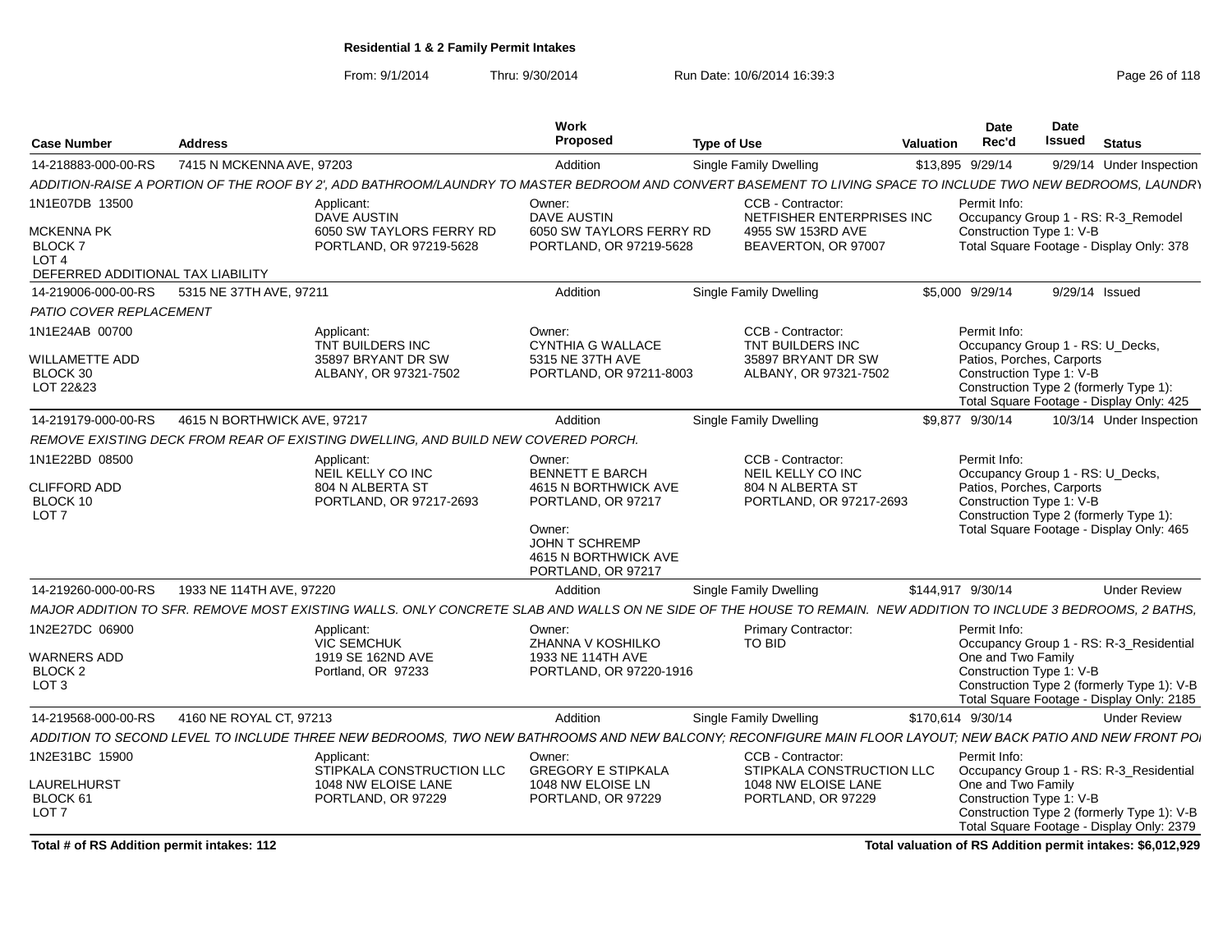From: 9/1/2014Thru: 9/30/2014 Run Date: 10/6/2014 16:39:3<br>
Page 26 of 118

| <b>Case Number</b>                                                                   | <b>Address</b>              |                                                                                                                                                                 | Work<br>Proposed                                                                                                                   | <b>Type of Use</b>                                                                    | <b>Valuation</b> | Date<br>Rec'd                                                                 | <b>Date</b><br><b>Issued</b> | <b>Status</b>                                                                                                          |
|--------------------------------------------------------------------------------------|-----------------------------|-----------------------------------------------------------------------------------------------------------------------------------------------------------------|------------------------------------------------------------------------------------------------------------------------------------|---------------------------------------------------------------------------------------|------------------|-------------------------------------------------------------------------------|------------------------------|------------------------------------------------------------------------------------------------------------------------|
| 14-218883-000-00-RS                                                                  | 7415 N MCKENNA AVE, 97203   |                                                                                                                                                                 | Addition                                                                                                                           | Single Family Dwelling                                                                |                  | \$13,895 9/29/14                                                              |                              | 9/29/14 Under Inspection                                                                                               |
|                                                                                      |                             | ADDITION-RAISE A PORTION OF THE ROOF BY 2', ADD BATHROOM/LAUNDRY TO MASTER BEDROOM AND CONVERT BASEMENT TO LIVING SPACE TO INCLUDE TWO NEW BEDROOMS, LAUNDRY    |                                                                                                                                    |                                                                                       |                  |                                                                               |                              |                                                                                                                        |
| 1N1E07DB 13500                                                                       |                             | Applicant:<br><b>DAVE AUSTIN</b>                                                                                                                                | Owner:<br>DAVE AUSTIN                                                                                                              | CCB - Contractor:<br>NETFISHER ENTERPRISES INC                                        |                  | Permit Info:                                                                  |                              | Occupancy Group 1 - RS: R-3_Remodel                                                                                    |
| MCKENNA PK<br><b>BLOCK7</b><br>LOT <sub>4</sub><br>DEFERRED ADDITIONAL TAX LIABILITY |                             | 6050 SW TAYLORS FERRY RD<br>PORTLAND, OR 97219-5628                                                                                                             | 6050 SW TAYLORS FERRY RD<br>PORTLAND, OR 97219-5628                                                                                | 4955 SW 153RD AVE<br>BEAVERTON, OR 97007                                              |                  | Construction Type 1: V-B                                                      |                              | Total Square Footage - Display Only: 378                                                                               |
| 14-219006-000-00-RS                                                                  | 5315 NE 37TH AVE, 97211     |                                                                                                                                                                 | Addition                                                                                                                           | <b>Single Family Dwelling</b>                                                         |                  | \$5,000 9/29/14                                                               |                              | 9/29/14 Issued                                                                                                         |
| PATIO COVER REPLACEMENT                                                              |                             |                                                                                                                                                                 |                                                                                                                                    |                                                                                       |                  |                                                                               |                              |                                                                                                                        |
| 1N1E24AB 00700<br>WILLAMETTE ADD                                                     |                             | Applicant:<br>TNT BUILDERS INC<br>35897 BRYANT DR SW                                                                                                            | Owner:<br><b>CYNTHIA G WALLACE</b><br>5315 NE 37TH AVE                                                                             | CCB - Contractor:<br>TNT BUILDERS INC<br>35897 BRYANT DR SW                           |                  | Permit Info:<br>Occupancy Group 1 - RS: U_Decks,<br>Patios, Porches, Carports |                              |                                                                                                                        |
| BLOCK 30<br>LOT 22&23                                                                |                             | ALBANY, OR 97321-7502                                                                                                                                           | PORTLAND, OR 97211-8003                                                                                                            | ALBANY, OR 97321-7502                                                                 |                  | Construction Type 1: V-B                                                      |                              | Construction Type 2 (formerly Type 1):<br>Total Square Footage - Display Only: 425                                     |
| 14-219179-000-00-RS                                                                  | 4615 N BORTHWICK AVE, 97217 |                                                                                                                                                                 | Addition                                                                                                                           | Single Family Dwelling                                                                |                  | \$9.877 9/30/14                                                               |                              | 10/3/14 Under Inspection                                                                                               |
|                                                                                      |                             | REMOVE EXISTING DECK FROM REAR OF EXISTING DWELLING, AND BUILD NEW COVERED PORCH.                                                                               |                                                                                                                                    |                                                                                       |                  |                                                                               |                              |                                                                                                                        |
| 1N1E22BD 08500<br><b>CLIFFORD ADD</b><br>BLOCK 10<br>LOT <sub>7</sub>                |                             | Applicant:<br>NEIL KELLY CO INC<br>804 N ALBERTA ST<br>PORTLAND, OR 97217-2693                                                                                  | Owner:<br><b>BENNETT E BARCH</b><br>4615 N BORTHWICK AVE<br>PORTLAND, OR 97217<br>Owner:<br>JOHN T SCHREMP<br>4615 N BORTHWICK AVE | CCB - Contractor:<br>NEIL KELLY CO INC<br>804 N ALBERTA ST<br>PORTLAND, OR 97217-2693 |                  | Permit Info:<br>Patios, Porches, Carports<br>Construction Type 1: V-B         |                              | Occupancy Group 1 - RS: U_Decks,<br>Construction Type 2 (formerly Type 1):<br>Total Square Footage - Display Only: 465 |
| 14-219260-000-00-RS                                                                  | 1933 NE 114TH AVE, 97220    |                                                                                                                                                                 | PORTLAND, OR 97217                                                                                                                 |                                                                                       |                  | \$144,917 9/30/14                                                             |                              | <b>Under Review</b>                                                                                                    |
|                                                                                      |                             |                                                                                                                                                                 | Addition                                                                                                                           | <b>Single Family Dwelling</b>                                                         |                  |                                                                               |                              |                                                                                                                        |
| 1N2E27DC 06900                                                                       |                             | MAJOR ADDITION TO SFR. REMOVE MOST EXISTING WALLS. ONLY CONCRETE SLAB AND WALLS ON NE SIDE OF THE HOUSE TO REMAIN. NEW ADDITION TO INCLUDE 3 BEDROOMS, 2 BATHS, |                                                                                                                                    |                                                                                       |                  | Permit Info:                                                                  |                              |                                                                                                                        |
| WARNERS ADD                                                                          |                             | Applicant:<br><b>VIC SEMCHUK</b><br>1919 SE 162ND AVE                                                                                                           | Owner:<br>ZHANNA V KOSHILKO<br>1933 NE 114TH AVE                                                                                   | Primary Contractor:<br>TO BID                                                         |                  | One and Two Family                                                            |                              | Occupancy Group 1 - RS: R-3_Residential                                                                                |
| <b>BLOCK 2</b><br>LOT <sub>3</sub>                                                   |                             | Portland, OR 97233                                                                                                                                              | PORTLAND, OR 97220-1916                                                                                                            |                                                                                       |                  | Construction Type 1: V-B                                                      |                              | Construction Type 2 (formerly Type 1): V-B<br>Total Square Footage - Display Only: 2185                                |
| 14-219568-000-00-RS                                                                  | 4160 NE ROYAL CT, 97213     |                                                                                                                                                                 | Addition                                                                                                                           | Single Family Dwelling                                                                |                  | \$170,614 9/30/14                                                             |                              | <b>Under Review</b>                                                                                                    |
|                                                                                      |                             | ADDITION TO SECOND LEVEL TO INCLUDE THREE NEW BEDROOMS, TWO NEW BATHROOMS AND NEW BALCONY; RECONFIGURE MAIN FLOOR LAYOUT; NEW BACK PATIO AND NEW FRONT POI      |                                                                                                                                    |                                                                                       |                  |                                                                               |                              |                                                                                                                        |
| 1N2E31BC 15900                                                                       |                             | Applicant:<br>STIPKALA CONSTRUCTION LLC                                                                                                                         | Owner:<br><b>GREGORY E STIPKALA</b>                                                                                                | CCB - Contractor:<br>STIPKALA CONSTRUCTION LLC                                        |                  | Permit Info:                                                                  |                              | Occupancy Group 1 - RS: R-3 Residential                                                                                |
| LAURELHURST<br>BLOCK 61<br>LOT <sub>7</sub>                                          |                             | 1048 NW ELOISE LANE<br>PORTLAND, OR 97229                                                                                                                       | 1048 NW ELOISE LN<br>PORTLAND, OR 97229                                                                                            | 1048 NW ELOISE LANE<br>PORTLAND, OR 97229                                             |                  | One and Two Family<br>Construction Type 1: V-B                                |                              | Construction Type 2 (formerly Type 1): V-B<br>Total Square Footage - Display Only: 2379                                |

**Total # of RS Addition permit intakes: 112**

**Total valuation of RS Addition permit intakes: \$6,012,929**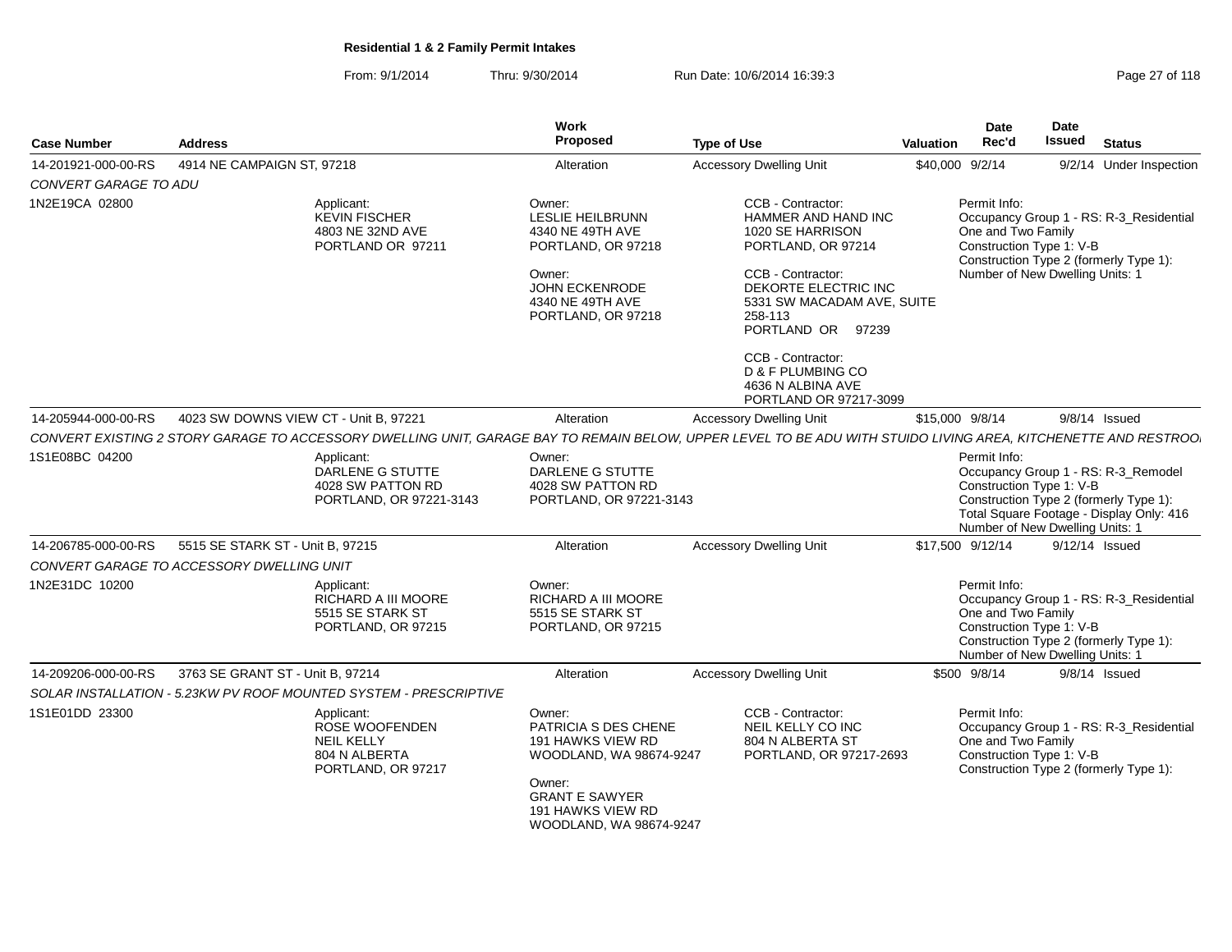From: 9/1/2014Thru: 9/30/2014 Run Date: 10/6/2014 16:39:3<br>
Page 27 of 118

| <b>Case Number</b>    | <b>Address</b>                                                                |                                                                                          | Work<br><b>Proposed</b>                                                                                                                                           | <b>Type of Use</b>                                                                                                                                                                                                                                                                     | <b>Valuation</b> | <b>Date</b><br>Rec'd                                                                              | <b>Date</b><br><b>Issued</b> | <b>Status</b>                                                                                                             |
|-----------------------|-------------------------------------------------------------------------------|------------------------------------------------------------------------------------------|-------------------------------------------------------------------------------------------------------------------------------------------------------------------|----------------------------------------------------------------------------------------------------------------------------------------------------------------------------------------------------------------------------------------------------------------------------------------|------------------|---------------------------------------------------------------------------------------------------|------------------------------|---------------------------------------------------------------------------------------------------------------------------|
| 14-201921-000-00-RS   | 4914 NE CAMPAIGN ST, 97218                                                    |                                                                                          | Alteration                                                                                                                                                        | <b>Accessory Dwelling Unit</b>                                                                                                                                                                                                                                                         |                  | \$40,000 9/2/14                                                                                   |                              | 9/2/14 Under Inspection                                                                                                   |
| CONVERT GARAGE TO ADU |                                                                               |                                                                                          |                                                                                                                                                                   |                                                                                                                                                                                                                                                                                        |                  |                                                                                                   |                              |                                                                                                                           |
| 1N2E19CA 02800        |                                                                               | Applicant:<br>KEVIN FISCHER<br>4803 NE 32ND AVE<br>PORTLAND OR 97211                     | Owner:<br>LESLIE HEILBRUNN<br>4340 NE 49TH AVE<br>PORTLAND, OR 97218<br>Owner:<br>JOHN ECKENRODE<br>4340 NE 49TH AVE<br>PORTLAND, OR 97218                        | CCB - Contractor:<br>HAMMER AND HAND INC<br>1020 SE HARRISON<br>PORTLAND, OR 97214<br>CCB - Contractor:<br>DEKORTE ELECTRIC INC<br>5331 SW MACADAM AVE, SUITE<br>258-113<br>PORTLAND OR 97239<br>CCB - Contractor:<br>D & F PLUMBING CO<br>4636 N ALBINA AVE<br>PORTLAND OR 97217-3099 |                  | Permit Info:<br>One and Two Family<br>Construction Type 1: V-B<br>Number of New Dwelling Units: 1 |                              | Occupancy Group 1 - RS: R-3_Residential<br>Construction Type 2 (formerly Type 1):                                         |
| 14-205944-000-00-RS   |                                                                               | 4023 SW DOWNS VIEW CT - Unit B, 97221                                                    | Alteration                                                                                                                                                        | <b>Accessory Dwelling Unit</b>                                                                                                                                                                                                                                                         |                  | \$15,000 9/8/14                                                                                   |                              | $9/8/14$ Issued                                                                                                           |
|                       |                                                                               |                                                                                          |                                                                                                                                                                   | CONVERT EXISTING 2 STORY GARAGE TO ACCESSORY DWELLING UNIT, GARAGE BAY TO REMAIN BELOW, UPPER LEVEL TO BE ADU WITH STUIDO LIVING AREA, KITCHENETTE AND RESTROO.                                                                                                                        |                  |                                                                                                   |                              |                                                                                                                           |
| 1S1E08BC 04200        |                                                                               | Applicant:<br>DARLENE G STUTTE<br>4028 SW PATTON RD<br>PORTLAND, OR 97221-3143           | Owner:<br>DARLENE G STUTTE<br>4028 SW PATTON RD<br>PORTLAND, OR 97221-3143                                                                                        |                                                                                                                                                                                                                                                                                        |                  | Permit Info:<br>Construction Type 1: V-B<br>Number of New Dwelling Units: 1                       |                              | Occupancy Group 1 - RS: R-3_Remodel<br>Construction Type 2 (formerly Type 1):<br>Total Square Footage - Display Only: 416 |
| 14-206785-000-00-RS   | 5515 SE STARK ST - Unit B, 97215<br>CONVERT GARAGE TO ACCESSORY DWELLING UNIT |                                                                                          | Alteration                                                                                                                                                        | <b>Accessory Dwelling Unit</b>                                                                                                                                                                                                                                                         |                  | \$17,500 9/12/14                                                                                  |                              | 9/12/14 Issued                                                                                                            |
| 1N2E31DC 10200        |                                                                               | Applicant:<br>RICHARD A III MOORE<br>5515 SE STARK ST<br>PORTLAND, OR 97215              | Owner:<br>RICHARD A III MOORE<br>5515 SE STARK ST<br>PORTLAND, OR 97215                                                                                           |                                                                                                                                                                                                                                                                                        |                  | Permit Info:<br>One and Two Family<br>Construction Type 1: V-B<br>Number of New Dwelling Units: 1 |                              | Occupancy Group 1 - RS: R-3 Residential<br>Construction Type 2 (formerly Type 1):                                         |
| 14-209206-000-00-RS   | 3763 SE GRANT ST - Unit B, 97214                                              |                                                                                          | Alteration                                                                                                                                                        | <b>Accessory Dwelling Unit</b>                                                                                                                                                                                                                                                         |                  | \$500 9/8/14                                                                                      |                              | $9/8/14$ Issued                                                                                                           |
|                       |                                                                               | SOLAR INSTALLATION - 5.23KW PV ROOF MOUNTED SYSTEM - PRESCRIPTIVE                        |                                                                                                                                                                   |                                                                                                                                                                                                                                                                                        |                  |                                                                                                   |                              |                                                                                                                           |
| 1S1E01DD 23300        |                                                                               | Applicant:<br>ROSE WOOFENDEN<br><b>NEIL KELLY</b><br>804 N ALBERTA<br>PORTLAND, OR 97217 | Owner:<br>PATRICIA S DES CHENE<br>191 HAWKS VIEW RD<br>WOODLAND, WA 98674-9247<br>Owner:<br><b>GRANT E SAWYER</b><br>191 HAWKS VIEW RD<br>WOODLAND, WA 98674-9247 | CCB - Contractor:<br>NEIL KELLY CO INC<br>804 N ALBERTA ST<br>PORTLAND, OR 97217-2693                                                                                                                                                                                                  |                  | Permit Info:<br>One and Two Family<br>Construction Type 1: V-B                                    |                              | Occupancy Group 1 - RS: R-3_Residential<br>Construction Type 2 (formerly Type 1):                                         |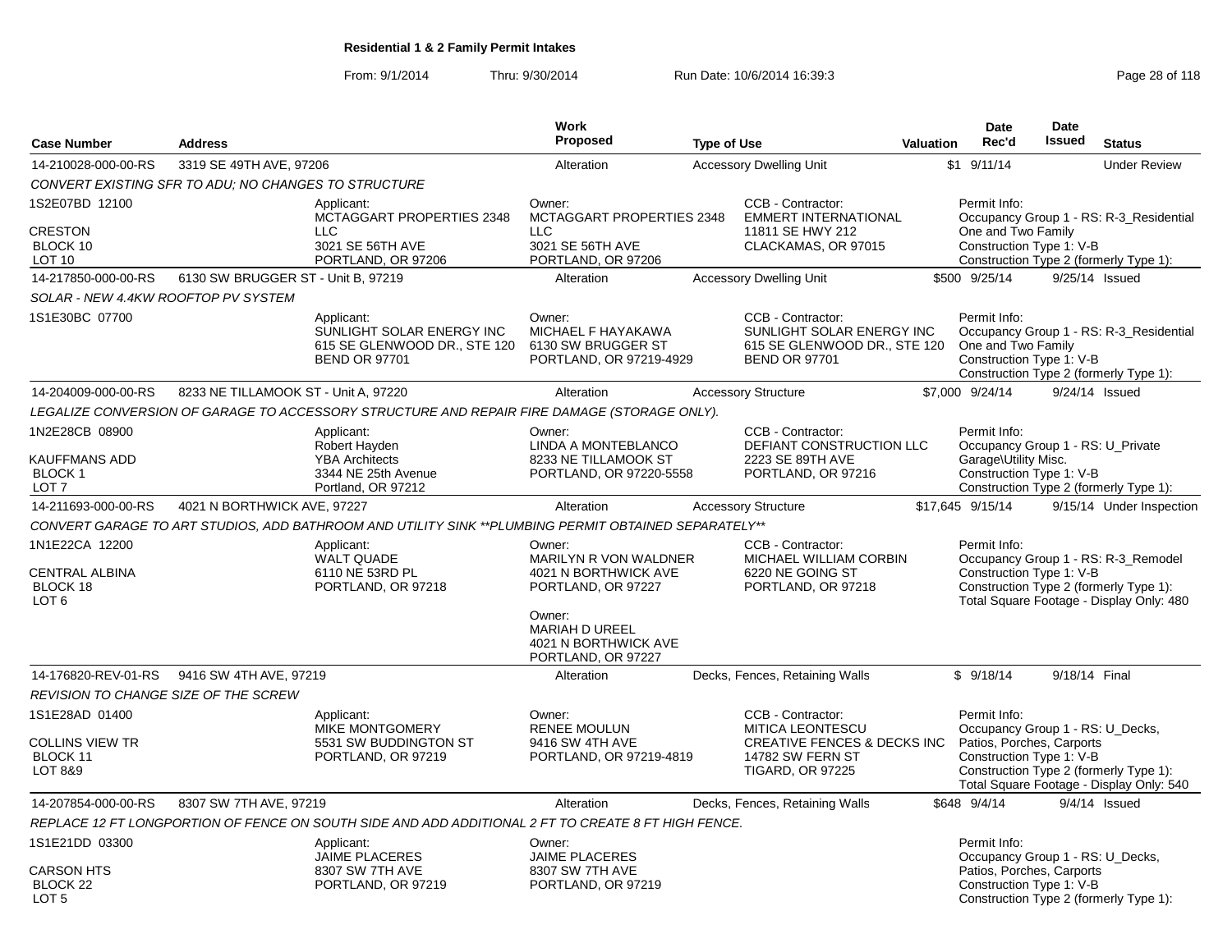From: 9/1/2014Thru: 9/30/2014 Run Date: 10/6/2014 16:39:3<br>
Page 28 of 118

|                                                                         |                                                      |                                                                                                      | <b>Work</b>                                                                                                                              |                    |                                                                                                                                |                  | <b>Date</b>                                                                                               | <b>Date</b>   |                                                                                                                           |
|-------------------------------------------------------------------------|------------------------------------------------------|------------------------------------------------------------------------------------------------------|------------------------------------------------------------------------------------------------------------------------------------------|--------------------|--------------------------------------------------------------------------------------------------------------------------------|------------------|-----------------------------------------------------------------------------------------------------------|---------------|---------------------------------------------------------------------------------------------------------------------------|
| <b>Case Number</b>                                                      | <b>Address</b>                                       |                                                                                                      | <b>Proposed</b>                                                                                                                          | <b>Type of Use</b> |                                                                                                                                | <b>Valuation</b> | Rec'd                                                                                                     | <b>Issued</b> | <b>Status</b>                                                                                                             |
| 14-210028-000-00-RS                                                     | 3319 SE 49TH AVE, 97206                              |                                                                                                      | Alteration                                                                                                                               |                    | <b>Accessory Dwelling Unit</b>                                                                                                 |                  | $$1$ 9/11/14                                                                                              |               | <b>Under Review</b>                                                                                                       |
|                                                                         | CONVERT EXISTING SFR TO ADU; NO CHANGES TO STRUCTURE |                                                                                                      |                                                                                                                                          |                    |                                                                                                                                |                  |                                                                                                           |               |                                                                                                                           |
| 1S2E07BD 12100<br>CRESTON<br>BLOCK 10<br><b>LOT 10</b>                  |                                                      | Applicant:<br>MCTAGGART PROPERTIES 2348<br><b>LLC</b><br>3021 SE 56TH AVE<br>PORTLAND, OR 97206      | Owner:<br>MCTAGGART PROPERTIES 2348<br><b>LLC</b><br>3021 SE 56TH AVE<br>PORTLAND, OR 97206                                              |                    | CCB - Contractor:<br><b>EMMERT INTERNATIONAL</b><br>11811 SE HWY 212<br>CLACKAMAS, OR 97015                                    |                  | Permit Info:<br>One and Two Family<br>Construction Type 1: V-B                                            |               | Occupancy Group 1 - RS: R-3_Residential<br>Construction Type 2 (formerly Type 1):                                         |
| 14-217850-000-00-RS                                                     | 6130 SW BRUGGER ST - Unit B, 97219                   |                                                                                                      | Alteration                                                                                                                               |                    | <b>Accessory Dwelling Unit</b>                                                                                                 |                  | \$500 9/25/14                                                                                             |               | 9/25/14 Issued                                                                                                            |
| SOLAR - NEW 4.4KW ROOFTOP PV SYSTEM                                     |                                                      |                                                                                                      |                                                                                                                                          |                    |                                                                                                                                |                  |                                                                                                           |               |                                                                                                                           |
| 1S1E30BC 07700                                                          |                                                      | Applicant:<br>SUNLIGHT SOLAR ENERGY INC<br>615 SE GLENWOOD DR., STE 120<br><b>BEND OR 97701</b>      | Owner:<br>MICHAEL F HAYAKAWA<br>6130 SW BRUGGER ST<br>PORTLAND, OR 97219-4929                                                            |                    | CCB - Contractor:<br>SUNLIGHT SOLAR ENERGY INC<br>615 SE GLENWOOD DR., STE 120<br><b>BEND OR 97701</b>                         |                  | Permit Info:<br>One and Two Family<br>Construction Type 1: V-B                                            |               | Occupancy Group 1 - RS: R-3_Residential<br>Construction Type 2 (formerly Type 1):                                         |
| 14-204009-000-00-RS                                                     | 8233 NE TILLAMOOK ST - Unit A, 97220                 |                                                                                                      | Alteration                                                                                                                               |                    | <b>Accessory Structure</b>                                                                                                     |                  | \$7,000 9/24/14                                                                                           |               | 9/24/14 Issued                                                                                                            |
|                                                                         |                                                      | LEGALIZE CONVERSION OF GARAGE TO ACCESSORY STRUCTURE AND REPAIR FIRE DAMAGE (STORAGE ONLY).          |                                                                                                                                          |                    |                                                                                                                                |                  |                                                                                                           |               |                                                                                                                           |
| 1N2E28CB 08900<br>KAUFFMANS ADD<br><b>BLOCK1</b><br>LOT 7               |                                                      | Applicant:<br>Robert Hayden<br><b>YBA Architects</b><br>3344 NE 25th Avenue<br>Portland, OR 97212    | Owner:<br>LINDA A MONTEBLANCO<br>8233 NE TILLAMOOK ST<br>PORTLAND, OR 97220-5558                                                         |                    | CCB - Contractor:<br>DEFIANT CONSTRUCTION LLC<br>2223 SE 89TH AVE<br>PORTLAND, OR 97216                                        |                  | Permit Info:<br>Occupancy Group 1 - RS: U Private<br>Garage\Utility Misc.<br>Construction Type 1: V-B     |               | Construction Type 2 (formerly Type 1):                                                                                    |
| 14-211693-000-00-RS                                                     | 4021 N BORTHWICK AVE, 97227                          |                                                                                                      | Alteration                                                                                                                               |                    | <b>Accessory Structure</b>                                                                                                     |                  | \$17,645 9/15/14                                                                                          |               | 9/15/14 Under Inspection                                                                                                  |
|                                                                         |                                                      | CONVERT GARAGE TO ART STUDIOS, ADD BATHROOM AND UTILITY SINK **PLUMBING PERMIT OBTAINED SEPARATELY** |                                                                                                                                          |                    |                                                                                                                                |                  |                                                                                                           |               |                                                                                                                           |
| 1N1E22CA 12200<br><b>CENTRAL ALBINA</b><br>BLOCK 18<br>LOT <sub>6</sub> |                                                      | Applicant:<br><b>WALT QUADE</b><br>6110 NE 53RD PL<br>PORTLAND, OR 97218                             | Owner:<br>MARILYN R VON WALDNER<br>4021 N BORTHWICK AVE<br>PORTLAND, OR 97227<br>Owner:<br><b>MARIAH D UREEL</b><br>4021 N BORTHWICK AVE |                    | CCB - Contractor:<br>MICHAEL WILLIAM CORBIN<br>6220 NE GOING ST<br>PORTLAND, OR 97218                                          |                  | Permit Info:<br>Construction Type 1: V-B                                                                  |               | Occupancy Group 1 - RS: R-3_Remodel<br>Construction Type 2 (formerly Type 1):<br>Total Square Footage - Display Only: 480 |
|                                                                         |                                                      |                                                                                                      | PORTLAND, OR 97227                                                                                                                       |                    |                                                                                                                                |                  |                                                                                                           |               |                                                                                                                           |
| 14-176820-REV-01-RS                                                     | 9416 SW 4TH AVE, 97219                               |                                                                                                      | Alteration                                                                                                                               |                    | Decks, Fences, Retaining Walls                                                                                                 |                  | \$9/18/14                                                                                                 | 9/18/14 Final |                                                                                                                           |
| REVISION TO CHANGE SIZE OF THE SCREW                                    |                                                      |                                                                                                      |                                                                                                                                          |                    |                                                                                                                                |                  |                                                                                                           |               |                                                                                                                           |
| 1S1E28AD 01400<br>COLLINS VIEW TR<br>BLOCK 11<br><b>LOT 8&amp;9</b>     |                                                      | Applicant:<br><b>MIKE MONTGOMERY</b><br>5531 SW BUDDINGTON ST<br>PORTLAND, OR 97219                  | Owner:<br><b>RENEE MOULUN</b><br>9416 SW 4TH AVE<br>PORTLAND, OR 97219-4819                                                              |                    | CCB - Contractor:<br><b>MITICA LEONTESCU</b><br><b>CREATIVE FENCES &amp; DECKS INC</b><br>14782 SW FERN ST<br>TIGARD, OR 97225 |                  | Permit Info:<br>Occupancy Group 1 - RS: U_Decks,<br>Patios, Porches, Carports<br>Construction Type 1: V-B |               | Construction Type 2 (formerly Type 1):<br>Total Square Footage - Display Only: 540                                        |
| 14-207854-000-00-RS                                                     | 8307 SW 7TH AVE, 97219                               |                                                                                                      | Alteration                                                                                                                               |                    | Decks, Fences, Retaining Walls                                                                                                 |                  | \$648 9/4/14                                                                                              |               | $9/4/14$ Issued                                                                                                           |
|                                                                         |                                                      | REPLACE 12 FT LONGPORTION OF FENCE ON SOUTH SIDE AND ADD ADDITIONAL 2 FT TO CREATE 8 FT HIGH FENCE.  |                                                                                                                                          |                    |                                                                                                                                |                  |                                                                                                           |               |                                                                                                                           |
| 1S1E21DD 03300<br><b>CARSON HTS</b>                                     |                                                      | Applicant:<br><b>JAIME PLACERES</b><br>8307 SW 7TH AVE                                               | Owner:<br><b>JAIME PLACERES</b><br>8307 SW 7TH AVE                                                                                       |                    |                                                                                                                                |                  | Permit Info:<br>Occupancy Group 1 - RS: U_Decks,<br>Patios, Porches, Carports                             |               |                                                                                                                           |
| BLOCK <sub>22</sub><br>LOT <sub>5</sub>                                 |                                                      | PORTLAND, OR 97219                                                                                   | PORTLAND, OR 97219                                                                                                                       |                    |                                                                                                                                |                  | Construction Type 1: V-B                                                                                  |               | Construction Type 2 (formerly Type 1):                                                                                    |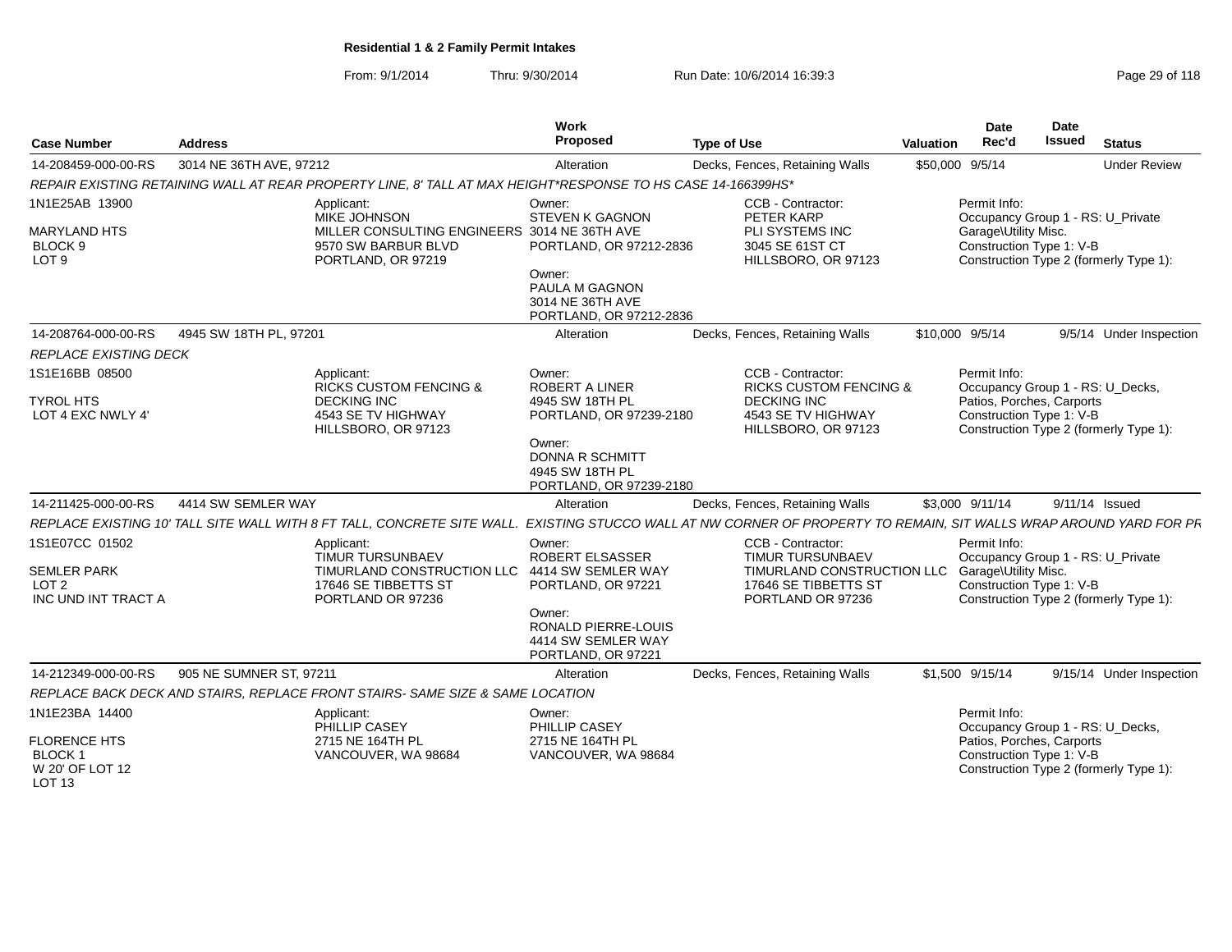From: 9/1/2014Thru: 9/30/2014 **Run Date: 10/6/2014 16:39:3** Page 2014 16:39:3

| Page 29 of 118 |  |  |  |
|----------------|--|--|--|
|----------------|--|--|--|

| <b>Case Number</b>                                                              | <b>Address</b>                                                                                                                                                     | <b>Work</b><br>Proposed                                                                                               | <b>Type of Use</b>                                                                                               | Valuation | <b>Date</b><br>Rec'd                 | <b>Date</b><br><b>Issued</b><br><b>Status</b>                                                           |
|---------------------------------------------------------------------------------|--------------------------------------------------------------------------------------------------------------------------------------------------------------------|-----------------------------------------------------------------------------------------------------------------------|------------------------------------------------------------------------------------------------------------------|-----------|--------------------------------------|---------------------------------------------------------------------------------------------------------|
| 14-208459-000-00-RS                                                             | 3014 NE 36TH AVE, 97212                                                                                                                                            | Alteration                                                                                                            | Decks, Fences, Retaining Walls                                                                                   |           | \$50,000 9/5/14                      | <b>Under Review</b>                                                                                     |
|                                                                                 | REPAIR EXISTING RETAINING WALL AT REAR PROPERTY LINE, 8' TALL AT MAX HEIGHT*RESPONSE TO HS CASE 14-166399HS*                                                       |                                                                                                                       |                                                                                                                  |           |                                      |                                                                                                         |
| 1N1E25AB 13900<br><b>MARYLAND HTS</b><br>BLOCK <sub>9</sub><br>LOT <sub>9</sub> | Applicant:<br><b>MIKE JOHNSON</b><br>MILLER CONSULTING ENGINEERS 3014 NE 36TH AVE<br>9570 SW BARBUR BLVD<br>PORTLAND, OR 97219                                     | Owner:<br><b>STEVEN K GAGNON</b><br>PORTLAND, OR 97212-2836<br>Owner:                                                 | CCB - Contractor:<br>PETER KARP<br>PLI SYSTEMS INC<br>3045 SE 61ST CT<br>HILLSBORO, OR 97123                     |           | Permit Info:<br>Garage\Utility Misc. | Occupancy Group 1 - RS: U_Private<br>Construction Type 1: V-B<br>Construction Type 2 (formerly Type 1): |
|                                                                                 |                                                                                                                                                                    | PAULA M GAGNON<br>3014 NE 36TH AVE<br>PORTLAND, OR 97212-2836                                                         |                                                                                                                  |           |                                      |                                                                                                         |
| 14-208764-000-00-RS                                                             | 4945 SW 18TH PL, 97201                                                                                                                                             | Alteration                                                                                                            | Decks, Fences, Retaining Walls                                                                                   |           | \$10,000 9/5/14                      | 9/5/14 Under Inspection                                                                                 |
| <b>REPLACE EXISTING DECK</b>                                                    |                                                                                                                                                                    |                                                                                                                       |                                                                                                                  |           |                                      |                                                                                                         |
| 1S1E16BB 08500                                                                  | Applicant:<br><b>RICKS CUSTOM FENCING &amp;</b>                                                                                                                    | Owner:<br><b>ROBERT A LINER</b>                                                                                       | CCB - Contractor:<br><b>RICKS CUSTOM FENCING &amp;</b>                                                           |           | Permit Info:                         | Occupancy Group 1 - RS: U_Decks,                                                                        |
| <b>TYROL HTS</b><br>LOT 4 EXC NWLY 4'                                           | <b>DECKING INC</b><br>4543 SE TV HIGHWAY<br>HILLSBORO, OR 97123                                                                                                    | 4945 SW 18TH PL<br>PORTLAND, OR 97239-2180<br>Owner:<br>DONNA R SCHMITT<br>4945 SW 18TH PL<br>PORTLAND, OR 97239-2180 | <b>DECKING INC</b><br>4543 SE TV HIGHWAY<br>HILLSBORO, OR 97123                                                  |           |                                      | Patios, Porches, Carports<br>Construction Type 1: V-B<br>Construction Type 2 (formerly Type 1):         |
| 14-211425-000-00-RS                                                             | 4414 SW SEMLER WAY                                                                                                                                                 | Alteration                                                                                                            | Decks, Fences, Retaining Walls                                                                                   |           | \$3,000 9/11/14                      | 9/11/14 Issued                                                                                          |
|                                                                                 | REPLACE EXISTING 10' TALL SITE WALL WITH 8 FT TALL, CONCRETE SITE WALL. EXISTING STUCCO WALL AT NW CORNER OF PROPERTY TO REMAIN, SIT WALLS WRAP AROUND YARD FOR PF |                                                                                                                       |                                                                                                                  |           |                                      |                                                                                                         |
| 1S1E07CC 01502<br><b>SEMLER PARK</b><br>LOT <sub>2</sub><br>INC UND INT TRACT A | Applicant:<br>TIMUR TURSUNBAEV<br>TIMURLAND CONSTRUCTION LLC<br>17646 SE TIBBETTS ST<br>PORTLAND OR 97236                                                          | Owner:<br><b>ROBERT ELSASSER</b><br>4414 SW SEMLER WAY<br>PORTLAND, OR 97221                                          | CCB - Contractor:<br>TIMUR TURSUNBAEV<br>TIMURLAND CONSTRUCTION LLC<br>17646 SE TIBBETTS ST<br>PORTLAND OR 97236 |           | Permit Info:<br>Garage\Utility Misc. | Occupancy Group 1 - RS: U_Private<br>Construction Type 1: V-B<br>Construction Type 2 (formerly Type 1): |
|                                                                                 |                                                                                                                                                                    | Owner:<br><b>RONALD PIERRE-LOUIS</b><br>4414 SW SEMLER WAY<br>PORTLAND, OR 97221                                      |                                                                                                                  |           |                                      |                                                                                                         |
| 14-212349-000-00-RS                                                             | 905 NE SUMNER ST, 97211                                                                                                                                            | Alteration                                                                                                            | Decks, Fences, Retaining Walls                                                                                   |           | \$1,500 9/15/14                      | 9/15/14 Under Inspection                                                                                |
|                                                                                 | REPLACE BACK DECK AND STAIRS, REPLACE FRONT STAIRS- SAME SIZE & SAME LOCATION                                                                                      |                                                                                                                       |                                                                                                                  |           |                                      |                                                                                                         |
| 1N1E23BA 14400                                                                  | Applicant:<br>PHILLIP CASEY                                                                                                                                        | Owner:<br>PHILLIP CASEY                                                                                               |                                                                                                                  |           | Permit Info:                         | Occupancy Group 1 - RS: U_Decks,                                                                        |
| <b>FLORENCE HTS</b><br><b>BLOCK1</b><br>W 20' OF LOT 12<br>LOT <sub>13</sub>    | 2715 NE 164TH PL<br>VANCOUVER, WA 98684                                                                                                                            | 2715 NE 164TH PL<br>VANCOUVER, WA 98684                                                                               |                                                                                                                  |           |                                      | Patios, Porches, Carports<br>Construction Type 1: V-B<br>Construction Type 2 (formerly Type 1):         |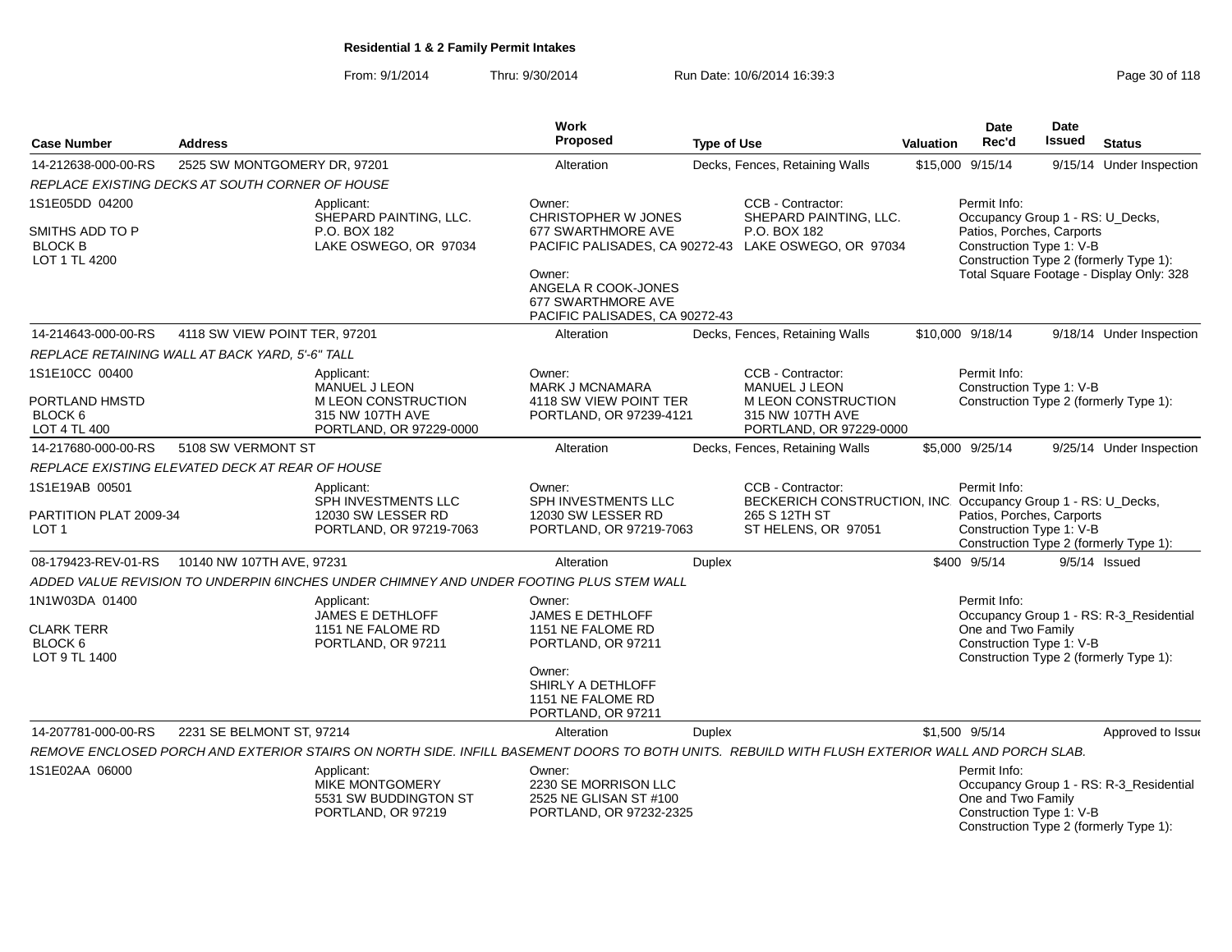From: 9/1/2014Thru: 9/30/2014 Run Date: 10/6/2014 16:39:3<br>
Page 30 of 118

| <b>Case Number</b>                                              | <b>Address</b>                                  |                                                                                         | Work<br>Proposed                                                                                            | <b>Type of Use</b>                                                                                                                             | <b>Valuation</b> | <b>Date</b><br>Rec'd                                                  | Date<br>Issued | <b>Status</b>                                                                      |
|-----------------------------------------------------------------|-------------------------------------------------|-----------------------------------------------------------------------------------------|-------------------------------------------------------------------------------------------------------------|------------------------------------------------------------------------------------------------------------------------------------------------|------------------|-----------------------------------------------------------------------|----------------|------------------------------------------------------------------------------------|
| 14-212638-000-00-RS                                             | 2525 SW MONTGOMERY DR, 97201                    |                                                                                         | Alteration                                                                                                  | Decks, Fences, Retaining Walls                                                                                                                 |                  | \$15,000 9/15/14                                                      |                | 9/15/14 Under Inspection                                                           |
|                                                                 | REPLACE EXISTING DECKS AT SOUTH CORNER OF HOUSE |                                                                                         |                                                                                                             |                                                                                                                                                |                  |                                                                       |                |                                                                                    |
| 1S1E05DD 04200                                                  |                                                 | Applicant:<br>SHEPARD PAINTING, LLC.                                                    | Owner:<br>CHRISTOPHER W JONES                                                                               | CCB - Contractor:<br>SHEPARD PAINTING, LLC.                                                                                                    |                  | Permit Info:<br>Occupancy Group 1 - RS: U_Decks,                      |                |                                                                                    |
| SMITHS ADD TO P<br><b>BLOCK B</b><br>LOT 1 TL 4200              |                                                 | P.O. BOX 182<br>LAKE OSWEGO, OR 97034                                                   | 677 SWARTHMORE AVE<br>Owner:<br>ANGELA R COOK-JONES<br>677 SWARTHMORE AVE<br>PACIFIC PALISADES, CA 90272-43 | P.O. BOX 182<br>PACIFIC PALISADES, CA 90272-43 LAKE OSWEGO, OR 97034                                                                           |                  | Patios, Porches, Carports<br>Construction Type 1: V-B                 |                | Construction Type 2 (formerly Type 1):<br>Total Square Footage - Display Only: 328 |
| 14-214643-000-00-RS                                             | 4118 SW VIEW POINT TER, 97201                   |                                                                                         | Alteration                                                                                                  | Decks, Fences, Retaining Walls                                                                                                                 |                  | \$10,000 9/18/14                                                      |                | 9/18/14 Under Inspection                                                           |
|                                                                 | REPLACE RETAINING WALL AT BACK YARD, 5'-6" TALL |                                                                                         |                                                                                                             |                                                                                                                                                |                  |                                                                       |                |                                                                                    |
| 1S1E10CC 00400<br>PORTLAND HMSTD<br>BLOCK <sub>6</sub>          |                                                 | Applicant:<br>MANUEL J LEON<br><b>MLEON CONSTRUCTION</b><br>315 NW 107TH AVE            | Owner:<br><b>MARK J MCNAMARA</b><br>4118 SW VIEW POINT TER<br>PORTLAND, OR 97239-4121                       | CCB - Contractor:<br><b>MANUEL J LEON</b><br><b>MLEON CONSTRUCTION</b><br>315 NW 107TH AVE                                                     |                  | Permit Info:<br>Construction Type 1: V-B                              |                | Construction Type 2 (formerly Type 1):                                             |
| LOT 4 TL 400                                                    |                                                 | PORTLAND, OR 97229-0000                                                                 |                                                                                                             | PORTLAND, OR 97229-0000                                                                                                                        |                  |                                                                       |                |                                                                                    |
| 14-217680-000-00-RS                                             | 5108 SW VERMONT ST                              |                                                                                         | Alteration                                                                                                  | Decks, Fences, Retaining Walls                                                                                                                 |                  | \$5,000 9/25/14                                                       |                | 9/25/14 Under Inspection                                                           |
|                                                                 | REPLACE EXISTING ELEVATED DECK AT REAR OF HOUSE |                                                                                         |                                                                                                             |                                                                                                                                                |                  |                                                                       |                |                                                                                    |
| 1S1E19AB 00501<br>PARTITION PLAT 2009-34<br>LOT <sub>1</sub>    |                                                 | Applicant:<br>SPH INVESTMENTS LLC<br>12030 SW LESSER RD<br>PORTLAND, OR 97219-7063      | Owner:<br><b>SPH INVESTMENTS LLC</b><br>12030 SW LESSER RD<br>PORTLAND, OR 97219-7063                       | CCB - Contractor:<br>BECKERICH CONSTRUCTION, INC. Occupancy Group 1 - RS: U_Decks,<br>265 S 12TH ST<br>ST HELENS, OR 97051                     |                  | Permit Info:<br>Patios, Porches, Carports<br>Construction Type 1: V-B |                | Construction Type 2 (formerly Type 1):                                             |
| 08-179423-REV-01-RS                                             | 10140 NW 107TH AVE, 97231                       |                                                                                         | Alteration                                                                                                  | <b>Duplex</b>                                                                                                                                  |                  | \$400 9/5/14                                                          |                | $9/5/14$ Issued                                                                    |
|                                                                 |                                                 | ADDED VALUE REVISION TO UNDERPIN 6INCHES UNDER CHIMNEY AND UNDER FOOTING PLUS STEM WALL |                                                                                                             |                                                                                                                                                |                  |                                                                       |                |                                                                                    |
| 1N1W03DA 01400<br><b>CLARK TERR</b><br>BLOCK 6<br>LOT 9 TL 1400 |                                                 | Applicant:<br>JAMES E DETHLOFF<br>1151 NE FALOME RD<br>PORTLAND, OR 97211               | Owner:<br>JAMES E DETHLOFF<br>1151 NE FALOME RD<br>PORTLAND, OR 97211                                       |                                                                                                                                                |                  | Permit Info:<br>One and Two Family<br>Construction Type 1: V-B        |                | Occupancy Group 1 - RS: R-3_Residential<br>Construction Type 2 (formerly Type 1):  |
|                                                                 |                                                 |                                                                                         | Owner:<br>SHIRLY A DETHLOFF<br>1151 NE FALOME RD<br>PORTLAND, OR 97211                                      |                                                                                                                                                |                  |                                                                       |                |                                                                                    |
| 14-207781-000-00-RS                                             | 2231 SE BELMONT ST, 97214                       |                                                                                         | Alteration                                                                                                  | <b>Duplex</b>                                                                                                                                  |                  | \$1,500 9/5/14                                                        |                | Approved to Issue                                                                  |
|                                                                 |                                                 |                                                                                         |                                                                                                             | REMOVE ENCLOSED PORCH AND EXTERIOR STAIRS ON NORTH SIDE. INFILL BASEMENT DOORS TO BOTH UNITS. REBUILD WITH FLUSH EXTERIOR WALL AND PORCH SLAB. |                  |                                                                       |                |                                                                                    |
| 1S1E02AA 06000                                                  |                                                 | Applicant:<br>MIKE MONTGOMERY<br>5531 SW BUDDINGTON ST<br>PORTLAND, OR 97219            | Owner:<br>2230 SE MORRISON LLC<br>2525 NE GLISAN ST #100<br>PORTLAND, OR 97232-2325                         |                                                                                                                                                |                  | Permit Info:<br>One and Two Family<br>Construction Type 1: V-B        |                | Occupancy Group 1 - RS: R-3_Residential<br>Construction Type 2 (formerly Type 1):  |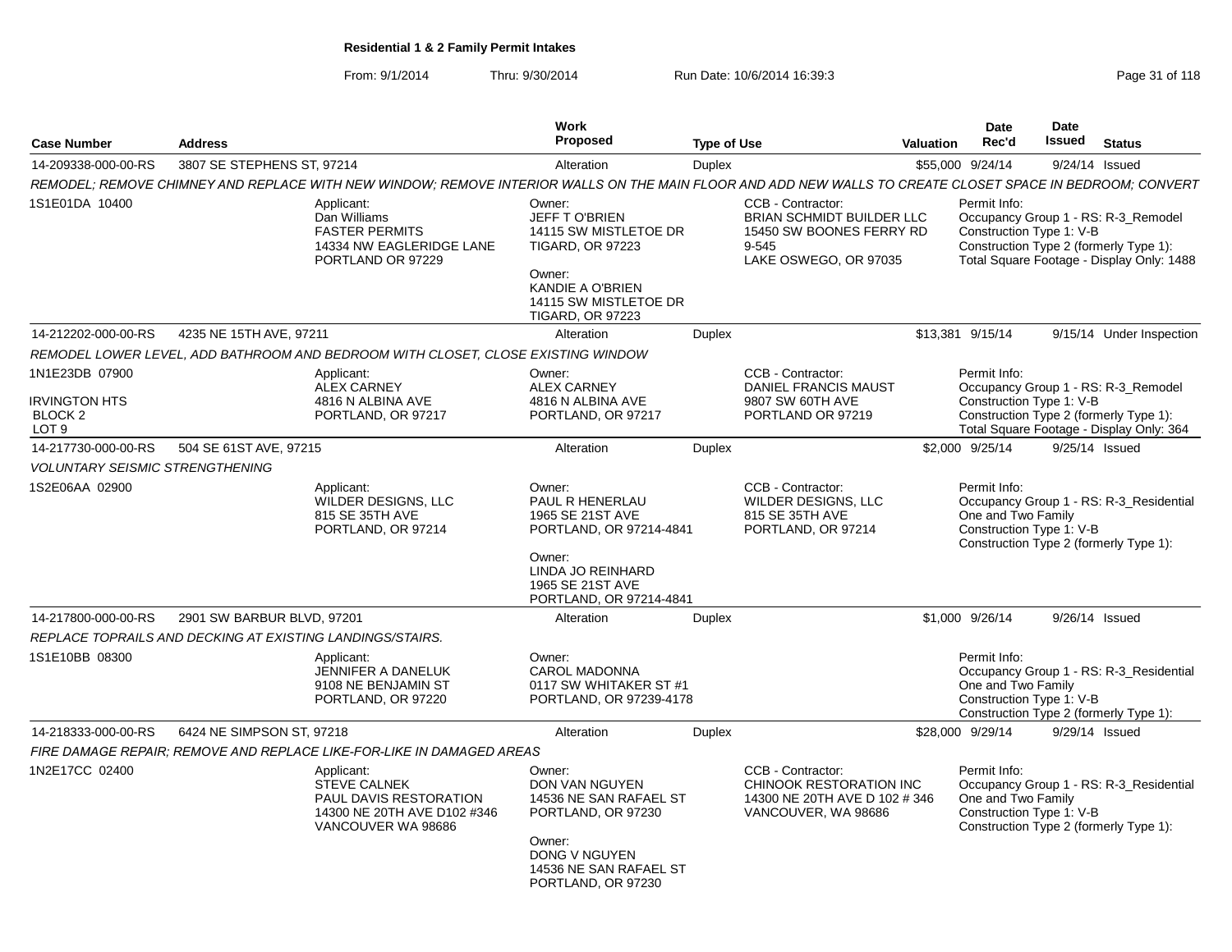From: 9/1/2014Thru: 9/30/2014 Run Date: 10/6/2014 16:39:3<br>
Run Date: 10/6/2014 **Page 31 of 118** 

| <b>Case Number</b>                                                               | <b>Address</b>                                            |                                                                                                                                                           | Work<br>Proposed                                                                                                                                              | <b>Type of Use</b> |                                                                                                              | Valuation | Date<br>Rec'd                      | Date<br>Issued           | <b>Status</b>                                                                                                              |
|----------------------------------------------------------------------------------|-----------------------------------------------------------|-----------------------------------------------------------------------------------------------------------------------------------------------------------|---------------------------------------------------------------------------------------------------------------------------------------------------------------|--------------------|--------------------------------------------------------------------------------------------------------------|-----------|------------------------------------|--------------------------|----------------------------------------------------------------------------------------------------------------------------|
| 14-209338-000-00-RS                                                              | 3807 SE STEPHENS ST. 97214                                |                                                                                                                                                           | Alteration                                                                                                                                                    | Duplex             |                                                                                                              |           | \$55,000 9/24/14                   |                          | 9/24/14 Issued                                                                                                             |
|                                                                                  |                                                           | REMODEL; REMOVE CHIMNEY AND REPLACE WITH NEW WINDOW; REMOVE INTERIOR WALLS ON THE MAIN FLOOR AND ADD NEW WALLS TO CREATE CLOSET SPACE IN BEDROOM; CONVERT |                                                                                                                                                               |                    |                                                                                                              |           |                                    |                          |                                                                                                                            |
| 1S1E01DA 10400                                                                   |                                                           | Applicant:<br>Dan Williams<br><b>FASTER PERMITS</b><br>14334 NW EAGLERIDGE LANE<br>PORTLAND OR 97229                                                      | Owner:<br>JEFF TO'BRIEN<br>14115 SW MISTLETOE DR<br><b>TIGARD, OR 97223</b><br>Owner:<br>KANDIE A O'BRIEN<br>14115 SW MISTLETOE DR<br><b>TIGARD, OR 97223</b> |                    | CCB - Contractor:<br>BRIAN SCHMIDT BUILDER LLC<br>15450 SW BOONES FERRY RD<br>9-545<br>LAKE OSWEGO, OR 97035 |           | Permit Info:                       | Construction Type 1: V-B | Occupancy Group 1 - RS: R-3_Remodel<br>Construction Type 2 (formerly Type 1):<br>Total Square Footage - Display Only: 1488 |
| 14-212202-000-00-RS                                                              | 4235 NE 15TH AVE, 97211                                   |                                                                                                                                                           | Alteration                                                                                                                                                    | Duplex             |                                                                                                              |           | \$13,381 9/15/14                   |                          | 9/15/14 Under Inspection                                                                                                   |
|                                                                                  |                                                           | REMODEL LOWER LEVEL. ADD BATHROOM AND BEDROOM WITH CLOSET. CLOSE EXISTING WINDOW                                                                          |                                                                                                                                                               |                    |                                                                                                              |           |                                    |                          |                                                                                                                            |
| 1N1E23DB 07900<br><b>IRVINGTON HTS</b><br>BLOCK <sub>2</sub><br>LOT <sub>9</sub> |                                                           | Applicant:<br><b>ALEX CARNEY</b><br>4816 N ALBINA AVE<br>PORTLAND, OR 97217                                                                               | Owner:<br><b>ALEX CARNEY</b><br>4816 N ALBINA AVE<br>PORTLAND, OR 97217                                                                                       |                    | CCB - Contractor:<br><b>DANIEL FRANCIS MAUST</b><br>9807 SW 60TH AVE<br>PORTLAND OR 97219                    |           | Permit Info:                       | Construction Type 1: V-B | Occupancy Group 1 - RS: R-3_Remodel<br>Construction Type 2 (formerly Type 1):<br>Total Square Footage - Display Only: 364  |
| 14-217730-000-00-RS                                                              | 504 SE 61ST AVE, 97215                                    |                                                                                                                                                           | Alteration                                                                                                                                                    | <b>Duplex</b>      |                                                                                                              |           | \$2,000 9/25/14                    |                          | 9/25/14 Issued                                                                                                             |
| <b>VOLUNTARY SEISMIC STRENGTHENING</b>                                           |                                                           |                                                                                                                                                           |                                                                                                                                                               |                    |                                                                                                              |           |                                    |                          |                                                                                                                            |
| 1S2E06AA 02900                                                                   |                                                           | Applicant:<br>WILDER DESIGNS, LLC<br>815 SE 35TH AVE<br>PORTLAND, OR 97214                                                                                | Owner:<br><b>PAUL R HENERLAU</b><br>1965 SE 21ST AVE<br>PORTLAND, OR 97214-4841<br>Owner:<br>LINDA JO REINHARD<br>1965 SE 21ST AVE                            |                    | CCB - Contractor:<br>WILDER DESIGNS, LLC<br>815 SE 35TH AVE<br>PORTLAND, OR 97214                            |           | Permit Info:<br>One and Two Family | Construction Type 1: V-B | Occupancy Group 1 - RS: R-3_Residential<br>Construction Type 2 (formerly Type 1):                                          |
|                                                                                  |                                                           |                                                                                                                                                           | PORTLAND, OR 97214-4841                                                                                                                                       |                    |                                                                                                              |           |                                    |                          |                                                                                                                            |
| 14-217800-000-00-RS                                                              | 2901 SW BARBUR BLVD, 97201                                |                                                                                                                                                           | Alteration                                                                                                                                                    | Duplex             |                                                                                                              |           | \$1,000 9/26/14                    |                          | 9/26/14 Issued                                                                                                             |
|                                                                                  | REPLACE TOPRAILS AND DECKING AT EXISTING LANDINGS/STAIRS. |                                                                                                                                                           |                                                                                                                                                               |                    |                                                                                                              |           |                                    |                          |                                                                                                                            |
| 1S1E10BB 08300                                                                   |                                                           | Applicant:<br>JENNIFER A DANELUK<br>9108 NE BENJAMIN ST<br>PORTLAND, OR 97220                                                                             | Owner:<br><b>CAROL MADONNA</b><br>0117 SW WHITAKER ST #1<br>PORTLAND, OR 97239-4178                                                                           |                    |                                                                                                              |           | Permit Info:<br>One and Two Family | Construction Type 1: V-B | Occupancy Group 1 - RS: R-3 Residential<br>Construction Type 2 (formerly Type 1):                                          |
| 14-218333-000-00-RS                                                              | 6424 NE SIMPSON ST, 97218                                 |                                                                                                                                                           | Alteration                                                                                                                                                    | Duplex             |                                                                                                              |           | \$28,000 9/29/14                   |                          | 9/29/14 Issued                                                                                                             |
|                                                                                  |                                                           | FIRE DAMAGE REPAIR: REMOVE AND REPLACE LIKE-FOR-LIKE IN DAMAGED AREAS                                                                                     |                                                                                                                                                               |                    |                                                                                                              |           |                                    |                          |                                                                                                                            |
| 1N2E17CC 02400                                                                   |                                                           | Applicant:<br><b>STEVE CALNEK</b><br><b>PAUL DAVIS RESTORATION</b><br>14300 NE 20TH AVE D102 #346<br>VANCOUVER WA 98686                                   | Owner:<br>DON VAN NGUYEN<br>14536 NE SAN RAFAEL ST<br>PORTLAND, OR 97230<br>Owner:<br><b>DONG V NGUYEN</b><br>14536 NE SAN RAFAEL ST<br>PORTLAND, OR 97230    |                    | CCB - Contractor:<br>CHINOOK RESTORATION INC<br>14300 NE 20TH AVE D 102 # 346<br>VANCOUVER, WA 98686         |           | Permit Info:<br>One and Two Family | Construction Type 1: V-B | Occupancy Group 1 - RS: R-3_Residential<br>Construction Type 2 (formerly Type 1):                                          |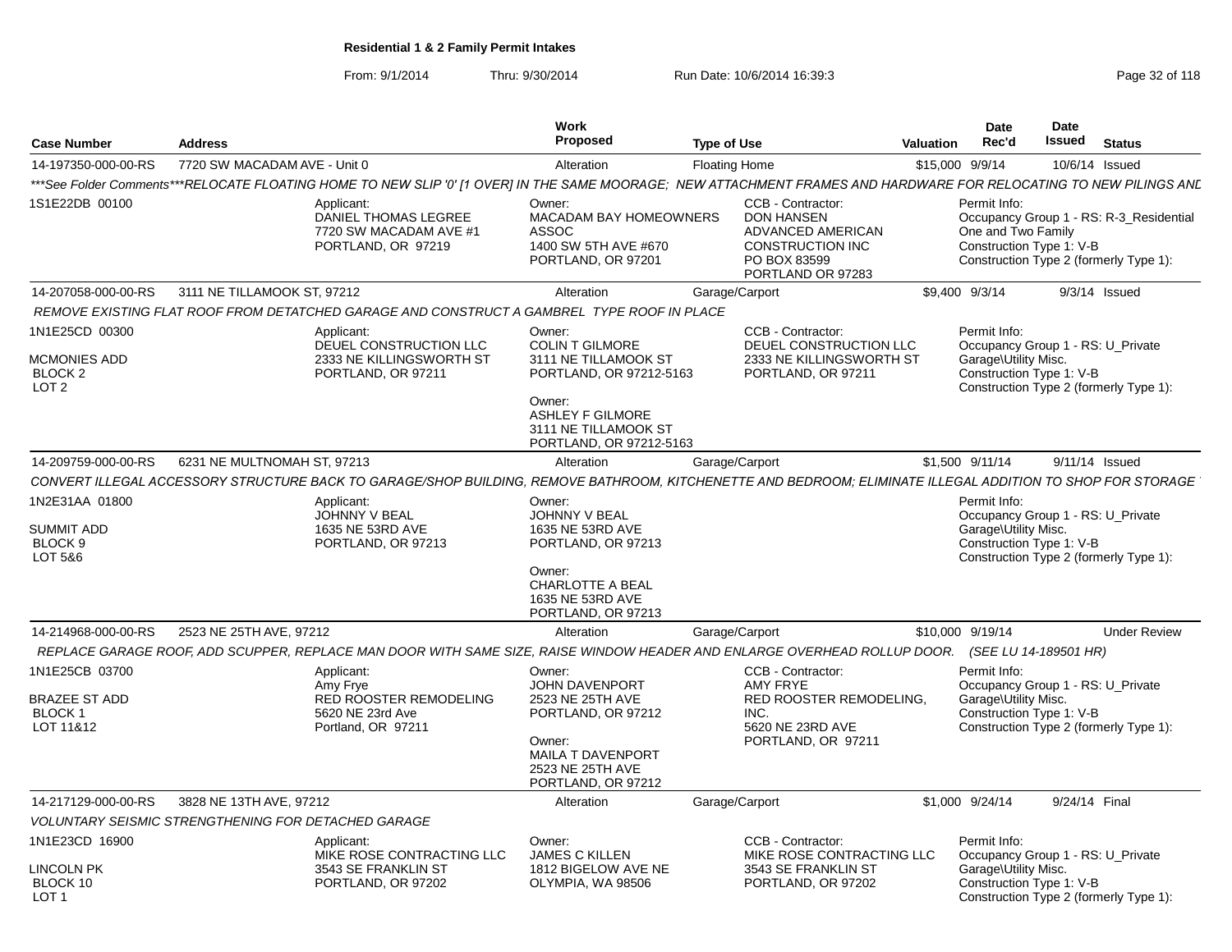From: 9/1/2014Thru: 9/30/2014 Run Date: 10/6/2014 16:39:3<br>
Page 32 of 118

| <b>Case Number</b>                                                   | <b>Address</b>                                                                                                                                                     | Work<br>Proposed                                                                                                                                                            | <b>Type of Use</b>                                                                                                          | <b>Date</b><br><b>Valuation</b><br>Rec'd | Date<br>Issued                                 | <b>Status</b>                                                                     |
|----------------------------------------------------------------------|--------------------------------------------------------------------------------------------------------------------------------------------------------------------|-----------------------------------------------------------------------------------------------------------------------------------------------------------------------------|-----------------------------------------------------------------------------------------------------------------------------|------------------------------------------|------------------------------------------------|-----------------------------------------------------------------------------------|
| 14-197350-000-00-RS                                                  | 7720 SW MACADAM AVE - Unit 0                                                                                                                                       | Alteration                                                                                                                                                                  | <b>Floating Home</b>                                                                                                        | \$15,000 9/9/14                          |                                                | 10/6/14 Issued                                                                    |
|                                                                      | ***See Folder Comments***RELOCATE FLOATING HOME TO NEW SLIP '0' [1 OVER] IN THE SAME MOORAGE; NEW ATTACHMENT FRAMES AND HARDWARE FOR RELOCATING TO NEW PILINGS ANL |                                                                                                                                                                             |                                                                                                                             |                                          |                                                |                                                                                   |
| 1S1E22DB 00100                                                       | Applicant:<br>DANIEL THOMAS LEGREE<br>7720 SW MACADAM AVE #1<br>PORTLAND, OR 97219                                                                                 | Owner:<br><b>MACADAM BAY HOMEOWNERS</b><br><b>ASSOC</b><br>1400 SW 5TH AVE #670<br>PORTLAND, OR 97201                                                                       | CCB - Contractor:<br><b>DON HANSEN</b><br>ADVANCED AMERICAN<br><b>CONSTRUCTION INC</b><br>PO BOX 83599<br>PORTLAND OR 97283 | Permit Info:                             | One and Two Family<br>Construction Type 1: V-B | Occupancy Group 1 - RS: R-3 Residential<br>Construction Type 2 (formerly Type 1): |
| 14-207058-000-00-RS                                                  | 3111 NE TILLAMOOK ST, 97212                                                                                                                                        | Alteration                                                                                                                                                                  | Garage/Carport                                                                                                              | \$9,400 9/3/14                           |                                                | $9/3/14$ Issued                                                                   |
|                                                                      | REMOVE EXISTING FLAT ROOF FROM DETATCHED GARAGE AND CONSTRUCT A GAMBREL TYPE ROOF IN PLACE                                                                         |                                                                                                                                                                             |                                                                                                                             |                                          |                                                |                                                                                   |
| 1N1E25CD 00300<br>MCMONIES ADD<br><b>BLOCK 2</b><br>LOT 2            | Applicant:<br>DEUEL CONSTRUCTION LLC<br>2333 NE KILLINGSWORTH ST<br>PORTLAND, OR 97211                                                                             | Owner:<br><b>COLIN T GILMORE</b><br>3111 NE TILLAMOOK ST<br>PORTLAND, OR 97212-5163<br>Owner:<br><b>ASHLEY F GILMORE</b><br>3111 NE TILLAMOOK ST<br>PORTLAND, OR 97212-5163 | CCB - Contractor:<br>DEUEL CONSTRUCTION LLC<br>2333 NE KILLINGSWORTH ST<br>PORTLAND, OR 97211                               | Permit Info:<br>Garage\Utility Misc.     | Construction Type 1: V-B                       | Occupancy Group 1 - RS: U Private<br>Construction Type 2 (formerly Type 1):       |
| 14-209759-000-00-RS                                                  | 6231 NE MULTNOMAH ST, 97213                                                                                                                                        | Alteration                                                                                                                                                                  | Garage/Carport                                                                                                              | \$1,500 9/11/14                          |                                                | 9/11/14 Issued                                                                    |
|                                                                      | CONVERT ILLEGAL ACCESSORY STRUCTURE BACK TO GARAGE/SHOP BUILDING. REMOVE BATHROOM. KITCHENETTE AND BEDROOM: ELIMINATE ILLEGAL ADDITION TO SHOP FOR STORAGE         |                                                                                                                                                                             |                                                                                                                             |                                          |                                                |                                                                                   |
| 1N2E31AA 01800<br><b>SUMMIT ADD</b><br>BLOCK <sub>9</sub><br>LOT 5&6 | Applicant:<br>JOHNNY V BEAL<br>1635 NE 53RD AVE<br>PORTLAND, OR 97213                                                                                              | Owner:<br>JOHNNY V BEAL<br>1635 NE 53RD AVE<br>PORTLAND, OR 97213<br>Owner:<br>CHARLOTTE A BEAL<br>1635 NE 53RD AVE<br>PORTLAND, OR 97213                                   |                                                                                                                             | Permit Info:<br>Garage\Utility Misc.     | Construction Type 1: V-B                       | Occupancy Group 1 - RS: U Private<br>Construction Type 2 (formerly Type 1):       |
| 14-214968-000-00-RS                                                  | 2523 NE 25TH AVE, 97212                                                                                                                                            | Alteration                                                                                                                                                                  | Garage/Carport                                                                                                              | \$10,000 9/19/14                         |                                                | <b>Under Review</b>                                                               |
|                                                                      | REPLACE GARAGE ROOF, ADD SCUPPER, REPLACE MAN DOOR WITH SAME SIZE, RAISE WINDOW HEADER AND ENLARGE OVERHEAD ROLLUP DOOR.                                           |                                                                                                                                                                             |                                                                                                                             |                                          | (SEE LU 14-189501 HR)                          |                                                                                   |
| 1N1E25CB 03700<br><b>BRAZEE ST ADD</b><br>BLOCK 1<br>LOT 11&12       | Applicant:<br>Amy Frye<br>RED ROOSTER REMODELING<br>5620 NE 23rd Ave<br>Portland, OR 97211                                                                         | Owner:<br><b>JOHN DAVENPORT</b><br>2523 NE 25TH AVE<br>PORTLAND, OR 97212<br>Owner:<br><b>MAILA T DAVENPORT</b><br>2523 NE 25TH AVE<br>PORTLAND, OR 97212                   | CCB - Contractor:<br><b>AMY FRYE</b><br>RED ROOSTER REMODELING,<br>INC.<br>5620 NE 23RD AVE<br>PORTLAND, OR 97211           | Permit Info:<br>Garage\Utility Misc.     | Construction Type 1: V-B                       | Occupancy Group 1 - RS: U_Private<br>Construction Type 2 (formerly Type 1):       |
| 14-217129-000-00-RS                                                  | 3828 NE 13TH AVE, 97212                                                                                                                                            | Alteration                                                                                                                                                                  | Garage/Carport                                                                                                              | \$1,000 9/24/14                          |                                                | 9/24/14 Final                                                                     |
|                                                                      | <b>VOLUNTARY SEISMIC STRENGTHENING FOR DETACHED GARAGE</b>                                                                                                         |                                                                                                                                                                             |                                                                                                                             |                                          |                                                |                                                                                   |
| 1N1E23CD 16900                                                       | Applicant:<br>MIKE ROSE CONTRACTING LLC                                                                                                                            | Owner:<br><b>JAMES C KILLEN</b>                                                                                                                                             | CCB - Contractor:<br>MIKE ROSE CONTRACTING LLC                                                                              | Permit Info:                             |                                                | Occupancy Group 1 - RS: U_Private                                                 |
| LINCOLN PK<br>BLOCK 10<br>LOT <sub>1</sub>                           | 3543 SE FRANKLIN ST<br>PORTLAND, OR 97202                                                                                                                          | 1812 BIGELOW AVE NE<br>OLYMPIA, WA 98506                                                                                                                                    | 3543 SE FRANKLIN ST<br>PORTLAND, OR 97202                                                                                   | Garage\Utility Misc.                     | Construction Type 1: V-B                       | Construction Type 2 (formerly Type 1):                                            |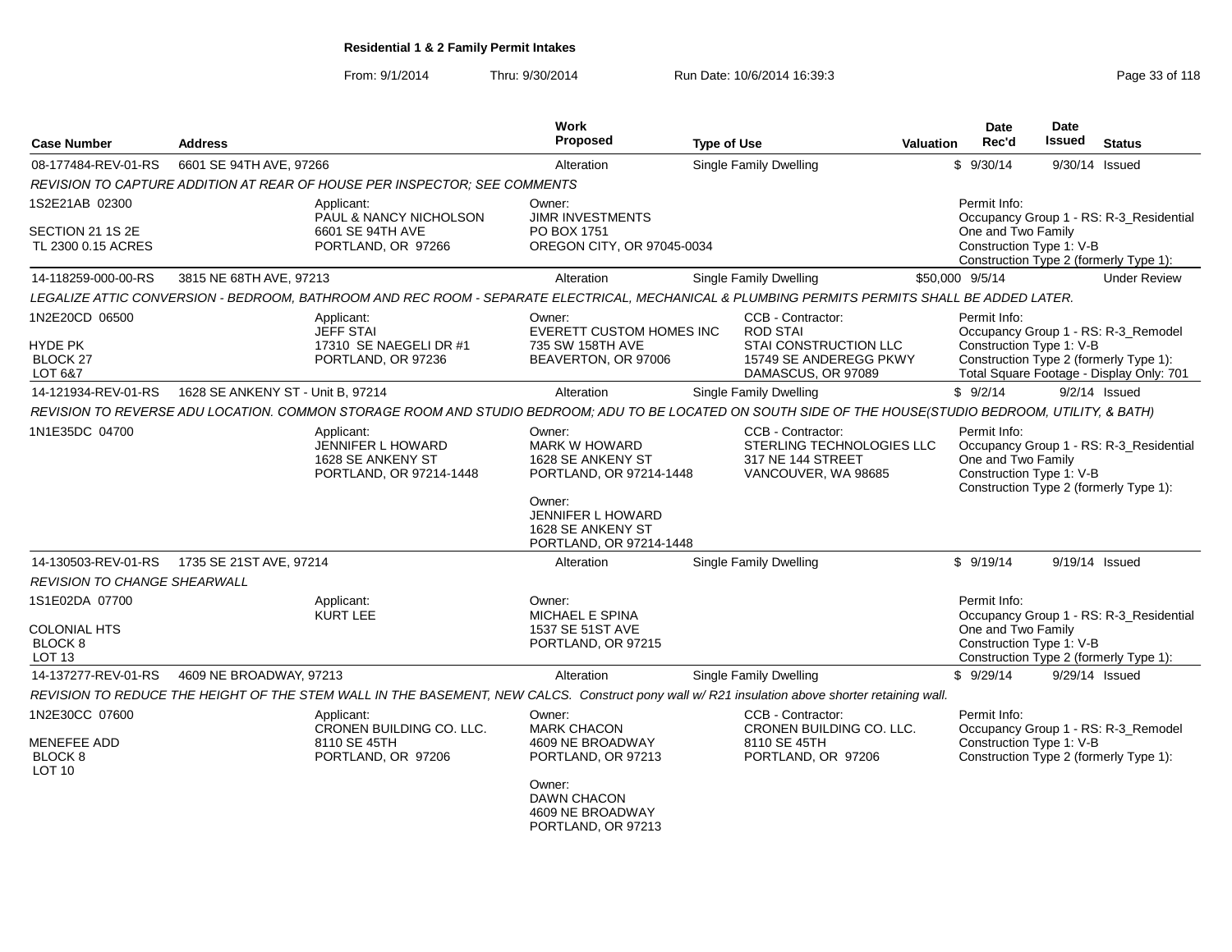From: 9/1/2014Thru: 9/30/2014 Run Date: 10/6/2014 16:39:3<br>
Run Date: 10/6/2014 State: 10/6/2014 16:39:3

| <b>Case Number</b>                                  | <b>Address</b>                    |                                                                                                                                                         | Work<br>Proposed                                                                         | <b>Type of Use</b> |                                                                                            | Valuation | <b>Date</b><br>Rec'd                                           | Date<br><b>Issued</b> | <b>Status</b>                                                                     |
|-----------------------------------------------------|-----------------------------------|---------------------------------------------------------------------------------------------------------------------------------------------------------|------------------------------------------------------------------------------------------|--------------------|--------------------------------------------------------------------------------------------|-----------|----------------------------------------------------------------|-----------------------|-----------------------------------------------------------------------------------|
| 08-177484-REV-01-RS                                 | 6601 SE 94TH AVE, 97266           |                                                                                                                                                         | Alteration                                                                               |                    | Single Family Dwelling                                                                     |           | \$9/30/14                                                      |                       | 9/30/14 Issued                                                                    |
|                                                     |                                   | REVISION TO CAPTURE ADDITION AT REAR OF HOUSE PER INSPECTOR; SEE COMMENTS                                                                               |                                                                                          |                    |                                                                                            |           |                                                                |                       |                                                                                   |
| 1S2E21AB 02300                                      |                                   | Applicant:<br><b>PAUL &amp; NANCY NICHOLSON</b>                                                                                                         | Owner:<br><b>JIMR INVESTMENTS</b>                                                        |                    |                                                                                            |           | Permit Info:                                                   |                       | Occupancy Group 1 - RS: R-3_Residential                                           |
| SECTION 21 1S 2E                                    |                                   | 6601 SE 94TH AVE                                                                                                                                        | PO BOX 1751                                                                              |                    |                                                                                            |           | One and Two Family                                             |                       |                                                                                   |
| TL 2300 0.15 ACRES                                  |                                   | PORTLAND, OR 97266                                                                                                                                      | OREGON CITY, OR 97045-0034                                                               |                    |                                                                                            |           | Construction Type 1: V-B                                       |                       | Construction Type 2 (formerly Type 1):                                            |
| 14-118259-000-00-RS                                 | 3815 NE 68TH AVE, 97213           |                                                                                                                                                         | Alteration                                                                               |                    | <b>Single Family Dwelling</b>                                                              |           | \$50,000 9/5/14                                                |                       | <b>Under Review</b>                                                               |
|                                                     |                                   | LEGALIZE ATTIC CONVERSION - BEDROOM, BATHROOM AND REC ROOM - SEPARATE ELECTRICAL, MECHANICAL & PLUMBING PERMITS PERMITS SHALL BE ADDED LATER.           |                                                                                          |                    |                                                                                            |           |                                                                |                       |                                                                                   |
| 1N2E20CD 06500<br><b>HYDE PK</b><br><b>BLOCK 27</b> |                                   | Applicant:<br>JEFF STAI<br>17310 SE NAEGELI DR #1<br>PORTLAND, OR 97236                                                                                 | Owner:<br>EVERETT CUSTOM HOMES INC<br>735 SW 158TH AVE<br>BEAVERTON, OR 97006            |                    | CCB - Contractor:<br><b>ROD STAI</b><br>STAI CONSTRUCTION LLC<br>15749 SE ANDEREGG PKWY    |           | Permit Info:<br>Construction Type 1: V-B                       |                       | Occupancy Group 1 - RS: R-3_Remodel<br>Construction Type 2 (formerly Type 1):     |
| LOT 6&7                                             |                                   |                                                                                                                                                         |                                                                                          |                    | DAMASCUS, OR 97089                                                                         |           |                                                                |                       | Total Square Footage - Display Only: 701                                          |
| 14-121934-REV-01-RS                                 | 1628 SE ANKENY ST - Unit B, 97214 |                                                                                                                                                         | Alteration                                                                               |                    | Single Family Dwelling                                                                     |           | \$9/2/14                                                       |                       | $9/2/14$ Issued                                                                   |
|                                                     |                                   | REVISION TO REVERSE ADU LOCATION. COMMON STORAGE ROOM AND STUDIO BEDROOM; ADU TO BE LOCATED ON SOUTH SIDE OF THE HOUSE(STUDIO BEDROOM, UTILITY, & BATH) |                                                                                          |                    |                                                                                            |           |                                                                |                       |                                                                                   |
| 1N1E35DC 04700                                      |                                   | Applicant:<br><b>JENNIFER L HOWARD</b><br>1628 SE ANKENY ST<br>PORTLAND, OR 97214-1448                                                                  | Owner:<br><b>MARK W HOWARD</b><br>1628 SE ANKENY ST<br>PORTLAND, OR 97214-1448<br>Owner: |                    | CCB - Contractor:<br>STERLING TECHNOLOGIES LLC<br>317 NE 144 STREET<br>VANCOUVER, WA 98685 |           | Permit Info:<br>One and Two Family<br>Construction Type 1: V-B |                       | Occupancy Group 1 - RS: R-3_Residential<br>Construction Type 2 (formerly Type 1): |
|                                                     |                                   |                                                                                                                                                         | JENNIFER L HOWARD<br>1628 SE ANKENY ST<br>PORTLAND, OR 97214-1448                        |                    |                                                                                            |           |                                                                |                       |                                                                                   |
| 14-130503-REV-01-RS                                 | 1735 SE 21ST AVE, 97214           |                                                                                                                                                         | Alteration                                                                               |                    | <b>Single Family Dwelling</b>                                                              |           | \$9/19/14                                                      |                       | 9/19/14 Issued                                                                    |
| <b>REVISION TO CHANGE SHEARWALL</b>                 |                                   |                                                                                                                                                         |                                                                                          |                    |                                                                                            |           |                                                                |                       |                                                                                   |
| 1S1E02DA 07700                                      |                                   | Applicant:<br>KURT LEE                                                                                                                                  | Owner:<br><b>MICHAEL E SPINA</b>                                                         |                    |                                                                                            |           | Permit Info:                                                   |                       | Occupancy Group 1 - RS: R-3_Residential                                           |
| <b>COLONIAL HTS</b><br>BLOCK 8<br>LOT <sub>13</sub> |                                   |                                                                                                                                                         | 1537 SE 51ST AVE<br>PORTLAND, OR 97215                                                   |                    |                                                                                            |           | One and Two Family<br>Construction Type 1: V-B                 |                       | Construction Type 2 (formerly Type 1):                                            |
| 14-137277-REV-01-RS                                 | 4609 NE BROADWAY, 97213           |                                                                                                                                                         | Alteration                                                                               |                    | Single Family Dwelling                                                                     |           | \$9/29/14                                                      |                       | 9/29/14 Issued                                                                    |
|                                                     |                                   | REVISION TO REDUCE THE HEIGHT OF THE STEM WALL IN THE BASEMENT, NEW CALCS. Construct pony wall w/R21 insulation above shorter retaining wall.           |                                                                                          |                    |                                                                                            |           |                                                                |                       |                                                                                   |
| 1N2E30CC 07600                                      |                                   | Applicant:<br>CRONEN BUILDING CO. LLC.                                                                                                                  | Owner:<br><b>MARK CHACON</b>                                                             |                    | CCB - Contractor:<br>CRONEN BUILDING CO. LLC.                                              |           | Permit Info:                                                   |                       | Occupancy Group 1 - RS: R-3_Remodel                                               |
| MENEFEE ADD<br>BLOCK <sub>8</sub><br>LOT 10         |                                   | 8110 SE 45TH<br>PORTLAND, OR 97206                                                                                                                      | 4609 NE BROADWAY<br>PORTLAND, OR 97213                                                   |                    | 8110 SE 45TH<br>PORTLAND, OR 97206                                                         |           | Construction Type 1: V-B                                       |                       | Construction Type 2 (formerly Type 1):                                            |
|                                                     |                                   |                                                                                                                                                         | Owner:<br>DAWN CHACON<br>4609 NE BROADWAY<br>PORTLAND, OR 97213                          |                    |                                                                                            |           |                                                                |                       |                                                                                   |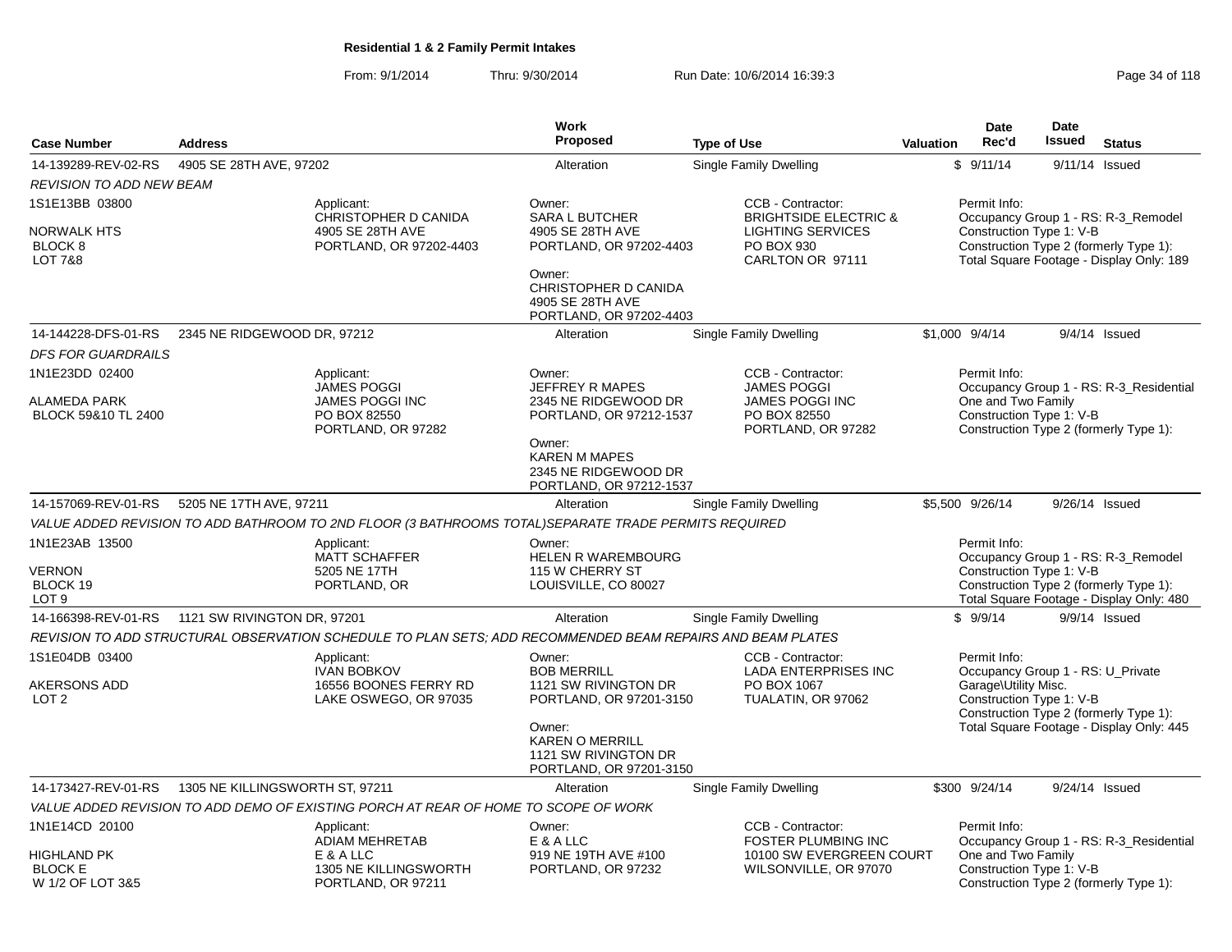From: 9/1/2014Thru: 9/30/2014 Run Date: 10/6/2014 16:39:3<br>
Page 34 of 118

|                                                                 |                                 |                                                                                                            | <b>Work</b><br>Proposed                                                                                        |                                                                 |           | <b>Date</b><br>Rec'd                                                      | Date<br><b>Issued</b> |                                                                                                                           |
|-----------------------------------------------------------------|---------------------------------|------------------------------------------------------------------------------------------------------------|----------------------------------------------------------------------------------------------------------------|-----------------------------------------------------------------|-----------|---------------------------------------------------------------------------|-----------------------|---------------------------------------------------------------------------------------------------------------------------|
| <b>Case Number</b>                                              | <b>Address</b>                  |                                                                                                            |                                                                                                                | <b>Type of Use</b>                                              | Valuation |                                                                           |                       | <b>Status</b>                                                                                                             |
| 14-139289-REV-02-RS                                             | 4905 SE 28TH AVE, 97202         |                                                                                                            | Alteration                                                                                                     | Single Family Dwelling                                          |           | \$9/11/14                                                                 |                       | 9/11/14 Issued                                                                                                            |
| <b>REVISION TO ADD NEW BEAM</b>                                 |                                 |                                                                                                            |                                                                                                                |                                                                 |           |                                                                           |                       |                                                                                                                           |
| 1S1E13BB 03800                                                  |                                 | Applicant:<br>CHRISTOPHER D CANIDA                                                                         | Owner:                                                                                                         | CCB - Contractor:<br><b>BRIGHTSIDE ELECTRIC &amp;</b>           |           | Permit Info:                                                              |                       |                                                                                                                           |
| <b>NORWALK HTS</b><br>BLOCK <sub>8</sub><br><b>LOT 7&amp;8</b>  |                                 | 4905 SE 28TH AVE<br>PORTLAND, OR 97202-4403                                                                | <b>SARA L BUTCHER</b><br>4905 SE 28TH AVE<br>PORTLAND, OR 97202-4403                                           | <b>LIGHTING SERVICES</b><br>PO BOX 930<br>CARLTON OR 97111      |           | Construction Type 1: V-B                                                  |                       | Occupancy Group 1 - RS: R-3_Remodel<br>Construction Type 2 (formerly Type 1):<br>Total Square Footage - Display Only: 189 |
|                                                                 |                                 |                                                                                                            | Owner:<br>CHRISTOPHER D CANIDA<br>4905 SE 28TH AVE<br>PORTLAND, OR 97202-4403                                  |                                                                 |           |                                                                           |                       |                                                                                                                           |
| 14-144228-DFS-01-RS                                             | 2345 NE RIDGEWOOD DR, 97212     |                                                                                                            | Alteration                                                                                                     | Single Family Dwelling                                          |           | \$1,000 9/4/14                                                            |                       | $9/4/14$ Issued                                                                                                           |
| <b>DFS FOR GUARDRAILS</b>                                       |                                 |                                                                                                            |                                                                                                                |                                                                 |           |                                                                           |                       |                                                                                                                           |
| 1N1E23DD 02400                                                  |                                 | Applicant:<br>JAMES POGGI                                                                                  | Owner:<br><b>JEFFREY R MAPES</b>                                                                               | CCB - Contractor:<br><b>JAMES POGGI</b>                         |           | Permit Info:                                                              |                       | Occupancy Group 1 - RS: R-3_Residential                                                                                   |
| <b>ALAMEDA PARK</b><br>BLOCK 59&10 TL 2400                      |                                 | <b>JAMES POGGI INC</b><br>PO BOX 82550<br>PORTLAND, OR 97282                                               | 2345 NE RIDGEWOOD DR<br>PORTLAND, OR 97212-1537                                                                | <b>JAMES POGGI INC</b><br>PO BOX 82550<br>PORTLAND, OR 97282    |           | One and Two Family<br>Construction Type 1: V-B                            |                       | Construction Type 2 (formerly Type 1):                                                                                    |
|                                                                 |                                 |                                                                                                            | Owner:<br><b>KAREN M MAPES</b><br>2345 NE RIDGEWOOD DR<br>PORTLAND, OR 97212-1537                              |                                                                 |           |                                                                           |                       |                                                                                                                           |
| 14-157069-REV-01-RS                                             | 5205 NE 17TH AVE, 97211         |                                                                                                            | Alteration                                                                                                     | <b>Single Family Dwelling</b>                                   |           | \$5.500 9/26/14                                                           |                       | 9/26/14 Issued                                                                                                            |
|                                                                 |                                 | VALUE ADDED REVISION TO ADD BATHROOM TO 2ND FLOOR (3 BATHROOMS TOTAL)SEPARATE TRADE PERMITS REQUIRED       |                                                                                                                |                                                                 |           |                                                                           |                       |                                                                                                                           |
| 1N1E23AB 13500<br><b>VERNON</b><br>BLOCK 19<br>LOT <sub>9</sub> |                                 | Applicant:<br><b>MATT SCHAFFER</b><br>5205 NE 17TH<br>PORTLAND, OR                                         | Owner:<br><b>HELEN R WAREMBOURG</b><br>115 W CHERRY ST<br>LOUISVILLE, CO 80027                                 |                                                                 |           | Permit Info:<br>Construction Type 1: V-B                                  |                       | Occupancy Group 1 - RS: R-3_Remodel<br>Construction Type 2 (formerly Type 1):<br>Total Square Footage - Display Only: 480 |
| 14-166398-REV-01-RS                                             | 1121 SW RIVINGTON DR, 97201     |                                                                                                            | Alteration                                                                                                     | Single Family Dwelling                                          |           | \$9/9/14                                                                  |                       | 9/9/14 Issued                                                                                                             |
|                                                                 |                                 | REVISION TO ADD STRUCTURAL OBSERVATION SCHEDULE TO PLAN SETS; ADD RECOMMENDED BEAM REPAIRS AND BEAM PLATES |                                                                                                                |                                                                 |           |                                                                           |                       |                                                                                                                           |
| 1S1E04DB 03400<br>AKERSONS ADD                                  |                                 | Applicant:<br><b>IVAN BOBKOV</b><br>16556 BOONES FERRY RD                                                  | Owner:<br><b>BOB MERRILL</b><br>1121 SW RIVINGTON DR                                                           | CCB - Contractor:<br><b>LADA ENTERPRISES INC</b><br>PO BOX 1067 |           | Permit Info:<br>Occupancy Group 1 - RS: U_Private<br>Garage\Utility Misc. |                       |                                                                                                                           |
| LOT <sub>2</sub>                                                |                                 | LAKE OSWEGO, OR 97035                                                                                      | PORTLAND, OR 97201-3150<br>Owner:<br><b>KAREN O MERRILL</b><br>1121 SW RIVINGTON DR<br>PORTLAND, OR 97201-3150 | TUALATIN, OR 97062                                              |           | Construction Type 1: V-B                                                  |                       | Construction Type 2 (formerly Type 1):<br>Total Square Footage - Display Only: 445                                        |
| 14-173427-REV-01-RS                                             | 1305 NE KILLINGSWORTH ST, 97211 |                                                                                                            | Alteration                                                                                                     | Single Family Dwelling                                          |           | \$300 9/24/14                                                             |                       | 9/24/14 Issued                                                                                                            |
|                                                                 |                                 | VALUE ADDED REVISION TO ADD DEMO OF EXISTING PORCH AT REAR OF HOME TO SCOPE OF WORK                        |                                                                                                                |                                                                 |           |                                                                           |                       |                                                                                                                           |
| 1N1E14CD 20100                                                  |                                 | Applicant:<br><b>ADIAM MEHRETAB</b>                                                                        | Owner:<br>E & A LLC                                                                                            | CCB - Contractor:<br><b>FOSTER PLUMBING INC</b>                 |           | Permit Info:                                                              |                       | Occupancy Group 1 - RS: R-3_Residential                                                                                   |
| <b>HIGHLAND PK</b><br><b>BLOCK E</b><br>W 1/2 OF LOT 3&5        |                                 | E & A LLC<br>1305 NE KILLINGSWORTH<br>PORTLAND, OR 97211                                                   | 919 NE 19TH AVE #100<br>PORTLAND, OR 97232                                                                     | 10100 SW EVERGREEN COURT<br>WILSONVILLE, OR 97070               |           | One and Two Family<br>Construction Type 1: V-B                            |                       | Construction Type 2 (formerly Type 1):                                                                                    |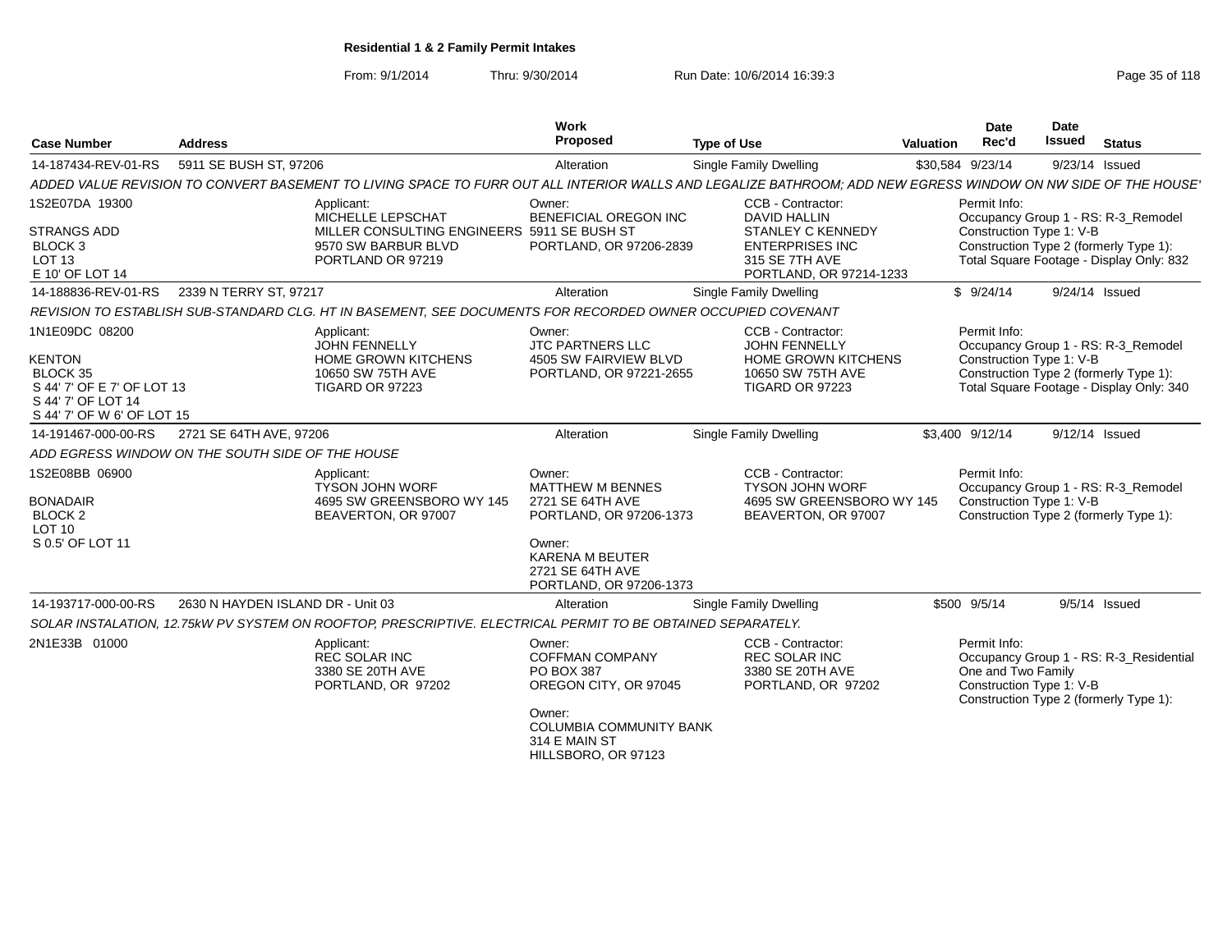From: 9/1/2014Thru: 9/30/2014 Run Date: 10/6/2014 16:39:3<br>
Page 35 of 118

| <b>Case Number</b>                                                                                                            | <b>Address</b>                    |                                                                                                                                                                           | Work<br>Proposed                                                                                                                                                    | <b>Type of Use</b>                                                                                                                          | <b>Valuation</b> | <b>Date</b><br>Rec'd                                           | Date<br>Issued | <b>Status</b>                                                                                                             |
|-------------------------------------------------------------------------------------------------------------------------------|-----------------------------------|---------------------------------------------------------------------------------------------------------------------------------------------------------------------------|---------------------------------------------------------------------------------------------------------------------------------------------------------------------|---------------------------------------------------------------------------------------------------------------------------------------------|------------------|----------------------------------------------------------------|----------------|---------------------------------------------------------------------------------------------------------------------------|
| 14-187434-REV-01-RS                                                                                                           | 5911 SE BUSH ST, 97206            |                                                                                                                                                                           | Alteration                                                                                                                                                          | Single Family Dwelling                                                                                                                      |                  | \$30,584 9/23/14                                               |                | 9/23/14 Issued                                                                                                            |
|                                                                                                                               |                                   | ADDED VALUE REVISION TO CONVERT BASEMENT TO LIVING SPACE TO FURR OUT ALL INTERIOR WALLS AND LEGALIZE BATHROOM; ADD NEW EGRESS WINDOW ON NW SIDE OF THE HOUSE <sup>,</sup> |                                                                                                                                                                     |                                                                                                                                             |                  |                                                                |                |                                                                                                                           |
| 1S2E07DA 19300<br><b>STRANGS ADD</b><br>BLOCK <sub>3</sub><br>LOT <sub>13</sub><br>E 10' OF LOT 14                            |                                   | Applicant:<br>MICHELLE LEPSCHAT<br>MILLER CONSULTING ENGINEERS 5911 SE BUSH ST<br>9570 SW BARBUR BLVD<br>PORTLAND OR 97219                                                | Owner:<br><b>BENEFICIAL OREGON INC</b><br>PORTLAND, OR 97206-2839                                                                                                   | CCB - Contractor:<br><b>DAVID HALLIN</b><br><b>STANLEY C KENNEDY</b><br><b>ENTERPRISES INC</b><br>315 SE 7TH AVE<br>PORTLAND, OR 97214-1233 |                  | Permit Info:<br>Construction Type 1: V-B                       |                | Occupancy Group 1 - RS: R-3_Remodel<br>Construction Type 2 (formerly Type 1):<br>Total Square Footage - Display Only: 832 |
| 14-188836-REV-01-RS                                                                                                           | 2339 N TERRY ST, 97217            |                                                                                                                                                                           | Alteration                                                                                                                                                          | Single Family Dwelling                                                                                                                      |                  | \$9/24/14                                                      |                | 9/24/14 Issued                                                                                                            |
|                                                                                                                               |                                   | REVISION TO ESTABLISH SUB-STANDARD CLG. HT IN BASEMENT, SEE DOCUMENTS FOR RECORDED OWNER OCCUPIED COVENANT                                                                |                                                                                                                                                                     |                                                                                                                                             |                  |                                                                |                |                                                                                                                           |
| 1N1E09DC 08200<br><b>KENTON</b><br>BLOCK 35<br>S 44' 7' OF E 7' OF LOT 13<br>S 44' 7' OF LOT 14<br>S 44' 7' OF W 6' OF LOT 15 |                                   | Applicant:<br><b>JOHN FENNELLY</b><br>HOME GROWN KITCHENS<br>10650 SW 75TH AVE<br><b>TIGARD OR 97223</b>                                                                  | Owner:<br><b>JTC PARTNERS LLC</b><br>4505 SW FAIRVIEW BLVD<br>PORTLAND, OR 97221-2655                                                                               | CCB - Contractor:<br><b>JOHN FENNELLY</b><br>HOME GROWN KITCHENS<br>10650 SW 75TH AVE<br>TIGARD OR 97223                                    |                  | Permit Info:<br>Construction Type 1: V-B                       |                | Occupancy Group 1 - RS: R-3_Remodel<br>Construction Type 2 (formerly Type 1):<br>Total Square Footage - Display Only: 340 |
| 14-191467-000-00-RS                                                                                                           | 2721 SE 64TH AVE, 97206           |                                                                                                                                                                           | Alteration                                                                                                                                                          | Single Family Dwelling                                                                                                                      |                  | \$3,400 9/12/14                                                |                | 9/12/14 Issued                                                                                                            |
| ADD EGRESS WINDOW ON THE SOUTH SIDE OF THE HOUSE                                                                              |                                   |                                                                                                                                                                           |                                                                                                                                                                     |                                                                                                                                             |                  |                                                                |                |                                                                                                                           |
| 1S2E08BB 06900<br><b>BONADAIR</b><br>BLOCK <sub>2</sub><br>LOT 10<br>S 0.5' OF LOT 11                                         |                                   | Applicant:<br><b>TYSON JOHN WORF</b><br>4695 SW GREENSBORO WY 145<br>BEAVERTON, OR 97007                                                                                  | Owner:<br><b>MATTHEW M BENNES</b><br>2721 SE 64TH AVE<br>PORTLAND, OR 97206-1373<br>Owner:<br><b>KARENA M BEUTER</b><br>2721 SE 64TH AVE<br>PORTLAND, OR 97206-1373 | CCB - Contractor:<br><b>TYSON JOHN WORF</b><br>4695 SW GREENSBORO WY 145<br>BEAVERTON, OR 97007                                             |                  | Permit Info:<br>Construction Type 1: V-B                       |                | Occupancy Group 1 - RS: R-3_Remodel<br>Construction Type 2 (formerly Type 1):                                             |
| 14-193717-000-00-RS                                                                                                           | 2630 N HAYDEN ISLAND DR - Unit 03 |                                                                                                                                                                           | Alteration                                                                                                                                                          | Single Family Dwelling                                                                                                                      |                  | \$500 9/5/14                                                   |                | $9/5/14$ Issued                                                                                                           |
|                                                                                                                               |                                   | SOLAR INSTALATION, 12.75kW PV SYSTEM ON ROOFTOP, PRESCRIPTIVE. ELECTRICAL PERMIT TO BE OBTAINED SEPARATELY.                                                               |                                                                                                                                                                     |                                                                                                                                             |                  |                                                                |                |                                                                                                                           |
| 2N1E33B 01000                                                                                                                 |                                   | Applicant:<br><b>REC SOLAR INC</b><br>3380 SE 20TH AVE<br>PORTLAND, OR 97202                                                                                              | Owner:<br><b>COFFMAN COMPANY</b><br><b>PO BOX 387</b><br>OREGON CITY, OR 97045<br>Owner:<br><b>COLUMBIA COMMUNITY BANK</b><br>314 E MAIN ST<br>HILLSBORO, OR 97123  | CCB - Contractor:<br><b>REC SOLAR INC</b><br>3380 SE 20TH AVE<br>PORTLAND, OR 97202                                                         |                  | Permit Info:<br>One and Two Family<br>Construction Type 1: V-B |                | Occupancy Group 1 - RS: R-3 Residential<br>Construction Type 2 (formerly Type 1):                                         |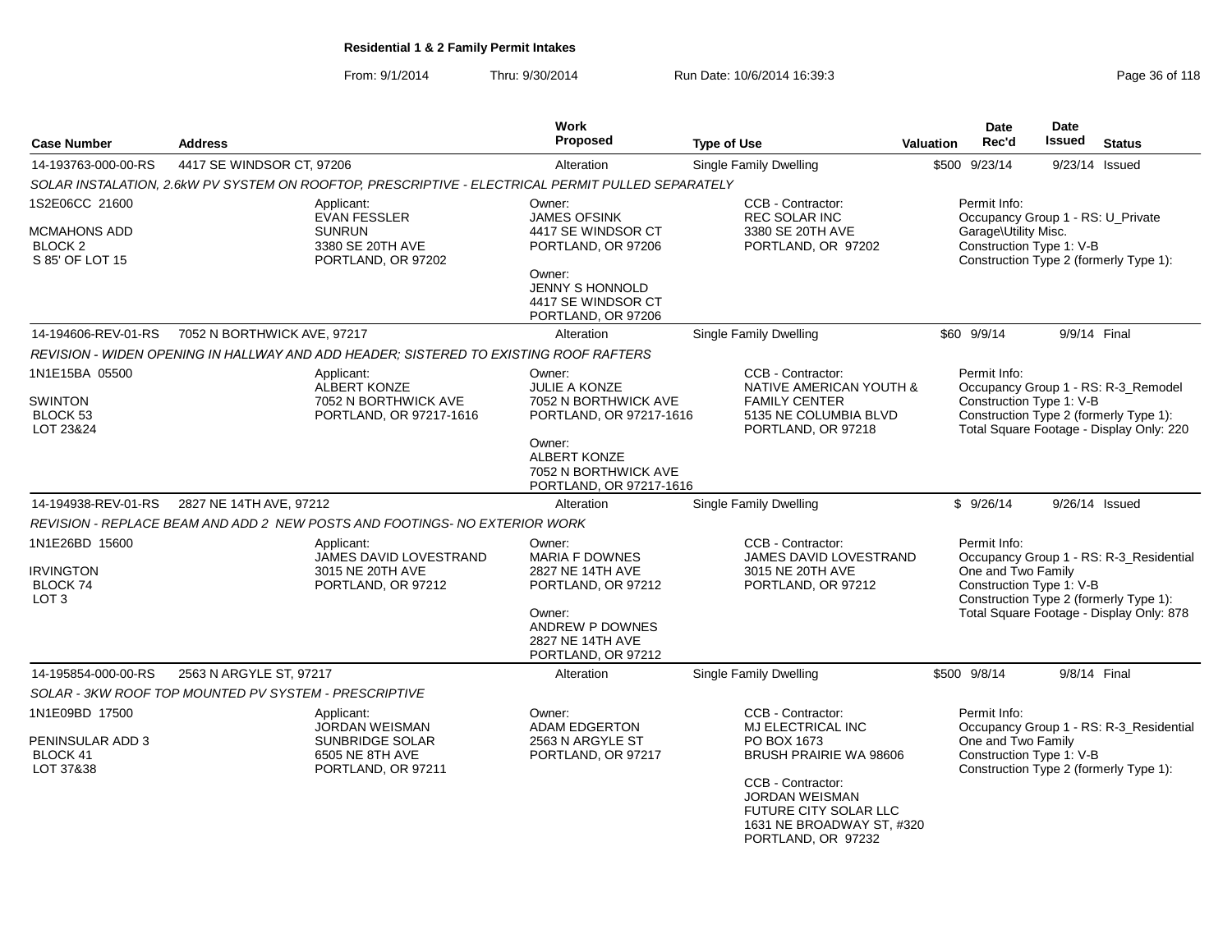From: 9/1/2014Thru: 9/30/2014 Run Date: 10/6/2014 16:39:3<br>
Page 36 of 118

| <b>Case Number</b>                                                   | <b>Address</b>                                        |                                                                                                   | <b>Work</b><br>Proposed                                                                                                                                               | <b>Type of Use</b>                                                                                                                                                                                               | <b>Valuation</b>                                                                                                                                                                                | <b>Date</b><br>Rec'd                                           | <b>Date</b><br><b>Issued</b> | <b>Status</b>                                                                                                             |
|----------------------------------------------------------------------|-------------------------------------------------------|---------------------------------------------------------------------------------------------------|-----------------------------------------------------------------------------------------------------------------------------------------------------------------------|------------------------------------------------------------------------------------------------------------------------------------------------------------------------------------------------------------------|-------------------------------------------------------------------------------------------------------------------------------------------------------------------------------------------------|----------------------------------------------------------------|------------------------------|---------------------------------------------------------------------------------------------------------------------------|
| 14-193763-000-00-RS                                                  | 4417 SE WINDSOR CT, 97206                             |                                                                                                   | Alteration                                                                                                                                                            | Single Family Dwelling                                                                                                                                                                                           |                                                                                                                                                                                                 | \$500 9/23/14                                                  | 9/23/14 Issued               |                                                                                                                           |
|                                                                      |                                                       | SOLAR INSTALATION, 2.6kW PV SYSTEM ON ROOFTOP, PRESCRIPTIVE - ELECTRICAL PERMIT PULLED SEPARATELY |                                                                                                                                                                       |                                                                                                                                                                                                                  |                                                                                                                                                                                                 |                                                                |                              |                                                                                                                           |
| 1S2E06CC 21600                                                       |                                                       | Applicant:                                                                                        | Owner:                                                                                                                                                                | CCB - Contractor:                                                                                                                                                                                                |                                                                                                                                                                                                 | Permit Info:                                                   |                              |                                                                                                                           |
| MCMAHONS ADD<br>BLOCK <sub>2</sub><br>S 85' OF LOT 15                |                                                       | <b>EVAN FESSLER</b><br><b>SUNRUN</b><br>3380 SE 20TH AVE<br>PORTLAND, OR 97202                    | <b>JAMES OFSINK</b><br>4417 SE WINDSOR CT<br>PORTLAND, OR 97206<br>Owner:<br>JENNY S HONNOLD<br>4417 SE WINDSOR CT<br>PORTLAND, OR 97206                              | REC SOLAR INC<br>3380 SE 20TH AVE<br>PORTLAND, OR 97202                                                                                                                                                          | Occupancy Group 1 - RS: U_Private<br>Garage\Utility Misc.<br>Construction Type 1: V-B<br>Construction Type 2 (formerly Type 1):                                                                 |                                                                |                              |                                                                                                                           |
| 14-194606-REV-01-RS                                                  | 7052 N BORTHWICK AVE, 97217                           |                                                                                                   | Alteration                                                                                                                                                            | <b>Single Family Dwelling</b>                                                                                                                                                                                    |                                                                                                                                                                                                 | \$60 9/9/14                                                    | 9/9/14 Final                 |                                                                                                                           |
|                                                                      |                                                       | REVISION - WIDEN OPENING IN HALLWAY AND ADD HEADER; SISTERED TO EXISTING ROOF RAFTERS             |                                                                                                                                                                       |                                                                                                                                                                                                                  |                                                                                                                                                                                                 |                                                                |                              |                                                                                                                           |
| 1N1E15BA 05500<br><b>SWINTON</b><br>BLOCK <sub>53</sub><br>LOT 23&24 |                                                       | Applicant:<br><b>ALBERT KONZE</b><br>7052 N BORTHWICK AVE<br>PORTLAND, OR 97217-1616              | Owner:<br><b>JULIE A KONZE</b><br>7052 N BORTHWICK AVE<br>PORTLAND, OR 97217-1616<br>Owner:<br><b>ALBERT KONZE</b><br>7052 N BORTHWICK AVE<br>PORTLAND, OR 97217-1616 | CCB - Contractor:<br>NATIVE AMERICAN YOUTH &<br><b>FAMILY CENTER</b><br>5135 NE COLUMBIA BLVD<br>PORTLAND, OR 97218                                                                                              |                                                                                                                                                                                                 | Permit Info:<br>Construction Type 1: V-B                       |                              | Occupancy Group 1 - RS: R-3_Remodel<br>Construction Type 2 (formerly Type 1):<br>Total Square Footage - Display Only: 220 |
| 14-194938-REV-01-RS                                                  | 2827 NE 14TH AVE, 97212                               |                                                                                                   | Alteration                                                                                                                                                            | Single Family Dwelling                                                                                                                                                                                           |                                                                                                                                                                                                 | \$9/26/14                                                      | 9/26/14 Issued               |                                                                                                                           |
|                                                                      |                                                       | REVISION - REPLACE BEAM AND ADD 2 NEW POSTS AND FOOTINGS- NO EXTERIOR WORK                        |                                                                                                                                                                       |                                                                                                                                                                                                                  |                                                                                                                                                                                                 |                                                                |                              |                                                                                                                           |
| 1N1E26BD 15600<br><b>IRVINGTON</b><br>BLOCK 74<br>LOT <sub>3</sub>   |                                                       | Applicant:<br>JAMES DAVID LOVESTRAND<br>3015 NE 20TH AVE<br>PORTLAND, OR 97212                    | Owner:<br><b>MARIA F DOWNES</b><br>2827 NE 14TH AVE<br>PORTLAND, OR 97212<br>Owner:<br>ANDREW P DOWNES<br>2827 NE 14TH AVE<br>PORTLAND, OR 97212                      | CCB - Contractor:<br><b>JAMES DAVID LOVESTRAND</b><br>3015 NE 20TH AVE<br>PORTLAND, OR 97212                                                                                                                     | Permit Info:<br>Occupancy Group 1 - RS: R-3_Residential<br>One and Two Family<br>Construction Type 1: V-B<br>Construction Type 2 (formerly Type 1):<br>Total Square Footage - Display Only: 878 |                                                                |                              |                                                                                                                           |
| 14-195854-000-00-RS                                                  | 2563 N ARGYLE ST, 97217                               |                                                                                                   | Alteration                                                                                                                                                            | <b>Single Family Dwelling</b>                                                                                                                                                                                    |                                                                                                                                                                                                 | \$500 9/8/14                                                   | 9/8/14 Final                 |                                                                                                                           |
|                                                                      | SOLAR - 3KW ROOF TOP MOUNTED PV SYSTEM - PRESCRIPTIVE |                                                                                                   |                                                                                                                                                                       |                                                                                                                                                                                                                  |                                                                                                                                                                                                 |                                                                |                              |                                                                                                                           |
| 1N1E09BD 17500<br>PENINSULAR ADD 3<br>BLOCK 41<br>LOT 37&38          |                                                       | Applicant:<br>JORDAN WEISMAN<br>SUNBRIDGE SOLAR<br>6505 NE 8TH AVE<br>PORTLAND, OR 97211          | Owner:<br><b>ADAM EDGERTON</b><br>2563 N ARGYLE ST<br>PORTLAND, OR 97217                                                                                              | CCB - Contractor:<br><b>MJ ELECTRICAL INC</b><br>PO BOX 1673<br>BRUSH PRAIRIE WA 98606<br>CCB - Contractor:<br><b>JORDAN WEISMAN</b><br>FUTURE CITY SOLAR LLC<br>1631 NE BROADWAY ST, #320<br>PORTLAND, OR 97232 |                                                                                                                                                                                                 | Permit Info:<br>One and Two Family<br>Construction Type 1: V-B |                              | Occupancy Group 1 - RS: R-3_Residential<br>Construction Type 2 (formerly Type 1):                                         |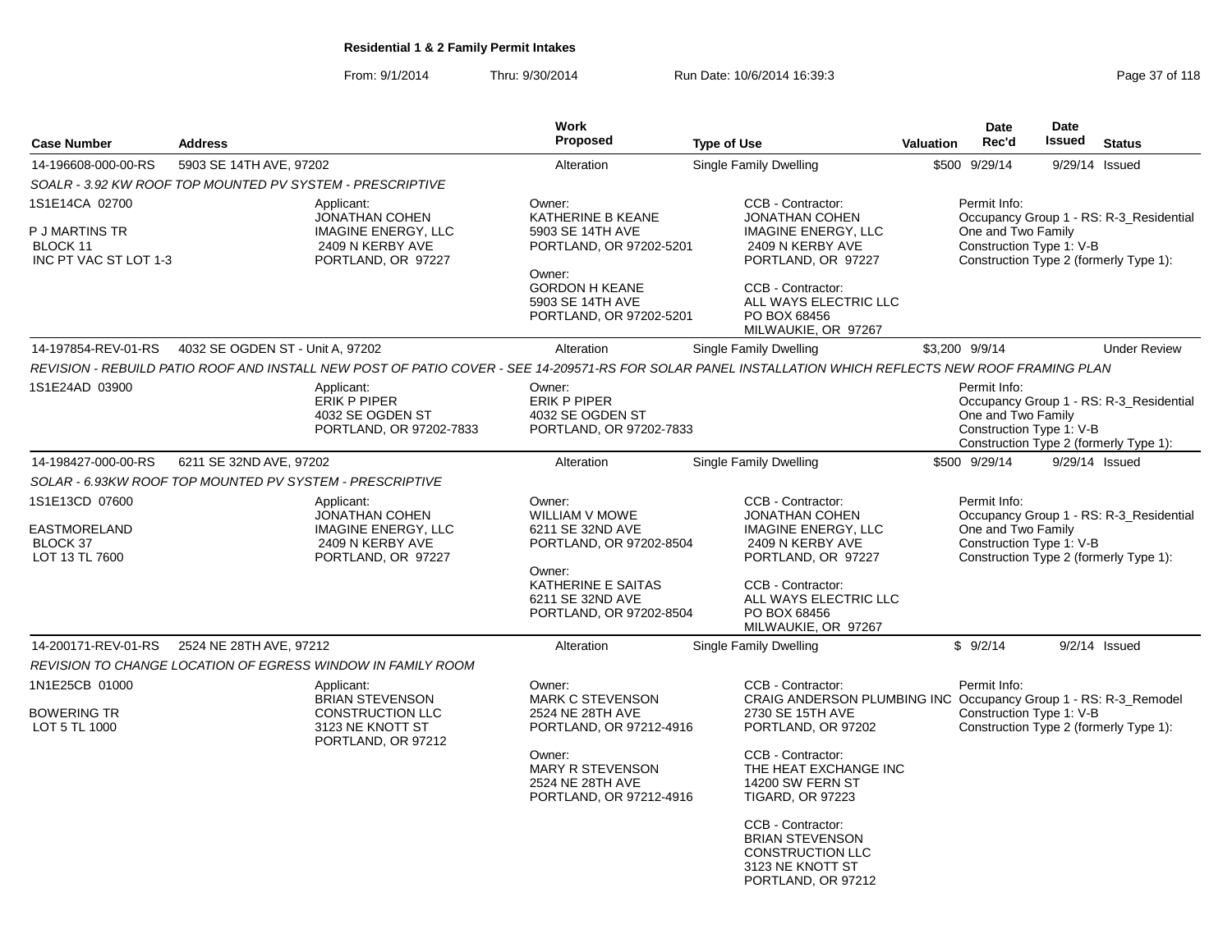From: 9/1/2014Thru: 9/30/2014 Run Date: 10/6/2014 16:39:3<br>
Page 37 of 118

|                                                                       |                                                             |                                                                                               | Work                                                                                                                                                                 |                                                                                                                                                                                                                                                                                                                                                 |                  | <b>Date</b>                                                    | <b>Date</b>   |                                                                                   |
|-----------------------------------------------------------------------|-------------------------------------------------------------|-----------------------------------------------------------------------------------------------|----------------------------------------------------------------------------------------------------------------------------------------------------------------------|-------------------------------------------------------------------------------------------------------------------------------------------------------------------------------------------------------------------------------------------------------------------------------------------------------------------------------------------------|------------------|----------------------------------------------------------------|---------------|-----------------------------------------------------------------------------------|
| <b>Case Number</b>                                                    | <b>Address</b>                                              |                                                                                               | <b>Proposed</b>                                                                                                                                                      | <b>Type of Use</b>                                                                                                                                                                                                                                                                                                                              | <b>Valuation</b> | Rec'd                                                          | <b>Issued</b> | <b>Status</b>                                                                     |
| 14-196608-000-00-RS                                                   | 5903 SE 14TH AVE, 97202                                     |                                                                                               | Alteration                                                                                                                                                           | <b>Single Family Dwelling</b>                                                                                                                                                                                                                                                                                                                   |                  | \$500 9/29/14                                                  |               | 9/29/14 Issued                                                                    |
|                                                                       | SOALR - 3.92 KW ROOF TOP MOUNTED PV SYSTEM - PRESCRIPTIVE   |                                                                                               |                                                                                                                                                                      |                                                                                                                                                                                                                                                                                                                                                 |                  |                                                                |               |                                                                                   |
| 1S1E14CA 02700<br>P J MARTINS TR<br>BLOCK 11<br>INC PT VAC ST LOT 1-3 | Applicant:                                                  | JONATHAN COHEN<br><b>IMAGINE ENERGY, LLC</b><br>2409 N KERBY AVE<br>PORTLAND, OR 97227        | Owner:<br>KATHERINE B KEANE<br>5903 SE 14TH AVE<br>PORTLAND, OR 97202-5201<br>Owner:<br><b>GORDON H KEANE</b><br>5903 SE 14TH AVE<br>PORTLAND, OR 97202-5201         | CCB - Contractor:<br><b>JONATHAN COHEN</b><br><b>IMAGINE ENERGY, LLC</b><br>2409 N KERBY AVE<br>PORTLAND, OR 97227<br>CCB - Contractor:<br>ALL WAYS ELECTRIC LLC<br>PO BOX 68456<br>MILWAUKIE, OR 97267                                                                                                                                         |                  | Permit Info:<br>One and Two Family<br>Construction Type 1: V-B |               | Occupancy Group 1 - RS: R-3 Residential<br>Construction Type 2 (formerly Type 1): |
| 14-197854-REV-01-RS                                                   | 4032 SE OGDEN ST - Unit A, 97202                            |                                                                                               | Alteration                                                                                                                                                           | <b>Single Family Dwelling</b>                                                                                                                                                                                                                                                                                                                   |                  | \$3,200 9/9/14                                                 |               | <b>Under Review</b>                                                               |
|                                                                       |                                                             |                                                                                               |                                                                                                                                                                      | REVISION - REBUILD PATIO ROOF AND INSTALL NEW POST OF PATIO COVER - SEE 14-209571-RS FOR SOLAR PANEL INSTALLATION WHICH REFLECTS NEW ROOF FRAMING PLAN                                                                                                                                                                                          |                  |                                                                |               |                                                                                   |
| 1S1E24AD 03900                                                        | Applicant:<br>ERIK P PIPER                                  | 4032 SE OGDEN ST<br>PORTLAND, OR 97202-7833                                                   | Owner:<br>ERIK P PIPER<br>4032 SE OGDEN ST<br>PORTLAND, OR 97202-7833                                                                                                |                                                                                                                                                                                                                                                                                                                                                 |                  | Permit Info:<br>One and Two Family<br>Construction Type 1: V-B |               | Occupancy Group 1 - RS: R-3_Residential<br>Construction Type 2 (formerly Type 1): |
| 14-198427-000-00-RS                                                   | 6211 SE 32ND AVE, 97202                                     |                                                                                               | Alteration                                                                                                                                                           | <b>Single Family Dwelling</b>                                                                                                                                                                                                                                                                                                                   |                  | \$500 9/29/14                                                  |               | 9/29/14 Issued                                                                    |
|                                                                       | SOLAR - 6.93KW ROOF TOP MOUNTED PV SYSTEM - PRESCRIPTIVE    |                                                                                               |                                                                                                                                                                      |                                                                                                                                                                                                                                                                                                                                                 |                  |                                                                |               |                                                                                   |
| 1S1E13CD 07600<br>EASTMORELAND<br>BLOCK 37<br>LOT 13 TL 7600          | Applicant:                                                  | <b>JONATHAN COHEN</b><br><b>IMAGINE ENERGY, LLC</b><br>2409 N KERBY AVE<br>PORTLAND, OR 97227 | Owner:<br>WILLIAM V MOWE<br>6211 SE 32ND AVE<br>PORTLAND, OR 97202-8504<br>Owner:<br>KATHERINE E SAITAS<br>6211 SE 32ND AVE<br>PORTLAND, OR 97202-8504               | CCB - Contractor:<br><b>JONATHAN COHEN</b><br><b>IMAGINE ENERGY, LLC</b><br>2409 N KERBY AVE<br>PORTLAND, OR 97227<br>CCB - Contractor:<br>ALL WAYS ELECTRIC LLC<br>PO BOX 68456                                                                                                                                                                |                  | Permit Info:<br>One and Two Family<br>Construction Type 1: V-B |               | Occupancy Group 1 - RS: R-3 Residential<br>Construction Type 2 (formerly Type 1): |
|                                                                       |                                                             |                                                                                               |                                                                                                                                                                      | MILWAUKIE, OR 97267                                                                                                                                                                                                                                                                                                                             |                  |                                                                |               |                                                                                   |
| 14-200171-REV-01-RS                                                   | 2524 NE 28TH AVE, 97212                                     |                                                                                               | Alteration                                                                                                                                                           | Single Family Dwelling                                                                                                                                                                                                                                                                                                                          |                  | \$9/2/14                                                       |               | $9/2/14$ Issued                                                                   |
|                                                                       | REVISION TO CHANGE LOCATION OF EGRESS WINDOW IN FAMILY ROOM |                                                                                               |                                                                                                                                                                      |                                                                                                                                                                                                                                                                                                                                                 |                  |                                                                |               |                                                                                   |
| 1N1E25CB 01000<br><b>BOWERING TR</b><br>LOT 5 TL 1000                 | Applicant:                                                  | BRIAN STEVENSON<br><b>CONSTRUCTION LLC</b><br>3123 NE KNOTT ST<br>PORTLAND, OR 97212          | Owner:<br><b>MARK C STEVENSON</b><br>2524 NE 28TH AVE<br>PORTLAND, OR 97212-4916<br>Owner:<br><b>MARY R STEVENSON</b><br>2524 NE 28TH AVE<br>PORTLAND, OR 97212-4916 | CCB - Contractor:<br>CRAIG ANDERSON PLUMBING INC Occupancy Group 1 - RS: R-3_Remodel<br>2730 SE 15TH AVE<br>PORTLAND, OR 97202<br>CCB - Contractor:<br>THE HEAT EXCHANGE INC<br><b>14200 SW FERN ST</b><br><b>TIGARD, OR 97223</b><br>CCB - Contractor:<br><b>BRIAN STEVENSON</b><br>CONSTRUCTION LLC<br>3123 NE KNOTT ST<br>PORTLAND, OR 97212 |                  | Permit Info:<br>Construction Type 1: V-B                       |               | Construction Type 2 (formerly Type 1):                                            |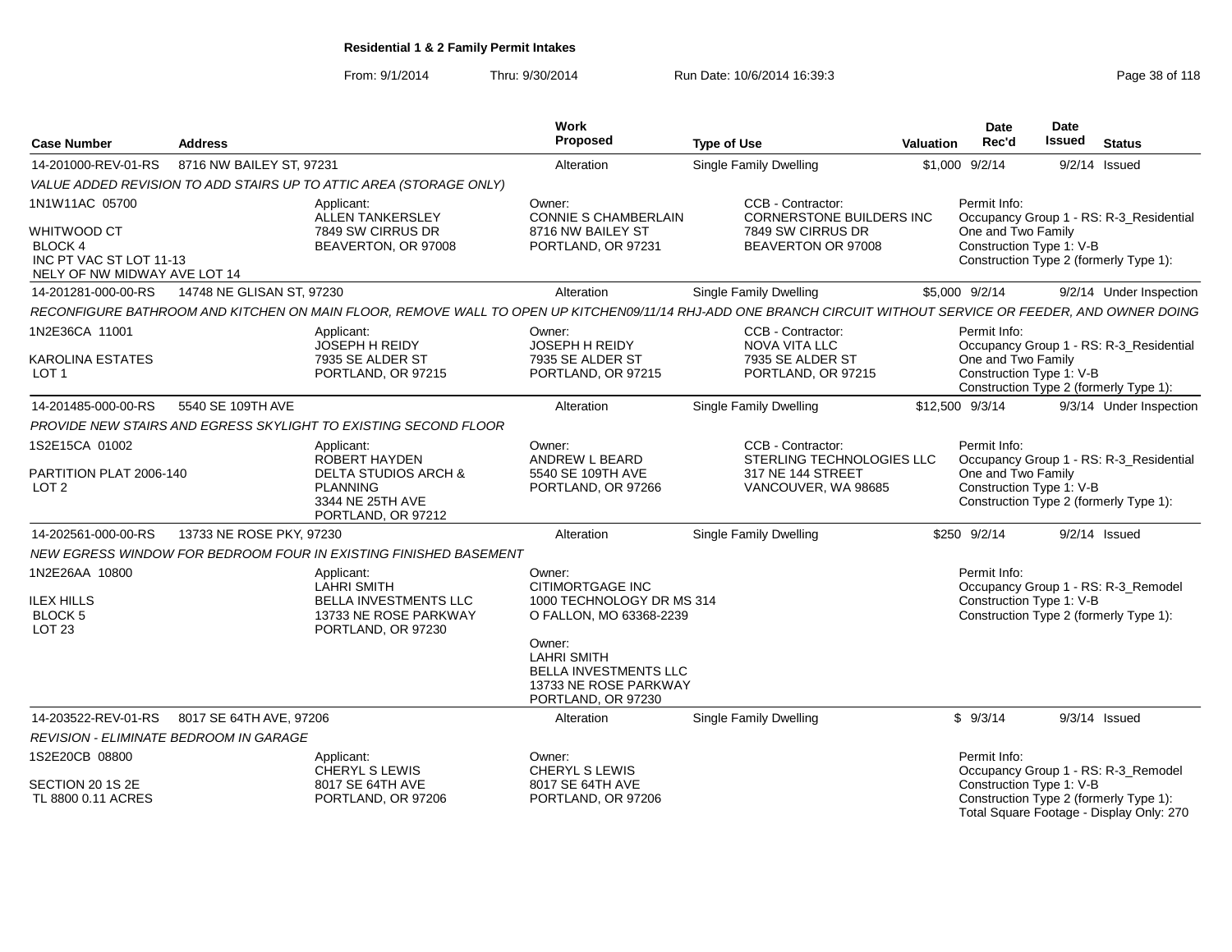From: 9/1/2014Thru: 9/30/2014 Run Date: 10/6/2014 16:39:3<br>
Page 38 of 118

| <b>Case Number</b>                                                                              | <b>Address</b>            |                                                                                                                                                              | Work<br>Proposed                                                                                     | <b>Type of Use</b>                                            | <b>Valuation</b> | <b>Date</b><br>Rec'd                           | <b>Date</b><br><b>Issued</b> | <b>Status</b>                                                                      |
|-------------------------------------------------------------------------------------------------|---------------------------|--------------------------------------------------------------------------------------------------------------------------------------------------------------|------------------------------------------------------------------------------------------------------|---------------------------------------------------------------|------------------|------------------------------------------------|------------------------------|------------------------------------------------------------------------------------|
| 14-201000-REV-01-RS                                                                             | 8716 NW BAILEY ST, 97231  |                                                                                                                                                              | Alteration                                                                                           | <b>Single Family Dwelling</b>                                 |                  | \$1,000 9/2/14                                 |                              | $9/2/14$ Issued                                                                    |
|                                                                                                 |                           | VALUE ADDED REVISION TO ADD STAIRS UP TO ATTIC AREA (STORAGE ONLY)                                                                                           |                                                                                                      |                                                               |                  |                                                |                              |                                                                                    |
| 1N1W11AC 05700                                                                                  |                           | Applicant:<br>ALLEN TANKERSLEY                                                                                                                               | Owner:<br><b>CONNIE S CHAMBERLAIN</b>                                                                | CCB - Contractor:<br><b>CORNERSTONE BUILDERS INC</b>          |                  | Permit Info:                                   |                              | Occupancy Group 1 - RS: R-3_Residential                                            |
| <b>WHITWOOD CT</b><br><b>BLOCK 4</b><br>INC PT VAC ST LOT 11-13<br>NELY OF NW MIDWAY AVE LOT 14 |                           | 7849 SW CIRRUS DR<br>BEAVERTON, OR 97008                                                                                                                     | 8716 NW BAILEY ST<br>PORTLAND, OR 97231                                                              | 7849 SW CIRRUS DR<br>BEAVERTON OR 97008                       |                  | One and Two Family<br>Construction Type 1: V-B |                              | Construction Type 2 (formerly Type 1):                                             |
| 14-201281-000-00-RS                                                                             | 14748 NE GLISAN ST, 97230 |                                                                                                                                                              | Alteration                                                                                           | <b>Single Family Dwelling</b>                                 |                  | \$5,000 9/2/14                                 |                              | 9/2/14 Under Inspection                                                            |
|                                                                                                 |                           | RECONFIGURE BATHROOM AND KITCHEN ON MAIN FLOOR, REMOVE WALL TO OPEN UP KITCHEN09/11/14 RHJ-ADD ONE BRANCH CIRCUIT WITHOUT SERVICE OR FEEDER, AND OWNER DOING |                                                                                                      |                                                               |                  |                                                |                              |                                                                                    |
| 1N2E36CA 11001<br>KAROLINA ESTATES                                                              |                           | Applicant:<br><b>JOSEPH H REIDY</b><br>7935 SE ALDER ST                                                                                                      | Owner:<br>JOSEPH H REIDY<br>7935 SE ALDER ST                                                         | CCB - Contractor:<br><b>NOVA VITA LLC</b><br>7935 SE ALDER ST |                  | Permit Info:<br>One and Two Family             |                              | Occupancy Group 1 - RS: R-3 Residential                                            |
| LOT <sub>1</sub>                                                                                |                           | PORTLAND, OR 97215                                                                                                                                           | PORTLAND, OR 97215                                                                                   | PORTLAND, OR 97215                                            |                  | Construction Type 1: V-B                       |                              | Construction Type 2 (formerly Type 1):                                             |
| 14-201485-000-00-RS                                                                             | 5540 SE 109TH AVE         |                                                                                                                                                              | Alteration                                                                                           | <b>Single Family Dwelling</b>                                 |                  | \$12,500 9/3/14                                |                              | 9/3/14 Under Inspection                                                            |
|                                                                                                 |                           | PROVIDE NEW STAIRS AND EGRESS SKYLIGHT TO EXISTING SECOND FLOOR                                                                                              |                                                                                                      |                                                               |                  |                                                |                              |                                                                                    |
| 1S2E15CA 01002                                                                                  |                           | Applicant:<br>ROBERT HAYDEN                                                                                                                                  | Owner:<br>ANDREW L BEARD                                                                             | CCB - Contractor:<br>STERLING TECHNOLOGIES LLC                |                  | Permit Info:                                   |                              | Occupancy Group 1 - RS: R-3_Residential                                            |
| PARTITION PLAT 2006-140<br>LOT 2                                                                |                           | <b>DELTA STUDIOS ARCH &amp;</b><br><b>PLANNING</b><br>3344 NE 25TH AVE<br>PORTLAND, OR 97212                                                                 | 5540 SE 109TH AVE<br>PORTLAND, OR 97266                                                              | 317 NE 144 STREET<br>VANCOUVER, WA 98685                      |                  | One and Two Family<br>Construction Type 1: V-B |                              | Construction Type 2 (formerly Type 1):                                             |
| 14-202561-000-00-RS                                                                             | 13733 NE ROSE PKY, 97230  |                                                                                                                                                              | Alteration                                                                                           | <b>Single Family Dwelling</b>                                 |                  | \$250 9/2/14                                   |                              | $9/2/14$ Issued                                                                    |
|                                                                                                 |                           | NEW EGRESS WINDOW FOR BEDROOM FOUR IN EXISTING FINISHED BASEMENT                                                                                             |                                                                                                      |                                                               |                  |                                                |                              |                                                                                    |
| 1N2E26AA 10800<br><b>ILEX HILLS</b><br><b>BLOCK 5</b><br>LOT <sub>23</sub>                      |                           | Applicant:<br><b>LAHRI SMITH</b><br>BELLA INVESTMENTS LLC<br>13733 NE ROSE PARKWAY<br>PORTLAND, OR 97230                                                     | Owner:<br><b>CITIMORTGAGE INC</b><br>1000 TECHNOLOGY DR MS 314<br>O FALLON, MO 63368-2239            |                                                               |                  | Permit Info:<br>Construction Type 1: V-B       |                              | Occupancy Group 1 - RS: R-3_Remodel<br>Construction Type 2 (formerly Type 1):      |
|                                                                                                 |                           |                                                                                                                                                              | Owner:<br>LAHRI SMITH<br><b>BELLA INVESTMENTS LLC</b><br>13733 NE ROSE PARKWAY<br>PORTLAND, OR 97230 |                                                               |                  |                                                |                              |                                                                                    |
| 14-203522-REV-01-RS                                                                             | 8017 SE 64TH AVE, 97206   |                                                                                                                                                              | Alteration                                                                                           | <b>Single Family Dwelling</b>                                 |                  | \$9/3/14                                       |                              | $9/3/14$ Issued                                                                    |
| <b>REVISION - ELIMINATE BEDROOM IN GARAGE</b>                                                   |                           |                                                                                                                                                              |                                                                                                      |                                                               |                  |                                                |                              |                                                                                    |
| 1S2E20CB 08800                                                                                  |                           | Applicant:<br><b>CHERYL S LEWIS</b>                                                                                                                          | Owner:<br><b>CHERYL S LEWIS</b>                                                                      |                                                               |                  | Permit Info:                                   |                              | Occupancy Group 1 - RS: R-3_Remodel                                                |
| SECTION 20 1S 2E<br>TL 8800 0.11 ACRES                                                          |                           | 8017 SE 64TH AVE<br>PORTLAND, OR 97206                                                                                                                       | 8017 SE 64TH AVE<br>PORTLAND, OR 97206                                                               |                                                               |                  | Construction Type 1: V-B                       |                              | Construction Type 2 (formerly Type 1):<br>Total Square Footage - Display Only: 270 |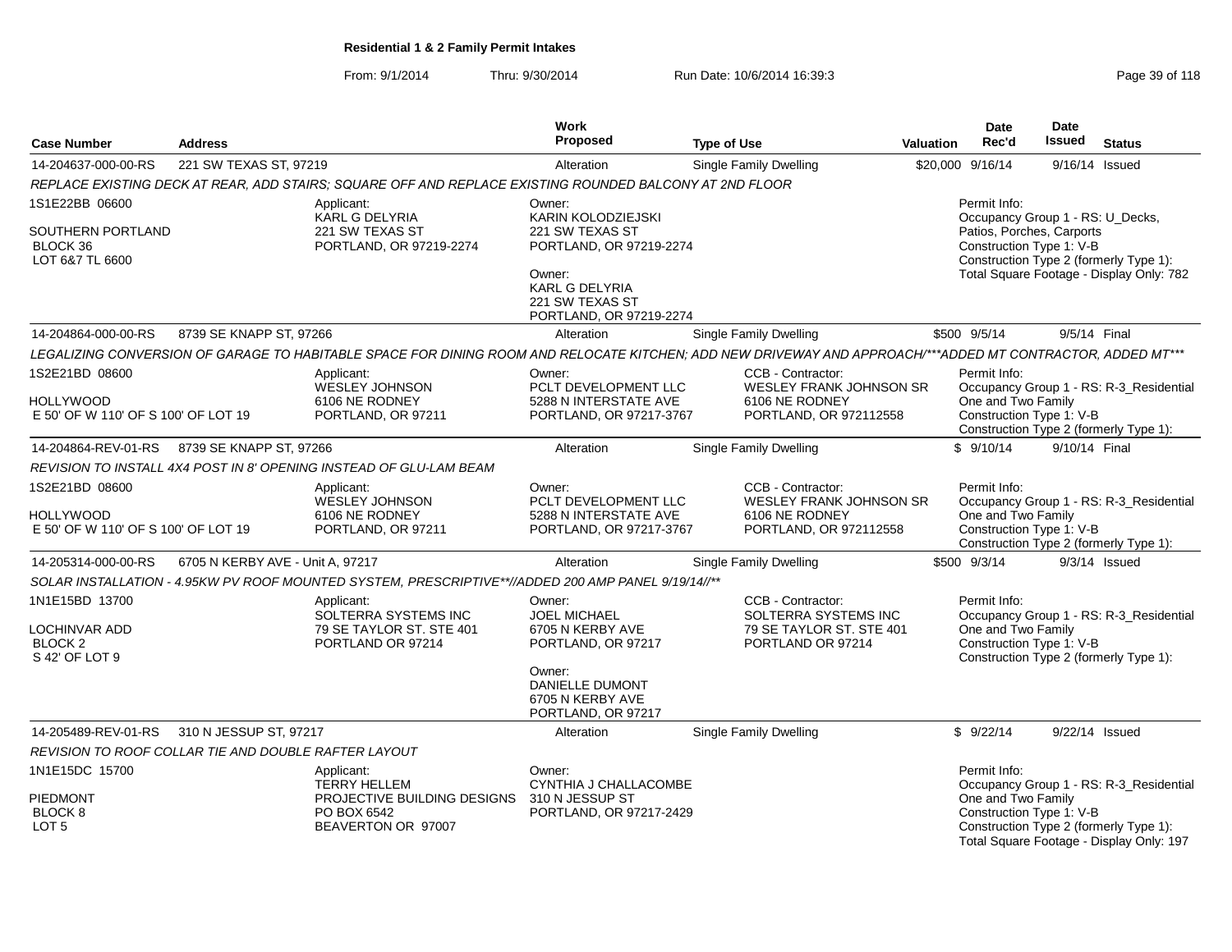From: 9/1/2014Thru: 9/30/2014 Run Date: 10/6/2014 16:39:3<br>
Page 39 of 118

|                                                                     |                                                      |                                                                                                                                                            | <b>Work</b>                                                                                                                                    |                                                                                                 |                  | <b>Date</b>                                                    | Date                     |                                                                                    |
|---------------------------------------------------------------------|------------------------------------------------------|------------------------------------------------------------------------------------------------------------------------------------------------------------|------------------------------------------------------------------------------------------------------------------------------------------------|-------------------------------------------------------------------------------------------------|------------------|----------------------------------------------------------------|--------------------------|------------------------------------------------------------------------------------|
| <b>Case Number</b>                                                  | <b>Address</b>                                       |                                                                                                                                                            | <b>Proposed</b>                                                                                                                                | <b>Type of Use</b>                                                                              | <b>Valuation</b> | Rec'd                                                          | Issued                   | <b>Status</b>                                                                      |
| 14-204637-000-00-RS                                                 | 221 SW TEXAS ST, 97219                               |                                                                                                                                                            | Alteration                                                                                                                                     | <b>Single Family Dwelling</b>                                                                   |                  | \$20,000 9/16/14                                               | 9/16/14 Issued           |                                                                                    |
|                                                                     |                                                      | REPLACE EXISTING DECK AT REAR, ADD STAIRS; SQUARE OFF AND REPLACE EXISTING ROUNDED BALCONY AT 2ND FLOOR                                                    |                                                                                                                                                |                                                                                                 |                  |                                                                |                          |                                                                                    |
| 1S1E22BB 06600                                                      |                                                      | Applicant:                                                                                                                                                 | Owner:                                                                                                                                         |                                                                                                 |                  | Permit Info:                                                   |                          |                                                                                    |
| SOUTHERN PORTLAND<br>BLOCK 36<br>LOT 6&7 TL 6600                    |                                                      | <b>KARL G DELYRIA</b><br>221 SW TEXAS ST<br>PORTLAND, OR 97219-2274                                                                                        | KARIN KOLODZIEJSKI<br>221 SW TEXAS ST<br>PORTLAND, OR 97219-2274<br>Owner:                                                                     |                                                                                                 |                  | Occupancy Group 1 - RS: U_Decks,<br>Patios, Porches, Carports  | Construction Type 1: V-B | Construction Type 2 (formerly Type 1):<br>Total Square Footage - Display Only: 782 |
|                                                                     |                                                      |                                                                                                                                                            | <b>KARL G DELYRIA</b><br>221 SW TEXAS ST<br>PORTLAND, OR 97219-2274                                                                            |                                                                                                 |                  |                                                                |                          |                                                                                    |
| 14-204864-000-00-RS                                                 | 8739 SE KNAPP ST, 97266                              |                                                                                                                                                            | Alteration                                                                                                                                     | <b>Single Family Dwelling</b>                                                                   |                  | \$500 9/5/14                                                   | 9/5/14 Final             |                                                                                    |
|                                                                     |                                                      | LEGALIZING CONVERSION OF GARAGE TO HABITABLE SPACE FOR DINING ROOM AND RELOCATE KITCHEN; ADD NEW DRIVEWAY AND APPROACH/***ADDED MT CONTRACTOR, ADDED MT*** |                                                                                                                                                |                                                                                                 |                  |                                                                |                          |                                                                                    |
| 1S2E21BD 08600<br>HOLLYWOOD<br>E 50' OF W 110' OF S 100' OF LOT 19  |                                                      | Applicant:<br><b>WESLEY JOHNSON</b><br>6106 NE RODNEY<br>PORTLAND, OR 97211                                                                                | Owner:<br>PCLT DEVELOPMENT LLC<br>5288 N INTERSTATE AVE<br>PORTLAND, OR 97217-3767                                                             | CCB - Contractor:<br><b>WESLEY FRANK JOHNSON SR</b><br>6106 NE RODNEY<br>PORTLAND, OR 972112558 |                  | Permit Info:<br>One and Two Family<br>Construction Type 1: V-B |                          | Occupancy Group 1 - RS: R-3_Residential<br>Construction Type 2 (formerly Type 1):  |
| 14-204864-REV-01-RS                                                 | 8739 SE KNAPP ST, 97266                              |                                                                                                                                                            | Alteration                                                                                                                                     | <b>Single Family Dwelling</b>                                                                   |                  | \$9/10/14                                                      | 9/10/14 Final            |                                                                                    |
|                                                                     |                                                      | REVISION TO INSTALL 4X4 POST IN 8' OPENING INSTEAD OF GLU-LAM BEAM                                                                                         |                                                                                                                                                |                                                                                                 |                  |                                                                |                          |                                                                                    |
| 1S2E21BD 08600<br>HOLLYWOOD<br>E 50' OF W 110' OF S 100' OF LOT 19  |                                                      | Applicant:<br>WESLEY JOHNSON<br>6106 NE RODNEY<br>PORTLAND, OR 97211                                                                                       | Owner:<br>PCLT DEVELOPMENT LLC<br>5288 N INTERSTATE AVE<br>PORTLAND, OR 97217-3767                                                             | CCB - Contractor:<br><b>WESLEY FRANK JOHNSON SR</b><br>6106 NE RODNEY<br>PORTLAND, OR 972112558 |                  | Permit Info:<br>One and Two Family<br>Construction Type 1: V-B |                          | Occupancy Group 1 - RS: R-3_Residential<br>Construction Type 2 (formerly Type 1):  |
| 14-205314-000-00-RS                                                 | 6705 N KERBY AVE - Unit A, 97217                     |                                                                                                                                                            | Alteration                                                                                                                                     | <b>Single Family Dwelling</b>                                                                   |                  | \$500 9/3/14                                                   |                          | $9/3/14$ Issued                                                                    |
|                                                                     |                                                      | SOLAR INSTALLATION - 4.95KW PV ROOF MOUNTED SYSTEM, PRESCRIPTIVE**//ADDED 200 AMP PANEL 9/19/14//**                                                        |                                                                                                                                                |                                                                                                 |                  |                                                                |                          |                                                                                    |
| 1N1E15BD 13700<br>LOCHINVAR ADD<br><b>BLOCK 2</b><br>S 42' OF LOT 9 |                                                      | Applicant:<br>SOLTERRA SYSTEMS INC<br>79 SE TAYLOR ST. STE 401<br>PORTLAND OR 97214                                                                        | Owner:<br><b>JOEL MICHAEL</b><br>6705 N KERBY AVE<br>PORTLAND, OR 97217<br>Owner:<br>DANIELLE DUMONT<br>6705 N KERBY AVE<br>PORTLAND, OR 97217 | CCB - Contractor:<br>SOLTERRA SYSTEMS INC<br>79 SE TAYLOR ST. STE 401<br>PORTLAND OR 97214      |                  | Permit Info:<br>One and Two Family<br>Construction Type 1: V-B |                          | Occupancy Group 1 - RS: R-3_Residential<br>Construction Type 2 (formerly Type 1):  |
| 14-205489-REV-01-RS                                                 | 310 N JESSUP ST, 97217                               |                                                                                                                                                            | Alteration                                                                                                                                     | <b>Single Family Dwelling</b>                                                                   |                  | \$9/22/14                                                      |                          | 9/22/14 Issued                                                                     |
|                                                                     | REVISION TO ROOF COLLAR TIE AND DOUBLE RAFTER LAYOUT |                                                                                                                                                            |                                                                                                                                                |                                                                                                 |                  |                                                                |                          |                                                                                    |
| 1N1E15DC 15700                                                      |                                                      | Applicant:<br><b>TERRY HELLEM</b>                                                                                                                          | Owner:<br>CYNTHIA J CHALLACOMBE                                                                                                                |                                                                                                 |                  | Permit Info:                                                   |                          | Occupancy Group 1 - RS: R-3_Residential                                            |
| <b>PIEDMONT</b><br>BLOCK <sub>8</sub><br>LOT <sub>5</sub>           |                                                      | PROJECTIVE BUILDING DESIGNS<br>PO BOX 6542<br>BEAVERTON OR 97007                                                                                           | 310 N JESSUP ST<br>PORTLAND, OR 97217-2429                                                                                                     |                                                                                                 |                  | One and Two Family                                             | Construction Type 1: V-B | Construction Type 2 (formerly Type 1):<br>Total Square Footage - Display Only: 197 |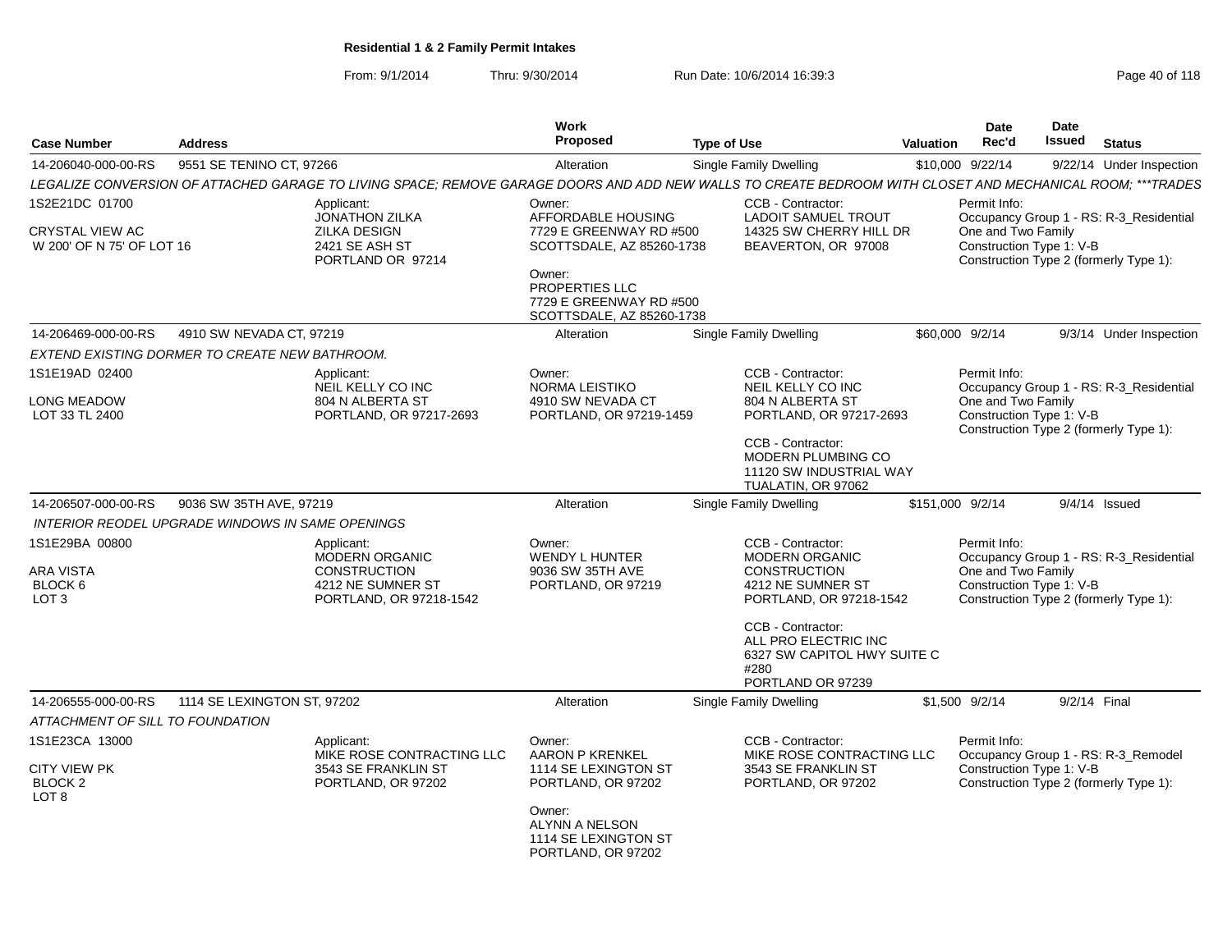From: 9/1/2014Thru: 9/30/2014 Run Date: 10/6/2014 16:39:3<br>
Page 40 of 118

| <b>Case Number</b>                                                | <b>Address</b>              |                                                                                                                                                            | Work<br><b>Proposed</b>                                                                                                                                        | <b>Type of Use</b> |                                                                                                                   | Valuation | Date<br>Rec'd                                                  | Date<br>Issued | <b>Status</b>                                                                     |
|-------------------------------------------------------------------|-----------------------------|------------------------------------------------------------------------------------------------------------------------------------------------------------|----------------------------------------------------------------------------------------------------------------------------------------------------------------|--------------------|-------------------------------------------------------------------------------------------------------------------|-----------|----------------------------------------------------------------|----------------|-----------------------------------------------------------------------------------|
| 14-206040-000-00-RS                                               | 9551 SE TENINO CT, 97266    |                                                                                                                                                            | Alteration                                                                                                                                                     |                    | <b>Single Family Dwelling</b>                                                                                     |           | \$10,000 9/22/14                                               |                | 9/22/14 Under Inspection                                                          |
|                                                                   |                             | LEGALIZE CONVERSION OF ATTACHED GARAGE TO LIVING SPACE; REMOVE GARAGE DOORS AND ADD NEW WALLS TO CREATE BEDROOM WITH CLOSET AND MECHANICAL ROOM; ***TRADES |                                                                                                                                                                |                    |                                                                                                                   |           |                                                                |                |                                                                                   |
| 1S2E21DC 01700                                                    |                             | Applicant:                                                                                                                                                 | Owner:                                                                                                                                                         |                    | CCB - Contractor:                                                                                                 |           | Permit Info:                                                   |                |                                                                                   |
| <b>CRYSTAL VIEW AC</b><br>W 200' OF N 75' OF LOT 16               |                             | <b>JONATHON ZILKA</b><br><b>ZILKA DESIGN</b><br>2421 SE ASH ST<br>PORTLAND OR 97214                                                                        | AFFORDABLE HOUSING<br>7729 E GREENWAY RD #500<br>SCOTTSDALE, AZ 85260-1738<br>Owner:<br>PROPERTIES LLC<br>7729 E GREENWAY RD #500<br>SCOTTSDALE, AZ 85260-1738 |                    | <b>LADOIT SAMUEL TROUT</b><br>14325 SW CHERRY HILL DR<br>BEAVERTON, OR 97008                                      |           | One and Two Family<br>Construction Type 1: V-B                 |                | Occupancy Group 1 - RS: R-3_Residential<br>Construction Type 2 (formerly Type 1): |
| 14-206469-000-00-RS                                               | 4910 SW NEVADA CT, 97219    |                                                                                                                                                            | Alteration                                                                                                                                                     |                    | <b>Single Family Dwelling</b>                                                                                     |           | \$60,000 9/2/14                                                |                | 9/3/14 Under Inspection                                                           |
| EXTEND EXISTING DORMER TO CREATE NEW BATHROOM.                    |                             |                                                                                                                                                            |                                                                                                                                                                |                    |                                                                                                                   |           |                                                                |                |                                                                                   |
| 1S1E19AD 02400                                                    |                             | Applicant:<br>NEIL KELLY CO INC                                                                                                                            | Owner:<br>NORMA LEISTIKO                                                                                                                                       |                    | CCB - Contractor:<br>NEIL KELLY CO INC                                                                            |           | Permit Info:                                                   |                | Occupancy Group 1 - RS: R-3_Residential                                           |
| <b>LONG MEADOW</b><br>LOT 33 TL 2400                              |                             | 804 N ALBERTA ST<br>PORTLAND, OR 97217-2693                                                                                                                | 4910 SW NEVADA CT<br>PORTLAND, OR 97219-1459                                                                                                                   |                    | 804 N ALBERTA ST<br>PORTLAND, OR 97217-2693                                                                       |           | One and Two Family<br>Construction Type 1: V-B                 |                | Construction Type 2 (formerly Type 1):                                            |
|                                                                   |                             |                                                                                                                                                            |                                                                                                                                                                |                    | CCB - Contractor:<br><b>MODERN PLUMBING CO</b><br>11120 SW INDUSTRIAL WAY<br>TUALATIN, OR 97062                   |           |                                                                |                |                                                                                   |
| 14-206507-000-00-RS                                               | 9036 SW 35TH AVE, 97219     |                                                                                                                                                            | Alteration                                                                                                                                                     |                    | Single Family Dwelling                                                                                            |           | \$151,000 9/2/14                                               |                | $9/4/14$ Issued                                                                   |
| <b>INTERIOR REODEL UPGRADE WINDOWS IN SAME OPENINGS</b>           |                             |                                                                                                                                                            |                                                                                                                                                                |                    |                                                                                                                   |           |                                                                |                |                                                                                   |
| 1S1E29BA 00800<br><b>ARA VISTA</b><br>BLOCK 6<br>LOT <sub>3</sub> |                             | Applicant:<br>MODERN ORGANIC<br><b>CONSTRUCTION</b><br>4212 NE SUMNER ST<br>PORTLAND, OR 97218-1542                                                        | Owner:<br><b>WENDY L HUNTER</b><br>9036 SW 35TH AVE<br>PORTLAND, OR 97219                                                                                      |                    | CCB - Contractor:<br><b>MODERN ORGANIC</b><br><b>CONSTRUCTION</b><br>4212 NE SUMNER ST<br>PORTLAND, OR 97218-1542 |           | Permit Info:<br>One and Two Family<br>Construction Type 1: V-B |                | Occupancy Group 1 - RS: R-3_Residential<br>Construction Type 2 (formerly Type 1): |
|                                                                   |                             |                                                                                                                                                            |                                                                                                                                                                |                    | CCB - Contractor:<br>ALL PRO ELECTRIC INC<br>6327 SW CAPITOL HWY SUITE C<br>#280<br>PORTLAND OR 97239             |           |                                                                |                |                                                                                   |
| 14-206555-000-00-RS                                               | 1114 SE LEXINGTON ST, 97202 |                                                                                                                                                            | Alteration                                                                                                                                                     |                    | Single Family Dwelling                                                                                            |           | \$1,500 9/2/14                                                 | 9/2/14 Final   |                                                                                   |
| ATTACHMENT OF SILL TO FOUNDATION                                  |                             |                                                                                                                                                            |                                                                                                                                                                |                    |                                                                                                                   |           |                                                                |                |                                                                                   |
| 1S1E23CA 13000                                                    |                             | Applicant:<br>MIKE ROSE CONTRACTING LLC                                                                                                                    | Owner:<br>AARON P KRENKEL                                                                                                                                      |                    | CCB - Contractor:<br>MIKE ROSE CONTRACTING LLC                                                                    |           | Permit Info:                                                   |                | Occupancy Group 1 - RS: R-3_Remodel                                               |
| <b>CITY VIEW PK</b><br>BLOCK <sub>2</sub><br>LOT <sub>8</sub>     |                             | 3543 SE FRANKLIN ST<br>PORTLAND, OR 97202                                                                                                                  | 1114 SE LEXINGTON ST<br>PORTLAND, OR 97202                                                                                                                     |                    | 3543 SE FRANKLIN ST<br>PORTLAND, OR 97202                                                                         |           | Construction Type 1: V-B                                       |                | Construction Type 2 (formerly Type 1):                                            |
|                                                                   |                             |                                                                                                                                                            | Owner:<br>ALYNN A NELSON<br>1114 SE LEXINGTON ST<br>PORTLAND, OR 97202                                                                                         |                    |                                                                                                                   |           |                                                                |                |                                                                                   |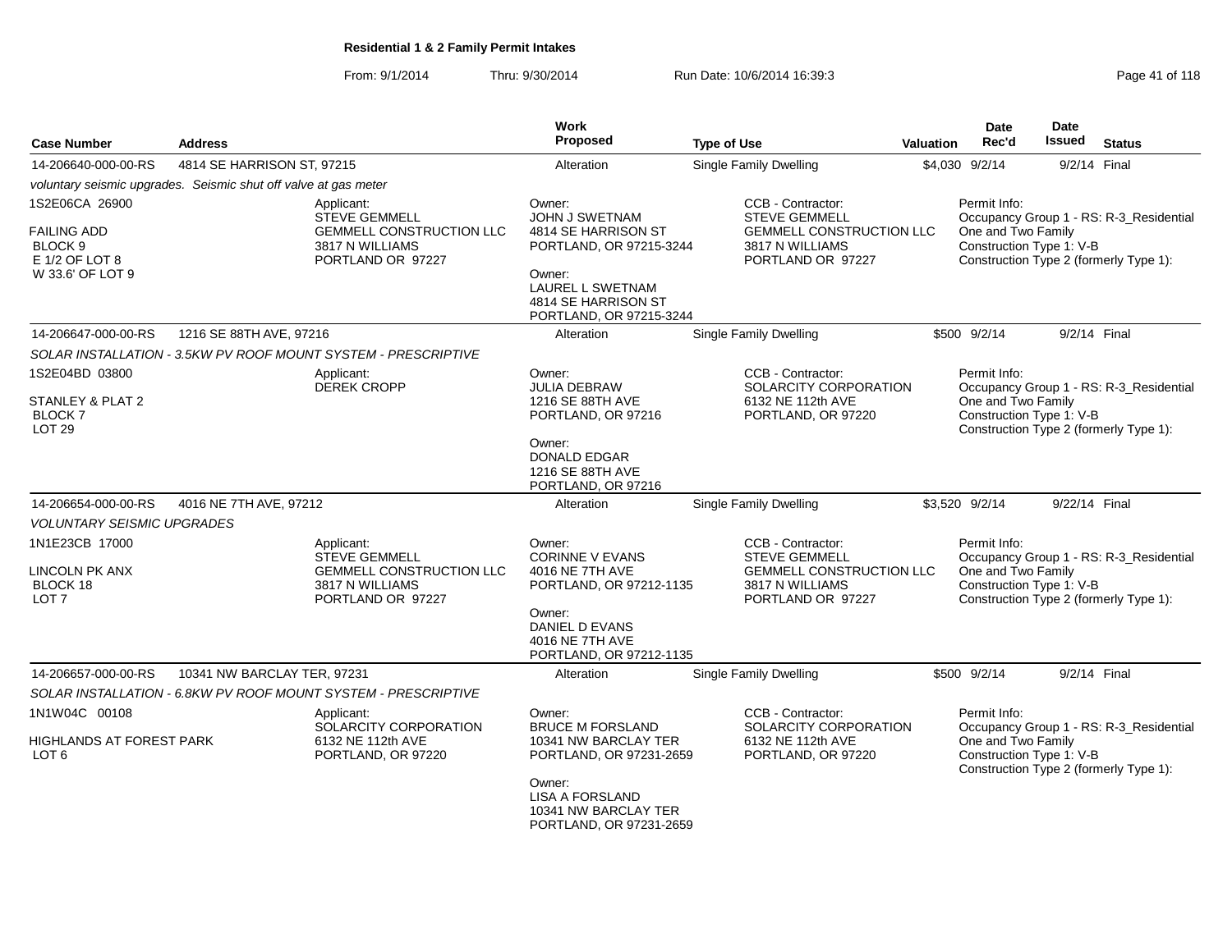From: 9/1/2014Thru: 9/30/2014 Run Date: 10/6/2014 16:39:3<br>
Page 41 of 118

| <b>Case Number</b>                                                                               | <b>Address</b>                                                  |                                                                                                               | <b>Work</b><br><b>Proposed</b>                                                                                                                                              | <b>Type of Use</b>                                                                                                   | Valuation | <b>Date</b><br>Rec'd                                           | <b>Date</b><br><b>Issued</b> | <b>Status</b>                                                                     |
|--------------------------------------------------------------------------------------------------|-----------------------------------------------------------------|---------------------------------------------------------------------------------------------------------------|-----------------------------------------------------------------------------------------------------------------------------------------------------------------------------|----------------------------------------------------------------------------------------------------------------------|-----------|----------------------------------------------------------------|------------------------------|-----------------------------------------------------------------------------------|
| 14-206640-000-00-RS                                                                              | 4814 SE HARRISON ST, 97215                                      |                                                                                                               | Alteration                                                                                                                                                                  | Single Family Dwelling                                                                                               |           | \$4,030 9/2/14                                                 | 9/2/14 Final                 |                                                                                   |
|                                                                                                  | voluntary seismic upgrades. Seismic shut off valve at gas meter |                                                                                                               |                                                                                                                                                                             |                                                                                                                      |           |                                                                |                              |                                                                                   |
| 1S2E06CA 26900<br><b>FAILING ADD</b><br>BLOCK <sub>9</sub><br>E 1/2 OF LOT 8<br>W 33.6' OF LOT 9 |                                                                 | Applicant:<br><b>STEVE GEMMELL</b><br><b>GEMMELL CONSTRUCTION LLC</b><br>3817 N WILLIAMS<br>PORTLAND OR 97227 | Owner:<br>JOHN J SWETNAM<br>4814 SE HARRISON ST<br>PORTLAND, OR 97215-3244<br>Owner:<br>LAUREL L SWETNAM<br>4814 SE HARRISON ST<br>PORTLAND, OR 97215-3244                  | CCB - Contractor:<br><b>STEVE GEMMELL</b><br><b>GEMMELL CONSTRUCTION LLC</b><br>3817 N WILLIAMS<br>PORTLAND OR 97227 |           | Permit Info:<br>One and Two Family<br>Construction Type 1: V-B |                              | Occupancy Group 1 - RS: R-3_Residential<br>Construction Type 2 (formerly Type 1): |
| 14-206647-000-00-RS                                                                              | 1216 SE 88TH AVE, 97216                                         |                                                                                                               | Alteration                                                                                                                                                                  | <b>Single Family Dwelling</b>                                                                                        |           | \$500 9/2/14                                                   | 9/2/14 Final                 |                                                                                   |
|                                                                                                  |                                                                 | SOLAR INSTALLATION - 3.5KW PV ROOF MOUNT SYSTEM - PRESCRIPTIVE                                                |                                                                                                                                                                             |                                                                                                                      |           |                                                                |                              |                                                                                   |
| 1S2E04BD 03800<br>STANLEY & PLAT 2<br><b>BLOCK7</b><br>LOT <sub>29</sub>                         |                                                                 | Applicant:<br><b>DEREK CROPP</b>                                                                              | Owner:<br>JULIA DEBRAW<br>1216 SE 88TH AVE<br>PORTLAND, OR 97216<br>Owner:<br><b>DONALD EDGAR</b><br>1216 SE 88TH AVE<br>PORTLAND, OR 97216                                 | CCB - Contractor:<br>SOLARCITY CORPORATION<br>6132 NE 112th AVE<br>PORTLAND, OR 97220                                |           | Permit Info:<br>One and Two Family<br>Construction Type 1: V-B |                              | Occupancy Group 1 - RS: R-3_Residential<br>Construction Type 2 (formerly Type 1): |
| 14-206654-000-00-RS                                                                              | 4016 NE 7TH AVE, 97212                                          |                                                                                                               | Alteration                                                                                                                                                                  | <b>Single Family Dwelling</b>                                                                                        |           | \$3,520 9/2/14                                                 | 9/22/14 Final                |                                                                                   |
| <b>VOLUNTARY SEISMIC UPGRADES</b>                                                                |                                                                 |                                                                                                               |                                                                                                                                                                             |                                                                                                                      |           |                                                                |                              |                                                                                   |
| 1N1E23CB 17000<br>LINCOLN PK ANX<br>BLOCK 18<br>LOT <sub>7</sub>                                 |                                                                 | Applicant:<br><b>STEVE GEMMELL</b><br><b>GEMMELL CONSTRUCTION LLC</b><br>3817 N WILLIAMS<br>PORTLAND OR 97227 | Owner:<br><b>CORINNE V EVANS</b><br>4016 NE 7TH AVE<br>PORTLAND, OR 97212-1135<br>Owner:<br>DANIEL D EVANS<br>4016 NE 7TH AVE<br>PORTLAND, OR 97212-1135                    | CCB - Contractor:<br><b>STEVE GEMMELL</b><br><b>GEMMELL CONSTRUCTION LLC</b><br>3817 N WILLIAMS<br>PORTLAND OR 97227 |           | Permit Info:<br>One and Two Family<br>Construction Type 1: V-B |                              | Occupancy Group 1 - RS: R-3_Residential<br>Construction Type 2 (formerly Type 1): |
| 14-206657-000-00-RS                                                                              | 10341 NW BARCLAY TER, 97231                                     |                                                                                                               | Alteration                                                                                                                                                                  | Single Family Dwelling                                                                                               |           | \$500 9/2/14                                                   | 9/2/14 Final                 |                                                                                   |
|                                                                                                  |                                                                 | SOLAR INSTALLATION - 6.8KW PV ROOF MOUNT SYSTEM - PRESCRIPTIVE                                                |                                                                                                                                                                             |                                                                                                                      |           |                                                                |                              |                                                                                   |
| 1N1W04C 00108<br>HIGHLANDS AT FOREST PARK<br>LOT <sub>6</sub>                                    |                                                                 | Applicant:<br>SOLARCITY CORPORATION<br>6132 NE 112th AVE<br>PORTLAND, OR 97220                                | Owner:<br><b>BRUCE M FORSLAND</b><br>10341 NW BARCLAY TER<br>PORTLAND, OR 97231-2659<br>Owner:<br><b>LISA A FORSLAND</b><br>10341 NW BARCLAY TER<br>PORTLAND, OR 97231-2659 | CCB - Contractor:<br>SOLARCITY CORPORATION<br>6132 NE 112th AVE<br>PORTLAND, OR 97220                                |           | Permit Info:<br>One and Two Family<br>Construction Type 1: V-B |                              | Occupancy Group 1 - RS: R-3_Residential<br>Construction Type 2 (formerly Type 1): |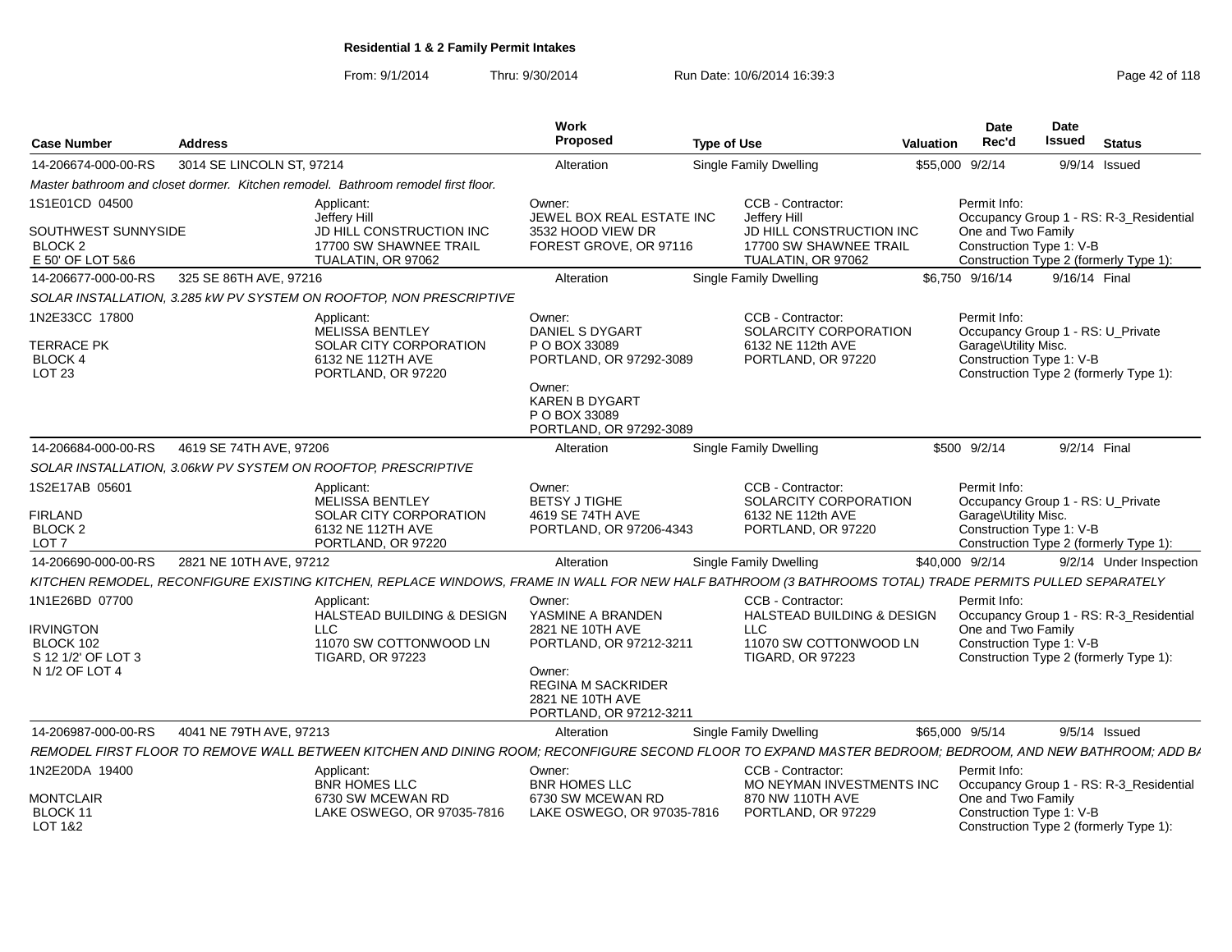From: 9/1/2014Thru: 9/30/2014 Run Date: 10/6/2014 16:39:3<br>
Page 42 of 118

| <b>Case Number</b>                                                                      | <b>Address</b>            |                                                                                                                                                          | Work<br>Proposed                                                                                                                                     | <b>Type of Use</b>                                                                                          | <b>Valuation</b> | <b>Date</b><br>Rec'd                                                                                                                            | <b>Date</b><br><b>Issued</b> | <b>Status</b>                                                                     |
|-----------------------------------------------------------------------------------------|---------------------------|----------------------------------------------------------------------------------------------------------------------------------------------------------|------------------------------------------------------------------------------------------------------------------------------------------------------|-------------------------------------------------------------------------------------------------------------|------------------|-------------------------------------------------------------------------------------------------------------------------------------------------|------------------------------|-----------------------------------------------------------------------------------|
| 14-206674-000-00-RS                                                                     | 3014 SE LINCOLN ST, 97214 |                                                                                                                                                          | Alteration                                                                                                                                           | <b>Single Family Dwelling</b>                                                                               |                  | \$55,000 9/2/14                                                                                                                                 | 9/9/14 Issued                |                                                                                   |
|                                                                                         |                           | Master bathroom and closet dormer. Kitchen remodel. Bathroom remodel first floor.                                                                        |                                                                                                                                                      |                                                                                                             |                  |                                                                                                                                                 |                              |                                                                                   |
| 1S1E01CD 04500                                                                          |                           | Applicant:                                                                                                                                               | Owner:                                                                                                                                               | CCB - Contractor:                                                                                           |                  | Permit Info:                                                                                                                                    |                              |                                                                                   |
| SOUTHWEST SUNNYSIDE<br><b>BLOCK 2</b><br>E 50' OF LOT 5&6                               |                           | Jeffery Hill<br>JD HILL CONSTRUCTION INC<br>17700 SW SHAWNEE TRAIL<br>TUALATIN, OR 97062                                                                 | JEWEL BOX REAL ESTATE INC<br>3532 HOOD VIEW DR<br>FOREST GROVE, OR 97116                                                                             | Jefferv Hill<br>JD HILL CONSTRUCTION INC<br>17700 SW SHAWNEE TRAIL<br>TUALATIN, OR 97062                    |                  | One and Two Family<br>Construction Type 1: V-B                                                                                                  |                              | Occupancy Group 1 - RS: R-3 Residential<br>Construction Type 2 (formerly Type 1): |
| 14-206677-000-00-RS                                                                     | 325 SE 86TH AVE, 97216    |                                                                                                                                                          | Alteration                                                                                                                                           | <b>Single Family Dwelling</b>                                                                               |                  | \$6,750 9/16/14                                                                                                                                 | 9/16/14 Final                |                                                                                   |
|                                                                                         |                           | SOLAR INSTALLATION, 3.285 kW PV SYSTEM ON ROOFTOP, NON PRESCRIPTIVE                                                                                      |                                                                                                                                                      |                                                                                                             |                  |                                                                                                                                                 |                              |                                                                                   |
| 1N2E33CC 17800<br>TERRACE PK<br><b>BLOCK 4</b><br>LOT <sub>23</sub>                     |                           | Applicant:<br>MELISSA BENTLEY<br>SOLAR CITY CORPORATION<br>6132 NE 112TH AVE<br>PORTLAND, OR 97220                                                       | Owner:<br>DANIEL S DYGART<br>P O BOX 33089<br>PORTLAND, OR 97292-3089<br>Owner:<br><b>KAREN B DYGART</b><br>P O BOX 33089<br>PORTLAND, OR 97292-3089 | CCB - Contractor:<br>SOLARCITY CORPORATION<br>6132 NE 112th AVE<br>PORTLAND, OR 97220                       |                  | Permit Info:<br>Occupancy Group 1 - RS: U_Private<br>Garage\Utility Misc.<br>Construction Type 1: V-B<br>Construction Type 2 (formerly Type 1): |                              |                                                                                   |
| 14-206684-000-00-RS                                                                     | 4619 SE 74TH AVE, 97206   |                                                                                                                                                          | Alteration                                                                                                                                           | <b>Single Family Dwelling</b>                                                                               |                  | \$500 9/2/14                                                                                                                                    | 9/2/14 Final                 |                                                                                   |
|                                                                                         |                           | SOLAR INSTALLATION, 3.06kW PV SYSTEM ON ROOFTOP, PRESCRIPTIVE                                                                                            |                                                                                                                                                      |                                                                                                             |                  |                                                                                                                                                 |                              |                                                                                   |
| 1S2E17AB 05601<br><b>FIRLAND</b><br>BLOCK <sub>2</sub><br>LOT <sub>7</sub>              |                           | Applicant:<br><b>MELISSA BENTLEY</b><br>SOLAR CITY CORPORATION<br>6132 NE 112TH AVE<br>PORTLAND, OR 97220                                                | Owner:<br><b>BETSY J TIGHE</b><br>4619 SE 74TH AVE<br>PORTLAND, OR 97206-4343                                                                        | CCB - Contractor:<br>SOLARCITY CORPORATION<br>6132 NE 112th AVE<br>PORTLAND, OR 97220                       |                  | Permit Info:<br>Occupancy Group 1 - RS: U Private<br>Garage\Utility Misc.<br>Construction Type 1: V-B                                           |                              | Construction Type 2 (formerly Type 1):                                            |
| 14-206690-000-00-RS                                                                     | 2821 NE 10TH AVE, 97212   |                                                                                                                                                          | Alteration                                                                                                                                           | Single Family Dwelling                                                                                      |                  | \$40,000 9/2/14                                                                                                                                 |                              | 9/2/14 Under Inspection                                                           |
|                                                                                         |                           | KITCHEN REMODEL, RECONFIGURE EXISTING KITCHEN, REPLACE WINDOWS, FRAME IN WALL FOR NEW HALF BATHROOM (3 BATHROOMS TOTAL) TRADE PERMITS PULLED SEPARATELY  |                                                                                                                                                      |                                                                                                             |                  |                                                                                                                                                 |                              |                                                                                   |
| 1N1E26BD 07700<br><b>IRVINGTON</b><br>BLOCK 102<br>S 12 1/2' OF LOT 3<br>N 1/2 OF LOT 4 |                           | Applicant:<br>HALSTEAD BUILDING & DESIGN<br>LLC.<br>11070 SW COTTONWOOD LN<br><b>TIGARD, OR 97223</b>                                                    | Owner:<br>YASMINE A BRANDEN<br>2821 NE 10TH AVE<br>PORTLAND, OR 97212-3211<br>Owner:<br><b>REGINA M SACKRIDER</b><br>2821 NE 10TH AVE                | CCB - Contractor:<br>HALSTEAD BUILDING & DESIGN<br>LLC<br>11070 SW COTTONWOOD LN<br><b>TIGARD, OR 97223</b> |                  | Permit Info:<br>One and Two Family<br>Construction Type 1: V-B<br>Construction Type 2 (formerly Type 1):                                        |                              | Occupancy Group 1 - RS: R-3_Residential                                           |
|                                                                                         |                           |                                                                                                                                                          | PORTLAND, OR 97212-3211                                                                                                                              |                                                                                                             |                  |                                                                                                                                                 |                              |                                                                                   |
| 14-206987-000-00-RS                                                                     | 4041 NE 79TH AVE, 97213   |                                                                                                                                                          | Alteration                                                                                                                                           | Single Family Dwelling                                                                                      |                  | \$65,000 9/5/14                                                                                                                                 | $9/5/14$ Issued              |                                                                                   |
|                                                                                         |                           | REMODEL FIRST FLOOR TO REMOVE WALL BETWEEN KITCHEN AND DINING ROOM; RECONFIGURE SECOND FLOOR TO EXPAND MASTER BEDROOM; BEDROOM, AND NEW BATHROOM; ADD BA |                                                                                                                                                      |                                                                                                             |                  |                                                                                                                                                 |                              |                                                                                   |
| 1N2E20DA 19400<br>MONTCLAIR<br>BLOCK 11                                                 |                           | Applicant:<br><b>BNR HOMES LLC</b><br>6730 SW MCEWAN RD<br>LAKE OSWEGO, OR 97035-7816                                                                    | Owner:<br><b>BNR HOMES LLC</b><br>6730 SW MCEWAN RD<br>LAKE OSWEGO, OR 97035-7816                                                                    | CCB - Contractor:<br>MO NEYMAN INVESTMENTS INC<br>870 NW 110TH AVE<br>PORTLAND, OR 97229                    |                  | Permit Info:<br>One and Two Family<br>Construction Type 1: V-B                                                                                  |                              | Occupancy Group 1 - RS: R-3 Residential                                           |
| LOT 1&2                                                                                 |                           |                                                                                                                                                          |                                                                                                                                                      |                                                                                                             |                  | Construction Type 2 (formerly Type 1):                                                                                                          |                              |                                                                                   |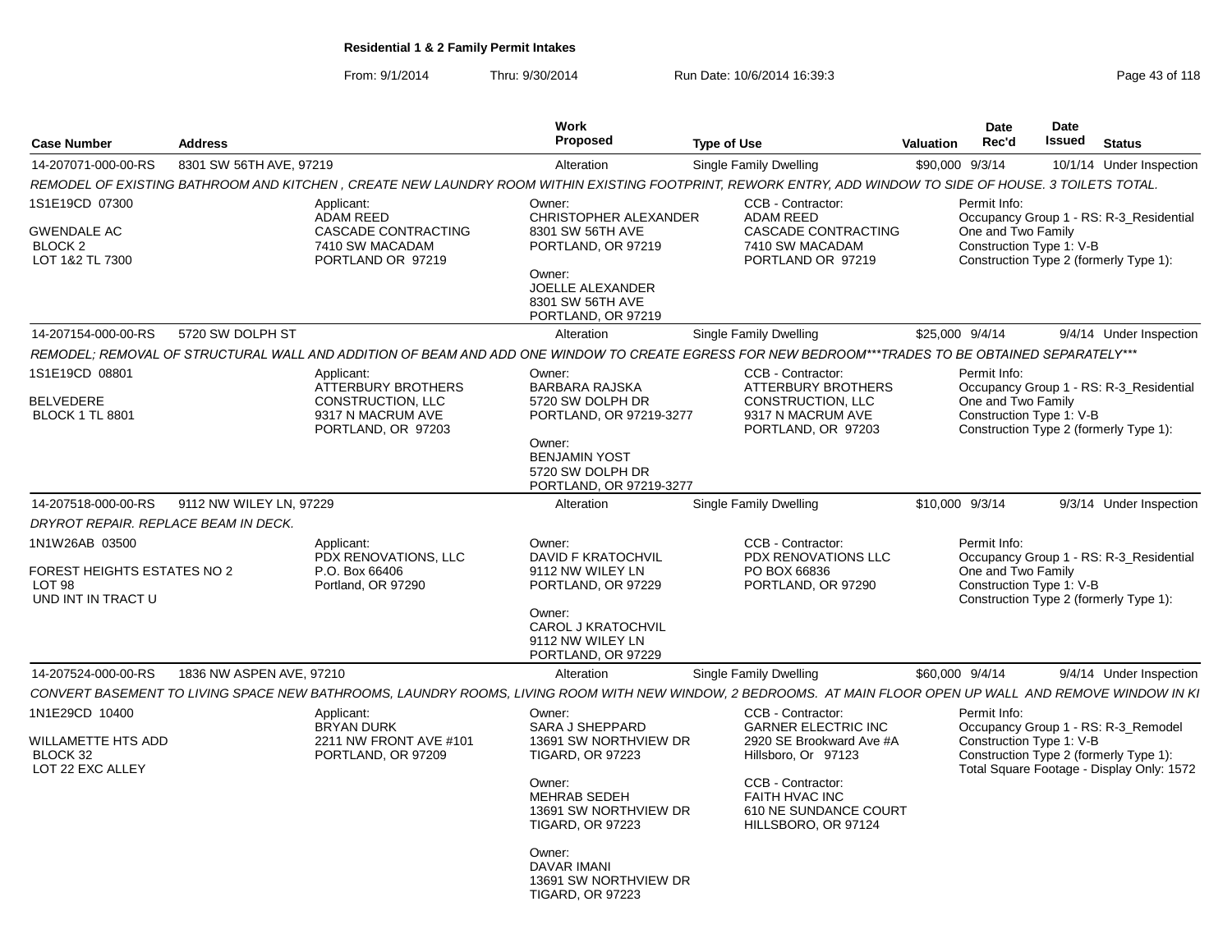From: 9/1/2014Thru: 9/30/2014 Run Date: 10/6/2014 16:39:3<br>
Page 43 of 118

| Case Number                                                                          | <b>Address</b>                       |                                                                                                         | Work<br>Proposed                                                                                                                                                                                                                                       | <b>Type of Use</b>                                                                                                                                                                               | <b>Valuation</b> | <b>Date</b><br>Rec'd                                                                                                                                                   | Date<br>Issued | Status |                          |
|--------------------------------------------------------------------------------------|--------------------------------------|---------------------------------------------------------------------------------------------------------|--------------------------------------------------------------------------------------------------------------------------------------------------------------------------------------------------------------------------------------------------------|--------------------------------------------------------------------------------------------------------------------------------------------------------------------------------------------------|------------------|------------------------------------------------------------------------------------------------------------------------------------------------------------------------|----------------|--------|--------------------------|
| 14-207071-000-00-RS                                                                  | 8301 SW 56TH AVE, 97219              |                                                                                                         | Alteration                                                                                                                                                                                                                                             | Single Family Dwelling                                                                                                                                                                           | \$90,000 9/3/14  |                                                                                                                                                                        |                |        | 10/1/14 Under Inspection |
|                                                                                      |                                      |                                                                                                         |                                                                                                                                                                                                                                                        | REMODEL OF EXISTING BATHROOM AND KITCHEN, CREATE NEW LAUNDRY ROOM WITHIN EXISTING FOOTPRINT, REWORK ENTRY, ADD WINDOW TO SIDE OF HOUSE. 3 TOILETS TOTAL.                                         |                  |                                                                                                                                                                        |                |        |                          |
| 1S1E19CD 07300<br><b>GWENDALE AC</b><br>BLOCK <sub>2</sub><br>LOT 1&2 TL 7300        |                                      | Applicant:<br><b>ADAM REED</b><br><b>CASCADE CONTRACTING</b><br>7410 SW MACADAM<br>PORTLAND OR 97219    | Owner:<br>CHRISTOPHER ALEXANDER<br>8301 SW 56TH AVE<br>PORTLAND, OR 97219<br>Owner:<br>JOELLE ALEXANDER<br>8301 SW 56TH AVE<br>PORTLAND, OR 97219                                                                                                      | CCB - Contractor:<br><b>ADAM REED</b><br><b>CASCADE CONTRACTING</b><br>7410 SW MACADAM<br>PORTLAND OR 97219                                                                                      |                  | Permit Info:<br>Occupancy Group 1 - RS: R-3_Residential<br>One and Two Family<br>Construction Type 1: V-B<br>Construction Type 2 (formerly Type 1):                    |                |        |                          |
| 14-207154-000-00-RS                                                                  | 5720 SW DOLPH ST                     |                                                                                                         | Alteration                                                                                                                                                                                                                                             | Single Family Dwelling                                                                                                                                                                           | \$25,000 9/4/14  |                                                                                                                                                                        |                |        | 9/4/14 Under Inspection  |
|                                                                                      |                                      |                                                                                                         |                                                                                                                                                                                                                                                        | REMODEL; REMOVAL OF STRUCTURAL WALL AND ADDITION OF BEAM AND ADD ONE WINDOW TO CREATE EGRESS FOR NEW BEDROOM***TRADES TO BE OBTAINED SEPARATELY***                                               |                  |                                                                                                                                                                        |                |        |                          |
| 1S1E19CD 08801<br>BELVEDERE<br><b>BLOCK 1 TL 8801</b>                                |                                      | Applicant:<br><b>ATTERBURY BROTHERS</b><br>CONSTRUCTION, LLC<br>9317 N MACRUM AVE<br>PORTLAND, OR 97203 | Owner:<br>BARBARA RAJSKA<br>5720 SW DOLPH DR<br>PORTLAND, OR 97219-3277<br>Owner:<br><b>BENJAMIN YOST</b><br>5720 SW DOLPH DR<br>PORTLAND, OR 97219-3277                                                                                               | CCB - Contractor:<br><b>ATTERBURY BROTHERS</b><br>CONSTRUCTION, LLC<br>9317 N MACRUM AVE<br>PORTLAND, OR 97203                                                                                   |                  | Permit Info:<br>Occupancy Group 1 - RS: R-3_Residential<br>One and Two Family<br>Construction Type 1: V-B<br>Construction Type 2 (formerly Type 1):                    |                |        |                          |
| 14-207518-000-00-RS                                                                  | 9112 NW WILEY LN. 97229              |                                                                                                         | Alteration                                                                                                                                                                                                                                             | Single Family Dwelling                                                                                                                                                                           | \$10,000 9/3/14  |                                                                                                                                                                        |                |        | 9/3/14 Under Inspection  |
|                                                                                      | DRYROT REPAIR. REPLACE BEAM IN DECK. |                                                                                                         |                                                                                                                                                                                                                                                        |                                                                                                                                                                                                  |                  |                                                                                                                                                                        |                |        |                          |
| 1N1W26AB 03500<br>FOREST HEIGHTS ESTATES NO 2<br><b>LOT 98</b><br>UND INT IN TRACT U |                                      | Applicant:<br>PDX RENOVATIONS, LLC<br>P.O. Box 66406<br>Portland, OR 97290                              | Owner:<br>DAVID F KRATOCHVIL<br>9112 NW WILEY LN<br>PORTLAND, OR 97229<br>Owner:<br><b>CAROL J KRATOCHVIL</b><br>9112 NW WILEY LN<br>PORTLAND, OR 97229                                                                                                | CCB - Contractor:<br>PDX RENOVATIONS LLC<br>PO BOX 66836<br>PORTLAND, OR 97290                                                                                                                   |                  | Permit Info:<br>Occupancy Group 1 - RS: R-3_Residential<br>One and Two Family<br>Construction Type 1: V-B<br>Construction Type 2 (formerly Type 1):                    |                |        |                          |
| 14-207524-000-00-RS                                                                  | 1836 NW ASPEN AVE, 97210             |                                                                                                         | Alteration                                                                                                                                                                                                                                             | Single Family Dwelling                                                                                                                                                                           | \$60,000 9/4/14  |                                                                                                                                                                        |                |        | 9/4/14 Under Inspection  |
|                                                                                      |                                      |                                                                                                         |                                                                                                                                                                                                                                                        | CONVERT BASEMENT TO LIVING SPACE NEW BATHROOMS, LAUNDRY ROOMS, LIVING ROOM WITH NEW WINDOW, 2 BEDROOMS. AT MAIN FLOOR OPEN UP WALL AND REMOVE WINDOW IN KI                                       |                  |                                                                                                                                                                        |                |        |                          |
| 1N1E29CD 10400<br>WILLAMETTE HTS ADD<br>BLOCK 32<br>LOT 22 EXC ALLEY                 |                                      | Applicant:<br><b>BRYAN DURK</b><br>2211 NW FRONT AVE #101<br>PORTLAND, OR 97209                         | Owner:<br><b>SARA J SHEPPARD</b><br>13691 SW NORTHVIEW DR<br><b>TIGARD, OR 97223</b><br>Owner:<br>MEHRAB SEDEH<br>13691 SW NORTHVIEW DR<br><b>TIGARD, OR 97223</b><br>Owner:<br><b>DAVAR IMANI</b><br>13691 SW NORTHVIEW DR<br><b>TIGARD, OR 97223</b> | CCB - Contractor:<br><b>GARNER ELECTRIC INC</b><br>2920 SE Brookward Ave #A<br>Hillsboro, Or 97123<br>CCB - Contractor:<br><b>FAITH HVAC INC</b><br>610 NE SUNDANCE COURT<br>HILLSBORO, OR 97124 |                  | Permit Info:<br>Occupancy Group 1 - RS: R-3_Remodel<br>Construction Type 1: V-B<br>Construction Type 2 (formerly Type 1):<br>Total Square Footage - Display Only: 1572 |                |        |                          |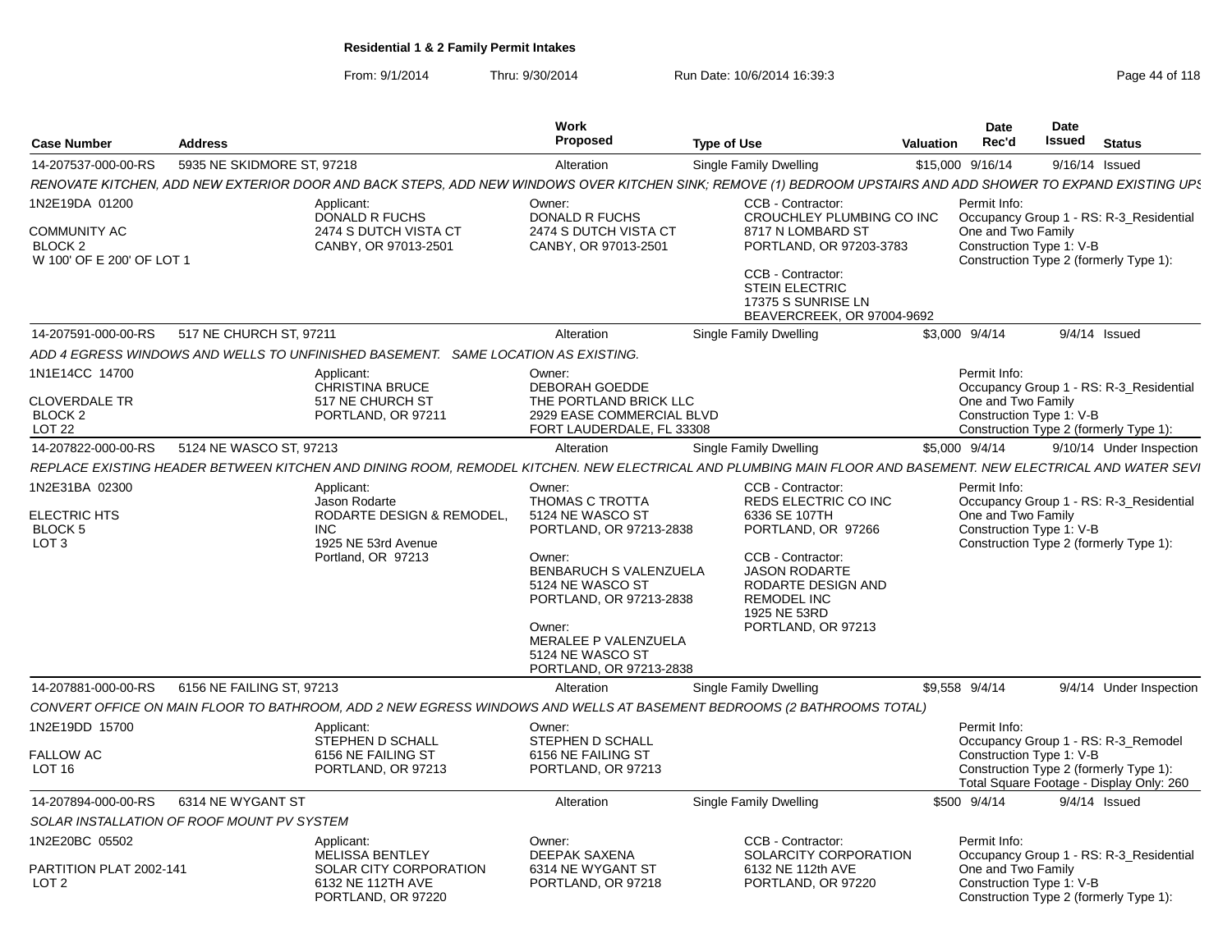From: 9/1/2014Thru: 9/30/2014 Run Date: 10/6/2014 16:39:3<br>
Page 44 of 118

| <b>Case Number</b>                                                                       | <b>Address</b>             |                                                                                                                                                              | Work<br><b>Proposed</b>                                                                                                                                                                                                                      | <b>Type of Use</b> |                                                                                                                                                                                                                 | Valuation | <b>Date</b><br>Rec'd                                                                                     | Date<br>Issued   | <b>Status</b>                                                                   |
|------------------------------------------------------------------------------------------|----------------------------|--------------------------------------------------------------------------------------------------------------------------------------------------------------|----------------------------------------------------------------------------------------------------------------------------------------------------------------------------------------------------------------------------------------------|--------------------|-----------------------------------------------------------------------------------------------------------------------------------------------------------------------------------------------------------------|-----------|----------------------------------------------------------------------------------------------------------|------------------|---------------------------------------------------------------------------------|
| 14-207537-000-00-RS                                                                      | 5935 NE SKIDMORE ST, 97218 |                                                                                                                                                              | Alteration                                                                                                                                                                                                                                   |                    | Single Family Dwelling                                                                                                                                                                                          |           | \$15,000 9/16/14                                                                                         | $9/16/14$ Issued |                                                                                 |
|                                                                                          |                            | RENOVATE KITCHEN, ADD NEW EXTERIOR DOOR AND BACK STEPS, ADD NEW WINDOWS OVER KITCHEN SINK; REMOVE (1) BEDROOM UPSTAIRS AND ADD SHOWER TO EXPAND EXISTING UPS |                                                                                                                                                                                                                                              |                    |                                                                                                                                                                                                                 |           |                                                                                                          |                  |                                                                                 |
| 1N2E19DA 01200<br><b>COMMUNITY AC</b><br>BLOCK <sub>2</sub><br>W 100' OF E 200' OF LOT 1 |                            | Applicant:<br><b>DONALD R FUCHS</b><br>2474 S DUTCH VISTA CT<br>CANBY, OR 97013-2501                                                                         | Owner:<br><b>DONALD R FUCHS</b><br>2474 S DUTCH VISTA CT<br>CANBY, OR 97013-2501                                                                                                                                                             |                    | CCB - Contractor:<br>CROUCHLEY PLUMBING CO INC<br>8717 N LOMBARD ST<br>PORTLAND, OR 97203-3783<br>CCB - Contractor:<br><b>STEIN ELECTRIC</b><br>17375 S SUNRISE LN                                              |           | Permit Info:<br>One and Two Family<br>Construction Type 1: V-B<br>Construction Type 2 (formerly Type 1): |                  | Occupancy Group 1 - RS: R-3_Residential                                         |
| 14-207591-000-00-RS                                                                      | 517 NE CHURCH ST, 97211    |                                                                                                                                                              | Alteration                                                                                                                                                                                                                                   |                    | BEAVERCREEK, OR 97004-9692<br>Single Family Dwelling                                                                                                                                                            |           | \$3,000 9/4/14                                                                                           |                  | $9/4/14$ Issued                                                                 |
|                                                                                          |                            |                                                                                                                                                              |                                                                                                                                                                                                                                              |                    |                                                                                                                                                                                                                 |           |                                                                                                          |                  |                                                                                 |
|                                                                                          |                            | ADD 4 EGRESS WINDOWS AND WELLS TO UNFINISHED BASEMENT. SAME LOCATION AS EXISTING.                                                                            |                                                                                                                                                                                                                                              |                    |                                                                                                                                                                                                                 |           |                                                                                                          |                  |                                                                                 |
| 1N1E14CC 14700<br><b>CLOVERDALE TR</b><br>BLOCK <sub>2</sub><br>LOT <sub>22</sub>        |                            | Applicant:<br><b>CHRISTINA BRUCE</b><br>517 NE CHURCH ST<br>PORTLAND, OR 97211                                                                               | Owner:<br>DEBORAH GOEDDE<br>THE PORTLAND BRICK LLC<br>2929 EASE COMMERCIAL BLVD<br>FORT LAUDERDALE, FL 33308                                                                                                                                 |                    |                                                                                                                                                                                                                 |           | Permit Info:<br>One and Two Family<br>Construction Type 1: V-B<br>Construction Type 2 (formerly Type 1): |                  | Occupancy Group 1 - RS: R-3 Residential                                         |
| 14-207822-000-00-RS                                                                      | 5124 NE WASCO ST, 97213    |                                                                                                                                                              | Alteration                                                                                                                                                                                                                                   |                    | <b>Single Family Dwelling</b>                                                                                                                                                                                   |           | \$5,000 9/4/14                                                                                           |                  | 9/10/14 Under Inspection                                                        |
|                                                                                          |                            | REPLACE EXISTING HEADER BETWEEN KITCHEN AND DINING ROOM, REMODEL KITCHEN. NEW ELECTRICAL AND PLUMBING MAIN FLOOR AND BASEMENT. NEW ELECTRICAL AND WATER SEVI |                                                                                                                                                                                                                                              |                    |                                                                                                                                                                                                                 |           |                                                                                                          |                  |                                                                                 |
| 1N2E31BA 02300<br><b>ELECTRIC HTS</b><br><b>BLOCK 5</b><br>LOT <sub>3</sub>              |                            | Applicant:<br>Jason Rodarte<br>RODARTE DESIGN & REMODEL,<br><b>INC</b><br>1925 NE 53rd Avenue<br>Portland, OR 97213                                          | Owner:<br>THOMAS C TROTTA<br>5124 NE WASCO ST<br>PORTLAND, OR 97213-2838<br>Owner:<br>BENBARUCH S VALENZUELA<br>5124 NE WASCO ST<br>PORTLAND, OR 97213-2838<br>Owner:<br>MERALEE P VALENZUELA<br>5124 NE WASCO ST<br>PORTLAND, OR 97213-2838 |                    | CCB - Contractor:<br>REDS ELECTRIC CO INC<br>6336 SE 107TH<br>PORTLAND, OR 97266<br>CCB - Contractor:<br><b>JASON RODARTE</b><br>RODARTE DESIGN AND<br><b>REMODEL INC</b><br>1925 NE 53RD<br>PORTLAND, OR 97213 |           | Permit Info:<br>One and Two Family<br>Construction Type 1: V-B<br>Construction Type 2 (formerly Type 1): |                  | Occupancy Group 1 - RS: R-3_Residential                                         |
| 14-207881-000-00-RS                                                                      | 6156 NE FAILING ST, 97213  |                                                                                                                                                              | Alteration                                                                                                                                                                                                                                   |                    | Single Family Dwelling                                                                                                                                                                                          |           | \$9,558 9/4/14                                                                                           |                  | 9/4/14 Under Inspection                                                         |
|                                                                                          |                            | CONVERT OFFICE ON MAIN FLOOR TO BATHROOM, ADD 2 NEW EGRESS WINDOWS AND WELLS AT BASEMENT BEDROOMS (2 BATHROOMS TOTAL)                                        |                                                                                                                                                                                                                                              |                    |                                                                                                                                                                                                                 |           |                                                                                                          |                  |                                                                                 |
| 1N2E19DD 15700<br><b>FALLOW AC</b><br>LOT 16                                             |                            | Applicant:<br>STEPHEN D SCHALL<br>6156 NE FAILING ST<br>PORTLAND, OR 97213                                                                                   | Owner:<br>STEPHEN D SCHALL<br>6156 NE FAILING ST<br>PORTLAND, OR 97213                                                                                                                                                                       |                    |                                                                                                                                                                                                                 |           | Permit Info:<br>Construction Type 1: V-B<br>Construction Type 2 (formerly Type 1):                       |                  | Occupancy Group 1 - RS: R-3 Remodel<br>Total Square Footage - Display Only: 260 |
| 14-207894-000-00-RS                                                                      | 6314 NE WYGANT ST          |                                                                                                                                                              | Alteration                                                                                                                                                                                                                                   |                    | Single Family Dwelling                                                                                                                                                                                          |           | \$500 9/4/14                                                                                             |                  | $9/4/14$ Issued                                                                 |
| SOLAR INSTALLATION OF ROOF MOUNT PV SYSTEM                                               |                            |                                                                                                                                                              |                                                                                                                                                                                                                                              |                    |                                                                                                                                                                                                                 |           |                                                                                                          |                  |                                                                                 |
| 1N2E20BC 05502<br>PARTITION PLAT 2002-141<br>LOT <sub>2</sub>                            |                            | Applicant:<br><b>MELISSA BENTLEY</b><br>SOLAR CITY CORPORATION<br>6132 NE 112TH AVE<br>PORTLAND, OR 97220                                                    | Owner:<br>DEEPAK SAXENA<br>6314 NE WYGANT ST<br>PORTLAND, OR 97218                                                                                                                                                                           |                    | CCB - Contractor:<br>SOLARCITY CORPORATION<br>6132 NE 112th AVE<br>PORTLAND, OR 97220                                                                                                                           |           | Permit Info:<br>One and Two Family<br>Construction Type 1: V-B<br>Construction Type 2 (formerly Type 1): |                  | Occupancy Group 1 - RS: R-3_Residential                                         |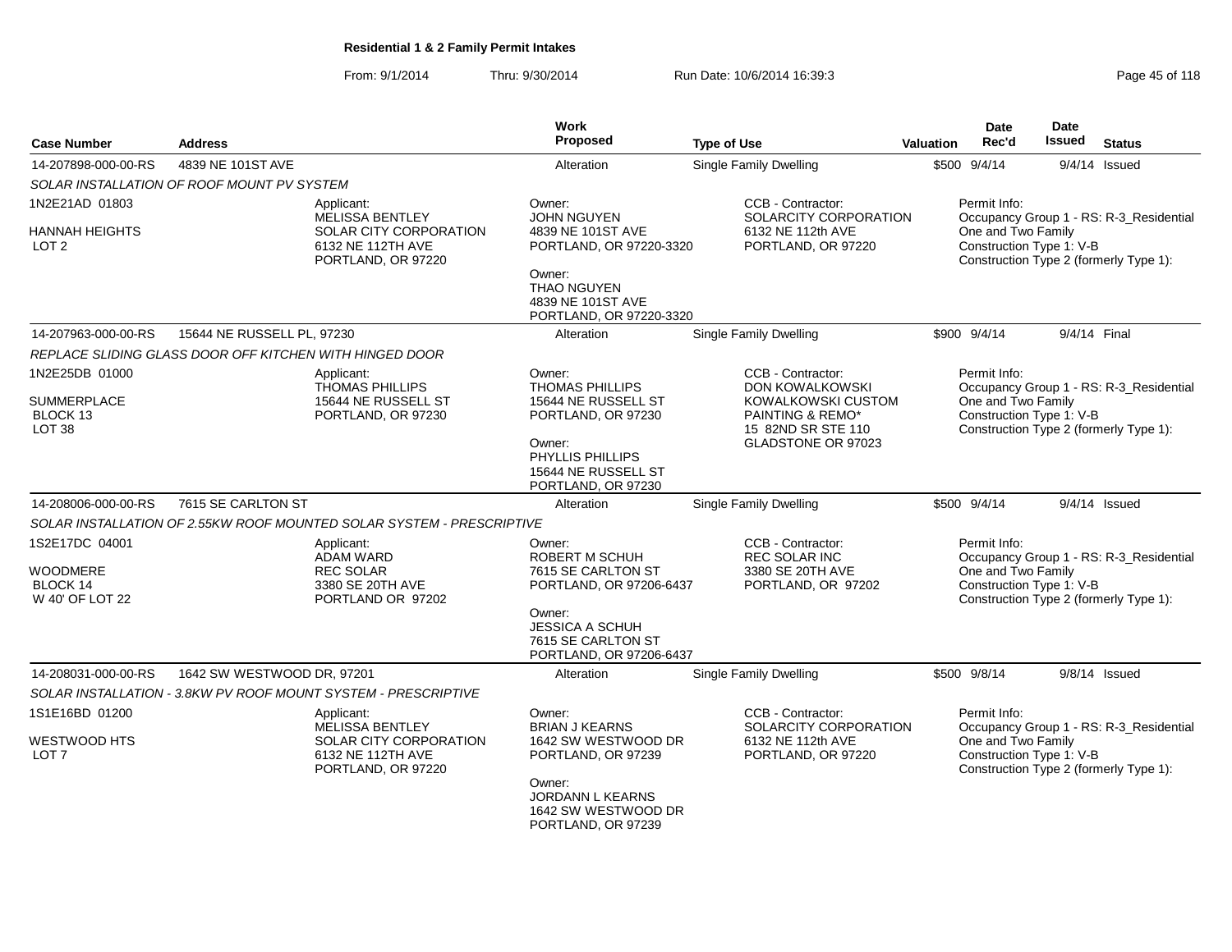From: 9/1/2014Thru: 9/30/2014 Run Date: 10/6/2014 16:39:3<br>
Page 45 of 118

| <b>Case Number</b>                      | <b>Address</b>                             |                                                                                                    | <b>Work</b><br><b>Proposed</b>                                                                | <b>Type of Use</b>                                                | <b>Valuation</b>                                                                                                                    | <b>Date</b><br>Rec'd                           | <b>Date</b><br>Issued | <b>Status</b>                           |  |
|-----------------------------------------|--------------------------------------------|----------------------------------------------------------------------------------------------------|-----------------------------------------------------------------------------------------------|-------------------------------------------------------------------|-------------------------------------------------------------------------------------------------------------------------------------|------------------------------------------------|-----------------------|-----------------------------------------|--|
| 14-207898-000-00-RS                     | 4839 NE 101ST AVE                          |                                                                                                    | Alteration                                                                                    | Single Family Dwelling                                            |                                                                                                                                     | \$500 9/4/14                                   |                       | $9/4/14$ Issued                         |  |
|                                         | SOLAR INSTALLATION OF ROOF MOUNT PV SYSTEM |                                                                                                    |                                                                                               |                                                                   |                                                                                                                                     |                                                |                       |                                         |  |
| 1N2E21AD 01803                          |                                            | Applicant:                                                                                         | Owner:                                                                                        | CCB - Contractor:                                                 |                                                                                                                                     | Permit Info:                                   |                       |                                         |  |
| HANNAH HEIGHTS<br>LOT <sub>2</sub>      |                                            | <b>MELISSA BENTLEY</b><br><b>SOLAR CITY CORPORATION</b><br>6132 NE 112TH AVE<br>PORTLAND, OR 97220 | <b>JOHN NGUYEN</b><br>4839 NE 101ST AVE<br>PORTLAND, OR 97220-3320                            | SOLARCITY CORPORATION<br>6132 NE 112th AVE<br>PORTLAND, OR 97220  | Occupancy Group 1 - RS: R-3_Residential<br>One and Two Family<br>Construction Type 1: V-B<br>Construction Type 2 (formerly Type 1): |                                                |                       |                                         |  |
|                                         |                                            |                                                                                                    | Owner:<br><b>THAO NGUYEN</b><br>4839 NE 101ST AVE<br>PORTLAND, OR 97220-3320                  |                                                                   |                                                                                                                                     |                                                |                       |                                         |  |
| 14-207963-000-00-RS                     | 15644 NE RUSSELL PL, 97230                 |                                                                                                    | Alteration                                                                                    | Single Family Dwelling                                            |                                                                                                                                     | \$900 9/4/14                                   |                       | 9/4/14 Final                            |  |
|                                         |                                            | REPLACE SLIDING GLASS DOOR OFF KITCHEN WITH HINGED DOOR                                            |                                                                                               |                                                                   |                                                                                                                                     |                                                |                       |                                         |  |
| 1N2E25DB 01000<br>SUMMERPLACE           |                                            | Applicant:<br><b>THOMAS PHILLIPS</b><br>15644 NE RUSSELL ST                                        | Owner:<br><b>THOMAS PHILLIPS</b><br>15644 NE RUSSELL ST                                       | CCB - Contractor:<br><b>DON KOWALKOWSKI</b><br>KOWALKOWSKI CUSTOM |                                                                                                                                     | Permit Info:<br>One and Two Family             |                       | Occupancy Group 1 - RS: R-3 Residential |  |
| BLOCK 13<br>LOT <sub>38</sub>           |                                            | PORTLAND, OR 97230                                                                                 | PORTLAND, OR 97230<br>Owner:<br>PHYLLIS PHILLIPS<br>15644 NE RUSSELL ST<br>PORTLAND, OR 97230 | PAINTING & REMO*<br>15 82ND SR STE 110<br>GLADSTONE OR 97023      |                                                                                                                                     | Construction Type 1: V-B                       |                       | Construction Type 2 (formerly Type 1):  |  |
| 14-208006-000-00-RS                     | 7615 SE CARLTON ST                         |                                                                                                    | Alteration                                                                                    | Single Family Dwelling                                            |                                                                                                                                     | \$500 9/4/14                                   |                       | $9/4/14$ Issued                         |  |
|                                         |                                            | SOLAR INSTALLATION OF 2.55KW ROOF MOUNTED SOLAR SYSTEM - PRESCRIPTIVE                              |                                                                                               |                                                                   |                                                                                                                                     |                                                |                       |                                         |  |
| 1S2E17DC 04001                          |                                            | Applicant:<br><b>ADAM WARD</b>                                                                     | Owner:<br>ROBERT M SCHUH                                                                      | CCB - Contractor:<br>REC SOLAR INC                                |                                                                                                                                     | Permit Info:                                   |                       | Occupancy Group 1 - RS: R-3_Residential |  |
| WOODMERE<br>BLOCK 14<br>W 40' OF LOT 22 |                                            | <b>REC SOLAR</b><br>3380 SE 20TH AVE<br>PORTLAND OR 97202                                          | 7615 SE CARLTON ST<br>PORTLAND, OR 97206-6437                                                 | 3380 SE 20TH AVE<br>PORTLAND, OR 97202                            |                                                                                                                                     | One and Two Family<br>Construction Type 1: V-B |                       | Construction Type 2 (formerly Type 1):  |  |
|                                         |                                            |                                                                                                    | Owner:<br>JESSICA A SCHUH<br>7615 SE CARLTON ST<br>PORTLAND, OR 97206-6437                    |                                                                   |                                                                                                                                     |                                                |                       |                                         |  |
| 14-208031-000-00-RS                     | 1642 SW WESTWOOD DR, 97201                 |                                                                                                    | Alteration                                                                                    | <b>Single Family Dwelling</b>                                     |                                                                                                                                     | \$500 9/8/14                                   |                       | $9/8/14$ Issued                         |  |
|                                         |                                            | SOLAR INSTALLATION - 3.8KW PV ROOF MOUNT SYSTEM - PRESCRIPTIVE                                     |                                                                                               |                                                                   |                                                                                                                                     |                                                |                       |                                         |  |
| 1S1E16BD 01200                          |                                            | Applicant:<br><b>MELISSA BENTLEY</b>                                                               | Owner:<br><b>BRIAN J KEARNS</b>                                                               | CCB - Contractor:<br>SOLARCITY CORPORATION                        |                                                                                                                                     | Permit Info:                                   |                       | Occupancy Group 1 - RS: R-3_Residential |  |
| WESTWOOD HTS<br>LOT 7                   |                                            | SOLAR CITY CORPORATION<br>6132 NE 112TH AVE<br>PORTLAND, OR 97220                                  | 1642 SW WESTWOOD DR<br>PORTLAND, OR 97239                                                     | 6132 NE 112th AVE<br>PORTLAND, OR 97220                           | One and Two Family<br>Construction Type 1: V-B<br>Construction Type 2 (formerly Type 1):                                            |                                                |                       |                                         |  |
|                                         |                                            |                                                                                                    | Owner:<br>JORDANN L KEARNS<br>1642 SW WESTWOOD DR<br>PORTLAND, OR 97239                       |                                                                   |                                                                                                                                     |                                                |                       |                                         |  |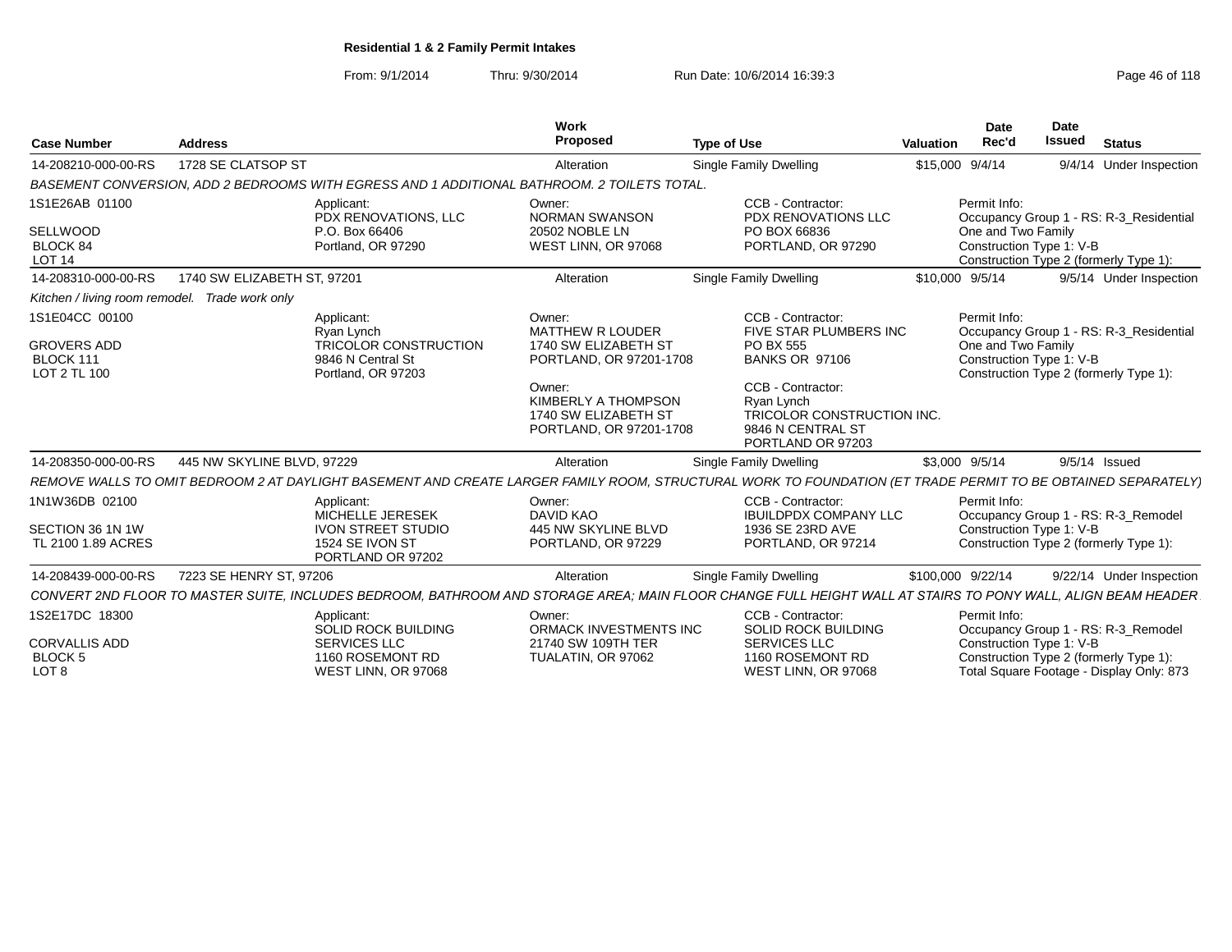From: 9/1/2014Thru: 9/30/2014 Run Date: 10/6/2014 16:39:3<br>
Page 46 of 118

|                                          |                                                                                                                                                             | Work                                                                             |                                                                                                                             | Date               | Date                                                               |
|------------------------------------------|-------------------------------------------------------------------------------------------------------------------------------------------------------------|----------------------------------------------------------------------------------|-----------------------------------------------------------------------------------------------------------------------------|--------------------|--------------------------------------------------------------------|
| <b>Case Number</b>                       | <b>Address</b>                                                                                                                                              | Proposed                                                                         | <b>Type of Use</b>                                                                                                          | Rec'd<br>Valuation | <b>Issued</b><br><b>Status</b>                                     |
| 14-208210-000-00-RS                      | 1728 SE CLATSOP ST                                                                                                                                          | Alteration                                                                       | <b>Single Family Dwelling</b>                                                                                               | \$15,000 9/4/14    | 9/4/14 Under Inspection                                            |
|                                          | BASEMENT CONVERSION, ADD 2 BEDROOMS WITH EGRESS AND 1 ADDITIONAL BATHROOM. 2 TOILETS TOTAL                                                                  |                                                                                  |                                                                                                                             |                    |                                                                    |
| 1S1E26AB 01100                           | Applicant:<br>PDX RENOVATIONS, LLC                                                                                                                          | Owner:<br><b>NORMAN SWANSON</b>                                                  | CCB - Contractor:<br>PDX RENOVATIONS LLC                                                                                    | Permit Info:       | Occupancy Group 1 - RS: R-3_Residential                            |
| SELLWOOD<br>BLOCK 84<br><b>LOT 14</b>    | P.O. Box 66406<br>Portland, OR 97290                                                                                                                        | 20502 NOBLE LN<br>WEST LINN, OR 97068                                            | PO BOX 66836<br>PORTLAND, OR 97290                                                                                          | One and Two Family | Construction Type 1: V-B<br>Construction Type 2 (formerly Type 1): |
| 14-208310-000-00-RS                      | 1740 SW ELIZABETH ST, 97201                                                                                                                                 | Alteration                                                                       | Single Family Dwelling                                                                                                      | \$10,000 9/5/14    | 9/5/14 Under Inspection                                            |
|                                          | Kitchen / living room remodel. Trade work only                                                                                                              |                                                                                  |                                                                                                                             |                    |                                                                    |
| 1S1E04CC 00100                           | Applicant:<br>Rvan Lynch                                                                                                                                    | Owner:<br>MATTHEW R LOUDER                                                       | CCB - Contractor<br>FIVE STAR PLUMBERS INC                                                                                  | Permit Info:       | Occupancy Group 1 - RS: R-3 Residential                            |
| GROVERS ADD<br>BLOCK 111<br>LOT 2 TL 100 | <b>TRICOLOR CONSTRUCTION</b><br>9846 N Central St<br>Portland, OR 97203                                                                                     | 1740 SW ELIZABETH ST<br>PORTLAND, OR 97201-1708                                  | PO BX 555<br>BANKS OR 97106                                                                                                 | One and Two Family | Construction Type 1: V-B<br>Construction Type 2 (formerly Type 1)  |
|                                          |                                                                                                                                                             | Owner:<br>KIMBERLY A THOMPSON<br>1740 SW ELIZABETH ST<br>PORTLAND, OR 97201-1708 | CCB - Contractor:<br>Rvan Lynch<br>TRICOLOR CONSTRUCTION INC.<br>9846 N CENTRAL ST<br>PORTLAND OR 97203                     |                    |                                                                    |
| 14-208350-000-00-RS                      | 445 NW SKYLINE BLVD, 97229                                                                                                                                  | Alteration                                                                       | Single Family Dwelling                                                                                                      | \$3,000 9/5/14     | 9/5/14 Issued                                                      |
|                                          | REMOVE WALLS TO OMIT BEDROOM 2 AT DAYLIGHT BASEMENT AND CREATE LARGER FAMILY ROOM, STRUCTURAL WORK TO FOUNDATION (ET TRADE PERMIT TO BE OBTAINED SEPARATELY |                                                                                  |                                                                                                                             |                    |                                                                    |
| 1N1W36DB 02100                           | Applicant:<br>MICHELLE JERESEK                                                                                                                              | Owner:<br><b>DAVID KAO</b>                                                       | CCB - Contractor:<br><b>IBUILDPDX COMPANY LLC</b>                                                                           | Permit Info:       | Occupancy Group 1 - RS: R-3_Remodel                                |
| SECTION 36 1N 1W<br>TL 2100 1.89 ACRES   | <b>IVON STREET STUDIO</b><br>1524 SE IVON ST<br>PORTLAND OR 97202                                                                                           | 445 NW SKYLINE BLVD<br>PORTLAND, OR 97229                                        | 1936 SE 23RD AVE<br>PORTLAND, OR 97214                                                                                      |                    | Construction Type 1: V-B<br>Construction Type 2 (formerly Type 1): |
| 14-208439-000-00-RS                      | 7223 SE HENRY ST, 97206                                                                                                                                     | Alteration                                                                       | <b>Single Family Dwelling</b>                                                                                               | \$100,000 9/22/14  | 9/22/14 Under Inspection                                           |
| CONVERT 2ND FLOOR TO MASTER SUITE,       |                                                                                                                                                             |                                                                                  | , INCLUDES BEDROOM, BATHROOM AND STORAGE AREA; MAIN FLOOR CHANGE FULL HEIGHT WALL AT STAIRS TO PONY WALL, ALIGN BEAM HEADER |                    |                                                                    |
| 1S2E17DC 18300                           | Applicant:<br>SOLID ROCK BUILDING                                                                                                                           | Owner:<br>ORMACK INVESTMENTS INC                                                 | CCB - Contractor:<br><b>SOLID ROCK BUILDING</b>                                                                             | Permit Info:       | Occupancy Group 1 - RS: R-3_Remodel                                |
| <b>CORVALLIS ADD</b><br><b>BLOCK5</b>    | <b>SERVICES LLC</b><br>1160 ROSEMONT RD                                                                                                                     | 21740 SW 109TH TER<br>TUALATIN, OR 97062                                         | <b>SERVICES LLC</b><br>1160 ROSEMONT RD                                                                                     |                    | Construction Type 1: V-B<br>Construction Type 2 (formerly Type 1)  |
| LOT <sub>8</sub>                         | WEST LINN, OR 97068                                                                                                                                         |                                                                                  | WEST LINN, OR 97068                                                                                                         |                    | Total Square Footage - Display Only: 873                           |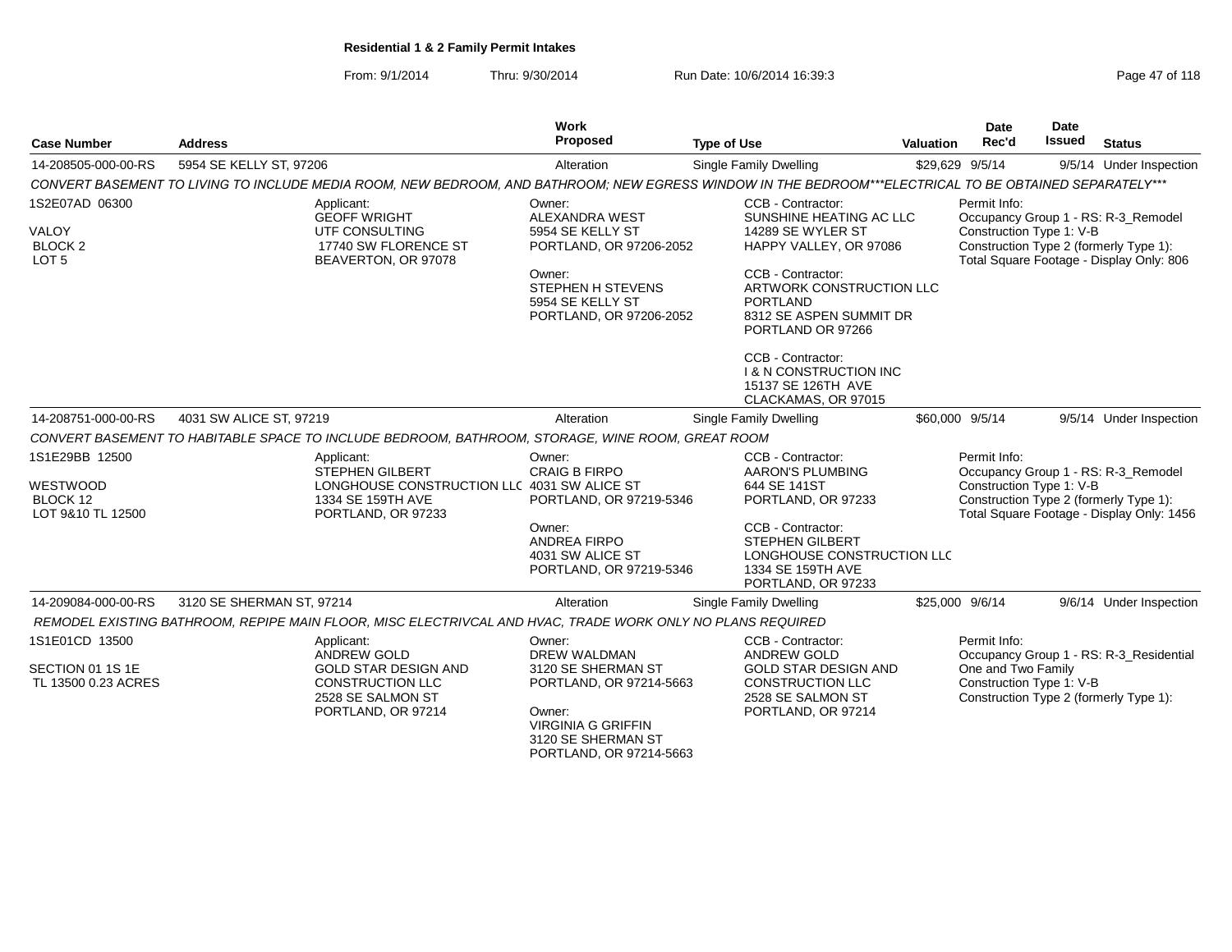From: 9/1/2014Thru: 9/30/2014 Run Date: 10/6/2014 16:39:3<br>
Page 47 of 118

| <b>Case Number</b>                                                       | <b>Address</b>                                                                                                                                          | <b>Work</b><br>Proposed                                                                                                                                                | <b>Type of Use</b>                                                                                                                                                                                              | <b>Valuation</b> | <b>Date</b><br>Rec'd                                           | Date<br><b>Issued</b> | <b>Status</b>                                                                                                              |
|--------------------------------------------------------------------------|---------------------------------------------------------------------------------------------------------------------------------------------------------|------------------------------------------------------------------------------------------------------------------------------------------------------------------------|-----------------------------------------------------------------------------------------------------------------------------------------------------------------------------------------------------------------|------------------|----------------------------------------------------------------|-----------------------|----------------------------------------------------------------------------------------------------------------------------|
| 14-208505-000-00-RS                                                      | 5954 SE KELLY ST, 97206                                                                                                                                 | Alteration                                                                                                                                                             | Single Family Dwelling                                                                                                                                                                                          |                  | \$29,629 9/5/14                                                |                       | 9/5/14 Under Inspection                                                                                                    |
|                                                                          | CONVERT BASEMENT TO LIVING TO INCLUDE MEDIA ROOM, NEW BEDROOM, AND BATHROOM; NEW EGRESS WINDOW IN THE BEDROOM***ELECTRICAL TO BE OBTAINED SEPARATELY*** |                                                                                                                                                                        |                                                                                                                                                                                                                 |                  |                                                                |                       |                                                                                                                            |
| 1S2E07AD 06300<br><b>VALOY</b><br>BLOCK <sub>2</sub><br>LOT <sub>5</sub> | Applicant:<br><b>GEOFF WRIGHT</b><br>UTF CONSULTING<br>17740 SW FLORENCE ST<br>BEAVERTON, OR 97078                                                      | Owner:<br><b>ALEXANDRA WEST</b><br>5954 SE KELLY ST<br>PORTLAND, OR 97206-2052<br>Owner:<br><b>STEPHEN H STEVENS</b><br>5954 SE KELLY ST<br>PORTLAND, OR 97206-2052    | CCB - Contractor:<br>SUNSHINE HEATING AC LLC<br>14289 SE WYLER ST<br>HAPPY VALLEY, OR 97086<br>CCB - Contractor:<br>ARTWORK CONSTRUCTION LLC<br><b>PORTLAND</b><br>8312 SE ASPEN SUMMIT DR<br>PORTLAND OR 97266 |                  | Permit Info:<br>Construction Type 1: V-B                       |                       | Occupancy Group 1 - RS: R-3_Remodel<br>Construction Type 2 (formerly Type 1):<br>Total Square Footage - Display Only: 806  |
|                                                                          |                                                                                                                                                         |                                                                                                                                                                        | CCB - Contractor:<br><b>1 &amp; N CONSTRUCTION INC</b><br>15137 SE 126TH AVE<br>CLACKAMAS, OR 97015                                                                                                             |                  |                                                                |                       |                                                                                                                            |
| 14-208751-000-00-RS                                                      | 4031 SW ALICE ST, 97219                                                                                                                                 | Alteration                                                                                                                                                             | Single Family Dwelling                                                                                                                                                                                          |                  | \$60,000 9/5/14                                                |                       | 9/5/14 Under Inspection                                                                                                    |
|                                                                          | CONVERT BASEMENT TO HABITABLE SPACE TO INCLUDE BEDROOM, BATHROOM, STORAGE, WINE ROOM, GREAT ROOM                                                        |                                                                                                                                                                        |                                                                                                                                                                                                                 |                  |                                                                |                       |                                                                                                                            |
| 1S1E29BB 12500<br>WESTWOOD<br>BLOCK 12<br>LOT 9&10 TL 12500              | Applicant:<br><b>STEPHEN GILBERT</b><br>LONGHOUSE CONSTRUCTION LLC 4031 SW ALICE ST<br>1334 SE 159TH AVE<br>PORTLAND, OR 97233                          | Owner:<br><b>CRAIG B FIRPO</b><br>PORTLAND, OR 97219-5346                                                                                                              | CCB - Contractor:<br><b>AARON'S PLUMBING</b><br>644 SE 141ST<br>PORTLAND, OR 97233                                                                                                                              |                  | Permit Info:<br>Construction Type 1: V-B                       |                       | Occupancy Group 1 - RS: R-3_Remodel<br>Construction Type 2 (formerly Type 1):<br>Total Square Footage - Display Only: 1456 |
|                                                                          |                                                                                                                                                         | Owner:<br><b>ANDREA FIRPO</b><br>4031 SW ALICE ST<br>PORTLAND, OR 97219-5346                                                                                           | CCB - Contractor:<br><b>STEPHEN GILBERT</b><br>LONGHOUSE CONSTRUCTION LLC<br>1334 SE 159TH AVE<br>PORTLAND, OR 97233                                                                                            |                  |                                                                |                       |                                                                                                                            |
| 14-209084-000-00-RS                                                      | 3120 SE SHERMAN ST. 97214                                                                                                                               | Alteration                                                                                                                                                             | Single Family Dwelling                                                                                                                                                                                          |                  | \$25,000 9/6/14                                                |                       | 9/6/14 Under Inspection                                                                                                    |
|                                                                          | REMODEL EXISTING BATHROOM, REPIPE MAIN FLOOR, MISC ELECTRIVCAL AND HVAC, TRADE WORK ONLY NO PLANS REQUIRED                                              |                                                                                                                                                                        |                                                                                                                                                                                                                 |                  |                                                                |                       |                                                                                                                            |
| 1S1E01CD 13500<br>SECTION 01 1S 1E<br>TL 13500 0.23 ACRES                | Applicant:<br><b>ANDREW GOLD</b><br><b>GOLD STAR DESIGN AND</b><br><b>CONSTRUCTION LLC</b><br>2528 SE SALMON ST<br>PORTLAND, OR 97214                   | Owner:<br><b>DREW WALDMAN</b><br>3120 SE SHERMAN ST<br>PORTLAND, OR 97214-5663<br>Owner:<br><b>VIRGINIA G GRIFFIN</b><br>3120 SE SHERMAN ST<br>PORTLAND, OR 97214-5663 | CCB - Contractor:<br><b>ANDREW GOLD</b><br><b>GOLD STAR DESIGN AND</b><br><b>CONSTRUCTION LLC</b><br>2528 SE SALMON ST<br>PORTLAND, OR 97214                                                                    |                  | Permit Info:<br>One and Two Family<br>Construction Type 1: V-B |                       | Occupancy Group 1 - RS: R-3_Residential<br>Construction Type 2 (formerly Type 1):                                          |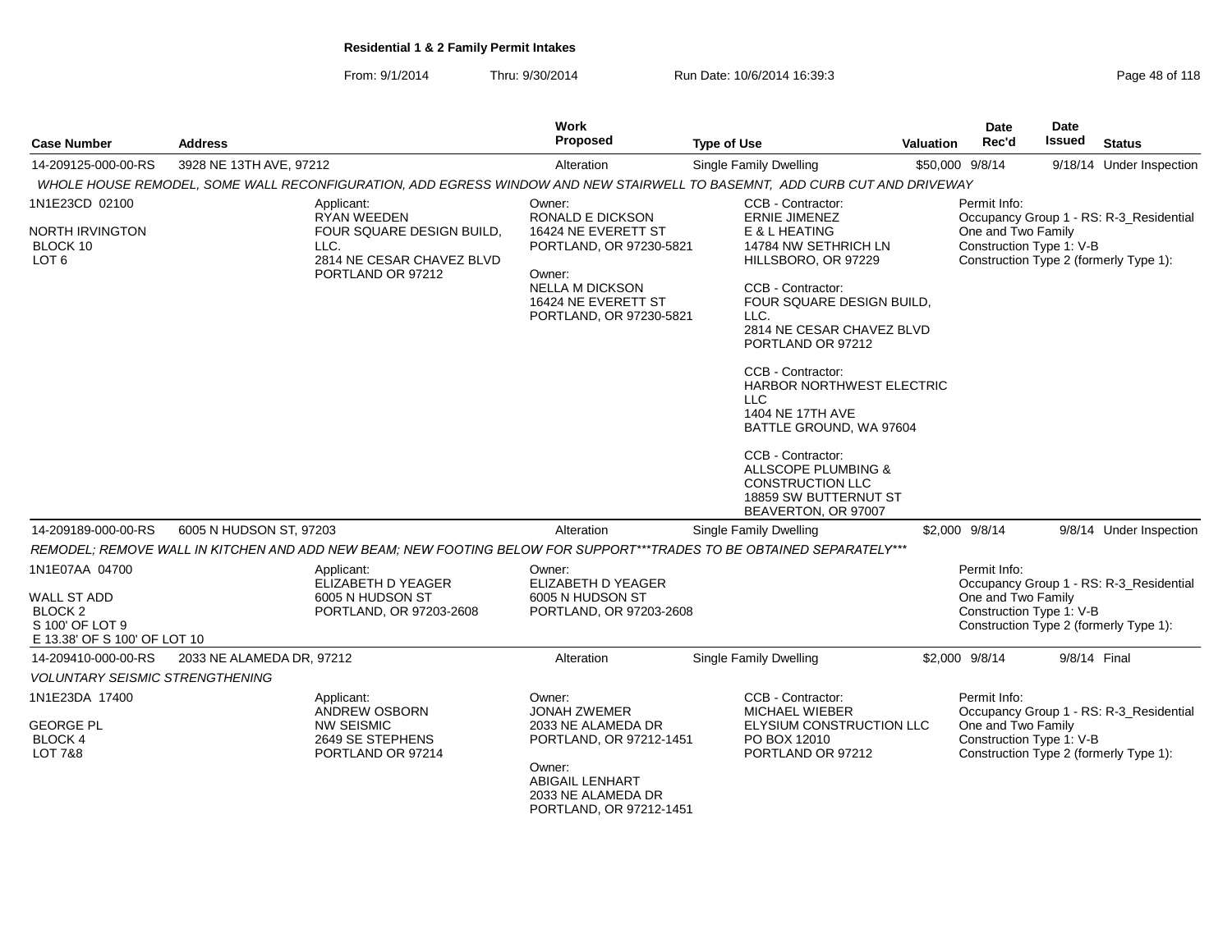From: 9/1/2014Thru: 9/30/2014 Run Date: 10/6/2014 16:39:3<br>
Page 48 of 118

| <b>Case Number</b>                                                                                            | <b>Address</b>            |                                                                                                  | Work<br>Proposed                                                                                                                                                    | <b>Type of Use</b>                                                                                                                                                                                                                                                                                                                                                                                             | Valuation | <b>Date</b><br>Rec'd                                           | <b>Date</b><br><b>Issued</b> | <b>Status</b>                                                                     |
|---------------------------------------------------------------------------------------------------------------|---------------------------|--------------------------------------------------------------------------------------------------|---------------------------------------------------------------------------------------------------------------------------------------------------------------------|----------------------------------------------------------------------------------------------------------------------------------------------------------------------------------------------------------------------------------------------------------------------------------------------------------------------------------------------------------------------------------------------------------------|-----------|----------------------------------------------------------------|------------------------------|-----------------------------------------------------------------------------------|
| 14-209125-000-00-RS                                                                                           | 3928 NE 13TH AVE, 97212   |                                                                                                  | Alteration                                                                                                                                                          | Single Family Dwelling                                                                                                                                                                                                                                                                                                                                                                                         |           | \$50,000 9/8/14                                                |                              | 9/18/14 Under Inspection                                                          |
|                                                                                                               |                           |                                                                                                  |                                                                                                                                                                     | WHOLE HOUSE REMODEL, SOME WALL RECONFIGURATION, ADD EGRESS WINDOW AND NEW STAIRWELL TO BASEMNT, ADD CURB CUT AND DRIVEWAY                                                                                                                                                                                                                                                                                      |           |                                                                |                              |                                                                                   |
| 1N1E23CD 02100                                                                                                |                           | Applicant:<br><b>RYAN WEEDEN</b>                                                                 | Owner:<br>RONALD E DICKSON                                                                                                                                          | CCB - Contractor:<br><b>ERNIE JIMENEZ</b>                                                                                                                                                                                                                                                                                                                                                                      |           | Permit Info:                                                   |                              | Occupancy Group 1 - RS: R-3_Residential                                           |
| NORTH IRVINGTON<br>BLOCK 10<br>LOT <sub>6</sub>                                                               |                           | FOUR SQUARE DESIGN BUILD,<br>LLC.<br>2814 NE CESAR CHAVEZ BLVD<br>PORTLAND OR 97212              | 16424 NE EVERETT ST<br>PORTLAND, OR 97230-5821<br>Owner:<br><b>NELLA M DICKSON</b><br>16424 NE EVERETT ST<br>PORTLAND, OR 97230-5821                                | E & L HEATING<br>14784 NW SETHRICH LN<br>HILLSBORO, OR 97229<br>CCB - Contractor:<br>FOUR SQUARE DESIGN BUILD,<br>LLC.<br>2814 NE CESAR CHAVEZ BLVD<br>PORTLAND OR 97212<br>CCB - Contractor:<br>HARBOR NORTHWEST ELECTRIC<br><b>LLC</b><br>1404 NE 17TH AVE<br>BATTLE GROUND, WA 97604<br>CCB - Contractor:<br>ALLSCOPE PLUMBING &<br><b>CONSTRUCTION LLC</b><br>18859 SW BUTTERNUT ST<br>BEAVERTON, OR 97007 |           | One and Two Family<br>Construction Type 1: V-B                 |                              | Construction Type 2 (formerly Type 1):                                            |
| 14-209189-000-00-RS                                                                                           | 6005 N HUDSON ST, 97203   |                                                                                                  | Alteration                                                                                                                                                          | <b>Single Family Dwelling</b>                                                                                                                                                                                                                                                                                                                                                                                  |           | \$2,000 9/8/14                                                 |                              | 9/8/14 Under Inspection                                                           |
|                                                                                                               |                           |                                                                                                  |                                                                                                                                                                     | REMODEL; REMOVE WALL IN KITCHEN AND ADD NEW BEAM; NEW FOOTING BELOW FOR SUPPORT***TRADES TO BE OBTAINED SEPARATELY***                                                                                                                                                                                                                                                                                          |           |                                                                |                              |                                                                                   |
| 1N1E07AA 04700<br><b>WALL ST ADD</b><br>BLOCK <sub>2</sub><br>S 100' OF LOT 9<br>E 13.38' OF S 100' OF LOT 10 |                           | Applicant:<br>ELIZABETH D YEAGER<br>6005 N HUDSON ST<br>PORTLAND, OR 97203-2608                  | Owner:<br>ELIZABETH D YEAGER<br>6005 N HUDSON ST<br>PORTLAND, OR 97203-2608                                                                                         |                                                                                                                                                                                                                                                                                                                                                                                                                |           | Permit Info:<br>One and Two Family<br>Construction Type 1: V-B |                              | Occupancy Group 1 - RS: R-3 Residential<br>Construction Type 2 (formerly Type 1): |
| 14-209410-000-00-RS                                                                                           | 2033 NE ALAMEDA DR, 97212 |                                                                                                  | Alteration                                                                                                                                                          | Single Family Dwelling                                                                                                                                                                                                                                                                                                                                                                                         |           | \$2,000 9/8/14                                                 | 9/8/14 Final                 |                                                                                   |
| <b>VOLUNTARY SEISMIC STRENGTHENING</b>                                                                        |                           |                                                                                                  |                                                                                                                                                                     |                                                                                                                                                                                                                                                                                                                                                                                                                |           |                                                                |                              |                                                                                   |
| 1N1E23DA 17400<br><b>GEORGE PL</b><br><b>BLOCK 4</b><br>LOT 7&8                                               |                           | Applicant:<br><b>ANDREW OSBORN</b><br><b>NW SEISMIC</b><br>2649 SE STEPHENS<br>PORTLAND OR 97214 | Owner:<br><b>JONAH ZWEMER</b><br>2033 NE ALAMEDA DR<br>PORTLAND, OR 97212-1451<br>Owner:<br><b>ABIGAIL LENHART</b><br>2033 NE ALAMEDA DR<br>PORTLAND, OR 97212-1451 | CCB - Contractor:<br><b>MICHAEL WIEBER</b><br>ELYSIUM CONSTRUCTION LLC<br>PO BOX 12010<br>PORTLAND OR 97212                                                                                                                                                                                                                                                                                                    |           | Permit Info:<br>One and Two Family<br>Construction Type 1: V-B |                              | Occupancy Group 1 - RS: R-3_Residential<br>Construction Type 2 (formerly Type 1): |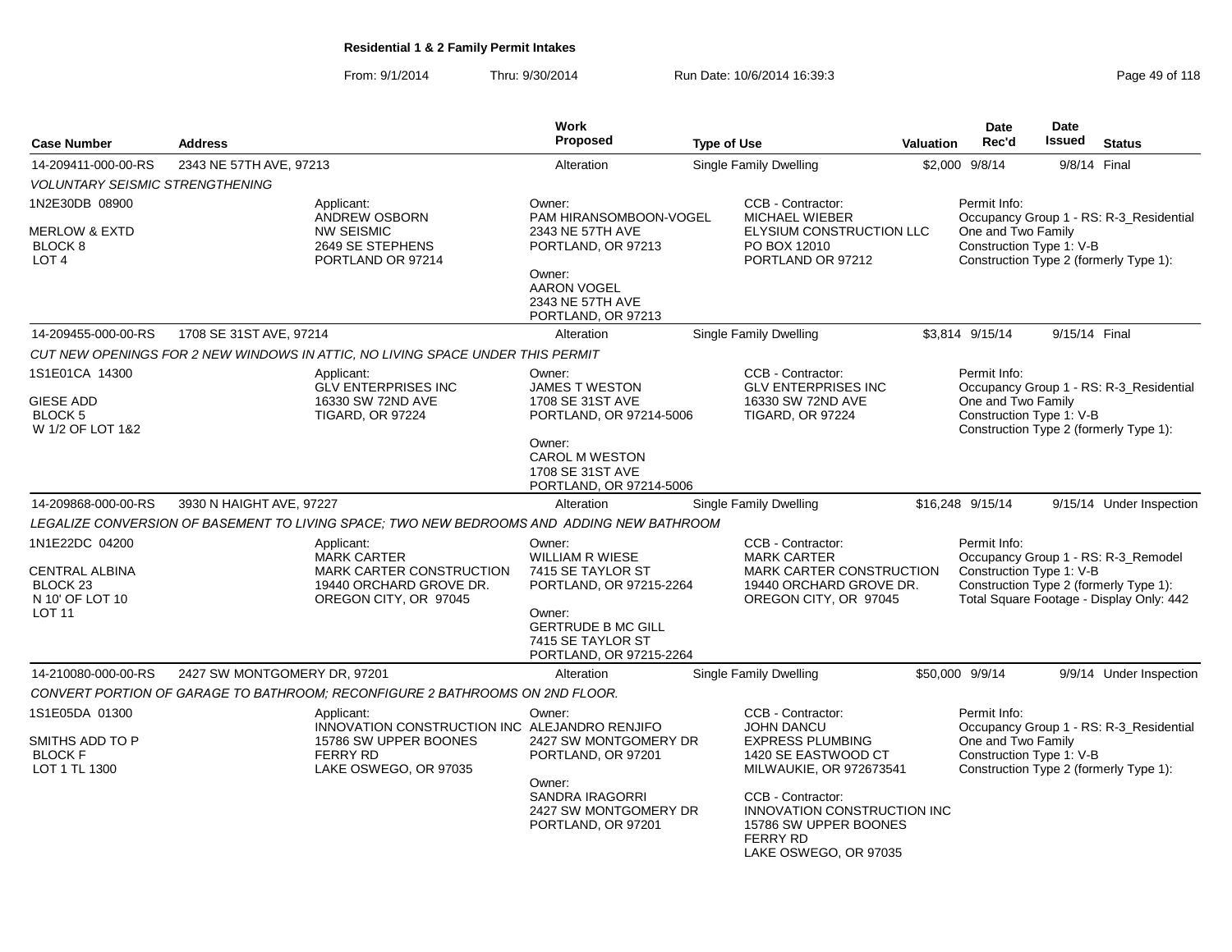From: 9/1/2014Thru: 9/30/2014 **Run Date: 10/6/2014 16:39:3** Page 49 of 118 Page

| <b>Case Number</b>                                                                                 | <b>Address</b>               |                                                                                                                  | <b>Work</b><br><b>Proposed</b>                                                                                                                                          | <b>Type of Use</b> |                                                                                                                         | <b>Valuation</b> | <b>Date</b><br>Rec'd                                           | <b>Date</b><br><b>Issued</b> | <b>Status</b>                                                                                                             |
|----------------------------------------------------------------------------------------------------|------------------------------|------------------------------------------------------------------------------------------------------------------|-------------------------------------------------------------------------------------------------------------------------------------------------------------------------|--------------------|-------------------------------------------------------------------------------------------------------------------------|------------------|----------------------------------------------------------------|------------------------------|---------------------------------------------------------------------------------------------------------------------------|
| 14-209411-000-00-RS                                                                                | 2343 NE 57TH AVE, 97213      |                                                                                                                  | Alteration                                                                                                                                                              |                    | Single Family Dwelling                                                                                                  |                  | \$2,000 9/8/14                                                 | 9/8/14 Final                 |                                                                                                                           |
| <b>VOLUNTARY SEISMIC STRENGTHENING</b>                                                             |                              |                                                                                                                  |                                                                                                                                                                         |                    |                                                                                                                         |                  |                                                                |                              |                                                                                                                           |
| 1N2E30DB 08900<br><b>MERLOW &amp; EXTD</b><br>BLOCK <sub>8</sub><br>LOT <sub>4</sub>               |                              | Applicant:<br><b>ANDREW OSBORN</b><br><b>NW SEISMIC</b><br>2649 SE STEPHENS<br>PORTLAND OR 97214                 | Owner:<br>PAM HIRANSOMBOON-VOGEL<br>2343 NE 57TH AVE<br>PORTLAND, OR 97213<br>Owner:<br><b>AARON VOGEL</b><br>2343 NE 57TH AVE<br>PORTLAND, OR 97213                    |                    | CCB - Contractor:<br><b>MICHAEL WIEBER</b><br>ELYSIUM CONSTRUCTION LLC<br>PO BOX 12010<br>PORTLAND OR 97212             |                  | Permit Info:<br>One and Two Family<br>Construction Type 1: V-B |                              | Occupancy Group 1 - RS: R-3_Residential<br>Construction Type 2 (formerly Type 1):                                         |
| 14-209455-000-00-RS                                                                                | 1708 SE 31ST AVE, 97214      |                                                                                                                  | Alteration                                                                                                                                                              |                    | <b>Single Family Dwelling</b>                                                                                           |                  | \$3,814 9/15/14                                                | 9/15/14 Final                |                                                                                                                           |
|                                                                                                    |                              | CUT NEW OPENINGS FOR 2 NEW WINDOWS IN ATTIC, NO LIVING SPACE UNDER THIS PERMIT                                   |                                                                                                                                                                         |                    |                                                                                                                         |                  |                                                                |                              |                                                                                                                           |
| 1S1E01CA 14300<br><b>GIESE ADD</b><br><b>BLOCK 5</b><br>W 1/2 OF LOT 1&2                           |                              | Applicant:<br><b>GLV ENTERPRISES INC</b><br>16330 SW 72ND AVE<br><b>TIGARD, OR 97224</b>                         | Owner:<br><b>JAMES T WESTON</b><br>1708 SE 31ST AVE<br>PORTLAND, OR 97214-5006                                                                                          |                    | CCB - Contractor:<br><b>GLV ENTERPRISES INC</b><br>16330 SW 72ND AVE<br><b>TIGARD, OR 97224</b>                         |                  | Permit Info:<br>One and Two Family<br>Construction Type 1: V-B |                              | Occupancy Group 1 - RS: R-3_Residential<br>Construction Type 2 (formerly Type 1):                                         |
|                                                                                                    |                              |                                                                                                                  | Owner:<br><b>CAROL M WESTON</b><br>1708 SE 31ST AVE<br>PORTLAND, OR 97214-5006                                                                                          |                    |                                                                                                                         |                  |                                                                |                              |                                                                                                                           |
| 14-209868-000-00-RS                                                                                | 3930 N HAIGHT AVE, 97227     |                                                                                                                  | Alteration                                                                                                                                                              |                    | Single Family Dwelling                                                                                                  |                  | \$16,248 9/15/14                                               |                              | 9/15/14 Under Inspection                                                                                                  |
|                                                                                                    |                              | LEGALIZE CONVERSION OF BASEMENT TO LIVING SPACE; TWO NEW BEDROOMS AND ADDING NEW BATHROOM                        |                                                                                                                                                                         |                    |                                                                                                                         |                  |                                                                |                              |                                                                                                                           |
| 1N1E22DC 04200<br><b>CENTRAL ALBINA</b><br>BLOCK <sub>23</sub><br>N 10' OF LOT 10<br><b>LOT 11</b> |                              | Applicant:<br><b>MARK CARTER</b><br>MARK CARTER CONSTRUCTION<br>19440 ORCHARD GROVE DR.<br>OREGON CITY, OR 97045 | Owner:<br><b>WILLIAM R WIESE</b><br>7415 SE TAYLOR ST<br>PORTLAND, OR 97215-2264<br>Owner:<br><b>GERTRUDE B MC GILL</b><br>7415 SE TAYLOR ST<br>PORTLAND, OR 97215-2264 |                    | CCB - Contractor:<br><b>MARK CARTER</b><br>MARK CARTER CONSTRUCTION<br>19440 ORCHARD GROVE DR.<br>OREGON CITY, OR 97045 |                  | Permit Info:<br>Construction Type 1: V-B                       |                              | Occupancy Group 1 - RS: R-3_Remodel<br>Construction Type 2 (formerly Type 1):<br>Total Square Footage - Display Only: 442 |
| 14-210080-000-00-RS                                                                                | 2427 SW MONTGOMERY DR, 97201 |                                                                                                                  | Alteration                                                                                                                                                              |                    | <b>Single Family Dwelling</b>                                                                                           |                  | \$50,000 9/9/14                                                |                              | 9/9/14 Under Inspection                                                                                                   |
|                                                                                                    |                              | CONVERT PORTION OF GARAGE TO BATHROOM; RECONFIGURE 2 BATHROOMS ON 2ND FLOOR.                                     |                                                                                                                                                                         |                    |                                                                                                                         |                  |                                                                |                              |                                                                                                                           |
| 1S1E05DA 01300                                                                                     |                              | Applicant:<br>INNOVATION CONSTRUCTION INC ALEJANDRO RENJIFO                                                      | Owner:                                                                                                                                                                  |                    | CCB - Contractor:<br><b>JOHN DANCU</b>                                                                                  |                  | Permit Info:                                                   |                              | Occupancy Group 1 - RS: R-3_Residential                                                                                   |
| SMITHS ADD TO P<br><b>BLOCK F</b><br>LOT 1 TL 1300                                                 |                              | 15786 SW UPPER BOONES<br><b>FERRY RD</b><br>LAKE OSWEGO, OR 97035                                                | 2427 SW MONTGOMERY DR<br>PORTLAND, OR 97201                                                                                                                             |                    | <b>EXPRESS PLUMBING</b><br>1420 SE EASTWOOD CT<br>MILWAUKIE, OR 972673541                                               |                  | One and Two Family<br>Construction Type 1: V-B                 |                              | Construction Type 2 (formerly Type 1):                                                                                    |
|                                                                                                    |                              |                                                                                                                  | Owner:<br><b>SANDRA IRAGORRI</b><br>2427 SW MONTGOMERY DR<br>PORTLAND, OR 97201                                                                                         |                    | CCB - Contractor:<br>INNOVATION CONSTRUCTION INC<br>15786 SW UPPER BOONES<br><b>FERRY RD</b><br>LAKE OSWEGO, OR 97035   |                  |                                                                |                              |                                                                                                                           |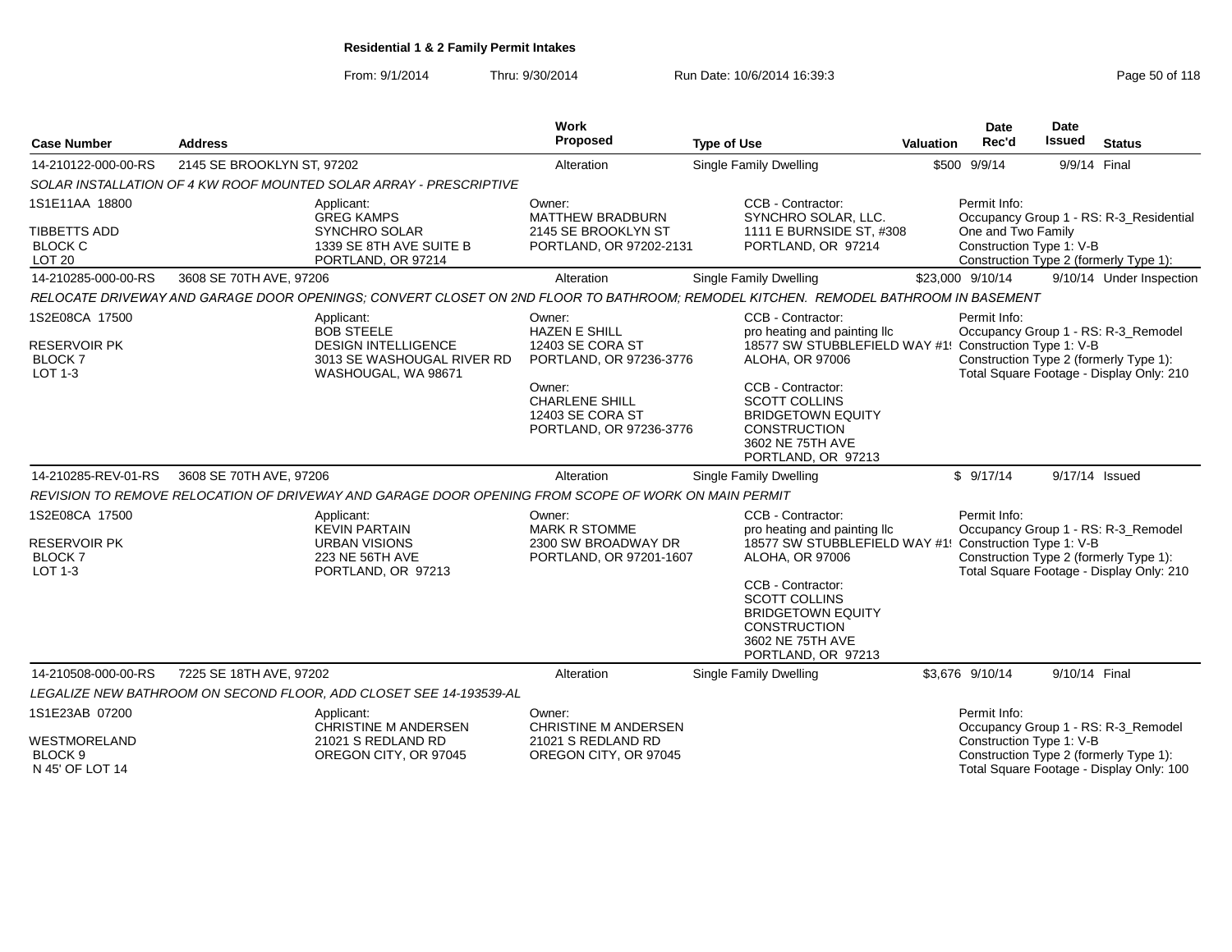From: 9/1/2014Thru: 9/30/2014 Run Date: 10/6/2014 16:39:3<br>
Page 50 of 118

| <b>Case Number</b>                                                             | <b>Address</b>                                                                                      |                                                                                 | Work<br>Proposed                                                                                                                                                | <b>Type of Use</b>                                                                                                                                                                                                                                                       | <b>Valuation</b> | Date<br>Rec'd                                                                                            | Date<br><b>Issued</b> | <b>Status</b>                                                                   |
|--------------------------------------------------------------------------------|-----------------------------------------------------------------------------------------------------|---------------------------------------------------------------------------------|-----------------------------------------------------------------------------------------------------------------------------------------------------------------|--------------------------------------------------------------------------------------------------------------------------------------------------------------------------------------------------------------------------------------------------------------------------|------------------|----------------------------------------------------------------------------------------------------------|-----------------------|---------------------------------------------------------------------------------|
| 14-210122-000-00-RS                                                            | 2145 SE BROOKLYN ST, 97202                                                                          |                                                                                 | Alteration                                                                                                                                                      | <b>Single Family Dwelling</b>                                                                                                                                                                                                                                            |                  | \$500 9/9/14                                                                                             | 9/9/14 Final          |                                                                                 |
|                                                                                | SOLAR INSTALLATION OF 4 KW ROOF MOUNTED SOLAR ARRAY - PRESCRIPTIVE                                  |                                                                                 |                                                                                                                                                                 |                                                                                                                                                                                                                                                                          |                  |                                                                                                          |                       |                                                                                 |
| 1S1E11AA 18800<br><b>TIBBETTS ADD</b><br><b>BLOCK C</b><br><b>LOT 20</b>       | Applicant:<br><b>GREG KAMPS</b>                                                                     | <b>SYNCHRO SOLAR</b><br>1339 SE 8TH AVE SUITE B<br>PORTLAND, OR 97214           | Owner:<br><b>MATTHEW BRADBURN</b><br>2145 SE BROOKLYN ST<br>PORTLAND, OR 97202-2131                                                                             | CCB - Contractor:<br>SYNCHRO SOLAR, LLC.<br>1111 E BURNSIDE ST, #308<br>PORTLAND, OR 97214                                                                                                                                                                               |                  | Permit Info:<br>One and Two Family<br>Construction Type 1: V-B<br>Construction Type 2 (formerly Type 1): |                       | Occupancy Group 1 - RS: R-3_Residential                                         |
| 14-210285-000-00-RS                                                            | 3608 SE 70TH AVE, 97206                                                                             |                                                                                 | Alteration                                                                                                                                                      | <b>Single Family Dwelling</b>                                                                                                                                                                                                                                            |                  | \$23,000 9/10/14                                                                                         |                       | 9/10/14 Under Inspection                                                        |
|                                                                                |                                                                                                     |                                                                                 |                                                                                                                                                                 | RELOCATE DRIVEWAY AND GARAGE DOOR OPENINGS; CONVERT CLOSET ON 2ND FLOOR TO BATHROOM; REMODEL KITCHEN. REMODEL BATHROOM IN BASEMENT                                                                                                                                       |                  |                                                                                                          |                       |                                                                                 |
| 1S2E08CA 17500<br><b>RESERVOIR PK</b><br><b>BLOCK7</b><br>LOT 1-3              | Applicant:<br><b>BOB STEELE</b>                                                                     | <b>DESIGN INTELLIGENCE</b><br>3013 SE WASHOUGAL RIVER RD<br>WASHOUGAL, WA 98671 | Owner:<br><b>HAZEN E SHILL</b><br>12403 SE CORA ST<br>PORTLAND, OR 97236-3776<br>Owner:<br><b>CHARLENE SHILL</b><br>12403 SE CORA ST<br>PORTLAND, OR 97236-3776 | CCB - Contractor:<br>pro heating and painting Ilc<br>18577 SW STUBBLEFIELD WAY #1! Construction Type 1: V-B<br>ALOHA, OR 97006<br>CCB - Contractor:<br><b>SCOTT COLLINS</b><br><b>BRIDGETOWN EQUITY</b><br><b>CONSTRUCTION</b><br>3602 NE 75TH AVE<br>PORTLAND, OR 97213 |                  | Permit Info:<br>Construction Type 2 (formerly Type 1):                                                   |                       | Occupancy Group 1 - RS: R-3_Remodel<br>Total Square Footage - Display Only: 210 |
| 14-210285-REV-01-RS                                                            | 3608 SE 70TH AVE, 97206                                                                             |                                                                                 | Alteration                                                                                                                                                      | <b>Single Family Dwelling</b>                                                                                                                                                                                                                                            |                  | \$9/17/14                                                                                                | 9/17/14 Issued        |                                                                                 |
|                                                                                | REVISION TO REMOVE RELOCATION OF DRIVEWAY AND GARAGE DOOR OPENING FROM SCOPE OF WORK ON MAIN PERMIT |                                                                                 |                                                                                                                                                                 |                                                                                                                                                                                                                                                                          |                  |                                                                                                          |                       |                                                                                 |
| 1S2E08CA 17500<br><b>RESERVOIR PK</b><br><b>BLOCK7</b><br><b>LOT 1-3</b>       | Applicant:<br><b>KEVIN PARTAIN</b>                                                                  | URBAN VISIONS<br>223 NE 56TH AVE<br>PORTLAND, OR 97213                          | Owner:<br><b>MARK R STOMME</b><br>2300 SW BROADWAY DR<br>PORTLAND, OR 97201-1607                                                                                | CCB - Contractor:<br>pro heating and painting IIc<br>18577 SW STUBBLEFIELD WAY #1! Construction Type 1: V-B<br>ALOHA, OR 97006<br>CCB - Contractor:<br><b>SCOTT COLLINS</b><br><b>BRIDGETOWN EQUITY</b><br><b>CONSTRUCTION</b><br>3602 NE 75TH AVE<br>PORTLAND, OR 97213 |                  | Permit Info:<br>Construction Type 2 (formerly Type 1):                                                   |                       | Occupancy Group 1 - RS: R-3_Remodel<br>Total Square Footage - Display Only: 210 |
| 14-210508-000-00-RS                                                            | 7225 SE 18TH AVE, 97202                                                                             |                                                                                 | Alteration                                                                                                                                                      | <b>Single Family Dwelling</b>                                                                                                                                                                                                                                            |                  | \$3.676 9/10/14                                                                                          | 9/10/14 Final         |                                                                                 |
|                                                                                | LEGALIZE NEW BATHROOM ON SECOND FLOOR, ADD CLOSET SEE 14-193539-AL                                  |                                                                                 |                                                                                                                                                                 |                                                                                                                                                                                                                                                                          |                  |                                                                                                          |                       |                                                                                 |
| 1S1E23AB 07200<br><b>WESTMORELAND</b><br>BLOCK <sub>9</sub><br>N 45' OF LOT 14 | Applicant:                                                                                          | <b>CHRISTINE M ANDERSEN</b><br>21021 S REDLAND RD<br>OREGON CITY, OR 97045      | Owner:<br><b>CHRISTINE M ANDERSEN</b><br>21021 S REDLAND RD<br>OREGON CITY, OR 97045                                                                            |                                                                                                                                                                                                                                                                          |                  | Permit Info:<br>Construction Type 1: V-B<br>Construction Type 2 (formerly Type 1):                       |                       | Occupancy Group 1 - RS: R-3_Remodel<br>Total Square Footage - Display Only: 100 |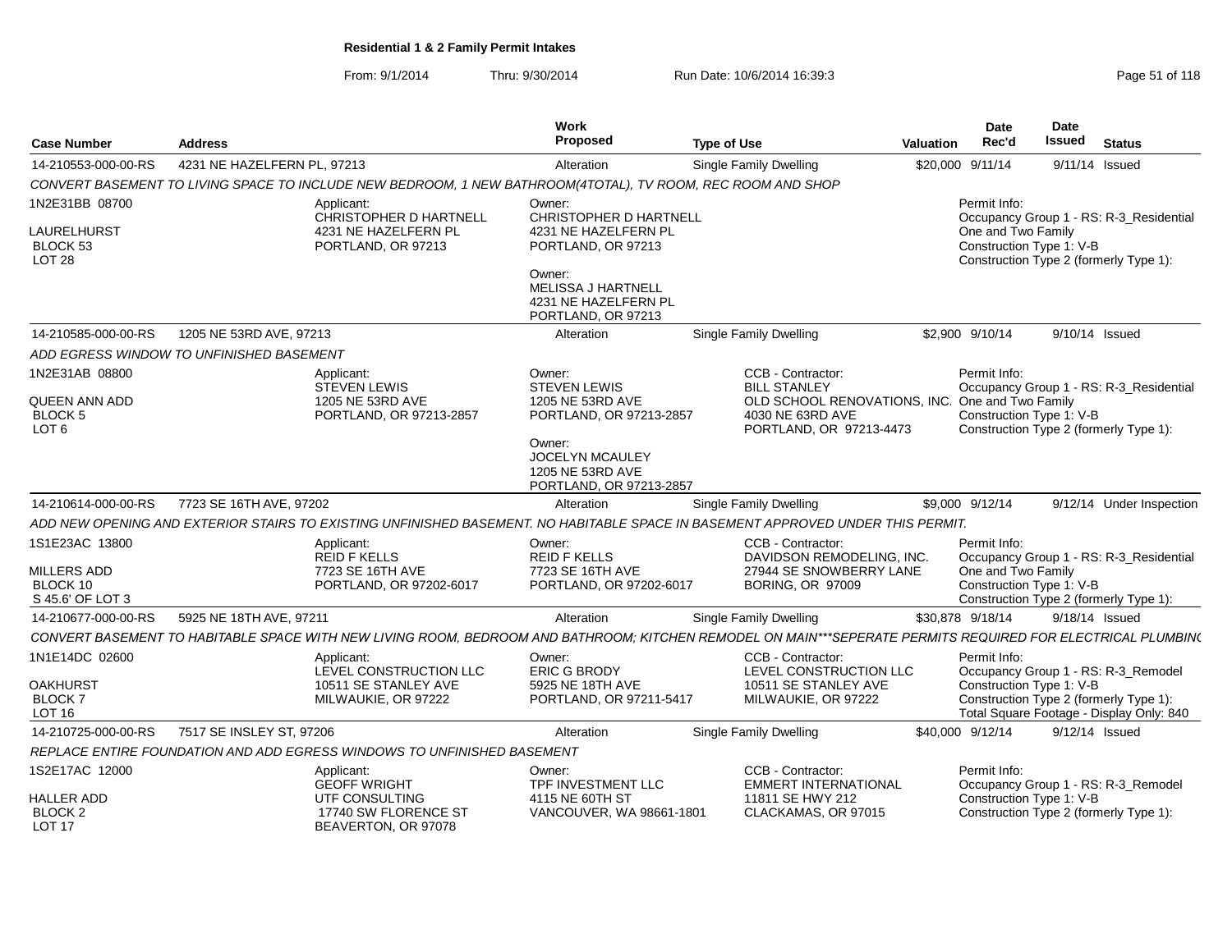From: 9/1/2014Thru: 9/30/2014 Run Date: 10/6/2014 16:39:3<br>
Page 51 of 118

| <b>Case Number</b>                                  | <b>Address</b>                                                                                                                                              | Work<br>Proposed                                                                  | <b>Type of Use</b>                               | Date<br>Rec'd<br>Valuation                      | Date<br><b>Issued</b><br><b>Status</b>                                                                         |  |  |  |  |
|-----------------------------------------------------|-------------------------------------------------------------------------------------------------------------------------------------------------------------|-----------------------------------------------------------------------------------|--------------------------------------------------|-------------------------------------------------|----------------------------------------------------------------------------------------------------------------|--|--|--|--|
| 14-210553-000-00-RS                                 | 4231 NE HAZELFERN PL, 97213                                                                                                                                 | Alteration                                                                        | Single Family Dwelling                           | \$20,000 9/11/14                                | $9/11/14$ Issued                                                                                               |  |  |  |  |
|                                                     | CONVERT BASEMENT TO LIVING SPACE TO INCLUDE NEW BEDROOM, 1 NEW BATHROOM(4TOTAL), TV ROOM, REC ROOM AND SHOP                                                 |                                                                                   |                                                  |                                                 |                                                                                                                |  |  |  |  |
| 1N2E31BB 08700                                      | Applicant:<br>CHRISTOPHER D HARTNELL                                                                                                                        | Owner:<br><b>CHRISTOPHER D HARTNELL</b>                                           |                                                  | Permit Info:                                    | Occupancy Group 1 - RS: R-3_Residential                                                                        |  |  |  |  |
| LAURELHURST<br><b>BLOCK 53</b><br>LOT <sub>28</sub> | 4231 NE HAZELFERN PL<br>PORTLAND, OR 97213                                                                                                                  | 4231 NE HAZELFERN PL<br>PORTLAND, OR 97213                                        |                                                  |                                                 | One and Two Family<br>Construction Type 1: V-B<br>Construction Type 2 (formerly Type 1):                       |  |  |  |  |
|                                                     |                                                                                                                                                             | Owner:<br><b>MELISSA J HARTNELL</b><br>4231 NE HAZELFERN PL<br>PORTLAND, OR 97213 |                                                  |                                                 |                                                                                                                |  |  |  |  |
| 14-210585-000-00-RS                                 | 1205 NE 53RD AVE, 97213                                                                                                                                     | Alteration                                                                        | Single Family Dwelling                           | \$2,900 9/10/14                                 | 9/10/14 Issued                                                                                                 |  |  |  |  |
|                                                     | ADD EGRESS WINDOW TO UNFINISHED BASEMENT                                                                                                                    |                                                                                   |                                                  |                                                 |                                                                                                                |  |  |  |  |
| 1N2E31AB 08800                                      | Applicant:<br><b>STEVEN LEWIS</b>                                                                                                                           | Owner:<br><b>STEVEN LEWIS</b>                                                     | CCB - Contractor:<br><b>BILL STANLEY</b>         | Permit Info:                                    | Occupancy Group 1 - RS: R-3_Residential                                                                        |  |  |  |  |
| <b>QUEEN ANN ADD</b><br>BLOCK 5<br>LOT <sub>6</sub> | 1205 NE 53RD AVE<br>PORTLAND, OR 97213-2857                                                                                                                 | 1205 NE 53RD AVE<br>PORTLAND, OR 97213-2857                                       | 4030 NE 63RD AVE<br>PORTLAND, OR 97213-4473      | OLD SCHOOL RENOVATIONS, INC. One and Two Family | Construction Type 1: V-B<br>Construction Type 2 (formerly Type 1):                                             |  |  |  |  |
|                                                     |                                                                                                                                                             | Owner:<br><b>JOCELYN MCAULEY</b><br>1205 NE 53RD AVE<br>PORTLAND, OR 97213-2857   |                                                  |                                                 |                                                                                                                |  |  |  |  |
| 14-210614-000-00-RS                                 | 7723 SE 16TH AVE, 97202                                                                                                                                     | Alteration                                                                        | Single Family Dwelling                           | \$9,000 9/12/14                                 | 9/12/14 Under Inspection                                                                                       |  |  |  |  |
|                                                     | ADD NEW OPENING AND EXTERIOR STAIRS TO EXISTING UNFINISHED BASEMENT. NO HABITABLE SPACE IN BASEMENT APPROVED UNDER THIS PERMIT.                             |                                                                                   |                                                  |                                                 |                                                                                                                |  |  |  |  |
| 1S1E23AC 13800                                      | Applicant:<br><b>REID F KELLS</b>                                                                                                                           | Owner:<br><b>REID F KELLS</b>                                                     | CCB - Contractor:<br>DAVIDSON REMODELING, INC.   | Permit Info:                                    | Occupancy Group 1 - RS: R-3_Residential                                                                        |  |  |  |  |
| <b>MILLERS ADD</b><br>BLOCK 10<br>S 45.6' OF LOT 3  | 7723 SE 16TH AVE<br>PORTLAND, OR 97202-6017                                                                                                                 | 7723 SE 16TH AVE<br>PORTLAND, OR 97202-6017                                       | 27944 SE SNOWBERRY LANE<br>BORING, OR 97009      |                                                 | One and Two Family<br>Construction Type 1: V-B<br>Construction Type 2 (formerly Type 1):                       |  |  |  |  |
| 14-210677-000-00-RS                                 | 5925 NE 18TH AVE, 97211                                                                                                                                     | Alteration                                                                        | Single Family Dwelling                           | \$30.878 9/18/14                                | 9/18/14 Issued                                                                                                 |  |  |  |  |
|                                                     | CONVERT BASEMENT TO HABITABLE SPACE WITH NEW LIVING ROOM, BEDROOM AND BATHROOM; KITCHEN REMODEL ON MAIN***SEPERATE PERMITS REQUIRED FOR ELECTRICAL PLUMBIN( |                                                                                   |                                                  |                                                 |                                                                                                                |  |  |  |  |
| 1N1E14DC 02600                                      | Applicant:<br>LEVEL CONSTRUCTION LLC                                                                                                                        | Owner:<br>ERIC G BRODY                                                            | CCB - Contractor:<br>LEVEL CONSTRUCTION LLC      | Permit Info:                                    | Occupancy Group 1 - RS: R-3_Remodel                                                                            |  |  |  |  |
| <b>OAKHURST</b><br>BLOCK 7<br>LOT <sub>16</sub>     | 10511 SE STANLEY AVE<br>MILWAUKIE, OR 97222                                                                                                                 | 5925 NE 18TH AVE<br>PORTLAND, OR 97211-5417                                       | 10511 SE STANLEY AVE<br>MILWAUKIE, OR 97222      |                                                 | Construction Type 1: V-B<br>Construction Type 2 (formerly Type 1):<br>Total Square Footage - Display Only: 840 |  |  |  |  |
| 14-210725-000-00-RS                                 | 7517 SE INSLEY ST, 97206                                                                                                                                    | Alteration                                                                        | Single Family Dwelling                           | \$40,000 9/12/14                                | $9/12/14$ Issued                                                                                               |  |  |  |  |
|                                                     | REPLACE ENTIRE FOUNDATION AND ADD EGRESS WINDOWS TO UNFINISHED BASEMENT                                                                                     |                                                                                   |                                                  |                                                 |                                                                                                                |  |  |  |  |
| 1S2E17AC 12000                                      | Applicant:<br><b>GEOFF WRIGHT</b>                                                                                                                           | Owner:<br>TPF INVESTMENT LLC                                                      | CCB - Contractor:<br><b>EMMERT INTERNATIONAL</b> | Permit Info:                                    | Occupancy Group 1 - RS: R-3_Remodel                                                                            |  |  |  |  |
| <b>HALLER ADD</b><br>BLOCK 2<br>LOT 17              | UTF CONSULTING<br>17740 SW FLORENCE ST<br>BEAVERTON, OR 97078                                                                                               | 4115 NE 60TH ST<br>VANCOUVER, WA 98661-1801                                       | 11811 SE HWY 212<br>CLACKAMAS, OR 97015          |                                                 | Construction Type 1: V-B<br>Construction Type 2 (formerly Type 1):                                             |  |  |  |  |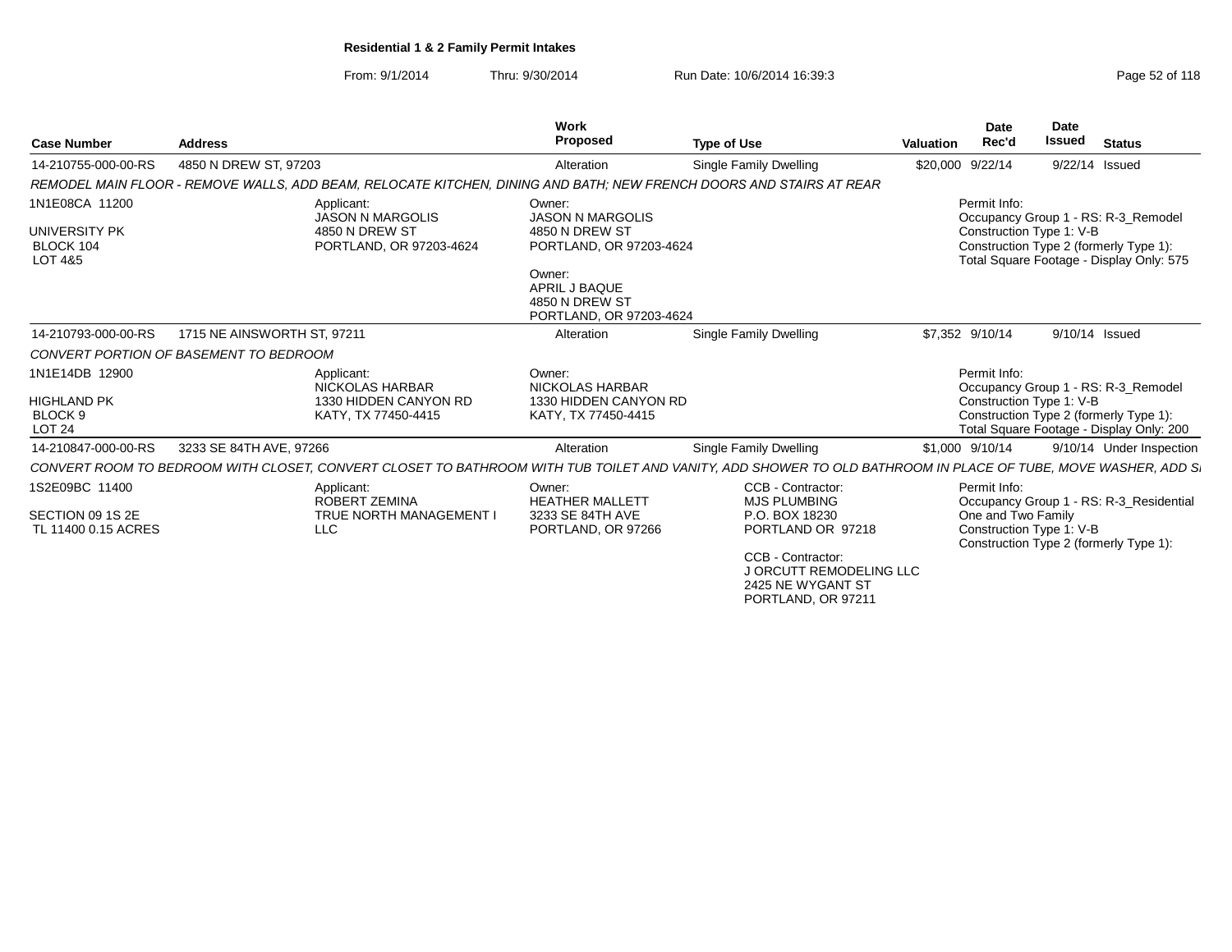From: 9/1/2014Thru: 9/30/2014 Run Date: 10/6/2014 16:39:3<br> **Thru: 9/30/2014** Page 52 of 118

| <b>Case Number</b>                                        | <b>Address</b>              |                                                                                                                     | <b>Work</b><br><b>Proposed</b>                                       | <b>Type of Use</b>                                                                                                                                           | <b>Valuation</b> | <b>Date</b><br>Rec'd | <b>Date</b><br>Issued    | <b>Status</b>                                                                      |
|-----------------------------------------------------------|-----------------------------|---------------------------------------------------------------------------------------------------------------------|----------------------------------------------------------------------|--------------------------------------------------------------------------------------------------------------------------------------------------------------|------------------|----------------------|--------------------------|------------------------------------------------------------------------------------|
| 14-210755-000-00-RS                                       | 4850 N DREW ST, 97203       |                                                                                                                     | Alteration                                                           | Single Family Dwelling                                                                                                                                       | \$20,000         | 9/22/14              |                          | 9/22/14 Issued                                                                     |
|                                                           |                             | REMODEL MAIN FLOOR - REMOVE WALLS, ADD BEAM, RELOCATE KITCHEN, DINING AND BATH; NEW FRENCH DOORS AND STAIRS AT REAR |                                                                      |                                                                                                                                                              |                  |                      |                          |                                                                                    |
| 1N1E08CA 11200                                            |                             | Applicant:<br><b>JASON N MARGOLIS</b>                                                                               | Owner:<br><b>JASON N MARGOLIS</b>                                    |                                                                                                                                                              |                  | Permit Info:         |                          | Occupancy Group 1 - RS: R-3_Remodel                                                |
| UNIVERSITY PK<br>BLOCK 104<br>LOT 4&5                     |                             | 4850 N DREW ST<br>PORTLAND, OR 97203-4624                                                                           | 4850 N DREW ST<br>PORTLAND, OR 97203-4624<br>Owner:<br>APRIL J BAQUE |                                                                                                                                                              |                  |                      | Construction Type 1: V-B | Construction Type 2 (formerly Type 1):<br>Total Square Footage - Display Only: 575 |
|                                                           |                             |                                                                                                                     | 4850 N DREW ST<br>PORTLAND, OR 97203-4624                            |                                                                                                                                                              |                  |                      |                          |                                                                                    |
| 14-210793-000-00-RS                                       | 1715 NE AINSWORTH ST, 97211 |                                                                                                                     | Alteration                                                           | Single Family Dwelling                                                                                                                                       |                  | \$7,352 9/10/14      |                          | 9/10/14 Issued                                                                     |
| CONVERT PORTION OF BASEMENT TO BEDROOM                    |                             |                                                                                                                     |                                                                      |                                                                                                                                                              |                  |                      |                          |                                                                                    |
| 1N1E14DB 12900                                            |                             | Applicant:<br>NICKOLAS HARBAR                                                                                       | Owner:<br>NICKOLAS HARBAR                                            |                                                                                                                                                              |                  | Permit Info:         |                          | Occupancy Group 1 - RS: R-3 Remodel                                                |
| <b>HIGHLAND PK</b><br>BLOCK <sub>9</sub><br><b>LOT 24</b> |                             | 1330 HIDDEN CANYON RD<br>KATY, TX 77450-4415                                                                        | 1330 HIDDEN CANYON RD<br>KATY, TX 77450-4415                         |                                                                                                                                                              |                  |                      | Construction Type 1: V-B | Construction Type 2 (formerly Type 1):<br>Total Square Footage - Display Only: 200 |
| 14-210847-000-00-RS                                       | 3233 SE 84TH AVE, 97266     |                                                                                                                     | Alteration                                                           | Single Family Dwelling                                                                                                                                       |                  | \$1,000 9/10/14      |                          | 9/10/14 Under Inspection                                                           |
|                                                           |                             |                                                                                                                     |                                                                      | CONVERT ROOM TO BEDROOM WITH CLOSET, CONVERT CLOSET TO BATHROOM WITH TUB TOILET AND VANITY, ADD SHOWER TO OLD BATHROOM IN PLACE OF TUBE, MOVE WASHER, ADD S. |                  |                      |                          |                                                                                    |
| 1S2E09BC 11400                                            |                             | Applicant:<br>ROBERT ZEMINA                                                                                         | Owner:<br><b>HEATHER MALLETT</b>                                     | CCB - Contractor:<br><b>MJS PLUMBING</b>                                                                                                                     |                  | Permit Info:         |                          | Occupancy Group 1 - RS: R-3_Residential                                            |
| SECTION 09 1S 2E                                          |                             | <b>TRUE NORTH MANAGEMENT I</b>                                                                                      | 3233 SE 84TH AVE                                                     | P.O. BOX 18230                                                                                                                                               |                  | One and Two Family   |                          |                                                                                    |
| TL 11400 0.15 ACRES                                       |                             | <b>LLC</b>                                                                                                          | PORTLAND, OR 97266                                                   | PORTLAND OR 97218                                                                                                                                            |                  |                      | Construction Type 1: V-B | Construction Type 2 (formerly Type 1):                                             |
|                                                           |                             |                                                                                                                     |                                                                      | CCB - Contractor:<br>J ORCUTT REMODELING LLC<br>2425 NE WYGANT ST                                                                                            |                  |                      |                          |                                                                                    |
|                                                           |                             |                                                                                                                     |                                                                      | PORTLAND, OR 97211                                                                                                                                           |                  |                      |                          |                                                                                    |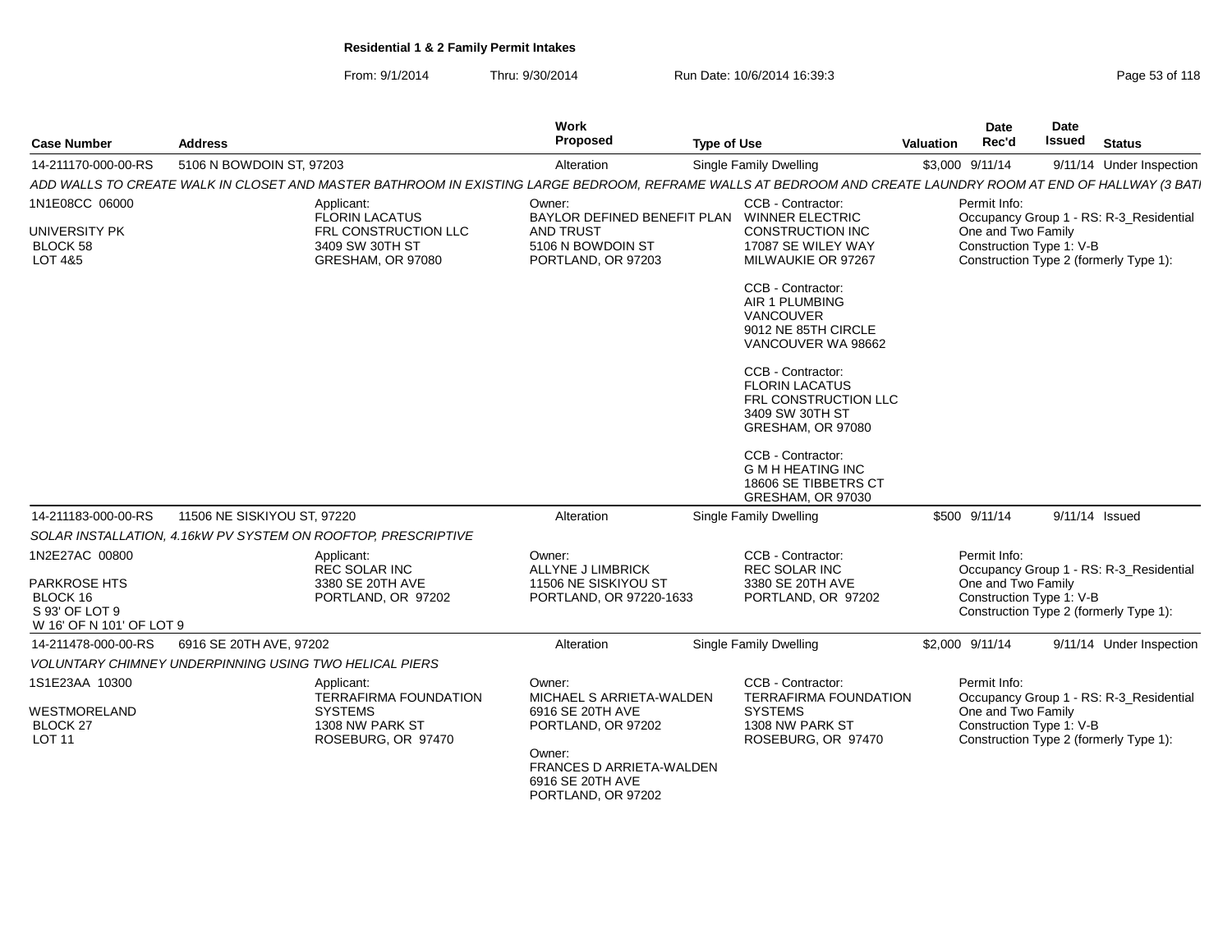| From: $9/1/2014$ | Thru: 9/30/2014 | . 10/6/2014 16:39:3<br>Run Date: | Page 53 of 118 |
|------------------|-----------------|----------------------------------|----------------|
|------------------|-----------------|----------------------------------|----------------|

| <b>Case Number</b>                                     | <b>Address</b>                                                                                                                                               | Work<br>Proposed                                       | <b>Type of Use</b>                                                                                         | <b>Valuation</b> | <b>Date</b><br>Rec'd | <b>Date</b><br>Issued    | <b>Status</b>                           |
|--------------------------------------------------------|--------------------------------------------------------------------------------------------------------------------------------------------------------------|--------------------------------------------------------|------------------------------------------------------------------------------------------------------------|------------------|----------------------|--------------------------|-----------------------------------------|
| 14-211170-000-00-RS                                    | 5106 N BOWDOIN ST, 97203                                                                                                                                     | Alteration                                             | Single Family Dwelling                                                                                     | \$3,000 9/11/14  |                      |                          | 9/11/14 Under Inspection                |
|                                                        | ADD WALLS TO CREATE WALK IN CLOSET AND MASTER BATHROOM IN EXISTING LARGE BEDROOM, REFRAME WALLS AT BEDROOM AND CREATE LAUNDRY ROOM AT END OF HALLWAY (3 BAT. |                                                        |                                                                                                            |                  |                      |                          |                                         |
| 1N1E08CC 06000                                         | Applicant:<br><b>FLORIN LACATUS</b>                                                                                                                          | Owner:<br>BAYLOR DEFINED BENEFIT PLAN WINNER ELECTRIC  | CCB - Contractor:                                                                                          |                  | Permit Info:         |                          | Occupancy Group 1 - RS: R-3_Residential |
| <b>UNIVERSITY PK</b><br><b>BLOCK 58</b>                | FRL CONSTRUCTION LLC<br>3409 SW 30TH ST                                                                                                                      | <b>AND TRUST</b><br>5106 N BOWDOIN ST                  | <b>CONSTRUCTION INC</b><br>17087 SE WILEY WAY                                                              |                  | One and Two Family   | Construction Type 1: V-B |                                         |
| LOT 4&5                                                | GRESHAM, OR 97080                                                                                                                                            | PORTLAND, OR 97203                                     | MILWAUKIE OR 97267                                                                                         |                  |                      |                          | Construction Type 2 (formerly Type 1):  |
|                                                        |                                                                                                                                                              |                                                        | CCB - Contractor:<br>AIR 1 PLUMBING<br><b>VANCOUVER</b><br>9012 NE 85TH CIRCLE<br>VANCOUVER WA 98662       |                  |                      |                          |                                         |
|                                                        |                                                                                                                                                              |                                                        | CCB - Contractor:<br><b>FLORIN LACATUS</b><br>FRL CONSTRUCTION LLC<br>3409 SW 30TH ST<br>GRESHAM, OR 97080 |                  |                      |                          |                                         |
|                                                        |                                                                                                                                                              |                                                        | CCB - Contractor:<br><b>G M H HEATING INC</b><br>18606 SE TIBBETRS CT<br>GRESHAM, OR 97030                 |                  |                      |                          |                                         |
| 14-211183-000-00-RS                                    | 11506 NE SISKIYOU ST, 97220                                                                                                                                  | Alteration                                             | <b>Single Family Dwelling</b>                                                                              |                  | \$500 9/11/14        | 9/11/14 Issued           |                                         |
|                                                        | SOLAR INSTALLATION, 4.16kW PV SYSTEM ON ROOFTOP, PRESCRIPTIVE                                                                                                |                                                        |                                                                                                            |                  |                      |                          |                                         |
| 1N2E27AC 00800                                         | Applicant:<br>REC SOLAR INC                                                                                                                                  | Owner:<br>ALLYNE J LIMBRICK                            | CCB - Contractor:<br>REC SOLAR INC                                                                         |                  | Permit Info:         |                          | Occupancy Group 1 - RS: R-3_Residential |
| <b>PARKROSE HTS</b>                                    | 3380 SE 20TH AVE                                                                                                                                             | 11506 NE SISKIYOU ST                                   | 3380 SE 20TH AVE                                                                                           |                  | One and Two Family   |                          |                                         |
| BLOCK 16<br>S 93' OF LOT 9<br>W 16' OF N 101' OF LOT 9 | PORTLAND, OR 97202                                                                                                                                           | PORTLAND, OR 97220-1633                                | PORTLAND, OR 97202                                                                                         |                  |                      | Construction Type 1: V-B | Construction Type 2 (formerly Type 1):  |
| 14-211478-000-00-RS                                    | 6916 SE 20TH AVE, 97202                                                                                                                                      | Alteration                                             | <b>Single Family Dwelling</b>                                                                              | \$2,000 9/11/14  |                      |                          | 9/11/14 Under Inspection                |
|                                                        | <b>VOLUNTARY CHIMNEY UNDERPINNING USING TWO HELICAL PIERS</b>                                                                                                |                                                        |                                                                                                            |                  |                      |                          |                                         |
| 1S1E23AA 10300                                         | Applicant:<br>TERRAFIRMA FOUNDATION                                                                                                                          | Owner:<br>MICHAEL S ARRIETA-WALDEN                     | CCB - Contractor:<br>TERRAFIRMA FOUNDATION                                                                 |                  | Permit Info:         |                          | Occupancy Group 1 - RS: R-3_Residential |
| WESTMORELAND<br>BLOCK 27<br><b>LOT 11</b>              | <b>SYSTEMS</b><br>1308 NW PARK ST<br>ROSEBURG, OR 97470                                                                                                      | 6916 SE 20TH AVE<br>PORTLAND, OR 97202                 | <b>SYSTEMS</b><br>1308 NW PARK ST<br>ROSEBURG, OR 97470                                                    |                  | One and Two Family   | Construction Type 1: V-B | Construction Type 2 (formerly Type 1):  |
|                                                        |                                                                                                                                                              | Owner:<br>FRANCES D ARRIETA-WALDEN<br>6916 SE 20TH AVE |                                                                                                            |                  |                      |                          |                                         |

PORTLAND, OR 97202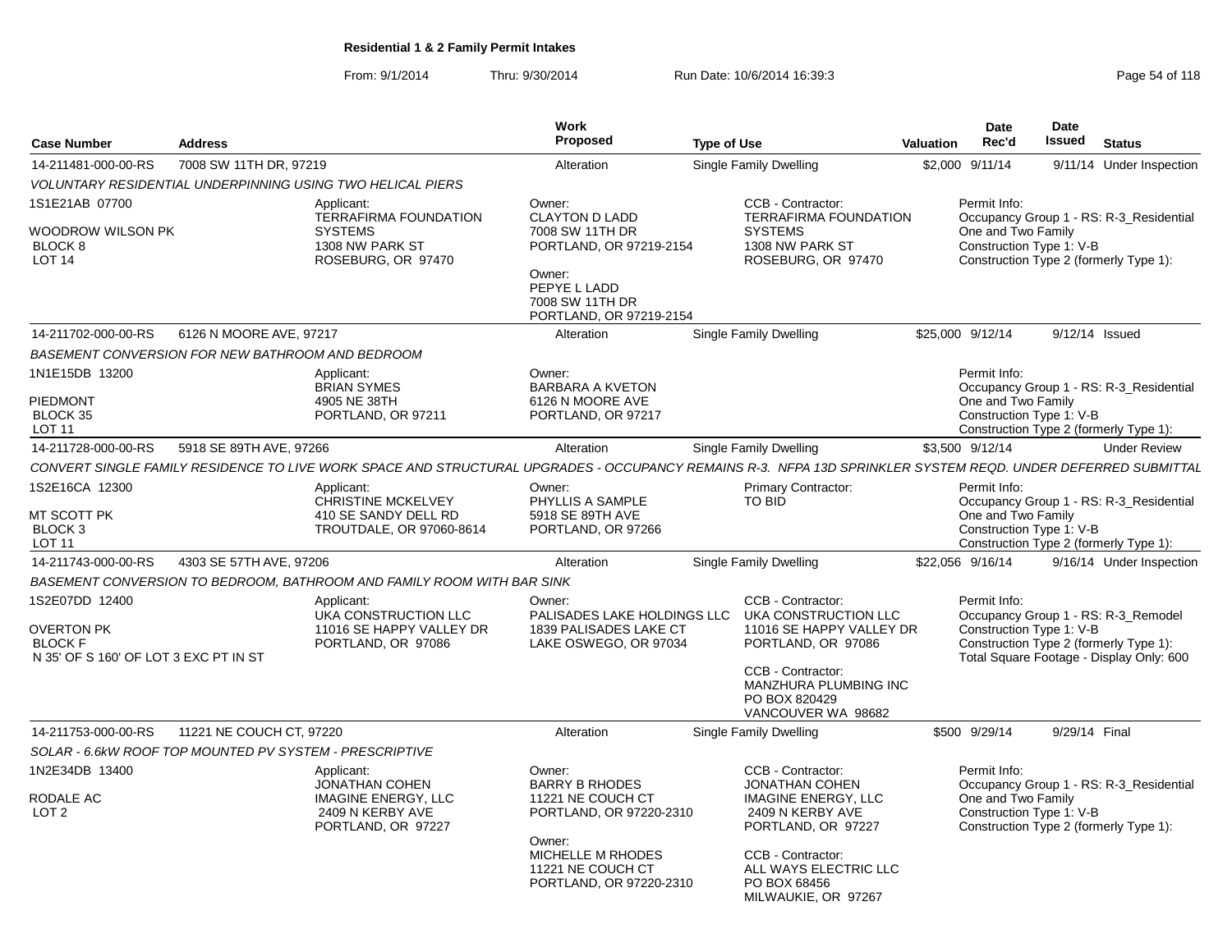From: 9/1/2014Thru: 9/30/2014 Run Date: 10/6/2014 16:39:3<br>
Page 54 of 118

|                                                                                                |                                                         |                                                                                                                                                              | <b>Work</b>                                                                                                                                                    |                    |                                                                                                                                                                                                         |                  | <b>Date</b>                                                    | <b>Date</b>   |                                                                                                                           |
|------------------------------------------------------------------------------------------------|---------------------------------------------------------|--------------------------------------------------------------------------------------------------------------------------------------------------------------|----------------------------------------------------------------------------------------------------------------------------------------------------------------|--------------------|---------------------------------------------------------------------------------------------------------------------------------------------------------------------------------------------------------|------------------|----------------------------------------------------------------|---------------|---------------------------------------------------------------------------------------------------------------------------|
| <b>Case Number</b>                                                                             | <b>Address</b>                                          |                                                                                                                                                              | <b>Proposed</b>                                                                                                                                                | <b>Type of Use</b> |                                                                                                                                                                                                         | <b>Valuation</b> | Rec'd                                                          | <b>Issued</b> | <b>Status</b>                                                                                                             |
| 14-211481-000-00-RS                                                                            | 7008 SW 11TH DR, 97219                                  |                                                                                                                                                              | Alteration                                                                                                                                                     |                    | Single Family Dwelling                                                                                                                                                                                  |                  | \$2,000 9/11/14                                                |               | 9/11/14 Under Inspection                                                                                                  |
|                                                                                                |                                                         | VOLUNTARY RESIDENTIAL UNDERPINNING USING TWO HELICAL PIERS                                                                                                   |                                                                                                                                                                |                    |                                                                                                                                                                                                         |                  |                                                                |               |                                                                                                                           |
| 1S1E21AB 07700<br>WOODROW WILSON PK<br>BLOCK <sub>8</sub><br>LOT <sub>14</sub>                 |                                                         | Applicant:<br><b>TERRAFIRMA FOUNDATION</b><br><b>SYSTEMS</b><br>1308 NW PARK ST<br>ROSEBURG, OR 97470                                                        | Owner:<br><b>CLAYTON D LADD</b><br>7008 SW 11TH DR<br>PORTLAND, OR 97219-2154<br>Owner:<br>PEPYE L LADD<br>7008 SW 11TH DR<br>PORTLAND, OR 97219-2154          |                    | CCB - Contractor:<br><b>TERRAFIRMA FOUNDATION</b><br><b>SYSTEMS</b><br>1308 NW PARK ST<br>ROSEBURG, OR 97470                                                                                            |                  | Permit Info:<br>One and Two Family<br>Construction Type 1: V-B |               | Occupancy Group 1 - RS: R-3_Residential<br>Construction Type 2 (formerly Type 1):                                         |
| 14-211702-000-00-RS                                                                            | 6126 N MOORE AVE, 97217                                 |                                                                                                                                                              | Alteration                                                                                                                                                     |                    | Single Family Dwelling                                                                                                                                                                                  |                  | \$25,000 9/12/14                                               |               | 9/12/14 Issued                                                                                                            |
|                                                                                                | BASEMENT CONVERSION FOR NEW BATHROOM AND BEDROOM        |                                                                                                                                                              |                                                                                                                                                                |                    |                                                                                                                                                                                                         |                  |                                                                |               |                                                                                                                           |
| 1N1E15DB 13200<br>PIEDMONT<br>BLOCK 35<br>LOT 11                                               |                                                         | Applicant:<br><b>BRIAN SYMES</b><br>4905 NE 38TH<br>PORTLAND, OR 97211                                                                                       | Owner:<br><b>BARBARA A KVETON</b><br>6126 N MOORE AVE<br>PORTLAND, OR 97217                                                                                    |                    |                                                                                                                                                                                                         |                  | Permit Info:<br>One and Two Family<br>Construction Type 1: V-B |               | Occupancy Group 1 - RS: R-3_Residential<br>Construction Type 2 (formerly Type 1):                                         |
| 14-211728-000-00-RS                                                                            | 5918 SE 89TH AVE, 97266                                 |                                                                                                                                                              | Alteration                                                                                                                                                     |                    | Single Family Dwelling                                                                                                                                                                                  |                  | \$3,500 9/12/14                                                |               | <b>Under Review</b>                                                                                                       |
|                                                                                                |                                                         | CONVERT SINGLE FAMILY RESIDENCE TO LIVE WORK SPACE AND STRUCTURAL UPGRADES - OCCUPANCY REMAINS R-3. NFPA 13D SPRINKLER SYSTEM REQD. UNDER DEFERRED SUBMITTAL |                                                                                                                                                                |                    |                                                                                                                                                                                                         |                  |                                                                |               |                                                                                                                           |
| 1S2E16CA 12300<br>MT SCOTT PK<br>BLOCK <sub>3</sub><br>LOT <sub>11</sub>                       |                                                         | Applicant:<br><b>CHRISTINE MCKELVEY</b><br>410 SE SANDY DELL RD<br>TROUTDALE, OR 97060-8614                                                                  | Owner:<br>PHYLLIS A SAMPLE<br>5918 SE 89TH AVE<br>PORTLAND, OR 97266                                                                                           |                    | <b>Primary Contractor:</b><br><b>TO BID</b>                                                                                                                                                             |                  | Permit Info:<br>One and Two Family<br>Construction Type 1: V-B |               | Occupancy Group 1 - RS: R-3_Residential<br>Construction Type 2 (formerly Type 1):                                         |
| 14-211743-000-00-RS                                                                            | 4303 SE 57TH AVE, 97206                                 |                                                                                                                                                              | Alteration                                                                                                                                                     |                    | Single Family Dwelling                                                                                                                                                                                  |                  | \$22,056 9/16/14                                               |               | 9/16/14 Under Inspection                                                                                                  |
|                                                                                                |                                                         | BASEMENT CONVERSION TO BEDROOM, BATHROOM AND FAMILY ROOM WITH BAR SINK                                                                                       |                                                                                                                                                                |                    |                                                                                                                                                                                                         |                  |                                                                |               |                                                                                                                           |
| 1S2E07DD 12400<br><b>OVERTON PK</b><br><b>BLOCK F</b><br>N 35' OF S 160' OF LOT 3 EXC PT IN ST |                                                         | Applicant:<br>UKA CONSTRUCTION LLC<br>11016 SE HAPPY VALLEY DR<br>PORTLAND, OR 97086                                                                         | Owner:<br>PALISADES LAKE HOLDINGS LLC<br>1839 PALISADES LAKE CT<br>LAKE OSWEGO, OR 97034                                                                       |                    | CCB - Contractor:<br>UKA CONSTRUCTION LLC<br>11016 SE HAPPY VALLEY DR<br>PORTLAND, OR 97086<br>CCB - Contractor:<br>MANZHURA PLUMBING INC<br>PO BOX 820429<br>VANCOUVER WA 98682                        |                  | Permit Info:<br>Construction Type 1: V-B                       |               | Occupancy Group 1 - RS: R-3_Remodel<br>Construction Type 2 (formerly Type 1):<br>Total Square Footage - Display Only: 600 |
| 14-211753-000-00-RS                                                                            | 11221 NE COUCH CT, 97220                                |                                                                                                                                                              | Alteration                                                                                                                                                     |                    | Single Family Dwelling                                                                                                                                                                                  |                  | \$500 9/29/14                                                  | 9/29/14 Final |                                                                                                                           |
|                                                                                                | SOLAR - 6.6kW ROOF TOP MOUNTED PV SYSTEM - PRESCRIPTIVE |                                                                                                                                                              |                                                                                                                                                                |                    |                                                                                                                                                                                                         |                  |                                                                |               |                                                                                                                           |
| 1N2E34DB 13400<br>RODALE AC<br>LOT <sub>2</sub>                                                |                                                         | Applicant:<br><b>JONATHAN COHEN</b><br><b>IMAGINE ENERGY, LLC</b><br>2409 N KERBY AVE<br>PORTLAND, OR 97227                                                  | Owner:<br><b>BARRY B RHODES</b><br>11221 NE COUCH CT<br>PORTLAND, OR 97220-2310<br>Owner:<br>MICHELLE M RHODES<br>11221 NE COUCH CT<br>PORTLAND, OR 97220-2310 |                    | CCB - Contractor:<br><b>JONATHAN COHEN</b><br><b>IMAGINE ENERGY, LLC</b><br>2409 N KERBY AVE<br>PORTLAND, OR 97227<br>CCB - Contractor:<br>ALL WAYS ELECTRIC LLC<br>PO BOX 68456<br>MILWAUKIE, OR 97267 |                  | Permit Info:<br>One and Two Family<br>Construction Type 1: V-B |               | Occupancy Group 1 - RS: R-3_Residential<br>Construction Type 2 (formerly Type 1):                                         |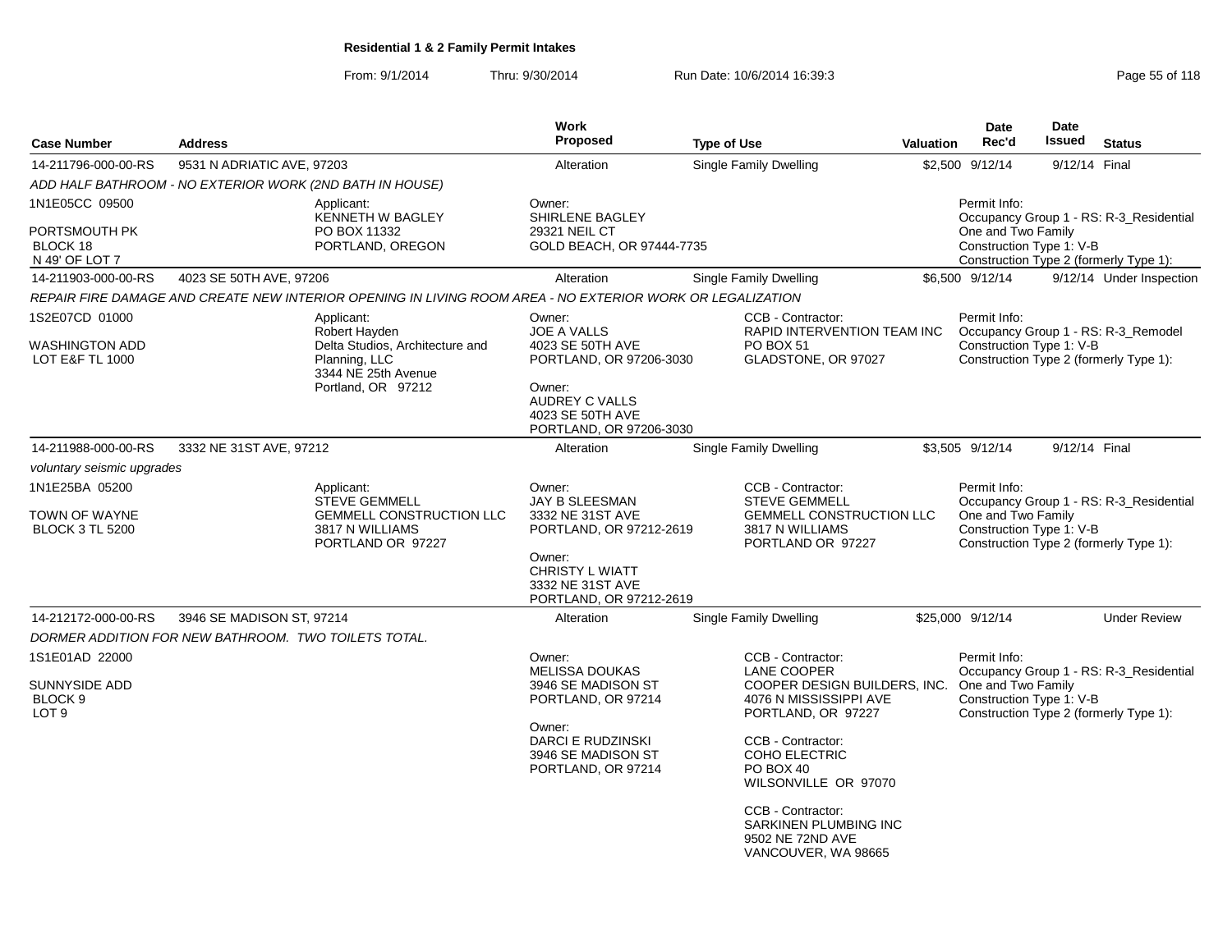From: 9/1/2014Thru: 9/30/2014 Run Date: 10/6/2014 16:39:3<br>
Page 55 of 118

| <b>Case Number</b>                                      | <b>Address</b>                                           |                                                                                                           | Work<br>Proposed                                                                                                       | <b>Type of Use</b>                                                                    | <b>Valuation</b> | <b>Date</b><br>Rec'd                                                                     | Date<br><b>Issued</b> | <b>Status</b>                           |
|---------------------------------------------------------|----------------------------------------------------------|-----------------------------------------------------------------------------------------------------------|------------------------------------------------------------------------------------------------------------------------|---------------------------------------------------------------------------------------|------------------|------------------------------------------------------------------------------------------|-----------------------|-----------------------------------------|
| 14-211796-000-00-RS                                     | 9531 N ADRIATIC AVE, 97203                               |                                                                                                           | Alteration                                                                                                             | Single Family Dwelling                                                                |                  | \$2,500 9/12/14                                                                          | 9/12/14 Final         |                                         |
|                                                         | ADD HALF BATHROOM - NO EXTERIOR WORK (2ND BATH IN HOUSE) |                                                                                                           |                                                                                                                        |                                                                                       |                  |                                                                                          |                       |                                         |
| 1N1E05CC 09500                                          |                                                          | Applicant:<br>KENNETH W BAGLEY                                                                            | Owner:<br>SHIRLENE BAGLEY                                                                                              |                                                                                       |                  | Permit Info:                                                                             |                       | Occupancy Group 1 - RS: R-3_Residential |
| PORTSMOUTH PK<br>BLOCK 18<br>N 49' OF LOT 7             |                                                          | PO BOX 11332<br>PORTLAND, OREGON                                                                          | 29321 NEIL CT<br>GOLD BEACH, OR 97444-7735                                                                             |                                                                                       |                  | One and Two Family<br>Construction Type 1: V-B<br>Construction Type 2 (formerly Type 1): |                       |                                         |
| 14-211903-000-00-RS                                     | 4023 SE 50TH AVE, 97206                                  |                                                                                                           | Alteration                                                                                                             | Single Family Dwelling                                                                |                  | \$6,500 9/12/14                                                                          |                       | 9/12/14 Under Inspection                |
|                                                         |                                                          | REPAIR FIRE DAMAGE AND CREATE NEW INTERIOR OPENING IN LIVING ROOM AREA - NO EXTERIOR WORK OR LEGALIZATION |                                                                                                                        |                                                                                       |                  |                                                                                          |                       |                                         |
| 1S2E07CD 01000                                          |                                                          | Applicant:<br>Robert Hayden                                                                               | Owner:<br><b>JOE A VALLS</b>                                                                                           | CCB - Contractor:<br>RAPID INTERVENTION TEAM INC                                      |                  | Permit Info:                                                                             |                       | Occupancy Group 1 - RS: R-3_Remodel     |
| <b>WASHINGTON ADD</b><br><b>LOT E&amp;F TL 1000</b>     |                                                          | Delta Studios, Architecture and<br>Planning, LLC<br>3344 NE 25th Avenue<br>Portland, OR 97212             | 4023 SE 50TH AVE<br>PORTLAND, OR 97206-3030<br>Owner:<br>AUDREY C VALLS<br>4023 SE 50TH AVE<br>PORTLAND, OR 97206-3030 | PO BOX 51<br>GLADSTONE, OR 97027                                                      |                  | Construction Type 1: V-B<br>Construction Type 2 (formerly Type 1):                       |                       |                                         |
| 14-211988-000-00-RS                                     | 3332 NE 31ST AVE, 97212                                  |                                                                                                           | Alteration                                                                                                             | Single Family Dwelling                                                                |                  | \$3,505 9/12/14                                                                          | 9/12/14 Final         |                                         |
| voluntary seismic upgrades                              |                                                          |                                                                                                           |                                                                                                                        |                                                                                       |                  |                                                                                          |                       |                                         |
| 1N1E25BA 05200                                          |                                                          | Applicant:<br><b>STEVE GEMMELL</b>                                                                        | Owner:<br><b>JAY B SLEESMAN</b>                                                                                        | CCB - Contractor:<br><b>STEVE GEMMELL</b>                                             |                  | Permit Info:                                                                             |                       | Occupancy Group 1 - RS: R-3_Residential |
| TOWN OF WAYNE<br><b>BLOCK 3 TL 5200</b>                 |                                                          | GEMMELL CONSTRUCTION LLC<br>3817 N WILLIAMS<br>PORTLAND OR 97227                                          | 3332 NE 31ST AVE<br>PORTLAND, OR 97212-2619                                                                            | <b>GEMMELL CONSTRUCTION LLC</b><br>3817 N WILLIAMS<br>PORTLAND OR 97227               |                  | One and Two Family<br>Construction Type 1: V-B<br>Construction Type 2 (formerly Type 1): |                       |                                         |
|                                                         |                                                          |                                                                                                           | Owner:<br><b>CHRISTY L WIATT</b><br>3332 NE 31ST AVE<br>PORTLAND, OR 97212-2619                                        |                                                                                       |                  |                                                                                          |                       |                                         |
| 14-212172-000-00-RS                                     | 3946 SE MADISON ST, 97214                                |                                                                                                           | Alteration                                                                                                             | <b>Single Family Dwelling</b>                                                         |                  | \$25,000 9/12/14                                                                         |                       | <b>Under Review</b>                     |
|                                                         | DORMER ADDITION FOR NEW BATHROOM. TWO TOILETS TOTAL.     |                                                                                                           |                                                                                                                        |                                                                                       |                  |                                                                                          |                       |                                         |
| 1S1E01AD 22000                                          |                                                          |                                                                                                           | Owner:<br><b>MELISSA DOUKAS</b>                                                                                        | CCB - Contractor:<br><b>LANE COOPER</b>                                               |                  | Permit Info:                                                                             |                       | Occupancy Group 1 - RS: R-3_Residential |
| SUNNYSIDE ADD<br>BLOCK <sub>9</sub><br>LOT <sub>9</sub> |                                                          |                                                                                                           | 3946 SE MADISON ST<br>PORTLAND, OR 97214                                                                               | COOPER DESIGN BUILDERS, INC.<br>4076 N MISSISSIPPI AVE<br>PORTLAND, OR 97227          |                  | One and Two Family<br>Construction Type 1: V-B<br>Construction Type 2 (formerly Type 1): |                       |                                         |
|                                                         |                                                          |                                                                                                           | Owner:<br><b>DARCI E RUDZINSKI</b><br>3946 SE MADISON ST<br>PORTLAND, OR 97214                                         | CCB - Contractor:<br><b>COHO ELECTRIC</b><br>PO BOX 40<br>WILSONVILLE OR 97070        |                  |                                                                                          |                       |                                         |
|                                                         |                                                          |                                                                                                           |                                                                                                                        | CCB - Contractor:<br>SARKINEN PLUMBING INC<br>9502 NE 72ND AVE<br>VANCOUVER, WA 98665 |                  |                                                                                          |                       |                                         |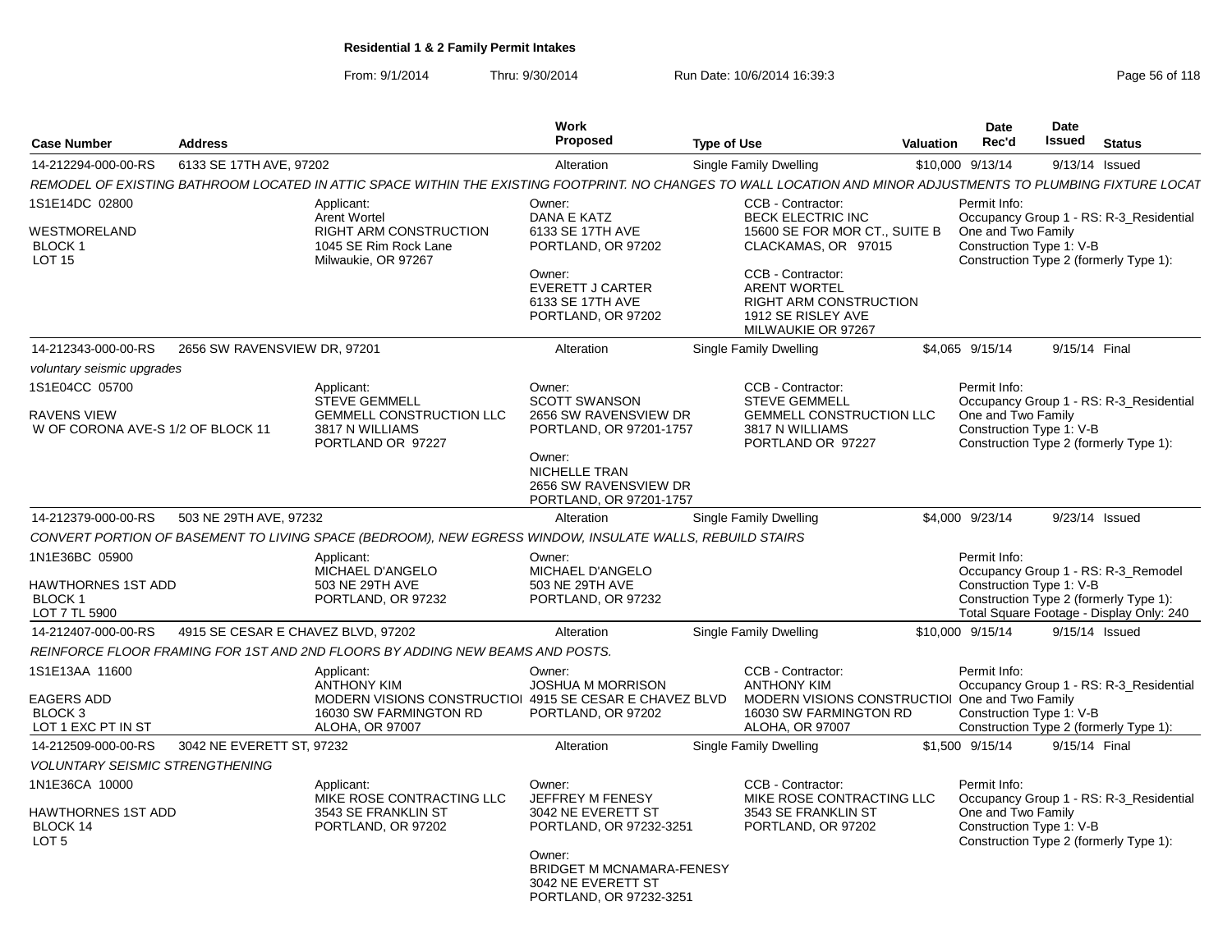From: 9/1/2014Thru: 9/30/2014 Run Date: 10/6/2014 16:39:3<br>
Page 56 of 118

| Case Number                                                                     | <b>Address</b>                     |                                                                                                                                                                | <b>Work</b><br>Proposed                                                                                                                                             | <b>Type of Use</b>                                            |                                                                                                                                                               | <b>Valuation</b> | <b>Date</b><br>Rec'd                                           | <b>Date</b><br>Issued | <b>Status</b>                                                                                                             |
|---------------------------------------------------------------------------------|------------------------------------|----------------------------------------------------------------------------------------------------------------------------------------------------------------|---------------------------------------------------------------------------------------------------------------------------------------------------------------------|---------------------------------------------------------------|---------------------------------------------------------------------------------------------------------------------------------------------------------------|------------------|----------------------------------------------------------------|-----------------------|---------------------------------------------------------------------------------------------------------------------------|
| 14-212294-000-00-RS                                                             | 6133 SE 17TH AVE, 97202            |                                                                                                                                                                | Alteration                                                                                                                                                          | Single Family Dwelling                                        |                                                                                                                                                               |                  | \$10,000 9/13/14                                               | 9/13/14 Issued        |                                                                                                                           |
|                                                                                 |                                    | REMODEL OF EXISTING BATHROOM LOCATED IN ATTIC SPACE WITHIN THE EXISTING FOOTPRINT. NO CHANGES TO WALL LOCATION AND MINOR ADJUSTMENTS TO PLUMBING FIXTURE LOCAT |                                                                                                                                                                     |                                                               |                                                                                                                                                               |                  |                                                                |                       |                                                                                                                           |
| 1S1E14DC 02800<br>WESTMORELAND<br>BLOCK 1<br><b>LOT 15</b>                      |                                    | Applicant:<br><b>Arent Wortel</b><br><b>RIGHT ARM CONSTRUCTION</b><br>1045 SE Rim Rock Lane<br>Milwaukie, OR 97267                                             | Owner:<br>DANA E KATZ<br>6133 SE 17TH AVE<br>PORTLAND, OR 97202<br>Owner:<br><b>EVERETT J CARTER</b><br>6133 SE 17TH AVE<br>PORTLAND, OR 97202                      | CCB - Contractor:<br>CCB - Contractor:<br><b>ARENT WORTEL</b> | <b>BECK ELECTRIC INC</b><br>15600 SE FOR MOR CT., SUITE B<br>CLACKAMAS, OR 97015<br><b>RIGHT ARM CONSTRUCTION</b><br>1912 SE RISLEY AVE<br>MILWAUKIE OR 97267 |                  | Permit Info:<br>One and Two Family<br>Construction Type 1: V-B |                       | Occupancy Group 1 - RS: R-3 Residential<br>Construction Type 2 (formerly Type 1):                                         |
| 14-212343-000-00-RS                                                             | 2656 SW RAVENSVIEW DR, 97201       |                                                                                                                                                                | Alteration                                                                                                                                                          | Single Family Dwelling                                        |                                                                                                                                                               |                  | \$4,065 9/15/14                                                | 9/15/14 Final         |                                                                                                                           |
| voluntary seismic upgrades                                                      |                                    |                                                                                                                                                                |                                                                                                                                                                     |                                                               |                                                                                                                                                               |                  |                                                                |                       |                                                                                                                           |
| 1S1E04CC 05700<br>RAVENS VIEW<br>W OF CORONA AVE-S 1/2 OF BLOCK 11              |                                    | Applicant:<br><b>STEVE GEMMELL</b><br>GEMMELL CONSTRUCTION LLC<br>3817 N WILLIAMS<br>PORTLAND OR 97227                                                         | Owner:<br><b>SCOTT SWANSON</b><br>2656 SW RAVENSVIEW DR<br>PORTLAND, OR 97201-1757<br>Owner:<br>NICHELLE TRAN                                                       | CCB - Contractor:<br><b>STEVE GEMMELL</b><br>3817 N WILLIAMS  | <b>GEMMELL CONSTRUCTION LLC</b><br>PORTLAND OR 97227                                                                                                          |                  | Permit Info:<br>One and Two Family<br>Construction Type 1: V-B |                       | Occupancy Group 1 - RS: R-3_Residential<br>Construction Type 2 (formerly Type 1):                                         |
| 14-212379-000-00-RS                                                             | 503 NE 29TH AVE, 97232             |                                                                                                                                                                | 2656 SW RAVENSVIEW DR<br>PORTLAND, OR 97201-1757<br>Alteration                                                                                                      | Single Family Dwelling                                        |                                                                                                                                                               |                  | \$4,000 9/23/14                                                | 9/23/14 Issued        |                                                                                                                           |
|                                                                                 |                                    | CONVERT PORTION OF BASEMENT TO LIVING SPACE (BEDROOM), NEW EGRESS WINDOW, INSULATE WALLS, REBUILD STAIRS                                                       |                                                                                                                                                                     |                                                               |                                                                                                                                                               |                  |                                                                |                       |                                                                                                                           |
| 1N1E36BC 05900<br>HAWTHORNES 1ST ADD<br><b>BLOCK1</b><br>LOT 7 TL 5900          |                                    | Applicant:<br>MICHAEL D'ANGELO<br>503 NE 29TH AVE<br>PORTLAND, OR 97232                                                                                        | Owner:<br>MICHAEL D'ANGELO<br>503 NE 29TH AVE<br>PORTLAND, OR 97232                                                                                                 |                                                               |                                                                                                                                                               |                  | Permit Info:<br>Construction Type 1: V-B                       |                       | Occupancy Group 1 - RS: R-3_Remodel<br>Construction Type 2 (formerly Type 1):<br>Total Square Footage - Display Only: 240 |
| 14-212407-000-00-RS                                                             | 4915 SE CESAR E CHAVEZ BLVD, 97202 |                                                                                                                                                                | Alteration                                                                                                                                                          | Single Family Dwelling                                        |                                                                                                                                                               |                  | \$10,000 9/15/14                                               | 9/15/14 Issued        |                                                                                                                           |
|                                                                                 |                                    | REINFORCE FLOOR FRAMING FOR 1ST AND 2ND FLOORS BY ADDING NEW BEAMS AND POSTS.                                                                                  |                                                                                                                                                                     |                                                               |                                                                                                                                                               |                  |                                                                |                       |                                                                                                                           |
| 1S1E13AA 11600<br><b>EAGERS ADD</b><br>BLOCK <sub>3</sub><br>LOT 1 EXC PT IN ST |                                    | Applicant:<br><b>ANTHONY KIM</b><br>MODERN VISIONS CONSTRUCTIOI 4915 SE CESAR E CHAVEZ BLVD<br>16030 SW FARMINGTON RD<br>ALOHA, OR 97007                       | Owner:<br><b>JOSHUA M MORRISON</b><br>PORTLAND, OR 97202                                                                                                            | CCB - Contractor:<br><b>ANTHONY KIM</b><br>ALOHA, OR 97007    | MODERN VISIONS CONSTRUCTIOI One and Two Family<br>16030 SW FARMINGTON RD                                                                                      |                  | Permit Info:<br>Construction Type 1: V-B                       |                       | Occupancy Group 1 - RS: R-3_Residential<br>Construction Type 2 (formerly Type 1):                                         |
| 14-212509-000-00-RS                                                             | 3042 NE EVERETT ST, 97232          |                                                                                                                                                                | Alteration                                                                                                                                                          | Single Family Dwelling                                        |                                                                                                                                                               |                  | \$1,500 9/15/14                                                | 9/15/14 Final         |                                                                                                                           |
| <b>VOLUNTARY SEISMIC STRENGTHENING</b>                                          |                                    |                                                                                                                                                                |                                                                                                                                                                     |                                                               |                                                                                                                                                               |                  |                                                                |                       |                                                                                                                           |
| 1N1E36CA 10000<br>HAWTHORNES 1ST ADD<br>BLOCK 14<br>LOT <sub>5</sub>            |                                    | Applicant:<br>MIKE ROSE CONTRACTING LLC<br>3543 SE FRANKLIN ST<br>PORTLAND, OR 97202                                                                           | Owner:<br>JEFFREY M FENESY<br>3042 NE EVERETT ST<br>PORTLAND, OR 97232-3251<br>Owner:<br>BRIDGET M MCNAMARA-FENESY<br>3042 NE EVERETT ST<br>PORTLAND, OR 97232-3251 | CCB - Contractor:                                             | MIKE ROSE CONTRACTING LLC<br>3543 SE FRANKLIN ST<br>PORTLAND, OR 97202                                                                                        |                  | Permit Info:<br>One and Two Family<br>Construction Type 1: V-B |                       | Occupancy Group 1 - RS: R-3 Residential<br>Construction Type 2 (formerly Type 1):                                         |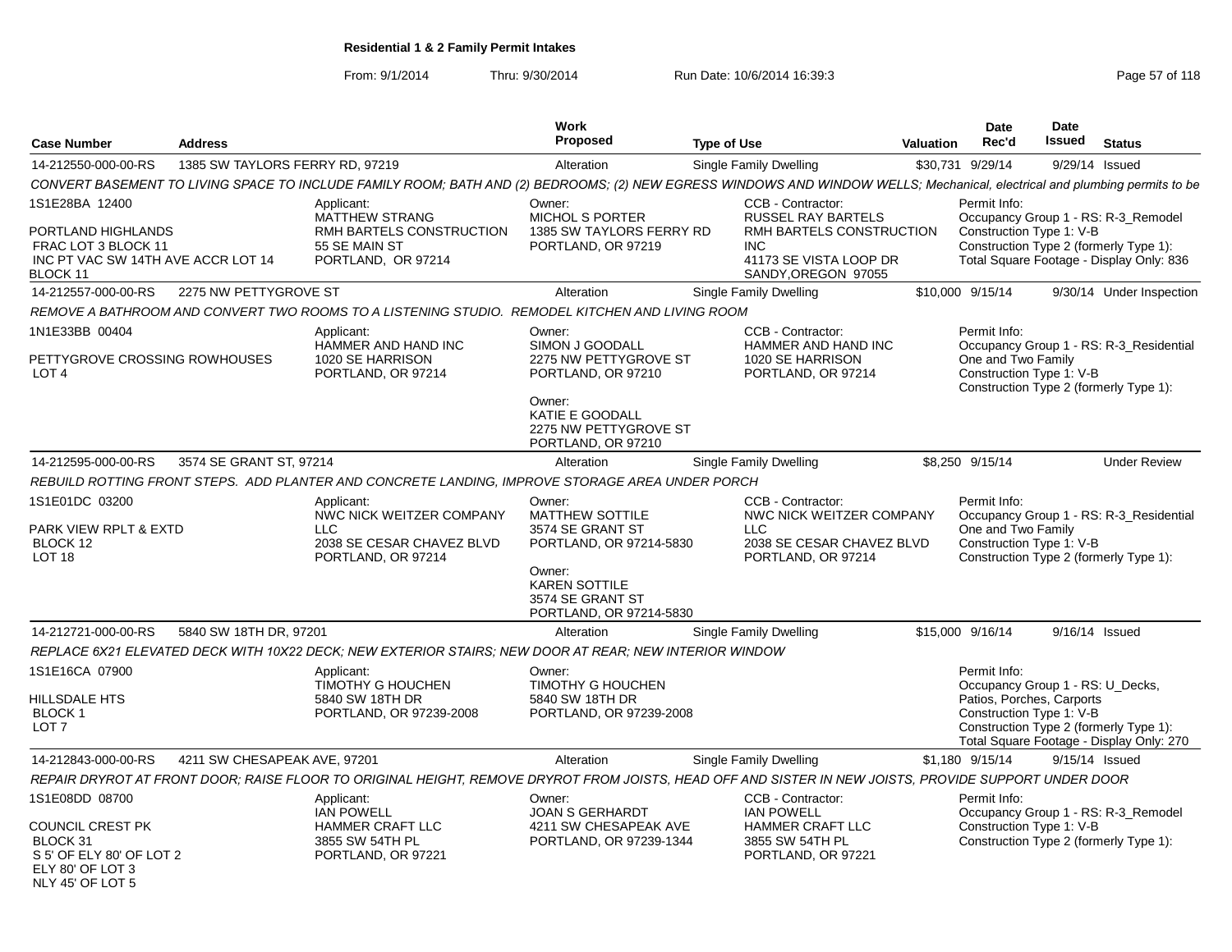From: 9/1/2014Thru: 9/30/2014 Run Date: 10/6/2014 16:39:3<br>
Page 57 of 118

| <b>Case Number</b>                                                                                                 | <b>Address</b>                  |                                                                                                                                                                            | Work<br>Proposed                                                                                                                                                 | <b>Type of Use</b>                                                                                                                        | Valuation | <b>Date</b><br>Rec'd                                                                                      | Date<br>Issued | <b>Status</b>                                                                                                             |
|--------------------------------------------------------------------------------------------------------------------|---------------------------------|----------------------------------------------------------------------------------------------------------------------------------------------------------------------------|------------------------------------------------------------------------------------------------------------------------------------------------------------------|-------------------------------------------------------------------------------------------------------------------------------------------|-----------|-----------------------------------------------------------------------------------------------------------|----------------|---------------------------------------------------------------------------------------------------------------------------|
| 14-212550-000-00-RS                                                                                                | 1385 SW TAYLORS FERRY RD, 97219 |                                                                                                                                                                            | Alteration                                                                                                                                                       | Single Family Dwelling                                                                                                                    |           | \$30,731 9/29/14                                                                                          |                | 9/29/14 Issued                                                                                                            |
|                                                                                                                    |                                 | CONVERT BASEMENT TO LIVING SPACE TO INCLUDE FAMILY ROOM; BATH AND (2) BEDROOMS; (2) NEW EGRESS WINDOWS AND WINDOW WELLS; Mechanical, electrical and plumbing permits to be |                                                                                                                                                                  |                                                                                                                                           |           |                                                                                                           |                |                                                                                                                           |
| 1S1E28BA 12400<br>PORTLAND HIGHLANDS<br>FRAC LOT 3 BLOCK 11<br>INC PT VAC SW 14TH AVE ACCR LOT 14<br>BLOCK 11      |                                 | Applicant:<br>MATTHEW STRANG<br>RMH BARTELS CONSTRUCTION<br>55 SE MAIN ST<br>PORTLAND, OR 97214                                                                            | Owner:<br>MICHOL S PORTER<br>1385 SW TAYLORS FERRY RD<br>PORTLAND, OR 97219                                                                                      | CCB - Contractor:<br><b>RUSSEL RAY BARTELS</b><br>RMH BARTELS CONSTRUCTION<br><b>INC</b><br>41173 SE VISTA LOOP DR<br>SANDY, OREGON 97055 |           | Permit Info:<br>Construction Type 1: V-B                                                                  |                | Occupancy Group 1 - RS: R-3_Remodel<br>Construction Type 2 (formerly Type 1):<br>Total Square Footage - Display Only: 836 |
| 14-212557-000-00-RS                                                                                                | 2275 NW PETTYGROVE ST           |                                                                                                                                                                            | Alteration                                                                                                                                                       | <b>Single Family Dwelling</b>                                                                                                             |           | \$10,000 9/15/14                                                                                          |                | 9/30/14 Under Inspection                                                                                                  |
|                                                                                                                    |                                 | REMOVE A BATHROOM AND CONVERT TWO ROOMS TO A LISTENING STUDIO. REMODEL KITCHEN AND LIVING ROOM                                                                             |                                                                                                                                                                  |                                                                                                                                           |           |                                                                                                           |                |                                                                                                                           |
| 1N1E33BB 00404<br>PETTYGROVE CROSSING ROWHOUSES<br>LOT <sub>4</sub>                                                |                                 | Applicant:<br>HAMMER AND HAND INC<br>1020 SE HARRISON<br>PORTLAND, OR 97214                                                                                                | Owner:<br>SIMON J GOODALL<br>2275 NW PETTYGROVE ST<br>PORTLAND, OR 97210<br>Owner:<br>KATIE E GOODALL<br>2275 NW PETTYGROVE ST<br>PORTLAND, OR 97210             | CCB - Contractor:<br>HAMMER AND HAND INC<br>1020 SE HARRISON<br>PORTLAND, OR 97214                                                        |           | Permit Info:<br>One and Two Family<br>Construction Type 1: V-B                                            |                | Occupancy Group 1 - RS: R-3_Residential<br>Construction Type 2 (formerly Type 1):                                         |
| 14-212595-000-00-RS                                                                                                | 3574 SE GRANT ST, 97214         |                                                                                                                                                                            | Alteration                                                                                                                                                       | <b>Single Family Dwelling</b>                                                                                                             |           | \$8,250 9/15/14                                                                                           |                | <b>Under Review</b>                                                                                                       |
|                                                                                                                    |                                 | REBUILD ROTTING FRONT STEPS. ADD PLANTER AND CONCRETE LANDING, IMPROVE STORAGE AREA UNDER PORCH                                                                            |                                                                                                                                                                  |                                                                                                                                           |           |                                                                                                           |                |                                                                                                                           |
| 1S1E01DC 03200<br>PARK VIEW RPLT & EXTD<br>BLOCK 12<br>LOT <sub>18</sub>                                           |                                 | Applicant:<br>NWC NICK WEITZER COMPANY<br>LLC<br>2038 SE CESAR CHAVEZ BLVD<br>PORTLAND, OR 97214                                                                           | Owner:<br><b>MATTHEW SOTTILE</b><br>3574 SE GRANT ST<br>PORTLAND, OR 97214-5830<br>Owner:<br><b>KAREN SOTTILE</b><br>3574 SE GRANT ST<br>PORTLAND, OR 97214-5830 | CCB - Contractor:<br>NWC NICK WEITZER COMPANY<br><b>LLC</b><br>2038 SE CESAR CHAVEZ BLVD<br>PORTLAND, OR 97214                            |           | Permit Info:<br>One and Two Family<br>Construction Type 1: V-B                                            |                | Occupancy Group 1 - RS: R-3_Residential<br>Construction Type 2 (formerly Type 1):                                         |
| 14-212721-000-00-RS                                                                                                | 5840 SW 18TH DR, 97201          |                                                                                                                                                                            | Alteration                                                                                                                                                       | <b>Single Family Dwelling</b>                                                                                                             |           | \$15,000 9/16/14                                                                                          |                | 9/16/14 Issued                                                                                                            |
|                                                                                                                    |                                 | REPLACE 6X21 ELEVATED DECK WITH 10X22 DECK; NEW EXTERIOR STAIRS; NEW DOOR AT REAR; NEW INTERIOR WINDOW                                                                     |                                                                                                                                                                  |                                                                                                                                           |           |                                                                                                           |                |                                                                                                                           |
| 1S1E16CA 07900<br>HILLSDALE HTS<br>BLOCK <sub>1</sub><br>LOT <sub>7</sub>                                          |                                 | Applicant:<br>TIMOTHY G HOUCHEN<br>5840 SW 18TH DR<br>PORTLAND, OR 97239-2008                                                                                              | Owner:<br>TIMOTHY G HOUCHEN<br>5840 SW 18TH DR<br>PORTLAND, OR 97239-2008                                                                                        |                                                                                                                                           |           | Permit Info:<br>Occupancy Group 1 - RS: U Decks,<br>Patios, Porches, Carports<br>Construction Type 1: V-B |                | Construction Type 2 (formerly Type 1):<br>Total Square Footage - Display Only: 270                                        |
| 14-212843-000-00-RS                                                                                                | 4211 SW CHESAPEAK AVE, 97201    |                                                                                                                                                                            | Alteration                                                                                                                                                       | <b>Single Family Dwelling</b>                                                                                                             |           | \$1,180 9/15/14                                                                                           |                | 9/15/14 Issued                                                                                                            |
|                                                                                                                    |                                 | REPAIR DRYROT AT FRONT DOOR; RAISE FLOOR TO ORIGINAL HEIGHT, REMOVE DRYROT FROM JOISTS, HEAD OFF AND SISTER IN NEW JOISTS, PROVIDE SUPPORT UNDER DOOR                      |                                                                                                                                                                  |                                                                                                                                           |           |                                                                                                           |                |                                                                                                                           |
| 1S1E08DD 08700<br>COUNCIL CREST PK<br>BLOCK 31<br>S 5' OF ELY 80' OF LOT 2<br>ELY 80' OF LOT 3<br>NLY 45' OF LOT 5 |                                 | Applicant:<br><b>IAN POWELL</b><br>HAMMER CRAFT LLC<br>3855 SW 54TH PL<br>PORTLAND, OR 97221                                                                               | Owner:<br><b>JOAN S GERHARDT</b><br>4211 SW CHESAPEAK AVE<br>PORTLAND, OR 97239-1344                                                                             | CCB - Contractor:<br><b>IAN POWELL</b><br>HAMMER CRAFT LLC<br>3855 SW 54TH PL<br>PORTLAND, OR 97221                                       |           | Permit Info:<br>Construction Type 1: V-B                                                                  |                | Occupancy Group 1 - RS: R-3_Remodel<br>Construction Type 2 (formerly Type 1):                                             |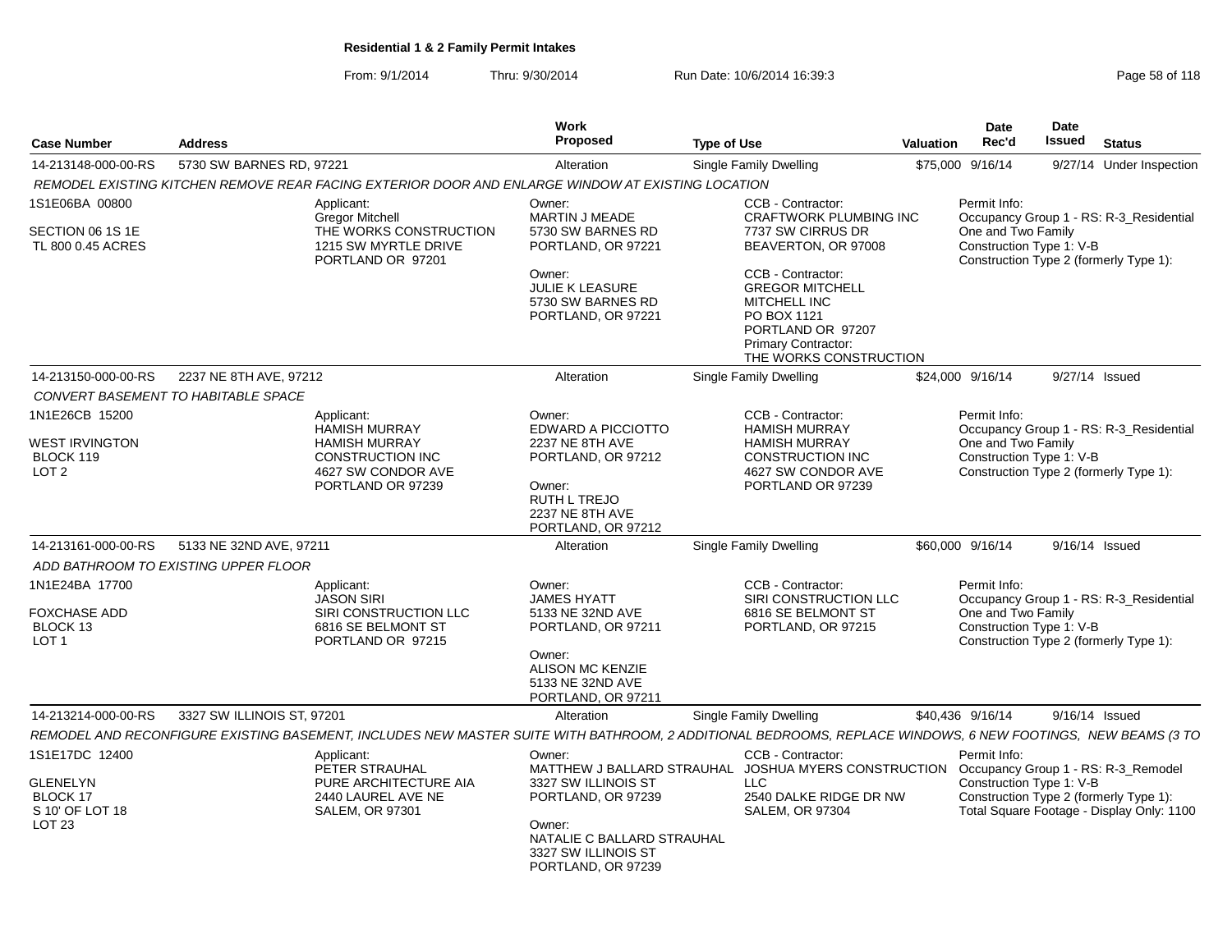From: 9/1/2014Thru: 9/30/2014 Run Date: 10/6/2014 16:39:3<br>
Page 58 of 118

| <b>Case Number</b>                                     | <b>Address</b>                       |                                                                                                                                                             | Work<br>Proposed                                                                  | <b>Type of Use</b>                                               |                                                                                                                                                                | <b>Valuation</b>                                                                         | <b>Date</b><br>Rec'd | <b>Date</b><br><b>Issued</b>            | <b>Status</b>                                                                       |
|--------------------------------------------------------|--------------------------------------|-------------------------------------------------------------------------------------------------------------------------------------------------------------|-----------------------------------------------------------------------------------|------------------------------------------------------------------|----------------------------------------------------------------------------------------------------------------------------------------------------------------|------------------------------------------------------------------------------------------|----------------------|-----------------------------------------|-------------------------------------------------------------------------------------|
| 14-213148-000-00-RS                                    | 5730 SW BARNES RD, 97221             |                                                                                                                                                             | Alteration                                                                        |                                                                  | <b>Single Family Dwelling</b>                                                                                                                                  |                                                                                          | \$75,000 9/16/14     | 9/27/14                                 | Under Inspection                                                                    |
|                                                        |                                      | REMODEL EXISTING KITCHEN REMOVE REAR FACING EXTERIOR DOOR AND ENLARGE WINDOW AT EXISTING LOCATION                                                           |                                                                                   |                                                                  |                                                                                                                                                                |                                                                                          |                      |                                         |                                                                                     |
| 1S1E06BA 00800<br>SECTION 06 1S 1E                     |                                      | Applicant:<br>Gregor Mitchell<br>THE WORKS CONSTRUCTION                                                                                                     |                                                                                   | CCB - Contractor:<br>CRAFTWORK PLUMBING INC<br>7737 SW CIRRUS DR |                                                                                                                                                                | Permit Info:<br>One and Two Family                                                       |                      | Occupancy Group 1 - RS: R-3_Residential |                                                                                     |
| TL 800 0.45 ACRES                                      |                                      | 1215 SW MYRTLE DRIVE<br>PORTLAND OR 97201                                                                                                                   | 5730 SW BARNES RD<br>PORTLAND, OR 97221                                           |                                                                  | BEAVERTON, OR 97008                                                                                                                                            |                                                                                          |                      | Construction Type 1: V-B                | Construction Type 2 (formerly Type 1):                                              |
|                                                        |                                      |                                                                                                                                                             | Owner:<br><b>JULIE K LEASURE</b><br>5730 SW BARNES RD<br>PORTLAND, OR 97221       |                                                                  | CCB - Contractor:<br><b>GREGOR MITCHELL</b><br><b>MITCHELL INC</b><br>PO BOX 1121<br>PORTLAND OR 97207<br><b>Primary Contractor:</b><br>THE WORKS CONSTRUCTION |                                                                                          |                      |                                         |                                                                                     |
| 14-213150-000-00-RS                                    | 2237 NE 8TH AVE, 97212               |                                                                                                                                                             | Alteration                                                                        |                                                                  | <b>Single Family Dwelling</b>                                                                                                                                  |                                                                                          | \$24,000 9/16/14     | 9/27/14 Issued                          |                                                                                     |
|                                                        | CONVERT BASEMENT TO HABITABLE SPACE  |                                                                                                                                                             |                                                                                   |                                                                  |                                                                                                                                                                |                                                                                          |                      |                                         |                                                                                     |
| 1N1E26CB 15200                                         |                                      | Applicant:<br><b>HAMISH MURRAY</b>                                                                                                                          | Owner:<br>EDWARD A PICCIOTTO                                                      |                                                                  | CCB - Contractor:<br><b>HAMISH MURRAY</b>                                                                                                                      |                                                                                          | Permit Info:         |                                         | Occupancy Group 1 - RS: R-3_Residential                                             |
| <b>WEST IRVINGTON</b><br>BLOCK 119<br>LOT <sub>2</sub> |                                      | <b>HAMISH MURRAY</b><br><b>CONSTRUCTION INC</b><br>4627 SW CONDOR AVE                                                                                       | 2237 NE 8TH AVE<br>PORTLAND, OR 97212                                             |                                                                  | <b>HAMISH MURRAY</b><br>CONSTRUCTION INC<br>4627 SW CONDOR AVE                                                                                                 | One and Two Family<br>Construction Type 1: V-B<br>Construction Type 2 (formerly Type 1): |                      |                                         |                                                                                     |
|                                                        |                                      | PORTLAND OR 97239                                                                                                                                           | Owner:<br>RUTH L TREJO<br>2237 NE 8TH AVE<br>PORTLAND, OR 97212                   |                                                                  | PORTLAND OR 97239                                                                                                                                              |                                                                                          |                      |                                         |                                                                                     |
| 14-213161-000-00-RS                                    | 5133 NE 32ND AVE, 97211              |                                                                                                                                                             | Alteration                                                                        |                                                                  | <b>Single Family Dwelling</b>                                                                                                                                  |                                                                                          | \$60,000 9/16/14     | 9/16/14 Issued                          |                                                                                     |
|                                                        | ADD BATHROOM TO EXISTING UPPER FLOOR |                                                                                                                                                             |                                                                                   |                                                                  |                                                                                                                                                                |                                                                                          |                      |                                         |                                                                                     |
| 1N1E24BA 17700                                         |                                      | Applicant:<br><b>JASON SIRI</b>                                                                                                                             | Owner:<br><b>JAMES HYATT</b>                                                      |                                                                  | CCB - Contractor:<br>SIRI CONSTRUCTION LLC                                                                                                                     |                                                                                          | Permit Info:         |                                         | Occupancy Group 1 - RS: R-3_Residential                                             |
| <b>FOXCHASE ADD</b><br>BLOCK 13<br>LOT <sub>1</sub>    |                                      | SIRI CONSTRUCTION LLC<br>6816 SE BELMONT ST<br>PORTLAND OR 97215                                                                                            | 5133 NE 32ND AVE<br>PORTLAND, OR 97211                                            |                                                                  | 6816 SE BELMONT ST<br>PORTLAND, OR 97215                                                                                                                       |                                                                                          | One and Two Family   | Construction Type 1: V-B                | Construction Type 2 (formerly Type 1):                                              |
|                                                        |                                      |                                                                                                                                                             | Owner:<br><b>ALISON MC KENZIE</b><br>5133 NE 32ND AVE<br>PORTLAND, OR 97211       |                                                                  |                                                                                                                                                                |                                                                                          |                      |                                         |                                                                                     |
| 14-213214-000-00-RS                                    | 3327 SW ILLINOIS ST, 97201           |                                                                                                                                                             | Alteration                                                                        |                                                                  | Single Family Dwelling                                                                                                                                         |                                                                                          | \$40,436 9/16/14     |                                         | 9/16/14 Issued                                                                      |
|                                                        |                                      | REMODEL AND RECONFIGURE EXISTING BASEMENT, INCLUDES NEW MASTER SUITE WITH BATHROOM, 2 ADDITIONAL BEDROOMS, REPLACE WINDOWS, 6 NEW FOOTINGS, NEW BEAMS (3 TO |                                                                                   |                                                                  |                                                                                                                                                                |                                                                                          |                      |                                         |                                                                                     |
| 1S1E17DC 12400<br><b>GLENELYN</b>                      |                                      | Applicant:<br>PETER STRAUHAL<br>PURE ARCHITECTURE AIA                                                                                                       | Owner:<br>MATTHEW J BALLARD STRAUHAL<br>3327 SW ILLINOIS ST                       |                                                                  | CCB - Contractor:<br>JOSHUA MYERS CONSTRUCTION Occupancy Group 1 - RS: R-3_Remodel<br>LLC                                                                      |                                                                                          | Permit Info:         | Construction Type 1: V-B                |                                                                                     |
| BLOCK 17<br>S 10' OF LOT 18                            |                                      | 2440 LAUREL AVE NE<br><b>SALEM, OR 97301</b>                                                                                                                | PORTLAND, OR 97239                                                                |                                                                  | 2540 DALKE RIDGE DR NW<br><b>SALEM, OR 97304</b>                                                                                                               |                                                                                          |                      |                                         | Construction Type 2 (formerly Type 1):<br>Total Square Footage - Display Only: 1100 |
| LOT <sub>23</sub>                                      |                                      |                                                                                                                                                             | Owner:<br>NATALIE C BALLARD STRAUHAL<br>3327 SW ILLINOIS ST<br>PORTLAND, OR 97239 |                                                                  |                                                                                                                                                                |                                                                                          |                      |                                         |                                                                                     |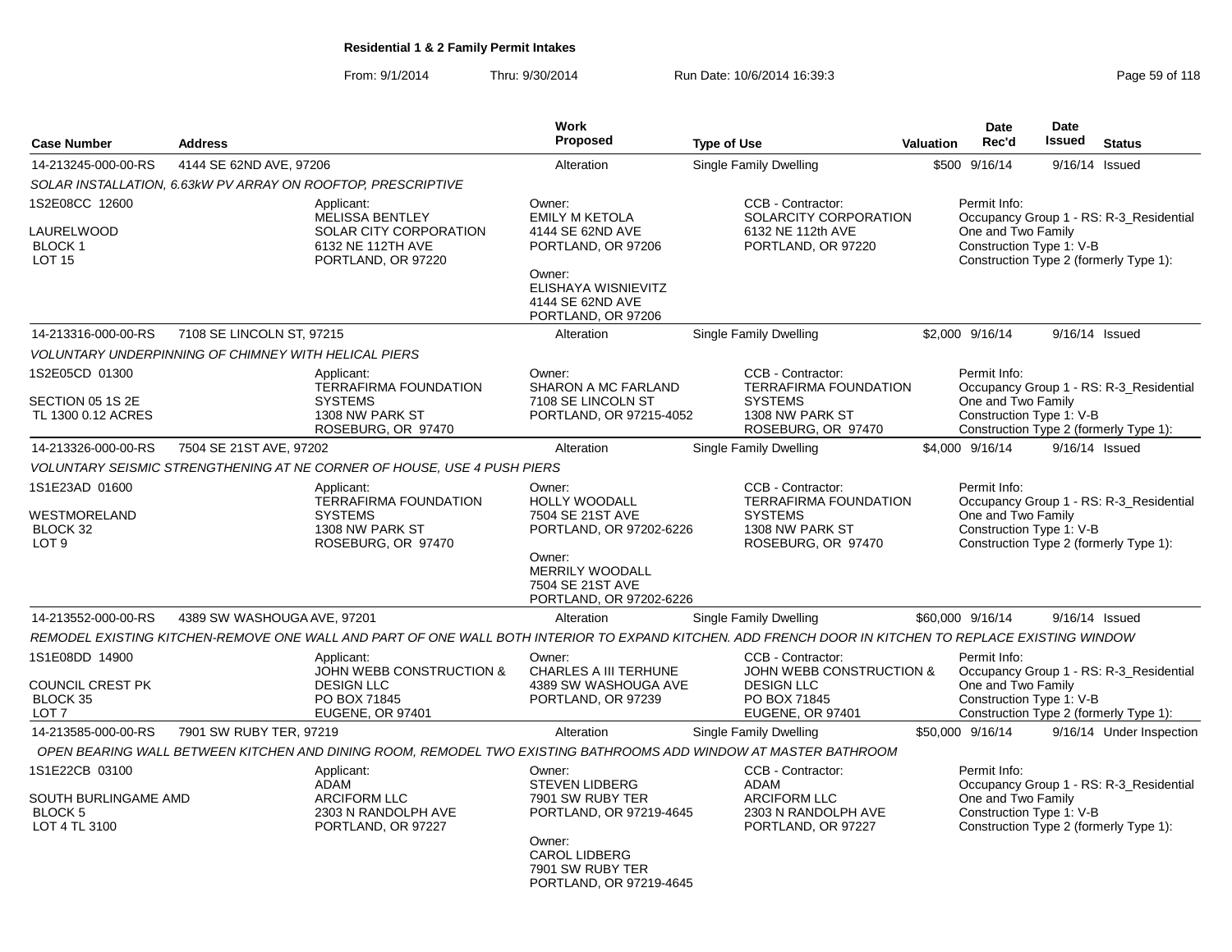From: 9/1/2014Thru: 9/30/2014 Run Date: 10/6/2014 16:39:3<br>
Page 59 of 118

| <b>Case Number</b>                                                        | <b>Address</b>                                       |                                                                                                                                                      | Work<br>Proposed                                                                     | <b>Type of Use</b>                                                                                                       | <b>Valuation</b> | Date<br>Rec'd                                                  | <b>Date</b><br>Issued | <b>Status</b>                                                                     |
|---------------------------------------------------------------------------|------------------------------------------------------|------------------------------------------------------------------------------------------------------------------------------------------------------|--------------------------------------------------------------------------------------|--------------------------------------------------------------------------------------------------------------------------|------------------|----------------------------------------------------------------|-----------------------|-----------------------------------------------------------------------------------|
|                                                                           |                                                      |                                                                                                                                                      |                                                                                      |                                                                                                                          |                  |                                                                |                       |                                                                                   |
| 14-213245-000-00-RS                                                       | 4144 SE 62ND AVE, 97206                              |                                                                                                                                                      | Alteration                                                                           | Single Family Dwelling                                                                                                   |                  | \$500 9/16/14                                                  |                       | 9/16/14 Issued                                                                    |
|                                                                           |                                                      | SOLAR INSTALLATION, 6.63kW PV ARRAY ON ROOFTOP, PRESCRIPTIVE                                                                                         |                                                                                      |                                                                                                                          |                  |                                                                |                       |                                                                                   |
| 1S2E08CC 12600<br>LAURELWOOD<br><b>BLOCK1</b><br>LOT <sub>15</sub>        |                                                      | Applicant:<br><b>MELISSA BENTLEY</b><br>SOLAR CITY CORPORATION<br>6132 NE 112TH AVE<br>PORTLAND, OR 97220                                            | Owner:<br><b>EMILY M KETOLA</b><br>4144 SE 62ND AVE<br>PORTLAND, OR 97206            | CCB - Contractor:<br>SOLARCITY CORPORATION<br>6132 NE 112th AVE<br>PORTLAND, OR 97220                                    |                  | Permit Info:<br>One and Two Family<br>Construction Type 1: V-B |                       | Occupancy Group 1 - RS: R-3_Residential<br>Construction Type 2 (formerly Type 1): |
|                                                                           |                                                      |                                                                                                                                                      | Owner:<br>ELISHAYA WISNIEVITZ<br>4144 SE 62ND AVE<br>PORTLAND, OR 97206              |                                                                                                                          |                  |                                                                |                       |                                                                                   |
| 14-213316-000-00-RS                                                       | 7108 SE LINCOLN ST, 97215                            |                                                                                                                                                      | Alteration                                                                           | <b>Single Family Dwelling</b>                                                                                            |                  | \$2,000 9/16/14                                                |                       | 9/16/14 Issued                                                                    |
|                                                                           | VOLUNTARY UNDERPINNING OF CHIMNEY WITH HELICAL PIERS |                                                                                                                                                      |                                                                                      |                                                                                                                          |                  |                                                                |                       |                                                                                   |
| 1S2E05CD 01300                                                            |                                                      | Applicant:<br><b>TERRAFIRMA FOUNDATION</b>                                                                                                           | Owner:<br><b>SHARON A MC FARLAND</b>                                                 | CCB - Contractor:<br><b>TERRAFIRMA FOUNDATION</b>                                                                        |                  | Permit Info:                                                   |                       | Occupancy Group 1 - RS: R-3_Residential                                           |
| SECTION 05 1S 2E<br>TL 1300 0.12 ACRES                                    |                                                      | <b>SYSTEMS</b><br>1308 NW PARK ST<br>ROSEBURG, OR 97470                                                                                              | 7108 SE LINCOLN ST<br>PORTLAND, OR 97215-4052                                        | <b>SYSTEMS</b><br>1308 NW PARK ST<br>ROSEBURG, OR 97470                                                                  |                  | One and Two Family<br>Construction Type 1: V-B                 |                       | Construction Type 2 (formerly Type 1):                                            |
| 14-213326-000-00-RS                                                       | 7504 SE 21ST AVE, 97202                              |                                                                                                                                                      | Alteration                                                                           | Single Family Dwelling                                                                                                   |                  | \$4.000 9/16/14                                                |                       | 9/16/14 Issued                                                                    |
|                                                                           |                                                      | VOLUNTARY SEISMIC STRENGTHENING AT NE CORNER OF HOUSE, USE 4 PUSH PIERS                                                                              |                                                                                      |                                                                                                                          |                  |                                                                |                       |                                                                                   |
| 1S1E23AD 01600                                                            |                                                      | Applicant:                                                                                                                                           | Owner:                                                                               | <b>CCB - Contractor:</b>                                                                                                 |                  | Permit Info:                                                   |                       |                                                                                   |
| WESTMORELAND<br>BLOCK 32<br>LOT <sub>9</sub>                              |                                                      | <b>TERRAFIRMA FOUNDATION</b><br><b>SYSTEMS</b><br>1308 NW PARK ST<br>ROSEBURG, OR 97470                                                              | <b>HOLLY WOODALL</b><br>7504 SE 21ST AVE<br>PORTLAND, OR 97202-6226                  | <b>TERRAFIRMA FOUNDATION</b><br><b>SYSTEMS</b><br>1308 NW PARK ST<br>ROSEBURG, OR 97470                                  |                  | One and Two Family<br>Construction Type 1: V-B                 |                       | Occupancy Group 1 - RS: R-3_Residential<br>Construction Type 2 (formerly Type 1): |
|                                                                           |                                                      |                                                                                                                                                      | Owner:<br>MERRILY WOODALL<br>7504 SE 21ST AVE<br>PORTLAND, OR 97202-6226             |                                                                                                                          |                  |                                                                |                       |                                                                                   |
| 14-213552-000-00-RS                                                       | 4389 SW WASHOUGA AVE, 97201                          |                                                                                                                                                      | Alteration                                                                           | Single Family Dwelling                                                                                                   |                  | \$60,000 9/16/14                                               |                       | 9/16/14 Issued                                                                    |
|                                                                           |                                                      | REMODEL EXISTING KITCHEN-REMOVE ONE WALL AND PART OF ONE WALL BOTH INTERIOR TO EXPAND KITCHEN. ADD FRENCH DOOR IN KITCHEN TO REPLACE EXISTING WINDOW |                                                                                      |                                                                                                                          |                  |                                                                |                       |                                                                                   |
| 1S1E08DD 14900<br>COUNCIL CREST PK<br><b>BLOCK 35</b><br>LOT <sub>7</sub> |                                                      | Applicant:<br><b>JOHN WEBB CONSTRUCTION &amp;</b><br><b>DESIGN LLC</b><br>PO BOX 71845<br>EUGENE, OR 97401                                           | Owner:<br><b>CHARLES A III TERHUNE</b><br>4389 SW WASHOUGA AVE<br>PORTLAND, OR 97239 | CCB - Contractor:<br><b>JOHN WEBB CONSTRUCTION &amp;</b><br><b>DESIGN LLC</b><br>PO BOX 71845<br><b>EUGENE, OR 97401</b> |                  | Permit Info:<br>One and Two Family<br>Construction Type 1: V-B |                       | Occupancy Group 1 - RS: R-3_Residential<br>Construction Type 2 (formerly Type 1): |
| 14-213585-000-00-RS                                                       | 7901 SW RUBY TER, 97219                              |                                                                                                                                                      | Alteration                                                                           | Single Family Dwelling                                                                                                   |                  | \$50,000 9/16/14                                               |                       | 9/16/14 Under Inspection                                                          |
|                                                                           |                                                      | OPEN BEARING WALL BETWEEN KITCHEN AND DINING ROOM, REMODEL TWO EXISTING BATHROOMS ADD WINDOW AT MASTER BATHROOM                                      |                                                                                      |                                                                                                                          |                  |                                                                |                       |                                                                                   |
| 1S1E22CB 03100<br>SOUTH BURLINGAME AMD<br><b>BLOCK 5</b><br>LOT 4 TL 3100 |                                                      | Applicant:<br>ADAM<br>ARCIFORM LLC<br>2303 N RANDOLPH AVE<br>PORTLAND, OR 97227                                                                      | Owner:<br><b>STEVEN LIDBERG</b><br>7901 SW RUBY TER<br>PORTLAND, OR 97219-4645       | CCB - Contractor:<br>ADAM<br><b>ARCIFORM LLC</b><br>2303 N RANDOLPH AVE<br>PORTLAND, OR 97227                            |                  | Permit Info:<br>One and Two Family<br>Construction Type 1: V-B |                       | Occupancy Group 1 - RS: R-3 Residential<br>Construction Type 2 (formerly Type 1): |
|                                                                           |                                                      |                                                                                                                                                      | Owner:<br><b>CAROL LIDBERG</b><br>7901 SW RUBY TER<br>PORTLAND, OR 97219-4645        |                                                                                                                          |                  |                                                                |                       |                                                                                   |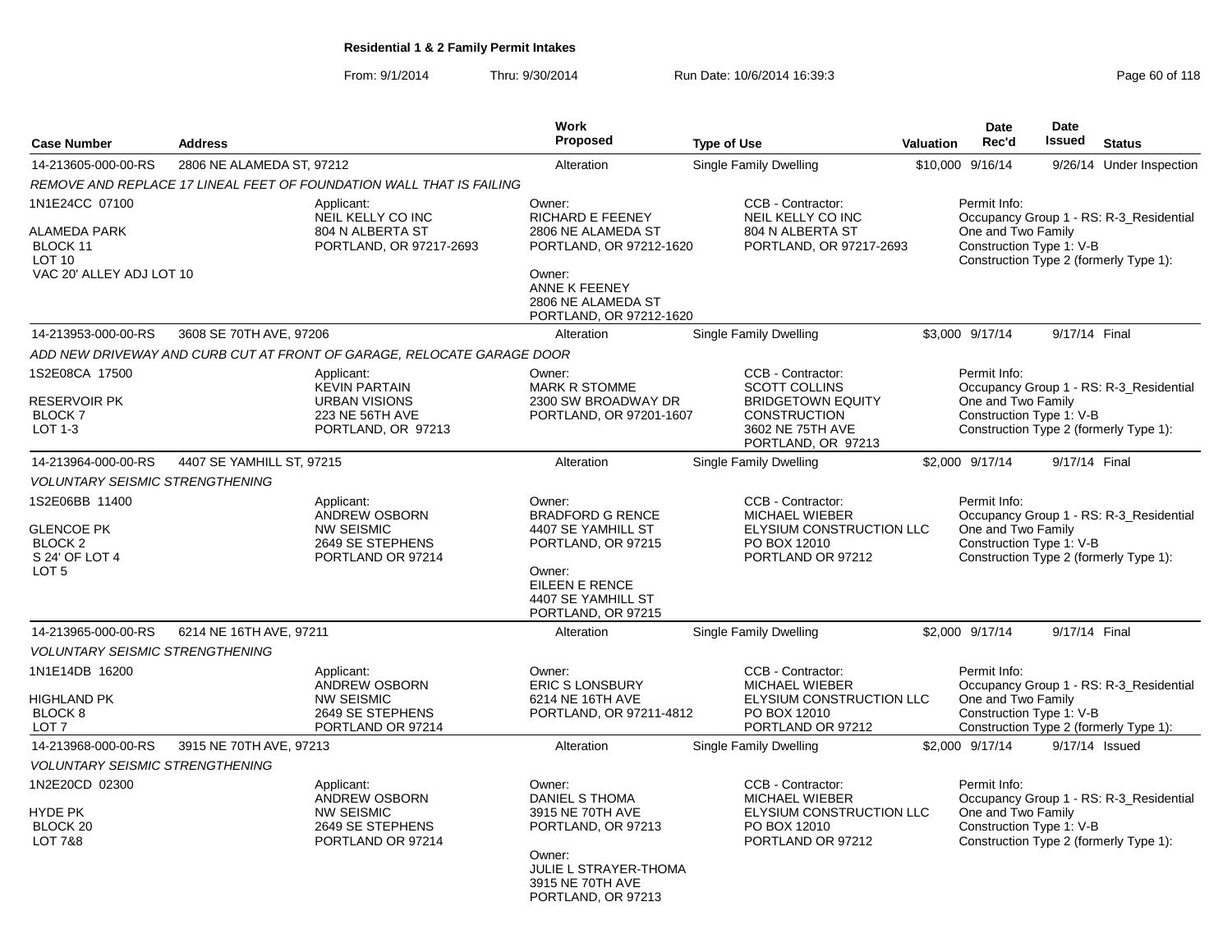From: 9/1/2014Thru: 9/30/2014 Run Date: 10/6/2014 16:39:3<br>
Page 60 of 118

|                                                                                                 |                           |                                                                                                     | Work                                                                                                                                                          |                                                                                                                                        |           | <b>Date</b>                                                    | <b>Date</b>    |                                                                                   |
|-------------------------------------------------------------------------------------------------|---------------------------|-----------------------------------------------------------------------------------------------------|---------------------------------------------------------------------------------------------------------------------------------------------------------------|----------------------------------------------------------------------------------------------------------------------------------------|-----------|----------------------------------------------------------------|----------------|-----------------------------------------------------------------------------------|
| <b>Case Number</b>                                                                              | <b>Address</b>            |                                                                                                     | Proposed                                                                                                                                                      | <b>Type of Use</b>                                                                                                                     | Valuation | Rec'd                                                          | <b>Issued</b>  | <b>Status</b>                                                                     |
| 14-213605-000-00-RS                                                                             | 2806 NE ALAMEDA ST, 97212 |                                                                                                     | Alteration                                                                                                                                                    | Single Family Dwelling                                                                                                                 |           | \$10,000 9/16/14                                               |                | 9/26/14 Under Inspection                                                          |
|                                                                                                 |                           | REMOVE AND REPLACE 17 LINEAL FEET OF FOUNDATION WALL THAT IS FAILING                                |                                                                                                                                                               |                                                                                                                                        |           |                                                                |                |                                                                                   |
| 1N1E24CC 07100<br>ALAMEDA PARK<br>BLOCK 11<br>LOT <sub>10</sub><br>VAC 20' ALLEY ADJ LOT 10     |                           | Applicant:<br>NEIL KELLY CO INC<br>804 N ALBERTA ST<br>PORTLAND, OR 97217-2693                      | Owner:<br>RICHARD E FEENEY<br>2806 NE ALAMEDA ST<br>PORTLAND, OR 97212-1620<br>Owner:<br>ANNE K FEENEY<br>2806 NE ALAMEDA ST<br>PORTLAND, OR 97212-1620       | CCB - Contractor:<br>NEIL KELLY CO INC<br>804 N ALBERTA ST<br>PORTLAND, OR 97217-2693                                                  |           | Permit Info:<br>One and Two Family<br>Construction Type 1: V-B |                | Occupancy Group 1 - RS: R-3 Residential<br>Construction Type 2 (formerly Type 1): |
| 14-213953-000-00-RS                                                                             | 3608 SE 70TH AVE, 97206   |                                                                                                     | Alteration                                                                                                                                                    | Single Family Dwelling                                                                                                                 |           | \$3,000 9/17/14                                                | 9/17/14 Final  |                                                                                   |
|                                                                                                 |                           | ADD NEW DRIVEWAY AND CURB CUT AT FRONT OF GARAGE, RELOCATE GARAGE DOOR                              |                                                                                                                                                               |                                                                                                                                        |           |                                                                |                |                                                                                   |
| 1S2E08CA 17500<br><b>RESERVOIR PK</b><br><b>BLOCK7</b><br>LOT 1-3                               |                           | Applicant:<br><b>KEVIN PARTAIN</b><br><b>URBAN VISIONS</b><br>223 NE 56TH AVE<br>PORTLAND, OR 97213 | Owner:<br><b>MARK R STOMME</b><br>2300 SW BROADWAY DR<br>PORTLAND, OR 97201-1607                                                                              | CCB - Contractor:<br><b>SCOTT COLLINS</b><br><b>BRIDGETOWN EQUITY</b><br><b>CONSTRUCTION</b><br>3602 NE 75TH AVE<br>PORTLAND, OR 97213 |           | Permit Info:<br>One and Two Family<br>Construction Type 1: V-B |                | Occupancy Group 1 - RS: R-3_Residential<br>Construction Type 2 (formerly Type 1): |
| 14-213964-000-00-RS                                                                             | 4407 SE YAMHILL ST, 97215 |                                                                                                     | Alteration                                                                                                                                                    | <b>Single Family Dwelling</b>                                                                                                          |           | \$2,000 9/17/14                                                | 9/17/14 Final  |                                                                                   |
| <b>VOLUNTARY SEISMIC STRENGTHENING</b>                                                          |                           |                                                                                                     |                                                                                                                                                               |                                                                                                                                        |           |                                                                |                |                                                                                   |
| 1S2E06BB 11400<br><b>GLENCOE PK</b><br>BLOCK <sub>2</sub><br>S 24' OF LOT 4<br>LOT <sub>5</sub> |                           | Applicant:<br><b>ANDREW OSBORN</b><br><b>NW SEISMIC</b><br>2649 SE STEPHENS<br>PORTLAND OR 97214    | Owner:<br><b>BRADFORD G RENCE</b><br>4407 SE YAMHILL ST<br>PORTLAND, OR 97215<br>Owner:<br>EILEEN E RENCE<br>4407 SE YAMHILL ST<br>PORTLAND, OR 97215         | CCB - Contractor:<br><b>MICHAEL WIEBER</b><br>ELYSIUM CONSTRUCTION LLC<br>PO BOX 12010<br>PORTLAND OR 97212                            |           | Permit Info:<br>One and Two Family<br>Construction Type 1: V-B |                | Occupancy Group 1 - RS: R-3_Residential<br>Construction Type 2 (formerly Type 1): |
| 14-213965-000-00-RS                                                                             | 6214 NE 16TH AVE, 97211   |                                                                                                     | Alteration                                                                                                                                                    | <b>Single Family Dwelling</b>                                                                                                          |           | \$2,000 9/17/14                                                | 9/17/14 Final  |                                                                                   |
| <b>VOLUNTARY SEISMIC STRENGTHENING</b>                                                          |                           |                                                                                                     |                                                                                                                                                               |                                                                                                                                        |           |                                                                |                |                                                                                   |
| 1N1E14DB 16200<br>HIGHLAND PK<br>BLOCK <sub>8</sub><br>LOT <sub>7</sub>                         |                           | Applicant:<br><b>ANDREW OSBORN</b><br><b>NW SEISMIC</b><br>2649 SE STEPHENS<br>PORTLAND OR 97214    | Owner:<br><b>ERIC S LONSBURY</b><br>6214 NE 16TH AVE<br>PORTLAND, OR 97211-4812                                                                               | CCB - Contractor:<br><b>MICHAEL WIEBER</b><br>ELYSIUM CONSTRUCTION LLC<br>PO BOX 12010<br>PORTLAND OR 97212                            |           | Permit Info:<br>One and Two Family<br>Construction Type 1: V-B |                | Occupancy Group 1 - RS: R-3 Residential<br>Construction Type 2 (formerly Type 1): |
| 14-213968-000-00-RS                                                                             | 3915 NE 70TH AVE, 97213   |                                                                                                     | Alteration                                                                                                                                                    | <b>Single Family Dwelling</b>                                                                                                          |           | \$2,000 9/17/14                                                | 9/17/14 Issued |                                                                                   |
| <b>VOLUNTARY SEISMIC STRENGTHENING</b>                                                          |                           |                                                                                                     |                                                                                                                                                               |                                                                                                                                        |           |                                                                |                |                                                                                   |
| 1N2E20CD 02300<br>HYDE PK<br>BLOCK 20<br>LOT 7&8                                                |                           | Applicant:<br>ANDREW OSBORN<br><b>NW SEISMIC</b><br>2649 SE STEPHENS<br>PORTLAND OR 97214           | Owner:<br><b>DANIEL S THOMA</b><br>3915 NE 70TH AVE<br>PORTLAND, OR 97213<br>Owner:<br><b>JULIE L STRAYER-THOMA</b><br>3915 NE 70TH AVE<br>PORTLAND, OR 97213 | CCB - Contractor:<br><b>MICHAEL WIEBER</b><br>ELYSIUM CONSTRUCTION LLC<br>PO BOX 12010<br>PORTLAND OR 97212                            |           | Permit Info:<br>One and Two Family<br>Construction Type 1: V-B |                | Occupancy Group 1 - RS: R-3 Residential<br>Construction Type 2 (formerly Type 1): |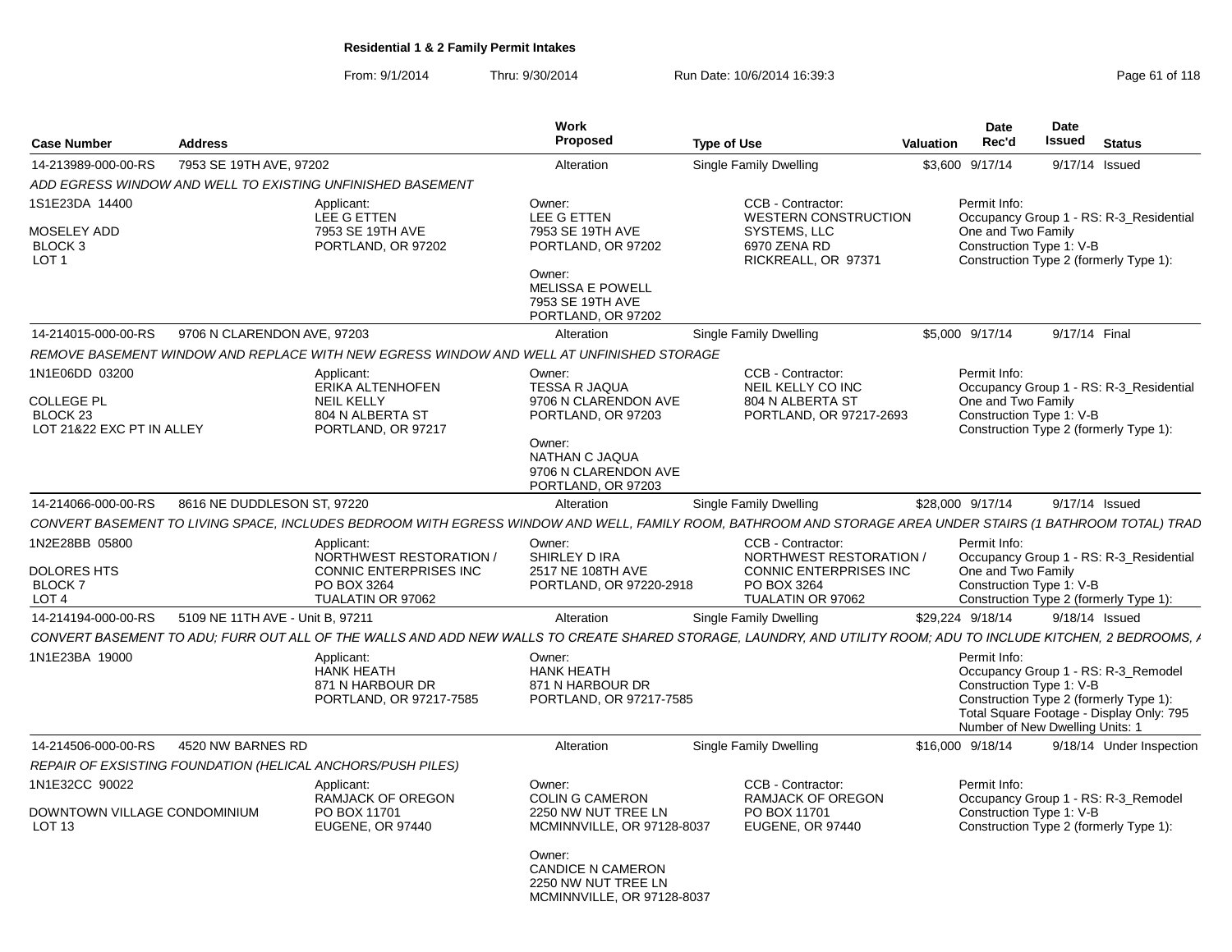From: 9/1/2014Thru: 9/30/2014 Run Date: 10/6/2014 16:39:3<br>
Page 61 of 118

| <b>Case Number</b>                                                                      | <b>Address</b>                   |                                                                                                                                                                 | Work<br>Proposed                                                                                                                                       | <b>Type of Use</b> |                                                                                                            | Valuation | Date<br>Rec'd                      | <b>Date</b><br><b>Issued</b>                                | <b>Status</b>                                                                                                             |
|-----------------------------------------------------------------------------------------|----------------------------------|-----------------------------------------------------------------------------------------------------------------------------------------------------------------|--------------------------------------------------------------------------------------------------------------------------------------------------------|--------------------|------------------------------------------------------------------------------------------------------------|-----------|------------------------------------|-------------------------------------------------------------|---------------------------------------------------------------------------------------------------------------------------|
| 14-213989-000-00-RS                                                                     | 7953 SE 19TH AVE, 97202          |                                                                                                                                                                 | Alteration                                                                                                                                             |                    | Single Family Dwelling                                                                                     |           | \$3,600 9/17/14                    |                                                             | 9/17/14 Issued                                                                                                            |
|                                                                                         |                                  | ADD EGRESS WINDOW AND WELL TO EXISTING UNFINISHED BASEMENT                                                                                                      |                                                                                                                                                        |                    |                                                                                                            |           |                                    |                                                             |                                                                                                                           |
| 1S1E23DA 14400<br>MOSELEY ADD<br>BLOCK <sub>3</sub><br>LOT <sub>1</sub>                 |                                  | Applicant:<br><b>LEE G ETTEN</b><br>7953 SE 19TH AVE<br>PORTLAND, OR 97202                                                                                      | Owner:<br>LEE G ETTEN<br>7953 SE 19TH AVE<br>PORTLAND, OR 97202<br>Owner:<br><b>MELISSA E POWELL</b><br>7953 SE 19TH AVE<br>PORTLAND, OR 97202         |                    | CCB - Contractor:<br><b>WESTERN CONSTRUCTION</b><br>SYSTEMS, LLC<br>6970 ZENA RD<br>RICKREALL, OR 97371    |           | Permit Info:                       | One and Two Family<br>Construction Type 1: V-B              | Occupancy Group 1 - RS: R-3_Residential<br>Construction Type 2 (formerly Type 1):                                         |
| 14-214015-000-00-RS                                                                     | 9706 N CLARENDON AVE, 97203      |                                                                                                                                                                 | Alteration                                                                                                                                             |                    | Single Family Dwelling                                                                                     |           | \$5,000 9/17/14                    |                                                             | 9/17/14 Final                                                                                                             |
|                                                                                         |                                  | REMOVE BASEMENT WINDOW AND REPLACE WITH NEW EGRESS WINDOW AND WELL AT UNFINISHED STORAGE                                                                        |                                                                                                                                                        |                    |                                                                                                            |           |                                    |                                                             |                                                                                                                           |
| 1N1E06DD 03200<br><b>COLLEGE PL</b><br>BLOCK <sub>23</sub><br>LOT 21&22 EXC PT IN ALLEY |                                  | Applicant:<br>ERIKA ALTENHOFEN<br><b>NEIL KELLY</b><br>804 N ALBERTA ST<br>PORTLAND, OR 97217                                                                   | Owner:<br><b>TESSA R JAQUA</b><br>9706 N CLARENDON AVE<br>PORTLAND, OR 97203<br>Owner:<br>NATHAN C JAQUA<br>9706 N CLARENDON AVE<br>PORTLAND, OR 97203 |                    | CCB - Contractor:<br>NEIL KELLY CO INC<br>804 N ALBERTA ST<br>PORTLAND, OR 97217-2693                      |           | Permit Info:                       | One and Two Family<br>Construction Type 1: V-B              | Occupancy Group 1 - RS: R-3_Residential<br>Construction Type 2 (formerly Type 1):                                         |
| 14-214066-000-00-RS                                                                     | 8616 NE DUDDLESON ST, 97220      |                                                                                                                                                                 | Alteration                                                                                                                                             |                    | <b>Single Family Dwelling</b>                                                                              |           | \$28,000 9/17/14                   |                                                             | 9/17/14 Issued                                                                                                            |
|                                                                                         |                                  | CONVERT BASEMENT TO LIVING SPACE, INCLUDES BEDROOM WITH EGRESS WINDOW AND WELL, FAMILY ROOM, BATHROOM AND STORAGE AREA UNDER STAIRS (1 BATHROOM TOTAL) TRAD     |                                                                                                                                                        |                    |                                                                                                            |           |                                    |                                                             |                                                                                                                           |
| 1N2E28BB 05800<br><b>DOLORES HTS</b><br><b>BLOCK7</b><br>LOT <sub>4</sub>               |                                  | Applicant:<br>NORTHWEST RESTORATION /<br>CONNIC ENTERPRISES INC<br>PO BOX 3264<br>TUALATIN OR 97062                                                             | Owner:<br>SHIRLEY D IRA<br>2517 NE 108TH AVE<br>PORTLAND, OR 97220-2918                                                                                |                    | CCB - Contractor:<br>NORTHWEST RESTORATION /<br>CONNIC ENTERPRISES INC<br>PO BOX 3264<br>TUALATIN OR 97062 |           | Permit Info:<br>One and Two Family | Construction Type 1: V-B                                    | Occupancy Group 1 - RS: R-3_Residential<br>Construction Type 2 (formerly Type 1):                                         |
| 14-214194-000-00-RS                                                                     | 5109 NE 11TH AVE - Unit B. 97211 |                                                                                                                                                                 | Alteration                                                                                                                                             |                    | Single Family Dwelling                                                                                     |           | \$29,224 9/18/14                   |                                                             | 9/18/14 Issued                                                                                                            |
|                                                                                         |                                  | CONVERT BASEMENT TO ADU: FURR OUT ALL OF THE WALLS AND ADD NEW WALLS TO CREATE SHARED STORAGE, LAUNDRY, AND UTILITY ROOM; ADU TO INCLUDE KITCHEN, 2 BEDROOMS, A |                                                                                                                                                        |                    |                                                                                                            |           |                                    |                                                             |                                                                                                                           |
| 1N1E23BA 19000                                                                          |                                  | Applicant:<br><b>HANK HEATH</b><br>871 N HARBOUR DR<br>PORTLAND, OR 97217-7585                                                                                  | Owner:<br><b>HANK HEATH</b><br>871 N HARBOUR DR<br>PORTLAND, OR 97217-7585                                                                             |                    |                                                                                                            |           | Permit Info:                       | Construction Type 1: V-B<br>Number of New Dwelling Units: 1 | Occupancy Group 1 - RS: R-3_Remodel<br>Construction Type 2 (formerly Type 1):<br>Total Square Footage - Display Only: 795 |
| 14-214506-000-00-RS                                                                     | 4520 NW BARNES RD                |                                                                                                                                                                 | Alteration                                                                                                                                             |                    | <b>Single Family Dwelling</b>                                                                              |           | \$16,000 9/18/14                   |                                                             | 9/18/14 Under Inspection                                                                                                  |
|                                                                                         |                                  | REPAIR OF EXSISTING FOUNDATION (HELICAL ANCHORS/PUSH PILES)                                                                                                     |                                                                                                                                                        |                    |                                                                                                            |           |                                    |                                                             |                                                                                                                           |
| 1N1E32CC 90022<br>DOWNTOWN VILLAGE CONDOMINIUM                                          |                                  | Applicant:<br>RAMJACK OF OREGON<br>PO BOX 11701                                                                                                                 | Owner:<br><b>COLIN G CAMERON</b><br>2250 NW NUT TREE LN                                                                                                |                    | CCB - Contractor:<br><b>RAMJACK OF OREGON</b><br>PO BOX 11701                                              |           | Permit Info:                       | Construction Type 1: V-B                                    | Occupancy Group 1 - RS: R-3 Remodel                                                                                       |
| LOT <sub>13</sub>                                                                       |                                  | <b>EUGENE, OR 97440</b>                                                                                                                                         | MCMINNVILLE, OR 97128-8037<br>Owner:<br><b>CANDICE N CAMERON</b><br>2250 NW NUT TREE LN<br>MCMINNVILLE, OR 97128-8037                                  |                    | <b>EUGENE, OR 97440</b>                                                                                    |           |                                    |                                                             | Construction Type 2 (formerly Type 1):                                                                                    |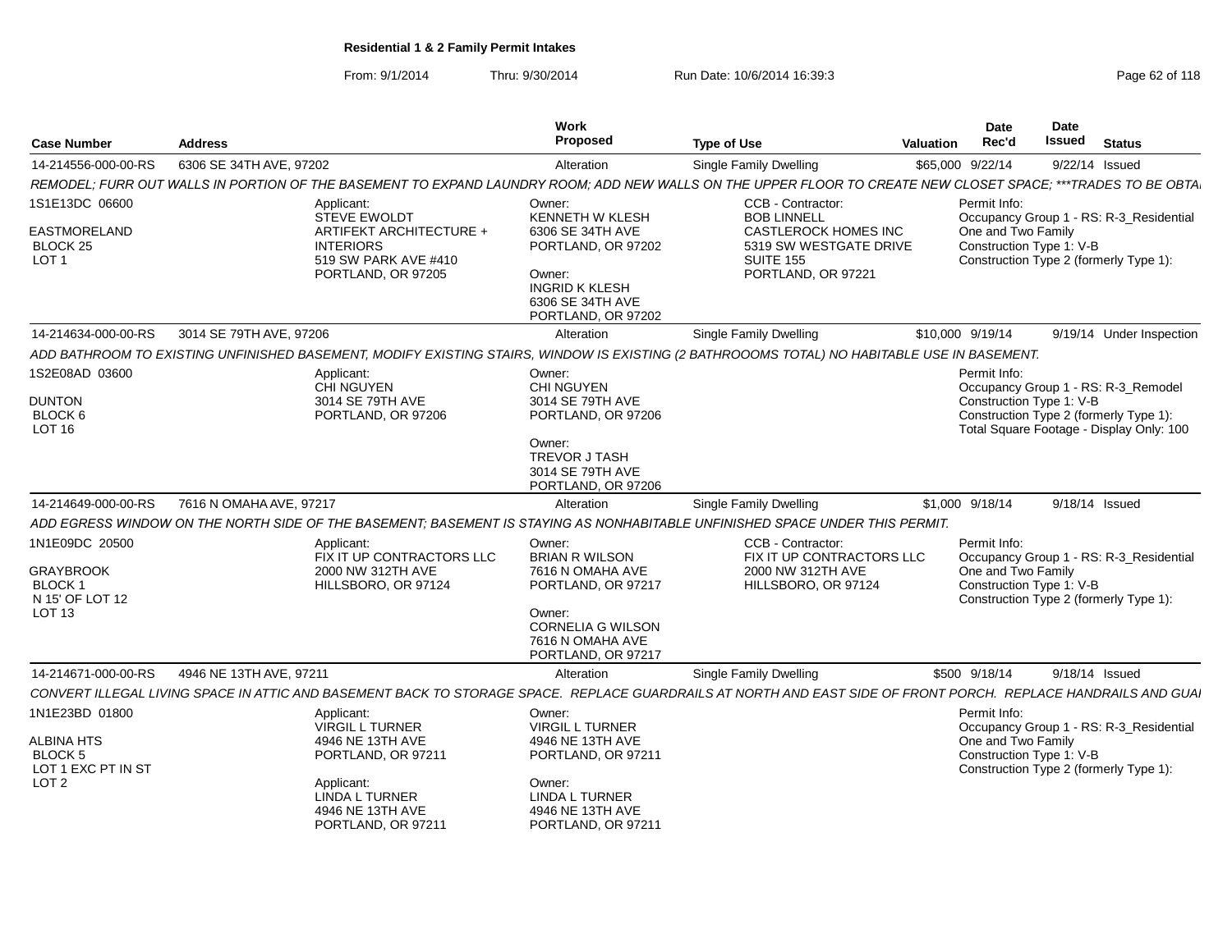From: 9/1/2014Thru: 9/30/2014 Run Date: 10/6/2014 16:39:3<br>
Page 62 of 118

| <b>Case Number</b>                                   | <b>Address</b>                                                                                                                                                 | Work<br>Proposed                                                                                                    | <b>Type of Use</b>                                                                       | <b>Valuation</b> | <b>Date</b><br>Rec'd | Date<br>Issued           | <b>Status</b>                                                                      |
|------------------------------------------------------|----------------------------------------------------------------------------------------------------------------------------------------------------------------|---------------------------------------------------------------------------------------------------------------------|------------------------------------------------------------------------------------------|------------------|----------------------|--------------------------|------------------------------------------------------------------------------------|
| 14-214556-000-00-RS                                  | 6306 SE 34TH AVE, 97202                                                                                                                                        | Alteration                                                                                                          | Single Family Dwelling                                                                   | \$65,000 9/22/14 |                      |                          | 9/22/14 Issued                                                                     |
|                                                      | REMODEL: FURR OUT WALLS IN PORTION OF THE BASEMENT TO EXPAND LAUNDRY ROOM: ADD NEW WALLS ON THE UPPER FLOOR TO CREATE NEW CLOSET SPACE: ***TRADES TO BE OBTA   |                                                                                                                     |                                                                                          |                  |                      |                          |                                                                                    |
| 1S1E13DC 06600                                       | Applicant:<br><b>STEVE EWOLDT</b>                                                                                                                              | Owner:<br>KENNETH W KLESH                                                                                           | <b>CCB - Contractor:</b><br><b>BOB LINNELL</b>                                           |                  | Permit Info:         |                          | Occupancy Group 1 - RS: R-3 Residential                                            |
| EASTMORELAND<br>BLOCK 25<br>LOT <sub>1</sub>         | ARTIFEKT ARCHITECTURE +<br><b>INTERIORS</b><br>519 SW PARK AVE #410<br>PORTLAND, OR 97205                                                                      | 6306 SE 34TH AVE<br>PORTLAND, OR 97202<br>Owner:<br><b>INGRID K KLESH</b><br>6306 SE 34TH AVE<br>PORTLAND, OR 97202 | CASTLEROCK HOMES INC<br>5319 SW WESTGATE DRIVE<br><b>SUITE 155</b><br>PORTLAND, OR 97221 |                  | One and Two Family   | Construction Type 1: V-B | Construction Type 2 (formerly Type 1):                                             |
| 14-214634-000-00-RS                                  | 3014 SE 79TH AVE, 97206                                                                                                                                        | Alteration                                                                                                          | <b>Single Family Dwelling</b>                                                            | \$10,000 9/19/14 |                      |                          | 9/19/14 Under Inspection                                                           |
|                                                      | ADD BATHROOM TO EXISTING UNFINISHED BASEMENT, MODIFY EXISTING STAIRS, WINDOW IS EXISTING (2 BATHROOOMS TOTAL) NO HABITABLE USE IN BASEMENT.                    |                                                                                                                     |                                                                                          |                  |                      |                          |                                                                                    |
| 1S2E08AD 03600                                       | Applicant:<br><b>CHI NGUYEN</b>                                                                                                                                | Owner:<br><b>CHI NGUYEN</b>                                                                                         |                                                                                          |                  | Permit Info:         |                          | Occupancy Group 1 - RS: R-3 Remodel                                                |
| <b>DUNTON</b><br>BLOCK 6<br><b>LOT 16</b>            | 3014 SE 79TH AVE<br>PORTLAND, OR 97206                                                                                                                         | 3014 SE 79TH AVE<br>PORTLAND, OR 97206                                                                              |                                                                                          |                  |                      | Construction Type 1: V-B | Construction Type 2 (formerly Type 1):<br>Total Square Footage - Display Only: 100 |
|                                                      |                                                                                                                                                                | Owner:<br><b>TREVOR J TASH</b><br>3014 SE 79TH AVE<br>PORTLAND, OR 97206                                            |                                                                                          |                  |                      |                          |                                                                                    |
| 14-214649-000-00-RS                                  | 7616 N OMAHA AVE, 97217                                                                                                                                        | Alteration                                                                                                          | <b>Single Family Dwelling</b>                                                            | \$1,000 9/18/14  |                      |                          | 9/18/14 Issued                                                                     |
|                                                      | ADD EGRESS WINDOW ON THE NORTH SIDE OF THE BASEMENT; BASEMENT IS STAYING AS NONHABITABLE UNFINISHED SPACE UNDER THIS PERMIT.                                   |                                                                                                                     |                                                                                          |                  |                      |                          |                                                                                    |
| 1N1E09DC 20500                                       | Applicant:<br>FIX IT UP CONTRACTORS LLC                                                                                                                        | Owner:<br><b>BRIAN R WILSON</b>                                                                                     | CCB - Contractor:<br>FIX IT UP CONTRACTORS LLC                                           |                  | Permit Info:         |                          | Occupancy Group 1 - RS: R-3_Residential                                            |
| <b>GRAYBROOK</b><br><b>BLOCK1</b><br>N 15' OF LOT 12 | 2000 NW 312TH AVE<br>HILLSBORO, OR 97124                                                                                                                       | 7616 N OMAHA AVE<br>PORTLAND, OR 97217                                                                              | 2000 NW 312TH AVE<br>HILLSBORO, OR 97124                                                 |                  | One and Two Family   | Construction Type 1: V-B | Construction Type 2 (formerly Type 1):                                             |
| LOT <sub>13</sub>                                    |                                                                                                                                                                | Owner:<br><b>CORNELIA G WILSON</b><br>7616 N OMAHA AVE<br>PORTLAND, OR 97217                                        |                                                                                          |                  |                      |                          |                                                                                    |
| 14-214671-000-00-RS                                  | 4946 NE 13TH AVE, 97211                                                                                                                                        | Alteration                                                                                                          | Single Family Dwelling                                                                   | \$500 9/18/14    |                      |                          | 9/18/14 Issued                                                                     |
|                                                      | CONVERT ILLEGAL LIVING SPACE IN ATTIC AND BASEMENT BACK TO STORAGE SPACE. REPLACE GUARDRAILS AT NORTH AND EAST SIDE OF FRONT PORCH. REPLACE HANDRAILS AND GUAI |                                                                                                                     |                                                                                          |                  |                      |                          |                                                                                    |
| 1N1E23BD 01800                                       | Applicant:<br><b>VIRGIL L TURNER</b>                                                                                                                           | Owner:<br><b>VIRGIL L TURNER</b>                                                                                    |                                                                                          |                  | Permit Info:         |                          | Occupancy Group 1 - RS: R-3_Residential                                            |
| ALBINA HTS<br><b>BLOCK 5</b><br>LOT 1 EXC PT IN ST   | 4946 NE 13TH AVE<br>PORTLAND, OR 97211                                                                                                                         | 4946 NE 13TH AVE<br>PORTLAND, OR 97211                                                                              |                                                                                          |                  | One and Two Family   | Construction Type 1: V-B | Construction Type 2 (formerly Type 1):                                             |
| LOT <sub>2</sub>                                     | Applicant:<br><b>LINDA L TURNER</b><br>4946 NE 13TH AVE<br>PORTLAND, OR 97211                                                                                  | Owner:<br>LINDA L TURNER<br>4946 NE 13TH AVE<br>PORTLAND, OR 97211                                                  |                                                                                          |                  |                      |                          |                                                                                    |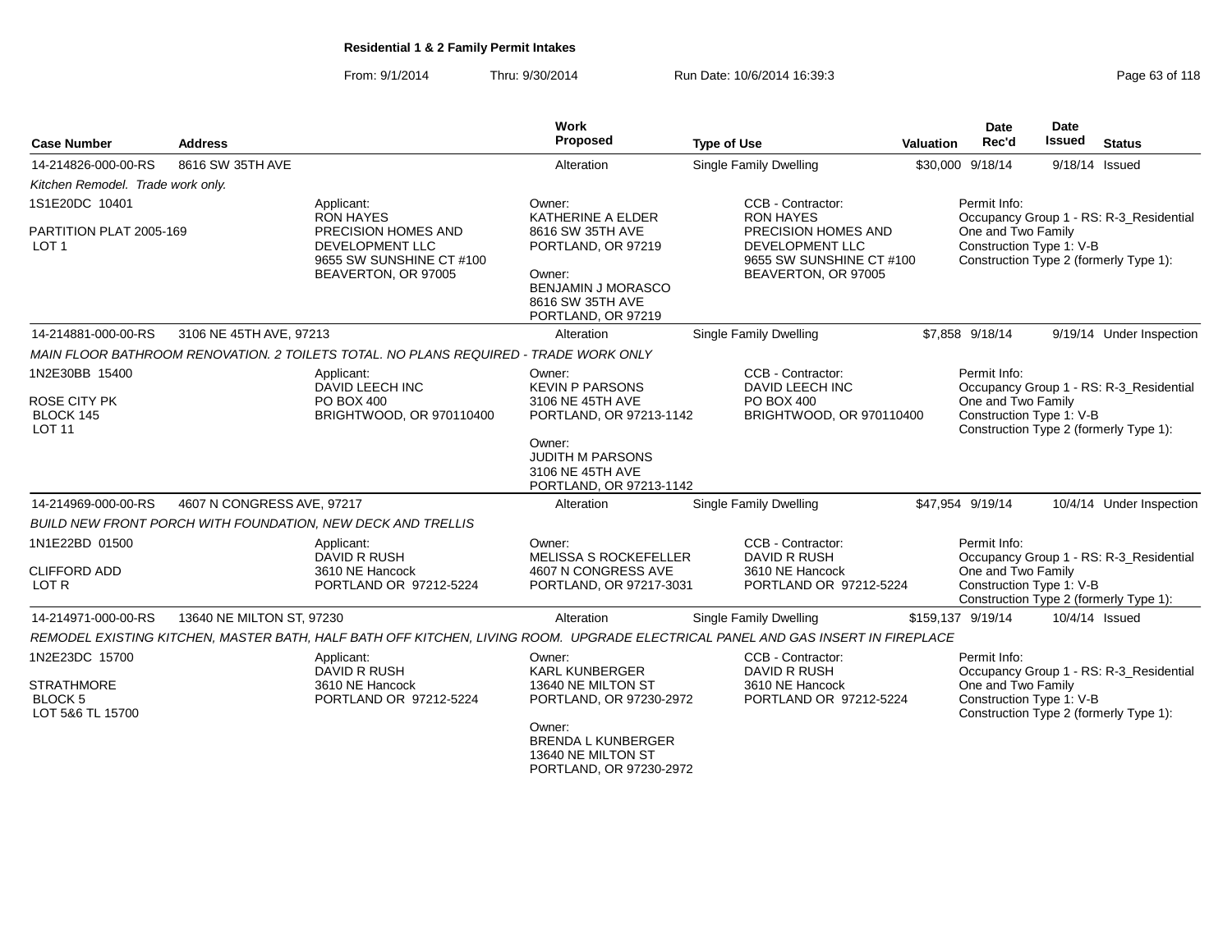From: 9/1/2014Thru: 9/30/2014 Run Date: 10/6/2014 16:39:3<br>
Page 63 of 118

|                                                         |                            |                                                                                                                                 | <b>Work</b>                                                                          |                                                                    |           | <b>Date</b>                                    | <b>Date</b>    |                                         |
|---------------------------------------------------------|----------------------------|---------------------------------------------------------------------------------------------------------------------------------|--------------------------------------------------------------------------------------|--------------------------------------------------------------------|-----------|------------------------------------------------|----------------|-----------------------------------------|
| <b>Case Number</b>                                      | <b>Address</b>             |                                                                                                                                 | Proposed                                                                             | <b>Type of Use</b>                                                 | Valuation | Rec'd                                          | <b>Issued</b>  | <b>Status</b>                           |
| 14-214826-000-00-RS                                     | 8616 SW 35TH AVE           |                                                                                                                                 | Alteration                                                                           | <b>Single Family Dwelling</b>                                      |           | \$30,000 9/18/14                               | 9/18/14 Issued |                                         |
| Kitchen Remodel. Trade work only.                       |                            |                                                                                                                                 |                                                                                      |                                                                    |           |                                                |                |                                         |
| 1S1E20DC 10401                                          |                            | Applicant:<br><b>RON HAYES</b>                                                                                                  | Owner:<br>KATHERINE A ELDER                                                          | CCB - Contractor:<br><b>RON HAYES</b>                              |           | Permit Info:                                   |                | Occupancy Group 1 - RS: R-3_Residential |
| PARTITION PLAT 2005-169<br>LOT <sub>1</sub>             |                            | <b>PRECISION HOMES AND</b><br>DEVELOPMENT LLC<br>9655 SW SUNSHINE CT #100                                                       | 8616 SW 35TH AVE<br>PORTLAND, OR 97219                                               | PRECISION HOMES AND<br>DEVELOPMENT LLC<br>9655 SW SUNSHINE CT #100 |           | One and Two Family<br>Construction Type 1: V-B |                | Construction Type 2 (formerly Type 1):  |
|                                                         |                            | BEAVERTON, OR 97005                                                                                                             | Owner:<br><b>BENJAMIN J MORASCO</b><br>8616 SW 35TH AVE<br>PORTLAND, OR 97219        | BEAVERTON, OR 97005                                                |           |                                                |                |                                         |
| 14-214881-000-00-RS                                     | 3106 NE 45TH AVE, 97213    |                                                                                                                                 | Alteration                                                                           | Single Family Dwelling                                             |           | \$7,858 9/18/14                                |                | 9/19/14 Under Inspection                |
|                                                         |                            | MAIN FLOOR BATHROOM RENOVATION. 2 TOILETS TOTAL. NO PLANS REQUIRED - TRADE WORK ONLY                                            |                                                                                      |                                                                    |           |                                                |                |                                         |
| 1N2E30BB 15400                                          |                            | Applicant:<br>DAVID LEECH INC                                                                                                   | Owner:<br><b>KEVIN P PARSONS</b>                                                     | CCB - Contractor:<br>DAVID LEECH INC                               |           | Permit Info:                                   |                | Occupancy Group 1 - RS: R-3_Residential |
| <b>ROSE CITY PK</b><br>BLOCK 145<br><b>LOT 11</b>       |                            | PO BOX 400<br>BRIGHTWOOD, OR 970110400                                                                                          | 3106 NE 45TH AVE<br>PORTLAND, OR 97213-1142                                          | PO BOX 400<br>BRIGHTWOOD, OR 970110400                             |           | One and Two Family<br>Construction Type 1: V-B |                | Construction Type 2 (formerly Type 1):  |
|                                                         |                            |                                                                                                                                 | Owner:<br><b>JUDITH M PARSONS</b><br>3106 NE 45TH AVE<br>PORTLAND, OR 97213-1142     |                                                                    |           |                                                |                |                                         |
| 14-214969-000-00-RS                                     | 4607 N CONGRESS AVE, 97217 |                                                                                                                                 | Alteration                                                                           | Single Family Dwelling                                             |           | \$47,954 9/19/14                               |                | 10/4/14 Under Inspection                |
|                                                         |                            | <b>BUILD NEW FRONT PORCH WITH FOUNDATION, NEW DECK AND TRELLIS</b>                                                              |                                                                                      |                                                                    |           |                                                |                |                                         |
| 1N1E22BD 01500                                          |                            | Applicant:<br>DAVID R RUSH                                                                                                      | Owner:<br><b>MELISSA S ROCKEFELLER</b>                                               | CCB - Contractor:<br><b>DAVID R RUSH</b>                           |           | Permit Info:                                   |                | Occupancy Group 1 - RS: R-3 Residential |
| <b>CLIFFORD ADD</b><br>LOT R                            |                            | 3610 NE Hancock<br>PORTLAND OR 97212-5224                                                                                       | 4607 N CONGRESS AVE<br>PORTLAND, OR 97217-3031                                       | 3610 NE Hancock<br>PORTLAND OR 97212-5224                          |           | One and Two Family<br>Construction Type 1: V-B |                | Construction Type 2 (formerly Type 1):  |
| 14-214971-000-00-RS                                     | 13640 NE MILTON ST, 97230  |                                                                                                                                 | Alteration                                                                           | Single Family Dwelling                                             |           | \$159.137 9/19/14                              | 10/4/14 Issued |                                         |
|                                                         |                            | REMODEL EXISTING KITCHEN, MASTER BATH, HALF BATH OFF KITCHEN, LIVING ROOM. UPGRADE ELECTRICAL PANEL AND GAS INSERT IN FIREPLACE |                                                                                      |                                                                    |           |                                                |                |                                         |
| 1N2E23DC 15700                                          |                            | Applicant:<br>DAVID R RUSH                                                                                                      | Owner:<br><b>KARL KUNBERGER</b>                                                      | CCB - Contractor:<br>DAVID R RUSH                                  |           | Permit Info:                                   |                | Occupancy Group 1 - RS: R-3 Residential |
| <b>STRATHMORE</b><br><b>BLOCK 5</b><br>LOT 5&6 TL 15700 |                            | 3610 NE Hancock<br>PORTLAND OR 97212-5224                                                                                       | 13640 NE MILTON ST<br>PORTLAND, OR 97230-2972                                        | 3610 NE Hancock<br>PORTLAND OR 97212-5224                          |           | One and Two Family<br>Construction Type 1: V-B |                | Construction Type 2 (formerly Type 1):  |
|                                                         |                            |                                                                                                                                 | Owner:<br><b>BRENDA L KUNBERGER</b><br>13640 NE MILTON ST<br>PORTLAND, OR 97230-2972 |                                                                    |           |                                                |                |                                         |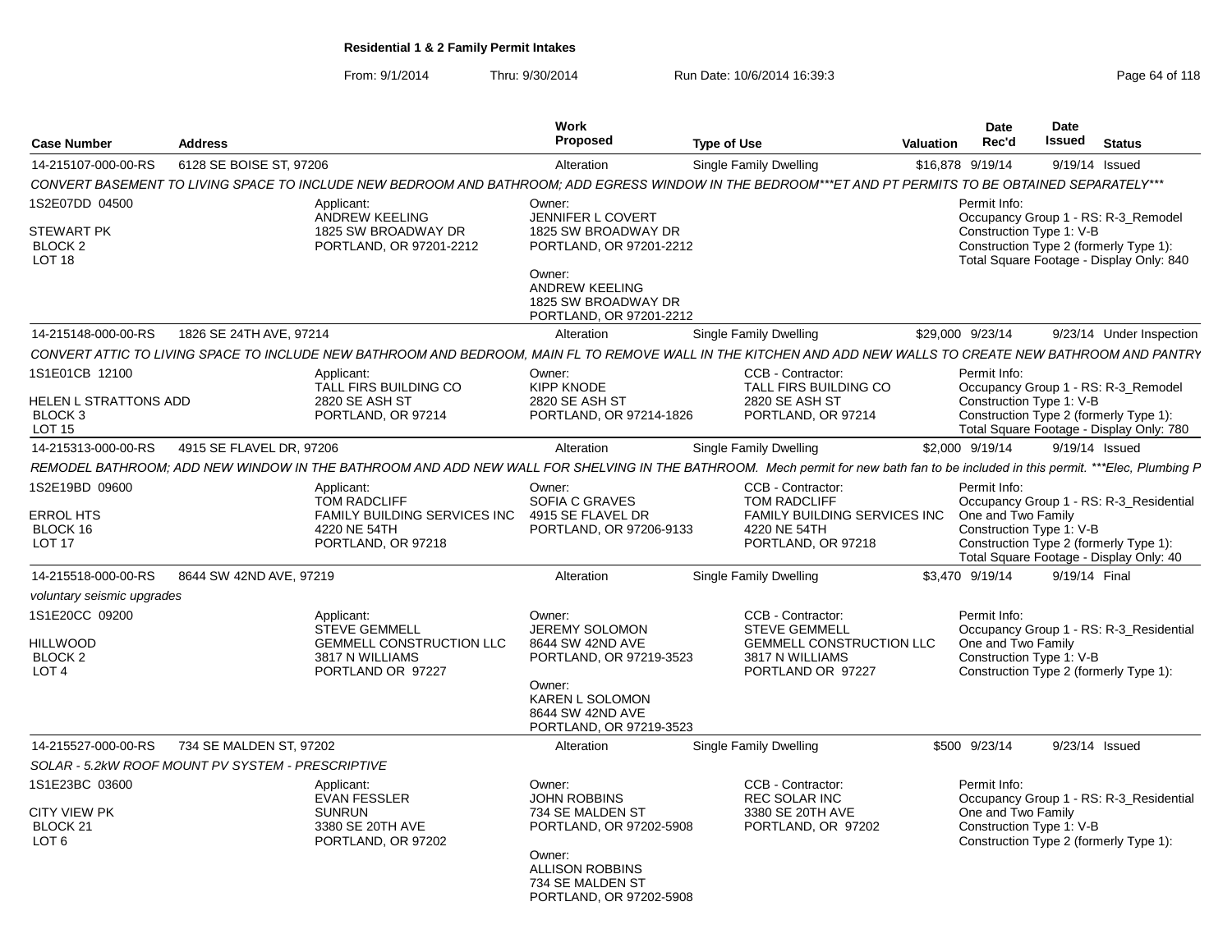From: 9/1/2014Thru: 9/30/2014 Run Date: 10/6/2014 16:39:3<br>
Page 64 of 118

| <b>Case Number</b>                                                             | <b>Address</b>           |                                                                                                                                                                                 | Work<br>Proposed                                                                                                                                                          | <b>Type of Use</b> |                                                                                                                       | <b>Valuation</b> | <b>Date</b><br>Rec'd               | Date<br><b>Issued</b>    | <b>Status</b>                                                                                                                |
|--------------------------------------------------------------------------------|--------------------------|---------------------------------------------------------------------------------------------------------------------------------------------------------------------------------|---------------------------------------------------------------------------------------------------------------------------------------------------------------------------|--------------------|-----------------------------------------------------------------------------------------------------------------------|------------------|------------------------------------|--------------------------|------------------------------------------------------------------------------------------------------------------------------|
| 14-215107-000-00-RS                                                            | 6128 SE BOISE ST, 97206  |                                                                                                                                                                                 | Alteration                                                                                                                                                                |                    | Single Family Dwelling                                                                                                |                  | \$16,878 9/19/14                   | 9/19/14 Issued           |                                                                                                                              |
|                                                                                |                          | CONVERT BASEMENT TO LIVING SPACE TO INCLUDE NEW BEDROOM AND BATHROOM: ADD EGRESS WINDOW IN THE BEDROOM***ET AND PT PERMITS TO BE OBTAINED SEPARATELY***                         |                                                                                                                                                                           |                    |                                                                                                                       |                  |                                    |                          |                                                                                                                              |
| 1S2E07DD 04500<br><b>STEWART PK</b><br>BLOCK <sub>2</sub><br>LOT <sub>18</sub> |                          | Applicant:<br><b>ANDREW KEELING</b><br>1825 SW BROADWAY DR<br>PORTLAND, OR 97201-2212                                                                                           | Owner:<br><b>JENNIFER L COVERT</b><br>1825 SW BROADWAY DR<br>PORTLAND, OR 97201-2212<br>Owner:<br><b>ANDREW KEELING</b><br>1825 SW BROADWAY DR<br>PORTLAND, OR 97201-2212 |                    |                                                                                                                       |                  | Permit Info:                       | Construction Type 1: V-B | Occupancy Group 1 - RS: R-3_Remodel<br>Construction Type 2 (formerly Type 1):<br>Total Square Footage - Display Only: 840    |
| 14-215148-000-00-RS                                                            | 1826 SE 24TH AVE, 97214  |                                                                                                                                                                                 | Alteration                                                                                                                                                                |                    | <b>Single Family Dwelling</b>                                                                                         |                  | \$29,000 9/23/14                   |                          | 9/23/14 Under Inspection                                                                                                     |
|                                                                                |                          | CONVERT ATTIC TO LIVING SPACE TO INCLUDE NEW BATHROOM AND BEDROOM, MAIN FL TO REMOVE WALL IN THE KITCHEN AND ADD NEW WALLS TO CREATE NEW BATHROOM AND PANTRY                    |                                                                                                                                                                           |                    |                                                                                                                       |                  |                                    |                          |                                                                                                                              |
| 1S1E01CB 12100<br><b>HELEN L STRATTONS ADD</b><br>BLOCK <sub>3</sub><br>LOT 15 |                          | Applicant:<br>TALL FIRS BUILDING CO<br>2820 SE ASH ST<br>PORTLAND, OR 97214                                                                                                     | Owner:<br>KIPP KNODE<br>2820 SE ASH ST<br>PORTLAND, OR 97214-1826                                                                                                         |                    | CCB - Contractor:<br>TALL FIRS BUILDING CO<br>2820 SE ASH ST<br>PORTLAND, OR 97214                                    |                  | Permit Info:                       | Construction Type 1: V-B | Occupancy Group 1 - RS: R-3 Remodel<br>Construction Type 2 (formerly Type 1):<br>Total Square Footage - Display Only: 780    |
| 14-215313-000-00-RS                                                            | 4915 SE FLAVEL DR. 97206 |                                                                                                                                                                                 | Alteration                                                                                                                                                                |                    | Single Family Dwelling                                                                                                |                  | \$2,000 9/19/14                    | 9/19/14 Issued           |                                                                                                                              |
|                                                                                |                          | REMODEL BATHROOM; ADD NEW WINDOW IN THE BATHROOM AND ADD NEW WALL FOR SHELVING IN THE BATHROOM. Mech permit for new bath fan to be included in this permit. ***Elec, Plumbing P |                                                                                                                                                                           |                    |                                                                                                                       |                  |                                    |                          |                                                                                                                              |
| 1S2E19BD 09600<br><b>ERROL HTS</b><br>BLOCK 16<br><b>LOT 17</b>                |                          | Applicant:<br><b>TOM RADCLIFF</b><br><b>FAMILY BUILDING SERVICES INC.</b><br>4220 NE 54TH<br>PORTLAND, OR 97218                                                                 | Owner:<br>SOFIA C GRAVES<br>4915 SE FLAVEL DR<br>PORTLAND, OR 97206-9133                                                                                                  |                    | CCB - Contractor:<br><b>TOM RADCLIFF</b><br><b>FAMILY BUILDING SERVICES INC</b><br>4220 NE 54TH<br>PORTLAND, OR 97218 |                  | Permit Info:<br>One and Two Family | Construction Type 1: V-B | Occupancy Group 1 - RS: R-3_Residential<br>Construction Type 2 (formerly Type 1):<br>Total Square Footage - Display Only: 40 |
| 14-215518-000-00-RS                                                            | 8644 SW 42ND AVE, 97219  |                                                                                                                                                                                 | Alteration                                                                                                                                                                |                    | Single Family Dwelling                                                                                                |                  | \$3.470 9/19/14                    | 9/19/14 Final            |                                                                                                                              |
| voluntary seismic upgrades                                                     |                          |                                                                                                                                                                                 |                                                                                                                                                                           |                    |                                                                                                                       |                  |                                    |                          |                                                                                                                              |
| 1S1E20CC 09200<br><b>HILLWOOD</b><br>BLOCK <sub>2</sub><br>LOT <sub>4</sub>    |                          | Applicant:<br><b>STEVE GEMMELL</b><br><b>GEMMELL CONSTRUCTION LLC</b><br>3817 N WILLIAMS<br>PORTLAND OR 97227                                                                   | Owner:<br><b>JEREMY SOLOMON</b><br>8644 SW 42ND AVE<br>PORTLAND, OR 97219-3523<br>Owner:<br>KAREN L SOLOMON<br>8644 SW 42ND AVE<br>PORTLAND, OR 97219-3523                |                    | CCB - Contractor:<br><b>STEVE GEMMELL</b><br><b>GEMMELL CONSTRUCTION LLC</b><br>3817 N WILLIAMS<br>PORTLAND OR 97227  |                  | Permit Info:<br>One and Two Family | Construction Type 1: V-B | Occupancy Group 1 - RS: R-3 Residential<br>Construction Type 2 (formerly Type 1):                                            |
| 14-215527-000-00-RS                                                            | 734 SE MALDEN ST, 97202  |                                                                                                                                                                                 | Alteration                                                                                                                                                                |                    | Single Family Dwelling                                                                                                |                  | \$500 9/23/14                      | 9/23/14 Issued           |                                                                                                                              |
| SOLAR - 5.2kW ROOF MOUNT PV SYSTEM - PRESCRIPTIVE                              |                          |                                                                                                                                                                                 |                                                                                                                                                                           |                    |                                                                                                                       |                  |                                    |                          |                                                                                                                              |
| 1S1E23BC 03600<br><b>CITY VIEW PK</b><br>BLOCK <sub>21</sub><br>LOT 6          |                          | Applicant:<br><b>EVAN FESSLER</b><br><b>SUNRUN</b><br>3380 SE 20TH AVE<br>PORTLAND, OR 97202                                                                                    | Owner:<br><b>JOHN ROBBINS</b><br>734 SE MALDEN ST<br>PORTLAND, OR 97202-5908<br>Owner:<br><b>ALLISON ROBBINS</b><br>734 SE MALDEN ST<br>PORTLAND, OR 97202-5908           |                    | CCB - Contractor:<br><b>REC SOLAR INC</b><br>3380 SE 20TH AVE<br>PORTLAND, OR 97202                                   |                  | Permit Info:<br>One and Two Family | Construction Type 1: V-B | Occupancy Group 1 - RS: R-3 Residential<br>Construction Type 2 (formerly Type 1):                                            |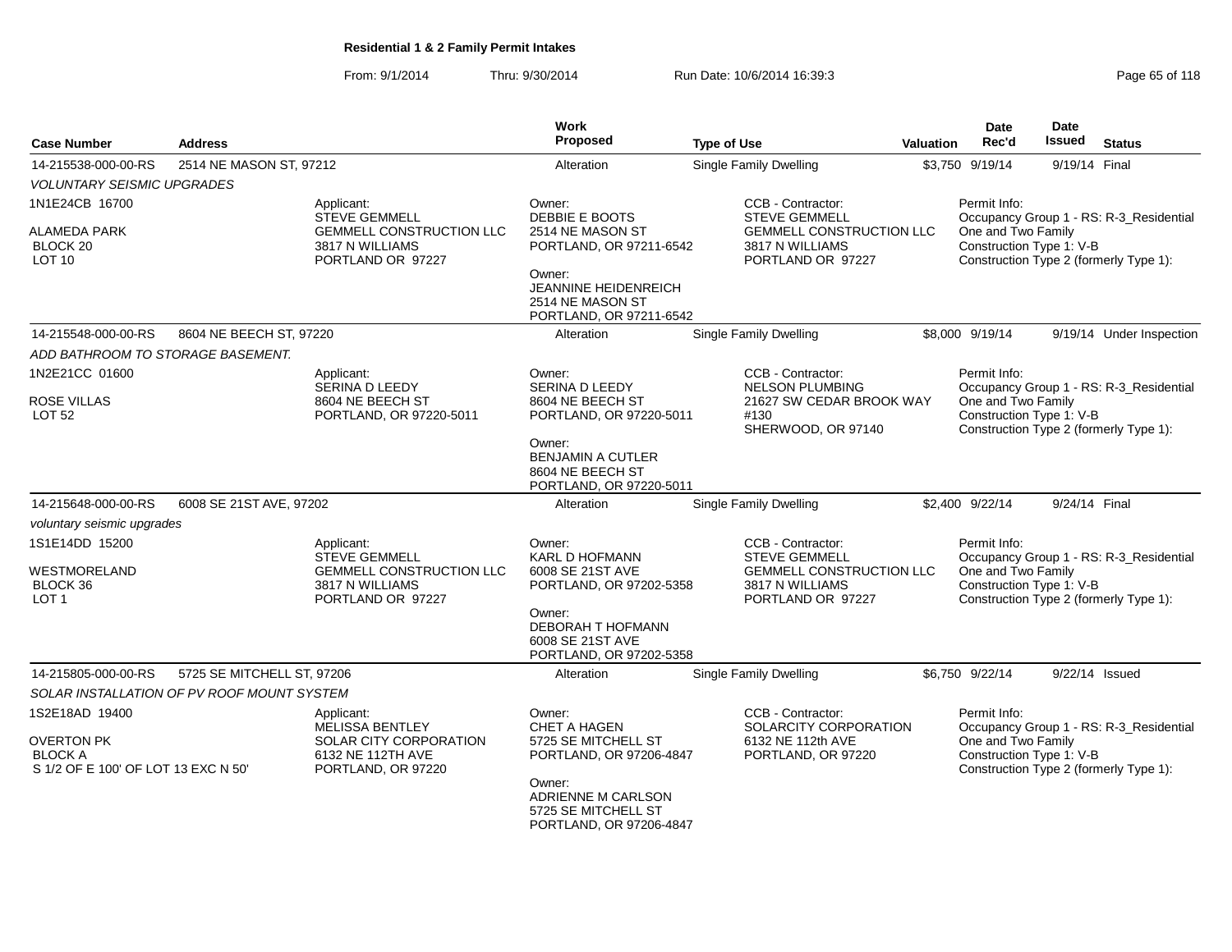From: 9/1/2014Thru: 9/30/2014 Run Date: 10/6/2014 16:39:3<br>
Page 65 of 118

|                                     |                                            |                                                    | <b>Work</b>                                    |                                                    |           | Date                                           | <b>Date</b>   |                                         |
|-------------------------------------|--------------------------------------------|----------------------------------------------------|------------------------------------------------|----------------------------------------------------|-----------|------------------------------------------------|---------------|-----------------------------------------|
| <b>Case Number</b>                  | <b>Address</b>                             |                                                    | <b>Proposed</b>                                | <b>Type of Use</b>                                 | Valuation | Rec'd                                          | <b>Issued</b> | <b>Status</b>                           |
| 14-215538-000-00-RS                 | 2514 NE MASON ST, 97212                    |                                                    | Alteration                                     | Single Family Dwelling                             |           | \$3,750 9/19/14                                | 9/19/14 Final |                                         |
| <b>VOLUNTARY SEISMIC UPGRADES</b>   |                                            |                                                    |                                                |                                                    |           |                                                |               |                                         |
| 1N1E24CB 16700                      |                                            | Applicant:<br><b>STEVE GEMMELL</b>                 | Owner:<br>DEBBIE E BOOTS                       | CCB - Contractor:<br><b>STEVE GEMMELL</b>          |           | Permit Info:                                   |               | Occupancy Group 1 - RS: R-3_Residential |
| ALAMEDA PARK                        |                                            | <b>GEMMELL CONSTRUCTION LLC</b>                    | 2514 NE MASON ST                               | <b>GEMMELL CONSTRUCTION LLC</b>                    |           | One and Two Family                             |               |                                         |
| BLOCK 20<br>LOT <sub>10</sub>       |                                            | 3817 N WILLIAMS                                    | PORTLAND, OR 97211-6542                        | 3817 N WILLIAMS                                    |           | Construction Type 1: V-B                       |               |                                         |
|                                     |                                            | PORTLAND OR 97227                                  | Owner:                                         | PORTLAND OR 97227                                  |           |                                                |               | Construction Type 2 (formerly Type 1):  |
|                                     |                                            |                                                    | JEANNINE HEIDENREICH                           |                                                    |           |                                                |               |                                         |
|                                     |                                            |                                                    | 2514 NE MASON ST<br>PORTLAND, OR 97211-6542    |                                                    |           |                                                |               |                                         |
| 14-215548-000-00-RS                 | 8604 NE BEECH ST, 97220                    |                                                    | Alteration                                     | Single Family Dwelling                             |           | \$8,000 9/19/14                                |               | 9/19/14 Under Inspection                |
| ADD BATHROOM TO STORAGE BASEMENT.   |                                            |                                                    |                                                |                                                    |           |                                                |               |                                         |
| 1N2E21CC 01600                      |                                            | Applicant:                                         | Owner:                                         | CCB - Contractor:                                  |           | Permit Info:                                   |               |                                         |
|                                     |                                            | SERINA D LEEDY                                     | SERINA D LEEDY                                 | <b>NELSON PLUMBING</b>                             |           |                                                |               | Occupancy Group 1 - RS: R-3_Residential |
| <b>ROSE VILLAS</b>                  |                                            | 8604 NE BEECH ST                                   | 8604 NE BEECH ST                               | 21627 SW CEDAR BROOK WAY                           |           | One and Two Family                             |               |                                         |
| <b>LOT 52</b>                       |                                            | PORTLAND, OR 97220-5011                            | PORTLAND, OR 97220-5011                        | #130<br>SHERWOOD, OR 97140                         |           | Construction Type 1: V-B                       |               | Construction Type 2 (formerly Type 1):  |
|                                     |                                            |                                                    | Owner:                                         |                                                    |           |                                                |               |                                         |
|                                     |                                            |                                                    | <b>BENJAMIN A CUTLER</b>                       |                                                    |           |                                                |               |                                         |
|                                     |                                            |                                                    | 8604 NE BEECH ST<br>PORTLAND, OR 97220-5011    |                                                    |           |                                                |               |                                         |
| 14-215648-000-00-RS                 | 6008 SE 21ST AVE, 97202                    |                                                    | Alteration                                     | Single Family Dwelling                             |           | \$2,400 9/22/14                                | 9/24/14 Final |                                         |
| voluntary seismic upgrades          |                                            |                                                    |                                                |                                                    |           |                                                |               |                                         |
| 1S1E14DD 15200                      |                                            | Applicant:                                         | Owner:                                         | CCB - Contractor:                                  |           | Permit Info:                                   |               |                                         |
|                                     |                                            | <b>STEVE GEMMELL</b>                               | <b>KARL D HOFMANN</b>                          | <b>STEVE GEMMELL</b>                               |           |                                                |               | Occupancy Group 1 - RS: R-3_Residential |
| WESTMORELAND<br>BLOCK 36            |                                            | <b>GEMMELL CONSTRUCTION LLC</b><br>3817 N WILLIAMS | 6008 SE 21ST AVE<br>PORTLAND, OR 97202-5358    | <b>GEMMELL CONSTRUCTION LLC</b><br>3817 N WILLIAMS |           | One and Two Family<br>Construction Type 1: V-B |               |                                         |
| LOT <sub>1</sub>                    |                                            | PORTLAND OR 97227                                  |                                                | PORTLAND OR 97227                                  |           |                                                |               | Construction Type 2 (formerly Type 1):  |
|                                     |                                            |                                                    | Owner:                                         |                                                    |           |                                                |               |                                         |
|                                     |                                            |                                                    | <b>DEBORAH T HOFMANN</b><br>6008 SE 21ST AVE   |                                                    |           |                                                |               |                                         |
|                                     |                                            |                                                    | PORTLAND, OR 97202-5358                        |                                                    |           |                                                |               |                                         |
| 14-215805-000-00-RS                 | 5725 SE MITCHELL ST, 97206                 |                                                    | Alteration                                     | <b>Single Family Dwelling</b>                      |           | \$6,750 9/22/14                                |               | 9/22/14 Issued                          |
|                                     | SOLAR INSTALLATION OF PV ROOF MOUNT SYSTEM |                                                    |                                                |                                                    |           |                                                |               |                                         |
| 1S2E18AD 19400                      |                                            | Applicant:                                         | Owner:                                         | CCB - Contractor:                                  |           | Permit Info:                                   |               |                                         |
|                                     |                                            | <b>MELISSA BENTLEY</b>                             | <b>CHET A HAGEN</b>                            | SOLARCITY CORPORATION                              |           |                                                |               | Occupancy Group 1 - RS: R-3_Residential |
| <b>OVERTON PK</b><br><b>BLOCK A</b> |                                            | SOLAR CITY CORPORATION<br>6132 NE 112TH AVE        | 5725 SE MITCHELL ST<br>PORTLAND, OR 97206-4847 | 6132 NE 112th AVE<br>PORTLAND, OR 97220            |           | One and Two Family<br>Construction Type 1: V-B |               |                                         |
| S 1/2 OF E 100' OF LOT 13 EXC N 50' |                                            | PORTLAND, OR 97220                                 |                                                |                                                    |           |                                                |               | Construction Type 2 (formerly Type 1):  |
|                                     |                                            |                                                    | Owner:                                         |                                                    |           |                                                |               |                                         |
|                                     |                                            |                                                    | ADRIENNE M CARLSON<br>5725 SE MITCHELL ST      |                                                    |           |                                                |               |                                         |
|                                     |                                            |                                                    | PORTLAND, OR 97206-4847                        |                                                    |           |                                                |               |                                         |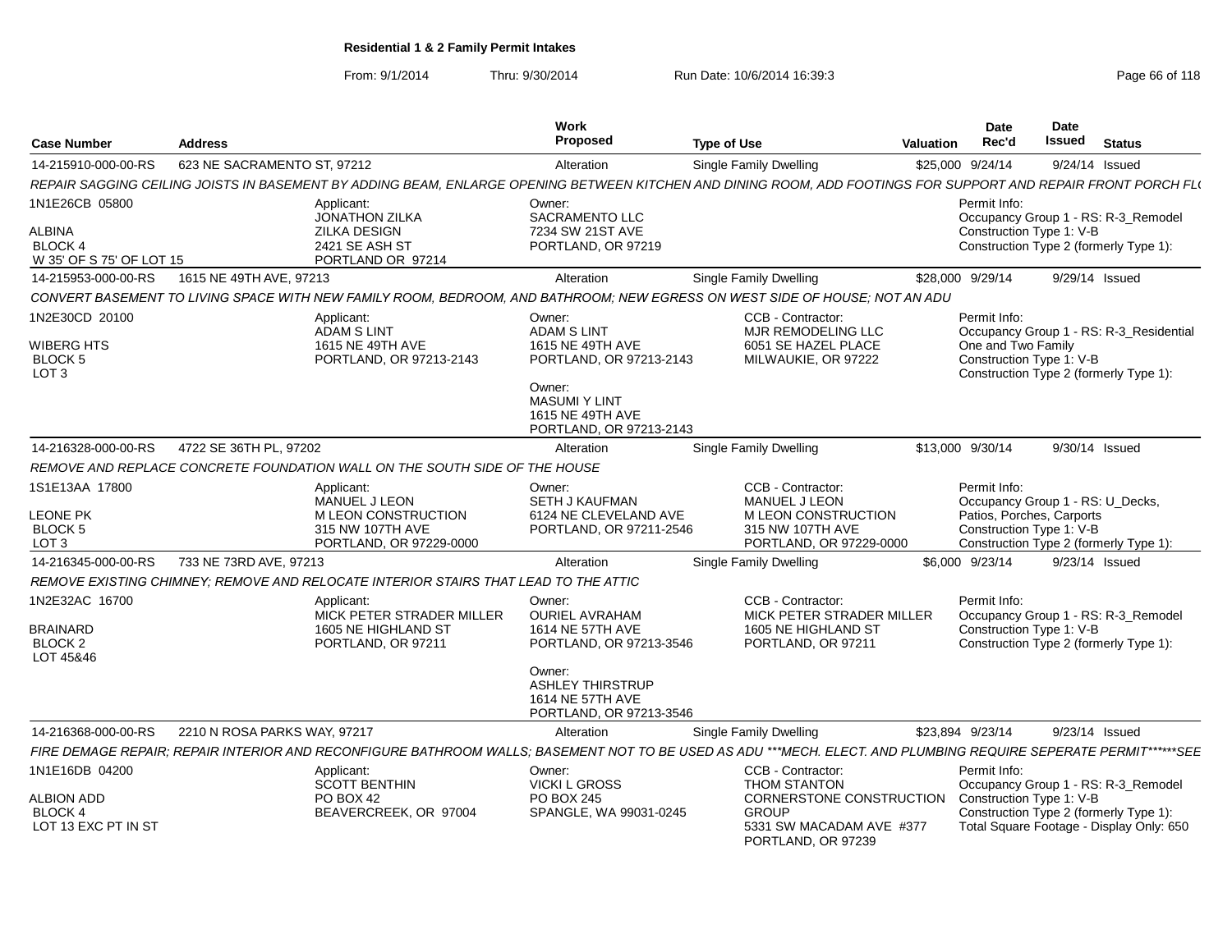From: 9/1/2014

Thru: 9/30/2014 Run Date: 10/6/2014 16:39:3<br>
Page 66 of 118

| <b>Case Number</b>                                                            | <b>Address</b>               |                                                                                                   | Work<br>Proposed                                                                                                                                             | <b>Type of Use</b>                                                                                                                                               | <b>Valuation</b> | <b>Date</b><br>Rec'd               | <b>Date</b><br><b>Issued</b>                                                                              | <b>Status</b>                           |
|-------------------------------------------------------------------------------|------------------------------|---------------------------------------------------------------------------------------------------|--------------------------------------------------------------------------------------------------------------------------------------------------------------|------------------------------------------------------------------------------------------------------------------------------------------------------------------|------------------|------------------------------------|-----------------------------------------------------------------------------------------------------------|-----------------------------------------|
| 14-215910-000-00-RS                                                           | 623 NE SACRAMENTO ST, 97212  |                                                                                                   | Alteration                                                                                                                                                   | <b>Single Family Dwelling</b>                                                                                                                                    |                  | \$25,000 9/24/14                   | 9/24/14 Issued                                                                                            |                                         |
|                                                                               |                              |                                                                                                   |                                                                                                                                                              | REPAIR SAGGING CEILING JOISTS IN BASEMENT BY ADDING BEAM. ENLARGE OPENING BETWEEN KITCHEN AND DINING ROOM. ADD FOOTINGS FOR SUPPORT AND REPAIR FRONT PORCH FLI   |                  |                                    |                                                                                                           |                                         |
| 1N1E26CB 05800<br><b>ALBINA</b><br><b>BLOCK 4</b><br>W 35' OF S 75' OF LOT 15 |                              | Applicant:<br><b>JONATHON ZILKA</b><br><b>ZILKA DESIGN</b><br>2421 SE ASH ST<br>PORTLAND OR 97214 | Owner:<br>SACRAMENTO LLC<br>7234 SW 21ST AVE<br>PORTLAND, OR 97219                                                                                           |                                                                                                                                                                  |                  | Permit Info:                       | Occupancy Group 1 - RS: R-3_Remodel<br>Construction Type 1: V-B<br>Construction Type 2 (formerly Type 1): |                                         |
| 14-215953-000-00-RS                                                           | 1615 NE 49TH AVE, 97213      |                                                                                                   | Alteration                                                                                                                                                   | <b>Single Family Dwelling</b>                                                                                                                                    |                  | \$28,000 9/29/14                   | 9/29/14 Issued                                                                                            |                                         |
|                                                                               |                              |                                                                                                   |                                                                                                                                                              | CONVERT BASEMENT TO LIVING SPACE WITH NEW FAMILY ROOM. BEDROOM. AND BATHROOM: NEW EGRESS ON WEST SIDE OF HOUSE: NOT AN ADU                                       |                  |                                    |                                                                                                           |                                         |
| 1N2E30CD 20100<br><b>WIBERG HTS</b><br>BLOCK 5<br>LOT <sub>3</sub>            |                              | Applicant:<br><b>ADAM S LINT</b><br>1615 NE 49TH AVE<br>PORTLAND, OR 97213-2143                   | Owner:<br><b>ADAM S LINT</b><br>1615 NE 49TH AVE<br>PORTLAND, OR 97213-2143<br>Owner:<br><b>MASUMI Y LINT</b><br>1615 NE 49TH AVE<br>PORTLAND, OR 97213-2143 | CCB - Contractor:<br><b>MJR REMODELING LLC</b><br>6051 SE HAZEL PLACE<br>MILWAUKIE, OR 97222                                                                     |                  | Permit Info:<br>One and Two Family | Construction Type 1: V-B<br>Construction Type 2 (formerly Type 1):                                        | Occupancy Group 1 - RS: R-3 Residential |
| 14-216328-000-00-RS                                                           | 4722 SE 36TH PL, 97202       |                                                                                                   | Alteration                                                                                                                                                   | <b>Single Family Dwelling</b>                                                                                                                                    |                  | \$13,000 9/30/14                   | 9/30/14 Issued                                                                                            |                                         |
|                                                                               |                              | REMOVE AND REPLACE CONCRETE FOUNDATION WALL ON THE SOUTH SIDE OF THE HOUSE                        |                                                                                                                                                              |                                                                                                                                                                  |                  |                                    |                                                                                                           |                                         |
| 1S1E13AA 17800<br><b>LEONE PK</b><br>BLOCK 5                                  |                              | Applicant:<br><b>MANUEL J LEON</b><br>M LEON CONSTRUCTION<br>315 NW 107TH AVE                     | Owner:<br><b>SETH J KAUFMAN</b><br>6124 NE CLEVELAND AVE<br>PORTLAND, OR 97211-2546                                                                          | CCB - Contractor:<br><b>MANUEL J LEON</b><br>M LEON CONSTRUCTION<br>315 NW 107TH AVE                                                                             |                  | Permit Info:                       | Occupancy Group 1 - RS: U Decks,<br>Patios, Porches, Carports<br>Construction Type 1: V-B                 |                                         |
| LOT <sub>3</sub>                                                              |                              | PORTLAND, OR 97229-0000                                                                           |                                                                                                                                                              | PORTLAND, OR 97229-0000                                                                                                                                          |                  |                                    | Construction Type 2 (formerly Type 1):                                                                    |                                         |
| 14-216345-000-00-RS                                                           | 733 NE 73RD AVE, 97213       |                                                                                                   | Alteration                                                                                                                                                   | <b>Single Family Dwelling</b>                                                                                                                                    |                  | \$6,000 9/23/14                    | 9/23/14 Issued                                                                                            |                                         |
|                                                                               |                              | REMOVE EXISTING CHIMNEY; REMOVE AND RELOCATE INTERIOR STAIRS THAT LEAD TO THE ATTIC               |                                                                                                                                                              |                                                                                                                                                                  |                  |                                    |                                                                                                           |                                         |
| 1N2E32AC 16700<br><b>BRAINARD</b><br>BLOCK 2<br>LOT 45&46                     |                              | Applicant:<br>MICK PETER STRADER MILLER<br>1605 NE HIGHLAND ST<br>PORTLAND, OR 97211              | Owner:<br><b>OURIEL AVRAHAM</b><br>1614 NE 57TH AVE<br>PORTLAND, OR 97213-3546                                                                               | CCB - Contractor:<br>MICK PETER STRADER MILLER<br>1605 NE HIGHLAND ST<br>PORTLAND, OR 97211                                                                      |                  | Permit Info:                       | Occupancy Group 1 - RS: R-3 Remodel<br>Construction Type 1: V-B<br>Construction Type 2 (formerly Type 1): |                                         |
|                                                                               |                              |                                                                                                   | Owner:<br><b>ASHLEY THIRSTRUP</b><br>1614 NE 57TH AVE<br>PORTLAND, OR 97213-3546                                                                             |                                                                                                                                                                  |                  |                                    |                                                                                                           |                                         |
| 14-216368-000-00-RS                                                           | 2210 N ROSA PARKS WAY, 97217 |                                                                                                   | Alteration                                                                                                                                                   | <b>Single Family Dwelling</b>                                                                                                                                    |                  | \$23,894 9/23/14                   | 9/23/14 Issued                                                                                            |                                         |
|                                                                               |                              |                                                                                                   |                                                                                                                                                              | FIRE DEMAGE REPAIR; REPAIR INTERIOR AND RECONFIGURE BATHROOM WALLS; BASEMENT NOT TO BE USED AS ADU ***MECH. ELECT. AND PLUMBING REQUIRE SEPERATE PERMIT******SEE |                  |                                    |                                                                                                           |                                         |
| 1N1E16DB 04200<br>ALBION ADD<br><b>BLOCK 4</b>                                |                              | Applicant:<br><b>SCOTT BENTHIN</b><br>PO BOX 42<br>BEAVERCREEK, OR 97004                          | Owner:<br><b>VICKI L GROSS</b><br>PO BOX 245<br>SPANGLE, WA 99031-0245                                                                                       | CCB - Contractor:<br><b>THOM STANTON</b><br>CORNERSTONE CONSTRUCTION<br><b>GROUP</b>                                                                             |                  | Permit Info:                       | Occupancy Group 1 - RS: R-3_Remodel<br>Construction Type 1: V-B<br>Construction Type 2 (formerly Type 1): |                                         |
| LOT 13 EXC PT IN ST                                                           |                              |                                                                                                   |                                                                                                                                                              | 5331 SW MACADAM AVE #377<br>PORTLAND, OR 97239                                                                                                                   |                  |                                    | Total Square Footage - Display Only: 650                                                                  |                                         |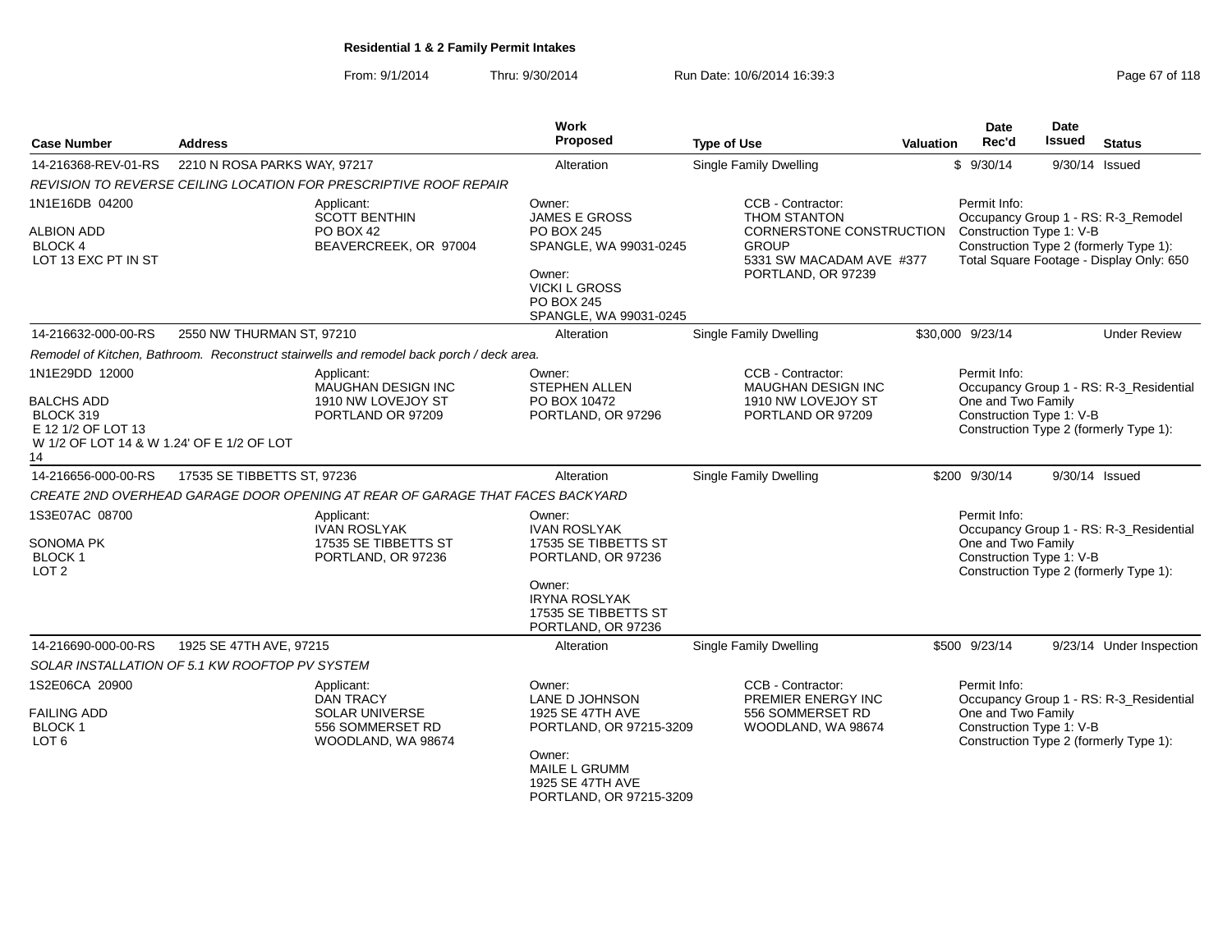From: 9/1/2014Thru: 9/30/2014 Run Date: 10/6/2014 16:39:3<br> **Thru: 9/30/2014** Page 67 of 118

| <b>Case Number</b>                                                                                                        | <b>Address</b>                                 |                                                                                                   | <b>Work</b><br>Proposed                                                                                                                                     | <b>Type of Use</b>                                                                                                                     | <b>Valuation</b> | <b>Date</b><br>Rec'd                                           | Date<br><b>Issued</b> | <b>Status</b>                                                                                                             |
|---------------------------------------------------------------------------------------------------------------------------|------------------------------------------------|---------------------------------------------------------------------------------------------------|-------------------------------------------------------------------------------------------------------------------------------------------------------------|----------------------------------------------------------------------------------------------------------------------------------------|------------------|----------------------------------------------------------------|-----------------------|---------------------------------------------------------------------------------------------------------------------------|
| 14-216368-REV-01-RS                                                                                                       | 2210 N ROSA PARKS WAY, 97217                   |                                                                                                   | Alteration                                                                                                                                                  | <b>Single Family Dwelling</b>                                                                                                          |                  | \$9/30/14                                                      | 9/30/14 Issued        |                                                                                                                           |
|                                                                                                                           |                                                | REVISION TO REVERSE CEILING LOCATION FOR PRESCRIPTIVE ROOF REPAIR                                 |                                                                                                                                                             |                                                                                                                                        |                  |                                                                |                       |                                                                                                                           |
| 1N1E16DB 04200<br><b>ALBION ADD</b><br><b>BLOCK 4</b><br>LOT 13 EXC PT IN ST                                              |                                                | Applicant:<br><b>SCOTT BENTHIN</b><br>PO BOX 42<br>BEAVERCREEK, OR 97004                          | Owner:<br><b>JAMES E GROSS</b><br>PO BOX 245<br>SPANGLE, WA 99031-0245<br>Owner:<br><b>VICKI L GROSS</b><br><b>PO BOX 245</b><br>SPANGLE, WA 99031-0245     | CCB - Contractor:<br><b>THOM STANTON</b><br>CORNERSTONE CONSTRUCTION<br><b>GROUP</b><br>5331 SW MACADAM AVE #377<br>PORTLAND, OR 97239 |                  | Permit Info:<br>Construction Type 1: V-B                       |                       | Occupancy Group 1 - RS: R-3_Remodel<br>Construction Type 2 (formerly Type 1):<br>Total Square Footage - Display Only: 650 |
| 14-216632-000-00-RS                                                                                                       | 2550 NW THURMAN ST, 97210                      |                                                                                                   | Alteration                                                                                                                                                  | <b>Single Family Dwelling</b>                                                                                                          |                  | \$30,000 9/23/14                                               |                       | <b>Under Review</b>                                                                                                       |
|                                                                                                                           |                                                | Remodel of Kitchen, Bathroom. Reconstruct stairwells and remodel back porch / deck area.          |                                                                                                                                                             |                                                                                                                                        |                  |                                                                |                       |                                                                                                                           |
| 1N1E29DD 12000<br><b>BALCHS ADD</b><br>BLOCK 319<br>E 12 1/2 OF LOT 13<br>W 1/2 OF LOT 14 & W 1.24' OF E 1/2 OF LOT<br>14 |                                                | Applicant:<br><b>MAUGHAN DESIGN INC</b><br>1910 NW LOVEJOY ST<br>PORTLAND OR 97209                | Owner:<br><b>STEPHEN ALLEN</b><br>PO BOX 10472<br>PORTLAND, OR 97296                                                                                        | CCB - Contractor:<br><b>MAUGHAN DESIGN INC</b><br>1910 NW LOVEJOY ST<br>PORTLAND OR 97209                                              |                  | Permit Info:<br>One and Two Family<br>Construction Type 1: V-B |                       | Occupancy Group 1 - RS: R-3_Residential<br>Construction Type 2 (formerly Type 1):                                         |
| 14-216656-000-00-RS                                                                                                       | 17535 SE TIBBETTS ST, 97236                    |                                                                                                   | Alteration                                                                                                                                                  | <b>Single Family Dwelling</b>                                                                                                          |                  | \$200 9/30/14                                                  |                       | 9/30/14 Issued                                                                                                            |
|                                                                                                                           |                                                | CREATE 2ND OVERHEAD GARAGE DOOR OPENING AT REAR OF GARAGE THAT FACES BACKYARD                     |                                                                                                                                                             |                                                                                                                                        |                  |                                                                |                       |                                                                                                                           |
| 1S3E07AC 08700<br><b>SONOMA PK</b><br><b>BLOCK1</b><br>LOT <sub>2</sub>                                                   |                                                | Applicant:<br>IVAN ROSLYAK<br>17535 SE TIBBETTS ST<br>PORTLAND, OR 97236                          | Owner:<br><b>IVAN ROSLYAK</b><br>17535 SE TIBBETTS ST<br>PORTLAND, OR 97236<br>Owner:<br><b>IRYNA ROSLYAK</b><br>17535 SE TIBBETTS ST<br>PORTLAND, OR 97236 |                                                                                                                                        |                  | Permit Info:<br>One and Two Family<br>Construction Type 1: V-B |                       | Occupancy Group 1 - RS: R-3_Residential<br>Construction Type 2 (formerly Type 1):                                         |
| 14-216690-000-00-RS                                                                                                       | 1925 SE 47TH AVE, 97215                        |                                                                                                   | Alteration                                                                                                                                                  | Single Family Dwelling                                                                                                                 |                  | \$500 9/23/14                                                  |                       | 9/23/14 Under Inspection                                                                                                  |
|                                                                                                                           | SOLAR INSTALLATION OF 5.1 KW ROOFTOP PV SYSTEM |                                                                                                   |                                                                                                                                                             |                                                                                                                                        |                  |                                                                |                       |                                                                                                                           |
| 1S2E06CA 20900<br><b>FAILING ADD</b><br><b>BLOCK1</b><br>LOT <sub>6</sub>                                                 |                                                | Applicant:<br><b>DAN TRACY</b><br><b>SOLAR UNIVERSE</b><br>556 SOMMERSET RD<br>WOODLAND, WA 98674 | Owner:<br><b>LANE D JOHNSON</b><br>1925 SE 47TH AVE<br>PORTLAND, OR 97215-3209<br>Owner:<br>MAILE L GRUMM<br>1925 SE 47TH AVE                               | CCB - Contractor:<br>PREMIER ENERGY INC<br>556 SOMMERSET RD<br>WOODLAND, WA 98674                                                      |                  | Permit Info:<br>One and Two Family<br>Construction Type 1: V-B |                       | Occupancy Group 1 - RS: R-3_Residential<br>Construction Type 2 (formerly Type 1):                                         |

PORTLAND, OR 97215-3209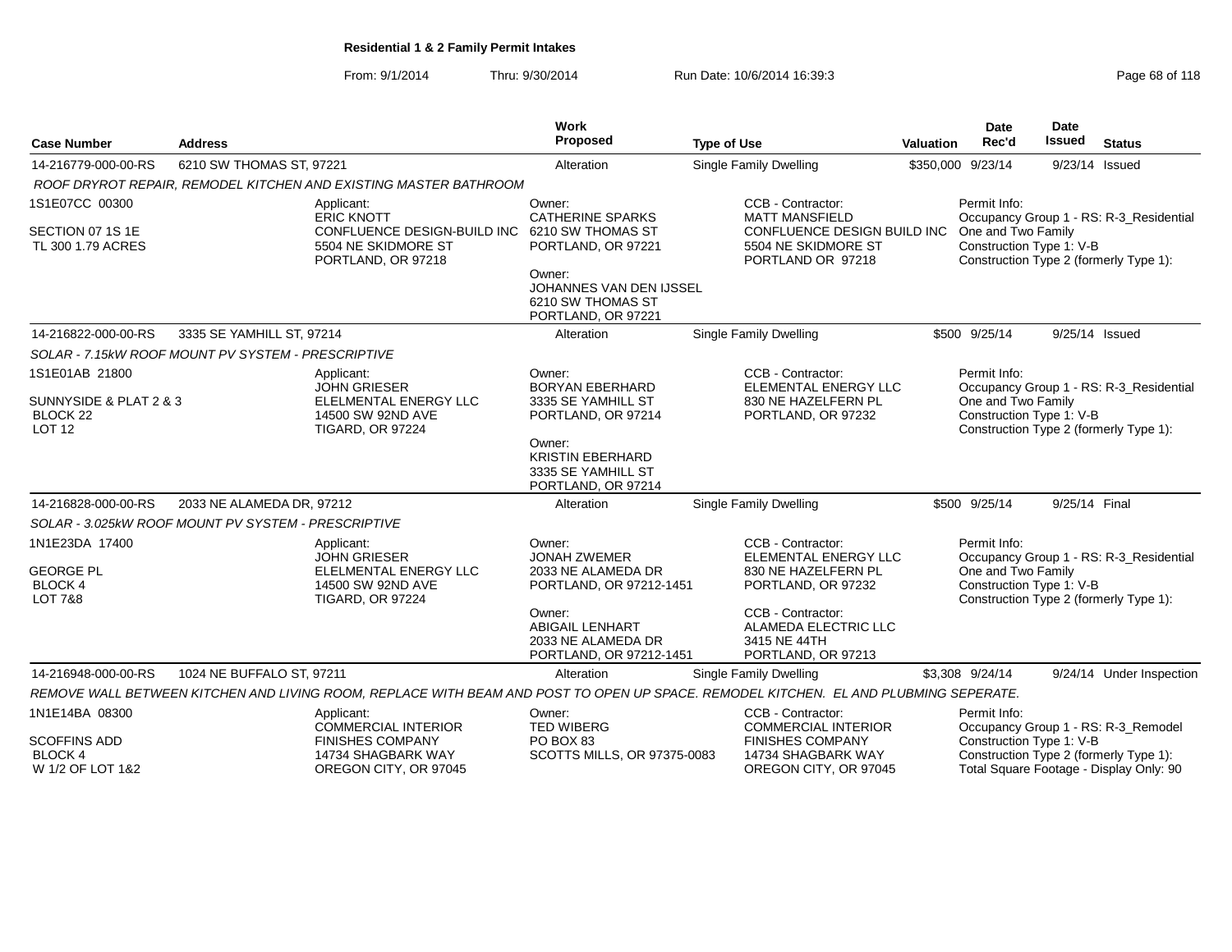From: 9/1/2014Thru: 9/30/2014 Run Date: 10/6/2014 16:39:3<br>
Page 68 of 118

| <b>Case Number</b>                                                        | <b>Address</b>                                      |                                                                                                                                      | Work<br>Proposed                                                                  | <b>Type of Use</b>                                                                         | <b>Valuation</b> | <b>Date</b><br>Rec'd                                           | Date<br>Issued | <b>Status</b>                                                                     |
|---------------------------------------------------------------------------|-----------------------------------------------------|--------------------------------------------------------------------------------------------------------------------------------------|-----------------------------------------------------------------------------------|--------------------------------------------------------------------------------------------|------------------|----------------------------------------------------------------|----------------|-----------------------------------------------------------------------------------|
| 14-216779-000-00-RS                                                       | 6210 SW THOMAS ST, 97221                            |                                                                                                                                      | Alteration                                                                        | Single Family Dwelling                                                                     |                  | \$350,000 9/23/14                                              | 9/23/14 Issued |                                                                                   |
|                                                                           |                                                     | ROOF DRYROT REPAIR, REMODEL KITCHEN AND EXISTING MASTER BATHROOM                                                                     |                                                                                   |                                                                                            |                  |                                                                |                |                                                                                   |
| 1S1E07CC 00300                                                            |                                                     | Applicant:<br><b>ERIC KNOTT</b>                                                                                                      | Owner:<br><b>CATHERINE SPARKS</b>                                                 | CCB - Contractor:<br><b>MATT MANSFIELD</b>                                                 |                  | Permit Info:                                                   |                | Occupancy Group 1 - RS: R-3 Residential                                           |
| SECTION 07 1S 1E<br>TL 300 1.79 ACRES                                     |                                                     | CONFLUENCE DESIGN-BUILD INC<br>5504 NE SKIDMORE ST<br>PORTLAND, OR 97218                                                             | 6210 SW THOMAS ST<br>PORTLAND, OR 97221                                           | CONFLUENCE DESIGN BUILD INC One and Two Family<br>5504 NE SKIDMORE ST<br>PORTLAND OR 97218 |                  | Construction Type 1: V-B                                       |                | Construction Type 2 (formerly Type 1):                                            |
|                                                                           |                                                     |                                                                                                                                      | Owner:<br>JOHANNES VAN DEN IJSSEL<br>6210 SW THOMAS ST<br>PORTLAND, OR 97221      |                                                                                            |                  |                                                                |                |                                                                                   |
| 14-216822-000-00-RS                                                       | 3335 SE YAMHILL ST, 97214                           |                                                                                                                                      | Alteration                                                                        | <b>Single Family Dwelling</b>                                                              |                  | \$500 9/25/14                                                  |                | 9/25/14 Issued                                                                    |
|                                                                           | SOLAR - 7.15kW ROOF MOUNT PV SYSTEM - PRESCRIPTIVE  |                                                                                                                                      |                                                                                   |                                                                                            |                  |                                                                |                |                                                                                   |
| 1S1E01AB 21800                                                            |                                                     | Applicant:<br><b>JOHN GRIESER</b>                                                                                                    | Owner:<br><b>BORYAN EBERHARD</b>                                                  | CCB - Contractor:<br><b>ELEMENTAL ENERGY LLC</b>                                           |                  | Permit Info:                                                   |                | Occupancy Group 1 - RS: R-3 Residential                                           |
| SUNNYSIDE & PLAT 2 & 3<br>BLOCK <sub>22</sub><br><b>LOT 12</b>            |                                                     | ELELMENTAL ENERGY LLC<br>14500 SW 92ND AVE<br><b>TIGARD, OR 97224</b>                                                                | 3335 SE YAMHILL ST<br>PORTLAND, OR 97214                                          | 830 NE HAZELFERN PL<br>PORTLAND, OR 97232                                                  |                  | One and Two Family<br>Construction Type 1: V-B                 |                | Construction Type 2 (formerly Type 1):                                            |
|                                                                           |                                                     |                                                                                                                                      | Owner:<br><b>KRISTIN EBERHARD</b><br>3335 SE YAMHILL ST<br>PORTLAND, OR 97214     |                                                                                            |                  |                                                                |                |                                                                                   |
| 14-216828-000-00-RS                                                       | 2033 NE ALAMEDA DR, 97212                           |                                                                                                                                      | Alteration                                                                        | Single Family Dwelling                                                                     |                  | \$500 9/25/14                                                  | 9/25/14 Final  |                                                                                   |
|                                                                           | SOLAR - 3.025kW ROOF MOUNT PV SYSTEM - PRESCRIPTIVE |                                                                                                                                      |                                                                                   |                                                                                            |                  |                                                                |                |                                                                                   |
| 1N1E23DA 17400<br><b>GEORGE PL</b><br><b>BLOCK4</b><br><b>LOT 7&amp;8</b> |                                                     | Applicant:<br><b>JOHN GRIESER</b><br>ELELMENTAL ENERGY LLC<br>14500 SW 92ND AVE<br><b>TIGARD, OR 97224</b>                           | Owner:<br><b>JONAH ZWEMER</b><br>2033 NE ALAMEDA DR<br>PORTLAND, OR 97212-1451    | CCB - Contractor:<br>ELEMENTAL ENERGY LLC<br>830 NE HAZELFERN PL<br>PORTLAND, OR 97232     |                  | Permit Info:<br>One and Two Family<br>Construction Type 1: V-B |                | Occupancy Group 1 - RS: R-3_Residential<br>Construction Type 2 (formerly Type 1): |
|                                                                           |                                                     |                                                                                                                                      | Owner:<br><b>ABIGAIL LENHART</b><br>2033 NE ALAMEDA DR<br>PORTLAND, OR 97212-1451 | CCB - Contractor:<br>ALAMEDA ELECTRIC LLC<br>3415 NE 44TH<br>PORTLAND, OR 97213            |                  |                                                                |                |                                                                                   |
| 14-216948-000-00-RS                                                       | 1024 NE BUFFALO ST, 97211                           |                                                                                                                                      | Alteration                                                                        | Single Family Dwelling                                                                     |                  | \$3,308 9/24/14                                                |                | 9/24/14 Under Inspection                                                          |
|                                                                           |                                                     | REMOVE WALL BETWEEN KITCHEN AND LIVING ROOM, REPLACE WITH BEAM AND POST TO OPEN UP SPACE. REMODEL KITCHEN. EL AND PLUBMING SEPERATE. |                                                                                   |                                                                                            |                  |                                                                |                |                                                                                   |
| 1N1E14BA 08300                                                            |                                                     | Applicant:<br>COMMERCIAL INTERIOR                                                                                                    | Owner:<br><b>TED WIBERG</b>                                                       | CCB - Contractor:<br><b>COMMERCIAL INTERIOR</b>                                            |                  | Permit Info:                                                   |                | Occupancy Group 1 - RS: R-3_Remodel                                               |
| <b>SCOFFINS ADD</b><br><b>BLOCK4</b><br>W 1/2 OF LOT 1&2                  |                                                     | <b>FINISHES COMPANY</b><br>14734 SHAGBARK WAY<br>OREGON CITY, OR 97045                                                               | PO BOX 83<br><b>SCOTTS MILLS, OR 97375-0083</b>                                   | <b>FINISHES COMPANY</b><br>14734 SHAGBARK WAY<br>OREGON CITY, OR 97045                     |                  | Construction Type 1: V-B                                       |                | Construction Type 2 (formerly Type 1):<br>Total Square Footage - Display Only: 90 |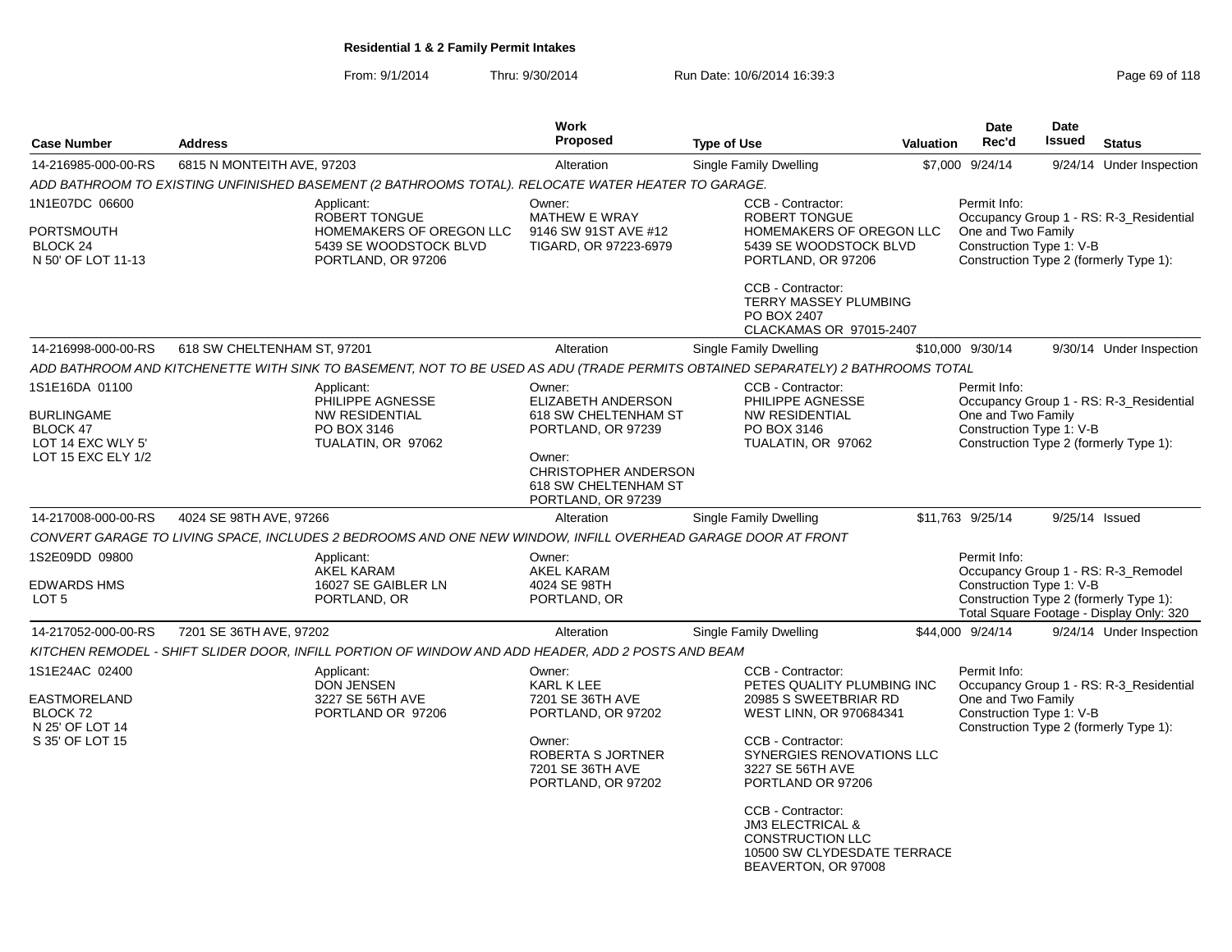From: 9/1/2014Thru: 9/30/2014 Run Date: 10/6/2014 16:39:3<br>
Page 69 of 118

| <b>Address</b> |                                                                                                         | <b>Work</b><br>Proposed                                                                                                                        | <b>Type of Use</b>                                                                                                                                             |                                                                                                                                                                                                                                                                                                                                                                                   | Date<br>Rec'd                                                                                                                                                                                                                                                               | <b>Date</b><br><b>Issued</b>                                                                                                                                                                                                       | <b>Status</b>                                                                                                                                                                                                                                                                                                                                                                                                                                                                                                                                                                                |
|----------------|---------------------------------------------------------------------------------------------------------|------------------------------------------------------------------------------------------------------------------------------------------------|----------------------------------------------------------------------------------------------------------------------------------------------------------------|-----------------------------------------------------------------------------------------------------------------------------------------------------------------------------------------------------------------------------------------------------------------------------------------------------------------------------------------------------------------------------------|-----------------------------------------------------------------------------------------------------------------------------------------------------------------------------------------------------------------------------------------------------------------------------|------------------------------------------------------------------------------------------------------------------------------------------------------------------------------------------------------------------------------------|----------------------------------------------------------------------------------------------------------------------------------------------------------------------------------------------------------------------------------------------------------------------------------------------------------------------------------------------------------------------------------------------------------------------------------------------------------------------------------------------------------------------------------------------------------------------------------------------|
|                |                                                                                                         | Alteration                                                                                                                                     | <b>Single Family Dwelling</b>                                                                                                                                  |                                                                                                                                                                                                                                                                                                                                                                                   |                                                                                                                                                                                                                                                                             |                                                                                                                                                                                                                                    | 9/24/14 Under Inspection                                                                                                                                                                                                                                                                                                                                                                                                                                                                                                                                                                     |
|                |                                                                                                         |                                                                                                                                                |                                                                                                                                                                |                                                                                                                                                                                                                                                                                                                                                                                   |                                                                                                                                                                                                                                                                             |                                                                                                                                                                                                                                    |                                                                                                                                                                                                                                                                                                                                                                                                                                                                                                                                                                                              |
|                | Applicant:<br>ROBERT TONGUE<br>HOMEMAKERS OF OREGON LLC<br>5439 SE WOODSTOCK BLVD<br>PORTLAND, OR 97206 | Owner:<br><b>MATHEW E WRAY</b><br>9146 SW 91ST AVE #12<br>TIGARD, OR 97223-6979                                                                | CCB - Contractor:<br><b>ROBERT TONGUE</b><br>PORTLAND, OR 97206<br>CCB - Contractor:<br>PO BOX 2407                                                            |                                                                                                                                                                                                                                                                                                                                                                                   | Permit Info:                                                                                                                                                                                                                                                                |                                                                                                                                                                                                                                    |                                                                                                                                                                                                                                                                                                                                                                                                                                                                                                                                                                                              |
|                |                                                                                                         |                                                                                                                                                |                                                                                                                                                                |                                                                                                                                                                                                                                                                                                                                                                                   |                                                                                                                                                                                                                                                                             |                                                                                                                                                                                                                                    |                                                                                                                                                                                                                                                                                                                                                                                                                                                                                                                                                                                              |
|                |                                                                                                         |                                                                                                                                                |                                                                                                                                                                |                                                                                                                                                                                                                                                                                                                                                                                   |                                                                                                                                                                                                                                                                             |                                                                                                                                                                                                                                    | 9/30/14 Under Inspection                                                                                                                                                                                                                                                                                                                                                                                                                                                                                                                                                                     |
|                |                                                                                                         |                                                                                                                                                |                                                                                                                                                                |                                                                                                                                                                                                                                                                                                                                                                                   |                                                                                                                                                                                                                                                                             |                                                                                                                                                                                                                                    |                                                                                                                                                                                                                                                                                                                                                                                                                                                                                                                                                                                              |
|                | Applicant:<br>PHILIPPE AGNESSE<br><b>NW RESIDENTIAL</b><br>PO BOX 3146<br>TUALATIN, OR 97062            | Owner:<br>ELIZABETH ANDERSON<br>618 SW CHELTENHAM ST<br>PORTLAND, OR 97239<br>Owner:                                                           | CCB - Contractor:<br>PHILIPPE AGNESSE<br><b>NW RESIDENTIAL</b><br>PO BOX 3146<br>TUALATIN, OR 97062                                                            |                                                                                                                                                                                                                                                                                                                                                                                   | Permit Info:                                                                                                                                                                                                                                                                |                                                                                                                                                                                                                                    |                                                                                                                                                                                                                                                                                                                                                                                                                                                                                                                                                                                              |
|                |                                                                                                         | 618 SW CHELTENHAM ST<br>PORTLAND, OR 97239                                                                                                     |                                                                                                                                                                |                                                                                                                                                                                                                                                                                                                                                                                   |                                                                                                                                                                                                                                                                             |                                                                                                                                                                                                                                    |                                                                                                                                                                                                                                                                                                                                                                                                                                                                                                                                                                                              |
|                |                                                                                                         | Alteration                                                                                                                                     | Single Family Dwelling                                                                                                                                         |                                                                                                                                                                                                                                                                                                                                                                                   |                                                                                                                                                                                                                                                                             |                                                                                                                                                                                                                                    |                                                                                                                                                                                                                                                                                                                                                                                                                                                                                                                                                                                              |
|                |                                                                                                         |                                                                                                                                                |                                                                                                                                                                |                                                                                                                                                                                                                                                                                                                                                                                   |                                                                                                                                                                                                                                                                             |                                                                                                                                                                                                                                    |                                                                                                                                                                                                                                                                                                                                                                                                                                                                                                                                                                                              |
|                | Applicant:<br><b>AKEL KARAM</b><br>16027 SE GAIBLER LN<br>PORTLAND, OR                                  | Owner:<br><b>AKEL KARAM</b><br>4024 SE 98TH<br>PORTLAND, OR                                                                                    |                                                                                                                                                                |                                                                                                                                                                                                                                                                                                                                                                                   | Permit Info:                                                                                                                                                                                                                                                                |                                                                                                                                                                                                                                    |                                                                                                                                                                                                                                                                                                                                                                                                                                                                                                                                                                                              |
|                |                                                                                                         | Alteration                                                                                                                                     | <b>Single Family Dwelling</b>                                                                                                                                  |                                                                                                                                                                                                                                                                                                                                                                                   |                                                                                                                                                                                                                                                                             |                                                                                                                                                                                                                                    | 9/24/14 Under Inspection                                                                                                                                                                                                                                                                                                                                                                                                                                                                                                                                                                     |
|                |                                                                                                         |                                                                                                                                                |                                                                                                                                                                |                                                                                                                                                                                                                                                                                                                                                                                   |                                                                                                                                                                                                                                                                             |                                                                                                                                                                                                                                    |                                                                                                                                                                                                                                                                                                                                                                                                                                                                                                                                                                                              |
|                | Applicant:<br><b>DON JENSEN</b><br>3227 SE 56TH AVE<br>PORTLAND OR 97206                                | Owner:<br>KARL K LEE<br>7201 SE 36TH AVE<br>PORTLAND, OR 97202<br>Owner:<br><b>ROBERTA S JORTNER</b><br>7201 SE 36TH AVE<br>PORTLAND, OR 97202 | CCB - Contractor:<br>CCB - Contractor:<br>3227 SE 56TH AVE<br>PORTLAND OR 97206<br>CCB - Contractor:<br><b>JM3 ELECTRICAL &amp;</b><br><b>CONSTRUCTION LLC</b> |                                                                                                                                                                                                                                                                                                                                                                                   | Permit Info:                                                                                                                                                                                                                                                                |                                                                                                                                                                                                                                    |                                                                                                                                                                                                                                                                                                                                                                                                                                                                                                                                                                                              |
|                |                                                                                                         | 6815 N MONTEITH AVE, 97203<br>618 SW CHELTENHAM ST, 97201<br>4024 SE 98TH AVE, 97266<br>7201 SE 36TH AVE, 97202                                | Alteration                                                                                                                                                     | ADD BATHROOM TO EXISTING UNFINISHED BASEMENT (2 BATHROOMS TOTAL). RELOCATE WATER HEATER TO GARAGE.<br>Single Family Dwelling<br><b>CHRISTOPHER ANDERSON</b><br>CONVERT GARAGE TO LIVING SPACE, INCLUDES 2 BEDROOMS AND ONE NEW WINDOW, INFILL OVERHEAD GARAGE DOOR AT FRONT<br>KITCHEN REMODEL - SHIFT SLIDER DOOR, INFILL PORTION OF WINDOW AND ADD HEADER, ADD 2 POSTS AND BEAM | HOMEMAKERS OF OREGON LLC<br>5439 SE WOODSTOCK BLVD<br>TERRY MASSEY PLUMBING<br>CLACKAMAS OR 97015-2407<br>PETES QUALITY PLUMBING INC<br>20985 S SWEETBRIAR RD<br>WEST LINN, OR 970684341<br>SYNERGIES RENOVATIONS LLC<br>10500 SW CLYDESDATE TERRACE<br>BEAVERTON, OR 97008 | <b>Valuation</b><br>\$7,000 9/24/14<br>\$10,000 9/30/14<br>ADD BATHROOM AND KITCHENETTE WITH SINK TO BASEMENT, NOT TO BE USED AS ADU (TRADE PERMITS OBTAINED SEPARATELY) 2 BATHROOMS TOTAL<br>\$11,763 9/25/14<br>\$44,000 9/24/14 | Occupancy Group 1 - RS: R-3_Residential<br>One and Two Family<br>Construction Type 1: V-B<br>Construction Type 2 (formerly Type 1):<br>Occupancy Group 1 - RS: R-3_Residential<br>One and Two Family<br>Construction Type 1: V-B<br>Construction Type 2 (formerly Type 1):<br>9/25/14 Issued<br>Occupancy Group 1 - RS: R-3 Remodel<br>Construction Type 1: V-B<br>Construction Type 2 (formerly Type 1):<br>Total Square Footage - Display Only: 320<br>Occupancy Group 1 - RS: R-3_Residential<br>One and Two Family<br>Construction Type 1: V-B<br>Construction Type 2 (formerly Type 1): |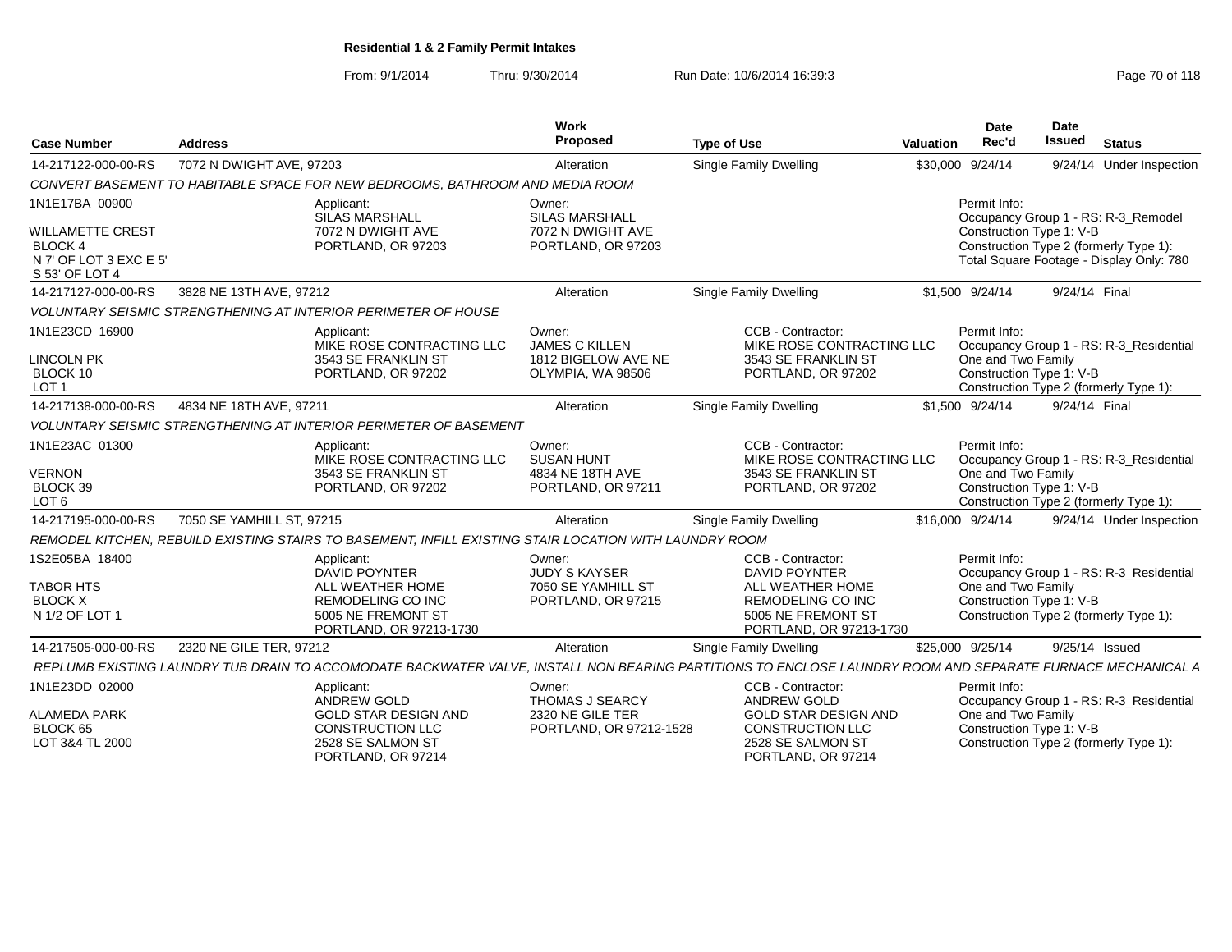From: 9/1/2014Thru: 9/30/2014 Run Date: 10/6/2014 16:39:3<br>
Page 70 of 118

| <b>Case Number</b>                                        | <b>Address</b>                                                                                                                                             | <b>Work</b><br>Proposed                              | <b>Type of Use</b>                                                                                | Valuation | Date<br>Rec'd                                  | <b>Date</b><br>Issued | <b>Status</b>                                                                      |
|-----------------------------------------------------------|------------------------------------------------------------------------------------------------------------------------------------------------------------|------------------------------------------------------|---------------------------------------------------------------------------------------------------|-----------|------------------------------------------------|-----------------------|------------------------------------------------------------------------------------|
| 14-217122-000-00-RS                                       | 7072 N DWIGHT AVE, 97203                                                                                                                                   | Alteration                                           | Single Family Dwelling                                                                            |           | \$30,000 9/24/14                               |                       | 9/24/14 Under Inspection                                                           |
|                                                           | CONVERT BASEMENT TO HABITABLE SPACE FOR NEW BEDROOMS, BATHROOM AND MEDIA ROOM                                                                              |                                                      |                                                                                                   |           |                                                |                       |                                                                                    |
| 1N1E17BA 00900<br><b>WILLAMETTE CREST</b>                 | Applicant:<br><b>SILAS MARSHALL</b><br>7072 N DWIGHT AVE                                                                                                   | Owner:<br><b>SILAS MARSHALL</b><br>7072 N DWIGHT AVE |                                                                                                   |           | Permit Info:<br>Construction Type 1: V-B       |                       | Occupancy Group 1 - RS: R-3_Remodel                                                |
| <b>BLOCK4</b><br>N 7' OF LOT 3 EXC E 5'<br>S 53' OF LOT 4 | PORTLAND, OR 97203                                                                                                                                         | PORTLAND, OR 97203                                   |                                                                                                   |           |                                                |                       | Construction Type 2 (formerly Type 1):<br>Total Square Footage - Display Only: 780 |
| 14-217127-000-00-RS                                       | 3828 NE 13TH AVE, 97212                                                                                                                                    | Alteration                                           | <b>Single Family Dwelling</b>                                                                     |           | \$1,500 9/24/14                                | 9/24/14 Final         |                                                                                    |
|                                                           | <b>VOLUNTARY SEISMIC STRENGTHENING AT INTERIOR PERIMETER OF HOUSE</b>                                                                                      |                                                      |                                                                                                   |           |                                                |                       |                                                                                    |
| 1N1E23CD 16900                                            | Applicant:<br>MIKE ROSE CONTRACTING LLC                                                                                                                    | Owner:<br><b>JAMES C KILLEN</b>                      | CCB - Contractor:<br>MIKE ROSE CONTRACTING LLC                                                    |           | Permit Info:                                   |                       | Occupancy Group 1 - RS: R-3_Residential                                            |
| <b>LINCOLN PK</b><br>BLOCK 10<br>LOT <sub>1</sub>         | 3543 SE FRANKLIN ST<br>PORTLAND, OR 97202                                                                                                                  | 1812 BIGELOW AVE NE<br>OLYMPIA. WA 98506             | 3543 SE FRANKLIN ST<br>PORTLAND, OR 97202                                                         |           | One and Two Family<br>Construction Type 1: V-B |                       | Construction Type 2 (formerly Type 1):                                             |
| 14-217138-000-00-RS                                       | 4834 NE 18TH AVE, 97211                                                                                                                                    | Alteration                                           | Single Family Dwelling                                                                            |           | \$1,500 9/24/14                                | 9/24/14 Final         |                                                                                    |
|                                                           | <b>VOLUNTARY SEISMIC STRENGTHENING AT INTERIOR PERIMETER OF BASEMENT</b>                                                                                   |                                                      |                                                                                                   |           |                                                |                       |                                                                                    |
| 1N1E23AC 01300                                            | Applicant:<br>MIKE ROSE CONTRACTING LLC                                                                                                                    | Owner:<br><b>SUSAN HUNT</b>                          | CCB - Contractor:<br>MIKE ROSE CONTRACTING LLC                                                    |           | Permit Info:                                   |                       | Occupancy Group 1 - RS: R-3 Residential                                            |
| <b>VERNON</b><br>BLOCK 39<br>LOT <sub>6</sub>             | 3543 SE FRANKLIN ST<br>PORTLAND, OR 97202                                                                                                                  | 4834 NE 18TH AVE<br>PORTLAND, OR 97211               | 3543 SE FRANKLIN ST<br>PORTLAND, OR 97202                                                         |           | One and Two Family<br>Construction Type 1: V-B |                       | Construction Type 2 (formerly Type 1):                                             |
| 14-217195-000-00-RS                                       | 7050 SE YAMHILL ST, 97215                                                                                                                                  | Alteration                                           | Single Family Dwelling                                                                            |           | \$16,000 9/24/14                               |                       | 9/24/14 Under Inspection                                                           |
|                                                           | REMODEL KITCHEN, REBUILD EXISTING STAIRS TO BASEMENT, INFILL EXISTING STAIR LOCATION WITH LAUNDRY ROOM                                                     |                                                      |                                                                                                   |           |                                                |                       |                                                                                    |
| 1S2E05BA 18400                                            | Applicant:<br><b>DAVID POYNTER</b>                                                                                                                         | Owner:<br><b>JUDY S KAYSER</b>                       | CCB - Contractor:<br><b>DAVID POYNTER</b>                                                         |           | Permit Info:                                   |                       | Occupancy Group 1 - RS: R-3_Residential                                            |
| <b>TABOR HTS</b><br><b>BLOCK X</b><br>N 1/2 OF LOT 1      | ALL WEATHER HOME<br><b>REMODELING CO INC</b><br>5005 NE FREMONT ST<br>PORTLAND, OR 97213-1730                                                              | 7050 SE YAMHILL ST<br>PORTLAND, OR 97215             | ALL WEATHER HOME<br><b>REMODELING CO INC</b><br>5005 NE FREMONT ST<br>PORTLAND, OR 97213-1730     |           | One and Two Family<br>Construction Type 1: V-B |                       | Construction Type 2 (formerly Type 1):                                             |
| 14-217505-000-00-RS                                       | 2320 NE GILE TER, 97212                                                                                                                                    | Alteration                                           | Single Family Dwelling                                                                            |           | \$25,000 9/25/14                               |                       | 9/25/14 Issued                                                                     |
|                                                           | REPLUMB EXISTING LAUNDRY TUB DRAIN TO ACCOMODATE BACKWATER VALVE. INSTALL NON BEARING PARTITIONS TO ENCLOSE LAUNDRY ROOM AND SEPARATE FURNACE MECHANICAL A |                                                      |                                                                                                   |           |                                                |                       |                                                                                    |
| 1N1E23DD 02000                                            | Applicant:<br><b>ANDREW GOLD</b>                                                                                                                           | Owner:<br><b>THOMAS J SEARCY</b>                     | CCB - Contractor:<br><b>ANDREW GOLD</b>                                                           |           | Permit Info:                                   |                       | Occupancy Group 1 - RS: R-3_Residential                                            |
| <b>ALAMEDA PARK</b><br>BLOCK 65<br>LOT 3&4 TL 2000        | <b>GOLD STAR DESIGN AND</b><br><b>CONSTRUCTION LLC</b><br>2528 SE SALMON ST<br>PORTLAND, OR 97214                                                          | 2320 NE GILE TER<br>PORTLAND, OR 97212-1528          | <b>GOLD STAR DESIGN AND</b><br><b>CONSTRUCTION LLC</b><br>2528 SE SALMON ST<br>PORTLAND, OR 97214 |           | One and Two Family<br>Construction Type 1: V-B |                       | Construction Type 2 (formerly Type 1):                                             |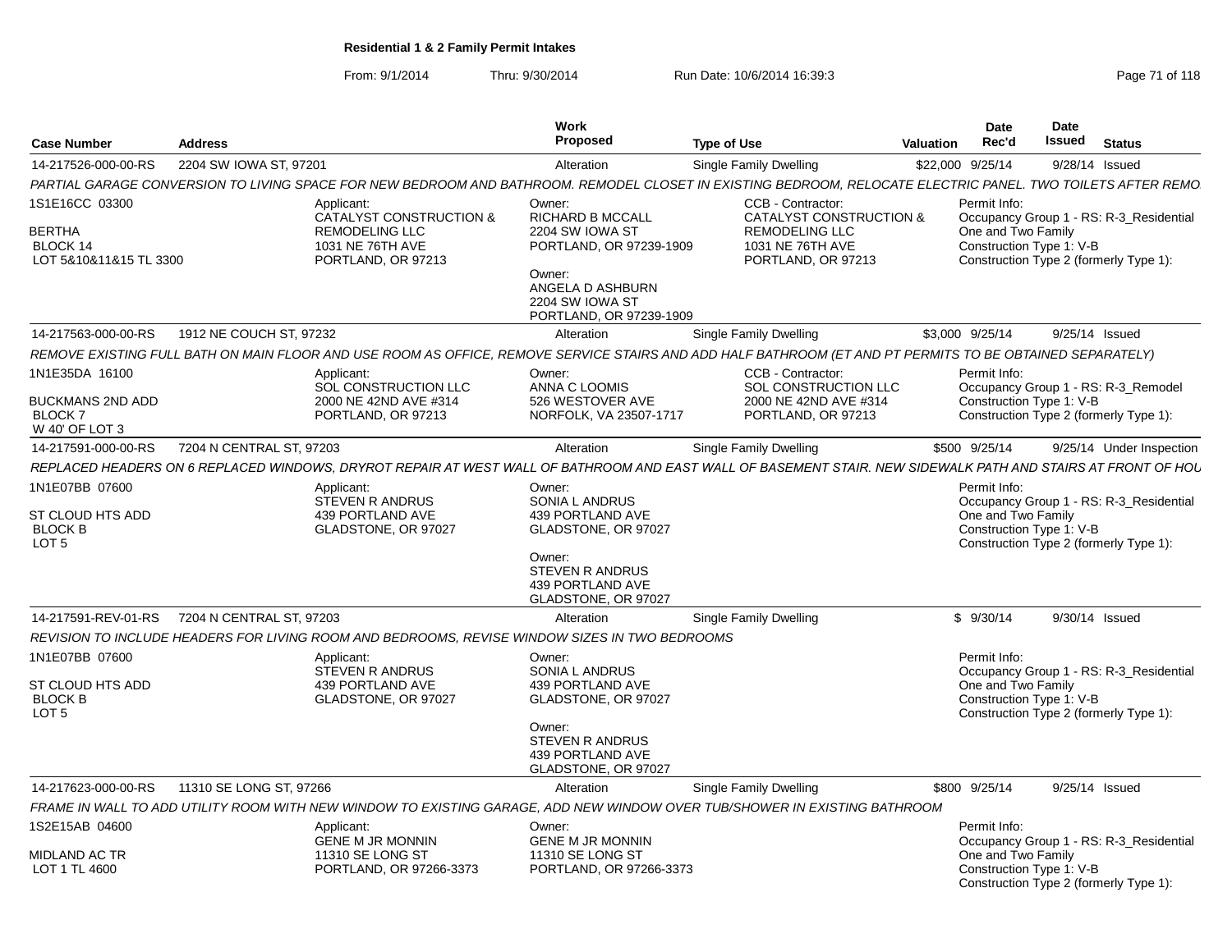From: 9/1/2014Thru: 9/30/2014 Run Date: 10/6/2014 16:39:3<br>
Page 71 of 118

| <b>Case Number</b>                                                       | <b>Address</b>           |                                                                                                                                                              | <b>Work</b><br><b>Proposed</b>                                                                                                                              | <b>Type of Use</b>                                                                                                         | Valuation | <b>Date</b><br>Rec'd                                           | Date<br>Issued | <b>Status</b>                                                                     |
|--------------------------------------------------------------------------|--------------------------|--------------------------------------------------------------------------------------------------------------------------------------------------------------|-------------------------------------------------------------------------------------------------------------------------------------------------------------|----------------------------------------------------------------------------------------------------------------------------|-----------|----------------------------------------------------------------|----------------|-----------------------------------------------------------------------------------|
| 14-217526-000-00-RS                                                      | 2204 SW IOWA ST, 97201   |                                                                                                                                                              | Alteration                                                                                                                                                  | Single Family Dwelling                                                                                                     |           | \$22,000 9/25/14                                               | 9/28/14 Issued |                                                                                   |
|                                                                          |                          | PARTIAL GARAGE CONVERSION TO LIVING SPACE FOR NEW BEDROOM AND BATHROOM. REMODEL CLOSET IN EXISTING BEDROOM, RELOCATE ELECTRIC PANEL. TWO TOILETS AFTER REMO  |                                                                                                                                                             |                                                                                                                            |           |                                                                |                |                                                                                   |
| 1S1E16CC 03300<br>BERTHA<br>BLOCK 14<br>LOT 5&10&11&15 TL 3300           |                          | Applicant:<br>CATALYST CONSTRUCTION &<br><b>REMODELING LLC</b><br>1031 NE 76TH AVE<br>PORTLAND, OR 97213                                                     | Owner:<br><b>RICHARD B MCCALL</b><br>2204 SW IOWA ST<br>PORTLAND, OR 97239-1909<br>Owner:<br>ANGELA D ASHBURN<br>2204 SW IOWA ST<br>PORTLAND, OR 97239-1909 | CCB - Contractor:<br><b>CATALYST CONSTRUCTION &amp;</b><br><b>REMODELING LLC</b><br>1031 NE 76TH AVE<br>PORTLAND, OR 97213 |           | Permit Info:<br>One and Two Family<br>Construction Type 1: V-B |                | Occupancy Group 1 - RS: R-3 Residential<br>Construction Type 2 (formerly Type 1): |
| 14-217563-000-00-RS                                                      | 1912 NE COUCH ST. 97232  |                                                                                                                                                              | Alteration                                                                                                                                                  | Single Family Dwelling                                                                                                     |           | \$3,000 9/25/14                                                | 9/25/14 Issued |                                                                                   |
|                                                                          |                          | REMOVE EXISTING FULL BATH ON MAIN FLOOR AND USE ROOM AS OFFICE, REMOVE SERVICE STAIRS AND ADD HALF BATHROOM (ET AND PT PERMITS TO BE OBTAINED SEPARATELY)    |                                                                                                                                                             |                                                                                                                            |           |                                                                |                |                                                                                   |
| 1N1E35DA 16100<br>BUCKMANS 2ND ADD<br>BLOCK 7<br>W 40' OF LOT 3          |                          | Applicant:<br>SOL CONSTRUCTION LLC<br>2000 NE 42ND AVE #314<br>PORTLAND, OR 97213                                                                            | Owner:<br>ANNA C LOOMIS<br>526 WESTOVER AVE<br>NORFOLK, VA 23507-1717                                                                                       | CCB - Contractor:<br>SOL CONSTRUCTION LLC<br>2000 NE 42ND AVE #314<br>PORTLAND, OR 97213                                   |           | Permit Info:<br>Construction Type 1: V-B                       |                | Occupancy Group 1 - RS: R-3_Remodel<br>Construction Type 2 (formerly Type 1):     |
| 14-217591-000-00-RS                                                      | 7204 N CENTRAL ST, 97203 |                                                                                                                                                              | Alteration                                                                                                                                                  | Single Family Dwelling                                                                                                     |           | \$500 9/25/14                                                  |                | 9/25/14 Under Inspection                                                          |
|                                                                          |                          | REPLACED HEADERS ON 6 REPLACED WINDOWS. DRYROT REPAIR AT WEST WALL OF BATHROOM AND EAST WALL OF BASEMENT STAIR. NEW SIDEWALK PATH AND STAIRS AT FRONT OF HOL |                                                                                                                                                             |                                                                                                                            |           |                                                                |                |                                                                                   |
| 1N1E07BB 07600<br>ST CLOUD HTS ADD<br><b>BLOCK B</b><br>LOT <sub>5</sub> |                          | Applicant:<br><b>STEVEN R ANDRUS</b><br>439 PORTLAND AVE<br>GLADSTONE, OR 97027                                                                              | Owner:<br><b>SONIA L ANDRUS</b><br>439 PORTLAND AVE<br>GLADSTONE, OR 97027<br>Owner:<br><b>STEVEN R ANDRUS</b><br>439 PORTLAND AVE<br>GLADSTONE, OR 97027   |                                                                                                                            |           | Permit Info:<br>One and Two Family<br>Construction Type 1: V-B |                | Occupancy Group 1 - RS: R-3 Residential<br>Construction Type 2 (formerly Type 1): |
| 14-217591-REV-01-RS                                                      | 7204 N CENTRAL ST, 97203 |                                                                                                                                                              | Alteration                                                                                                                                                  | <b>Single Family Dwelling</b>                                                                                              |           | \$9/30/14                                                      | 9/30/14 Issued |                                                                                   |
|                                                                          |                          | REVISION TO INCLUDE HEADERS FOR LIVING ROOM AND BEDROOMS, REVISE WINDOW SIZES IN TWO BEDROOMS                                                                |                                                                                                                                                             |                                                                                                                            |           |                                                                |                |                                                                                   |
| 1N1E07BB 07600<br>ST CLOUD HTS ADD<br><b>BLOCK B</b><br>LOT <sub>5</sub> |                          | Applicant:<br>STEVEN R ANDRUS<br>439 PORTLAND AVE<br>GLADSTONE, OR 97027                                                                                     | Owner:<br>SONIA L ANDRUS<br>439 PORTLAND AVE<br>GLADSTONE, OR 97027<br>Owner:<br><b>STEVEN R ANDRUS</b><br>439 PORTLAND AVE<br>GLADSTONE, OR 97027          |                                                                                                                            |           | Permit Info:<br>One and Two Family<br>Construction Type 1: V-B |                | Occupancy Group 1 - RS: R-3_Residential<br>Construction Type 2 (formerly Type 1): |
| 14-217623-000-00-RS                                                      | 11310 SE LONG ST, 97266  |                                                                                                                                                              | Alteration                                                                                                                                                  | Single Family Dwelling                                                                                                     |           | \$800 9/25/14                                                  | 9/25/14 Issued |                                                                                   |
|                                                                          |                          | FRAME IN WALL TO ADD UTILITY ROOM WITH NEW WINDOW TO EXISTING GARAGE, ADD NEW WINDOW OVER TUB/SHOWER IN EXISTING BATHROOM                                    |                                                                                                                                                             |                                                                                                                            |           |                                                                |                |                                                                                   |
| IS2E15AB 04600                                                           |                          | Applicant:                                                                                                                                                   | Owner:                                                                                                                                                      |                                                                                                                            |           | Permit Info:                                                   |                |                                                                                   |
| MIDLAND AC TR<br>LOT 1 TL 4600                                           |                          | <b>GENE M JR MONNIN</b><br>11310 SE LONG ST<br>PORTLAND, OR 97266-3373                                                                                       | <b>GENE M JR MONNIN</b><br>11310 SE LONG ST<br>PORTLAND, OR 97266-3373                                                                                      |                                                                                                                            |           | One and Two Family<br>Construction Type 1: V-B                 |                | Occupancy Group 1 - RS: R-3_Residential<br>Construction Type 2 (formerly Type 1): |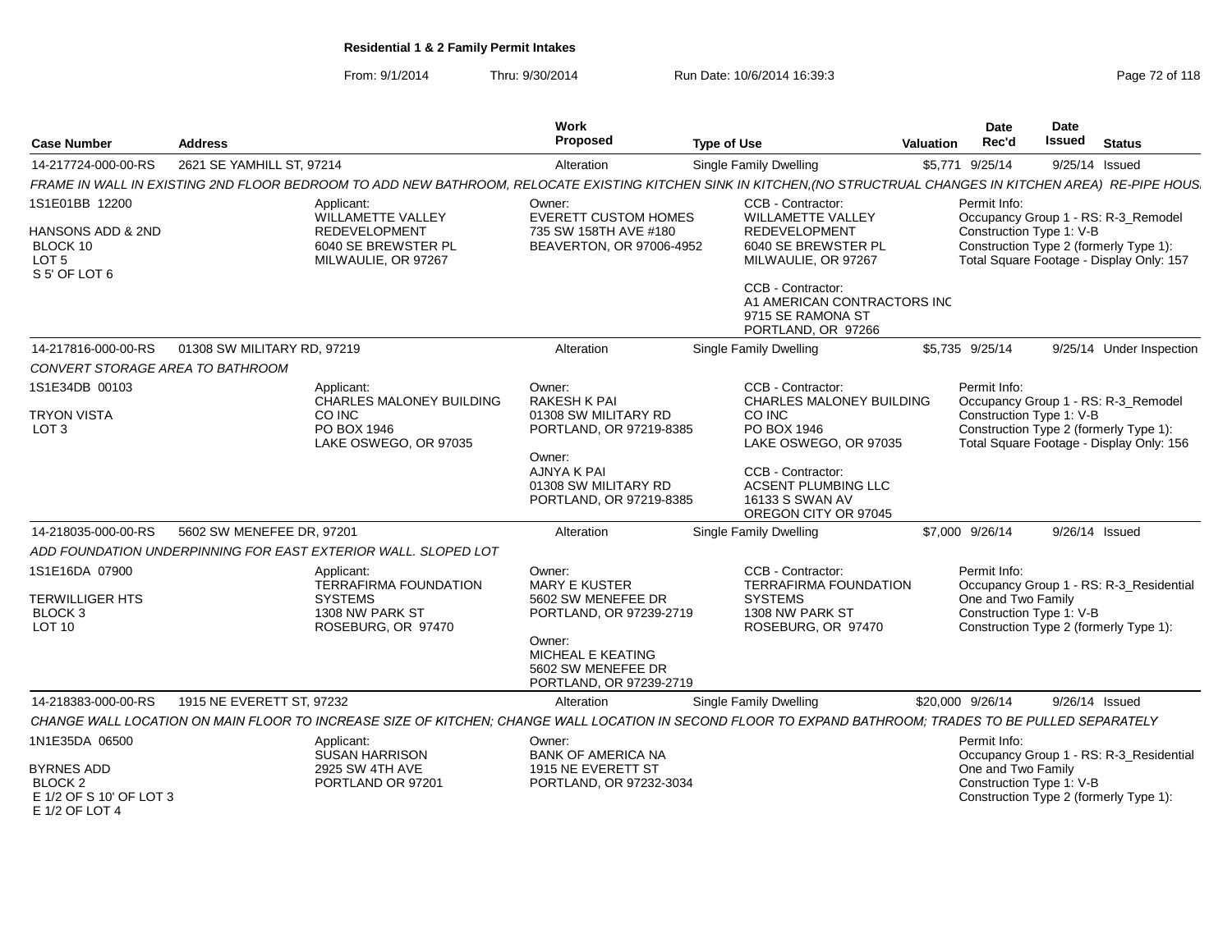## From: 9/1/2014Thru: 9/30/2014 Run Date: 10/6/2014 16:39:3<br>
Page 72 of 118

| <b>Case Number</b>                                                          | <b>Address</b>                                                                                        |                                                                                                                                                                                | Work<br><b>Proposed</b>                                                                     | <b>Type of Use</b>                                                                                           | Valuation | <b>Date</b><br>Rec'd                                                                                                                                                  | <b>Date</b><br><b>Issued</b> | <b>Status</b>                           |
|-----------------------------------------------------------------------------|-------------------------------------------------------------------------------------------------------|--------------------------------------------------------------------------------------------------------------------------------------------------------------------------------|---------------------------------------------------------------------------------------------|--------------------------------------------------------------------------------------------------------------|-----------|-----------------------------------------------------------------------------------------------------------------------------------------------------------------------|------------------------------|-----------------------------------------|
| 14-217724-000-00-RS                                                         | 2621 SE YAMHILL ST, 97214                                                                             |                                                                                                                                                                                | Alteration                                                                                  | <b>Single Family Dwelling</b>                                                                                |           | \$5,771 9/25/14                                                                                                                                                       |                              | 9/25/14 Issued                          |
|                                                                             |                                                                                                       |                                                                                                                                                                                |                                                                                             |                                                                                                              |           |                                                                                                                                                                       |                              |                                         |
| 1S1E01BB 12200                                                              |                                                                                                       | FRAME IN WALL IN EXISTING 2ND FLOOR BEDROOM TO ADD NEW BATHROOM, RELOCATE EXISTING KITCHEN SINK IN KITCHEN, (NO STRUCTRUAL CHANGES IN KITCHEN AREA) RE-PIPE HOUS<br>Applicant: | Owner:                                                                                      | CCB - Contractor:                                                                                            |           | Permit Info:                                                                                                                                                          |                              |                                         |
| HANSONS ADD & 2ND<br>BLOCK 10<br>LOT <sub>5</sub><br>S 5' OF LOT 6          |                                                                                                       | WILLAMETTE VALLEY<br><b>REDEVELOPMENT</b><br>6040 SE BREWSTER PL<br>MILWAULIE, OR 97267                                                                                        | <b>EVERETT CUSTOM HOMES</b><br>735 SW 158TH AVE #180<br>BEAVERTON, OR 97006-4952            | <b>WILLAMETTE VALLEY</b><br><b>REDEVELOPMENT</b><br>6040 SE BREWSTER PL<br>MILWAULIE, OR 97267               |           | Occupancy Group 1 - RS: R-3_Remodel<br>Construction Type 1: V-B<br>Construction Type 2 (formerly Type 1):<br>Total Square Footage - Display Only: 157                 |                              |                                         |
|                                                                             |                                                                                                       |                                                                                                                                                                                | CCB - Contractor:<br>A1 AMERICAN CONTRACTORS INC<br>9715 SE RAMONA ST<br>PORTLAND, OR 97266 |                                                                                                              |           |                                                                                                                                                                       |                              |                                         |
| 14-217816-000-00-RS                                                         | 01308 SW MILITARY RD, 97219                                                                           |                                                                                                                                                                                | Alteration                                                                                  | Single Family Dwelling                                                                                       |           | \$5,735 9/25/14                                                                                                                                                       |                              | 9/25/14 Under Inspection                |
| CONVERT STORAGE AREA TO BATHROOM                                            |                                                                                                       |                                                                                                                                                                                |                                                                                             |                                                                                                              |           |                                                                                                                                                                       |                              |                                         |
| 1S1E34DB 00103                                                              |                                                                                                       | Applicant:<br>CHARLES MALONEY BUILDING                                                                                                                                         | Owner:<br>RAKESH K PAI                                                                      | CCB - Contractor:<br>CHARLES MALONEY BUILDING                                                                |           | Permit Info:<br>Occupancy Group 1 - RS: R-3_Remodel<br>Construction Type 1: V-B<br>Construction Type 2 (formerly Type 1):<br>Total Square Footage - Display Only: 156 |                              |                                         |
| <b>TRYON VISTA</b><br>LOT <sub>3</sub>                                      | CO INC<br>PO BOX 1946<br>LAKE OSWEGO, OR 97035                                                        |                                                                                                                                                                                | 01308 SW MILITARY RD<br>PORTLAND, OR 97219-8385                                             | CO INC<br>PO BOX 1946<br>LAKE OSWEGO, OR 97035                                                               |           |                                                                                                                                                                       |                              |                                         |
|                                                                             |                                                                                                       |                                                                                                                                                                                | Owner:<br>AJNYA K PAI<br>01308 SW MILITARY RD<br>PORTLAND, OR 97219-8385                    | CCB - Contractor:<br>ACSENT PLUMBING LLC<br>16133 S SWAN AV<br>OREGON CITY OR 97045                          |           |                                                                                                                                                                       |                              |                                         |
| 14-218035-000-00-RS                                                         | 5602 SW MENEFEE DR, 97201                                                                             |                                                                                                                                                                                | Alteration                                                                                  | Single Family Dwelling                                                                                       |           | \$7,000 9/26/14                                                                                                                                                       |                              | 9/26/14 Issued                          |
|                                                                             |                                                                                                       | ADD FOUNDATION UNDERPINNING FOR EAST EXTERIOR WALL. SLOPED LOT                                                                                                                 |                                                                                             |                                                                                                              |           |                                                                                                                                                                       |                              |                                         |
| 1S1E16DA 07900<br><b>TERWILLIGER HTS</b><br><b>BLOCK 3</b><br><b>LOT 10</b> | Applicant:<br><b>TERRAFIRMA FOUNDATION</b><br><b>SYSTEMS</b><br>1308 NW PARK ST<br>ROSEBURG, OR 97470 |                                                                                                                                                                                | Owner:<br><b>MARY E KUSTER</b><br>5602 SW MENEFEE DR<br>PORTLAND, OR 97239-2719             | CCB - Contractor:<br><b>TERRAFIRMA FOUNDATION</b><br><b>SYSTEMS</b><br>1308 NW PARK ST<br>ROSEBURG, OR 97470 |           | Permit Info:<br>Occupancy Group 1 - RS: R-3_Residential<br>One and Two Family<br>Construction Type 1: V-B<br>Construction Type 2 (formerly Type 1):                   |                              |                                         |
|                                                                             |                                                                                                       |                                                                                                                                                                                | Owner:<br>MICHEAL E KEATING<br>5602 SW MENEFEE DR<br>PORTLAND, OR 97239-2719                |                                                                                                              |           |                                                                                                                                                                       |                              |                                         |
| 14-218383-000-00-RS                                                         | 1915 NE EVERETT ST, 97232                                                                             |                                                                                                                                                                                | Alteration                                                                                  | Single Family Dwelling                                                                                       |           | \$20,000 9/26/14                                                                                                                                                      |                              | 9/26/14 Issued                          |
|                                                                             |                                                                                                       | CHANGE WALL LOCATION ON MAIN FLOOR TO INCREASE SIZE OF KITCHEN; CHANGE WALL LOCATION IN SECOND FLOOR TO EXPAND BATHROOM; TRADES TO BE PULLED SEPARATELY                        |                                                                                             |                                                                                                              |           |                                                                                                                                                                       |                              |                                         |
| 1N1E35DA 06500                                                              |                                                                                                       | Applicant:<br><b>SUSAN HARRISON</b>                                                                                                                                            | Owner:<br><b>BANK OF AMERICA NA</b>                                                         |                                                                                                              |           | Permit Info:                                                                                                                                                          |                              | Occupancy Group 1 - RS: R-3_Residential |
| <b>BYRNES ADD</b><br>BLOCK 2<br>E 1/2 OF S 10' OF LOT 3<br>E 1/2 OF LOT 4   |                                                                                                       | 2925 SW 4TH AVE<br>PORTLAND OR 97201                                                                                                                                           | 1915 NE EVERETT ST<br>PORTLAND, OR 97232-3034                                               |                                                                                                              |           | One and Two Family<br>Construction Type 1: V-B                                                                                                                        |                              | Construction Type 2 (formerly Type 1):  |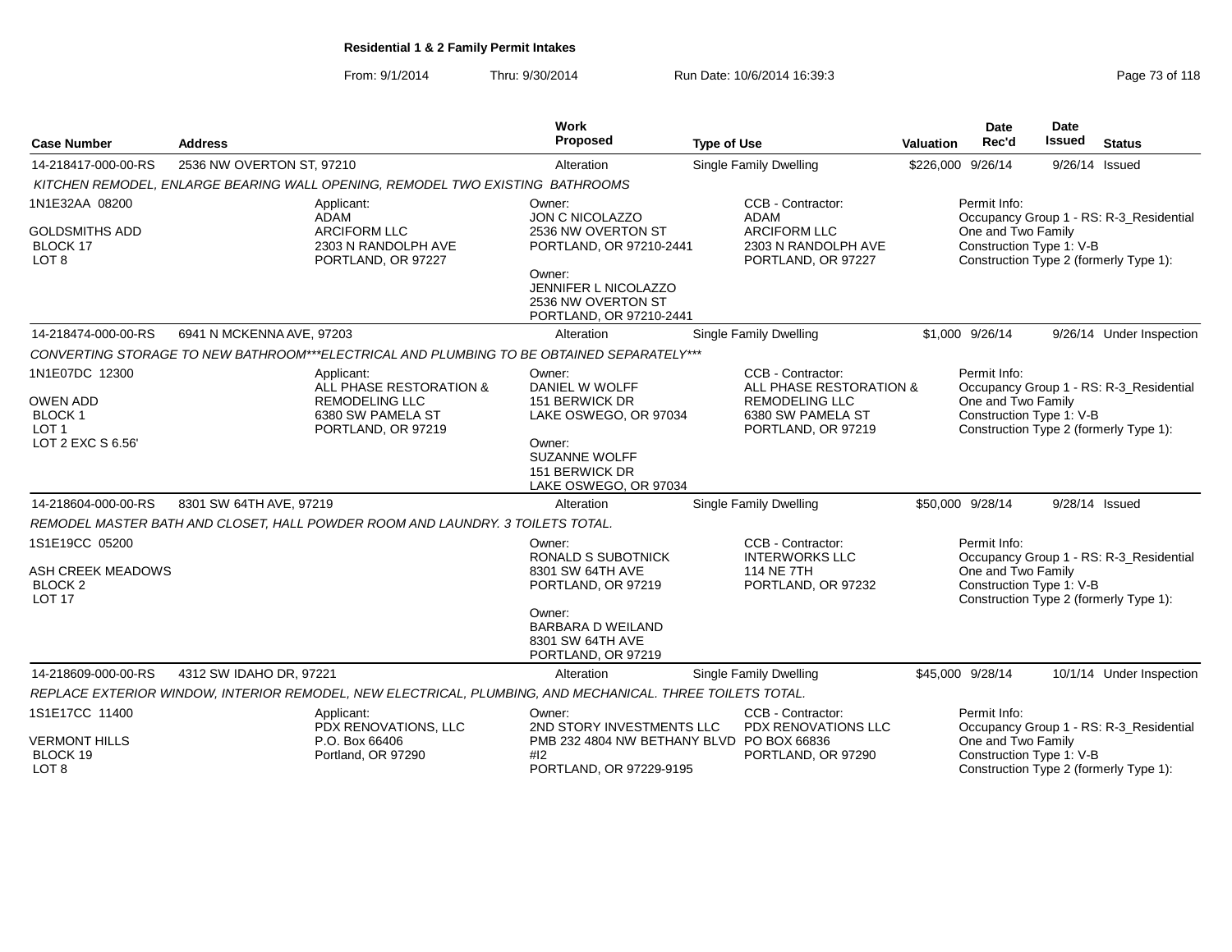From: 9/1/2014Thru: 9/30/2014 Run Date: 10/6/2014 16:39:3<br>
Page 73 of 118

| <b>Case Number</b>                                                     | <b>Address</b>            |                                                                                                           | Work<br>Proposed                                                                | <b>Type of Use</b>                                                                                               | <b>Valuation</b> | <b>Date</b><br>Rec'd                                           | <b>Date</b><br>Issued | <b>Status</b>                                                                     |
|------------------------------------------------------------------------|---------------------------|-----------------------------------------------------------------------------------------------------------|---------------------------------------------------------------------------------|------------------------------------------------------------------------------------------------------------------|------------------|----------------------------------------------------------------|-----------------------|-----------------------------------------------------------------------------------|
| 14-218417-000-00-RS                                                    | 2536 NW OVERTON ST, 97210 |                                                                                                           | Alteration                                                                      | <b>Single Family Dwelling</b>                                                                                    |                  | \$226,000 9/26/14                                              | 9/26/14 Issued        |                                                                                   |
|                                                                        |                           | KITCHEN REMODEL, ENLARGE BEARING WALL OPENING, REMODEL TWO EXISTING BATHROOMS                             |                                                                                 |                                                                                                                  |                  |                                                                |                       |                                                                                   |
| 1N1E32AA 08200                                                         |                           | Applicant:                                                                                                | Owner:                                                                          | CCB - Contractor:                                                                                                |                  | Permit Info:                                                   |                       |                                                                                   |
| <b>GOLDSMITHS ADD</b><br>BLOCK 17<br>LOT <sub>8</sub>                  |                           | <b>ADAM</b><br><b>ARCIFORM LLC</b><br>2303 N RANDOLPH AVE<br>PORTLAND, OR 97227                           | JON C NICOLAZZO<br>2536 NW OVERTON ST<br>PORTLAND, OR 97210-2441                | <b>ADAM</b><br>ARCIFORM LLC<br>2303 N RANDOLPH AVE<br>PORTLAND, OR 97227                                         |                  | One and Two Family<br>Construction Type 1: V-B                 |                       | Occupancy Group 1 - RS: R-3 Residential<br>Construction Type 2 (formerly Type 1): |
|                                                                        |                           |                                                                                                           | Owner:<br>JENNIFER L NICOLAZZO<br>2536 NW OVERTON ST<br>PORTLAND, OR 97210-2441 |                                                                                                                  |                  |                                                                |                       |                                                                                   |
| 14-218474-000-00-RS                                                    | 6941 N MCKENNA AVE, 97203 |                                                                                                           | Alteration                                                                      | <b>Single Family Dwelling</b>                                                                                    |                  | \$1,000 9/26/14                                                |                       | 9/26/14 Under Inspection                                                          |
|                                                                        |                           | CONVERTING STORAGE TO NEW BATHROOM***ELECTRICAL AND PLUMBING TO BE OBTAINED SEPARATELY***                 |                                                                                 |                                                                                                                  |                  |                                                                |                       |                                                                                   |
| 1N1E07DC 12300<br><b>OWEN ADD</b><br><b>BLOCK1</b><br>LOT <sub>1</sub> |                           | Applicant:<br>ALL PHASE RESTORATION &<br><b>REMODELING LLC</b><br>6380 SW PAMELA ST<br>PORTLAND, OR 97219 | Owner:<br>DANIEL W WOLFF<br>151 BERWICK DR<br>LAKE OSWEGO, OR 97034             | CCB - Contractor:<br>ALL PHASE RESTORATION &<br><b>REMODELING LLC</b><br>6380 SW PAMELA ST<br>PORTLAND, OR 97219 |                  | Permit Info:<br>One and Two Family<br>Construction Type 1: V-B |                       | Occupancy Group 1 - RS: R-3_Residential<br>Construction Type 2 (formerly Type 1): |
| LOT 2 EXC S 6.56'                                                      |                           |                                                                                                           | Owner:<br><b>SUZANNE WOLFF</b><br>151 BERWICK DR<br>LAKE OSWEGO, OR 97034       |                                                                                                                  |                  |                                                                |                       |                                                                                   |
| 14-218604-000-00-RS                                                    | 8301 SW 64TH AVE, 97219   |                                                                                                           | Alteration                                                                      | Single Family Dwelling                                                                                           |                  | \$50,000 9/28/14                                               | 9/28/14 Issued        |                                                                                   |
|                                                                        |                           | REMODEL MASTER BATH AND CLOSET, HALL POWDER ROOM AND LAUNDRY. 3 TOILETS TOTAL.                            |                                                                                 |                                                                                                                  |                  |                                                                |                       |                                                                                   |
| 1S1E19CC 05200                                                         |                           |                                                                                                           | Owner:<br>RONALD S SUBOTNICK                                                    | CCB - Contractor:<br><b>INTERWORKS LLC</b>                                                                       |                  | Permit Info:                                                   |                       | Occupancy Group 1 - RS: R-3_Residential                                           |
| ASH CREEK MEADOWS<br><b>BLOCK 2</b><br><b>LOT 17</b>                   |                           |                                                                                                           | 8301 SW 64TH AVE<br>PORTLAND, OR 97219                                          | <b>114 NE 7TH</b><br>PORTLAND, OR 97232                                                                          |                  | One and Two Family<br>Construction Type 1: V-B                 |                       | Construction Type 2 (formerly Type 1):                                            |
|                                                                        |                           |                                                                                                           | Owner:<br><b>BARBARA D WEILAND</b><br>8301 SW 64TH AVE<br>PORTLAND, OR 97219    |                                                                                                                  |                  |                                                                |                       |                                                                                   |
| 14-218609-000-00-RS                                                    | 4312 SW IDAHO DR. 97221   |                                                                                                           | Alteration                                                                      | Single Family Dwelling                                                                                           |                  | \$45,000 9/28/14                                               |                       | 10/1/14 Under Inspection                                                          |
|                                                                        |                           | REPLACE EXTERIOR WINDOW, INTERIOR REMODEL, NEW ELECTRICAL, PLUMBING, AND MECHANICAL. THREE TOILETS TOTAL. |                                                                                 |                                                                                                                  |                  |                                                                |                       |                                                                                   |
| 1S1E17CC 11400                                                         |                           | Applicant:<br>PDX RENOVATIONS, LLC                                                                        | Owner:<br>2ND STORY INVESTMENTS LLC                                             | CCB - Contractor:<br>PDX RENOVATIONS LLC                                                                         |                  | Permit Info:                                                   |                       | Occupancy Group 1 - RS: R-3_Residential                                           |
| <b>VERMONT HILLS</b><br>BLOCK 19<br>LOT <sub>8</sub>                   |                           | P.O. Box 66406<br>Portland, OR 97290                                                                      | PMB 232 4804 NW BETHANY BLVD PO BOX 66836<br>#12<br>PORTLAND, OR 97229-9195     | PORTLAND, OR 97290                                                                                               |                  | One and Two Family<br>Construction Type 1: V-B                 |                       | Construction Type 2 (formerly Type 1):                                            |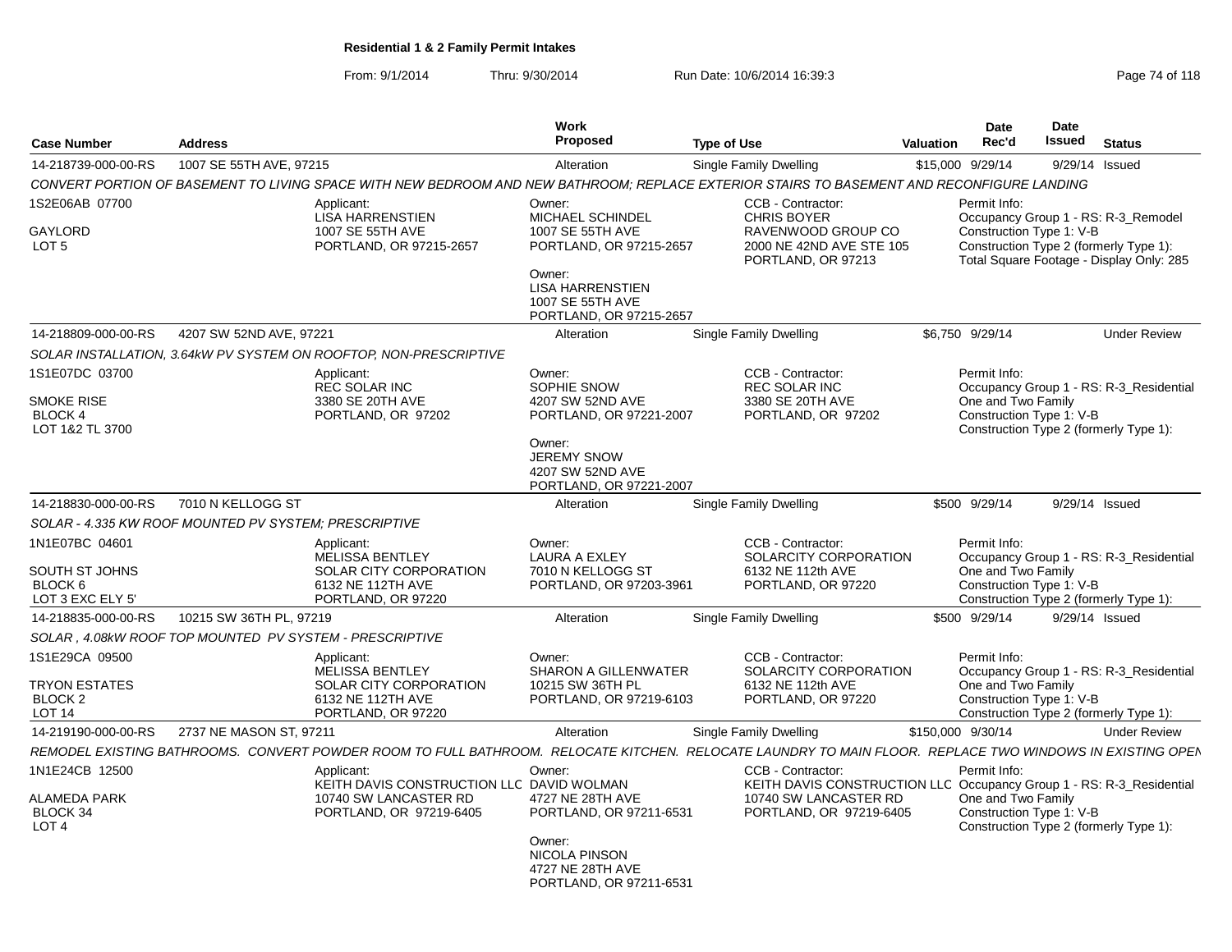From: 9/1/2014Thru: 9/30/2014 Run Date: 10/6/2014 16:39:3<br>
Page 74 of 118

| <b>Case Number</b>                                                         | <b>Address</b>                                          |                                                                                                                                                              | <b>Work</b><br><b>Proposed</b>                                                                                                                                       | <b>Type of Use</b>                                                                                                                            | Valuation | <b>Date</b><br>Rec'd                                           | Date<br><b>Issued</b> | <b>Status</b>                                                                                                             |
|----------------------------------------------------------------------------|---------------------------------------------------------|--------------------------------------------------------------------------------------------------------------------------------------------------------------|----------------------------------------------------------------------------------------------------------------------------------------------------------------------|-----------------------------------------------------------------------------------------------------------------------------------------------|-----------|----------------------------------------------------------------|-----------------------|---------------------------------------------------------------------------------------------------------------------------|
| 14-218739-000-00-RS                                                        | 1007 SE 55TH AVE, 97215                                 |                                                                                                                                                              | Alteration                                                                                                                                                           | <b>Single Family Dwelling</b>                                                                                                                 |           | \$15,000 9/29/14                                               | 9/29/14               | Issued                                                                                                                    |
|                                                                            |                                                         | CONVERT PORTION OF BASEMENT TO LIVING SPACE WITH NEW BEDROOM AND NEW BATHROOM; REPLACE EXTERIOR STAIRS TO BASEMENT AND RECONFIGURE LANDING                   |                                                                                                                                                                      |                                                                                                                                               |           |                                                                |                       |                                                                                                                           |
| 1S2E06AB 07700<br><b>GAYLORD</b><br>LOT <sub>5</sub>                       |                                                         | Applicant:<br><b>LISA HARRENSTIEN</b><br>1007 SE 55TH AVE<br>PORTLAND, OR 97215-2657                                                                         | Owner:<br><b>MICHAEL SCHINDEL</b><br>1007 SE 55TH AVE<br>PORTLAND, OR 97215-2657<br>Owner:<br><b>LISA HARRENSTIEN</b><br>1007 SE 55TH AVE<br>PORTLAND, OR 97215-2657 | CCB - Contractor:<br><b>CHRIS BOYER</b><br>RAVENWOOD GROUP CO<br>2000 NE 42ND AVE STE 105<br>PORTLAND, OR 97213                               |           | Permit Info:<br>Construction Type 1: V-B                       |                       | Occupancy Group 1 - RS: R-3_Remodel<br>Construction Type 2 (formerly Type 1):<br>Total Square Footage - Display Only: 285 |
| 14-218809-000-00-RS                                                        | 4207 SW 52ND AVE, 97221                                 |                                                                                                                                                              | Alteration                                                                                                                                                           | <b>Single Family Dwelling</b>                                                                                                                 |           | \$6,750 9/29/14                                                |                       | <b>Under Review</b>                                                                                                       |
|                                                                            |                                                         | SOLAR INSTALLATION, 3.64kW PV SYSTEM ON ROOFTOP, NON-PRESCRIPTIVE                                                                                            |                                                                                                                                                                      |                                                                                                                                               |           |                                                                |                       |                                                                                                                           |
| 1S1E07DC 03700<br>SMOKE RISE<br><b>BLOCK 4</b><br>LOT 1&2 TL 3700          |                                                         | Applicant:<br><b>REC SOLAR INC</b><br>3380 SE 20TH AVE<br>PORTLAND, OR 97202                                                                                 | Owner:<br>SOPHIE SNOW<br>4207 SW 52ND AVE<br>PORTLAND, OR 97221-2007<br>Owner:<br><b>JEREMY SNOW</b><br>4207 SW 52ND AVE<br>PORTLAND, OR 97221-2007                  | CCB - Contractor:<br><b>REC SOLAR INC</b><br>3380 SE 20TH AVE<br>PORTLAND, OR 97202                                                           |           | Permit Info:<br>One and Two Family<br>Construction Type 1: V-B |                       | Occupancy Group 1 - RS: R-3 Residential<br>Construction Type 2 (formerly Type 1):                                         |
| 14-218830-000-00-RS                                                        | 7010 N KELLOGG ST                                       |                                                                                                                                                              | Alteration                                                                                                                                                           | Single Family Dwelling                                                                                                                        |           | \$500 9/29/14                                                  | 9/29/14 Issued        |                                                                                                                           |
|                                                                            | SOLAR - 4.335 KW ROOF MOUNTED PV SYSTEM; PRESCRIPTIVE   |                                                                                                                                                              |                                                                                                                                                                      |                                                                                                                                               |           |                                                                |                       |                                                                                                                           |
| 1N1E07BC 04601<br>SOUTH ST JOHNS<br>BLOCK <sub>6</sub><br>LOT 3 EXC ELY 5' |                                                         | Applicant:<br><b>MELISSA BENTLEY</b><br>SOLAR CITY CORPORATION<br>6132 NE 112TH AVE<br>PORTLAND, OR 97220                                                    | Owner:<br><b>LAURA A EXLEY</b><br>7010 N KELLOGG ST<br>PORTLAND, OR 97203-3961                                                                                       | CCB - Contractor:<br>SOLARCITY CORPORATION<br>6132 NE 112th AVE<br>PORTLAND, OR 97220                                                         |           | Permit Info:<br>One and Two Family<br>Construction Type 1: V-B |                       | Occupancy Group 1 - RS: R-3_Residential<br>Construction Type 2 (formerly Type 1):                                         |
| 14-218835-000-00-RS                                                        | 10215 SW 36TH PL, 97219                                 |                                                                                                                                                              | Alteration                                                                                                                                                           | Single Family Dwelling                                                                                                                        |           | \$500 9/29/14                                                  | 9/29/14 Issued        |                                                                                                                           |
|                                                                            | SOLAR, 4.08kW ROOF TOP MOUNTED PV SYSTEM - PRESCRIPTIVE |                                                                                                                                                              |                                                                                                                                                                      |                                                                                                                                               |           |                                                                |                       |                                                                                                                           |
| 1S1E29CA 09500<br><b>TRYON ESTATES</b><br><b>BLOCK 2</b><br>LOT 14         |                                                         | Applicant:<br><b>MELISSA BENTLEY</b><br>SOLAR CITY CORPORATION<br>6132 NE 112TH AVE<br>PORTLAND, OR 97220                                                    | Owner:<br><b>SHARON A GILLENWATER</b><br>10215 SW 36TH PL<br>PORTLAND, OR 97219-6103                                                                                 | CCB - Contractor:<br>SOLARCITY CORPORATION<br>6132 NE 112th AVE<br>PORTLAND, OR 97220                                                         |           | Permit Info:<br>One and Two Family<br>Construction Type 1: V-B |                       | Occupancy Group 1 - RS: R-3_Residential<br>Construction Type 2 (formerly Type 1):                                         |
| 14-219190-000-00-RS                                                        | 2737 NE MASON ST, 97211                                 |                                                                                                                                                              | Alteration                                                                                                                                                           | Single Family Dwelling                                                                                                                        |           | \$150,000 9/30/14                                              |                       | <b>Under Review</b>                                                                                                       |
|                                                                            |                                                         | REMODEL EXISTING BATHROOMS.  CONVERT POWDER ROOM TO FULL BATHROOM.  RELOCATE KITCHEN.  RELOCATE LAUNDRY TO MAIN FLOOR.  REPLACE TWO WINDOWS IN EXISTING OPEN |                                                                                                                                                                      |                                                                                                                                               |           |                                                                |                       |                                                                                                                           |
| 1N1E24CB 12500<br><b>ALAMEDA PARK</b><br>BLOCK 34<br>LOT <sub>4</sub>      |                                                         | Applicant:<br>KEITH DAVIS CONSTRUCTION LLC DAVID WOLMAN<br>10740 SW LANCASTER RD<br>PORTLAND, OR 97219-6405                                                  | Owner:<br>4727 NE 28TH AVE<br>PORTLAND, OR 97211-6531<br>Owner:<br><b>NICOLA PINSON</b><br>4727 NE 28TH AVE<br>PORTLAND, OR 97211-6531                               | CCB - Contractor:<br>KEITH DAVIS CONSTRUCTION LLC Occupancy Group 1 - RS: R-3_Residential<br>10740 SW LANCASTER RD<br>PORTLAND, OR 97219-6405 |           | Permit Info:<br>One and Two Family<br>Construction Type 1: V-B |                       | Construction Type 2 (formerly Type 1):                                                                                    |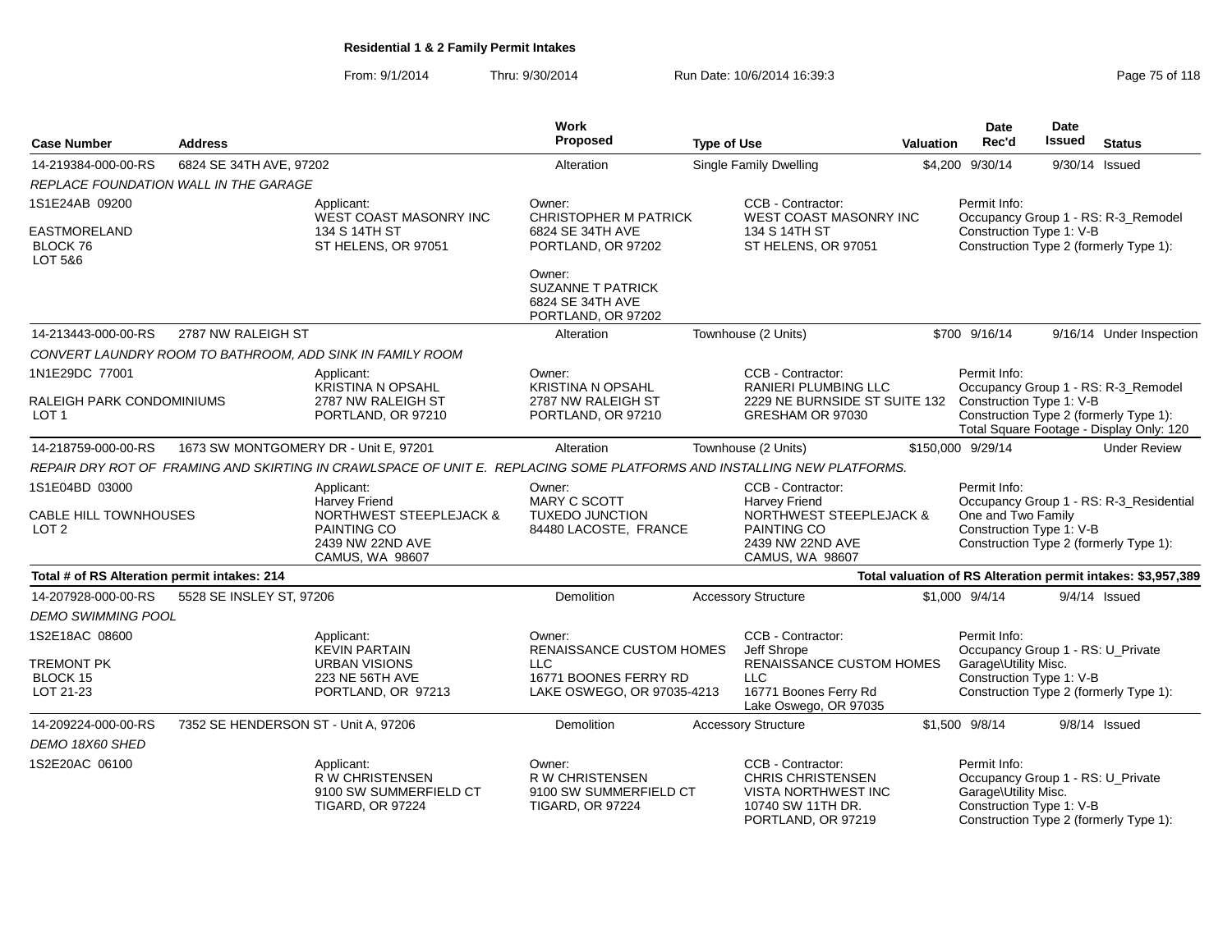From: 9/1/2014Thru: 9/30/2014 Run Date: 10/6/2014 16:39:3<br> **Thru: 9/30/2014** Page 75 of 118

| <b>Case Number</b>                                          | <b>Address</b>                        |                                                                                                                                | <b>Work</b><br><b>Proposed</b>                                                        | <b>Type of Use</b> |                                                                                                                                | Valuation | Date<br>Rec'd                                                                                         | Date<br><b>Issued</b> | <b>Status</b>                                                                                                             |
|-------------------------------------------------------------|---------------------------------------|--------------------------------------------------------------------------------------------------------------------------------|---------------------------------------------------------------------------------------|--------------------|--------------------------------------------------------------------------------------------------------------------------------|-----------|-------------------------------------------------------------------------------------------------------|-----------------------|---------------------------------------------------------------------------------------------------------------------------|
| 14-219384-000-00-RS                                         | 6824 SE 34TH AVE, 97202               |                                                                                                                                | Alteration                                                                            |                    | <b>Single Family Dwelling</b>                                                                                                  |           | \$4,200 9/30/14                                                                                       | 9/30/14 Issued        |                                                                                                                           |
|                                                             | REPLACE FOUNDATION WALL IN THE GARAGE |                                                                                                                                |                                                                                       |                    |                                                                                                                                |           |                                                                                                       |                       |                                                                                                                           |
| 1S1E24AB 09200                                              |                                       | Applicant:<br><b>WEST COAST MASONRY INC</b>                                                                                    | Owner:<br><b>CHRISTOPHER M PATRICK</b>                                                |                    | CCB - Contractor:<br><b>WEST COAST MASONRY INC</b>                                                                             |           | Permit Info:                                                                                          |                       | Occupancy Group 1 - RS: R-3_Remodel                                                                                       |
| <b>EASTMORELAND</b>                                         |                                       | 134 S 14TH ST                                                                                                                  | 6824 SE 34TH AVE                                                                      |                    | 134 S 14TH ST                                                                                                                  |           | Construction Type 1: V-B                                                                              |                       |                                                                                                                           |
| BLOCK 76<br>LOT 5&6                                         |                                       | ST HELENS, OR 97051                                                                                                            | PORTLAND, OR 97202                                                                    |                    | ST HELENS, OR 97051                                                                                                            |           |                                                                                                       |                       | Construction Type 2 (formerly Type 1):                                                                                    |
|                                                             |                                       |                                                                                                                                | Owner:<br><b>SUZANNE T PATRICK</b><br>6824 SE 34TH AVE<br>PORTLAND, OR 97202          |                    |                                                                                                                                |           |                                                                                                       |                       |                                                                                                                           |
| 14-213443-000-00-RS                                         | 2787 NW RALEIGH ST                    |                                                                                                                                | Alteration                                                                            |                    | Townhouse (2 Units)                                                                                                            |           | \$700 9/16/14                                                                                         |                       | 9/16/14 Under Inspection                                                                                                  |
|                                                             |                                       | CONVERT LAUNDRY ROOM TO BATHROOM, ADD SINK IN FAMILY ROOM                                                                      |                                                                                       |                    |                                                                                                                                |           |                                                                                                       |                       |                                                                                                                           |
| 1N1E29DC 77001                                              |                                       | Applicant:<br>KRISTINA N OPSAHL                                                                                                | Owner:<br><b>KRISTINA N OPSAHL</b>                                                    |                    | CCB - Contractor:<br>RANIERI PLUMBING LLC                                                                                      |           | Permit Info:                                                                                          |                       |                                                                                                                           |
| RALEIGH PARK CONDOMINIUMS<br>LOT 1                          |                                       | 2787 NW RALEIGH ST<br>PORTLAND, OR 97210                                                                                       | 2787 NW RALEIGH ST<br>PORTLAND, OR 97210                                              |                    | 2229 NE BURNSIDE ST SUITE 132<br>GRESHAM OR 97030                                                                              |           | Construction Type 1: V-B                                                                              |                       | Occupancy Group 1 - RS: R-3_Remodel<br>Construction Type 2 (formerly Type 1):<br>Total Square Footage - Display Only: 120 |
| 14-218759-000-00-RS                                         |                                       | 1673 SW MONTGOMERY DR - Unit E, 97201                                                                                          | Alteration                                                                            |                    | Townhouse (2 Units)                                                                                                            |           | \$150,000 9/29/14                                                                                     |                       | <b>Under Review</b>                                                                                                       |
|                                                             |                                       | REPAIR DRY ROT OF FRAMING AND SKIRTING IN CRAWLSPACE OF UNIT E. REPLACING SOME PLATFORMS AND INSTALLING NEW PLATFORMS.         |                                                                                       |                    |                                                                                                                                |           |                                                                                                       |                       |                                                                                                                           |
| 1S1E04BD 03000<br>CABLE HILL TOWNHOUSES<br>LOT <sub>2</sub> |                                       | Applicant:<br>Harvey Friend<br><b>NORTHWEST STEEPLEJACK &amp;</b><br>PAINTING CO<br>2439 NW 22ND AVE<br><b>CAMUS, WA 98607</b> | Owner:<br><b>MARY C SCOTT</b><br><b>TUXEDO JUNCTION</b><br>84480 LACOSTE, FRANCE      |                    | CCB - Contractor:<br>Harvey Friend<br><b>NORTHWEST STEEPLEJACK &amp;</b><br>PAINTING CO<br>2439 NW 22ND AVE<br>CAMUS, WA 98607 |           | Permit Info:<br>One and Two Family<br>Construction Type 1: V-B                                        |                       | Occupancy Group 1 - RS: R-3 Residential<br>Construction Type 2 (formerly Type 1):                                         |
| Total # of RS Alteration permit intakes: 214                |                                       |                                                                                                                                |                                                                                       |                    |                                                                                                                                |           |                                                                                                       |                       | Total valuation of RS Alteration permit intakes: \$3,957,389                                                              |
| 14-207928-000-00-RS                                         | 5528 SE INSLEY ST, 97206              |                                                                                                                                | Demolition                                                                            |                    | <b>Accessory Structure</b>                                                                                                     |           | \$1,000 9/4/14                                                                                        |                       | $9/4/14$ Issued                                                                                                           |
| DEMO SWIMMING POOL                                          |                                       |                                                                                                                                |                                                                                       |                    |                                                                                                                                |           |                                                                                                       |                       |                                                                                                                           |
| 1S2E18AC 08600                                              |                                       | Applicant:<br><b>KEVIN PARTAIN</b>                                                                                             | Owner:<br><b>RENAISSANCE CUSTOM HOMES</b>                                             |                    | CCB - Contractor:<br>Jeff Shrope                                                                                               |           | Permit Info:<br>Occupancy Group 1 - RS: U_Private                                                     |                       |                                                                                                                           |
| <b>TREMONT PK</b>                                           |                                       | <b>URBAN VISIONS</b>                                                                                                           | <b>LLC</b>                                                                            |                    | <b>RENAISSANCE CUSTOM HOMES</b>                                                                                                |           | Garage\Utility Misc.                                                                                  |                       |                                                                                                                           |
| <b>BLOCK 15</b>                                             |                                       | 223 NE 56TH AVE                                                                                                                | 16771 BOONES FERRY RD                                                                 |                    | <b>LLC</b>                                                                                                                     |           | Construction Type 1: V-B                                                                              |                       |                                                                                                                           |
| LOT 21-23                                                   |                                       | PORTLAND, OR 97213                                                                                                             | LAKE OSWEGO, OR 97035-4213                                                            |                    | 16771 Boones Ferry Rd<br>Lake Oswego, OR 97035                                                                                 |           |                                                                                                       |                       | Construction Type 2 (formerly Type 1):                                                                                    |
| 14-209224-000-00-RS                                         | 7352 SE HENDERSON ST - Unit A, 97206  |                                                                                                                                | Demolition                                                                            |                    | <b>Accessory Structure</b>                                                                                                     |           | \$1,500 9/8/14                                                                                        |                       | $9/8/14$ Issued                                                                                                           |
| DEMO 18X60 SHED                                             |                                       |                                                                                                                                |                                                                                       |                    |                                                                                                                                |           |                                                                                                       |                       |                                                                                                                           |
| 1S2E20AC 06100                                              |                                       | Applicant:<br><b>R W CHRISTENSEN</b><br>9100 SW SUMMERFIELD CT<br><b>TIGARD, OR 97224</b>                                      | Owner:<br><b>R W CHRISTENSEN</b><br>9100 SW SUMMERFIELD CT<br><b>TIGARD, OR 97224</b> |                    | CCB - Contractor:<br><b>CHRIS CHRISTENSEN</b><br><b>VISTA NORTHWEST INC</b><br>10740 SW 11TH DR.<br>PORTLAND, OR 97219         |           | Permit Info:<br>Occupancy Group 1 - RS: U_Private<br>Garage\Utility Misc.<br>Construction Type 1: V-B |                       | Construction Type 2 (formerly Type 1):                                                                                    |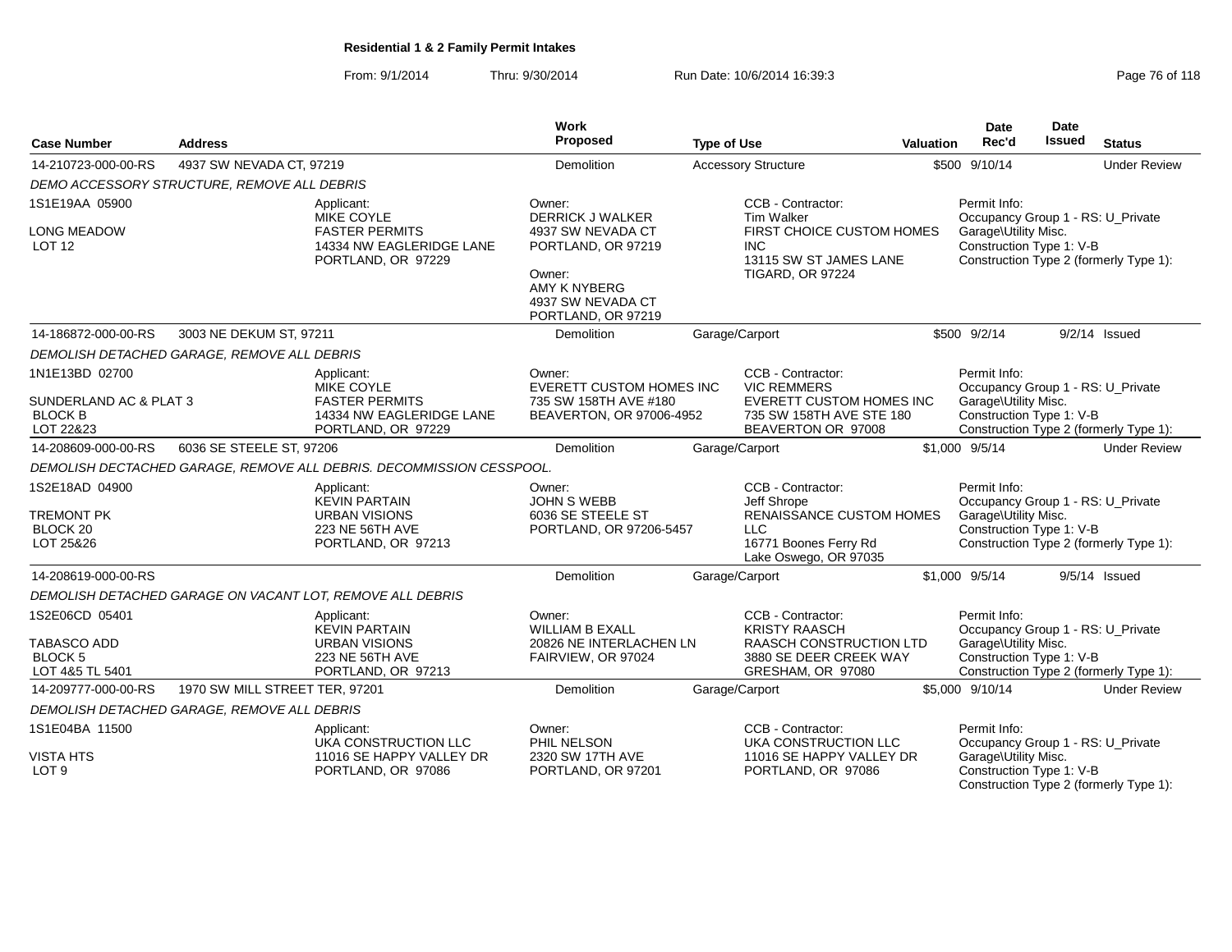From: 9/1/2014Thru: 9/30/2014 Run Date: 10/6/2014 16:39:3<br>
Page 76 of 118

| <b>Case Number</b>                      | <b>Address</b>                              |                                                                         | Work<br>Proposed                                        | <b>Type of Use</b> |                                                                                              | <b>Valuation</b> | <b>Date</b><br>Rec'd                                      | <b>Date</b><br><b>Issued</b> | <b>Status</b>                          |
|-----------------------------------------|---------------------------------------------|-------------------------------------------------------------------------|---------------------------------------------------------|--------------------|----------------------------------------------------------------------------------------------|------------------|-----------------------------------------------------------|------------------------------|----------------------------------------|
| 14-210723-000-00-RS                     | 4937 SW NEVADA CT, 97219                    |                                                                         | Demolition                                              |                    | <b>Accessory Structure</b>                                                                   |                  | \$500 9/10/14                                             |                              | <b>Under Review</b>                    |
|                                         | DEMO ACCESSORY STRUCTURE, REMOVE ALL DEBRIS |                                                                         |                                                         |                    |                                                                                              |                  |                                                           |                              |                                        |
| 1S1E19AA 05900                          |                                             | Applicant:<br><b>MIKE COYLE</b>                                         | Owner:<br><b>DERRICK J WALKER</b>                       |                    | CCB - Contractor:<br><b>Tim Walker</b>                                                       |                  | Permit Info:<br>Occupancy Group 1 - RS: U_Private         |                              |                                        |
| <b>LONG MEADOW</b><br>LOT <sub>12</sub> |                                             | <b>FASTER PERMITS</b><br>14334 NW EAGLERIDGE LANE<br>PORTLAND, OR 97229 | 4937 SW NEVADA CT<br>PORTLAND, OR 97219<br>Owner:       |                    | FIRST CHOICE CUSTOM HOMES<br><b>INC</b><br>13115 SW ST JAMES LANE<br><b>TIGARD, OR 97224</b> |                  | Garage\Utility Misc.<br>Construction Type 1: V-B          |                              | Construction Type 2 (formerly Type 1): |
|                                         |                                             |                                                                         | AMY K NYBERG<br>4937 SW NEVADA CT<br>PORTLAND, OR 97219 |                    |                                                                                              |                  |                                                           |                              |                                        |
| 14-186872-000-00-RS                     | 3003 NE DEKUM ST, 97211                     |                                                                         | <b>Demolition</b>                                       |                    | Garage/Carport                                                                               |                  | \$500 9/2/14                                              |                              | $9/2/14$ Issued                        |
|                                         | DEMOLISH DETACHED GARAGE, REMOVE ALL DEBRIS |                                                                         |                                                         |                    |                                                                                              |                  |                                                           |                              |                                        |
| 1N1E13BD 02700                          |                                             | Applicant:<br><b>MIKE COYLE</b>                                         | Owner:<br><b>EVERETT CUSTOM HOMES INC</b>               |                    | CCB - Contractor:<br><b>VIC REMMERS</b>                                                      |                  | Permit Info:<br>Occupancy Group 1 - RS: U_Private         |                              |                                        |
| SUNDERLAND AC & PLAT 3                  |                                             | <b>FASTER PERMITS</b>                                                   | 735 SW 158TH AVE #180                                   |                    | <b>EVERETT CUSTOM HOMES INC</b>                                                              |                  | Garage\Utility Misc.                                      |                              |                                        |
| <b>BLOCK B</b><br>LOT 22&23             |                                             | 14334 NW EAGLERIDGE LANE<br>PORTLAND, OR 97229                          | BEAVERTON, OR 97006-4952                                |                    | 735 SW 158TH AVE STE 180<br>BEAVERTON OR 97008                                               |                  | Construction Type 1: V-B                                  |                              | Construction Type 2 (formerly Type 1): |
| 14-208609-000-00-RS                     | 6036 SE STEELE ST, 97206                    |                                                                         | <b>Demolition</b>                                       |                    | Garage/Carport                                                                               |                  | \$1,000 9/5/14                                            |                              | <b>Under Review</b>                    |
|                                         |                                             | DEMOLISH DECTACHED GARAGE, REMOVE ALL DEBRIS. DECOMMISSION CESSPOOL.    |                                                         |                    |                                                                                              |                  |                                                           |                              |                                        |
| 1S2E18AD 04900                          |                                             | Applicant:                                                              | Owner:                                                  |                    | CCB - Contractor:                                                                            |                  | Permit Info:                                              |                              |                                        |
| <b>TREMONT PK</b>                       |                                             | <b>KEVIN PARTAIN</b><br><b>URBAN VISIONS</b>                            | <b>JOHN S WEBB</b><br>6036 SE STEELE ST                 |                    | Jeff Shrope<br><b>RENAISSANCE CUSTOM HOMES</b>                                               |                  | Occupancy Group 1 - RS: U Private<br>Garage\Utility Misc. |                              |                                        |
| BLOCK <sub>20</sub>                     |                                             | 223 NE 56TH AVE                                                         | PORTLAND, OR 97206-5457                                 |                    | <b>LLC</b>                                                                                   |                  | Construction Type 1: V-B                                  |                              |                                        |
| LOT 25&26                               |                                             | PORTLAND, OR 97213                                                      |                                                         |                    | 16771 Boones Ferry Rd<br>Lake Oswego, OR 97035                                               |                  |                                                           |                              | Construction Type 2 (formerly Type 1): |
| 14-208619-000-00-RS                     |                                             |                                                                         | Demolition                                              |                    | Garage/Carport                                                                               |                  | \$1,000 9/5/14                                            |                              | 9/5/14 Issued                          |
|                                         |                                             | DEMOLISH DETACHED GARAGE ON VACANT LOT, REMOVE ALL DEBRIS               |                                                         |                    |                                                                                              |                  |                                                           |                              |                                        |
| 1S2E06CD 05401                          |                                             | Applicant:                                                              | Owner:                                                  |                    | CCB - Contractor:                                                                            |                  | Permit Info:                                              |                              |                                        |
| <b>TABASCO ADD</b>                      |                                             | <b>KEVIN PARTAIN</b><br><b>URBAN VISIONS</b>                            | WILLIAM B EXALL<br>20826 NE INTERLACHEN LN              |                    | <b>KRISTY RAASCH</b><br><b>RAASCH CONSTRUCTION LTD</b>                                       |                  | Occupancy Group 1 - RS: U_Private<br>Garage\Utility Misc. |                              |                                        |
| <b>BLOCK 5</b>                          |                                             | 223 NE 56TH AVE                                                         | FAIRVIEW, OR 97024                                      |                    | 3880 SE DEER CREEK WAY                                                                       |                  | Construction Type 1: V-B                                  |                              |                                        |
| LOT 4&5 TL 5401                         |                                             | PORTLAND, OR 97213                                                      |                                                         |                    | GRESHAM, OR 97080                                                                            |                  |                                                           |                              | Construction Type 2 (formerly Type 1): |
| 14-209777-000-00-RS                     | 1970 SW MILL STREET TER, 97201              |                                                                         | <b>Demolition</b>                                       |                    | Garage/Carport                                                                               |                  | \$5,000 9/10/14                                           |                              | <b>Under Review</b>                    |
|                                         | DEMOLISH DETACHED GARAGE, REMOVE ALL DEBRIS |                                                                         |                                                         |                    |                                                                                              |                  |                                                           |                              |                                        |
| 1S1E04BA 11500                          |                                             | Applicant:<br>UKA CONSTRUCTION LLC                                      | Owner:<br>PHIL NELSON                                   |                    | CCB - Contractor:<br>UKA CONSTRUCTION LLC                                                    |                  | Permit Info:<br>Occupancy Group 1 - RS: U_Private         |                              |                                        |
| <b>VISTA HTS</b>                        |                                             | 11016 SE HAPPY VALLEY DR                                                | 2320 SW 17TH AVE                                        |                    | 11016 SE HAPPY VALLEY DR                                                                     |                  | Garage\Utility Misc.                                      |                              |                                        |
| LOT <sub>9</sub>                        |                                             | PORTLAND, OR 97086                                                      | PORTLAND, OR 97201                                      |                    | PORTLAND, OR 97086                                                                           |                  | Construction Type 1: V-B                                  |                              | Construction Type 2 (formerly Type 1): |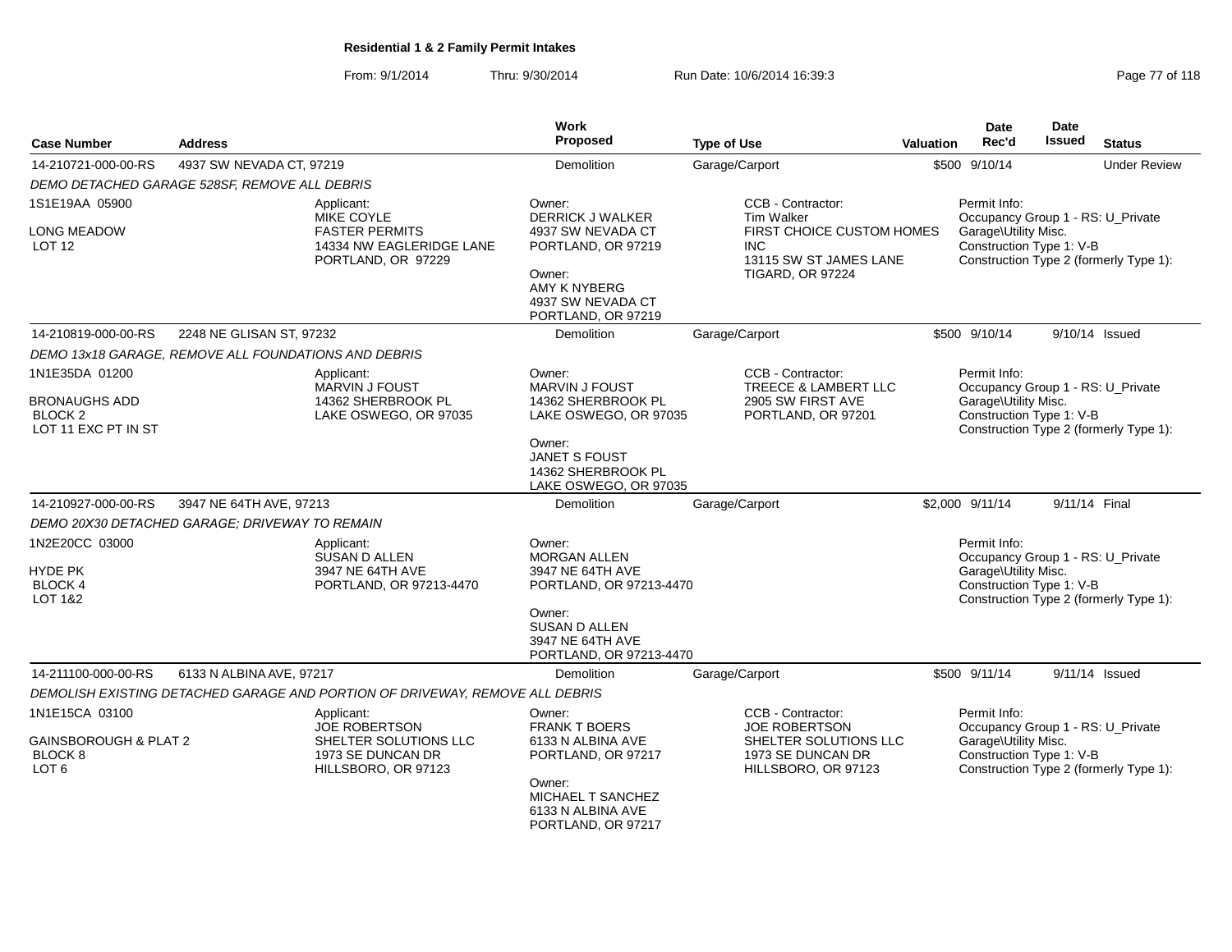From: 9/1/2014Thru: 9/30/2014 Run Date: 10/6/2014 16:39:3<br>
Page 77 of 118

| <b>Case Number</b>                                                                  | <b>Address</b>                                       |                                                                                                            | <b>Work</b><br><b>Proposed</b>                                                                                                                         | <b>Type of Use</b>                                                                                                                     | Valuation | Date<br>Rec'd                                                                                         | Date<br><b>Issued</b> | <b>Status</b>                                                               |
|-------------------------------------------------------------------------------------|------------------------------------------------------|------------------------------------------------------------------------------------------------------------|--------------------------------------------------------------------------------------------------------------------------------------------------------|----------------------------------------------------------------------------------------------------------------------------------------|-----------|-------------------------------------------------------------------------------------------------------|-----------------------|-----------------------------------------------------------------------------|
| 14-210721-000-00-RS                                                                 | 4937 SW NEVADA CT, 97219                             |                                                                                                            | Demolition                                                                                                                                             | Garage/Carport                                                                                                                         |           | \$500 9/10/14                                                                                         |                       | <b>Under Review</b>                                                         |
|                                                                                     | DEMO DETACHED GARAGE 528SF, REMOVE ALL DEBRIS        |                                                                                                            |                                                                                                                                                        |                                                                                                                                        |           |                                                                                                       |                       |                                                                             |
| 1S1E19AA 05900<br><b>LONG MEADOW</b><br><b>LOT 12</b>                               |                                                      | Applicant:<br><b>MIKE COYLE</b><br><b>FASTER PERMITS</b><br>14334 NW EAGLERIDGE LANE<br>PORTLAND, OR 97229 | Owner:<br><b>DERRICK J WALKER</b><br>4937 SW NEVADA CT<br>PORTLAND, OR 97219<br>Owner:<br>AMY K NYBERG<br>4937 SW NEVADA CT<br>PORTLAND, OR 97219      | CCB - Contractor:<br><b>Tim Walker</b><br>FIRST CHOICE CUSTOM HOMES<br><b>INC</b><br>13115 SW ST JAMES LANE<br><b>TIGARD, OR 97224</b> |           | Permit Info:<br>Occupancy Group 1 - RS: U_Private<br>Garage\Utility Misc.<br>Construction Type 1: V-B |                       | Construction Type 2 (formerly Type 1):                                      |
| 14-210819-000-00-RS                                                                 | 2248 NE GLISAN ST, 97232                             |                                                                                                            | Demolition                                                                                                                                             | Garage/Carport                                                                                                                         |           | \$500 9/10/14                                                                                         |                       | 9/10/14 Issued                                                              |
|                                                                                     | DEMO 13x18 GARAGE, REMOVE ALL FOUNDATIONS AND DEBRIS |                                                                                                            |                                                                                                                                                        |                                                                                                                                        |           |                                                                                                       |                       |                                                                             |
| 1N1E35DA 01200<br><b>BRONAUGHS ADD</b><br>BLOCK <sub>2</sub><br>LOT 11 EXC PT IN ST |                                                      | Applicant:<br>MARVIN J FOUST<br>14362 SHERBROOK PL<br>LAKE OSWEGO, OR 97035                                | Owner:<br><b>MARVIN J FOUST</b><br>14362 SHERBROOK PL<br>LAKE OSWEGO, OR 97035<br>Owner:<br>JANET S FOUST<br>14362 SHERBROOK PL                        | CCB - Contractor:<br>TREECE & LAMBERT LLC<br>2905 SW FIRST AVE<br>PORTLAND, OR 97201                                                   |           | Permit Info:<br>Garage\Utility Misc.<br>Construction Type 1: V-B                                      |                       | Occupancy Group 1 - RS: U_Private<br>Construction Type 2 (formerly Type 1): |
| 14-210927-000-00-RS                                                                 | 3947 NE 64TH AVE, 97213                              |                                                                                                            | LAKE OSWEGO, OR 97035<br>Demolition                                                                                                                    | Garage/Carport                                                                                                                         |           | \$2,000 9/11/14                                                                                       |                       | 9/11/14 Final                                                               |
|                                                                                     | DEMO 20X30 DETACHED GARAGE; DRIVEWAY TO REMAIN       |                                                                                                            |                                                                                                                                                        |                                                                                                                                        |           |                                                                                                       |                       |                                                                             |
| 1N2E20CC 03000<br><b>HYDE PK</b><br><b>BLOCK4</b><br>LOT 1&2                        |                                                      | Applicant:<br>SUSAN D ALLEN<br>3947 NE 64TH AVE<br>PORTLAND, OR 97213-4470                                 | Owner:<br><b>MORGAN ALLEN</b><br>3947 NE 64TH AVE<br>PORTLAND, OR 97213-4470<br>Owner:<br>SUSAN D ALLEN<br>3947 NE 64TH AVE<br>PORTLAND, OR 97213-4470 |                                                                                                                                        |           | Permit Info:<br>Occupancy Group 1 - RS: U_Private<br>Garage\Utility Misc.<br>Construction Type 1: V-B |                       | Construction Type 2 (formerly Type 1):                                      |
| 14-211100-000-00-RS                                                                 | 6133 N ALBINA AVE, 97217                             |                                                                                                            | Demolition                                                                                                                                             | Garage/Carport                                                                                                                         |           | \$500 9/11/14                                                                                         |                       | 9/11/14 Issued                                                              |
|                                                                                     |                                                      | DEMOLISH EXISTING DETACHED GARAGE AND PORTION OF DRIVEWAY, REMOVE ALL DEBRIS                               |                                                                                                                                                        |                                                                                                                                        |           |                                                                                                       |                       |                                                                             |
| 1N1E15CA 03100<br><b>GAINSBOROUGH &amp; PLAT 2</b><br>BLOCK 8<br>LOT <sub>6</sub>   |                                                      | Applicant:<br><b>JOE ROBERTSON</b><br>SHELTER SOLUTIONS LLC<br>1973 SE DUNCAN DR<br>HILLSBORO, OR 97123    | Owner:<br><b>FRANK T BOERS</b><br>6133 N ALBINA AVE<br>PORTLAND, OR 97217<br>Owner:<br>MICHAEL T SANCHEZ<br>6133 N ALBINA AVE<br>PORTLAND, OR 97217    | CCB - Contractor:<br><b>JOE ROBERTSON</b><br>SHELTER SOLUTIONS LLC<br>1973 SE DUNCAN DR<br>HILLSBORO, OR 97123                         |           | Permit Info:<br>Garage\Utility Misc.<br>Construction Type 1: V-B                                      |                       | Occupancy Group 1 - RS: U_Private<br>Construction Type 2 (formerly Type 1): |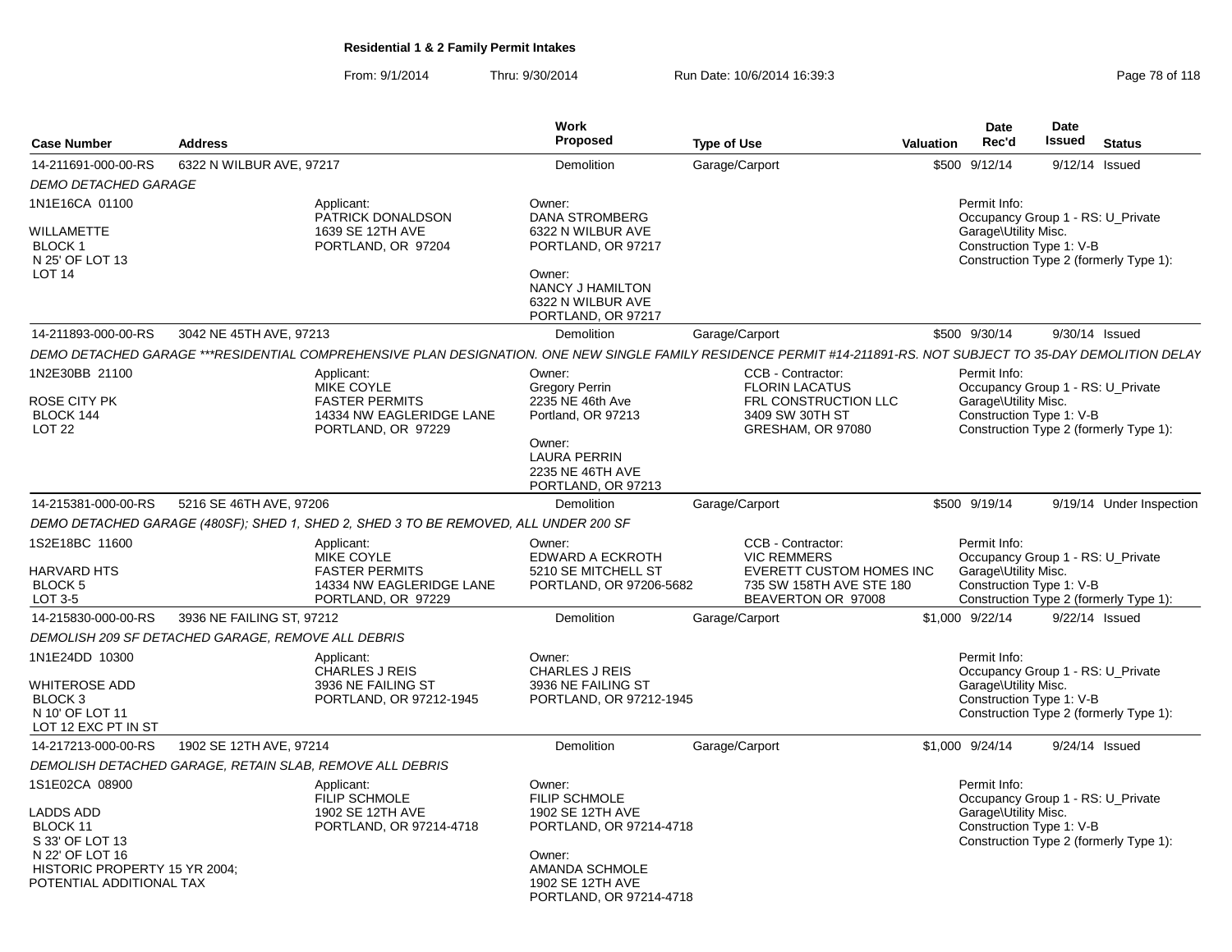From: 9/1/2014Thru: 9/30/2014 Run Date: 10/6/2014 16:39:3<br>
Page 78 of 118

| <b>Case Number</b>                                                                                                                                | <b>Address</b>                                           |                                                                                                            | Work<br><b>Proposed</b>                                                                                                                                  | <b>Type of Use</b>                                                                                                                                               | <b>Valuation</b> | <b>Date</b><br>Rec'd                                                                                                                            | Date<br>Issued | <b>Status</b>                          |
|---------------------------------------------------------------------------------------------------------------------------------------------------|----------------------------------------------------------|------------------------------------------------------------------------------------------------------------|----------------------------------------------------------------------------------------------------------------------------------------------------------|------------------------------------------------------------------------------------------------------------------------------------------------------------------|------------------|-------------------------------------------------------------------------------------------------------------------------------------------------|----------------|----------------------------------------|
| 14-211691-000-00-RS                                                                                                                               | 6322 N WILBUR AVE, 97217                                 |                                                                                                            | Demolition                                                                                                                                               | Garage/Carport                                                                                                                                                   |                  | \$500 9/12/14                                                                                                                                   | 9/12/14 Issued |                                        |
| DEMO DETACHED GARAGE                                                                                                                              |                                                          |                                                                                                            |                                                                                                                                                          |                                                                                                                                                                  |                  |                                                                                                                                                 |                |                                        |
| 1N1E16CA 01100<br>WILLAMETTE<br>BLOCK 1<br>N 25' OF LOT 13<br>LOT <sub>14</sub>                                                                   |                                                          | Applicant:<br>PATRICK DONALDSON<br>1639 SE 12TH AVE<br>PORTLAND, OR 97204                                  | Owner:<br><b>DANA STROMBERG</b><br>6322 N WILBUR AVE<br>PORTLAND, OR 97217<br>Owner:<br>NANCY J HAMILTON<br>6322 N WILBUR AVE<br>PORTLAND, OR 97217      |                                                                                                                                                                  |                  | Permit Info:<br>Occupancy Group 1 - RS: U_Private<br>Garage\Utility Misc.<br>Construction Type 1: V-B<br>Construction Type 2 (formerly Type 1): |                |                                        |
| 14-211893-000-00-RS                                                                                                                               | 3042 NE 45TH AVE, 97213                                  |                                                                                                            | Demolition                                                                                                                                               | Garage/Carport                                                                                                                                                   |                  | \$500 9/30/14                                                                                                                                   | 9/30/14 Issued |                                        |
|                                                                                                                                                   |                                                          |                                                                                                            |                                                                                                                                                          | DEMO DETACHED GARAGE ***RESIDENTIAL COMPREHENSIVE PLAN DESIGNATION. ONE NEW SINGLE FAMILY RESIDENCE PERMIT #14-211891-RS. NOT SUBJECT TO 35-DAY DEMOLITION DELAY |                  |                                                                                                                                                 |                |                                        |
| 1N2E30BB 21100<br>ROSE CITY PK<br>BLOCK 144<br>LOT <sub>22</sub>                                                                                  |                                                          | Applicant:<br><b>MIKE COYLE</b><br><b>FASTER PERMITS</b><br>14334 NW EAGLERIDGE LANE<br>PORTLAND, OR 97229 | Owner:<br><b>Gregory Perrin</b><br>2235 NE 46th Ave<br>Portland, OR 97213<br>Owner:<br><b>LAURA PERRIN</b><br>2235 NE 46TH AVE<br>PORTLAND, OR 97213     | CCB - Contractor:<br><b>FLORIN LACATUS</b><br>FRL CONSTRUCTION LLC<br>3409 SW 30TH ST<br>GRESHAM, OR 97080                                                       |                  | Permit Info:<br>Occupancy Group 1 - RS: U_Private<br>Garage\Utility Misc.<br>Construction Type 1: V-B<br>Construction Type 2 (formerly Type 1): |                |                                        |
| 14-215381-000-00-RS                                                                                                                               | 5216 SE 46TH AVE, 97206                                  |                                                                                                            | Demolition                                                                                                                                               | Garage/Carport                                                                                                                                                   |                  | \$500 9/19/14                                                                                                                                   |                | 9/19/14 Under Inspection               |
|                                                                                                                                                   |                                                          | DEMO DETACHED GARAGE (480SF); SHED 1, SHED 2, SHED 3 TO BE REMOVED, ALL UNDER 200 SF                       |                                                                                                                                                          |                                                                                                                                                                  |                  |                                                                                                                                                 |                |                                        |
| 1S2E18BC 11600<br><b>HARVARD HTS</b><br><b>BLOCK 5</b><br>LOT 3-5                                                                                 |                                                          | Applicant:<br>MIKE COYLE<br><b>FASTER PERMITS</b><br>14334 NW EAGLERIDGE LANE<br>PORTLAND, OR 97229        | Owner:<br>EDWARD A ECKROTH<br>5210 SE MITCHELL ST<br>PORTLAND, OR 97206-5682                                                                             | CCB - Contractor:<br><b>VIC REMMERS</b><br><b>EVERETT CUSTOM HOMES INC</b><br>735 SW 158TH AVE STE 180<br>BEAVERTON OR 97008                                     |                  | Permit Info:<br>Occupancy Group 1 - RS: U_Private<br>Garage\Utility Misc.<br>Construction Type 1: V-B                                           |                | Construction Type 2 (formerly Type 1): |
| 14-215830-000-00-RS                                                                                                                               | 3936 NE FAILING ST, 97212                                |                                                                                                            | Demolition                                                                                                                                               | Garage/Carport                                                                                                                                                   |                  | \$1,000 9/22/14                                                                                                                                 | 9/22/14 Issued |                                        |
|                                                                                                                                                   | DEMOLISH 209 SF DETACHED GARAGE, REMOVE ALL DEBRIS       |                                                                                                            |                                                                                                                                                          |                                                                                                                                                                  |                  |                                                                                                                                                 |                |                                        |
| 1N1E24DD 10300<br>WHITEROSE ADD<br>BLOCK <sub>3</sub><br>N 10' OF LOT 11<br>LOT 12 EXC PT IN ST                                                   |                                                          | Applicant:<br><b>CHARLES J REIS</b><br>3936 NE FAILING ST<br>PORTLAND, OR 97212-1945                       | Owner:<br><b>CHARLES J REIS</b><br>3936 NE FAILING ST<br>PORTLAND, OR 97212-1945                                                                         |                                                                                                                                                                  |                  | Permit Info:<br>Occupancy Group 1 - RS: U Private<br>Garage\Utility Misc.<br>Construction Type 1: V-B<br>Construction Type 2 (formerly Type 1): |                |                                        |
| 14-217213-000-00-RS                                                                                                                               | 1902 SE 12TH AVE, 97214                                  |                                                                                                            | Demolition                                                                                                                                               | Garage/Carport                                                                                                                                                   |                  | \$1,000 9/24/14                                                                                                                                 | 9/24/14 Issued |                                        |
|                                                                                                                                                   | DEMOLISH DETACHED GARAGE, RETAIN SLAB, REMOVE ALL DEBRIS |                                                                                                            |                                                                                                                                                          |                                                                                                                                                                  |                  |                                                                                                                                                 |                |                                        |
| 1S1E02CA 08900<br><b>LADDS ADD</b><br>BLOCK 11<br>S 33' OF LOT 13<br>N 22' OF LOT 16<br>HISTORIC PROPERTY 15 YR 2004;<br>POTENTIAL ADDITIONAL TAX |                                                          | Applicant:<br><b>FILIP SCHMOLE</b><br>1902 SE 12TH AVE<br>PORTLAND, OR 97214-4718                          | Owner:<br><b>FILIP SCHMOLE</b><br>1902 SE 12TH AVE<br>PORTLAND, OR 97214-4718<br>Owner:<br>AMANDA SCHMOLE<br>1902 SE 12TH AVE<br>PORTLAND, OR 97214-4718 |                                                                                                                                                                  |                  | Permit Info:<br>Occupancy Group 1 - RS: U_Private<br>Garage\Utility Misc.<br>Construction Type 1: V-B<br>Construction Type 2 (formerly Type 1): |                |                                        |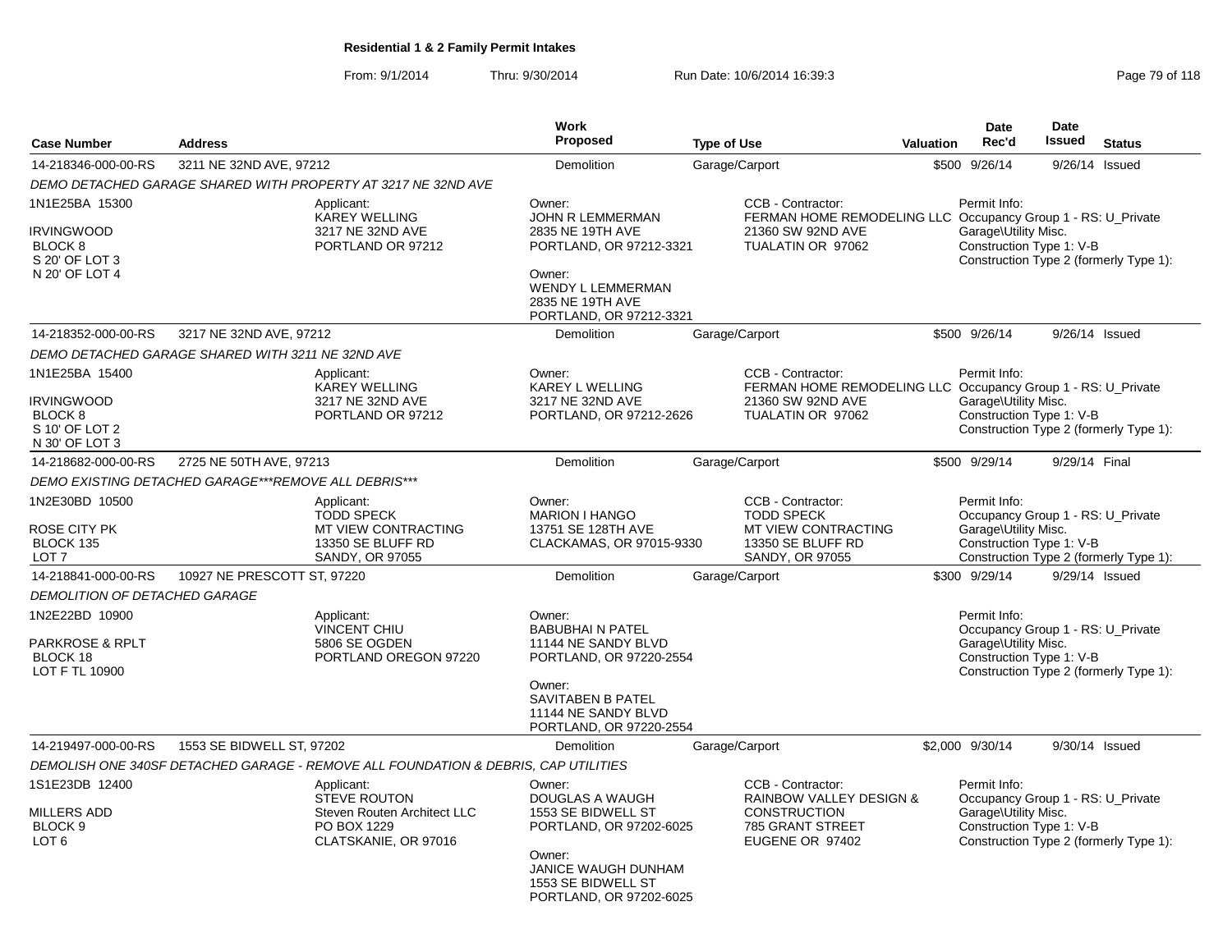From: 9/1/2014Thru: 9/30/2014 Run Date: 10/6/2014 16:39:3<br>
Page 79 of 118

| <b>Case Number</b>                                                                            | <b>Address</b>                                                                                                  | <b>Work</b><br><b>Proposed</b>                                                                                                                            | <b>Type of Use</b>                                                                                           | <b>Date</b><br>Rec'd<br><b>Valuation</b>                                                                                         | <b>Date</b><br><b>Issued</b><br><b>Status</b>                               |
|-----------------------------------------------------------------------------------------------|-----------------------------------------------------------------------------------------------------------------|-----------------------------------------------------------------------------------------------------------------------------------------------------------|--------------------------------------------------------------------------------------------------------------|----------------------------------------------------------------------------------------------------------------------------------|-----------------------------------------------------------------------------|
| 14-218346-000-00-RS                                                                           | 3211 NE 32ND AVE, 97212                                                                                         | Demolition                                                                                                                                                | Garage/Carport                                                                                               | 9/26/14<br>\$500                                                                                                                 | 9/26/14<br>Issued                                                           |
|                                                                                               | DEMO DETACHED GARAGE SHARED WITH PROPERTY AT 3217 NE 32ND AVE                                                   |                                                                                                                                                           |                                                                                                              |                                                                                                                                  |                                                                             |
| 1N1E25BA 15300<br><b>IRVINGWOOD</b><br>BLOCK 8<br>S 20' OF LOT 3<br>N 20' OF LOT 4            | Applicant:<br><b>KAREY WELLING</b><br>3217 NE 32ND AVE<br>PORTLAND OR 97212                                     | Owner:<br>JOHN R LEMMERMAN<br>2835 NE 19TH AVE<br>PORTLAND, OR 97212-3321<br>Owner:<br>WENDY L LEMMERMAN<br>2835 NE 19TH AVE<br>PORTLAND, OR 97212-3321   | CCB - Contractor:<br>21360 SW 92ND AVE<br>TUALATIN OR 97062                                                  | Permit Info:<br>FERMAN HOME REMODELING LLC Occupancy Group 1 - RS: U Private<br>Garage\Utility Misc.<br>Construction Type 1: V-B | Construction Type 2 (formerly Type 1):                                      |
| 14-218352-000-00-RS                                                                           | 3217 NE 32ND AVE, 97212                                                                                         | Demolition                                                                                                                                                | Garage/Carport                                                                                               | \$500 9/26/14                                                                                                                    | 9/26/14 Issued                                                              |
|                                                                                               | DEMO DETACHED GARAGE SHARED WITH 3211 NE 32ND AVE                                                               |                                                                                                                                                           |                                                                                                              |                                                                                                                                  |                                                                             |
| 1N1E25BA 15400<br><b>IRVINGWOOD</b><br>BLOCK <sub>8</sub><br>S 10' OF LOT 2<br>N 30' OF LOT 3 | Applicant:<br><b>KAREY WELLING</b><br>3217 NE 32ND AVE<br>PORTLAND OR 97212                                     | Owner:<br><b>KAREY L WELLING</b><br>3217 NE 32ND AVE<br>PORTLAND, OR 97212-2626                                                                           | CCB - Contractor:<br>21360 SW 92ND AVE<br>TUALATIN OR 97062                                                  | Permit Info:<br>FERMAN HOME REMODELING LLC Occupancy Group 1 - RS: U Private<br>Garage\Utility Misc.<br>Construction Type 1: V-B | Construction Type 2 (formerly Type 1):                                      |
| 14-218682-000-00-RS                                                                           | 2725 NE 50TH AVE, 97213                                                                                         | Demolition                                                                                                                                                | Garage/Carport                                                                                               | \$500 9/29/14                                                                                                                    | 9/29/14 Final                                                               |
|                                                                                               | DEMO EXISTING DETACHED GARAGE***REMOVE ALL DEBRIS***                                                            |                                                                                                                                                           |                                                                                                              |                                                                                                                                  |                                                                             |
| 1N2E30BD 10500<br><b>ROSE CITY PK</b><br>BLOCK 135<br>LOT 7                                   | Applicant:<br><b>TODD SPECK</b><br><b>MT VIEW CONTRACTING</b><br>13350 SE BLUFF RD<br>SANDY, OR 97055           | Owner:<br><b>MARION I HANGO</b><br>13751 SE 128TH AVE<br>CLACKAMAS, OR 97015-9330                                                                         | CCB - Contractor:<br><b>TODD SPECK</b><br><b>MT VIEW CONTRACTING</b><br>13350 SE BLUFF RD<br>SANDY, OR 97055 | Permit Info:<br>Garage\Utility Misc.<br>Construction Type 1: V-B                                                                 | Occupancy Group 1 - RS: U_Private<br>Construction Type 2 (formerly Type 1): |
| 14-218841-000-00-RS                                                                           | 10927 NE PRESCOTT ST, 97220                                                                                     | Demolition                                                                                                                                                | Garage/Carport                                                                                               | \$300 9/29/14                                                                                                                    | 9/29/14 Issued                                                              |
| <b>DEMOLITION OF DETACHED GARAGE</b>                                                          |                                                                                                                 |                                                                                                                                                           |                                                                                                              |                                                                                                                                  |                                                                             |
| 1N2E22BD 10900<br>PARKROSE & RPLT<br>BLOCK 18<br>LOT F TL 10900                               | Applicant:<br><b>VINCENT CHIU</b><br>5806 SE OGDEN<br>PORTLAND OREGON 97220                                     | Owner:<br><b>BABUBHAI N PATEL</b><br>11144 NE SANDY BLVD<br>PORTLAND, OR 97220-2554<br>Owner:<br><b>SAVITABEN B PATEL</b><br>11144 NE SANDY BLVD          |                                                                                                              | Permit Info:<br>Garage\Utility Misc.<br>Construction Type 1: V-B                                                                 | Occupancy Group 1 - RS: U Private<br>Construction Type 2 (formerly Type 1): |
|                                                                                               |                                                                                                                 | PORTLAND, OR 97220-2554                                                                                                                                   |                                                                                                              |                                                                                                                                  |                                                                             |
| 14-219497-000-00-RS                                                                           | 1553 SE BIDWELL ST, 97202<br>DEMOLISH ONE 340SF DETACHED GARAGE - REMOVE ALL FOUNDATION & DEBRIS, CAP UTILITIES | Demolition                                                                                                                                                | Garage/Carport                                                                                               | \$2,000 9/30/14                                                                                                                  | 9/30/14 Issued                                                              |
| 1S1E23DB 12400                                                                                |                                                                                                                 | Owner:                                                                                                                                                    | CCB - Contractor:                                                                                            | Permit Info:                                                                                                                     |                                                                             |
| <b>MILLERS ADD</b><br>BLOCK 9<br>LOT <sub>6</sub>                                             | Applicant:<br><b>STEVE ROUTON</b><br>Steven Routen Architect LLC<br>PO BOX 1229<br>CLATSKANIE, OR 97016         | DOUGLAS A WAUGH<br>1553 SE BIDWELL ST<br>PORTLAND, OR 97202-6025<br>Owner:<br><b>JANICE WAUGH DUNHAM</b><br>1553 SE BIDWELL ST<br>PORTLAND, OR 97202-6025 | <b>RAINBOW VALLEY DESIGN &amp;</b><br><b>CONSTRUCTION</b><br>785 GRANT STREET<br>EUGENE OR 97402             | Garage\Utility Misc.<br>Construction Type 1: V-B                                                                                 | Occupancy Group 1 - RS: U_Private<br>Construction Type 2 (formerly Type 1): |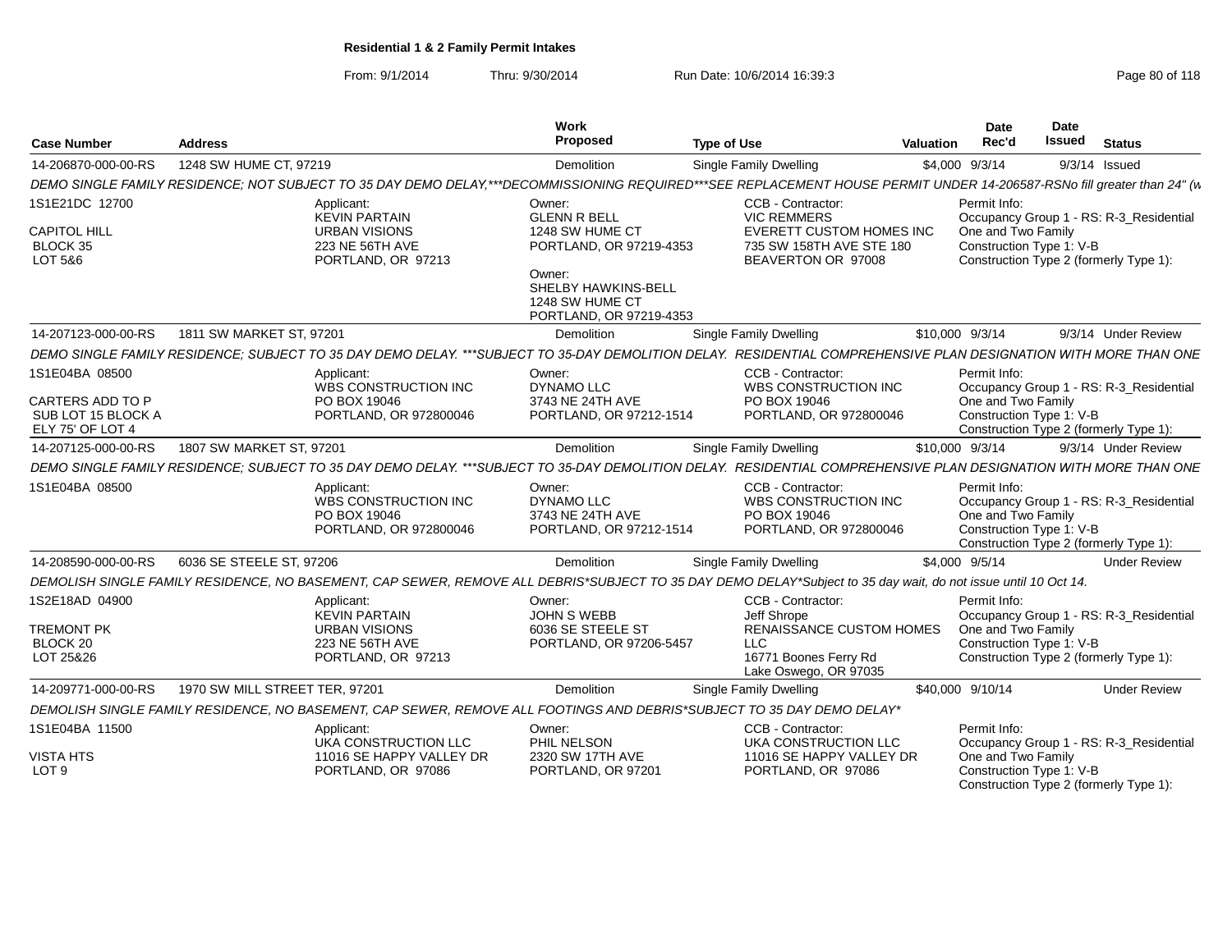From: 9/1/2014Thru: 9/30/2014 Run Date: 10/6/2014 16:39:3<br>
Page 80 of 118

| <b>Case Number</b>                                                           | <b>Address</b>                 |                                                                                                     | Work<br>Proposed                                                                                                                | <b>Type of Use</b>                                                                                                                                                       | <b>Valuation</b> | <b>Date</b><br>Rec'd               | Date<br><b>Issued</b>    | <b>Status</b>                                                                     |
|------------------------------------------------------------------------------|--------------------------------|-----------------------------------------------------------------------------------------------------|---------------------------------------------------------------------------------------------------------------------------------|--------------------------------------------------------------------------------------------------------------------------------------------------------------------------|------------------|------------------------------------|--------------------------|-----------------------------------------------------------------------------------|
| 14-206870-000-00-RS                                                          | 1248 SW HUME CT, 97219         |                                                                                                     | Demolition                                                                                                                      | Single Family Dwelling                                                                                                                                                   |                  | \$4,000 9/3/14                     |                          | $9/3/14$ Issued                                                                   |
|                                                                              |                                |                                                                                                     |                                                                                                                                 | DEMO SINGLE FAMILY RESIDENCE; NOT SUBJECT TO 35 DAY DEMO DELAY,***DECOMMISSIONING REQUIRED***SEE REPLACEMENT HOUSE PERMIT UNDER 14-206587-RSNo fill greater than 24" (vi |                  |                                    |                          |                                                                                   |
| 1S1E21DC 12700<br><b>CAPITOL HILL</b><br>BLOCK 35<br>LOT 5&6                 |                                | Applicant:<br><b>KEVIN PARTAIN</b><br><b>URBAN VISIONS</b><br>223 NE 56TH AVE<br>PORTLAND, OR 97213 | Owner:<br><b>GLENN R BELL</b><br>1248 SW HUME CT<br>PORTLAND, OR 97219-4353<br>Owner:<br>SHELBY HAWKINS-BELL<br>1248 SW HUME CT | CCB - Contractor:<br><b>VIC REMMERS</b><br><b>EVERETT CUSTOM HOMES INC</b><br>735 SW 158TH AVE STE 180<br>BEAVERTON OR 97008                                             |                  | Permit Info:<br>One and Two Family | Construction Type 1: V-B | Occupancy Group 1 - RS: R-3 Residential<br>Construction Type 2 (formerly Type 1): |
| 14-207123-000-00-RS                                                          | 1811 SW MARKET ST, 97201       |                                                                                                     | PORTLAND, OR 97219-4353<br>Demolition                                                                                           | <b>Single Family Dwelling</b>                                                                                                                                            |                  | \$10,000 9/3/14                    |                          | 9/3/14 Under Review                                                               |
|                                                                              |                                |                                                                                                     |                                                                                                                                 | DEMO SINGLE FAMILY RESIDENCE: SUBJECT TO 35 DAY DEMO DELAY. ***SUBJECT TO 35-DAY DEMOLITION DELAY. RESIDENTIAL COMPREHENSIVE PLAN DESIGNATION WITH MORE THAN ONE         |                  |                                    |                          |                                                                                   |
|                                                                              |                                |                                                                                                     |                                                                                                                                 |                                                                                                                                                                          |                  |                                    |                          |                                                                                   |
| 1S1E04BA 08500<br>CARTERS ADD TO P<br>SUB LOT 15 BLOCK A<br>ELY 75' OF LOT 4 |                                | Applicant:<br><b>WBS CONSTRUCTION INC</b><br>PO BOX 19046<br>PORTLAND, OR 972800046                 | Owner:<br>DYNAMO LLC<br>3743 NE 24TH AVE<br>PORTLAND, OR 97212-1514                                                             | CCB - Contractor:<br><b>WBS CONSTRUCTION INC</b><br>PO BOX 19046<br>PORTLAND, OR 972800046                                                                               |                  | Permit Info:<br>One and Two Family | Construction Type 1: V-B | Occupancy Group 1 - RS: R-3 Residential<br>Construction Type 2 (formerly Type 1): |
| 14-207125-000-00-RS                                                          | 1807 SW MARKET ST, 97201       |                                                                                                     | Demolition                                                                                                                      | Single Family Dwelling                                                                                                                                                   |                  | \$10,000 9/3/14                    |                          | 9/3/14 Under Review                                                               |
|                                                                              |                                |                                                                                                     |                                                                                                                                 | DEMO SINGLE FAMILY RESIDENCE; SUBJECT TO 35 DAY DEMO DELAY. ***SUBJECT TO 35-DAY DEMOLITION DELAY. RESIDENTIAL COMPREHENSIVE PLAN DESIGNATION WITH MORE THAN ONE         |                  |                                    |                          |                                                                                   |
| 1S1E04BA 08500                                                               |                                | Applicant:<br><b>WBS CONSTRUCTION INC</b><br>PO BOX 19046<br>PORTLAND, OR 972800046                 | Owner:<br><b>DYNAMO LLC</b><br>3743 NE 24TH AVE<br>PORTLAND, OR 97212-1514                                                      | CCB - Contractor:<br><b>WBS CONSTRUCTION INC</b><br>PO BOX 19046<br>PORTLAND, OR 972800046                                                                               |                  | Permit Info:<br>One and Two Family | Construction Type 1: V-B | Occupancy Group 1 - RS: R-3_Residential<br>Construction Type 2 (formerly Type 1): |
| 14-208590-000-00-RS                                                          | 6036 SE STEELE ST. 97206       |                                                                                                     | Demolition                                                                                                                      | Single Family Dwelling                                                                                                                                                   |                  | \$4,000 9/5/14                     |                          | <b>Under Review</b>                                                               |
|                                                                              |                                |                                                                                                     |                                                                                                                                 | DEMOLISH SINGLE FAMILY RESIDENCE, NO BASEMENT, CAP SEWER, REMOVE ALL DEBRIS*SUBJECT TO 35 DAY DEMO DELAY*Subject to 35 day wait, do not issue until 10 Oct 14.           |                  |                                    |                          |                                                                                   |
| 1S2E18AD 04900<br><b>TREMONT PK</b><br>BLOCK 20<br>LOT 25&26                 |                                | Applicant:<br><b>KEVIN PARTAIN</b><br><b>URBAN VISIONS</b><br>223 NE 56TH AVE<br>PORTLAND, OR 97213 | Owner:<br>JOHN S WEBB<br>6036 SE STEELE ST<br>PORTLAND, OR 97206-5457                                                           | CCB - Contractor:<br>Jeff Shrope<br>RENAISSANCE CUSTOM HOMES<br><b>LLC</b><br>16771 Boones Ferry Rd                                                                      |                  | Permit Info:<br>One and Two Family | Construction Type 1: V-B | Occupancy Group 1 - RS: R-3_Residential<br>Construction Type 2 (formerly Type 1): |
|                                                                              |                                |                                                                                                     |                                                                                                                                 | Lake Oswego, OR 97035                                                                                                                                                    |                  | \$40,000 9/10/14                   |                          | <b>Under Review</b>                                                               |
| 14-209771-000-00-RS                                                          | 1970 SW MILL STREET TER, 97201 |                                                                                                     | Demolition                                                                                                                      | Single Family Dwelling                                                                                                                                                   |                  |                                    |                          |                                                                                   |
|                                                                              |                                |                                                                                                     |                                                                                                                                 | DEMOLISH SINGLE FAMILY RESIDENCE, NO BASEMENT, CAP SEWER, REMOVE ALL FOOTINGS AND DEBRIS*SUBJECT TO 35 DAY DEMO DELAY*                                                   |                  |                                    |                          |                                                                                   |
| 1S1E04BA 11500                                                               |                                | Applicant:<br>UKA CONSTRUCTION LLC                                                                  | Owner:<br>PHIL NELSON                                                                                                           | CCB - Contractor:<br>UKA CONSTRUCTION LLC                                                                                                                                |                  | Permit Info:                       |                          | Occupancy Group 1 - RS: R-3 Residential                                           |
| <b>VISTA HTS</b><br>LOT <sub>9</sub>                                         |                                | 11016 SE HAPPY VALLEY DR<br>PORTLAND, OR 97086                                                      | 2320 SW 17TH AVE<br>PORTLAND, OR 97201                                                                                          | 11016 SE HAPPY VALLEY DR<br>PORTLAND, OR 97086                                                                                                                           |                  | One and Two Family                 | Construction Type 1: V-B | Construction Type 2 (formerly Type 1):                                            |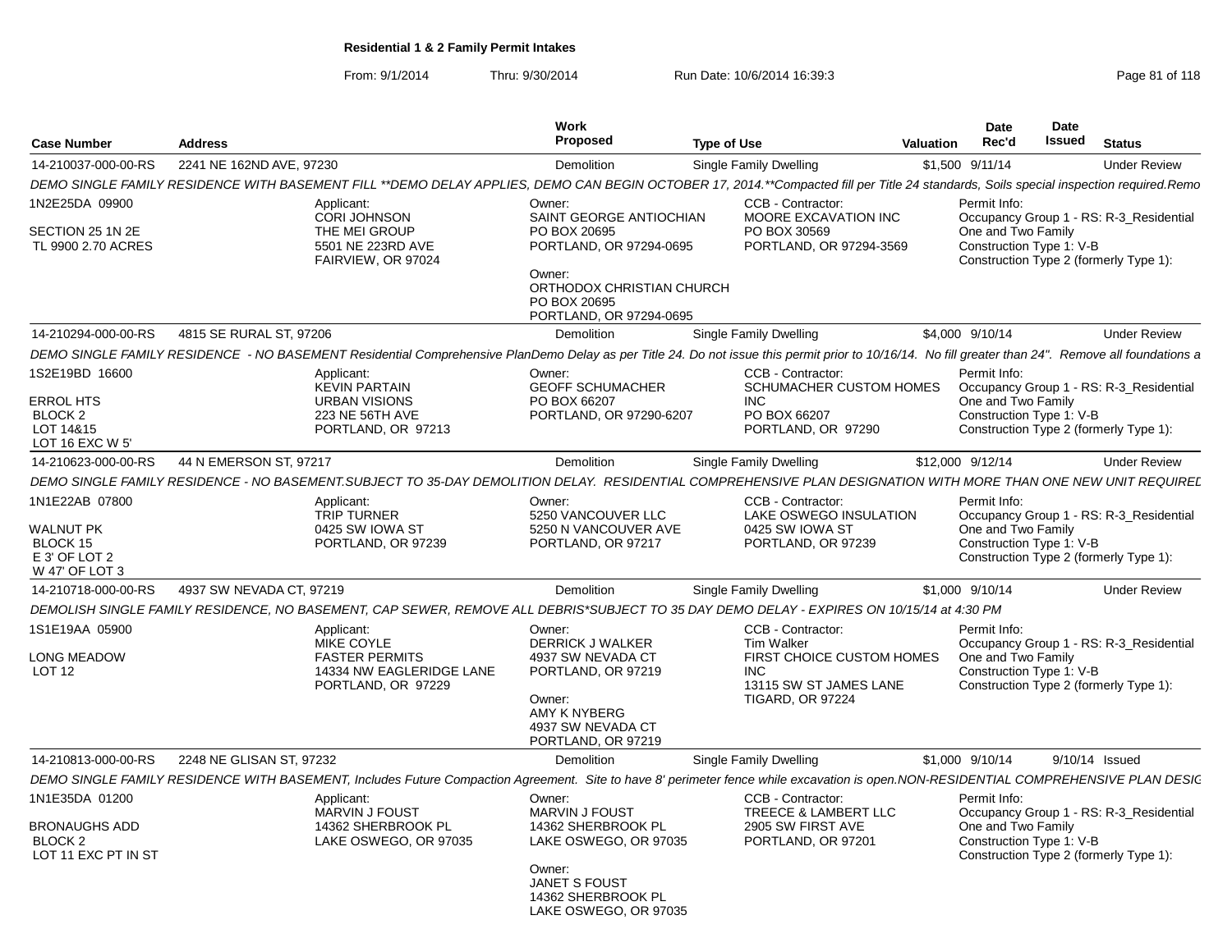From: 9/1/2014Thru: 9/30/2014 Run Date: 10/6/2014 16:39:3<br>
Page 81 of 118

| <b>Case Number</b>                                                                | <b>Address</b>           |                                                                                                                                                                                                     | Work<br>Proposed                                                                                                                                                | <b>Type of Use</b>                                                                                  | <b>Valuation</b>          | Date<br>Rec'd                                                  | <b>Date</b><br>Issued | <b>Status</b>                                                                     |
|-----------------------------------------------------------------------------------|--------------------------|-----------------------------------------------------------------------------------------------------------------------------------------------------------------------------------------------------|-----------------------------------------------------------------------------------------------------------------------------------------------------------------|-----------------------------------------------------------------------------------------------------|---------------------------|----------------------------------------------------------------|-----------------------|-----------------------------------------------------------------------------------|
| 14-210037-000-00-RS                                                               | 2241 NE 162ND AVE, 97230 |                                                                                                                                                                                                     | Demolition                                                                                                                                                      | Single Family Dwelling                                                                              |                           | \$1,500 9/11/14                                                |                       | <b>Under Review</b>                                                               |
|                                                                                   |                          | DEMO SINGLE FAMILY RESIDENCE WITH BASEMENT FILL **DEMO DELAY APPLIES, DEMO CAN BEGIN OCTOBER 17, 2014.**Compacted fill per Title 24 standards, Soils special inspection required.Remo               |                                                                                                                                                                 |                                                                                                     |                           |                                                                |                       |                                                                                   |
| 1N2E25DA 09900<br>SECTION 25 1N 2E<br>TL 9900 2.70 ACRES                          |                          | Applicant:<br><b>CORI JOHNSON</b><br>THE MEI GROUP<br>5501 NE 223RD AVE<br>FAIRVIEW, OR 97024                                                                                                       | Owner:<br>SAINT GEORGE ANTIOCHIAN<br>PO BOX 20695<br>PORTLAND, OR 97294-0695<br>Owner:<br>ORTHODOX CHRISTIAN CHURCH<br>PO BOX 20695<br>PORTLAND, OR 97294-0695  | CCB - Contractor:<br>MOORE EXCAVATION INC<br>PO BOX 30569<br>PORTLAND, OR 97294-3569                |                           | Permit Info:<br>One and Two Family<br>Construction Type 1: V-B |                       | Occupancy Group 1 - RS: R-3_Residential<br>Construction Type 2 (formerly Type 1): |
| 14-210294-000-00-RS                                                               | 4815 SE RURAL ST. 97206  |                                                                                                                                                                                                     | Demolition                                                                                                                                                      | Single Family Dwelling                                                                              |                           | \$4,000 9/10/14                                                |                       | <b>Under Review</b>                                                               |
|                                                                                   |                          | DEMO SINGLE FAMILY RESIDENCE - NO BASEMENT Residential Comprehensive PlanDemo Delay as per Title 24. Do not issue this permit prior to 10/16/14. No fill greater than 24". Remove all foundations a |                                                                                                                                                                 |                                                                                                     |                           |                                                                |                       |                                                                                   |
| 1S2E19BD 16600<br><b>ERROL HTS</b><br>BLOCK 2<br>LOT 14&15<br>LOT 16 EXC W 5'     |                          | Applicant:<br><b>KEVIN PARTAIN</b><br><b>URBAN VISIONS</b><br>223 NE 56TH AVE<br>PORTLAND, OR 97213                                                                                                 | Owner:<br><b>GEOFF SCHUMACHER</b><br>PO BOX 66207<br>PORTLAND, OR 97290-6207                                                                                    | CCB - Contractor:<br>INC.<br>PO BOX 66207<br>PORTLAND, OR 97290                                     | SCHUMACHER CUSTOM HOMES   | Permit Info:<br>One and Two Family<br>Construction Type 1: V-B |                       | Occupancy Group 1 - RS: R-3_Residential<br>Construction Type 2 (formerly Type 1): |
| 14-210623-000-00-RS                                                               | 44 N EMERSON ST, 97217   |                                                                                                                                                                                                     | Demolition                                                                                                                                                      | Single Family Dwelling                                                                              |                           | \$12,000 9/12/14                                               |                       | <b>Under Review</b>                                                               |
|                                                                                   |                          | DEMO SINGLE FAMILY RESIDENCE - NO BASEMENT.SUBJECT TO 35-DAY DEMOLITION DELAY. RESIDENTIAL COMPREHENSIVE PLAN DESIGNATION WITH MORE THAN ONE NEW UNIT REQUIREL                                      |                                                                                                                                                                 |                                                                                                     |                           |                                                                |                       |                                                                                   |
| 1N1E22AB 07800<br><b>WALNUT PK</b><br>BLOCK 15<br>E 3' OF LOT 2<br>W 47' OF LOT 3 |                          | Applicant:<br><b>TRIP TURNER</b><br>0425 SW IOWA ST<br>PORTLAND, OR 97239                                                                                                                           | Owner:<br>5250 VANCOUVER LLC<br>5250 N VANCOUVER AVE<br>PORTLAND, OR 97217                                                                                      | CCB - Contractor:<br>LAKE OSWEGO INSULATION<br>0425 SW IOWA ST<br>PORTLAND, OR 97239                |                           | Permit Info:<br>One and Two Family<br>Construction Type 1: V-B |                       | Occupancy Group 1 - RS: R-3_Residential<br>Construction Type 2 (formerly Type 1): |
| 14-210718-000-00-RS                                                               | 4937 SW NEVADA CT, 97219 |                                                                                                                                                                                                     | Demolition                                                                                                                                                      | Single Family Dwelling                                                                              |                           | \$1,000 9/10/14                                                |                       | <b>Under Review</b>                                                               |
|                                                                                   |                          | DEMOLISH SINGLE FAMILY RESIDENCE. NO BASEMENT, CAP SEWER, REMOVE ALL DEBRIS*SUBJECT TO 35 DAY DEMO DELAY - EXPIRES ON 10/15/14 at 4:30 PM                                                           |                                                                                                                                                                 |                                                                                                     |                           |                                                                |                       |                                                                                   |
| 1S1E19AA 05900<br><b>LONG MEADOW</b><br>LOT <sub>12</sub>                         |                          | Applicant:<br>MIKE COYLE<br><b>FASTER PERMITS</b><br>14334 NW EAGLERIDGE LANE<br>PORTLAND, OR 97229                                                                                                 | Owner:<br>DERRICK J WALKER<br>4937 SW NEVADA CT<br>PORTLAND, OR 97219<br>Owner:<br>AMY K NYBERG<br>4937 SW NEVADA CT<br>PORTLAND, OR 97219                      | CCB - Contractor:<br><b>Tim Walker</b><br>INC.<br>13115 SW ST JAMES LANE<br><b>TIGARD, OR 97224</b> | FIRST CHOICE CUSTOM HOMES | Permit Info:<br>One and Two Family<br>Construction Type 1: V-B |                       | Occupancy Group 1 - RS: R-3_Residential<br>Construction Type 2 (formerly Type 1): |
| 14-210813-000-00-RS                                                               | 2248 NE GLISAN ST, 97232 |                                                                                                                                                                                                     | Demolition                                                                                                                                                      | <b>Single Family Dwelling</b>                                                                       |                           | \$1,000 9/10/14                                                |                       | 9/10/14 Issued                                                                    |
|                                                                                   |                          | DEMO SINGLE FAMILY RESIDENCE WITH BASEMENT, Includes Future Compaction Agreement. Site to have 8' perimeter fence while excavation is open.NON-RESIDENTIAL COMPREHENSIVE PLAN DESIC                 |                                                                                                                                                                 |                                                                                                     |                           |                                                                |                       |                                                                                   |
| 1N1E35DA 01200<br><b>BRONAUGHS ADD</b><br>BLOCK 2<br>LOT 11 EXC PT IN ST          |                          | Applicant:<br><b>MARVIN J FOUST</b><br>14362 SHERBROOK PL<br>LAKE OSWEGO, OR 97035                                                                                                                  | Owner:<br><b>MARVIN J FOUST</b><br>14362 SHERBROOK PL<br>LAKE OSWEGO, OR 97035<br>Owner:<br><b>JANET S FOUST</b><br>14362 SHERBROOK PL<br>LAKE OSWEGO, OR 97035 | CCB - Contractor:<br>TREECE & LAMBERT LLC<br>2905 SW FIRST AVE<br>PORTLAND, OR 97201                |                           | Permit Info:<br>One and Two Family<br>Construction Type 1: V-B |                       | Occupancy Group 1 - RS: R-3 Residential<br>Construction Type 2 (formerly Type 1): |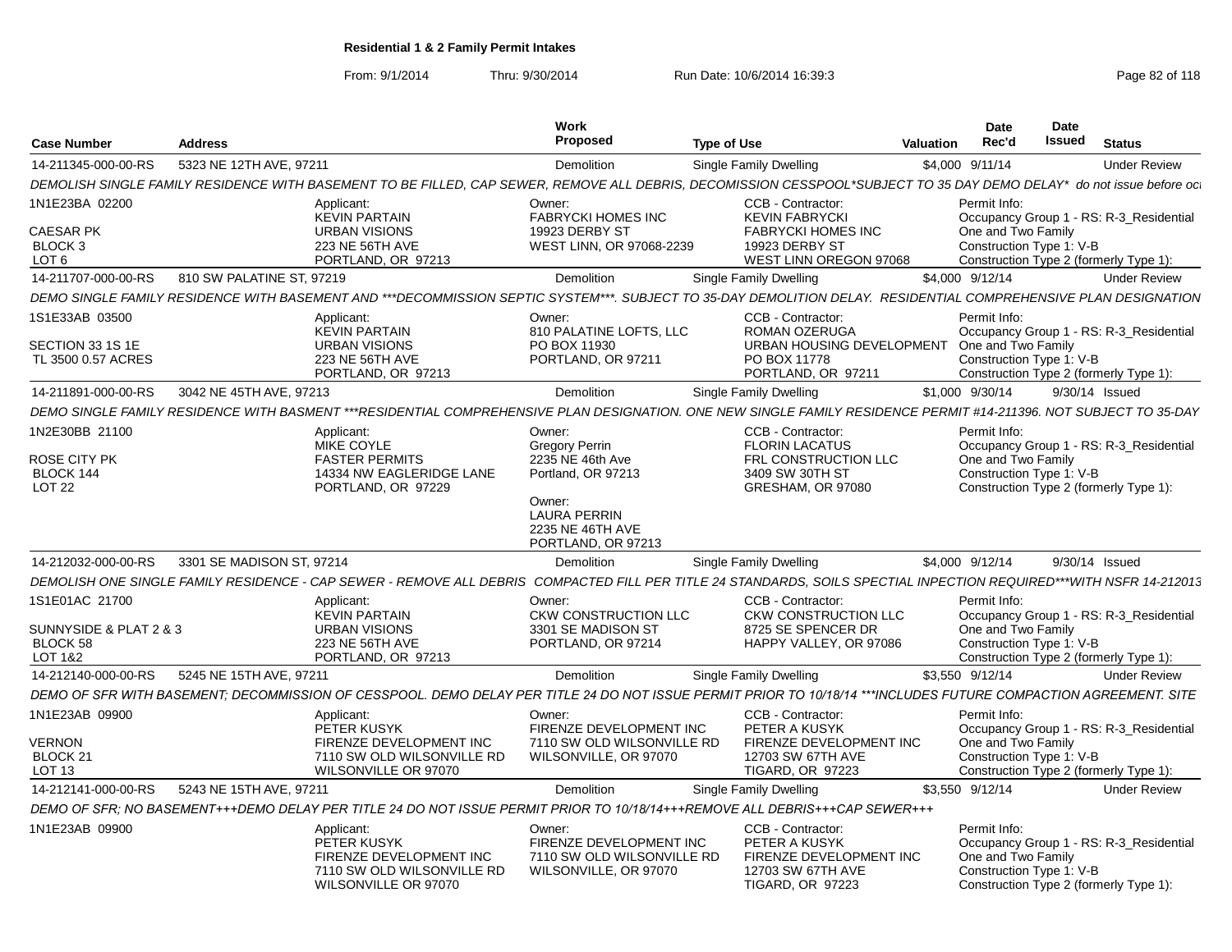From: 9/1/2014Thru: 9/30/2014 Run Date: 10/6/2014 16:39:3<br>
Page 82 of 118

| <b>Case Number</b>                                              | <b>Address</b>                                                                                                                                                       | Work<br>Proposed                                                                                                  | <b>Type of Use</b>                                                                                            | <b>Valuation</b> | Date<br>Rec'd                                                  | Date<br><b>Issued</b> | <b>Status</b>                                                                     |
|-----------------------------------------------------------------|----------------------------------------------------------------------------------------------------------------------------------------------------------------------|-------------------------------------------------------------------------------------------------------------------|---------------------------------------------------------------------------------------------------------------|------------------|----------------------------------------------------------------|-----------------------|-----------------------------------------------------------------------------------|
| 14-211345-000-00-RS                                             | 5323 NE 12TH AVE, 97211                                                                                                                                              | Demolition                                                                                                        | <b>Single Family Dwelling</b>                                                                                 | \$4,000 9/11/14  |                                                                |                       | <b>Under Review</b>                                                               |
|                                                                 | DEMOLISH SINGLE FAMILY RESIDENCE WITH BASEMENT TO BE FILLED, CAP SEWER, REMOVE ALL DEBRIS, DECOMISSION CESSPOOL*SUBJECT TO 35 DAY DEMO DELAY* do not issue before oc |                                                                                                                   |                                                                                                               |                  |                                                                |                       |                                                                                   |
| 1N1E23BA 02200                                                  | Applicant:                                                                                                                                                           | Owner:                                                                                                            | CCB - Contractor:                                                                                             |                  | Permit Info:                                                   |                       |                                                                                   |
| <b>CAESAR PK</b><br>BLOCK <sub>3</sub><br>LOT <sub>6</sub>      | <b>KEVIN PARTAIN</b><br><b>URBAN VISIONS</b><br>223 NE 56TH AVE<br>PORTLAND, OR 97213                                                                                | <b>FABRYCKI HOMES INC</b><br>19923 DERBY ST<br><b>WEST LINN, OR 97068-2239</b>                                    | <b>KEVIN FABRYCKI</b><br><b>FABRYCKI HOMES INC</b><br>19923 DERBY ST<br>WEST LINN OREGON 97068                |                  | One and Two Family<br>Construction Type 1: V-B                 |                       | Occupancy Group 1 - RS: R-3_Residential<br>Construction Type 2 (formerly Type 1): |
| 14-211707-000-00-RS                                             | 810 SW PALATINE ST, 97219                                                                                                                                            | Demolition                                                                                                        | Single Family Dwelling                                                                                        | \$4,000 9/12/14  |                                                                |                       | <b>Under Review</b>                                                               |
|                                                                 | DEMO SINGLE FAMILY RESIDENCE WITH BASEMENT AND ***DECOMMISSION SEPTIC SYSTEM***. SUBJECT TO 35-DAY DEMOLITION DELAY. RESIDENTIAL COMPREHENSIVE PLAN DESIGNATION      |                                                                                                                   |                                                                                                               |                  |                                                                |                       |                                                                                   |
| 1S1E33AB 03500<br>SECTION 33 1S 1E                              | Applicant:<br><b>KEVIN PARTAIN</b><br><b>URBAN VISIONS</b>                                                                                                           | Owner:<br>810 PALATINE LOFTS. LLC<br>PO BOX 11930                                                                 | CCB - Contractor:<br><b>ROMAN OZERUGA</b><br>URBAN HOUSING DEVELOPMENT                                        |                  | Permit Info:<br>One and Two Family                             |                       | Occupancy Group 1 - RS: R-3 Residential                                           |
| TL 3500 0.57 ACRES                                              | 223 NE 56TH AVE<br>PORTLAND, OR 97213                                                                                                                                | PORTLAND, OR 97211                                                                                                | PO BOX 11778<br>PORTLAND, OR 97211                                                                            |                  | Construction Type 1: V-B                                       |                       | Construction Type 2 (formerly Type 1):                                            |
| 14-211891-000-00-RS                                             | 3042 NE 45TH AVE, 97213                                                                                                                                              | Demolition                                                                                                        | Single Family Dwelling                                                                                        | \$1,000 9/30/14  |                                                                |                       | 9/30/14 Issued                                                                    |
|                                                                 | DEMO SINGLE FAMILY RESIDENCE WITH BASMENT ***RESIDENTIAL COMPREHENSIVE PLAN DESIGNATION. ONE NEW SINGLE FAMILY RESIDENCE PERMIT #14-211396. NOT SUBJECT TO 35-DAY    |                                                                                                                   |                                                                                                               |                  |                                                                |                       |                                                                                   |
| 1N2E30BB 21100                                                  | Applicant:<br>MIKE COYLE                                                                                                                                             | Owner:<br><b>Gregory Perrin</b>                                                                                   | CCB - Contractor:<br><b>FLORIN LACATUS</b>                                                                    |                  | Permit Info:                                                   |                       | Occupancy Group 1 - RS: R-3 Residential                                           |
| ROSE CITY PK<br>BLOCK 144<br>LOT <sub>22</sub>                  | <b>FASTER PERMITS</b><br>14334 NW EAGLERIDGE LANE<br>PORTLAND, OR 97229                                                                                              | 2235 NE 46th Ave<br>Portland, OR 97213<br>Owner:<br><b>LAURA PERRIN</b><br>2235 NE 46TH AVE<br>PORTLAND, OR 97213 | FRL CONSTRUCTION LLC<br>3409 SW 30TH ST<br>GRESHAM, OR 97080                                                  |                  | One and Two Family<br>Construction Type 1: V-B                 |                       | Construction Type 2 (formerly Type 1):                                            |
| 14-212032-000-00-RS                                             | 3301 SE MADISON ST, 97214                                                                                                                                            | Demolition                                                                                                        | Single Family Dwelling                                                                                        | \$4,000 9/12/14  |                                                                |                       | 9/30/14 Issued                                                                    |
|                                                                 | DEMOLISH ONE SINGLE FAMILY RESIDENCE - CAP SEWER - REMOVE ALL DEBRIS COMPACTED FILL PER TITLE 24 STANDARDS. SOILS SPECTIAL INPECTION REQUIRED***WITH NSFR 14-212013  |                                                                                                                   |                                                                                                               |                  |                                                                |                       |                                                                                   |
| 1S1E01AC 21700<br>SUNNYSIDE & PLAT 2 & 3<br>BLOCK 58<br>LOT 1&2 | Applicant:<br><b>KEVIN PARTAIN</b><br><b>URBAN VISIONS</b><br>223 NE 56TH AVE<br>PORTLAND, OR 97213                                                                  | Owner:<br><b>CKW CONSTRUCTION LLC</b><br>3301 SE MADISON ST<br>PORTLAND, OR 97214                                 | CCB - Contractor:<br><b>CKW CONSTRUCTION LLC</b><br>8725 SE SPENCER DR<br>HAPPY VALLEY, OR 97086              |                  | Permit Info:<br>One and Two Family<br>Construction Type 1: V-B |                       | Occupancy Group 1 - RS: R-3_Residential<br>Construction Type 2 (formerly Type 1): |
| 14-212140-000-00-RS                                             | 5245 NE 15TH AVE, 97211                                                                                                                                              | Demolition                                                                                                        | Single Family Dwelling                                                                                        | \$3.550 9/12/14  |                                                                |                       | <b>Under Review</b>                                                               |
|                                                                 | DEMO OF SFR WITH BASEMENT: DECOMMISSION OF CESSPOOL. DEMO DELAY PER TITLE 24 DO NOT ISSUE PERMIT PRIOR TO 10/18/14 ***INCLUDES FUTURE COMPACTION AGREEMENT. SITE     |                                                                                                                   |                                                                                                               |                  |                                                                |                       |                                                                                   |
| 1N1E23AB 09900                                                  | Applicant:<br>PETER KUSYK                                                                                                                                            | Owner:<br>FIRENZE DEVELOPMENT INC                                                                                 | CCB - Contractor:<br>PETER A KUSYK                                                                            |                  | Permit Info:                                                   |                       | Occupancy Group 1 - RS: R-3_Residential                                           |
| <b>VERNON</b><br>BLOCK 21<br>LOT <sub>13</sub>                  | FIRENZE DEVELOPMENT INC<br>7110 SW OLD WILSONVILLE RD<br>WILSONVILLE OR 97070                                                                                        | 7110 SW OLD WILSONVILLE RD<br>WILSONVILLE, OR 97070                                                               | FIRENZE DEVELOPMENT INC<br>12703 SW 67TH AVE<br><b>TIGARD, OR 97223</b>                                       |                  | One and Two Family<br>Construction Type 1: V-B                 |                       | Construction Type 2 (formerly Type 1):                                            |
| 14-212141-000-00-RS                                             | 5243 NE 15TH AVE, 97211                                                                                                                                              | Demolition                                                                                                        | Single Family Dwelling                                                                                        | \$3,550 9/12/14  |                                                                |                       | <b>Under Review</b>                                                               |
|                                                                 | DEMO OF SFR; NO BASEMENT+++DEMO DELAY PER TITLE 24 DO NOT ISSUE PERMIT PRIOR TO 10/18/14+++REMOVE ALL DEBRIS+++CAP SEWER+++                                          |                                                                                                                   |                                                                                                               |                  |                                                                |                       |                                                                                   |
| 1N1E23AB 09900                                                  | <b>Applicant</b><br>PETER KUSYK<br>FIRENZE DEVELOPMENT INC<br>7110 SW OLD WILSONVILLE RD<br>WILSONVILLE OR 97070                                                     | Owner:<br>FIRENZE DEVELOPMENT INC<br>7110 SW OLD WILSONVILLE RD<br>WILSONVILLE, OR 97070                          | CCB - Contractor:<br>PETER A KUSYK<br>FIRENZE DEVELOPMENT INC<br>12703 SW 67TH AVE<br><b>TIGARD, OR 97223</b> |                  | Permit Info:<br>One and Two Family<br>Construction Type 1: V-B |                       | Occupancy Group 1 - RS: R-3 Residential<br>Construction Type 2 (formerly Type 1): |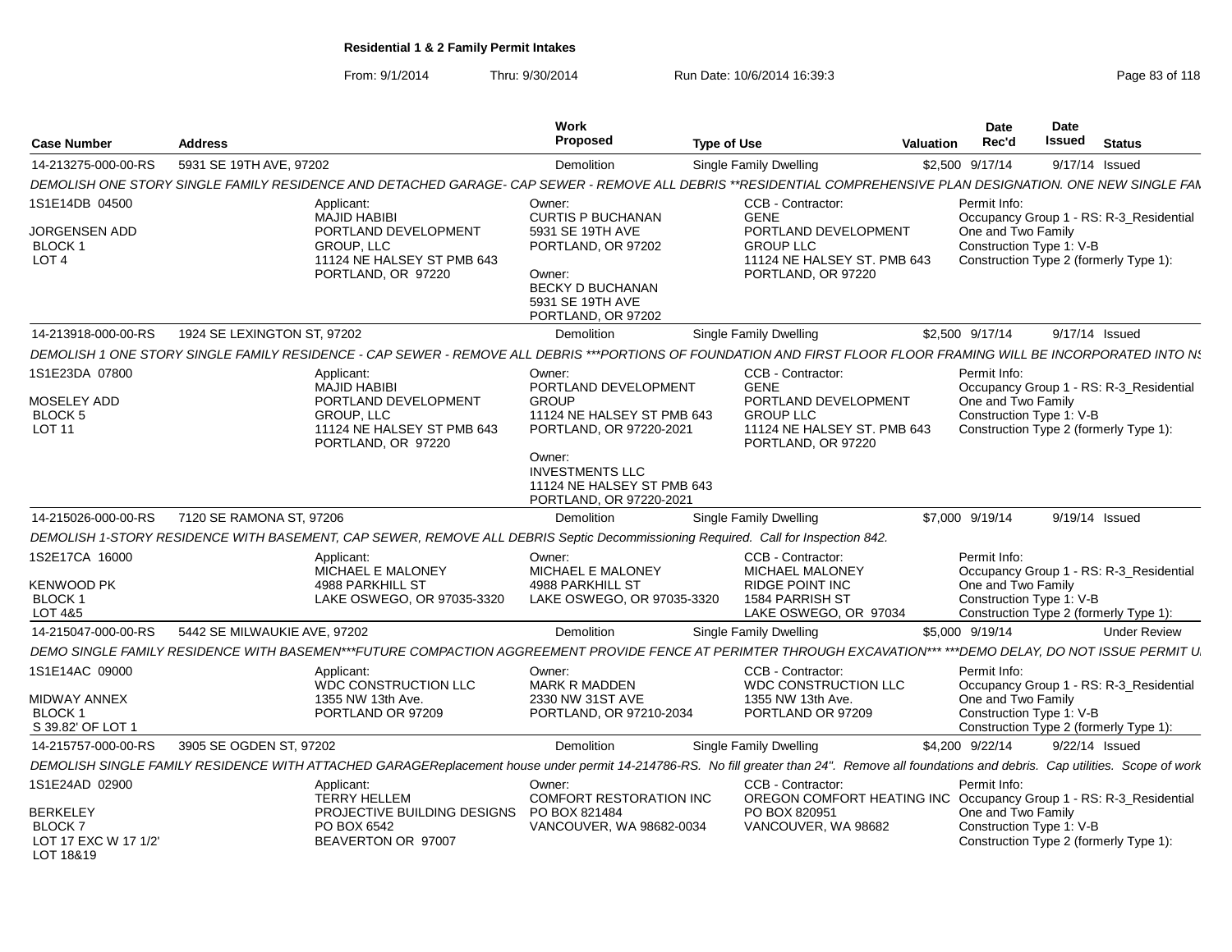From: 9/1/2014Thru: 9/30/2014 Run Date: 10/6/2014 16:39:3<br>
Page 83 of 118

| <b>Case Number</b>                | <b>Address</b>                                                                                                                                                                              | <b>Work</b><br><b>Proposed</b>                                                                                           | <b>Type of Use</b>                                                      | Valuation                                                          | <b>Date</b><br>Rec'd                                               | <b>Date</b><br>Issued | <b>Status</b>                           |
|-----------------------------------|---------------------------------------------------------------------------------------------------------------------------------------------------------------------------------------------|--------------------------------------------------------------------------------------------------------------------------|-------------------------------------------------------------------------|--------------------------------------------------------------------|--------------------------------------------------------------------|-----------------------|-----------------------------------------|
| 14-213275-000-00-RS               | 5931 SE 19TH AVE, 97202                                                                                                                                                                     | Demolition                                                                                                               | Single Family Dwelling                                                  |                                                                    | \$2,500 9/17/14                                                    | 9/17/14 Issued        |                                         |
|                                   | DEMOLISH ONE STORY SINGLE FAMILY RESIDENCE AND DETACHED GARAGE- CAP SEWER - REMOVE ALL DEBRIS **RESIDENTIAL COMPREHENSIVE PLAN DESIGNATION. ONE NEW SINGLE FAN                              |                                                                                                                          |                                                                         |                                                                    |                                                                    |                       |                                         |
| 1S1E14DB 04500<br>JORGENSEN ADD   | Applicant:<br>MAJID HABIBI                                                                                                                                                                  | Owner:<br><b>CURTIS P BUCHANAN</b><br>PORTLAND DEVELOPMENT<br>5931 SE 19TH AVE                                           | CCB - Contractor:<br><b>GENE</b>                                        | PORTLAND DEVELOPMENT                                               | Permit Info:<br>One and Two Family                                 |                       | Occupancy Group 1 - RS: R-3_Residential |
| BLOCK 1<br>LOT <sub>4</sub>       | <b>GROUP, LLC</b><br>PORTLAND, OR 97220                                                                                                                                                     | PORTLAND, OR 97202<br>11124 NE HALSEY ST PMB 643<br>Owner:<br>BECKY D BUCHANAN<br>5931 SE 19TH AVE<br>PORTLAND, OR 97202 | <b>GROUP LLC</b>                                                        | 11124 NE HALSEY ST. PMB 643<br>PORTLAND, OR 97220                  | Construction Type 1: V-B<br>Construction Type 2 (formerly Type 1): |                       |                                         |
| 14-213918-000-00-RS               | 1924 SE LEXINGTON ST, 97202                                                                                                                                                                 | Demolition                                                                                                               | Single Family Dwelling                                                  |                                                                    | \$2,500 9/17/14                                                    | 9/17/14 Issued        |                                         |
|                                   | DEMOLISH 1 ONE STORY SINGLE FAMILY RESIDENCE - CAP SEWER - REMOVE ALL DEBRIS ***PORTIONS OF FOUNDATION AND FIRST FLOOR FLOOR FRAMING WILL BE INCORPORATED INTO N.                           |                                                                                                                          |                                                                         |                                                                    |                                                                    |                       |                                         |
| 1S1E23DA 07800                    | Applicant:<br><b>MAJID HABIBI</b>                                                                                                                                                           | Owner:                                                                                                                   | CCB - Contractor:<br>PORTLAND DEVELOPMENT<br><b>GENE</b>                |                                                                    | Permit Info:                                                       |                       | Occupancy Group 1 - RS: R-3_Residential |
| MOSELEY ADD<br>BLOCK <sub>5</sub> | GROUP, LLC                                                                                                                                                                                  | PORTLAND DEVELOPMENT<br><b>GROUP</b>                                                                                     | <b>GROUP LLC</b><br>11124 NE HALSEY ST PMB 643                          | PORTLAND DEVELOPMENT                                               | One and Two Family<br>Construction Type 1: V-B                     |                       |                                         |
| <b>LOT 11</b>                     | PORTLAND, OR 97220                                                                                                                                                                          | 11124 NE HALSEY ST PMB 643<br>PORTLAND, OR 97220-2021                                                                    |                                                                         | 11124 NE HALSEY ST. PMB 643<br>PORTLAND, OR 97220                  | Construction Type 2 (formerly Type 1):                             |                       |                                         |
|                                   |                                                                                                                                                                                             | Owner:<br><b>INVESTMENTS LLC</b><br>PORTLAND, OR 97220-2021                                                              | 11124 NE HALSEY ST PMB 643                                              |                                                                    |                                                                    |                       |                                         |
| 14-215026-000-00-RS               | 7120 SE RAMONA ST. 97206                                                                                                                                                                    | Demolition                                                                                                               | Single Family Dwelling                                                  |                                                                    | \$7,000 9/19/14                                                    | 9/19/14 Issued        |                                         |
|                                   | DEMOLISH 1-STORY RESIDENCE WITH BASEMENT, CAP SEWER, REMOVE ALL DEBRIS Septic Decommissioning Required. Call for Inspection 842.                                                            |                                                                                                                          |                                                                         |                                                                    |                                                                    |                       |                                         |
| 1S2E17CA 16000                    | Applicant:<br>MICHAEL E MALONEY                                                                                                                                                             | Owner:<br>MICHAEL E MALONEY                                                                                              | CCB - Contractor:                                                       | MICHAEL MALONEY                                                    | Permit Info:                                                       |                       | Occupancy Group 1 - RS: R-3_Residential |
| <b>KENWOOD PK</b><br>BLOCK 1      | 4988 PARKHILL ST                                                                                                                                                                            | <b>4988 PARKHILL ST</b><br>LAKE OSWEGO, OR 97035-3320                                                                    | <b>RIDGE POINT INC</b><br>LAKE OSWEGO, OR 97035-3320<br>1584 PARRISH ST |                                                                    | One and Two Family<br>Construction Type 1: V-B                     |                       |                                         |
| LOT 4&5                           |                                                                                                                                                                                             |                                                                                                                          |                                                                         | LAKE OSWEGO, OR 97034                                              | Construction Type 2 (formerly Type 1):                             |                       |                                         |
| 14-215047-000-00-RS               | 5442 SE MILWAUKIE AVE, 97202                                                                                                                                                                | Demolition                                                                                                               | Single Family Dwelling                                                  |                                                                    | \$5,000 9/19/14                                                    |                       | <b>Under Review</b>                     |
|                                   | DEMO SINGLE FAMILY RESIDENCE WITH BASEMEN***FUTURE COMPACTION AGGREEMENT PROVIDE FENCE AT PERIMTER THROUGH EXCAVATION*** ***DEMO DELAY, DO NOT ISSUE PERMIT U                               |                                                                                                                          |                                                                         |                                                                    |                                                                    |                       |                                         |
| 1S1E14AC 09000                    | Applicant:                                                                                                                                                                                  | Owner:<br><b>WDC CONSTRUCTION LLC</b><br><b>MARK R MADDEN</b>                                                            | CCB - Contractor:                                                       | <b>WDC CONSTRUCTION LLC</b>                                        | Permit Info:                                                       |                       | Occupancy Group 1 - RS: R-3_Residential |
| MIDWAY ANNEX<br>BLOCK 1           | 1355 NW 13th Ave.<br>PORTLAND OR 97209                                                                                                                                                      | 2330 NW 31ST AVE<br>PORTLAND, OR 97210-2034                                                                              | 1355 NW 13th Ave.                                                       | PORTLAND OR 97209                                                  | One and Two Family<br>Construction Type 1: V-B                     |                       |                                         |
| S 39.82' OF LOT 1                 |                                                                                                                                                                                             |                                                                                                                          |                                                                         |                                                                    | Construction Type 2 (formerly Type 1):                             |                       |                                         |
| 14-215757-000-00-RS               | 3905 SE OGDEN ST, 97202                                                                                                                                                                     | Demolition                                                                                                               | Single Family Dwelling                                                  |                                                                    | \$4,200 9/22/14                                                    | 9/22/14 Issued        |                                         |
|                                   | DEMOLISH SINGLE FAMILY RESIDENCE WITH ATTACHED GARAGEReplacement house under permit 14-214786-RS. No fill greater than 24". Remove all foundations and debris. Cap utilities. Scope of work |                                                                                                                          |                                                                         |                                                                    |                                                                    |                       |                                         |
| 1S1E24AD 02900                    | Applicant:<br><b>TERRY HELLEM</b>                                                                                                                                                           | Owner:                                                                                                                   | CCB - Contractor:<br><b>COMFORT RESTORATION INC</b>                     | OREGON COMFORT HEATING INC Occupancy Group 1 - RS: R-3_Residential | Permit Info:                                                       |                       |                                         |
| <b>BERKELEY</b><br>BLOCK 7        | PO BOX 6542                                                                                                                                                                                 | PROJECTIVE BUILDING DESIGNS PO BOX 821484                                                                                | PO BOX 820951<br>VANCOUVER, WA 98682-0034                               | VANCOUVER, WA 98682                                                | One and Two Family<br>Construction Type 1: V-B                     |                       |                                         |
| LOT 17 EXC W 17 1/2'<br>LOT 18&19 | BEAVERTON OR 97007                                                                                                                                                                          |                                                                                                                          |                                                                         |                                                                    | Construction Type 2 (formerly Type 1):                             |                       |                                         |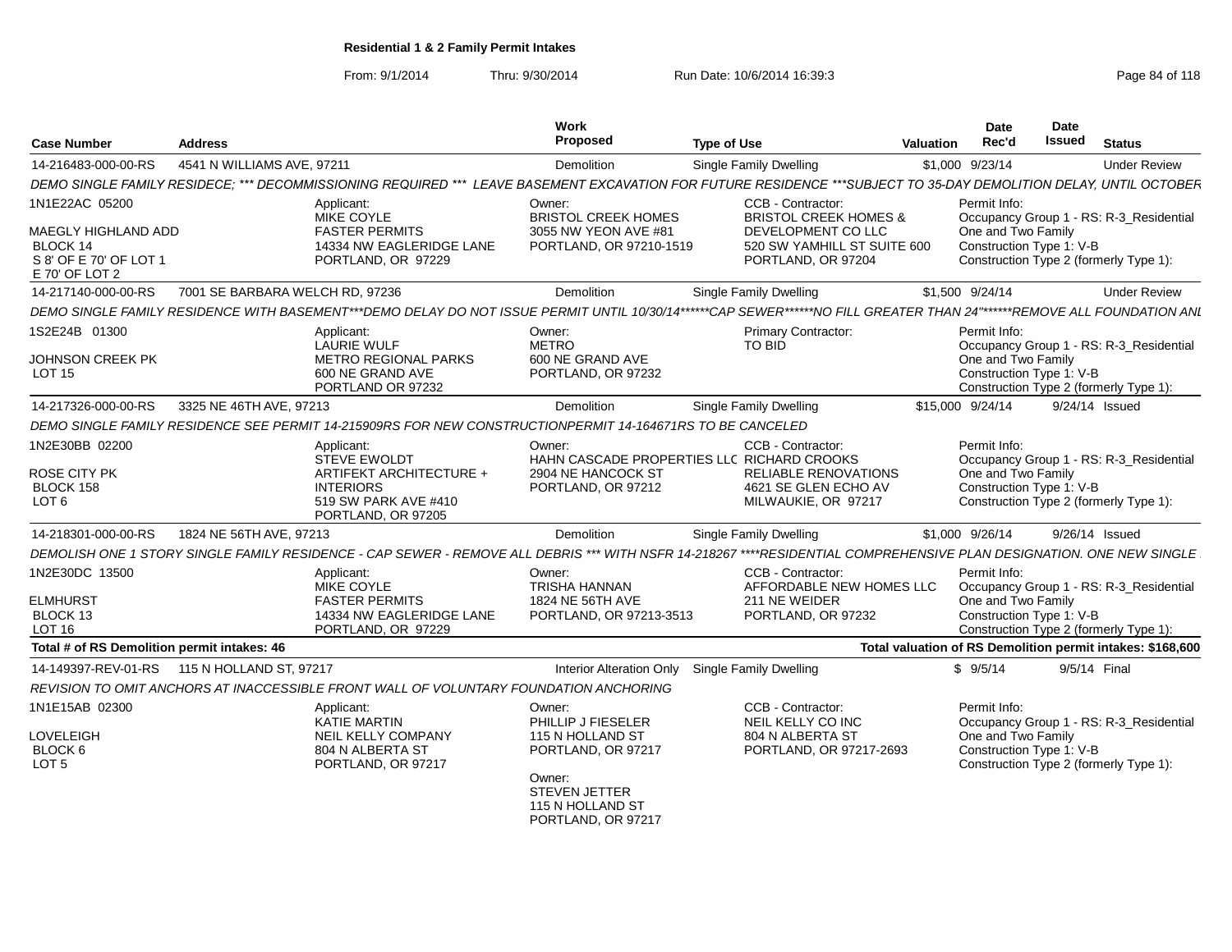From: 9/1/2014Thru: 9/30/2014 Run Date: 10/6/2014 16:39:3<br>
Page 84 of 118

| <b>Case Number</b>                                                                            | <b>Address</b>                  |                                                                                                                         | Work<br>Proposec                                                                                                                            | <b>Type of Use</b>                                                                                                                                                     | Date<br>Rec'd<br>Valuation                                     | Date<br>Issued | <b>Status</b>                                                                     |
|-----------------------------------------------------------------------------------------------|---------------------------------|-------------------------------------------------------------------------------------------------------------------------|---------------------------------------------------------------------------------------------------------------------------------------------|------------------------------------------------------------------------------------------------------------------------------------------------------------------------|----------------------------------------------------------------|----------------|-----------------------------------------------------------------------------------|
| 14-216483-000-00-RS                                                                           | 4541 N WILLIAMS AVE, 97211      |                                                                                                                         | Demolition                                                                                                                                  | Single Family Dwelling                                                                                                                                                 | \$1,000 9/23/14                                                |                | <b>Under Review</b>                                                               |
|                                                                                               |                                 |                                                                                                                         |                                                                                                                                             | DEMO SINGLE FAMILY RESIDECE; *** DECOMMISSIONING REQUIRED *** LEAVE BASEMENT EXCAVATION FOR FUTURE RESIDENCE ***SUBJECT TO 35-DAY DEMOLITION DELAY, UNTIL OCTOBER      |                                                                |                |                                                                                   |
| 1N1E22AC 05200<br>MAEGLY HIGHLAND ADD<br>BLOCK 14<br>S 8' OF E 70' OF LOT 1<br>E 70' OF LOT 2 |                                 | Applicant:<br>MIKE COYLE<br><b>FASTER PERMITS</b><br>14334 NW EAGLERIDGE LANE<br>PORTLAND, OR 97229                     | Owner:<br><b>BRISTOL CREEK HOMES</b><br>3055 NW YEON AVE #81<br>PORTLAND, OR 97210-1519                                                     | CCB - Contractor:<br><b>BRISTOL CREEK HOMES &amp;</b><br>DEVELOPMENT CO LLC<br>520 SW YAMHILL ST SUITE 600<br>PORTLAND, OR 97204                                       | Permit Info:<br>One and Two Family<br>Construction Type 1: V-B |                | Occupancy Group 1 - RS: R-3_Residential<br>Construction Type 2 (formerly Type 1): |
| 14-217140-000-00-RS                                                                           | 7001 SE BARBARA WELCH RD. 97236 |                                                                                                                         | Demolition                                                                                                                                  | <b>Single Family Dwelling</b>                                                                                                                                          | \$1,500 9/24/14                                                |                | <b>Under Review</b>                                                               |
|                                                                                               |                                 |                                                                                                                         |                                                                                                                                             | DEMO SINGLE FAMILY RESIDENCE WITH BASEMENT***DEMO DELAY DO NOT ISSUE PERMIT UNTIL 10/30/14******CAP SEWER******NO FILL GREATER THAN 24"******REMOVE ALL FOUNDATION ANI |                                                                |                |                                                                                   |
| 1S2E24B 01300<br><b>JOHNSON CREEK PK</b><br><b>LOT 15</b>                                     |                                 | Applicant:<br><b>LAURIE WULF</b><br><b>METRO REGIONAL PARKS</b><br>600 NE GRAND AVE<br>PORTLAND OR 97232                | Owner:<br>METRO<br>600 NE GRAND AVE<br>PORTLAND, OR 97232                                                                                   | <b>Primary Contractor:</b><br>TO BID                                                                                                                                   | Permit Info:<br>One and Two Family<br>Construction Type 1: V-B |                | Occupancy Group 1 - RS: R-3_Residential<br>Construction Type 2 (formerly Type 1): |
| 14-217326-000-00-RS                                                                           | 3325 NE 46TH AVE, 97213         |                                                                                                                         | Demolition                                                                                                                                  | <b>Single Family Dwelling</b>                                                                                                                                          | \$15,000 9/24/14                                               |                | 9/24/14 Issued                                                                    |
|                                                                                               |                                 | DEMO SINGLE FAMILY RESIDENCE SEE PERMIT 14-215909RS FOR NEW CONSTRUCTIONPERMIT 14-164671RS TO BE CANCELED               |                                                                                                                                             |                                                                                                                                                                        |                                                                |                |                                                                                   |
| 1N2E30BB 02200<br><b>ROSE CITY PK</b><br>BLOCK 158<br>LOT <sub>6</sub>                        |                                 | Applicant:<br>STEVE EWOLDT<br>ARTIFEKT ARCHITECTURE +<br><b>INTERIORS</b><br>519 SW PARK AVE #410<br>PORTLAND, OR 97205 | Owner:<br>2904 NE HANCOCK ST<br>PORTLAND, OR 97212                                                                                          | CCB - Contractor:<br>HAHN CASCADE PROPERTIES LLC RICHARD CROOKS<br><b>RELIABLE RENOVATIONS</b><br>4621 SE GLEN ECHO AV<br>MILWAUKIE, OR 97217                          | Permit Info:<br>One and Two Family<br>Construction Type 1: V-B |                | Occupancy Group 1 - RS: R-3_Residential<br>Construction Type 2 (formerly Type 1): |
| 14-218301-000-00-RS                                                                           | 1824 NE 56TH AVE, 97213         |                                                                                                                         | Demolition                                                                                                                                  | <b>Single Family Dwelling</b>                                                                                                                                          | \$1,000 9/26/14                                                |                | 9/26/14 Issued                                                                    |
|                                                                                               |                                 |                                                                                                                         |                                                                                                                                             | DEMOLISH ONE 1 STORY SINGLE FAMILY RESIDENCE - CAP SEWER - REMOVE ALL DEBRIS *** WITH NSFR 14-218267 ****RESIDENTIAL COMPREHENSIVE PLAN DESIGNATION. ONE NEW SINGLE    |                                                                |                |                                                                                   |
| 1N2E30DC 13500<br><b>ELMHURST</b><br>BLOCK 13<br><b>LOT 16</b>                                |                                 | Applicant:<br><b>MIKE COYLE</b><br><b>FASTER PERMITS</b><br>14334 NW EAGLERIDGE LANE<br>PORTLAND, OR 97229              | Owner:<br><b>TRISHA HANNAN</b><br>1824 NE 56TH AVE<br>PORTLAND, OR 97213-3513                                                               | CCB - Contractor:<br>AFFORDABLE NEW HOMES LLC<br>211 NE WEIDER<br>PORTLAND, OR 97232                                                                                   | Permit Info:<br>One and Two Family<br>Construction Type 1: V-B |                | Occupancy Group 1 - RS: R-3_Residential<br>Construction Type 2 (formerly Type 1): |
| Total # of RS Demolition permit intakes: 46                                                   |                                 |                                                                                                                         |                                                                                                                                             |                                                                                                                                                                        |                                                                |                | Total valuation of RS Demolition permit intakes: \$168,600                        |
|                                                                                               |                                 |                                                                                                                         | Interior Alteration Only Single Family Dwelling                                                                                             |                                                                                                                                                                        | \$9/5/14                                                       |                | 9/5/14 Final                                                                      |
|                                                                                               |                                 | REVISION TO OMIT ANCHORS AT INACCESSIBLE FRONT WALL OF VOLUNTARY FOUNDATION ANCHORING                                   |                                                                                                                                             |                                                                                                                                                                        |                                                                |                |                                                                                   |
| 1N1E15AB 02300<br>LOVELEIGH<br>BLOCK 6<br>LOT <sub>5</sub>                                    |                                 | Applicant:<br>KATIE MARTIN<br><b>NEIL KELLY COMPANY</b><br>804 N ALBERTA ST<br>PORTLAND, OR 97217                       | Owner:<br>PHILLIP J FIESELER<br>115 N HOLLAND ST<br>PORTLAND, OR 97217<br>Owner:<br>STEVEN JETTER<br>115 N HOLLAND ST<br>PORTLAND, OR 97217 | CCB - Contractor:<br>NEIL KELLY CO INC<br>804 N ALBERTA ST<br>PORTLAND, OR 97217-2693                                                                                  | Permit Info:<br>One and Two Family<br>Construction Type 1: V-B |                | Occupancy Group 1 - RS: R-3_Residential<br>Construction Type 2 (formerly Type 1): |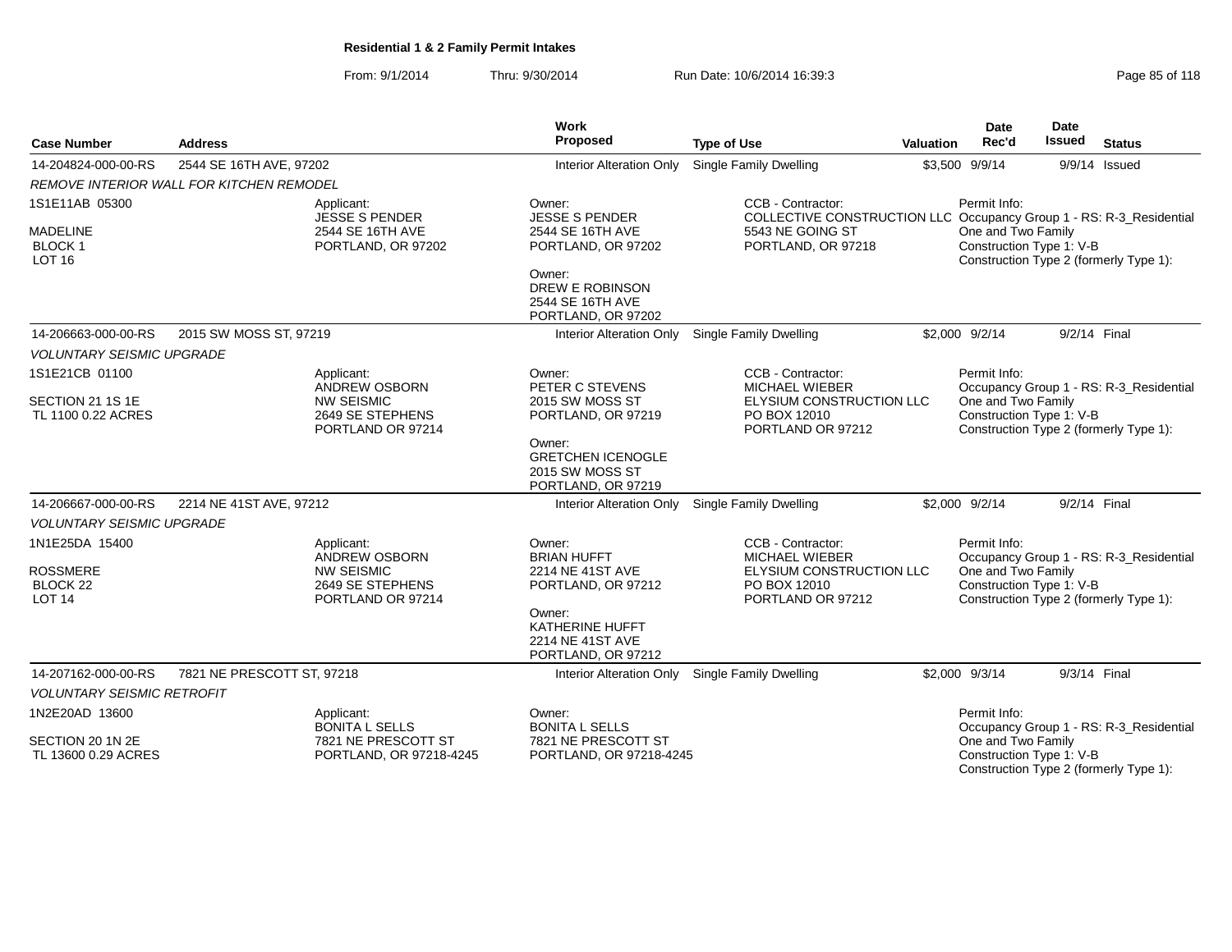From: 9/1/2014Thru: 9/30/2014 Run Date: 10/6/2014 16:39:3

| Page 85 of 118 |  |  |  |  |
|----------------|--|--|--|--|
|----------------|--|--|--|--|

| <b>Case Number</b>                                                        | <b>Address</b>                                  |                                                                                                  | Work<br>Proposed                                                            | <b>Type of Use</b>                                                                                                                 | Valuation | <b>Date</b><br>Rec'd                                           | Date<br><b>Issued</b> | <b>Status</b>                                                                     |
|---------------------------------------------------------------------------|-------------------------------------------------|--------------------------------------------------------------------------------------------------|-----------------------------------------------------------------------------|------------------------------------------------------------------------------------------------------------------------------------|-----------|----------------------------------------------------------------|-----------------------|-----------------------------------------------------------------------------------|
| 14-204824-000-00-RS                                                       | 2544 SE 16TH AVE, 97202                         |                                                                                                  | Interior Alteration Only                                                    | <b>Single Family Dwelling</b>                                                                                                      |           | \$3,500 9/9/14                                                 |                       | $9/9/14$ Issued                                                                   |
|                                                                           | <b>REMOVE INTERIOR WALL FOR KITCHEN REMODEL</b> |                                                                                                  |                                                                             |                                                                                                                                    |           |                                                                |                       |                                                                                   |
| 1S1E11AB 05300<br><b>MADELINE</b><br><b>BLOCK1</b><br><b>LOT 16</b>       |                                                 | Applicant:<br><b>JESSE S PENDER</b><br>2544 SE 16TH AVE<br>PORTLAND, OR 97202                    | Owner:<br><b>JESSE S PENDER</b><br>2544 SE 16TH AVE<br>PORTLAND, OR 97202   | CCB - Contractor:<br>COLLECTIVE CONSTRUCTION LLC Occupancy Group 1 - RS: R-3_Residential<br>5543 NE GOING ST<br>PORTLAND, OR 97218 |           | Permit Info:<br>One and Two Family<br>Construction Type 1: V-B |                       | Construction Type 2 (formerly Type 1):                                            |
|                                                                           |                                                 |                                                                                                  | Owner:<br><b>DREW E ROBINSON</b><br>2544 SE 16TH AVE<br>PORTLAND, OR 97202  |                                                                                                                                    |           |                                                                |                       |                                                                                   |
| 14-206663-000-00-RS                                                       | 2015 SW MOSS ST, 97219                          |                                                                                                  | Interior Alteration Only Single Family Dwelling                             |                                                                                                                                    |           | \$2,000 9/2/14                                                 | 9/2/14 Final          |                                                                                   |
| <b>VOLUNTARY SEISMIC UPGRADE</b>                                          |                                                 |                                                                                                  |                                                                             |                                                                                                                                    |           |                                                                |                       |                                                                                   |
| 1S1E21CB 01100<br>SECTION 21 1S 1E                                        |                                                 | Applicant:<br><b>ANDREW OSBORN</b><br><b>NW SEISMIC</b>                                          | Owner:<br>PETER C STEVENS<br>2015 SW MOSS ST                                | CCB - Contractor:<br><b>MICHAEL WIEBER</b><br>ELYSIUM CONSTRUCTION LLC                                                             |           | Permit Info:<br>One and Two Family                             |                       | Occupancy Group 1 - RS: R-3_Residential                                           |
| TL 1100 0.22 ACRES                                                        |                                                 | 2649 SE STEPHENS<br>PORTLAND OR 97214                                                            | PORTLAND, OR 97219                                                          | PO BOX 12010<br>PORTLAND OR 97212                                                                                                  |           | Construction Type 1: V-B                                       |                       | Construction Type 2 (formerly Type 1):                                            |
|                                                                           |                                                 |                                                                                                  | Owner:<br><b>GRETCHEN ICENOGLE</b><br>2015 SW MOSS ST<br>PORTLAND, OR 97219 |                                                                                                                                    |           |                                                                |                       |                                                                                   |
| 14-206667-000-00-RS                                                       | 2214 NE 41ST AVE, 97212                         |                                                                                                  | Interior Alteration Only Single Family Dwelling                             |                                                                                                                                    |           | \$2,000 9/2/14                                                 | 9/2/14 Final          |                                                                                   |
| <b>VOLUNTARY SEISMIC UPGRADE</b>                                          |                                                 |                                                                                                  |                                                                             |                                                                                                                                    |           |                                                                |                       |                                                                                   |
| 1N1E25DA 15400<br><b>ROSSMERE</b><br>BLOCK <sub>22</sub><br><b>LOT 14</b> |                                                 | Applicant:<br><b>ANDREW OSBORN</b><br><b>NW SEISMIC</b><br>2649 SE STEPHENS<br>PORTLAND OR 97214 | Owner:<br><b>BRIAN HUFFT</b><br>2214 NE 41ST AVE<br>PORTLAND, OR 97212      | CCB - Contractor:<br><b>MICHAEL WIEBER</b><br>ELYSIUM CONSTRUCTION LLC<br>PO BOX 12010<br>PORTLAND OR 97212                        |           | Permit Info:<br>One and Two Family<br>Construction Type 1: V-B |                       | Occupancy Group 1 - RS: R-3_Residential<br>Construction Type 2 (formerly Type 1): |
|                                                                           |                                                 |                                                                                                  | Owner:<br>KATHERINE HUFFT<br>2214 NE 41ST AVE<br>PORTLAND, OR 97212         |                                                                                                                                    |           |                                                                |                       |                                                                                   |
| 14-207162-000-00-RS                                                       | 7821 NE PRESCOTT ST, 97218                      |                                                                                                  | Interior Alteration Only Single Family Dwelling                             |                                                                                                                                    |           | \$2,000 9/3/14                                                 | 9/3/14 Final          |                                                                                   |
| <b>VOLUNTARY SEISMIC RETROFIT</b>                                         |                                                 |                                                                                                  |                                                                             |                                                                                                                                    |           |                                                                |                       |                                                                                   |
| 1N2E20AD 13600                                                            |                                                 | Applicant:<br><b>BONITA L SELLS</b>                                                              | Owner:<br><b>BONITA L SELLS</b>                                             |                                                                                                                                    |           | Permit Info:                                                   |                       | Occupancy Group 1 - RS: R-3_Residential                                           |
| SECTION 20 1N 2E<br>TL 13600 0.29 ACRES                                   |                                                 | 7821 NE PRESCOTT ST<br>PORTLAND, OR 97218-4245                                                   | 7821 NE PRESCOTT ST<br>PORTLAND, OR 97218-4245                              |                                                                                                                                    |           | One and Two Family<br>Construction Type 1: V-B                 |                       | Construction Type 2 (formerly Type 1):                                            |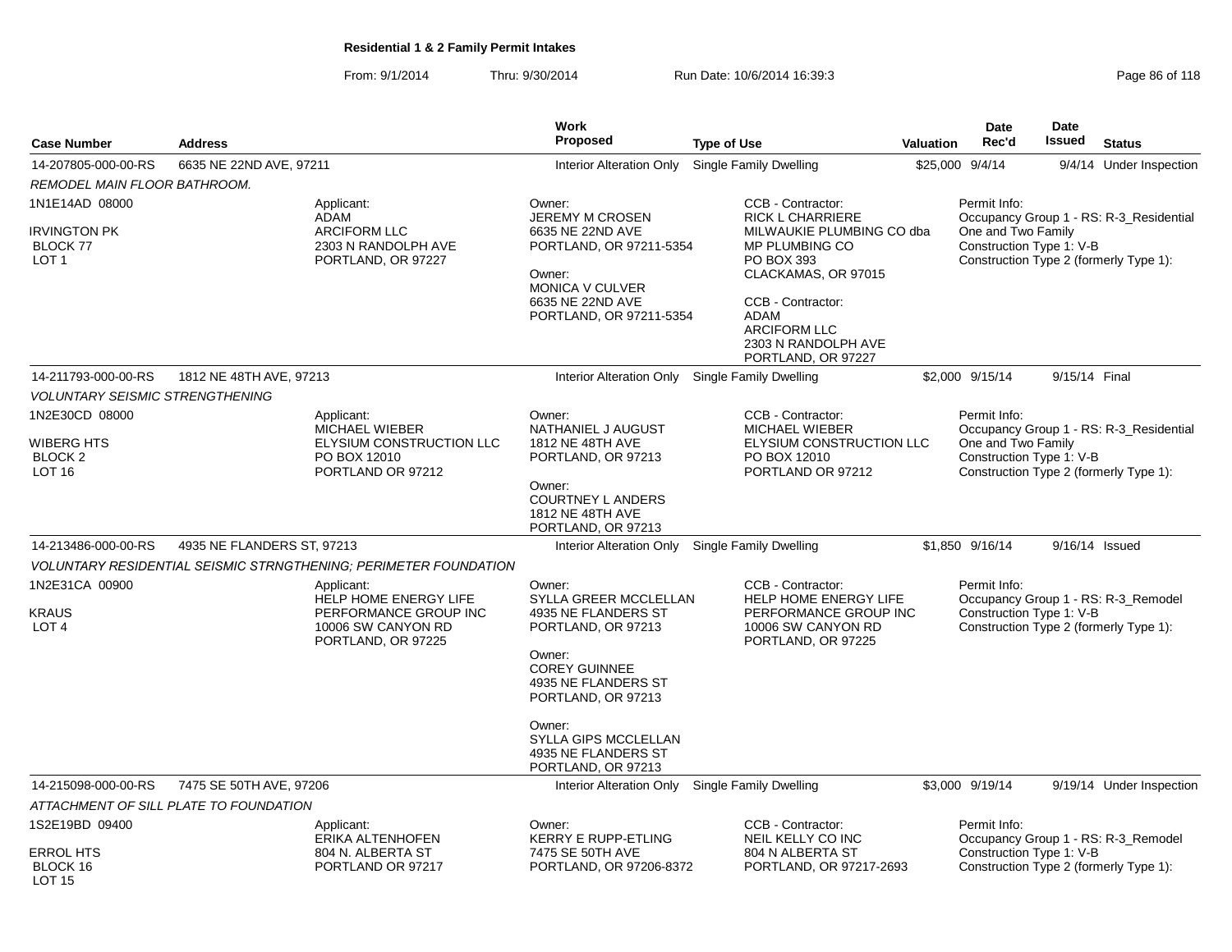From: 9/1/2014Thru: 9/30/2014 Run Date: 10/6/2014 16:39:3<br>
Page 86 of 118

| <b>Case Number</b>                                         | <b>Address</b>                                                                                           | <b>Work</b><br>Proposed                                                                                                                                     | <b>Type of Use</b>                                                                                                                                                                       | <b>Valuation</b> | Date<br>Rec'd                      | Date<br>Issued           | <b>Status</b>                                                                 |
|------------------------------------------------------------|----------------------------------------------------------------------------------------------------------|-------------------------------------------------------------------------------------------------------------------------------------------------------------|------------------------------------------------------------------------------------------------------------------------------------------------------------------------------------------|------------------|------------------------------------|--------------------------|-------------------------------------------------------------------------------|
| 14-207805-000-00-RS                                        | 6635 NE 22ND AVE, 97211                                                                                  | <b>Interior Alteration Only</b>                                                                                                                             | <b>Single Family Dwelling</b>                                                                                                                                                            | \$25,000 9/4/14  |                                    |                          | 9/4/14 Under Inspection                                                       |
| REMODEL MAIN FLOOR BATHROOM.                               |                                                                                                          |                                                                                                                                                             |                                                                                                                                                                                          |                  |                                    |                          |                                                                               |
| 1N1E14AD 08000                                             | Applicant:                                                                                               | Owner:<br><b>JEREMY M CROSEN</b>                                                                                                                            | CCB - Contractor:<br><b>RICK L CHARRIERE</b>                                                                                                                                             |                  | Permit Info:                       |                          | Occupancy Group 1 - RS: R-3_Residential                                       |
| <b>IRVINGTON PK</b><br><b>BLOCK 77</b><br>LOT <sub>1</sub> | ADAM<br><b>ARCIFORM LLC</b><br>2303 N RANDOLPH AVE<br>PORTLAND, OR 97227                                 | 6635 NE 22ND AVE<br>PORTLAND, OR 97211-5354<br>Owner:<br><b>MONICA V CULVER</b><br>6635 NE 22ND AVE<br>PORTLAND, OR 97211-5354                              | MILWAUKIE PLUMBING CO dba<br><b>MP PLUMBING CO</b><br>PO BOX 393<br>CLACKAMAS, OR 97015<br>CCB - Contractor:<br>ADAM<br><b>ARCIFORM LLC</b><br>2303 N RANDOLPH AVE<br>PORTLAND, OR 97227 |                  | One and Two Family                 | Construction Type 1: V-B | Construction Type 2 (formerly Type 1):                                        |
| 14-211793-000-00-RS                                        | 1812 NE 48TH AVE, 97213                                                                                  | Interior Alteration Only                                                                                                                                    | Single Family Dwelling                                                                                                                                                                   |                  | \$2,000 9/15/14                    | 9/15/14 Final            |                                                                               |
| <b>VOLUNTARY SEISMIC STRENGTHENING</b>                     |                                                                                                          |                                                                                                                                                             |                                                                                                                                                                                          |                  |                                    |                          |                                                                               |
| 1N2E30CD 08000<br><b>WIBERG HTS</b>                        | Applicant:<br>MICHAEL WIEBER<br>ELYSIUM CONSTRUCTION LLC                                                 | Owner:<br>NATHANIEL J AUGUST<br>1812 NE 48TH AVE                                                                                                            | CCB - Contractor:<br>MICHAEL WIEBER<br>ELYSIUM CONSTRUCTION LLC                                                                                                                          |                  | Permit Info:<br>One and Two Family |                          | Occupancy Group 1 - RS: R-3_Residential                                       |
| BLOCK <sub>2</sub><br><b>LOT 16</b>                        | PO BOX 12010<br>PORTLAND OR 97212                                                                        | PORTLAND, OR 97213<br>Owner:                                                                                                                                | PO BOX 12010<br>PORTLAND OR 97212                                                                                                                                                        |                  |                                    | Construction Type 1: V-B | Construction Type 2 (formerly Type 1):                                        |
|                                                            |                                                                                                          | <b>COURTNEY L ANDERS</b><br>1812 NE 48TH AVE<br>PORTLAND, OR 97213                                                                                          |                                                                                                                                                                                          |                  |                                    |                          |                                                                               |
| 14-213486-000-00-RS                                        | 4935 NE FLANDERS ST, 97213                                                                               | Interior Alteration Only                                                                                                                                    | Single Family Dwelling                                                                                                                                                                   |                  | \$1,850 9/16/14                    | 9/16/14 Issued           |                                                                               |
|                                                            | <b>VOLUNTARY RESIDENTIAL SEISMIC STRNGTHENING; PERIMETER FOUNDATION</b>                                  |                                                                                                                                                             |                                                                                                                                                                                          |                  |                                    |                          |                                                                               |
| 1N2E31CA 00900<br><b>KRAUS</b><br>LOT <sub>4</sub>         | Applicant:<br>HELP HOME ENERGY LIFE<br>PERFORMANCE GROUP INC<br>10006 SW CANYON RD<br>PORTLAND, OR 97225 | Owner:<br>SYLLA GREER MCCLELLAN<br>4935 NE FLANDERS ST<br>PORTLAND, OR 97213<br>Owner:<br><b>COREY GUINNEE</b><br>4935 NE FLANDERS ST<br>PORTLAND, OR 97213 | CCB - Contractor:<br>HELP HOME ENERGY LIFE<br>PERFORMANCE GROUP INC<br>10006 SW CANYON RD<br>PORTLAND, OR 97225                                                                          |                  | Permit Info:                       | Construction Type 1: V-B | Occupancy Group 1 - RS: R-3_Remodel<br>Construction Type 2 (formerly Type 1): |
|                                                            |                                                                                                          | Owner:<br>SYLLA GIPS MCCLELLAN<br>4935 NE FLANDERS ST<br>PORTLAND, OR 97213                                                                                 |                                                                                                                                                                                          |                  |                                    |                          |                                                                               |
| 14-215098-000-00-RS                                        | 7475 SE 50TH AVE, 97206                                                                                  | Interior Alteration Only Single Family Dwelling                                                                                                             |                                                                                                                                                                                          |                  | \$3,000 9/19/14                    |                          | 9/19/14 Under Inspection                                                      |
|                                                            | ATTACHMENT OF SILL PLATE TO FOUNDATION                                                                   |                                                                                                                                                             |                                                                                                                                                                                          |                  |                                    |                          |                                                                               |
| 1S2E19BD 09400                                             | Applicant:<br>ERIKA ALTENHOFEN                                                                           | Owner:<br><b>KERRY E RUPP-ETLING</b>                                                                                                                        | CCB - Contractor:<br>NEIL KELLY CO INC                                                                                                                                                   |                  | Permit Info:                       |                          | Occupancy Group 1 - RS: R-3_Remodel                                           |
| <b>ERROL HTS</b><br>BLOCK 16<br>LOT <sub>15</sub>          | 804 N. ALBERTA ST<br>PORTLAND OR 97217                                                                   | 7475 SE 50TH AVE<br>PORTLAND, OR 97206-8372                                                                                                                 | 804 N ALBERTA ST<br>PORTLAND, OR 97217-2693                                                                                                                                              |                  |                                    | Construction Type 1: V-B | Construction Type 2 (formerly Type 1):                                        |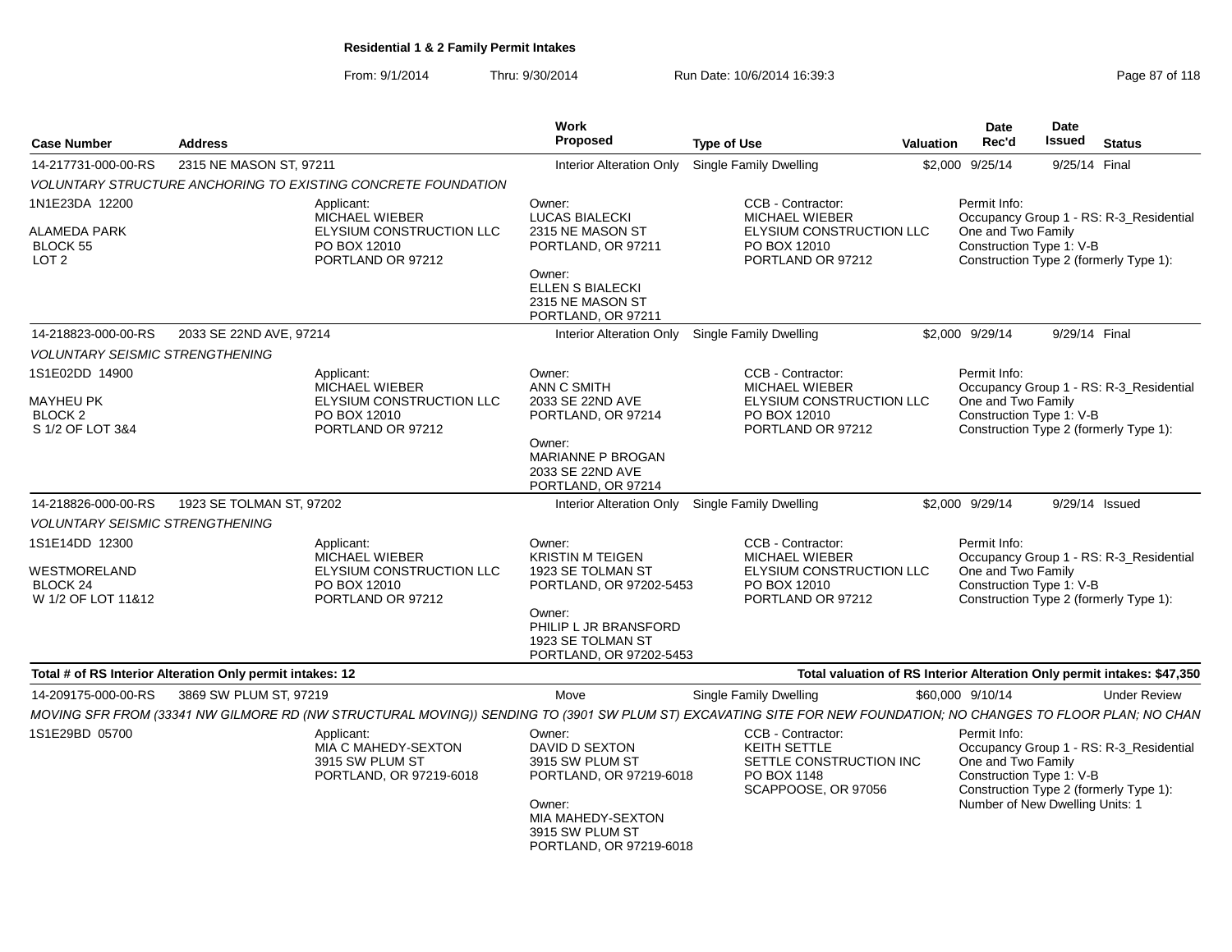From: 9/1/2014Thru: 9/30/2014 Run Date: 10/6/2014 16:39:3<br>
Page 87 of 118

| <b>Case Number</b>                                                          | <b>Address</b>                                            |                                                                                                      | <b>Work</b><br>Proposed                                                                                                                                              | <b>Type of Use</b>                                                                                                                                              | <b>Valuation</b> | <b>Date</b><br>Rec'd                                                                              | Date<br>Issued | <b>Status</b>                                                                     |
|-----------------------------------------------------------------------------|-----------------------------------------------------------|------------------------------------------------------------------------------------------------------|----------------------------------------------------------------------------------------------------------------------------------------------------------------------|-----------------------------------------------------------------------------------------------------------------------------------------------------------------|------------------|---------------------------------------------------------------------------------------------------|----------------|-----------------------------------------------------------------------------------|
| 14-217731-000-00-RS                                                         | 2315 NE MASON ST. 97211                                   |                                                                                                      | <b>Interior Alteration Only</b>                                                                                                                                      | <b>Single Family Dwelling</b>                                                                                                                                   |                  | \$2.000 9/25/14                                                                                   |                | 9/25/14 Final                                                                     |
|                                                                             |                                                           | VOLUNTARY STRUCTURE ANCHORING TO EXISTING CONCRETE FOUNDATION                                        |                                                                                                                                                                      |                                                                                                                                                                 |                  |                                                                                                   |                |                                                                                   |
| 1N1E23DA 12200<br>ALAMEDA PARK<br><b>BLOCK 55</b><br>LOT <sub>2</sub>       |                                                           | Applicant:<br><b>MICHAEL WIEBER</b><br>ELYSIUM CONSTRUCTION LLC<br>PO BOX 12010<br>PORTLAND OR 97212 | Owner:<br><b>LUCAS BIALECKI</b><br>2315 NE MASON ST<br>PORTLAND, OR 97211<br>Owner:<br><b>ELLEN S BIALECKI</b><br>2315 NE MASON ST<br>PORTLAND, OR 97211             | CCB - Contractor:<br><b>MICHAEL WIEBER</b><br>ELYSIUM CONSTRUCTION LLC<br>PO BOX 12010<br>PORTLAND OR 97212                                                     |                  | Permit Info:<br>One and Two Family<br>Construction Type 1: V-B                                    |                | Occupancy Group 1 - RS: R-3_Residential<br>Construction Type 2 (formerly Type 1): |
| 14-218823-000-00-RS                                                         | 2033 SE 22ND AVE, 97214                                   |                                                                                                      |                                                                                                                                                                      | Interior Alteration Only Single Family Dwelling                                                                                                                 |                  | \$2,000 9/29/14                                                                                   |                | 9/29/14 Final                                                                     |
| <b>VOLUNTARY SEISMIC STRENGTHENING</b>                                      |                                                           |                                                                                                      |                                                                                                                                                                      |                                                                                                                                                                 |                  |                                                                                                   |                |                                                                                   |
| 1S1E02DD 14900<br>MAYHEU PK<br>BLOCK <sub>2</sub><br>S 1/2 OF LOT 3&4       |                                                           | Applicant:<br><b>MICHAEL WIEBER</b><br>ELYSIUM CONSTRUCTION LLC<br>PO BOX 12010<br>PORTLAND OR 97212 | Owner:<br><b>ANN C SMITH</b><br>2033 SE 22ND AVE<br>PORTLAND, OR 97214<br>Owner:<br>MARIANNE P BROGAN<br>2033 SE 22ND AVE<br>PORTLAND, OR 97214                      | CCB - Contractor:<br>MICHAEL WIEBER<br>ELYSIUM CONSTRUCTION LLC<br>PO BOX 12010<br>PORTLAND OR 97212                                                            |                  | Permit Info:<br>One and Two Family<br>Construction Type 1: V-B                                    |                | Occupancy Group 1 - RS: R-3_Residential<br>Construction Type 2 (formerly Type 1): |
| 14-218826-000-00-RS                                                         | 1923 SE TOLMAN ST, 97202                                  |                                                                                                      |                                                                                                                                                                      | Interior Alteration Only Single Family Dwelling                                                                                                                 |                  | \$2,000 9/29/14                                                                                   |                | 9/29/14 Issued                                                                    |
| <b>VOLUNTARY SEISMIC STRENGTHENING</b>                                      |                                                           |                                                                                                      |                                                                                                                                                                      |                                                                                                                                                                 |                  |                                                                                                   |                |                                                                                   |
| 1S1E14DD 12300<br>WESTMORELAND<br>BLOCK <sub>24</sub><br>W 1/2 OF LOT 11&12 |                                                           | Applicant:<br>MICHAEL WIEBER<br>ELYSIUM CONSTRUCTION LLC<br>PO BOX 12010<br>PORTLAND OR 97212        | Owner:<br><b>KRISTIN M TEIGEN</b><br>1923 SE TOLMAN ST<br>PORTLAND, OR 97202-5453<br>Owner:<br>PHILIP L JR BRANSFORD<br>1923 SE TOLMAN ST<br>PORTLAND, OR 97202-5453 | CCB - Contractor:<br>MICHAEL WIEBER<br>ELYSIUM CONSTRUCTION LLC<br>PO BOX 12010<br>PORTLAND OR 97212                                                            |                  | Permit Info:<br>One and Two Family<br>Construction Type 1: V-B                                    |                | Occupancy Group 1 - RS: R-3_Residential<br>Construction Type 2 (formerly Type 1): |
|                                                                             | Total # of RS Interior Alteration Only permit intakes: 12 |                                                                                                      |                                                                                                                                                                      |                                                                                                                                                                 |                  |                                                                                                   |                | Total valuation of RS Interior Alteration Only permit intakes: \$47,350           |
| 14-209175-000-00-RS                                                         | 3869 SW PLUM ST, 97219                                    |                                                                                                      | Move                                                                                                                                                                 | Single Family Dwelling                                                                                                                                          |                  | \$60,000 9/10/14                                                                                  |                | <b>Under Review</b>                                                               |
|                                                                             |                                                           |                                                                                                      |                                                                                                                                                                      | MOVING SFR FROM (33341 NW GILMORE RD (NW STRUCTURAL MOVING)) SENDING TO (3901 SW PLUM ST) EXCAVATING SITE FOR NEW FOUNDATION; NO CHANGES TO FLOOR PLAN; NO CHAN |                  |                                                                                                   |                |                                                                                   |
| 1S1E29BD 05700                                                              |                                                           | Applicant:<br>MIA C MAHEDY-SEXTON<br>3915 SW PLUM ST<br>PORTLAND, OR 97219-6018                      | Owner:<br>DAVID D SEXTON<br>3915 SW PLUM ST<br>PORTLAND, OR 97219-6018<br>Owner:<br>MIA MAHEDY-SEXTON<br>3915 SW PLUM ST<br>PORTLAND, OR 97219-6018                  | CCB - Contractor:<br>KEITH SETTLE<br>SETTLE CONSTRUCTION INC<br>PO BOX 1148<br>SCAPPOOSE, OR 97056                                                              |                  | Permit Info:<br>One and Two Family<br>Construction Type 1: V-B<br>Number of New Dwelling Units: 1 |                | Occupancy Group 1 - RS: R-3_Residential<br>Construction Type 2 (formerly Type 1): |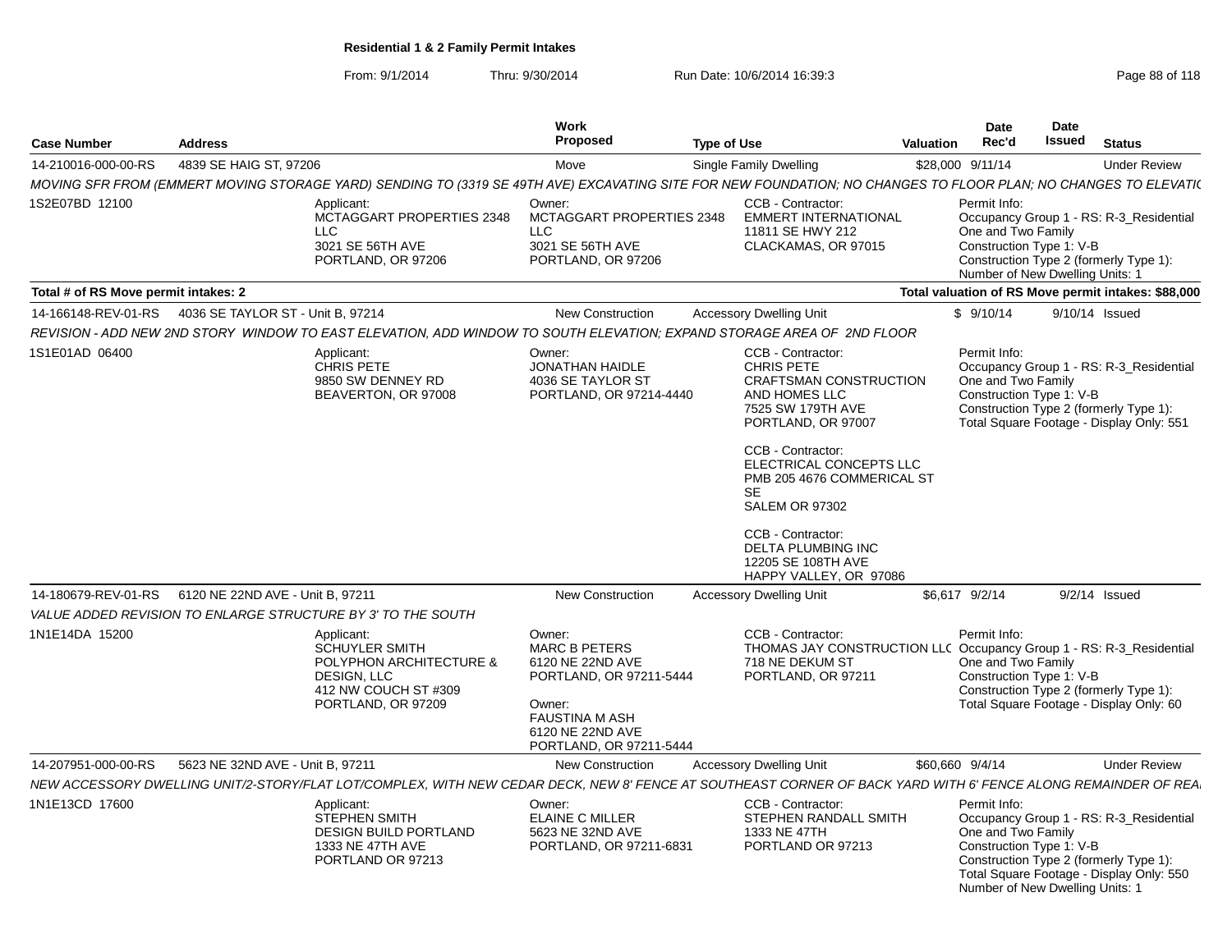From: 9/1/2014Thru: 9/30/2014 Run Date: 10/6/2014 16:39:3<br>
Page 88 of 118

| <b>Case Number</b>                                     | <b>Address</b>                   |                                                                                                                                                                 | Work<br>Proposed                                                                                                                                                | <b>Type of Use</b> |                                                                                                                                                                                                                                                                                                                                                    | Valuation | <b>Date</b><br>Rec'd                                                                              | Date<br>Issued | <b>Status</b>                                                                                                                 |
|--------------------------------------------------------|----------------------------------|-----------------------------------------------------------------------------------------------------------------------------------------------------------------|-----------------------------------------------------------------------------------------------------------------------------------------------------------------|--------------------|----------------------------------------------------------------------------------------------------------------------------------------------------------------------------------------------------------------------------------------------------------------------------------------------------------------------------------------------------|-----------|---------------------------------------------------------------------------------------------------|----------------|-------------------------------------------------------------------------------------------------------------------------------|
| 14-210016-000-00-RS                                    | 4839 SE HAIG ST. 97206           |                                                                                                                                                                 | Move                                                                                                                                                            |                    | Single Family Dwelling                                                                                                                                                                                                                                                                                                                             |           | \$28,000 9/11/14                                                                                  |                | <b>Under Review</b>                                                                                                           |
|                                                        |                                  | MOVING SFR FROM (EMMERT MOVING STORAGE YARD) SENDING TO (3319 SE 49TH AVE) EXCAVATING SITE FOR NEW FOUNDATION; NO CHANGES TO FLOOR PLAN; NO CHANGES TO ELEVATI( |                                                                                                                                                                 |                    |                                                                                                                                                                                                                                                                                                                                                    |           |                                                                                                   |                |                                                                                                                               |
| 1S2E07BD 12100                                         |                                  | Applicant:<br>MCTAGGART PROPERTIES 2348<br>LLC.<br>3021 SE 56TH AVE<br>PORTLAND, OR 97206                                                                       | Owner:<br><b>MCTAGGART PROPERTIES 2348</b><br><b>LLC</b><br>3021 SE 56TH AVE<br>PORTLAND, OR 97206                                                              |                    | CCB - Contractor:<br><b>EMMERT INTERNATIONAL</b><br>11811 SE HWY 212<br>CLACKAMAS, OR 97015                                                                                                                                                                                                                                                        |           | Permit Info:<br>One and Two Family<br>Construction Type 1: V-B<br>Number of New Dwelling Units: 1 |                | Occupancy Group 1 - RS: R-3 Residential<br>Construction Type 2 (formerly Type 1):                                             |
| Total # of RS Move permit intakes: 2                   |                                  |                                                                                                                                                                 |                                                                                                                                                                 |                    |                                                                                                                                                                                                                                                                                                                                                    |           |                                                                                                   |                | Total valuation of RS Move permit intakes: \$88,000                                                                           |
| 14-166148-REV-01-RS  4036 SE TAYLOR ST - Unit B, 97214 |                                  |                                                                                                                                                                 | New Construction                                                                                                                                                |                    | <b>Accessory Dwelling Unit</b>                                                                                                                                                                                                                                                                                                                     |           | \$9/10/14                                                                                         |                | 9/10/14 Issued                                                                                                                |
|                                                        |                                  | REVISION - ADD NEW 2ND STORY WINDOW TO EAST ELEVATION, ADD WINDOW TO SOUTH ELEVATION; EXPAND STORAGE AREA OF 2ND FLOOR                                          |                                                                                                                                                                 |                    |                                                                                                                                                                                                                                                                                                                                                    |           |                                                                                                   |                |                                                                                                                               |
| 1S1E01AD 06400                                         |                                  | Applicant:<br><b>CHRIS PETE</b><br>9850 SW DENNEY RD<br>BEAVERTON, OR 97008                                                                                     | Owner:<br>JONATHAN HAIDLE<br>4036 SE TAYLOR ST<br>PORTLAND, OR 97214-4440                                                                                       |                    | CCB - Contractor:<br>CHRIS PETE<br>CRAFTSMAN CONSTRUCTION<br>AND HOMES LLC<br>7525 SW 179TH AVE<br>PORTLAND, OR 97007<br>CCB - Contractor:<br>ELECTRICAL CONCEPTS LLC<br>PMB 205 4676 COMMERICAL ST<br><b>SE</b><br><b>SALEM OR 97302</b><br><b>CCB - Contractor:</b><br><b>DELTA PLUMBING INC</b><br>12205 SE 108TH AVE<br>HAPPY VALLEY, OR 97086 |           | Permit Info:<br>One and Two Family<br>Construction Type 1: V-B                                    |                | Occupancy Group 1 - RS: R-3_Residential<br>Construction Type 2 (formerly Type 1):<br>Total Square Footage - Display Only: 551 |
| 14-180679-REV-01-RS                                    | 6120 NE 22ND AVE - Unit B, 97211 |                                                                                                                                                                 | <b>New Construction</b>                                                                                                                                         |                    | <b>Accessory Dwelling Unit</b>                                                                                                                                                                                                                                                                                                                     |           | \$6,617 9/2/14                                                                                    |                | $9/2/14$ Issued                                                                                                               |
|                                                        |                                  | VALUE ADDED REVISION TO ENLARGE STRUCTURE BY 3' TO THE SOUTH                                                                                                    |                                                                                                                                                                 |                    |                                                                                                                                                                                                                                                                                                                                                    |           |                                                                                                   |                |                                                                                                                               |
| 1N1E14DA 15200                                         |                                  | Applicant:<br><b>SCHUYLER SMITH</b><br>POLYPHON ARCHITECTURE &<br>DESIGN, LLC<br>412 NW COUCH ST #309<br>PORTLAND, OR 97209                                     | Owner:<br><b>MARC B PETERS</b><br>6120 NE 22ND AVE<br>PORTLAND, OR 97211-5444<br>Owner:<br><b>FAUSTINA M ASH</b><br>6120 NE 22ND AVE<br>PORTLAND, OR 97211-5444 |                    | CCB - Contractor:<br>THOMAS JAY CONSTRUCTION LLC Occupancy Group 1 - RS: R-3_Residential<br>718 NE DEKUM ST<br>PORTLAND, OR 97211                                                                                                                                                                                                                  |           | Permit Info:<br>One and Two Family<br>Construction Type 1: V-B                                    |                | Construction Type 2 (formerly Type 1):<br>Total Square Footage - Display Only: 60                                             |
| 14-207951-000-00-RS                                    | 5623 NE 32ND AVE - Unit B, 97211 |                                                                                                                                                                 | <b>New Construction</b>                                                                                                                                         |                    | <b>Accessory Dwelling Unit</b>                                                                                                                                                                                                                                                                                                                     |           | \$60,660 9/4/14                                                                                   |                | <b>Under Review</b>                                                                                                           |
|                                                        |                                  | NEW ACCESSORY DWELLING UNIT/2-STORY/FLAT LOT/COMPLEX, WITH NEW CEDAR DECK, NEW 8' FENCE AT SOUTHEAST CORNER OF BACK YARD WITH 6' FENCE ALONG REMAINDER OF REA   |                                                                                                                                                                 |                    |                                                                                                                                                                                                                                                                                                                                                    |           |                                                                                                   |                |                                                                                                                               |
| 1N1E13CD 17600                                         |                                  | Applicant:<br><b>STEPHEN SMITH</b><br><b>DESIGN BUILD PORTLAND</b><br>1333 NE 47TH AVE<br>PORTLAND OR 97213                                                     | Owner:<br>ELAINE C MILLER<br>5623 NE 32ND AVE<br>PORTLAND, OR 97211-6831                                                                                        |                    | CCB - Contractor:<br>STEPHEN RANDALL SMITH<br>1333 NE 47TH<br>PORTLAND OR 97213                                                                                                                                                                                                                                                                    |           | Permit Info:<br>One and Two Family<br>Construction Type 1: V-B<br>Number of New Dwelling Units: 1 |                | Occupancy Group 1 - RS: R-3_Residential<br>Construction Type 2 (formerly Type 1):<br>Total Square Footage - Display Only: 550 |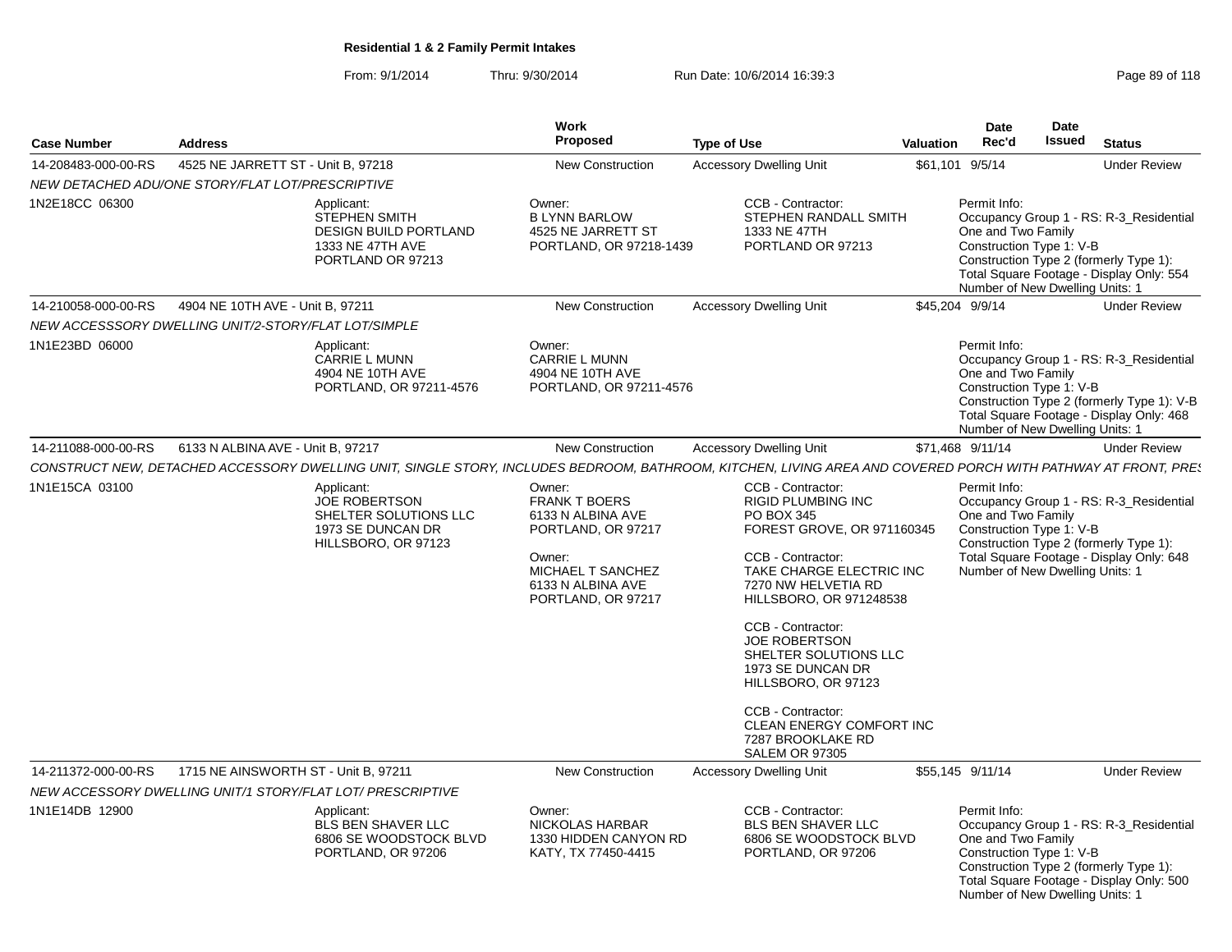From: 9/1/2014Thru: 9/30/2014 Run Date: 10/6/2014 16:39:3<br>
Page 89 of 118

| <b>Case Number</b>  | <b>Address</b>                                       |                                                                                                             | Work<br><b>Proposed</b>                                                                                                                             | <b>Type of Use</b>                                                                                                                                                                                                                                                                                                                                                                               | Valuation | <b>Date</b><br>Rec'd                                                                              | Date<br><b>Issued</b> | <b>Status</b>                                                                                                                     |
|---------------------|------------------------------------------------------|-------------------------------------------------------------------------------------------------------------|-----------------------------------------------------------------------------------------------------------------------------------------------------|--------------------------------------------------------------------------------------------------------------------------------------------------------------------------------------------------------------------------------------------------------------------------------------------------------------------------------------------------------------------------------------------------|-----------|---------------------------------------------------------------------------------------------------|-----------------------|-----------------------------------------------------------------------------------------------------------------------------------|
| 14-208483-000-00-RS | 4525 NE JARRETT ST - Unit B, 97218                   |                                                                                                             | <b>New Construction</b>                                                                                                                             | <b>Accessory Dwelling Unit</b>                                                                                                                                                                                                                                                                                                                                                                   |           | \$61,101 9/5/14                                                                                   |                       | <b>Under Review</b>                                                                                                               |
|                     | NEW DETACHED ADU/ONE STORY/FLAT LOT/PRESCRIPTIVE     |                                                                                                             |                                                                                                                                                     |                                                                                                                                                                                                                                                                                                                                                                                                  |           |                                                                                                   |                       |                                                                                                                                   |
| 1N2E18CC 06300      |                                                      | Applicant:<br><b>STEPHEN SMITH</b><br><b>DESIGN BUILD PORTLAND</b><br>1333 NE 47TH AVE<br>PORTLAND OR 97213 | Owner:<br><b>B LYNN BARLOW</b><br>4525 NE JARRETT ST<br>PORTLAND, OR 97218-1439                                                                     | CCB - Contractor:<br>STEPHEN RANDALL SMITH<br>1333 NE 47TH<br>PORTLAND OR 97213                                                                                                                                                                                                                                                                                                                  |           | Permit Info:<br>One and Two Family<br>Construction Type 1: V-B<br>Number of New Dwelling Units: 1 |                       | Occupancy Group 1 - RS: R-3_Residential<br>Construction Type 2 (formerly Type 1):<br>Total Square Footage - Display Only: 554     |
| 14-210058-000-00-RS | 4904 NE 10TH AVE - Unit B, 97211                     |                                                                                                             | <b>New Construction</b>                                                                                                                             | <b>Accessory Dwelling Unit</b>                                                                                                                                                                                                                                                                                                                                                                   |           | \$45,204 9/9/14                                                                                   |                       | <b>Under Review</b>                                                                                                               |
|                     | NEW ACCESSSORY DWELLING UNIT/2-STORY/FLAT LOT/SIMPLE |                                                                                                             |                                                                                                                                                     |                                                                                                                                                                                                                                                                                                                                                                                                  |           |                                                                                                   |                       |                                                                                                                                   |
| 1N1E23BD 06000      |                                                      | Applicant:<br><b>CARRIE L MUNN</b><br>4904 NE 10TH AVE<br>PORTLAND, OR 97211-4576                           | Owner:<br>CARRIE L MUNN<br>4904 NE 10TH AVE<br>PORTLAND, OR 97211-4576                                                                              |                                                                                                                                                                                                                                                                                                                                                                                                  |           | Permit Info:<br>One and Two Family<br>Construction Type 1: V-B<br>Number of New Dwelling Units: 1 |                       | Occupancy Group 1 - RS: R-3_Residential<br>Construction Type 2 (formerly Type 1): V-B<br>Total Square Footage - Display Only: 468 |
| 14-211088-000-00-RS | 6133 N ALBINA AVE - Unit B, 97217                    |                                                                                                             | <b>New Construction</b>                                                                                                                             | <b>Accessory Dwelling Unit</b>                                                                                                                                                                                                                                                                                                                                                                   |           | \$71,468 9/11/14                                                                                  |                       | <b>Under Review</b>                                                                                                               |
|                     |                                                      |                                                                                                             |                                                                                                                                                     | CONSTRUCT NEW, DETACHED ACCESSORY DWELLING UNIT, SINGLE STORY, INCLUDES BEDROOM, BATHROOM, KITCHEN, LIVING AREA AND COVERED PORCH WITH PATHWAY AT FRONT, PRE.                                                                                                                                                                                                                                    |           |                                                                                                   |                       |                                                                                                                                   |
| 1N1E15CA 03100      |                                                      | Applicant:<br><b>JOE ROBERTSON</b><br>SHELTER SOLUTIONS LLC<br>1973 SE DUNCAN DR<br>HILLSBORO, OR 97123     | Owner:<br><b>FRANK T BOERS</b><br>6133 N ALBINA AVE<br>PORTLAND, OR 97217<br>Owner:<br>MICHAEL T SANCHEZ<br>6133 N ALBINA AVE<br>PORTLAND, OR 97217 | CCB - Contractor:<br>RIGID PLUMBING INC<br>PO BOX 345<br>FOREST GROVE, OR 971160345<br>CCB - Contractor:<br>TAKE CHARGE ELECTRIC INC<br>7270 NW HELVETIA RD<br>HILLSBORO, OR 971248538<br>CCB - Contractor:<br><b>JOE ROBERTSON</b><br>SHELTER SOLUTIONS LLC<br>1973 SE DUNCAN DR<br>HILLSBORO, OR 97123<br>CCB - Contractor:<br>CLEAN ENERGY COMFORT INC<br>7287 BROOKLAKE RD<br>SALEM OR 97305 |           | Permit Info:<br>One and Two Family<br>Construction Type 1: V-B<br>Number of New Dwelling Units: 1 |                       | Occupancy Group 1 - RS: R-3_Residential<br>Construction Type 2 (formerly Type 1):<br>Total Square Footage - Display Only: 648     |
| 14-211372-000-00-RS | 1715 NE AINSWORTH ST - Unit B, 97211                 |                                                                                                             | <b>New Construction</b>                                                                                                                             | <b>Accessory Dwelling Unit</b>                                                                                                                                                                                                                                                                                                                                                                   |           | \$55,145 9/11/14                                                                                  |                       | <b>Under Review</b>                                                                                                               |
|                     |                                                      | NEW ACCESSORY DWELLING UNIT/1 STORY/FLAT LOT/ PRESCRIPTIVE                                                  |                                                                                                                                                     |                                                                                                                                                                                                                                                                                                                                                                                                  |           |                                                                                                   |                       |                                                                                                                                   |
| 1N1E14DB 12900      |                                                      | Applicant:<br><b>BLS BEN SHAVER LLC</b><br>6806 SE WOODSTOCK BLVD<br>PORTLAND, OR 97206                     | Owner:<br>NICKOLAS HARBAR<br>1330 HIDDEN CANYON RD<br>KATY, TX 77450-4415                                                                           | CCB - Contractor:<br><b>BLS BEN SHAVER LLC</b><br>6806 SE WOODSTOCK BLVD<br>PORTLAND, OR 97206                                                                                                                                                                                                                                                                                                   |           | Permit Info:<br>One and Two Family<br>Construction Type 1: V-B<br>Number of New Dwelling Units: 1 |                       | Occupancy Group 1 - RS: R-3 Residential<br>Construction Type 2 (formerly Type 1):<br>Total Square Footage - Display Only: 500     |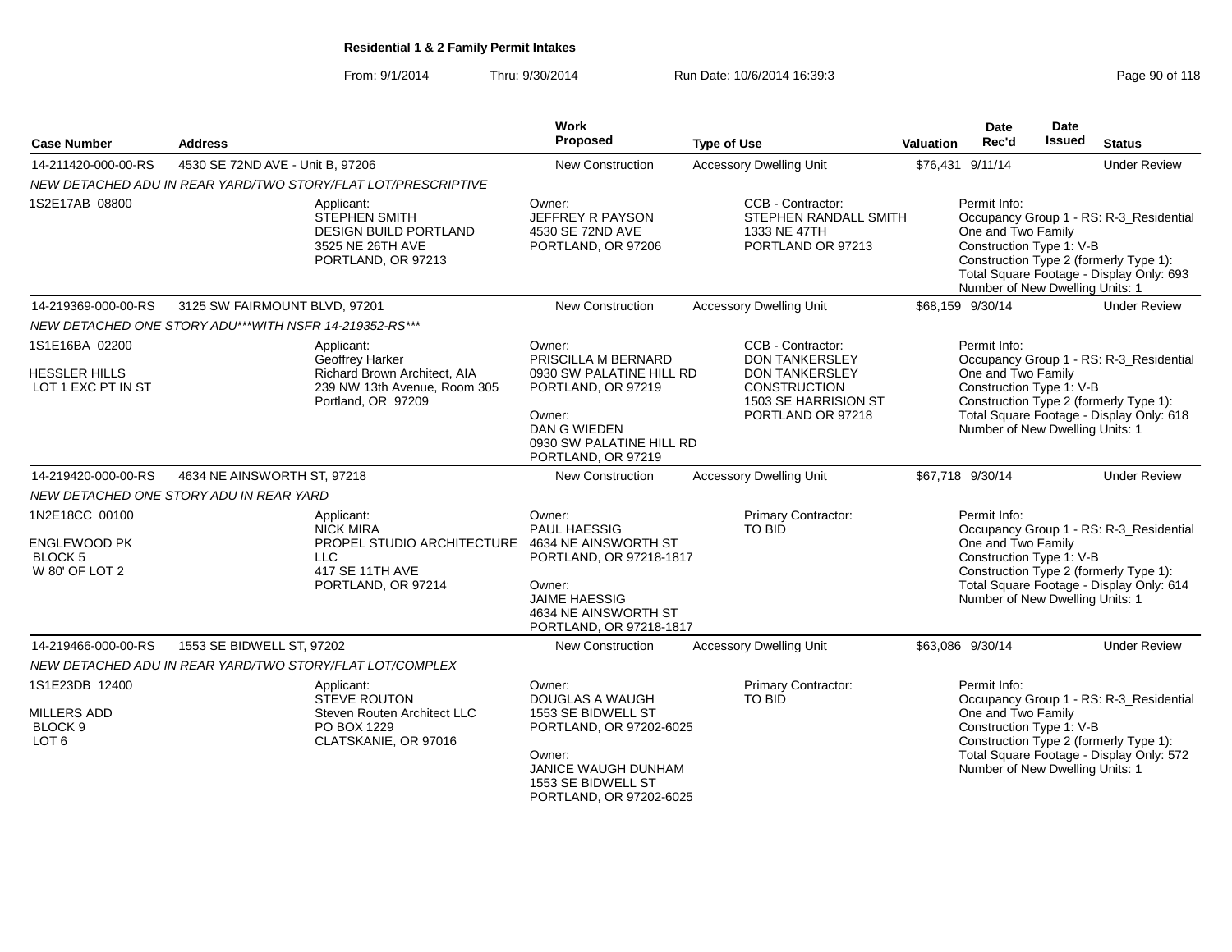From: 9/1/2014Thru: 9/30/2014 Run Date: 10/6/2014 16:39:3<br>
Page 90 of 118

| <b>Case Number</b>                                                                  | <b>Address</b>                                         |                                                                                                                                          | Work<br>Proposed                                                                                                                                                                       | <b>Type of Use</b>                                                                                                                                                        | Valuation | <b>Date</b><br>Rec'd                                                                                                  | <b>Date</b><br><b>Issued</b> | <b>Status</b>                                                                                                                                        |
|-------------------------------------------------------------------------------------|--------------------------------------------------------|------------------------------------------------------------------------------------------------------------------------------------------|----------------------------------------------------------------------------------------------------------------------------------------------------------------------------------------|---------------------------------------------------------------------------------------------------------------------------------------------------------------------------|-----------|-----------------------------------------------------------------------------------------------------------------------|------------------------------|------------------------------------------------------------------------------------------------------------------------------------------------------|
| 14-211420-000-00-RS                                                                 | 4530 SE 72ND AVE - Unit B, 97206                       |                                                                                                                                          | New Construction                                                                                                                                                                       | <b>Accessory Dwelling Unit</b>                                                                                                                                            |           | \$76,431 9/11/14                                                                                                      |                              | <b>Under Review</b>                                                                                                                                  |
|                                                                                     |                                                        | NEW DETACHED ADU IN REAR YARD/TWO STORY/FLAT LOT/PRESCRIPTIVE                                                                            |                                                                                                                                                                                        |                                                                                                                                                                           |           |                                                                                                                       |                              |                                                                                                                                                      |
| 1S2E17AB 08800                                                                      |                                                        | Applicant:<br>STEPHEN SMITH<br><b>DESIGN BUILD PORTLAND</b><br>3525 NE 26TH AVE<br>PORTLAND, OR 97213                                    | Owner:<br>JEFFREY R PAYSON<br>4530 SE 72ND AVE<br>PORTLAND, OR 97206                                                                                                                   | CCB - Contractor:<br>STEPHEN RANDALL SMITH<br>1333 NE 47TH<br>PORTLAND OR 97213                                                                                           |           | Permit Info:<br>One and Two Family<br>Construction Type 1: V-B<br>Number of New Dwelling Units: 1                     |                              | Occupancy Group 1 - RS: R-3_Residential<br>Construction Type 2 (formerly Type 1):<br>Total Square Footage - Display Only: 693                        |
| 14-219369-000-00-RS                                                                 | 3125 SW FAIRMOUNT BLVD, 97201                          |                                                                                                                                          | New Construction                                                                                                                                                                       | <b>Accessory Dwelling Unit</b>                                                                                                                                            |           | \$68,159 9/30/14                                                                                                      |                              | <b>Under Review</b>                                                                                                                                  |
|                                                                                     | NEW DETACHED ONE STORY ADU***WITH NSFR 14-219352-RS*** |                                                                                                                                          |                                                                                                                                                                                        |                                                                                                                                                                           |           |                                                                                                                       |                              |                                                                                                                                                      |
| 1S1E16BA 02200<br><b>HESSLER HILLS</b><br>LOT 1 EXC PT IN ST<br>14-219420-000-00-RS | 4634 NE AINSWORTH ST, 97218                            | Applicant:<br>Geoffrey Harker<br>Richard Brown Architect, AIA<br>239 NW 13th Avenue, Room 305<br>Portland, OR 97209                      | Owner:<br>PRISCILLA M BERNARD<br>0930 SW PALATINE HILL RD<br>PORTLAND, OR 97219<br>Owner:<br><b>DAN G WIEDEN</b><br>0930 SW PALATINE HILL RD<br>PORTLAND, OR 97219<br>New Construction | CCB - Contractor:<br><b>DON TANKERSLEY</b><br><b>DON TANKERSLEY</b><br><b>CONSTRUCTION</b><br>1503 SE HARRISION ST<br>PORTLAND OR 97218<br><b>Accessory Dwelling Unit</b> |           | Permit Info:<br>One and Two Family<br>Construction Type 1: V-B<br>Number of New Dwelling Units: 1<br>\$67,718 9/30/14 |                              | Occupancy Group 1 - RS: R-3_Residential<br>Construction Type 2 (formerly Type 1):<br>Total Square Footage - Display Only: 618<br><b>Under Review</b> |
|                                                                                     |                                                        |                                                                                                                                          |                                                                                                                                                                                        |                                                                                                                                                                           |           |                                                                                                                       |                              |                                                                                                                                                      |
| 1N2E18CC 00100<br><b>ENGLEWOOD PK</b><br><b>BLOCK 5</b><br>W 80' OF LOT 2           | NEW DETACHED ONE STORY ADU IN REAR YARD                | Applicant:<br><b>NICK MIRA</b><br>PROPEL STUDIO ARCHITECTURE 4634 NE AINSWORTH ST<br><b>LLC</b><br>417 SE 11TH AVE<br>PORTLAND, OR 97214 | Owner:<br>PAUL HAESSIG<br>PORTLAND, OR 97218-1817<br>Owner:<br><b>JAIME HAESSIG</b><br>4634 NE AINSWORTH ST<br>PORTLAND, OR 97218-1817                                                 | <b>Primary Contractor:</b><br>TO BID                                                                                                                                      |           | Permit Info:<br>One and Two Family<br>Construction Type 1: V-B<br>Number of New Dwelling Units: 1                     |                              | Occupancy Group 1 - RS: R-3_Residential<br>Construction Type 2 (formerly Type 1):<br>Total Square Footage - Display Only: 614                        |
| 14-219466-000-00-RS                                                                 | 1553 SE BIDWELL ST, 97202                              |                                                                                                                                          | <b>New Construction</b>                                                                                                                                                                | <b>Accessory Dwelling Unit</b>                                                                                                                                            |           | \$63.086 9/30/14                                                                                                      |                              | <b>Under Review</b>                                                                                                                                  |
|                                                                                     |                                                        | NEW DETACHED ADU IN REAR YARD/TWO STORY/FLAT LOT/COMPLEX                                                                                 |                                                                                                                                                                                        |                                                                                                                                                                           |           |                                                                                                                       |                              |                                                                                                                                                      |
| 1S1E23DB 12400<br><b>MILLERS ADD</b><br>BLOCK <sub>9</sub><br>LOT <sub>6</sub>      |                                                        | Applicant:<br>STEVE ROUTON<br>Steven Routen Architect LLC<br>PO BOX 1229<br>CLATSKANIE, OR 97016                                         | Owner:<br>DOUGLAS A WAUGH<br>1553 SE BIDWELL ST<br>PORTLAND, OR 97202-6025<br>Owner:<br>JANICE WAUGH DUNHAM<br>1553 SE BIDWELL ST<br>PORTLAND, OR 97202-6025                           | Primary Contractor:<br>TO BID                                                                                                                                             |           | Permit Info:<br>One and Two Family<br>Construction Type 1: V-B<br>Number of New Dwelling Units: 1                     |                              | Occupancy Group 1 - RS: R-3 Residential<br>Construction Type 2 (formerly Type 1):<br>Total Square Footage - Display Only: 572                        |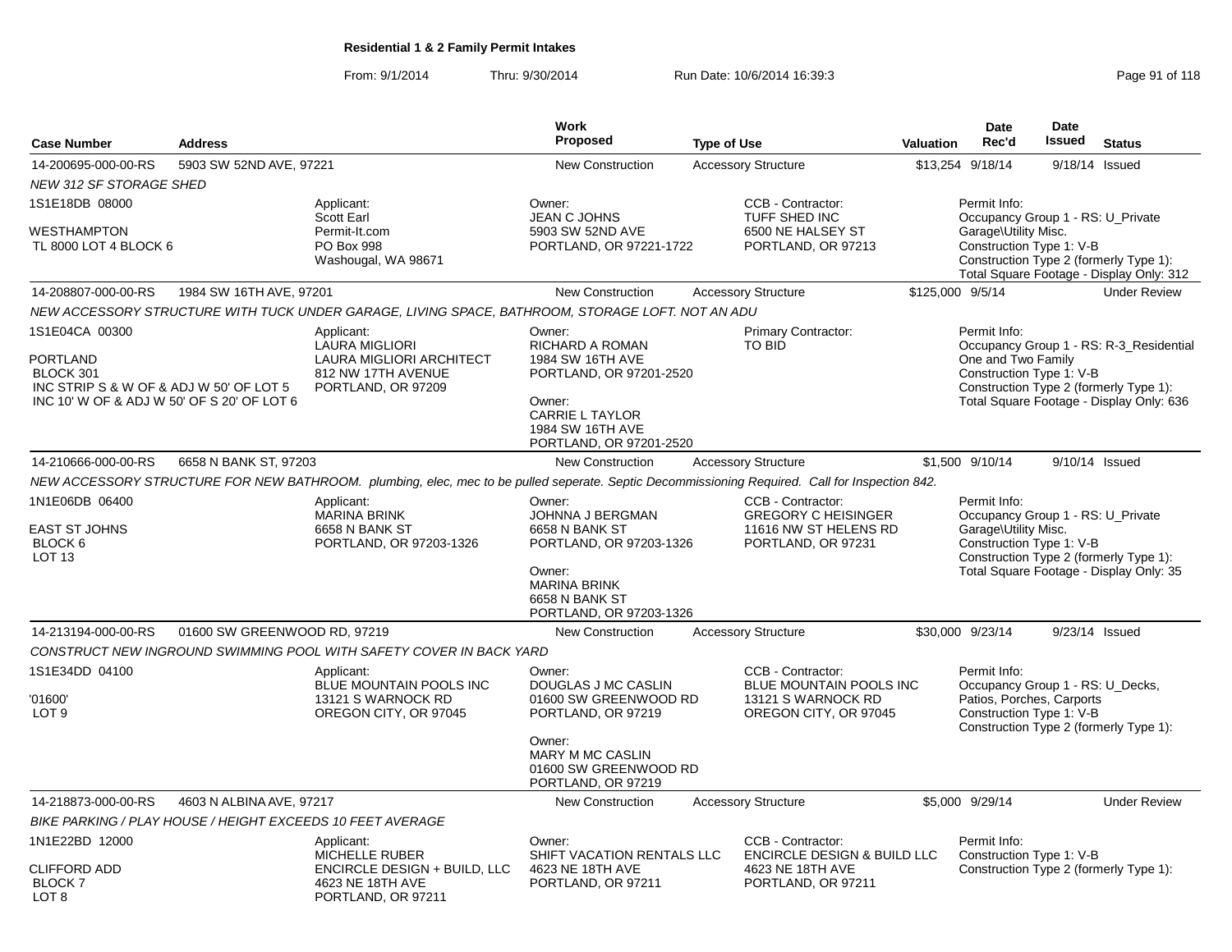From: 9/1/2014Thru: 9/30/2014 Run Date: 10/6/2014 16:39:3<br>
Page 91 of 118

| <b>Case Number</b>                                                                                                               | <b>Address</b>               |                                                                                                                                                | Work<br><b>Proposed</b>                                                                                                                                     | <b>Type of Use</b>                                                                                    | <b>Valuation</b> | <b>Date</b><br>Rec'd                                             | <b>Date</b><br>Issued<br><b>Status</b>                                                                                        |
|----------------------------------------------------------------------------------------------------------------------------------|------------------------------|------------------------------------------------------------------------------------------------------------------------------------------------|-------------------------------------------------------------------------------------------------------------------------------------------------------------|-------------------------------------------------------------------------------------------------------|------------------|------------------------------------------------------------------|-------------------------------------------------------------------------------------------------------------------------------|
| 14-200695-000-00-RS                                                                                                              | 5903 SW 52ND AVE, 97221      |                                                                                                                                                | <b>New Construction</b>                                                                                                                                     | <b>Accessory Structure</b>                                                                            |                  | \$13,254 9/18/14                                                 | 9/18/14 Issued                                                                                                                |
| <b>NEW 312 SF STORAGE SHED</b>                                                                                                   |                              |                                                                                                                                                |                                                                                                                                                             |                                                                                                       |                  |                                                                  |                                                                                                                               |
| 1S1E18DB 08000<br><b>WESTHAMPTON</b><br>TL 8000 LOT 4 BLOCK 6                                                                    |                              | Applicant:<br>Scott Earl<br>Permit-It.com<br>PO Box 998<br>Washougal, WA 98671                                                                 | Owner:<br><b>JEAN C JOHNS</b><br>5903 SW 52ND AVE<br>PORTLAND, OR 97221-1722                                                                                | CCB - Contractor:<br>TUFF SHED INC<br>6500 NE HALSEY ST<br>PORTLAND, OR 97213                         |                  | Permit Info:<br>Garage\Utility Misc.<br>Construction Type 1: V-B | Occupancy Group 1 - RS: U_Private<br>Construction Type 2 (formerly Type 1):<br>Total Square Footage - Display Only: 312       |
| 14-208807-000-00-RS                                                                                                              | 1984 SW 16TH AVE, 97201      |                                                                                                                                                | <b>New Construction</b>                                                                                                                                     | <b>Accessory Structure</b>                                                                            |                  | \$125,000 9/5/14                                                 | <b>Under Review</b>                                                                                                           |
|                                                                                                                                  |                              | NEW ACCESSORY STRUCTURE WITH TUCK UNDER GARAGE, LIVING SPACE, BATHROOM, STORAGE LOFT. NOT AN ADU                                               |                                                                                                                                                             |                                                                                                       |                  |                                                                  |                                                                                                                               |
| 1S1E04CA 00300<br>PORTLAND<br>BLOCK 301<br>INC STRIP S & W OF & ADJ W 50' OF LOT 5<br>INC 10' W OF & ADJ W 50' OF S 20' OF LOT 6 |                              | Applicant:<br>LAURA MIGLIORI<br>LAURA MIGLIORI ARCHITECT<br>812 NW 17TH AVENUE<br>PORTLAND, OR 97209                                           | Owner:<br>RICHARD A ROMAN<br>1984 SW 16TH AVE<br>PORTLAND, OR 97201-2520<br>Owner:<br><b>CARRIE L TAYLOR</b><br>1984 SW 16TH AVE<br>PORTLAND, OR 97201-2520 | Primary Contractor:<br><b>TO BID</b>                                                                  |                  | Permit Info:<br>One and Two Family<br>Construction Type 1: V-B   | Occupancy Group 1 - RS: R-3_Residential<br>Construction Type 2 (formerly Type 1):<br>Total Square Footage - Display Only: 636 |
| 14-210666-000-00-RS                                                                                                              | 6658 N BANK ST, 97203        |                                                                                                                                                | <b>New Construction</b>                                                                                                                                     | <b>Accessory Structure</b>                                                                            |                  | \$1,500 9/10/14                                                  | 9/10/14 Issued                                                                                                                |
|                                                                                                                                  |                              | NEW ACCESSORY STRUCTURE FOR NEW BATHROOM. plumbing, elec, mec to be pulled seperate. Septic Decommissioning Required. Call for Inspection 842. |                                                                                                                                                             |                                                                                                       |                  |                                                                  |                                                                                                                               |
| 1N1E06DB 06400<br><b>EAST ST JOHNS</b><br>BLOCK <sub>6</sub><br>LOT <sub>13</sub>                                                |                              | Applicant:<br><b>MARINA BRINK</b><br>6658 N BANK ST<br>PORTLAND, OR 97203-1326                                                                 | Owner:<br>JOHNNA J BERGMAN<br>6658 N BANK ST<br>PORTLAND, OR 97203-1326<br>Owner:<br><b>MARINA BRINK</b><br>6658 N BANK ST<br>PORTLAND, OR 97203-1326       | CCB - Contractor:<br><b>GREGORY C HEISINGER</b><br>11616 NW ST HELENS RD<br>PORTLAND, OR 97231        |                  | Permit Info:<br>Garage\Utility Misc.<br>Construction Type 1: V-B | Occupancy Group 1 - RS: U_Private<br>Construction Type 2 (formerly Type 1):<br>Total Square Footage - Display Only: 35        |
| 14-213194-000-00-RS                                                                                                              | 01600 SW GREENWOOD RD, 97219 |                                                                                                                                                | <b>New Construction</b>                                                                                                                                     | <b>Accessory Structure</b>                                                                            |                  | \$30,000 9/23/14                                                 | 9/23/14 Issued                                                                                                                |
| 1S1E34DD 04100<br>'01600'                                                                                                        |                              | CONSTRUCT NEW INGROUND SWIMMING POOL WITH SAFETY COVER IN BACK YARD<br>Applicant:<br>BLUE MOUNTAIN POOLS INC<br>13121 S WARNOCK RD             | Owner:<br>DOUGLAS J MC CASLIN<br>01600 SW GREENWOOD RD                                                                                                      | CCB - Contractor:<br>BLUE MOUNTAIN POOLS INC<br>13121 S WARNOCK RD                                    |                  | Permit Info:<br>Patios, Porches, Carports                        | Occupancy Group 1 - RS: U_Decks,                                                                                              |
| LOT <sub>9</sub>                                                                                                                 |                              | OREGON CITY, OR 97045                                                                                                                          | PORTLAND, OR 97219<br>Owner:<br><b>MARY M MC CASLIN</b><br>01600 SW GREENWOOD RD<br>PORTLAND, OR 97219                                                      | OREGON CITY, OR 97045                                                                                 |                  | Construction Type 1: V-B                                         | Construction Type 2 (formerly Type 1):                                                                                        |
| 14-218873-000-00-RS                                                                                                              | 4603 N ALBINA AVE, 97217     |                                                                                                                                                | New Construction                                                                                                                                            | <b>Accessory Structure</b>                                                                            |                  | \$5,000 9/29/14                                                  | <b>Under Review</b>                                                                                                           |
|                                                                                                                                  |                              | BIKE PARKING / PLAY HOUSE / HEIGHT EXCEEDS 10 FEET AVERAGE                                                                                     |                                                                                                                                                             |                                                                                                       |                  |                                                                  |                                                                                                                               |
| 1N1E22BD 12000<br><b>CLIFFORD ADD</b><br><b>BLOCK7</b><br>LOT 8                                                                  |                              | Applicant:<br>MICHELLE RUBER<br>ENCIRCLE DESIGN + BUILD, LLC<br>4623 NE 18TH AVE<br>PORTLAND, OR 97211                                         | Owner:<br>SHIFT VACATION RENTALS LLC<br>4623 NE 18TH AVE<br>PORTLAND, OR 97211                                                                              | CCB - Contractor:<br><b>ENCIRCLE DESIGN &amp; BUILD LLC</b><br>4623 NE 18TH AVE<br>PORTLAND, OR 97211 |                  | Permit Info:<br>Construction Type 1: V-B                         | Construction Type 2 (formerly Type 1):                                                                                        |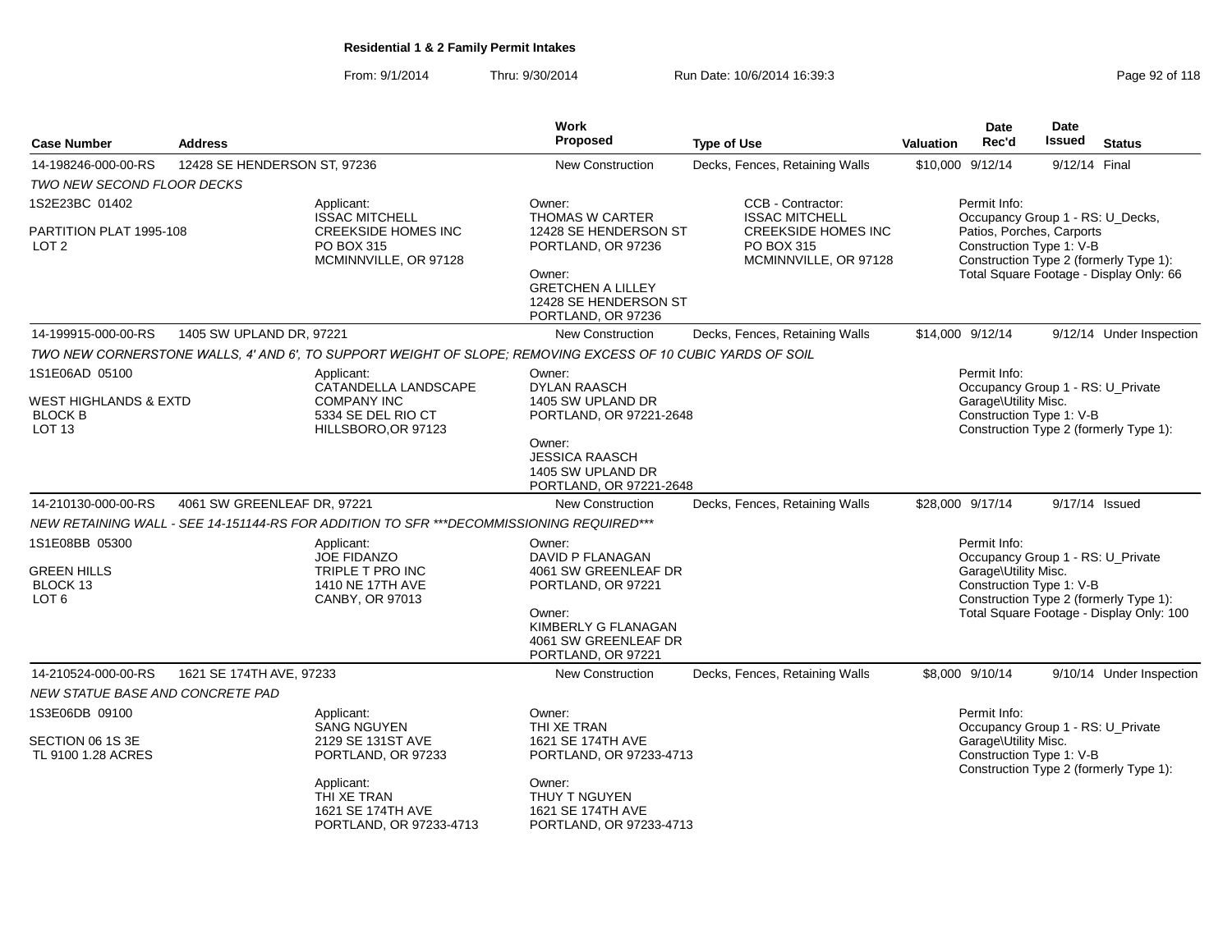From: 9/1/2014Thru: 9/30/2014 Run Date: 10/6/2014 16:39:3<br>
Page 92 of 118

| <b>Case Number</b>                                                                        | <b>Address</b>               |                                                                                                             | Work<br>Proposed                                                                                                                                        | <b>Type of Use</b>                                                | Valuation                                                                                                                                                      | <b>Date</b><br>Rec'd                 | <b>Date</b><br><b>Issued</b>                                  | <b>Status</b>                                                                      |
|-------------------------------------------------------------------------------------------|------------------------------|-------------------------------------------------------------------------------------------------------------|---------------------------------------------------------------------------------------------------------------------------------------------------------|-------------------------------------------------------------------|----------------------------------------------------------------------------------------------------------------------------------------------------------------|--------------------------------------|---------------------------------------------------------------|------------------------------------------------------------------------------------|
| 14-198246-000-00-RS                                                                       | 12428 SE HENDERSON ST, 97236 |                                                                                                             | <b>New Construction</b>                                                                                                                                 | Decks, Fences, Retaining Walls                                    | \$10,000 9/12/14                                                                                                                                               |                                      | 9/12/14 Final                                                 |                                                                                    |
| TWO NEW SECOND FLOOR DECKS                                                                |                              |                                                                                                             |                                                                                                                                                         |                                                                   |                                                                                                                                                                |                                      |                                                               |                                                                                    |
| 1S2E23BC 01402                                                                            |                              | Applicant:<br><b>ISSAC MITCHELL</b>                                                                         | Owner:<br><b>THOMAS W CARTER</b>                                                                                                                        | CCB - Contractor:<br><b>ISSAC MITCHELL</b>                        |                                                                                                                                                                | Permit Info:                         | Occupancy Group 1 - RS: U_Decks,                              |                                                                                    |
| PARTITION PLAT 1995-108<br>LOT <sub>2</sub>                                               |                              | <b>CREEKSIDE HOMES INC</b><br>PO BOX 315<br>MCMINNVILLE, OR 97128                                           | 12428 SE HENDERSON ST<br>PORTLAND, OR 97236<br>Owner:<br><b>GRETCHEN A LILLEY</b><br>12428 SE HENDERSON ST<br>PORTLAND, OR 97236                        | <b>CREEKSIDE HOMES INC</b><br>PO BOX 315<br>MCMINNVILLE, OR 97128 | Patios, Porches, Carports<br>Construction Type 1: V-B<br>Construction Type 2 (formerly Type 1):<br>Total Square Footage - Display Only: 66<br>\$14,000 9/12/14 |                                      |                                                               |                                                                                    |
| 14-199915-000-00-RS                                                                       | 1405 SW UPLAND DR, 97221     |                                                                                                             | <b>New Construction</b>                                                                                                                                 | Decks, Fences, Retaining Walls                                    |                                                                                                                                                                |                                      |                                                               | 9/12/14 Under Inspection                                                           |
|                                                                                           |                              | TWO NEW CORNERSTONE WALLS, 4' AND 6', TO SUPPORT WEIGHT OF SLOPE; REMOVING EXCESS OF 10 CUBIC YARDS OF SOIL |                                                                                                                                                         |                                                                   |                                                                                                                                                                |                                      |                                                               |                                                                                    |
| 1S1E06AD 05100<br><b>WEST HIGHLANDS &amp; EXTD</b><br><b>BLOCK B</b><br>LOT <sub>13</sub> |                              | Applicant:<br>CATANDELLA LANDSCAPE<br><b>COMPANY INC</b><br>5334 SE DEL RIO CT<br>HILLSBORO, OR 97123       | Owner:<br><b>DYLAN RAASCH</b><br>1405 SW UPLAND DR<br>PORTLAND, OR 97221-2648                                                                           |                                                                   |                                                                                                                                                                | Permit Info:<br>Garage\Utility Misc. | Occupancy Group 1 - RS: U_Private<br>Construction Type 1: V-B | Construction Type 2 (formerly Type 1):                                             |
|                                                                                           |                              |                                                                                                             | Owner:<br><b>JESSICA RAASCH</b><br>1405 SW UPLAND DR<br>PORTLAND, OR 97221-2648                                                                         |                                                                   |                                                                                                                                                                |                                      |                                                               |                                                                                    |
| 14-210130-000-00-RS                                                                       | 4061 SW GREENLEAF DR, 97221  |                                                                                                             | <b>New Construction</b>                                                                                                                                 | Decks, Fences, Retaining Walls                                    | \$28,000 9/17/14                                                                                                                                               |                                      | 9/17/14 Issued                                                |                                                                                    |
|                                                                                           |                              | NEW RETAINING WALL - SEE 14-151144-RS FOR ADDITION TO SFR ***DECOMMISSIONING REQUIRED***                    |                                                                                                                                                         |                                                                   |                                                                                                                                                                |                                      |                                                               |                                                                                    |
| 1S1E08BB 05300<br><b>GREEN HILLS</b><br>BLOCK 13<br>LOT <sub>6</sub>                      |                              | Applicant:<br><b>JOE FIDANZO</b><br>TRIPLE T PRO INC<br>1410 NE 17TH AVE<br>CANBY, OR 97013                 | Owner:<br>DAVID P FLANAGAN<br>4061 SW GREENLEAF DR<br>PORTLAND, OR 97221<br>Owner:<br>KIMBERLY G FLANAGAN<br>4061 SW GREENLEAF DR<br>PORTLAND, OR 97221 |                                                                   |                                                                                                                                                                | Permit Info:<br>Garage\Utility Misc. | Occupancy Group 1 - RS: U_Private<br>Construction Type 1: V-B | Construction Type 2 (formerly Type 1):<br>Total Square Footage - Display Only: 100 |
| 14-210524-000-00-RS                                                                       | 1621 SE 174TH AVE, 97233     |                                                                                                             | <b>New Construction</b>                                                                                                                                 | Decks, Fences, Retaining Walls                                    |                                                                                                                                                                | \$8,000 9/10/14                      |                                                               | 9/10/14 Under Inspection                                                           |
| NEW STATUE BASE AND CONCRETE PAD                                                          |                              |                                                                                                             |                                                                                                                                                         |                                                                   |                                                                                                                                                                |                                      |                                                               |                                                                                    |
| 1S3E06DB 09100<br>SECTION 06 1S 3E<br>TL 9100 1.28 ACRES                                  |                              | Applicant:<br><b>SANG NGUYEN</b><br>2129 SE 131ST AVE<br>PORTLAND, OR 97233                                 | Owner:<br>THI XE TRAN<br>1621 SE 174TH AVE<br>PORTLAND, OR 97233-4713                                                                                   |                                                                   |                                                                                                                                                                | Permit Info:<br>Garage\Utility Misc. | Occupancy Group 1 - RS: U_Private<br>Construction Type 1: V-B | Construction Type 2 (formerly Type 1):                                             |
|                                                                                           |                              | Applicant:<br>THI XE TRAN<br>1621 SE 174TH AVE<br>PORTLAND, OR 97233-4713                                   | Owner:<br>THUY T NGUYEN<br>1621 SE 174TH AVE<br>PORTLAND, OR 97233-4713                                                                                 |                                                                   |                                                                                                                                                                |                                      |                                                               |                                                                                    |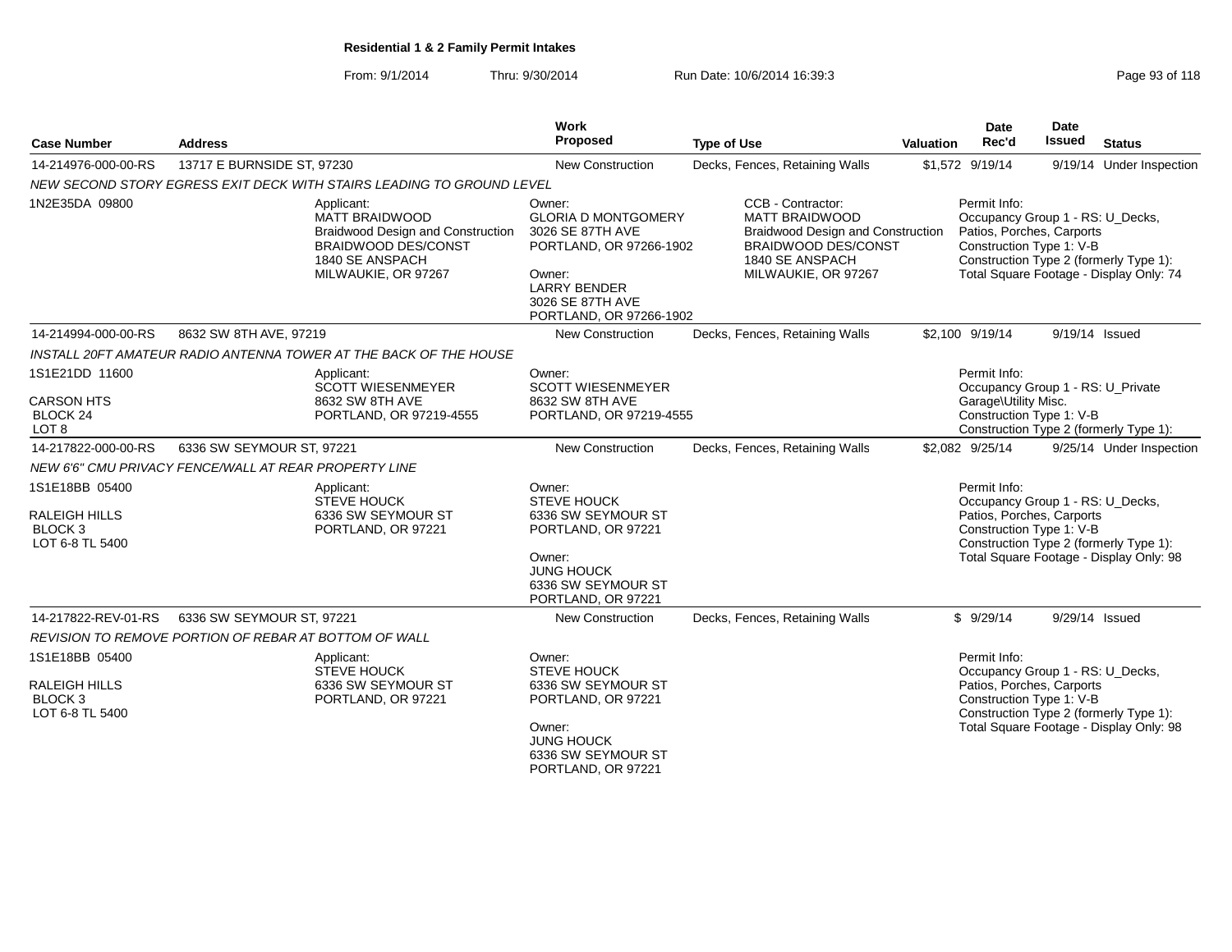From: 9/1/2014Thru: 9/30/2014 Run Date: 10/6/2014 16:39:3<br>
Page 93 of 118

| <b>Case Number</b>                                                              | <b>Address</b>                                                        |                                                                                                                                    | Work<br>Proposed                                                                                                                                                    | <b>Type of Use</b>                                                                                                                               | <b>Valuation</b> | <b>Date</b><br>Rec'd                                                                                      | <b>Date</b><br>Issued | <b>Status</b>                                                                     |
|---------------------------------------------------------------------------------|-----------------------------------------------------------------------|------------------------------------------------------------------------------------------------------------------------------------|---------------------------------------------------------------------------------------------------------------------------------------------------------------------|--------------------------------------------------------------------------------------------------------------------------------------------------|------------------|-----------------------------------------------------------------------------------------------------------|-----------------------|-----------------------------------------------------------------------------------|
| 14-214976-000-00-RS                                                             | 13717 E BURNSIDE ST, 97230                                            |                                                                                                                                    | <b>New Construction</b>                                                                                                                                             | Decks, Fences, Retaining Walls                                                                                                                   |                  | \$1,572 9/19/14                                                                                           |                       | 9/19/14 Under Inspection                                                          |
|                                                                                 | NEW SECOND STORY EGRESS EXIT DECK WITH STAIRS LEADING TO GROUND LEVEL |                                                                                                                                    |                                                                                                                                                                     |                                                                                                                                                  |                  |                                                                                                           |                       |                                                                                   |
| 1N2E35DA 09800                                                                  | Applicant:                                                            | <b>MATT BRAIDWOOD</b><br>Braidwood Design and Construction<br><b>BRAIDWOOD DES/CONST</b><br>1840 SE ANSPACH<br>MILWAUKIE, OR 97267 | Owner:<br><b>GLORIA D MONTGOMERY</b><br>3026 SE 87TH AVE<br>PORTLAND, OR 97266-1902<br>Owner:<br><b>LARRY BENDER</b><br>3026 SE 87TH AVE<br>PORTLAND, OR 97266-1902 | CCB - Contractor:<br><b>MATT BRAIDWOOD</b><br>Braidwood Design and Construction<br>BRAIDWOOD DES/CONST<br>1840 SE ANSPACH<br>MILWAUKIE, OR 97267 |                  | Permit Info:<br>Occupancy Group 1 - RS: U_Decks,<br>Patios, Porches, Carports<br>Construction Type 1: V-B |                       | Construction Type 2 (formerly Type 1):<br>Total Square Footage - Display Only: 74 |
| 14-214994-000-00-RS                                                             | 8632 SW 8TH AVE, 97219                                                |                                                                                                                                    | <b>New Construction</b>                                                                                                                                             | Decks, Fences, Retaining Walls                                                                                                                   |                  | \$2,100 9/19/14                                                                                           | 9/19/14 Issued        |                                                                                   |
|                                                                                 | INSTALL 20FT AMATEUR RADIO ANTENNA TOWER AT THE BACK OF THE HOUSE     |                                                                                                                                    |                                                                                                                                                                     |                                                                                                                                                  |                  |                                                                                                           |                       |                                                                                   |
| 1S1E21DD 11600<br><b>CARSON HTS</b><br>BLOCK <sub>24</sub><br>LOT <sub>8</sub>  | Applicant:                                                            | <b>SCOTT WIESENMEYER</b><br>8632 SW 8TH AVE<br>PORTLAND, OR 97219-4555                                                             | Owner:<br><b>SCOTT WIESENMEYER</b><br>8632 SW 8TH AVE<br>PORTLAND, OR 97219-4555                                                                                    |                                                                                                                                                  |                  | Permit Info:<br>Occupancy Group 1 - RS: U_Private<br>Garage\Utility Misc.<br>Construction Type 1: V-B     |                       | Construction Type 2 (formerly Type 1):                                            |
| 14-217822-000-00-RS                                                             | 6336 SW SEYMOUR ST, 97221                                             |                                                                                                                                    | New Construction                                                                                                                                                    | Decks, Fences, Retaining Walls                                                                                                                   |                  | \$2,082 9/25/14                                                                                           |                       | 9/25/14 Under Inspection                                                          |
|                                                                                 | NEW 6'6" CMU PRIVACY FENCE/WALL AT REAR PROPERTY LINE                 |                                                                                                                                    |                                                                                                                                                                     |                                                                                                                                                  |                  |                                                                                                           |                       |                                                                                   |
| 1S1E18BB 05400<br><b>RALEIGH HILLS</b><br>BLOCK <sub>3</sub><br>LOT 6-8 TL 5400 | Applicant:                                                            | <b>STEVE HOUCK</b><br>6336 SW SEYMOUR ST<br>PORTLAND, OR 97221                                                                     | Owner:<br><b>STEVE HOUCK</b><br>6336 SW SEYMOUR ST<br>PORTLAND, OR 97221<br>Owner:<br><b>JUNG HOUCK</b><br>6336 SW SEYMOUR ST<br>PORTLAND, OR 97221                 |                                                                                                                                                  |                  | Permit Info:<br>Occupancy Group 1 - RS: U_Decks,<br>Patios, Porches, Carports<br>Construction Type 1: V-B |                       | Construction Type 2 (formerly Type 1):<br>Total Square Footage - Display Only: 98 |
| 14-217822-REV-01-RS                                                             | 6336 SW SEYMOUR ST, 97221                                             |                                                                                                                                    | <b>New Construction</b>                                                                                                                                             | Decks, Fences, Retaining Walls                                                                                                                   |                  | \$9/29/14                                                                                                 | 9/29/14 Issued        |                                                                                   |
|                                                                                 | REVISION TO REMOVE PORTION OF REBAR AT BOTTOM OF WALL                 |                                                                                                                                    |                                                                                                                                                                     |                                                                                                                                                  |                  |                                                                                                           |                       |                                                                                   |
| 1S1E18BB 05400<br>RALEIGH HILLS<br>BLOCK <sub>3</sub><br>LOT 6-8 TL 5400        | Applicant:                                                            | <b>STEVE HOUCK</b><br>6336 SW SEYMOUR ST<br>PORTLAND, OR 97221                                                                     | Owner:<br><b>STEVE HOUCK</b><br>6336 SW SEYMOUR ST<br>PORTLAND, OR 97221<br>Owner:<br><b>JUNG HOUCK</b><br>6336 SW SEYMOUR ST<br>PORTLAND, OR 97221                 |                                                                                                                                                  |                  | Permit Info:<br>Occupancy Group 1 - RS: U_Decks,<br>Patios, Porches, Carports<br>Construction Type 1: V-B |                       | Construction Type 2 (formerly Type 1):<br>Total Square Footage - Display Only: 98 |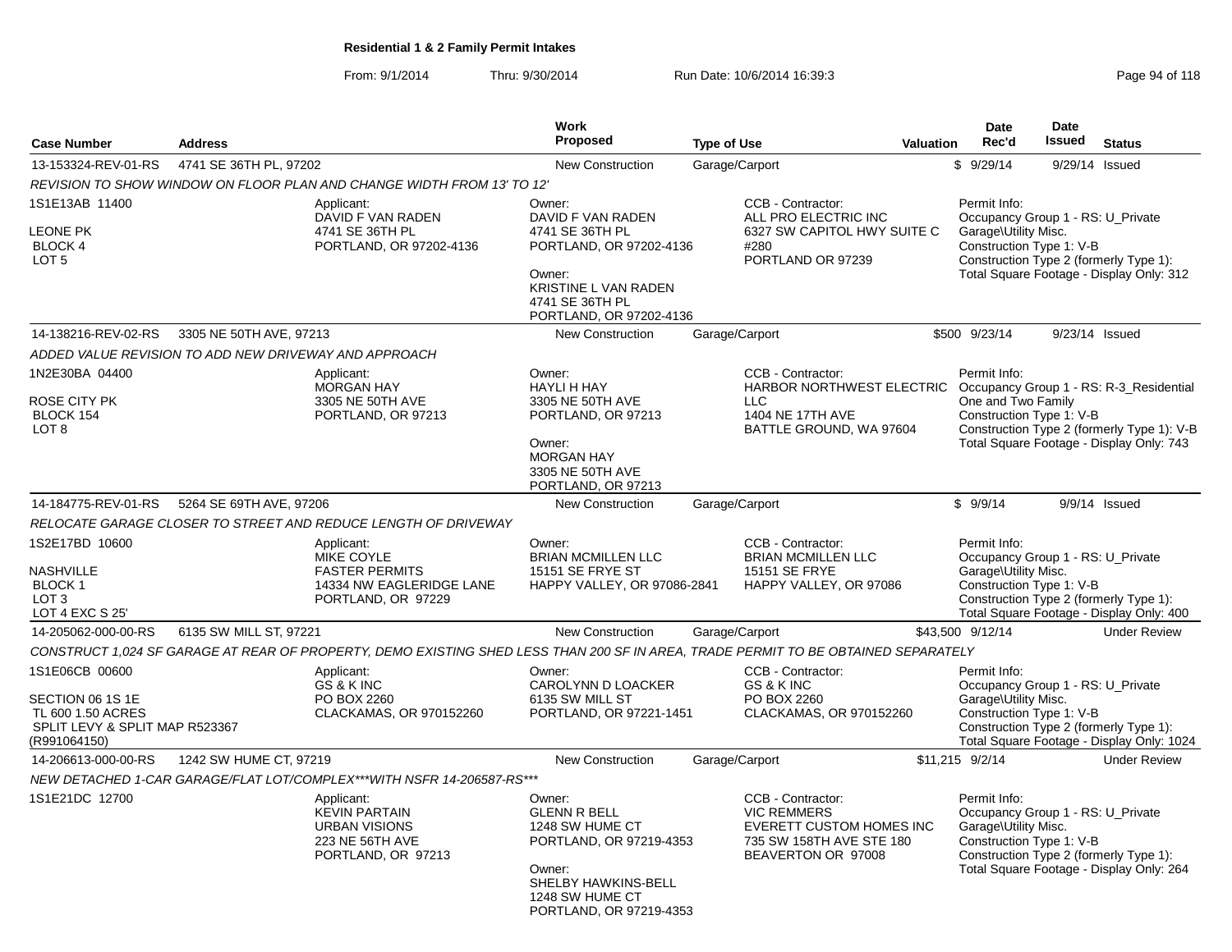From: 9/1/2014Thru: 9/30/2014 Run Date: 10/6/2014 16:39:3<br>
Page 94 of 118

|                                                                                                           |                                                       |                                                                                                                                    | <b>Work</b>                                                                                                                                                |                                                                                           |                                                                                              | <b>Date</b>                                                                                                                                     | Date          |                                                                                        |
|-----------------------------------------------------------------------------------------------------------|-------------------------------------------------------|------------------------------------------------------------------------------------------------------------------------------------|------------------------------------------------------------------------------------------------------------------------------------------------------------|-------------------------------------------------------------------------------------------|----------------------------------------------------------------------------------------------|-------------------------------------------------------------------------------------------------------------------------------------------------|---------------|----------------------------------------------------------------------------------------|
| <b>Case Number</b>                                                                                        | <b>Address</b>                                        |                                                                                                                                    | Proposed                                                                                                                                                   | <b>Type of Use</b>                                                                        | Valuation                                                                                    | Rec'd                                                                                                                                           | <b>Issued</b> | <b>Status</b>                                                                          |
| 13-153324-REV-01-RS                                                                                       | 4741 SE 36TH PL, 97202                                |                                                                                                                                    | <b>New Construction</b>                                                                                                                                    | Garage/Carport                                                                            |                                                                                              | \$9/29/14                                                                                                                                       |               | 9/29/14 Issued                                                                         |
|                                                                                                           |                                                       | REVISION TO SHOW WINDOW ON FLOOR PLAN AND CHANGE WIDTH FROM 13' TO 12'                                                             |                                                                                                                                                            |                                                                                           |                                                                                              |                                                                                                                                                 |               |                                                                                        |
| 1S1E13AB 11400<br><b>EONE PK</b><br>BLOCK 4<br>LOT <sub>5</sub>                                           |                                                       | Applicant:<br>DAVID F VAN RADEN<br>4741 SE 36TH PL<br>PORTLAND, OR 97202-4136                                                      | Owner:<br>DAVID F VAN RADEN<br>4741 SE 36TH PL<br>PORTLAND, OR 97202-4136<br>Owner:<br>KRISTINE L VAN RADEN<br>4741 SE 36TH PL<br>PORTLAND, OR 97202-4136  | CCB - Contractor:<br>ALL PRO ELECTRIC INC<br>#280<br>PORTLAND OR 97239                    | 6327 SW CAPITOL HWY SUITE C                                                                  | Permit Info:<br>Occupancy Group 1 - RS: U_Private<br>Garage\Utility Misc.<br>Construction Type 1: V-B                                           |               | Construction Type 2 (formerly Type 1):<br>Total Square Footage - Display Only: 312     |
| 14-138216-REV-02-RS                                                                                       | 3305 NE 50TH AVE, 97213                               |                                                                                                                                    | <b>New Construction</b>                                                                                                                                    | Garage/Carport                                                                            |                                                                                              | \$500 9/23/14                                                                                                                                   |               | 9/23/14 Issued                                                                         |
|                                                                                                           | ADDED VALUE REVISION TO ADD NEW DRIVEWAY AND APPROACH |                                                                                                                                    |                                                                                                                                                            |                                                                                           |                                                                                              |                                                                                                                                                 |               |                                                                                        |
| 1N2E30BA 04400<br>ROSE CITY PK<br>BLOCK 154<br>LOT <sub>8</sub>                                           |                                                       | Applicant:<br><b>MORGAN HAY</b><br>3305 NE 50TH AVE<br>PORTLAND, OR 97213                                                          | Owner:<br><b>HAYLI H HAY</b><br>3305 NE 50TH AVE<br>PORTLAND, OR 97213<br>Owner:<br><b>MORGAN HAY</b><br>3305 NE 50TH AVE<br>PORTLAND, OR 97213            | CCB - Contractor:<br><b>LLC</b><br>1404 NE 17TH AVE                                       | HARBOR NORTHWEST ELECTRIC Occupancy Group 1 - RS: R-3_Residential<br>BATTLE GROUND, WA 97604 | Permit Info:<br>One and Two Family<br>Construction Type 1: V-B                                                                                  |               | Construction Type 2 (formerly Type 1): V-B<br>Total Square Footage - Display Only: 743 |
| 14-184775-REV-01-RS                                                                                       | 5264 SE 69TH AVE, 97206                               |                                                                                                                                    | <b>New Construction</b>                                                                                                                                    | Garage/Carport                                                                            |                                                                                              | \$9/9/14                                                                                                                                        |               | 9/9/14 Issued                                                                          |
|                                                                                                           |                                                       | RELOCATE GARAGE CLOSER TO STREET AND REDUCE LENGTH OF DRIVEWAY                                                                     |                                                                                                                                                            |                                                                                           |                                                                                              |                                                                                                                                                 |               |                                                                                        |
| 1S2E17BD 10600<br>NASHVILLE<br>BLOCK 1<br>LOT <sub>3</sub><br>LOT 4 EXC S 25'                             |                                                       | Applicant:<br>MIKE COYLE<br><b>FASTER PERMITS</b><br>14334 NW EAGLERIDGE LANE<br>PORTLAND, OR 97229                                | Owner:<br><b>BRIAN MCMILLEN LLC</b><br>15151 SE FRYE ST<br>HAPPY VALLEY, OR 97086-2841                                                                     | CCB - Contractor:<br><b>BRIAN MCMILLEN LLC</b><br>15151 SE FRYE<br>HAPPY VALLEY, OR 97086 |                                                                                              | Permit Info:<br>Occupancy Group 1 - RS: U_Private<br>Garage\Utility Misc.<br>Construction Type 1: V-B<br>Construction Type 2 (formerly Type 1): |               | Total Square Footage - Display Only: 400                                               |
| 14-205062-000-00-RS                                                                                       | 6135 SW MILL ST, 97221                                |                                                                                                                                    | <b>New Construction</b>                                                                                                                                    | Garage/Carport                                                                            |                                                                                              | \$43,500 9/12/14                                                                                                                                |               | <b>Under Review</b>                                                                    |
|                                                                                                           |                                                       | CONSTRUCT 1,024 SF GARAGE AT REAR OF PROPERTY, DEMO EXISTING SHED LESS THAN 200 SF IN AREA, TRADE PERMIT TO BE OBTAINED SEPARATELY |                                                                                                                                                            |                                                                                           |                                                                                              |                                                                                                                                                 |               |                                                                                        |
| 1S1E06CB 00600<br>SECTION 06 1S 1E<br>TL 600 1.50 ACRES<br>SPLIT LEVY & SPLIT MAP R523367<br>(R991064150) |                                                       | Applicant:<br>GS & K INC<br>PO BOX 2260<br>CLACKAMAS, OR 970152260                                                                 | Owner:<br>CAROLYNN D LOACKER<br>6135 SW MILL ST<br>PORTLAND, OR 97221-1451                                                                                 | CCB - Contractor:<br>GS & K INC<br>PO BOX 2260                                            | CLACKAMAS, OR 970152260                                                                      | Permit Info:<br>Occupancy Group 1 - RS: U_Private<br>Garage\Utility Misc.<br>Construction Type 1: V-B                                           |               | Construction Type 2 (formerly Type 1):<br>Total Square Footage - Display Only: 1024    |
| 14-206613-000-00-RS                                                                                       | 1242 SW HUME CT, 97219                                |                                                                                                                                    | <b>New Construction</b>                                                                                                                                    | Garage/Carport                                                                            |                                                                                              | \$11,215 9/2/14                                                                                                                                 |               | <b>Under Review</b>                                                                    |
|                                                                                                           |                                                       | NEW DETACHED 1-CAR GARAGE/FLAT LOT/COMPLEX***WITH NSFR 14-206587-RS***                                                             |                                                                                                                                                            |                                                                                           |                                                                                              |                                                                                                                                                 |               |                                                                                        |
| 1S1E21DC 12700                                                                                            |                                                       | Applicant:<br><b>KEVIN PARTAIN</b><br><b>URBAN VISIONS</b><br>223 NE 56TH AVE<br>PORTLAND, OR 97213                                | Owner:<br><b>GLENN R BELL</b><br>1248 SW HUME CT<br>PORTLAND, OR 97219-4353<br>Owner:<br>SHELBY HAWKINS-BELL<br>1248 SW HUME CT<br>PORTLAND, OR 97219-4353 | CCB - Contractor:<br><b>VIC REMMERS</b><br>BEAVERTON OR 97008                             | EVERETT CUSTOM HOMES INC<br>735 SW 158TH AVE STE 180                                         | Permit Info:<br>Occupancy Group 1 - RS: U_Private<br>Garage\Utility Misc.<br>Construction Type 1: V-B                                           |               | Construction Type 2 (formerly Type 1):<br>Total Square Footage - Display Only: 264     |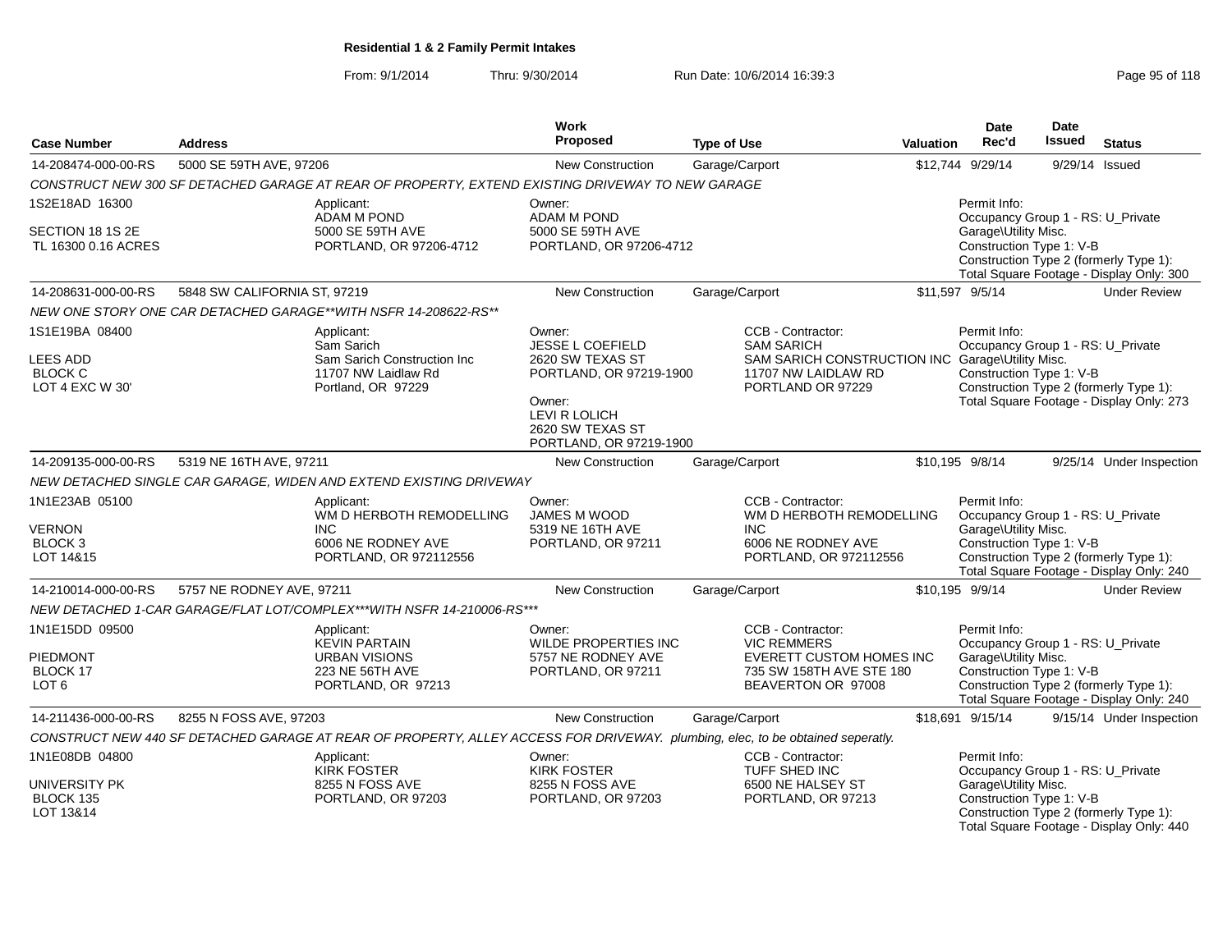### From: 9/1/2014Thru: 9/30/2014 Run Date: 10/6/2014 16:39:3<br>
Page 95 of 118

| <b>Case Number</b>                              | <b>Address</b>               |                                                                                                                                | Work<br><b>Proposed</b>                                                | <b>Type of Use</b>                                                         | <b>Valuation</b> | <b>Date</b><br>Rec'd                              | <b>Date</b><br>Issued | <b>Status</b>                                                                      |
|-------------------------------------------------|------------------------------|--------------------------------------------------------------------------------------------------------------------------------|------------------------------------------------------------------------|----------------------------------------------------------------------------|------------------|---------------------------------------------------|-----------------------|------------------------------------------------------------------------------------|
| 14-208474-000-00-RS                             | 5000 SE 59TH AVE, 97206      |                                                                                                                                | <b>New Construction</b>                                                | Garage/Carport                                                             |                  | \$12,744 9/29/14                                  |                       | 9/29/14 Issued                                                                     |
|                                                 |                              | CONSTRUCT NEW 300 SF DETACHED GARAGE AT REAR OF PROPERTY, EXTEND EXISTING DRIVEWAY TO NEW GARAGE                               |                                                                        |                                                                            |                  |                                                   |                       |                                                                                    |
| 1S2E18AD 16300                                  |                              | Applicant:<br><b>ADAM M POND</b>                                                                                               | Owner:<br>ADAM M POND                                                  |                                                                            |                  | Permit Info:<br>Occupancy Group 1 - RS: U_Private |                       |                                                                                    |
| SECTION 18 1S 2E                                |                              | 5000 SE 59TH AVE                                                                                                               | 5000 SE 59TH AVE                                                       |                                                                            |                  | Garage\Utility Misc.                              |                       |                                                                                    |
| TL 16300 0.16 ACRES                             |                              | PORTLAND, OR 97206-4712                                                                                                        | PORTLAND, OR 97206-4712                                                |                                                                            |                  | Construction Type 1: V-B                          |                       | Construction Type 2 (formerly Type 1):<br>Total Square Footage - Display Only: 300 |
| 14-208631-000-00-RS                             | 5848 SW CALIFORNIA ST, 97219 |                                                                                                                                | <b>New Construction</b>                                                | Garage/Carport                                                             |                  | \$11,597 9/5/14                                   |                       | <b>Under Review</b>                                                                |
|                                                 |                              | NEW ONE STORY ONE CAR DETACHED GARAGE**WITH NSFR 14-208622-RS**                                                                |                                                                        |                                                                            |                  |                                                   |                       |                                                                                    |
| 1S1E19BA 08400                                  |                              | Applicant:<br>Sam Sarich                                                                                                       | Owner:<br><b>JESSE L COEFIELD</b>                                      | CCB - Contractor:<br><b>SAM SARICH</b>                                     |                  | Permit Info:<br>Occupancy Group 1 - RS: U_Private |                       |                                                                                    |
| <b>LEES ADD</b>                                 |                              | Sam Sarich Construction Inc                                                                                                    | 2620 SW TEXAS ST                                                       | SAM SARICH CONSTRUCTION INC Garage\Utility Misc.                           |                  |                                                   |                       |                                                                                    |
| <b>BLOCK C</b>                                  |                              | 11707 NW Laidlaw Rd                                                                                                            | PORTLAND, OR 97219-1900                                                | 11707 NW LAIDLAW RD                                                        |                  | Construction Type 1: V-B                          |                       |                                                                                    |
| LOT 4 EXC W 30'                                 |                              | Portland, OR 97229                                                                                                             | Owner:<br>LEVI R LOLICH<br>2620 SW TEXAS ST<br>PORTLAND, OR 97219-1900 | PORTLAND OR 97229                                                          |                  |                                                   |                       | Construction Type 2 (formerly Type 1):<br>Total Square Footage - Display Only: 273 |
| 14-209135-000-00-RS                             | 5319 NE 16TH AVE, 97211      |                                                                                                                                | <b>New Construction</b>                                                | Garage/Carport                                                             |                  | \$10,195 9/8/14                                   |                       | 9/25/14 Under Inspection                                                           |
|                                                 |                              | NEW DETACHED SINGLE CAR GARAGE, WIDEN AND EXTEND EXISTING DRIVEWAY                                                             |                                                                        |                                                                            |                  |                                                   |                       |                                                                                    |
| 1N1E23AB 05100                                  |                              | Applicant:<br>WM D HERBOTH REMODELLING                                                                                         | Owner:<br><b>JAMES M WOOD</b>                                          | CCB - Contractor:<br>WM D HERBOTH REMODELLING                              |                  | Permit Info:<br>Occupancy Group 1 - RS: U_Private |                       |                                                                                    |
| <b>VERNON</b>                                   |                              | INC.                                                                                                                           | 5319 NE 16TH AVE                                                       | <b>INC</b>                                                                 |                  | Garage\Utility Misc.                              |                       |                                                                                    |
| BLOCK <sub>3</sub><br>LOT 14&15                 |                              | 6006 NE RODNEY AVE<br>PORTLAND, OR 972112556                                                                                   | PORTLAND, OR 97211                                                     | 6006 NE RODNEY AVE<br>PORTLAND, OR 972112556                               |                  | Construction Type 1: V-B                          |                       | Construction Type 2 (formerly Type 1):<br>Total Square Footage - Display Only: 240 |
| 14-210014-000-00-RS                             | 5757 NE RODNEY AVE, 97211    |                                                                                                                                | New Construction                                                       | Garage/Carport                                                             |                  | \$10,195 9/9/14                                   |                       | <b>Under Review</b>                                                                |
|                                                 |                              | NEW DETACHED 1-CAR GARAGE/FLAT LOT/COMPLEX***WITH NSFR 14-210006-RS***                                                         |                                                                        |                                                                            |                  |                                                   |                       |                                                                                    |
| 1N1E15DD 09500                                  |                              | Applicant:<br><b>KEVIN PARTAIN</b>                                                                                             | Owner:<br><b>WILDE PROPERTIES INC</b>                                  | CCB - Contractor:<br><b>VIC REMMERS</b>                                    |                  | Permit Info:<br>Occupancy Group 1 - RS: U_Private |                       |                                                                                    |
| <b>PIEDMONT</b><br>BLOCK 17<br>LOT <sub>6</sub> |                              | <b>URBAN VISIONS</b><br>223 NE 56TH AVE<br>PORTLAND, OR 97213                                                                  | 5757 NE RODNEY AVE<br>PORTLAND, OR 97211                               | EVERETT CUSTOM HOMES INC<br>735 SW 158TH AVE STE 180<br>BEAVERTON OR 97008 |                  | Garage\Utility Misc.<br>Construction Type 1: V-B  |                       | Construction Type 2 (formerly Type 1):<br>Total Square Footage - Display Only: 240 |
| 14-211436-000-00-RS                             | 8255 N FOSS AVE, 97203       |                                                                                                                                | New Construction                                                       | Garage/Carport                                                             |                  | \$18,691 9/15/14                                  |                       | 9/15/14 Under Inspection                                                           |
|                                                 |                              | CONSTRUCT NEW 440 SF DETACHED GARAGE AT REAR OF PROPERTY, ALLEY ACCESS FOR DRIVEWAY. plumbing, elec, to be obtained seperatly. |                                                                        |                                                                            |                  |                                                   |                       |                                                                                    |
| 1N1E08DB 04800                                  |                              | Applicant:<br><b>KIRK FOSTER</b>                                                                                               | Owner:<br><b>KIRK FOSTER</b>                                           | CCB - Contractor:<br>TUFF SHED INC                                         |                  | Permit Info:<br>Occupancy Group 1 - RS: U_Private |                       |                                                                                    |
| UNIVERSITY PK<br>BLOCK 135<br>LOT 13&14         |                              | 8255 N FOSS AVE<br>PORTLAND, OR 97203                                                                                          | 8255 N FOSS AVE<br>PORTLAND, OR 97203                                  | 6500 NE HALSEY ST<br>PORTLAND, OR 97213                                    |                  | Garage\Utility Misc.<br>Construction Type 1: V-B  |                       | Construction Type 2 (formerly Type 1):<br>Total Square Footage - Display Only: 440 |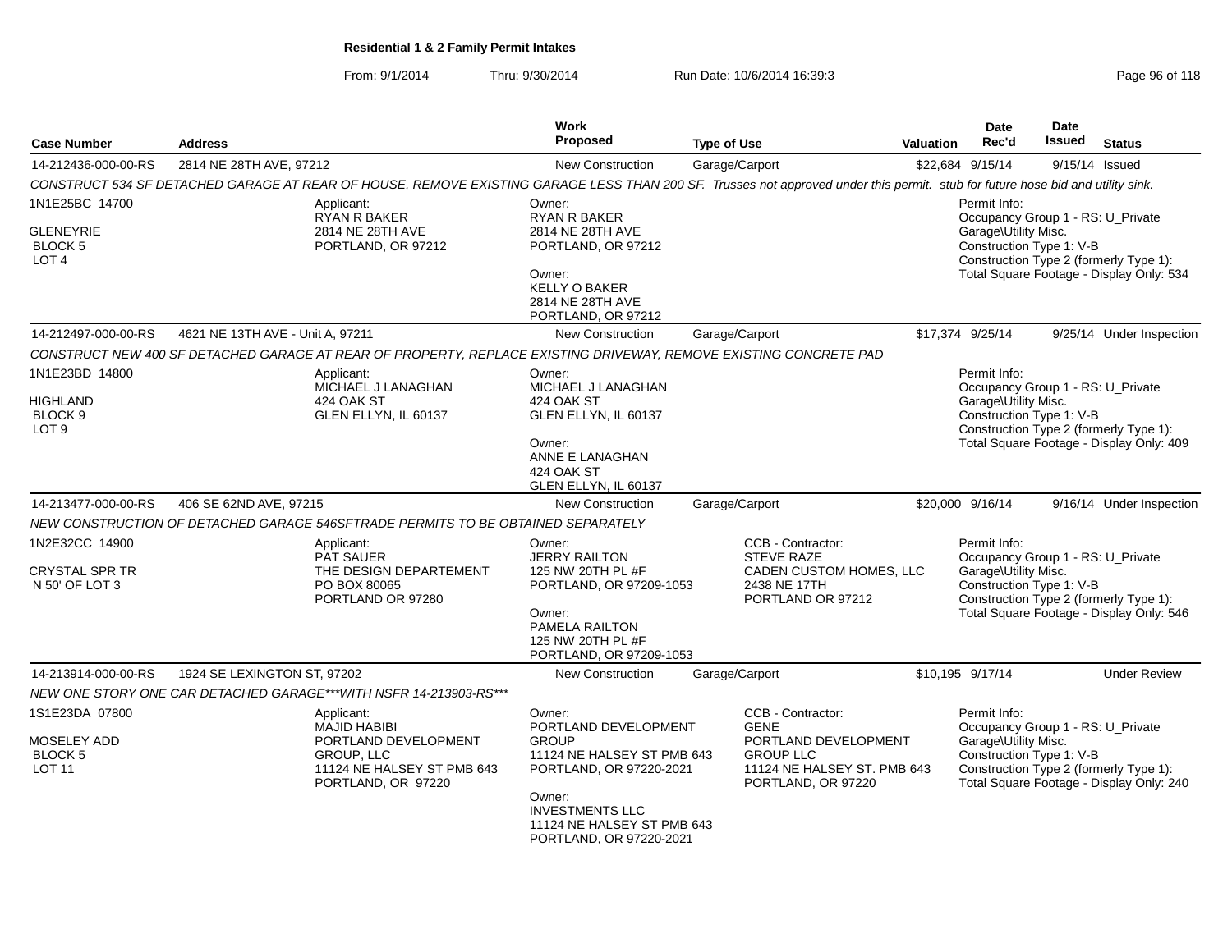From: 9/1/2014Thru: 9/30/2014 Run Date: 10/6/2014 16:39:3<br>
Page 96 of 118

| <b>Case Number</b>                                               | <b>Address</b>                   |                                                                                                                                                                                | Work<br><b>Proposed</b>                                                                                                                     | <b>Type of Use</b>                                                          | Valuation                                           | <b>Date</b><br>Rec'd                                                                                  | Date<br><b>Issued</b> | <b>Status</b>                                                                                                           |
|------------------------------------------------------------------|----------------------------------|--------------------------------------------------------------------------------------------------------------------------------------------------------------------------------|---------------------------------------------------------------------------------------------------------------------------------------------|-----------------------------------------------------------------------------|-----------------------------------------------------|-------------------------------------------------------------------------------------------------------|-----------------------|-------------------------------------------------------------------------------------------------------------------------|
| 14-212436-000-00-RS                                              | 2814 NE 28TH AVE, 97212          |                                                                                                                                                                                | New Construction                                                                                                                            | Garage/Carport                                                              |                                                     | \$22,684 9/15/14                                                                                      |                       | 9/15/14 Issued                                                                                                          |
|                                                                  |                                  | CONSTRUCT 534 SF DETACHED GARAGE AT REAR OF HOUSE, REMOVE EXISTING GARAGE LESS THAN 200 SF. Trusses not approved under this permit. stub for future hose bid and utility sink. |                                                                                                                                             |                                                                             |                                                     |                                                                                                       |                       |                                                                                                                         |
| 1N1E25BC 14700                                                   |                                  | Applicant:<br><b>RYAN R BAKER</b>                                                                                                                                              | Owner:<br><b>RYAN R BAKER</b>                                                                                                               |                                                                             |                                                     | Permit Info:                                                                                          |                       | Occupancy Group 1 - RS: U_Private                                                                                       |
| GLENEYRIE<br>BLOCK <sub>5</sub><br>LOT <sub>4</sub>              |                                  | 2814 NE 28TH AVE<br>PORTLAND, OR 97212                                                                                                                                         | 2814 NE 28TH AVE<br>PORTLAND, OR 97212                                                                                                      |                                                                             |                                                     | Garage\Utility Misc.<br>Construction Type 1: V-B                                                      |                       | Construction Type 2 (formerly Type 1):                                                                                  |
|                                                                  |                                  |                                                                                                                                                                                | Owner:<br><b>KELLY O BAKER</b><br>2814 NE 28TH AVE<br>PORTLAND, OR 97212                                                                    |                                                                             |                                                     |                                                                                                       |                       | Total Square Footage - Display Only: 534                                                                                |
| 14-212497-000-00-RS                                              | 4621 NE 13TH AVE - Unit A, 97211 |                                                                                                                                                                                | <b>New Construction</b>                                                                                                                     | Garage/Carport                                                              |                                                     | \$17,374 9/25/14                                                                                      |                       | 9/25/14 Under Inspection                                                                                                |
|                                                                  |                                  | CONSTRUCT NEW 400 SF DETACHED GARAGE AT REAR OF PROPERTY, REPLACE EXISTING DRIVEWAY, REMOVE EXISTING CONCRETE PAD                                                              |                                                                                                                                             |                                                                             |                                                     |                                                                                                       |                       |                                                                                                                         |
| 1N1E23BD 14800<br><b>HIGHLAND</b><br>BLOCK 9<br>LOT <sub>9</sub> |                                  | Applicant:<br>MICHAEL J LANAGHAN<br>424 OAK ST<br>GLEN ELLYN, IL 60137                                                                                                         | Owner:<br>MICHAEL J LANAGHAN<br>424 OAK ST<br>GLEN ELLYN, IL 60137                                                                          |                                                                             |                                                     | Permit Info:<br>Garage\Utility Misc.<br>Construction Type 1: V-B                                      |                       | Occupancy Group 1 - RS: U_Private<br>Construction Type 2 (formerly Type 1):                                             |
|                                                                  |                                  |                                                                                                                                                                                | Owner:<br>ANNE E LANAGHAN<br>424 OAK ST<br>GLEN ELLYN, IL 60137                                                                             |                                                                             |                                                     |                                                                                                       |                       | Total Square Footage - Display Only: 409                                                                                |
| 14-213477-000-00-RS                                              | 406 SE 62ND AVE, 97215           |                                                                                                                                                                                | <b>New Construction</b>                                                                                                                     | Garage/Carport                                                              |                                                     | \$20,000 9/16/14                                                                                      |                       | 9/16/14 Under Inspection                                                                                                |
|                                                                  |                                  | NEW CONSTRUCTION OF DETACHED GARAGE 546SFTRADE PERMITS TO BE OBTAINED SEPARATELY                                                                                               |                                                                                                                                             |                                                                             |                                                     |                                                                                                       |                       |                                                                                                                         |
| 1N2E32CC 14900<br>CRYSTAL SPR TR<br>N 50' OF LOT 3               |                                  | Applicant:<br><b>PAT SAUER</b><br>THE DESIGN DEPARTEMENT<br>PO BOX 80065<br>PORTLAND OR 97280                                                                                  | Owner:<br><b>JERRY RAILTON</b><br>125 NW 20TH PL #F<br>PORTLAND, OR 97209-1053<br>Owner:<br>PAMELA RAILTON<br>125 NW 20TH PL #F             | CCB - Contractor:<br><b>STEVE RAZE</b><br>2438 NE 17TH<br>PORTLAND OR 97212 | CADEN CUSTOM HOMES, LLC                             | Permit Info:<br>Occupancy Group 1 - RS: U Private<br>Garage\Utility Misc.<br>Construction Type 1: V-B |                       | Construction Type 2 (formerly Type 1):<br>Total Square Footage - Display Only: 546                                      |
|                                                                  |                                  |                                                                                                                                                                                | PORTLAND, OR 97209-1053                                                                                                                     |                                                                             |                                                     |                                                                                                       |                       |                                                                                                                         |
| 14-213914-000-00-RS                                              | 1924 SE LEXINGTON ST, 97202      | NEW ONE STORY ONE CAR DETACHED GARAGE***WITH NSFR 14-213903-RS***                                                                                                              | <b>New Construction</b>                                                                                                                     | Garage/Carport                                                              |                                                     | \$10,195 9/17/14                                                                                      |                       | <b>Under Review</b>                                                                                                     |
| 1S1E23DA 07800<br>MOSELEY ADD<br><b>BLOCK 5</b><br><b>LOT 11</b> |                                  | Applicant:<br><b>MAJID HABIBI</b><br>PORTLAND DEVELOPMENT<br>GROUP, LLC<br>11124 NE HALSEY ST PMB 643<br>PORTLAND, OR 97220                                                    | Owner:<br>PORTLAND DEVELOPMENT<br><b>GROUP</b><br>11124 NE HALSEY ST PMB 643<br>PORTLAND, OR 97220-2021<br>Owner:<br><b>INVESTMENTS LLC</b> | CCB - Contractor:<br><b>GENE</b><br><b>GROUP LLC</b><br>PORTLAND, OR 97220  | PORTLAND DEVELOPMENT<br>11124 NE HALSEY ST. PMB 643 | Permit Info:<br>Garage\Utility Misc.<br>Construction Type 1: V-B                                      |                       | Occupancy Group 1 - RS: U_Private<br>Construction Type 2 (formerly Type 1):<br>Total Square Footage - Display Only: 240 |
|                                                                  |                                  |                                                                                                                                                                                | 11124 NE HALSEY ST PMB 643<br>PORTLAND, OR 97220-2021                                                                                       |                                                                             |                                                     |                                                                                                       |                       |                                                                                                                         |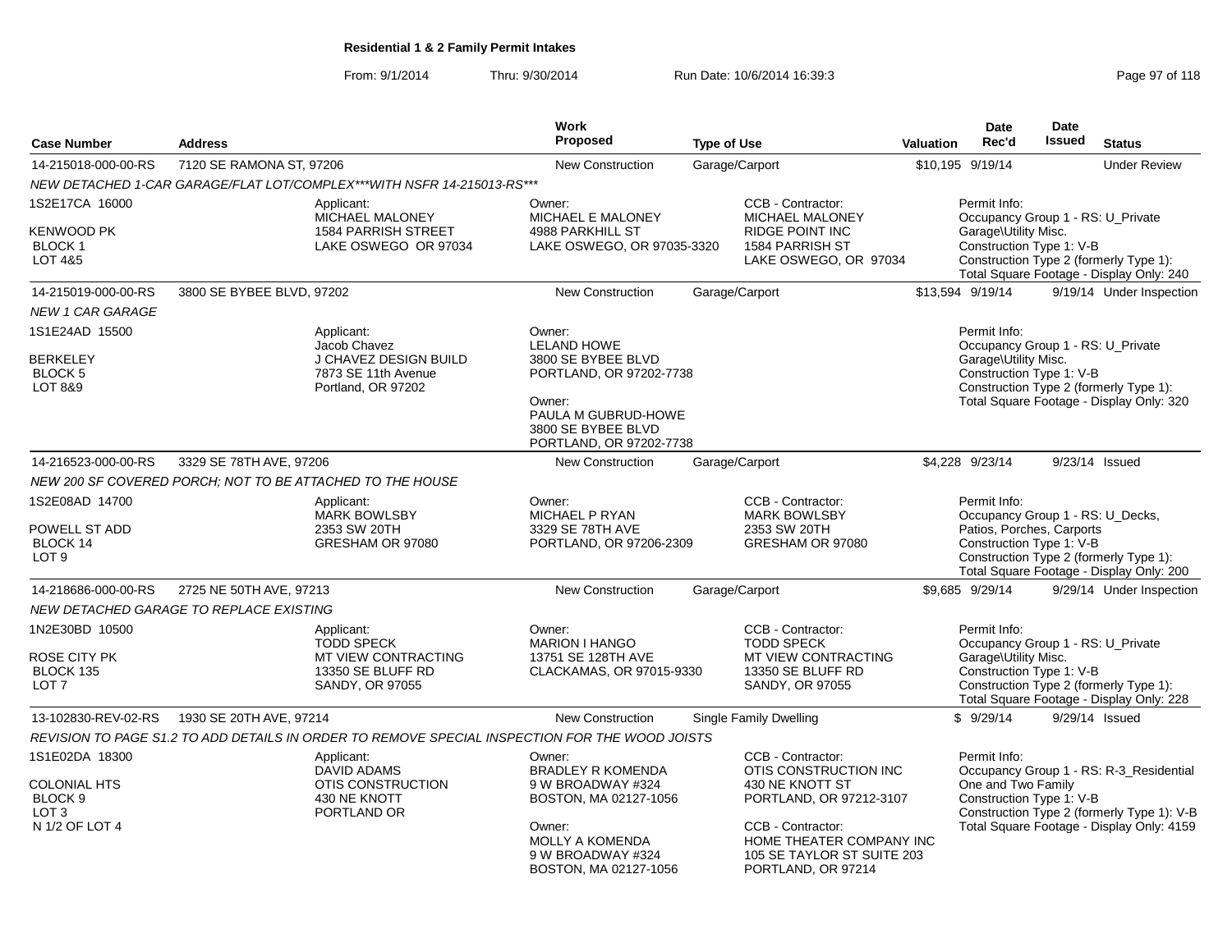From: 9/1/2014Thru: 9/30/2014 Run Date: 10/6/2014 16:39:3<br>
Page 97 of 118

|                                                                                                   |                                                                                                         | <b>Work</b>                                                                                                                                                     |                                                                                                                                                                                               |           | <b>Date</b>                                                                                               | Date          |                                                                                                                                    |
|---------------------------------------------------------------------------------------------------|---------------------------------------------------------------------------------------------------------|-----------------------------------------------------------------------------------------------------------------------------------------------------------------|-----------------------------------------------------------------------------------------------------------------------------------------------------------------------------------------------|-----------|-----------------------------------------------------------------------------------------------------------|---------------|------------------------------------------------------------------------------------------------------------------------------------|
| <b>Case Number</b>                                                                                | <b>Address</b>                                                                                          | <b>Proposed</b>                                                                                                                                                 | <b>Type of Use</b>                                                                                                                                                                            | Valuation | Rec'd                                                                                                     | <b>Issued</b> | <b>Status</b>                                                                                                                      |
| 14-215018-000-00-RS                                                                               | 7120 SE RAMONA ST, 97206                                                                                | <b>New Construction</b>                                                                                                                                         | Garage/Carport                                                                                                                                                                                |           | \$10,195 9/19/14                                                                                          |               | <b>Under Review</b>                                                                                                                |
|                                                                                                   | NEW DETACHED 1-CAR GARAGE/FLAT LOT/COMPLEX***WITH NSFR 14-215013-RS***                                  |                                                                                                                                                                 |                                                                                                                                                                                               |           |                                                                                                           |               |                                                                                                                                    |
| 1S2E17CA 16000<br><b>KENWOOD PK</b><br><b>BLOCK1</b><br><b>LOT 4&amp;5</b>                        | Applicant:<br>MICHAEL MALONEY<br><b>1584 PARRISH STREET</b><br>LAKE OSWEGO OR 97034                     | Owner:<br>MICHAEL E MALONEY<br><b>4988 PARKHILL ST</b><br>LAKE OSWEGO, OR 97035-3320                                                                            | CCB - Contractor:<br>MICHAEL MALONEY<br><b>RIDGE POINT INC</b><br>1584 PARRISH ST<br>LAKE OSWEGO, OR 97034                                                                                    |           | Permit Info:<br>Occupancy Group 1 - RS: U_Private<br>Garage\Utility Misc.<br>Construction Type 1: V-B     |               | Construction Type 2 (formerly Type 1):<br>Total Square Footage - Display Only: 240                                                 |
| 14-215019-000-00-RS                                                                               | 3800 SE BYBEE BLVD, 97202                                                                               | <b>New Construction</b>                                                                                                                                         | Garage/Carport                                                                                                                                                                                |           | \$13,594 9/19/14                                                                                          |               | 9/19/14 Under Inspection                                                                                                           |
| <b>NEW 1 CAR GARAGE</b>                                                                           |                                                                                                         |                                                                                                                                                                 |                                                                                                                                                                                               |           |                                                                                                           |               |                                                                                                                                    |
| 1S1E24AD 15500<br><b>BERKELEY</b><br>BLOCK 5<br>LOT 8&9                                           | Applicant:<br>Jacob Chavez<br><b>J CHAVEZ DESIGN BUILD</b><br>7873 SE 11th Avenue<br>Portland, OR 97202 | Owner:<br><b>LELAND HOWE</b><br>3800 SE BYBEE BLVD<br>PORTLAND, OR 97202-7738<br>Owner:<br>PAULA M GUBRUD-HOWE<br>3800 SE BYBEE BLVD<br>PORTLAND, OR 97202-7738 |                                                                                                                                                                                               |           | Permit Info:<br>Occupancy Group 1 - RS: U Private<br>Garage\Utility Misc.<br>Construction Type 1: V-B     |               | Construction Type 2 (formerly Type 1):<br>Total Square Footage - Display Only: 320                                                 |
| 14-216523-000-00-RS                                                                               | 3329 SE 78TH AVE, 97206                                                                                 | <b>New Construction</b>                                                                                                                                         | Garage/Carport                                                                                                                                                                                |           | \$4,228 9/23/14                                                                                           |               | 9/23/14 Issued                                                                                                                     |
|                                                                                                   | NEW 200 SF COVERED PORCH; NOT TO BE ATTACHED TO THE HOUSE                                               |                                                                                                                                                                 |                                                                                                                                                                                               |           |                                                                                                           |               |                                                                                                                                    |
| 1S2E08AD 14700<br>POWELL ST ADD<br>BLOCK 14<br>LOT <sub>9</sub>                                   | Applicant:<br><b>MARK BOWLSBY</b><br>2353 SW 20TH<br>GRESHAM OR 97080                                   | Owner:<br>MICHAEL P RYAN<br>3329 SE 78TH AVE<br>PORTLAND, OR 97206-2309                                                                                         | CCB - Contractor:<br><b>MARK BOWLSBY</b><br>2353 SW 20TH<br>GRESHAM OR 97080                                                                                                                  |           | Permit Info:<br>Occupancy Group 1 - RS: U_Decks,<br>Patios, Porches, Carports<br>Construction Type 1: V-B |               | Construction Type 2 (formerly Type 1):<br>Total Square Footage - Display Only: 200                                                 |
| 14-218686-000-00-RS                                                                               | 2725 NE 50TH AVE, 97213                                                                                 | <b>New Construction</b>                                                                                                                                         | Garage/Carport                                                                                                                                                                                |           | \$9.685 9/29/14                                                                                           |               | 9/29/14 Under Inspection                                                                                                           |
|                                                                                                   | NEW DETACHED GARAGE TO REPLACE EXISTING                                                                 |                                                                                                                                                                 |                                                                                                                                                                                               |           |                                                                                                           |               |                                                                                                                                    |
| 1N2E30BD 10500<br>ROSE CITY PK<br>BLOCK 135<br>LOT <sub>7</sub>                                   | Applicant:<br><b>TODD SPECK</b><br>MT VIEW CONTRACTING<br>13350 SE BLUFF RD<br>SANDY, OR 97055          | Owner:<br><b>MARION I HANGO</b><br>13751 SE 128TH AVE<br>CLACKAMAS, OR 97015-9330                                                                               | CCB - Contractor:<br><b>TODD SPECK</b><br><b>MT VIEW CONTRACTING</b><br>13350 SE BLUFF RD<br>SANDY, OR 97055                                                                                  |           | Permit Info:<br>Occupancy Group 1 - RS: U_Private<br>Garage\Utility Misc.<br>Construction Type 1: V-B     |               | Construction Type 2 (formerly Type 1):<br>Total Square Footage - Display Only: 228                                                 |
| 13-102830-REV-02-RS                                                                               | 1930 SE 20TH AVE, 97214                                                                                 | <b>New Construction</b>                                                                                                                                         | <b>Single Family Dwelling</b>                                                                                                                                                                 |           | \$9/29/14                                                                                                 |               | 9/29/14 Issued                                                                                                                     |
|                                                                                                   | REVISION TO PAGE S1.2 TO ADD DETAILS IN ORDER TO REMOVE SPECIAL INSPECTION FOR THE WOOD JOISTS          |                                                                                                                                                                 |                                                                                                                                                                                               |           |                                                                                                           |               |                                                                                                                                    |
| 1S1E02DA 18300<br><b>COLONIAL HTS</b><br>BLOCK <sub>9</sub><br>LOT <sub>3</sub><br>N 1/2 OF LOT 4 | Applicant:<br><b>DAVID ADAMS</b><br>OTIS CONSTRUCTION<br>430 NE KNOTT<br>PORTLAND OR                    | Owner:<br><b>BRADLEY R KOMENDA</b><br>9 W BROADWAY #324<br>BOSTON, MA 02127-1056<br>Owner:<br>MOLLY A KOMENDA<br>9 W BROADWAY #324<br>BOSTON, MA 02127-1056     | CCB - Contractor:<br>OTIS CONSTRUCTION INC<br>430 NE KNOTT ST<br>PORTLAND, OR 97212-3107<br>CCB - Contractor:<br>HOME THEATER COMPANY INC<br>105 SE TAYLOR ST SUITE 203<br>PORTLAND, OR 97214 |           | Permit Info:<br>One and Two Family<br>Construction Type 1: V-B                                            |               | Occupancy Group 1 - RS: R-3_Residential<br>Construction Type 2 (formerly Type 1): V-B<br>Total Square Footage - Display Only: 4159 |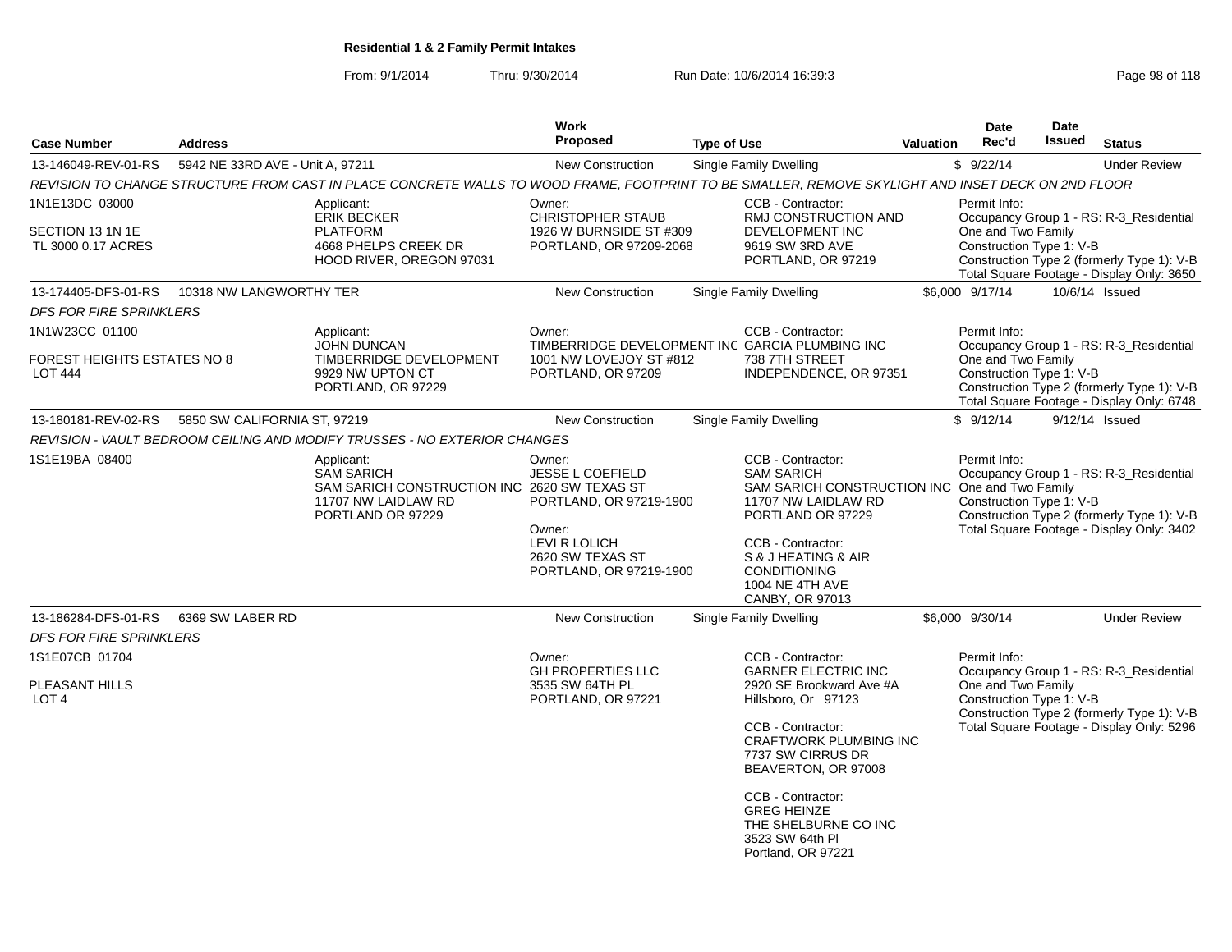From: 9/1/2014Thru: 9/30/2014 Run Date: 10/6/2014 16:39:3<br>
Page 98 of 118

| <b>Case Number</b>                                   | <b>Address</b>                   |                                                                                                                                                    | Work<br><b>Proposed</b>                                                        | <b>Type of Use</b>                                                                                                                   | <b>Valuation</b> | <b>Date</b><br>Rec'd                           | Date<br>Issued | <b>Status</b>                                                                                                                      |
|------------------------------------------------------|----------------------------------|----------------------------------------------------------------------------------------------------------------------------------------------------|--------------------------------------------------------------------------------|--------------------------------------------------------------------------------------------------------------------------------------|------------------|------------------------------------------------|----------------|------------------------------------------------------------------------------------------------------------------------------------|
| 13-146049-REV-01-RS                                  | 5942 NE 33RD AVE - Unit A, 97211 |                                                                                                                                                    | <b>New Construction</b>                                                        | <b>Single Family Dwelling</b>                                                                                                        |                  | \$9/22/14                                      |                | <b>Under Review</b>                                                                                                                |
|                                                      |                                  | REVISION TO CHANGE STRUCTURE FROM CAST IN PLACE CONCRETE WALLS TO WOOD FRAME, FOOTPRINT TO BE SMALLER, REMOVE SKYLIGHT AND INSET DECK ON 2ND FLOOR |                                                                                |                                                                                                                                      |                  |                                                |                |                                                                                                                                    |
| 1N1E13DC 03000                                       |                                  | Applicant:                                                                                                                                         | Owner:                                                                         | CCB - Contractor:                                                                                                                    |                  | Permit Info:                                   |                |                                                                                                                                    |
| SECTION 13 1N 1E<br>TL 3000 0.17 ACRES               |                                  | <b>ERIK BECKER</b><br><b>PLATFORM</b><br>4668 PHELPS CREEK DR<br>HOOD RIVER, OREGON 97031                                                          | <b>CHRISTOPHER STAUB</b><br>1926 W BURNSIDE ST #309<br>PORTLAND, OR 97209-2068 | RMJ CONSTRUCTION AND<br><b>DEVELOPMENT INC</b><br>9619 SW 3RD AVE<br>PORTLAND, OR 97219                                              |                  | One and Two Family<br>Construction Type 1: V-B |                | Occupancy Group 1 - RS: R-3_Residential<br>Construction Type 2 (formerly Type 1): V-B<br>Total Square Footage - Display Only: 3650 |
| 13-174405-DFS-01-RS                                  | 10318 NW LANGWORTHY TER          |                                                                                                                                                    | <b>New Construction</b>                                                        | <b>Single Family Dwelling</b>                                                                                                        |                  | \$6,000 9/17/14                                |                | 10/6/14 Issued                                                                                                                     |
| <b>DFS FOR FIRE SPRINKLERS</b>                       |                                  |                                                                                                                                                    |                                                                                |                                                                                                                                      |                  |                                                |                |                                                                                                                                    |
| 1N1W23CC 01100                                       |                                  | Applicant:                                                                                                                                         | Owner:                                                                         | CCB - Contractor:                                                                                                                    |                  | Permit Info:                                   |                |                                                                                                                                    |
| <b>FOREST HEIGHTS ESTATES NO 8</b><br><b>LOT 444</b> |                                  | <b>JOHN DUNCAN</b><br>TIMBERRIDGE DEVELOPMENT<br>9929 NW UPTON CT<br>PORTLAND, OR 97229                                                            | 1001 NW LOVEJOY ST #812<br>PORTLAND, OR 97209                                  | TIMBERRIDGE DEVELOPMENT INC GARCIA PLUMBING INC<br>738 7TH STREET<br>INDEPENDENCE, OR 97351                                          |                  | One and Two Family<br>Construction Type 1: V-B |                | Occupancy Group 1 - RS: R-3_Residential<br>Construction Type 2 (formerly Type 1): V-B<br>Total Square Footage - Display Only: 6748 |
| 13-180181-REV-02-RS                                  | 5850 SW CALIFORNIA ST, 97219     |                                                                                                                                                    | New Construction                                                               | <b>Single Family Dwelling</b>                                                                                                        |                  | \$9/12/14                                      |                | $9/12/14$ Issued                                                                                                                   |
|                                                      |                                  | REVISION - VAULT BEDROOM CEILING AND MODIFY TRUSSES - NO EXTERIOR CHANGES                                                                          |                                                                                |                                                                                                                                      |                  |                                                |                |                                                                                                                                    |
| 1S1E19BA 08400                                       |                                  | Applicant:<br><b>SAM SARICH</b><br>SAM SARICH CONSTRUCTION INC 2620 SW TEXAS ST<br>11707 NW LAIDLAW RD<br>PORTLAND OR 97229                        | Owner:<br><b>JESSE L COEFIELD</b><br>PORTLAND, OR 97219-1900                   | CCB - Contractor:<br><b>SAM SARICH</b><br>SAM SARICH CONSTRUCTION INC One and Two Family<br>11707 NW LAIDLAW RD<br>PORTLAND OR 97229 |                  | Permit Info:<br>Construction Type 1: V-B       |                | Occupancy Group 1 - RS: R-3_Residential<br>Construction Type 2 (formerly Type 1): V-B                                              |
|                                                      |                                  |                                                                                                                                                    | Owner:<br>LEVI R LOLICH<br>2620 SW TEXAS ST<br>PORTLAND, OR 97219-1900         | CCB - Contractor:<br>S & J HEATING & AIR<br><b>CONDITIONING</b><br><b>1004 NE 4TH AVE</b><br>CANBY, OR 97013                         |                  |                                                |                | Total Square Footage - Display Only: 3402                                                                                          |
| 13-186284-DFS-01-RS                                  | 6369 SW LABER RD                 |                                                                                                                                                    | <b>New Construction</b>                                                        | Single Family Dwelling                                                                                                               |                  | \$6,000 9/30/14                                |                | <b>Under Review</b>                                                                                                                |
| <b>DFS FOR FIRE SPRINKLERS</b>                       |                                  |                                                                                                                                                    |                                                                                |                                                                                                                                      |                  |                                                |                |                                                                                                                                    |
| 1S1E07CB 01704                                       |                                  |                                                                                                                                                    | Owner:                                                                         | CCB - Contractor:                                                                                                                    |                  | Permit Info:                                   |                |                                                                                                                                    |
| PLEASANT HILLS<br>LOT <sub>4</sub>                   |                                  |                                                                                                                                                    | <b>GH PROPERTIES LLC</b><br>3535 SW 64TH PL<br>PORTLAND, OR 97221              | <b>GARNER ELECTRIC INC</b><br>2920 SE Brookward Ave #A<br>Hillsboro, Or 97123                                                        |                  | One and Two Family<br>Construction Type 1: V-B |                | Occupancy Group 1 - RS: R-3_Residential<br>Construction Type 2 (formerly Type 1): V-B                                              |
|                                                      |                                  |                                                                                                                                                    |                                                                                | CCB - Contractor:<br><b>CRAFTWORK PLUMBING INC</b><br>7737 SW CIRRUS DR<br>BEAVERTON, OR 97008                                       |                  |                                                |                | Total Square Footage - Display Only: 5296                                                                                          |
|                                                      |                                  |                                                                                                                                                    |                                                                                | CCB - Contractor:<br><b>GREG HEINZE</b><br>THE SHELBURNE CO INC<br>3523 SW 64th PI<br>Portland, OR 97221                             |                  |                                                |                |                                                                                                                                    |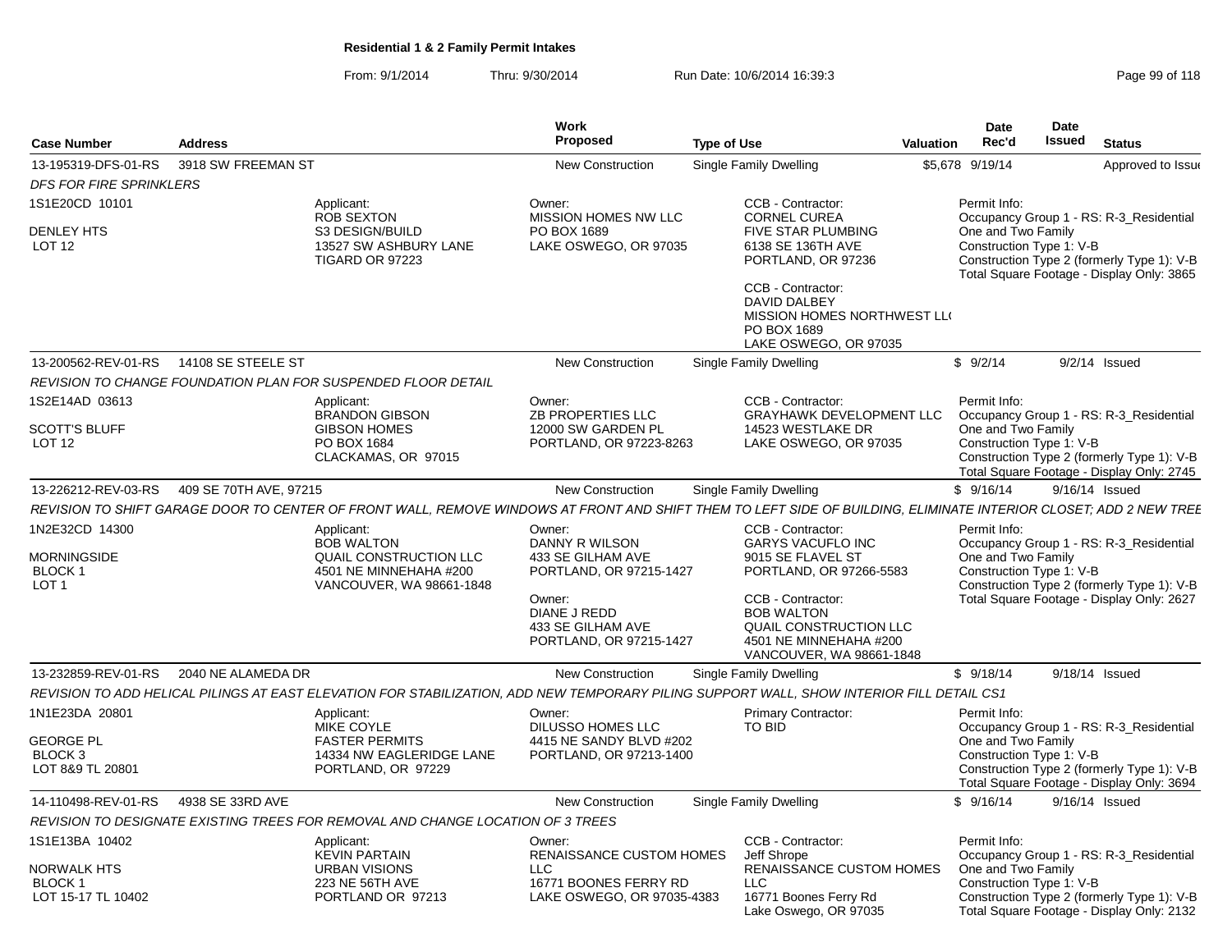### From: 9/1/2014Thru: 9/30/2014 **Run Date: 10/6/2014 16:39:3** Page 99/30/2014

| Page 99 of 118 |  |  |  |
|----------------|--|--|--|
|----------------|--|--|--|

| <b>Case Number</b>                                                        | <b>Address</b>         |                                                                                                                                                                   | <b>Work</b><br>Proposed                                                       | <b>Type of Use</b>                                                                                                            | <b>Valuation</b> | Date<br>Rec'd                                                  | <b>Date</b><br><b>Issued</b> | <b>Status</b>                                                                                                                      |
|---------------------------------------------------------------------------|------------------------|-------------------------------------------------------------------------------------------------------------------------------------------------------------------|-------------------------------------------------------------------------------|-------------------------------------------------------------------------------------------------------------------------------|------------------|----------------------------------------------------------------|------------------------------|------------------------------------------------------------------------------------------------------------------------------------|
| 13-195319-DFS-01-RS                                                       | 3918 SW FREEMAN ST     |                                                                                                                                                                   | <b>New Construction</b>                                                       | Single Family Dwelling                                                                                                        |                  | \$5,678 9/19/14                                                |                              | Approved to Issue                                                                                                                  |
| <b>DFS FOR FIRE SPRINKLERS</b>                                            |                        |                                                                                                                                                                   |                                                                               |                                                                                                                               |                  |                                                                |                              |                                                                                                                                    |
| 1S1E20CD 10101                                                            |                        | Applicant:                                                                                                                                                        | Owner:                                                                        | CCB - Contractor:                                                                                                             |                  | Permit Info:                                                   |                              |                                                                                                                                    |
| <b>DENLEY HTS</b><br><b>LOT 12</b>                                        |                        | ROB SEXTON<br>S3 DESIGN/BUILD<br>13527 SW ASHBURY LANE<br>TIGARD OR 97223                                                                                         | MISSION HOMES NW LLC<br>PO BOX 1689<br>LAKE OSWEGO, OR 97035                  | <b>CORNEL CUREA</b><br><b>FIVE STAR PLUMBING</b><br>6138 SE 136TH AVE<br>PORTLAND, OR 97236                                   |                  | One and Two Family<br>Construction Type 1: V-B                 |                              | Occupancy Group 1 - RS: R-3 Residential<br>Construction Type 2 (formerly Type 1): V-B<br>Total Square Footage - Display Only: 3865 |
|                                                                           |                        |                                                                                                                                                                   |                                                                               | CCB - Contractor:<br>DAVID DALBEY<br>MISSION HOMES NORTHWEST LLO<br>PO BOX 1689<br>LAKE OSWEGO, OR 97035                      |                  |                                                                |                              |                                                                                                                                    |
| 13-200562-REV-01-RS                                                       | 14108 SE STEELE ST     |                                                                                                                                                                   | New Construction                                                              | <b>Single Family Dwelling</b>                                                                                                 |                  | \$9/2/14                                                       |                              | $9/2/14$ Issued                                                                                                                    |
|                                                                           |                        | REVISION TO CHANGE FOUNDATION PLAN FOR SUSPENDED FLOOR DETAIL                                                                                                     |                                                                               |                                                                                                                               |                  |                                                                |                              |                                                                                                                                    |
| 1S2E14AD 03613                                                            |                        | Applicant:<br><b>BRANDON GIBSON</b>                                                                                                                               | Owner:<br><b>ZB PROPERTIES LLC</b>                                            | CCB - Contractor:<br><b>GRAYHAWK DEVELOPMENT LLC</b>                                                                          |                  | Permit Info:                                                   |                              | Occupancy Group 1 - RS: R-3_Residential                                                                                            |
| <b>SCOTT'S BLUFF</b><br>LOT <sub>12</sub>                                 |                        | <b>GIBSON HOMES</b><br>PO BOX 1684<br>CLACKAMAS, OR 97015                                                                                                         | 12000 SW GARDEN PL<br>PORTLAND, OR 97223-8263                                 | 14523 WESTLAKE DR<br>LAKE OSWEGO, OR 97035                                                                                    |                  | One and Two Family<br>Construction Type 1: V-B                 |                              | Construction Type 2 (formerly Type 1): V-B<br>Total Square Footage - Display Only: 2745                                            |
| 13-226212-REV-03-RS                                                       | 409 SE 70TH AVE, 97215 |                                                                                                                                                                   | <b>New Construction</b>                                                       | <b>Single Family Dwelling</b>                                                                                                 |                  | \$9/16/14                                                      |                              | 9/16/14 Issued                                                                                                                     |
|                                                                           |                        | REVISION TO SHIFT GARAGE DOOR TO CENTER OF FRONT WALL, REMOVE WINDOWS AT FRONT AND SHIFT THEM TO LEFT SIDE OF BUILDING, ELIMINATE INTERIOR CLOSET; ADD 2 NEW TREE |                                                                               |                                                                                                                               |                  |                                                                |                              |                                                                                                                                    |
| 1N2E32CD 14300<br><b>MORNINGSIDE</b><br><b>BLOCK1</b><br>LOT <sub>1</sub> |                        | Applicant:<br><b>BOB WALTON</b><br>QUAIL CONSTRUCTION LLC<br>4501 NE MINNEHAHA #200<br>VANCOUVER, WA 98661-1848                                                   | Owner:<br>DANNY R WILSON<br>433 SE GILHAM AVE<br>PORTLAND, OR 97215-1427      | CCB - Contractor:<br><b>GARYS VACUFLO INC</b><br>9015 SE FLAVEL ST<br>PORTLAND, OR 97266-5583                                 |                  | Permit Info:<br>One and Two Family<br>Construction Type 1: V-B |                              | Occupancy Group 1 - RS: R-3_Residential<br>Construction Type 2 (formerly Type 1): V-B                                              |
|                                                                           |                        |                                                                                                                                                                   | Owner:<br><b>DIANE J REDD</b><br>433 SE GILHAM AVE<br>PORTLAND, OR 97215-1427 | CCB - Contractor:<br><b>BOB WALTON</b><br><b>QUAIL CONSTRUCTION LLC</b><br>4501 NE MINNEHAHA #200<br>VANCOUVER, WA 98661-1848 |                  |                                                                |                              | Total Square Footage - Display Only: 2627                                                                                          |
| 13-232859-REV-01-RS                                                       | 2040 NE ALAMEDA DR     |                                                                                                                                                                   | New Construction                                                              | Single Family Dwelling                                                                                                        |                  | \$9/18/14                                                      |                              | 9/18/14 Issued                                                                                                                     |
|                                                                           |                        | REVISION TO ADD HELICAL PILINGS AT EAST ELEVATION FOR STABILIZATION, ADD NEW TEMPORARY PILING SUPPORT WALL, SHOW INTERIOR FILL DETAIL CS1                         |                                                                               |                                                                                                                               |                  |                                                                |                              |                                                                                                                                    |
| 1N1E23DA 20801                                                            |                        | Applicant:<br>MIKE COYLE                                                                                                                                          | Owner:<br>DILUSSO HOMES LLC                                                   | <b>Primary Contractor:</b><br>TO BID                                                                                          |                  | Permit Info:                                                   |                              | Occupancy Group 1 - RS: R-3 Residential                                                                                            |
| <b>GEORGE PL</b><br>BLOCK 3<br>LOT 8&9 TL 20801                           |                        | <b>FASTER PERMITS</b><br>14334 NW EAGLERIDGE LANE<br>PORTLAND, OR 97229                                                                                           | 4415 NE SANDY BLVD #202<br>PORTLAND, OR 97213-1400                            |                                                                                                                               |                  | One and Two Family<br>Construction Type 1: V-B                 |                              | Construction Type 2 (formerly Type 1): V-B<br>Total Square Footage - Display Only: 3694                                            |
| 14-110498-REV-01-RS                                                       | 4938 SE 33RD AVE       |                                                                                                                                                                   | <b>New Construction</b>                                                       | Single Family Dwelling                                                                                                        |                  | \$9/16/14                                                      |                              | 9/16/14 Issued                                                                                                                     |
|                                                                           |                        | REVISION TO DESIGNATE EXISTING TREES FOR REMOVAL AND CHANGE LOCATION OF 3 TREES                                                                                   |                                                                               |                                                                                                                               |                  |                                                                |                              |                                                                                                                                    |
| 1S1E13BA 10402                                                            |                        | Applicant:                                                                                                                                                        | Owner:                                                                        | CCB - Contractor:                                                                                                             |                  | Permit Info:                                                   |                              |                                                                                                                                    |
| <b>NORWALK HTS</b><br><b>BLOCK1</b>                                       |                        | <b>KEVIN PARTAIN</b><br><b>URBAN VISIONS</b><br>223 NE 56TH AVE                                                                                                   | <b>RENAISSANCE CUSTOM HOMES</b><br><b>LLC</b><br>16771 BOONES FERRY RD        | Jeff Shrope<br><b>RENAISSANCE CUSTOM HOMES</b><br><b>LLC</b>                                                                  |                  | One and Two Family<br>Construction Type 1: V-B                 |                              | Occupancy Group 1 - RS: R-3_Residential                                                                                            |
| LOT 15-17 TL 10402                                                        |                        | PORTLAND OR 97213                                                                                                                                                 | LAKE OSWEGO, OR 97035-4383                                                    | 16771 Boones Ferry Rd<br>Lake Oswego, OR 97035                                                                                |                  |                                                                |                              | Construction Type 2 (formerly Type 1): V-B<br>Total Square Footage - Display Only: 2132                                            |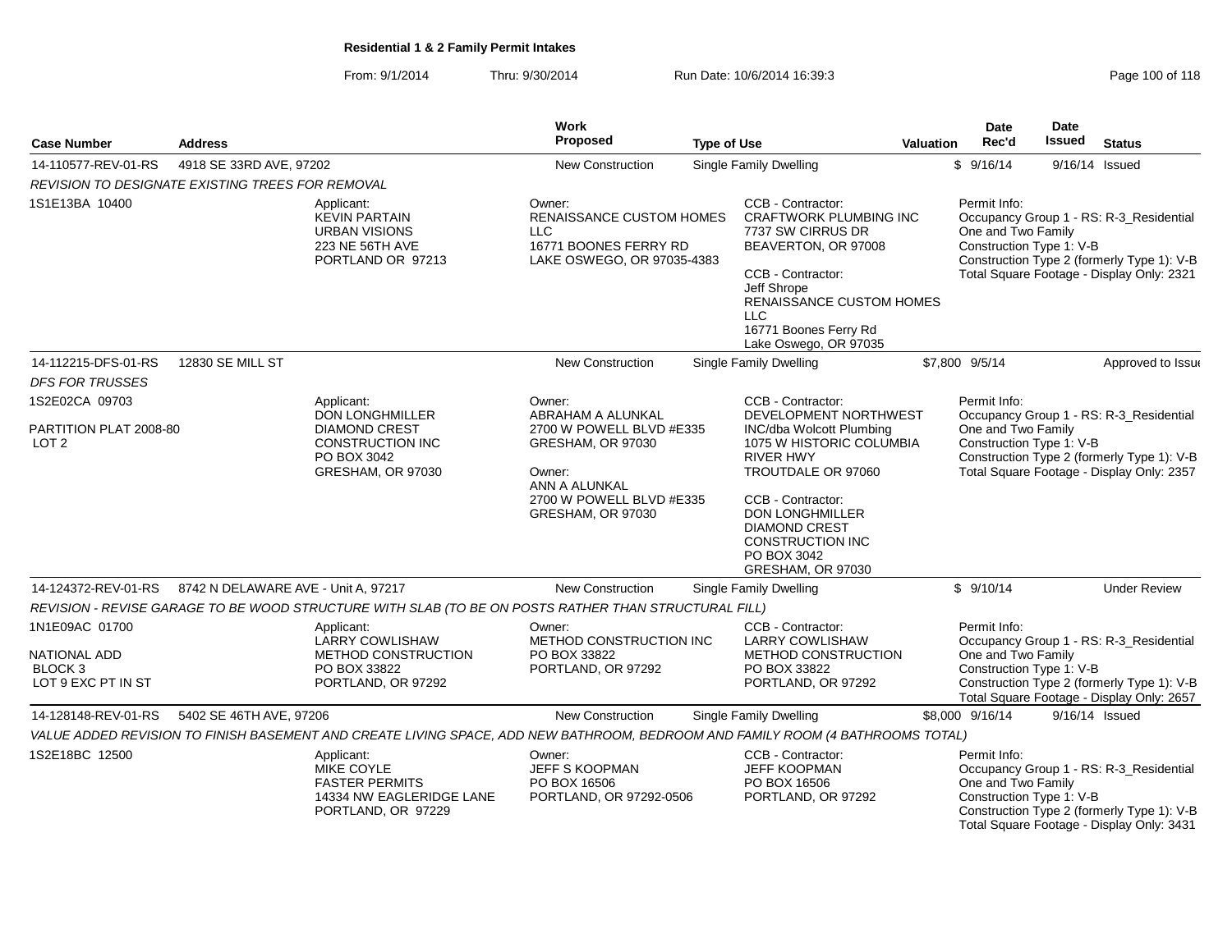From: 9/1/2014Thru: 9/30/2014 Run Date: 10/6/2014 16:39:3

| Page 100 of 118 |  |  |  |
|-----------------|--|--|--|
|-----------------|--|--|--|

| <b>Case Number</b>                                                         | <b>Address</b>                      |                                                                                                                                | Work<br>Proposed                                                                                                          | <b>Type of Use</b> |                                                                                                                                                                                                                                | <b>Valuation</b> | Date<br>Rec'd                                                  | Date<br><b>Issued</b> | <b>Status</b>                                                                                                                      |
|----------------------------------------------------------------------------|-------------------------------------|--------------------------------------------------------------------------------------------------------------------------------|---------------------------------------------------------------------------------------------------------------------------|--------------------|--------------------------------------------------------------------------------------------------------------------------------------------------------------------------------------------------------------------------------|------------------|----------------------------------------------------------------|-----------------------|------------------------------------------------------------------------------------------------------------------------------------|
| 14-110577-REV-01-RS                                                        | 4918 SE 33RD AVE, 97202             |                                                                                                                                | New Construction                                                                                                          |                    | <b>Single Family Dwelling</b>                                                                                                                                                                                                  |                  | \$9/16/14                                                      |                       | 9/16/14 Issued                                                                                                                     |
| REVISION TO DESIGNATE EXISTING TREES FOR REMOVAL                           |                                     |                                                                                                                                |                                                                                                                           |                    |                                                                                                                                                                                                                                |                  |                                                                |                       |                                                                                                                                    |
| 1S1E13BA 10400                                                             |                                     | Applicant:<br><b>KEVIN PARTAIN</b><br><b>URBAN VISIONS</b><br>223 NE 56TH AVE<br>PORTLAND OR 97213                             | Owner:<br><b>RENAISSANCE CUSTOM HOMES</b><br>LLC<br>16771 BOONES FERRY RD<br>LAKE OSWEGO, OR 97035-4383                   |                    | CCB - Contractor:<br><b>CRAFTWORK PLUMBING INC</b><br>7737 SW CIRRUS DR<br>BEAVERTON, OR 97008<br>CCB - Contractor:<br>Jeff Shrope<br>RENAISSANCE CUSTOM HOMES<br><b>LLC</b><br>16771 Boones Ferry Rd<br>Lake Oswego, OR 97035 |                  | Permit Info:<br>One and Two Family<br>Construction Type 1: V-B |                       | Occupancy Group 1 - RS: R-3 Residential<br>Construction Type 2 (formerly Type 1): V-B<br>Total Square Footage - Display Only: 2321 |
| 14-112215-DFS-01-RS<br><b>DFS FOR TRUSSES</b>                              | 12830 SE MILL ST                    |                                                                                                                                | <b>New Construction</b>                                                                                                   |                    | <b>Single Family Dwelling</b>                                                                                                                                                                                                  |                  | \$7,800 9/5/14                                                 |                       | Approved to Issue                                                                                                                  |
| 1S2E02CA 09703                                                             |                                     | Applicant:<br><b>DON LONGHMILLER</b>                                                                                           | Owner:<br>ABRAHAM A ALUNKAL                                                                                               |                    | CCB - Contractor:<br>DEVELOPMENT NORTHWEST                                                                                                                                                                                     |                  | Permit Info:                                                   |                       | Occupancy Group 1 - RS: R-3_Residential                                                                                            |
| PARTITION PLAT 2008-80<br>LOT <sub>2</sub>                                 |                                     | <b>DIAMOND CREST</b><br><b>CONSTRUCTION INC</b><br>PO BOX 3042<br>GRESHAM, OR 97030                                            | 2700 W POWELL BLVD #E335<br>GRESHAM, OR 97030<br>Owner:<br>ANN A ALUNKAL<br>2700 W POWELL BLVD #E335<br>GRESHAM, OR 97030 |                    | INC/dba Wolcott Plumbing<br>1075 W HISTORIC COLUMBIA<br>RIVER HWY<br>TROUTDALE OR 97060<br>CCB - Contractor:<br><b>DON LONGHMILLER</b><br><b>DIAMOND CREST</b><br><b>CONSTRUCTION INC</b>                                      |                  | One and Two Family<br>Construction Type 1: V-B                 |                       | Construction Type 2 (formerly Type 1): V-B<br>Total Square Footage - Display Only: 2357                                            |
|                                                                            |                                     |                                                                                                                                |                                                                                                                           |                    | PO BOX 3042<br>GRESHAM, OR 97030                                                                                                                                                                                               |                  |                                                                |                       |                                                                                                                                    |
| 14-124372-REV-01-RS                                                        | 8742 N DELAWARE AVE - Unit A, 97217 |                                                                                                                                | New Construction                                                                                                          |                    | Single Family Dwelling                                                                                                                                                                                                         |                  | \$9/10/14                                                      |                       | <b>Under Review</b>                                                                                                                |
|                                                                            |                                     | REVISION - REVISE GARAGE TO BE WOOD STRUCTURE WITH SLAB (TO BE ON POSTS RATHER THAN STRUCTURAL FILL)                           |                                                                                                                           |                    |                                                                                                                                                                                                                                |                  |                                                                |                       |                                                                                                                                    |
| 1N1E09AC 01700<br>NATIONAL ADD<br>BLOCK <sub>3</sub><br>LOT 9 EXC PT IN ST |                                     | Applicant:<br><b>LARRY COWLISHAW</b><br>METHOD CONSTRUCTION<br>PO BOX 33822<br>PORTLAND, OR 97292                              | Owner:<br>METHOD CONSTRUCTION INC<br>PO BOX 33822<br>PORTLAND, OR 97292                                                   |                    | CCB - Contractor:<br><b>LARRY COWLISHAW</b><br>METHOD CONSTRUCTION<br>PO BOX 33822<br>PORTLAND, OR 97292                                                                                                                       |                  | Permit Info:<br>One and Two Family<br>Construction Type 1: V-B |                       | Occupancy Group 1 - RS: R-3_Residential<br>Construction Type 2 (formerly Type 1): V-B<br>Total Square Footage - Display Only: 2657 |
| 14-128148-REV-01-RS                                                        | 5402 SE 46TH AVE, 97206             |                                                                                                                                | <b>New Construction</b>                                                                                                   |                    | Single Family Dwelling                                                                                                                                                                                                         |                  | \$8,000 9/16/14                                                |                       | 9/16/14 Issued                                                                                                                     |
|                                                                            |                                     | VALUE ADDED REVISION TO FINISH BASEMENT AND CREATE LIVING SPACE, ADD NEW BATHROOM, BEDROOM AND FAMILY ROOM (4 BATHROOMS TOTAL) |                                                                                                                           |                    |                                                                                                                                                                                                                                |                  |                                                                |                       |                                                                                                                                    |
| 1S2E18BC 12500                                                             |                                     | Applicant:<br><b>MIKE COYLE</b><br><b>FASTER PERMITS</b><br>14334 NW EAGLERIDGE LANE<br>PORTLAND, OR 97229                     | Owner:<br>JEFF S KOOPMAN<br>PO BOX 16506<br>PORTLAND, OR 97292-0506                                                       |                    | CCB - Contractor:<br><b>JEFF KOOPMAN</b><br>PO BOX 16506<br>PORTLAND, OR 97292                                                                                                                                                 |                  | Permit Info:<br>One and Two Family<br>Construction Type 1: V-B |                       | Occupancy Group 1 - RS: R-3_Residential<br>Construction Type 2 (formerly Type 1): V-B<br>Total Square Footage - Display Only: 3431 |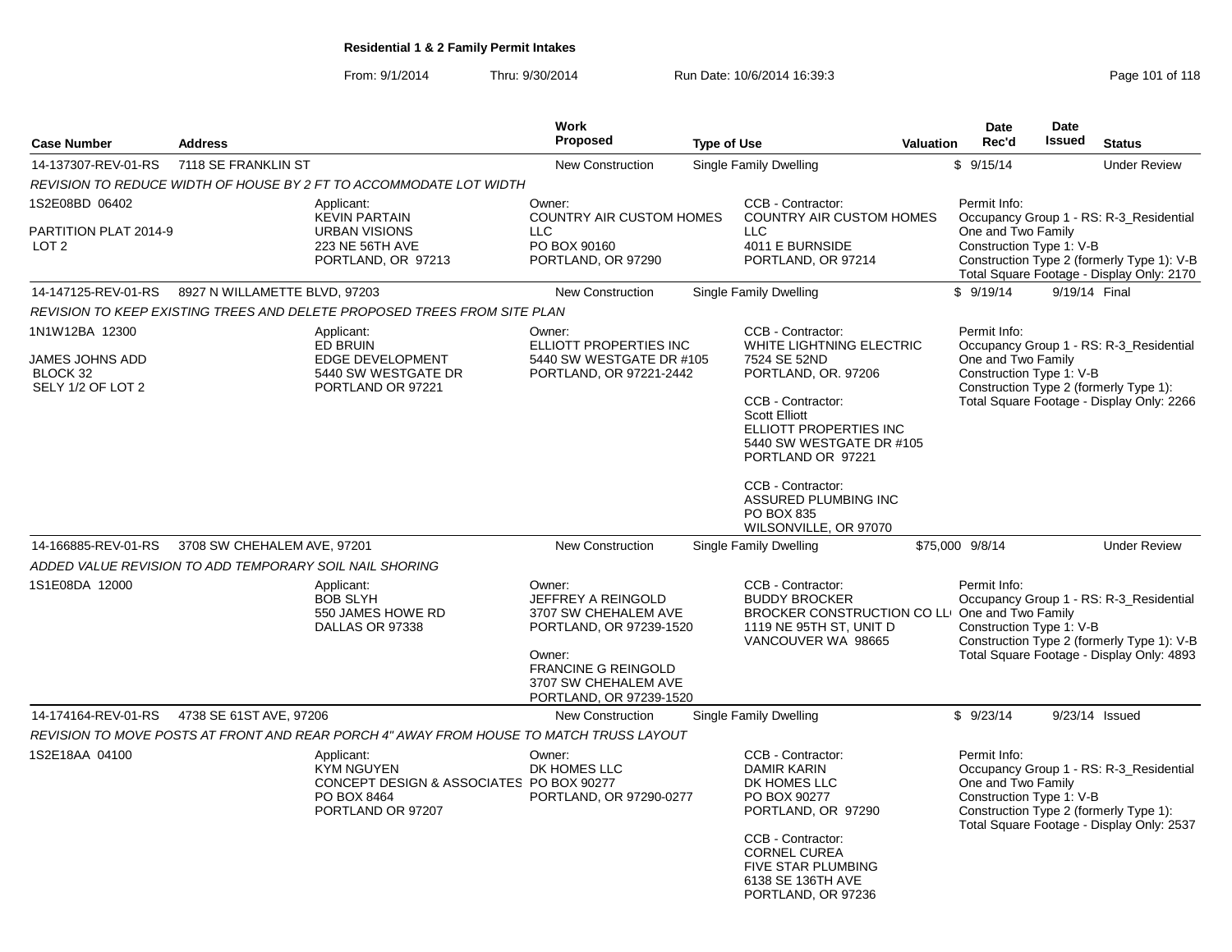From: 9/1/2014Thru: 9/30/2014 Run Date: 10/6/2014 16:39:3<br>
Page 101 of 118

|                                                                    |                               |                                                                                                                 | <b>Work</b>                                                                                                                                                                |                    |                                                                                                                                                                                                                                                                                |           | <b>Date</b>                                                    | <b>Date</b>   |                                                                                                                                    |
|--------------------------------------------------------------------|-------------------------------|-----------------------------------------------------------------------------------------------------------------|----------------------------------------------------------------------------------------------------------------------------------------------------------------------------|--------------------|--------------------------------------------------------------------------------------------------------------------------------------------------------------------------------------------------------------------------------------------------------------------------------|-----------|----------------------------------------------------------------|---------------|------------------------------------------------------------------------------------------------------------------------------------|
| <b>Case Number</b>                                                 | <b>Address</b>                |                                                                                                                 | <b>Proposed</b>                                                                                                                                                            | <b>Type of Use</b> |                                                                                                                                                                                                                                                                                | Valuation | Rec'd                                                          | Issued        | <b>Status</b>                                                                                                                      |
| 14-137307-REV-01-RS                                                | 7118 SE FRANKLIN ST           |                                                                                                                 | <b>New Construction</b>                                                                                                                                                    |                    | Single Family Dwelling                                                                                                                                                                                                                                                         |           | \$9/15/14                                                      |               | <b>Under Review</b>                                                                                                                |
|                                                                    |                               | REVISION TO REDUCE WIDTH OF HOUSE BY 2 FT TO ACCOMMODATE LOT WIDTH                                              |                                                                                                                                                                            |                    |                                                                                                                                                                                                                                                                                |           |                                                                |               |                                                                                                                                    |
| 1S2E08BD 06402<br>PARTITION PLAT 2014-9<br>LOT <sub>2</sub>        |                               | Applicant:<br><b>KEVIN PARTAIN</b><br><b>URBAN VISIONS</b><br>223 NE 56TH AVE<br>PORTLAND, OR 97213             | Owner:<br>COUNTRY AIR CUSTOM HOMES<br><b>LLC</b><br>PO BOX 90160<br>PORTLAND, OR 97290                                                                                     |                    | CCB - Contractor:<br>COUNTRY AIR CUSTOM HOMES<br><b>LLC</b><br>4011 E BURNSIDE<br>PORTLAND, OR 97214                                                                                                                                                                           |           | Permit Info:<br>One and Two Family<br>Construction Type 1: V-B |               | Occupancy Group 1 - RS: R-3_Residential<br>Construction Type 2 (formerly Type 1): V-B                                              |
|                                                                    |                               |                                                                                                                 |                                                                                                                                                                            |                    |                                                                                                                                                                                                                                                                                |           |                                                                |               | Total Square Footage - Display Only: 2170                                                                                          |
| 14-147125-REV-01-RS                                                | 8927 N WILLAMETTE BLVD, 97203 |                                                                                                                 | New Construction                                                                                                                                                           |                    | Single Family Dwelling                                                                                                                                                                                                                                                         |           | \$9/19/14                                                      | 9/19/14 Final |                                                                                                                                    |
|                                                                    |                               | REVISION TO KEEP EXISTING TREES AND DELETE PROPOSED TREES FROM SITE PLAN                                        |                                                                                                                                                                            |                    |                                                                                                                                                                                                                                                                                |           |                                                                |               |                                                                                                                                    |
| 1N1W12BA 12300<br>JAMES JOHNS ADD<br>BLOCK 32<br>SELY 1/2 OF LOT 2 |                               | Applicant:<br><b>ED BRUIN</b><br>EDGE DEVELOPMENT<br>5440 SW WESTGATE DR<br>PORTLAND OR 97221                   | Owner:<br>ELLIOTT PROPERTIES INC<br>5440 SW WESTGATE DR #105<br>PORTLAND, OR 97221-2442                                                                                    |                    | CCB - Contractor:<br>WHITE LIGHTNING ELECTRIC<br>7524 SE 52ND<br>PORTLAND, OR. 97206<br>CCB - Contractor:<br><b>Scott Elliott</b><br>ELLIOTT PROPERTIES INC<br>5440 SW WESTGATE DR #105<br>PORTLAND OR 97221<br>CCB - Contractor:<br>ASSURED PLUMBING INC<br><b>PO BOX 835</b> |           | Permit Info:<br>One and Two Family<br>Construction Type 1: V-B |               | Occupancy Group 1 - RS: R-3_Residential<br>Construction Type 2 (formerly Type 1):<br>Total Square Footage - Display Only: 2266     |
| 14-166885-REV-01-RS                                                | 3708 SW CHEHALEM AVE, 97201   |                                                                                                                 | <b>New Construction</b>                                                                                                                                                    |                    | WILSONVILLE, OR 97070                                                                                                                                                                                                                                                          |           | \$75,000 9/8/14                                                |               | <b>Under Review</b>                                                                                                                |
|                                                                    |                               |                                                                                                                 |                                                                                                                                                                            |                    | Single Family Dwelling                                                                                                                                                                                                                                                         |           |                                                                |               |                                                                                                                                    |
| ADDED VALUE REVISION TO ADD TEMPORARY SOIL NAIL SHORING            |                               |                                                                                                                 |                                                                                                                                                                            |                    |                                                                                                                                                                                                                                                                                |           |                                                                |               |                                                                                                                                    |
| 1S1E08DA 12000                                                     |                               | Applicant:<br><b>BOB SLYH</b><br>550 JAMES HOWE RD<br>DALLAS OR 97338                                           | Owner:<br>JEFFREY A REINGOLD<br>3707 SW CHEHALEM AVE<br>PORTLAND, OR 97239-1520<br>Owner:<br><b>FRANCINE G REINGOLD</b><br>3707 SW CHEHALEM AVE<br>PORTLAND, OR 97239-1520 |                    | CCB - Contractor:<br><b>BUDDY BROCKER</b><br>BROCKER CONSTRUCTION CO LLI One and Two Family<br>1119 NE 95TH ST, UNIT D<br>VANCOUVER WA 98665                                                                                                                                   |           | Permit Info:<br>Construction Type 1: V-B                       |               | Occupancy Group 1 - RS: R-3_Residential<br>Construction Type 2 (formerly Type 1): V-B<br>Total Square Footage - Display Only: 4893 |
| 14-174164-REV-01-RS                                                | 4738 SE 61ST AVE, 97206       |                                                                                                                 | New Construction                                                                                                                                                           |                    | Single Family Dwelling                                                                                                                                                                                                                                                         |           | \$9/23/14                                                      |               | 9/23/14 Issued                                                                                                                     |
|                                                                    |                               | REVISION TO MOVE POSTS AT FRONT AND REAR PORCH 4" AWAY FROM HOUSE TO MATCH TRUSS LAYOUT                         |                                                                                                                                                                            |                    |                                                                                                                                                                                                                                                                                |           |                                                                |               |                                                                                                                                    |
| 1S2E18AA 04100                                                     |                               | Applicant:<br><b>KYM NGUYEN</b><br>CONCEPT DESIGN & ASSOCIATES PO BOX 90277<br>PO BOX 8464<br>PORTLAND OR 97207 | Owner:<br>DK HOMES LLC<br>PORTLAND, OR 97290-0277                                                                                                                          |                    | CCB - Contractor:<br>DAMIR KARIN<br>DK HOMES LLC<br>PO BOX 90277<br>PORTLAND, OR 97290<br>CCB - Contractor:<br><b>CORNEL CUREA</b><br><b>FIVE STAR PLUMBING</b><br>6138 SE 136TH AVE<br>PORTLAND, OR 97236                                                                     |           | Permit Info:<br>One and Two Family<br>Construction Type 1: V-B |               | Occupancy Group 1 - RS: R-3_Residential<br>Construction Type 2 (formerly Type 1):<br>Total Square Footage - Display Only: 2537     |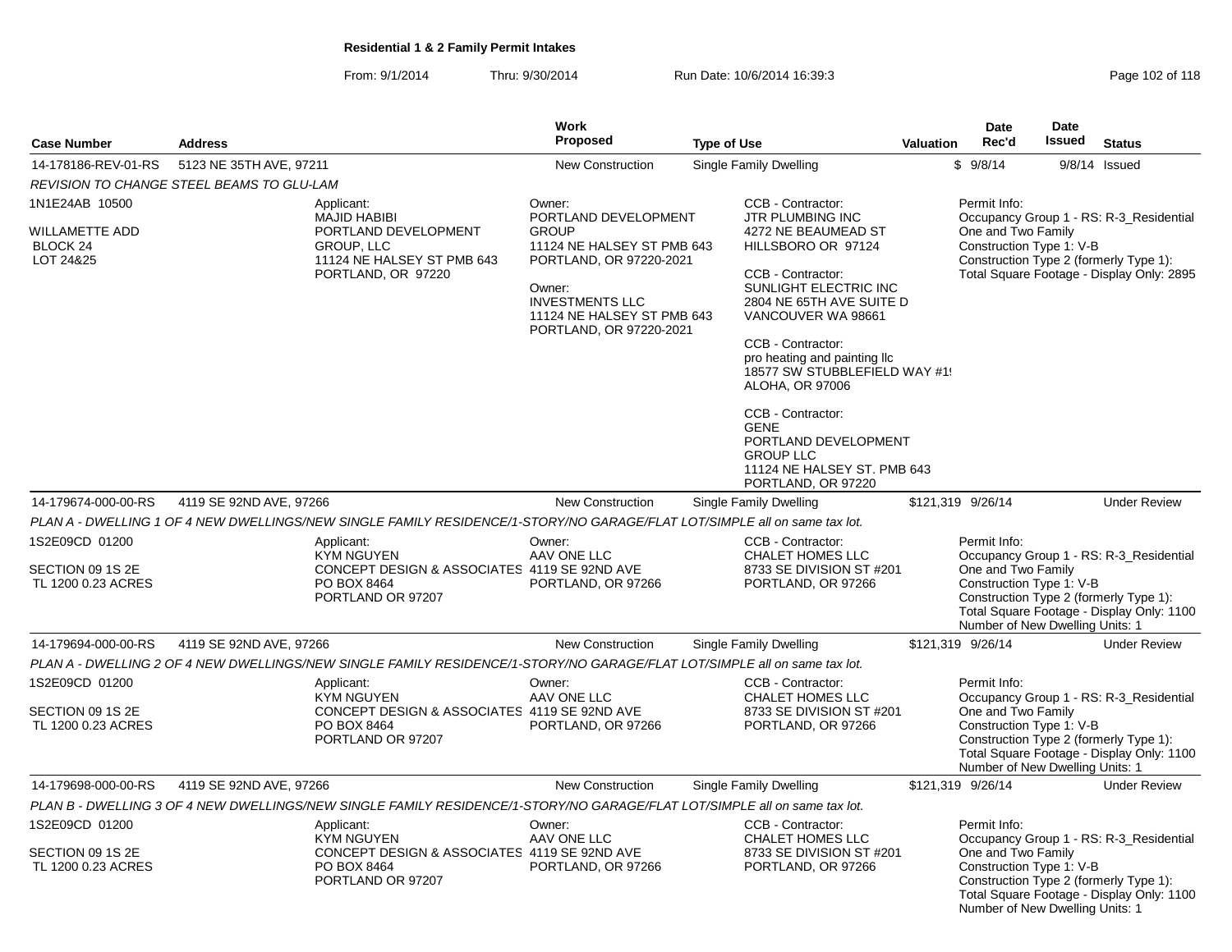From: 9/1/2014Thru: 9/30/2014 Run Date: 10/6/2014 16:39:3<br>
Page 102 of 118

|                                                          |                                                                                                                           | <b>Work</b>                                                                                                                                                                                |                                                                                                                                                                                                                                                                                                                                                                                       |                  | <b>Date</b>                                                                                       | <b>Date</b>   |                                                                                                                                |
|----------------------------------------------------------|---------------------------------------------------------------------------------------------------------------------------|--------------------------------------------------------------------------------------------------------------------------------------------------------------------------------------------|---------------------------------------------------------------------------------------------------------------------------------------------------------------------------------------------------------------------------------------------------------------------------------------------------------------------------------------------------------------------------------------|------------------|---------------------------------------------------------------------------------------------------|---------------|--------------------------------------------------------------------------------------------------------------------------------|
| <b>Case Number</b>                                       | <b>Address</b>                                                                                                            | Proposed                                                                                                                                                                                   | <b>Type of Use</b>                                                                                                                                                                                                                                                                                                                                                                    | <b>Valuation</b> | Rec'd                                                                                             | <b>Issued</b> | <b>Status</b>                                                                                                                  |
| 14-178186-REV-01-RS                                      | 5123 NE 35TH AVE, 97211                                                                                                   | New Construction                                                                                                                                                                           | Single Family Dwelling                                                                                                                                                                                                                                                                                                                                                                |                  | \$9/8/14                                                                                          |               | 9/8/14 Issued                                                                                                                  |
|                                                          | <b>REVISION TO CHANGE STEEL BEAMS TO GLU-LAM</b>                                                                          |                                                                                                                                                                                            |                                                                                                                                                                                                                                                                                                                                                                                       |                  |                                                                                                   |               |                                                                                                                                |
| 1N1E24AB 10500                                           | Applicant:                                                                                                                | Owner:                                                                                                                                                                                     | CCB - Contractor:                                                                                                                                                                                                                                                                                                                                                                     |                  | Permit Info:                                                                                      |               |                                                                                                                                |
| <b>WILLAMETTE ADD</b><br>BLOCK 24<br>LOT 24&25           | <b>MAJID HABIBI</b><br>PORTLAND DEVELOPMENT<br>GROUP, LLC<br>11124 NE HALSEY ST PMB 643<br>PORTLAND, OR 97220             | PORTLAND DEVELOPMENT<br><b>GROUP</b><br>11124 NE HALSEY ST PMB 643<br>PORTLAND, OR 97220-2021<br>Owner:<br><b>INVESTMENTS LLC</b><br>11124 NE HALSEY ST PMB 643<br>PORTLAND, OR 97220-2021 | JTR PLUMBING INC<br>4272 NE BEAUMEAD ST<br>HILLSBORO OR 97124<br>CCB - Contractor:<br>SUNLIGHT ELECTRIC INC<br>2804 NE 65TH AVE SUITE D<br>VANCOUVER WA 98661<br>CCB - Contractor:<br>pro heating and painting Ilc<br>18577 SW STUBBLEFIELD WAY #1!<br>ALOHA, OR 97006<br>CCB - Contractor:<br><b>GENE</b><br>PORTLAND DEVELOPMENT<br><b>GROUP LLC</b><br>11124 NE HALSEY ST. PMB 643 |                  | One and Two Family<br>Construction Type 1: V-B                                                    |               | Occupancy Group 1 - RS: R-3_Residential<br>Construction Type 2 (formerly Type 1):<br>Total Square Footage - Display Only: 2895 |
| 14-179674-000-00-RS                                      | 4119 SE 92ND AVE, 97266                                                                                                   | <b>New Construction</b>                                                                                                                                                                    | PORTLAND, OR 97220<br>Single Family Dwelling                                                                                                                                                                                                                                                                                                                                          |                  | \$121,319 9/26/14                                                                                 |               | <b>Under Review</b>                                                                                                            |
|                                                          | PLAN A - DWELLING 1 OF 4 NEW DWELLINGS/NEW SINGLE FAMILY RESIDENCE/1-STORY/NO GARAGE/FLAT LOT/SIMPLE all on same tax lot. |                                                                                                                                                                                            |                                                                                                                                                                                                                                                                                                                                                                                       |                  |                                                                                                   |               |                                                                                                                                |
| 1S2E09CD 01200                                           | Applicant:                                                                                                                | Owner:                                                                                                                                                                                     | CCB - Contractor:                                                                                                                                                                                                                                                                                                                                                                     |                  | Permit Info:                                                                                      |               |                                                                                                                                |
| SECTION 09 1S 2E<br>TL 1200 0.23 ACRES                   | <b>KYM NGUYEN</b><br>CONCEPT DESIGN & ASSOCIATES 4119 SE 92ND AVE<br>PO BOX 8464<br>PORTLAND OR 97207                     | AAV ONE LLC<br>PORTLAND, OR 97266                                                                                                                                                          | CHALET HOMES LLC<br>8733 SE DIVISION ST #201<br>PORTLAND, OR 97266                                                                                                                                                                                                                                                                                                                    |                  | One and Two Family<br>Construction Type 1: V-B<br>Number of New Dwelling Units: 1                 |               | Occupancy Group 1 - RS: R-3_Residential<br>Construction Type 2 (formerly Type 1):<br>Total Square Footage - Display Only: 1100 |
| 14-179694-000-00-RS                                      | 4119 SE 92ND AVE, 97266                                                                                                   | New Construction                                                                                                                                                                           | Single Family Dwelling                                                                                                                                                                                                                                                                                                                                                                |                  | \$121,319 9/26/14                                                                                 |               | <b>Under Review</b>                                                                                                            |
|                                                          | PLAN A - DWELLING 2 OF 4 NEW DWELLINGS/NEW SINGLE FAMILY RESIDENCE/1-STORY/NO GARAGE/FLAT LOT/SIMPLE all on same tax lot. |                                                                                                                                                                                            |                                                                                                                                                                                                                                                                                                                                                                                       |                  |                                                                                                   |               |                                                                                                                                |
| 1S2E09CD 01200<br>SECTION 09 1S 2E<br>TL 1200 0.23 ACRES | Applicant:<br><b>KYM NGUYEN</b><br>CONCEPT DESIGN & ASSOCIATES 4119 SE 92ND AVE<br>PO BOX 8464<br>PORTLAND OR 97207       | Owner:<br>AAV ONE LLC<br>PORTLAND, OR 97266                                                                                                                                                | CCB - Contractor:<br><b>CHALET HOMES LLC</b><br>8733 SE DIVISION ST #201<br>PORTLAND, OR 97266                                                                                                                                                                                                                                                                                        |                  | Permit Info:<br>One and Two Family<br>Construction Type 1: V-B<br>Number of New Dwelling Units: 1 |               | Occupancy Group 1 - RS: R-3 Residential<br>Construction Type 2 (formerly Type 1):<br>Total Square Footage - Display Only: 1100 |
| 14-179698-000-00-RS                                      | 4119 SE 92ND AVE, 97266                                                                                                   | <b>New Construction</b>                                                                                                                                                                    | Single Family Dwelling                                                                                                                                                                                                                                                                                                                                                                |                  | \$121,319 9/26/14                                                                                 |               | <b>Under Review</b>                                                                                                            |
|                                                          | PLAN B - DWELLING 3 OF 4 NEW DWELLINGS/NEW SINGLE FAMILY RESIDENCE/1-STORY/NO GARAGE/FLAT LOT/SIMPLE all on same tax lot. |                                                                                                                                                                                            |                                                                                                                                                                                                                                                                                                                                                                                       |                  |                                                                                                   |               |                                                                                                                                |
| 1S2E09CD 01200<br>SECTION 09 1S 2E<br>TL 1200 0.23 ACRES | Applicant:<br>KYM NGUYEN<br>CONCEPT DESIGN & ASSOCIATES 4119 SE 92ND AVE<br>PO BOX 8464<br>PORTLAND OR 97207              | Owner:<br>AAV ONE LLC<br>PORTLAND, OR 97266                                                                                                                                                | CCB - Contractor:<br>CHALET HOMES LLC<br>8733 SE DIVISION ST #201<br>PORTLAND, OR 97266                                                                                                                                                                                                                                                                                               |                  | Permit Info:<br>One and Two Family<br>Construction Type 1: V-B<br>Number of New Dwelling Units: 1 |               | Occupancy Group 1 - RS: R-3_Residential<br>Construction Type 2 (formerly Type 1):<br>Total Square Footage - Display Only: 1100 |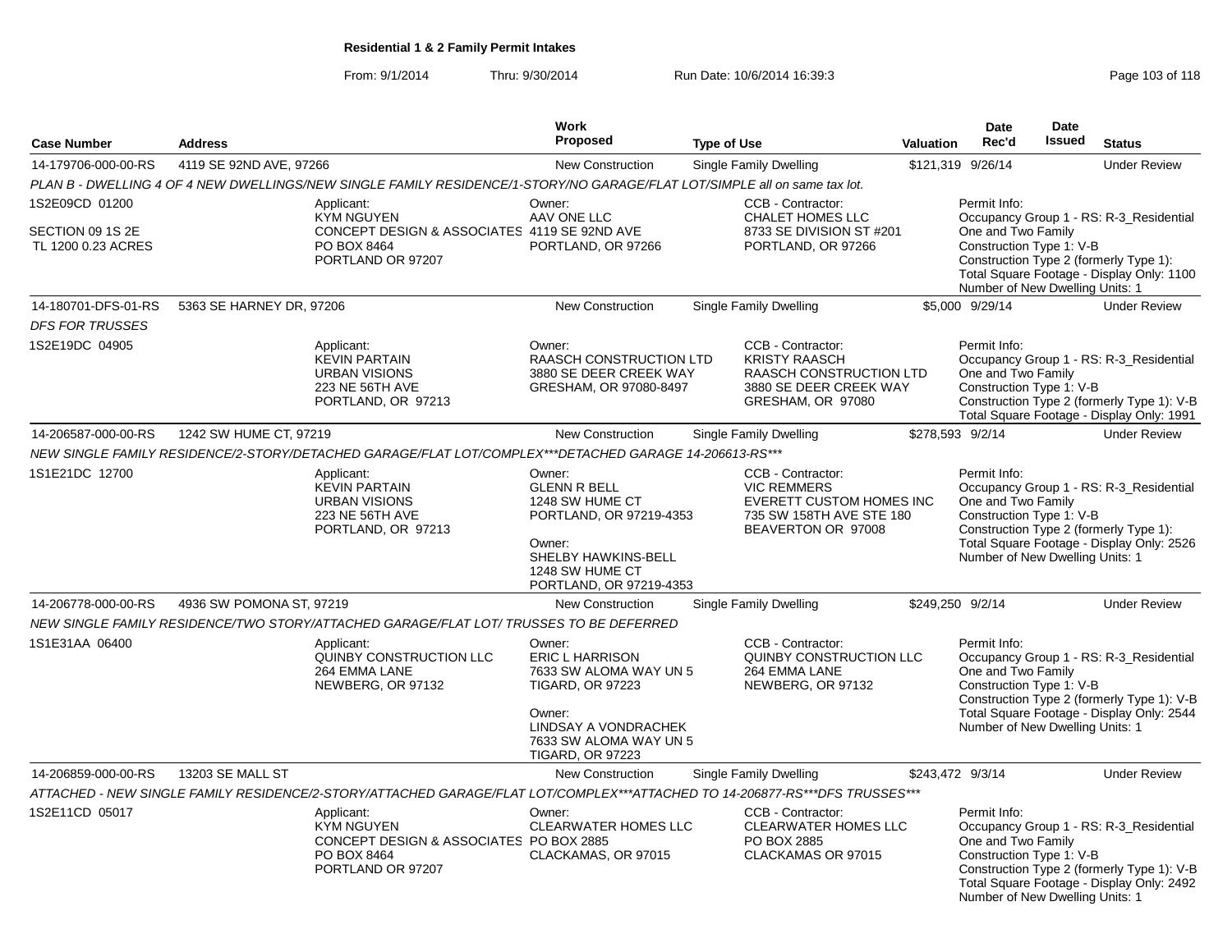From: 9/1/2014Thru: 9/30/2014 Run Date: 10/6/2014 16:39:3<br>
Page 103 of 118

|                                                          |                          |                                                                                                                             | Work                                                                                                                                                                         |                    |                                                                                                                            |                  | <b>Date</b>                                                                                       | Date          |                                                                                                                                    |
|----------------------------------------------------------|--------------------------|-----------------------------------------------------------------------------------------------------------------------------|------------------------------------------------------------------------------------------------------------------------------------------------------------------------------|--------------------|----------------------------------------------------------------------------------------------------------------------------|------------------|---------------------------------------------------------------------------------------------------|---------------|------------------------------------------------------------------------------------------------------------------------------------|
| <b>Case Number</b>                                       | <b>Address</b>           |                                                                                                                             | <b>Proposed</b>                                                                                                                                                              | <b>Type of Use</b> |                                                                                                                            | <b>Valuation</b> | Rec'd                                                                                             | <b>Issued</b> | <b>Status</b>                                                                                                                      |
| 14-179706-000-00-RS                                      | 4119 SE 92ND AVE, 97266  |                                                                                                                             | New Construction                                                                                                                                                             |                    | <b>Single Family Dwelling</b>                                                                                              |                  | \$121,319 9/26/14                                                                                 |               | <b>Under Review</b>                                                                                                                |
|                                                          |                          | PLAN B - DWELLING 4 OF 4 NEW DWELLINGS/NEW SINGLE FAMILY RESIDENCE/1-STORY/NO GARAGE/FLAT LOT/SIMPLE all on same tax lot.   |                                                                                                                                                                              |                    |                                                                                                                            |                  |                                                                                                   |               |                                                                                                                                    |
| 1S2E09CD 01200<br>SECTION 09 1S 2E<br>TL 1200 0.23 ACRES |                          | Applicant:<br><b>KYM NGUYEN</b><br>CONCEPT DESIGN & ASSOCIATES 4119 SE 92ND AVE<br>PO BOX 8464<br>PORTLAND OR 97207         | Owner:<br>AAV ONE LLC<br>PORTLAND, OR 97266                                                                                                                                  |                    | CCB - Contractor:<br>CHALET HOMES LLC<br>8733 SE DIVISION ST #201<br>PORTLAND, OR 97266                                    |                  | Permit Info:<br>One and Two Family<br>Construction Type 1: V-B<br>Number of New Dwelling Units: 1 |               | Occupancy Group 1 - RS: R-3_Residential<br>Construction Type 2 (formerly Type 1):<br>Total Square Footage - Display Only: 1100     |
| 14-180701-DFS-01-RS                                      | 5363 SE HARNEY DR, 97206 |                                                                                                                             | <b>New Construction</b>                                                                                                                                                      |                    | <b>Single Family Dwelling</b>                                                                                              |                  | \$5,000 9/29/14                                                                                   |               | <b>Under Review</b>                                                                                                                |
| <b>DFS FOR TRUSSES</b>                                   |                          |                                                                                                                             |                                                                                                                                                                              |                    |                                                                                                                            |                  |                                                                                                   |               |                                                                                                                                    |
| 1S2E19DC 04905                                           |                          | Applicant:<br><b>KEVIN PARTAIN</b><br><b>URBAN VISIONS</b><br>223 NE 56TH AVE<br>PORTLAND, OR 97213                         | Owner:<br>RAASCH CONSTRUCTION LTD<br>3880 SE DEER CREEK WAY<br>GRESHAM, OR 97080-8497                                                                                        |                    | CCB - Contractor:<br><b>KRISTY RAASCH</b><br><b>RAASCH CONSTRUCTION LTD</b><br>3880 SE DEER CREEK WAY<br>GRESHAM, OR 97080 |                  | Permit Info:<br>One and Two Family<br>Construction Type 1: V-B                                    |               | Occupancy Group 1 - RS: R-3_Residential<br>Construction Type 2 (formerly Type 1): V-B<br>Total Square Footage - Display Only: 1991 |
| 14-206587-000-00-RS                                      | 1242 SW HUME CT, 97219   |                                                                                                                             | <b>New Construction</b>                                                                                                                                                      |                    | <b>Single Family Dwelling</b>                                                                                              |                  | \$278,593 9/2/14                                                                                  |               | <b>Under Review</b>                                                                                                                |
|                                                          |                          | NEW SINGLE FAMILY RESIDENCE/2-STORY/DETACHED GARAGE/FLAT LOT/COMPLEX***DETACHED GARAGE 14-206613-RS***                      |                                                                                                                                                                              |                    |                                                                                                                            |                  |                                                                                                   |               |                                                                                                                                    |
| 1S1E21DC 12700                                           |                          | Applicant:<br><b>KEVIN PARTAIN</b><br><b>URBAN VISIONS</b><br>223 NE 56TH AVE<br>PORTLAND, OR 97213                         | Owner:<br><b>GLENN R BELL</b><br>1248 SW HUME CT<br>PORTLAND, OR 97219-4353<br>Owner:<br>SHELBY HAWKINS-BELL<br>1248 SW HUME CT<br>PORTLAND, OR 97219-4353                   |                    | CCB - Contractor:<br><b>VIC REMMERS</b><br>EVERETT CUSTOM HOMES INC<br>735 SW 158TH AVE STE 180<br>BEAVERTON OR 97008      |                  | Permit Info:<br>One and Two Family<br>Construction Type 1: V-B<br>Number of New Dwelling Units: 1 |               | Occupancy Group 1 - RS: R-3_Residential<br>Construction Type 2 (formerly Type 1):<br>Total Square Footage - Display Only: 2526     |
| 14-206778-000-00-RS                                      | 4936 SW POMONA ST, 97219 |                                                                                                                             | <b>New Construction</b>                                                                                                                                                      |                    | <b>Single Family Dwelling</b>                                                                                              |                  | \$249,250 9/2/14                                                                                  |               | <b>Under Review</b>                                                                                                                |
|                                                          |                          | NEW SINGLE FAMILY RESIDENCE/TWO STORY/ATTACHED GARAGE/FLAT LOT/ TRUSSES TO BE DEFERRED                                      |                                                                                                                                                                              |                    |                                                                                                                            |                  |                                                                                                   |               |                                                                                                                                    |
| 1S1E31AA 06400                                           |                          | Applicant:<br>QUINBY CONSTRUCTION LLC<br>264 EMMA LANE<br>NEWBERG, OR 97132                                                 | Owner:<br><b>ERIC L HARRISON</b><br>7633 SW ALOMA WAY UN 5<br><b>TIGARD, OR 97223</b><br>Owner:<br>LINDSAY A VONDRACHEK<br>7633 SW ALOMA WAY UN 5<br><b>TIGARD, OR 97223</b> |                    | CCB - Contractor:<br>QUINBY CONSTRUCTION LLC<br>264 EMMA LANE<br>NEWBERG, OR 97132                                         |                  | Permit Info:<br>One and Two Family<br>Construction Type 1: V-B<br>Number of New Dwelling Units: 1 |               | Occupancy Group 1 - RS: R-3 Residential<br>Construction Type 2 (formerly Type 1): V-B<br>Total Square Footage - Display Only: 2544 |
| 14-206859-000-00-RS                                      | 13203 SE MALL ST         |                                                                                                                             | <b>New Construction</b>                                                                                                                                                      |                    | Single Family Dwelling                                                                                                     |                  | \$243,472 9/3/14                                                                                  |               | <b>Under Review</b>                                                                                                                |
|                                                          |                          | ATTACHED - NEW SINGLE FAMILY RESIDENCE/2-STORY/ATTACHED GARAGE/FLAT LOT/COMPLEX***ATTACHED TO 14-206877-RS***DFS TRUSSES*** |                                                                                                                                                                              |                    |                                                                                                                            |                  |                                                                                                   |               |                                                                                                                                    |
| 1S2E11CD 05017                                           |                          | Applicant:<br>KYM NGUYEN<br>CONCEPT DESIGN & ASSOCIATES PO BOX 2885<br>PO BOX 8464<br>PORTLAND OR 97207                     | Owner:<br><b>CLEARWATER HOMES LLC</b><br>CLACKAMAS, OR 97015                                                                                                                 |                    | CCB - Contractor:<br>CLEARWATER HOMES LLC<br>PO BOX 2885<br>CLACKAMAS OR 97015                                             |                  | Permit Info:<br>One and Two Family<br>Construction Type 1: V-B<br>Number of New Dwelling Units: 1 |               | Occupancy Group 1 - RS: R-3_Residential<br>Construction Type 2 (formerly Type 1): V-B<br>Total Square Footage - Display Only: 2492 |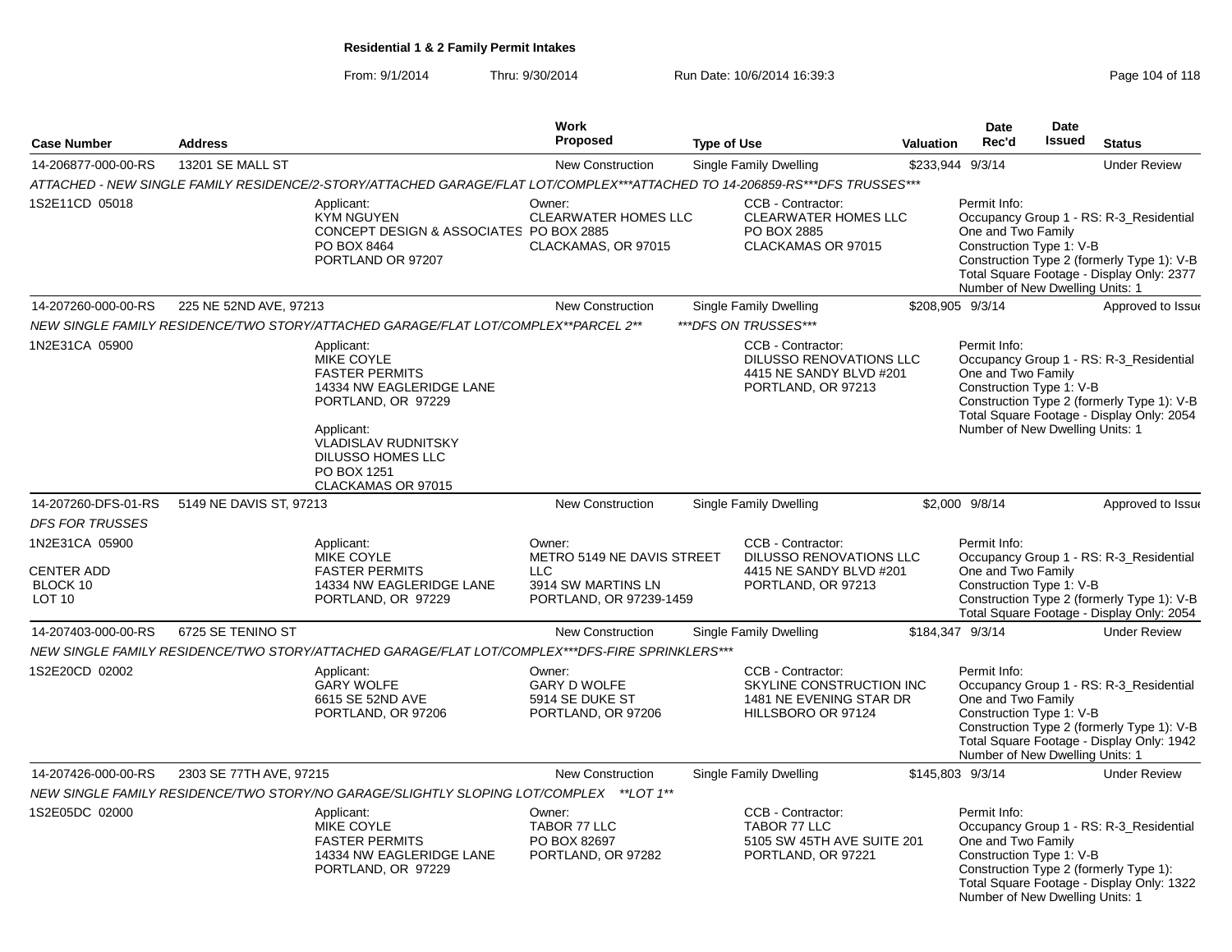### From: 9/1/2014Thru: 9/30/2014 Run Date: 10/6/2014 16:39:3<br>
Page 104 of 118

|                                                                  |                         |                                                                                                                                                                                                                         | Work                                                                                                |                    |                                                                                                      |           | <b>Date</b>                                                                                       | <b>Date</b>   |                                                                                                                                    |
|------------------------------------------------------------------|-------------------------|-------------------------------------------------------------------------------------------------------------------------------------------------------------------------------------------------------------------------|-----------------------------------------------------------------------------------------------------|--------------------|------------------------------------------------------------------------------------------------------|-----------|---------------------------------------------------------------------------------------------------|---------------|------------------------------------------------------------------------------------------------------------------------------------|
| <b>Case Number</b>                                               | <b>Address</b>          |                                                                                                                                                                                                                         | Proposed                                                                                            | <b>Type of Use</b> |                                                                                                      | Valuation | Rec'd                                                                                             | <b>Issued</b> | <b>Status</b>                                                                                                                      |
| 14-206877-000-00-RS                                              | 13201 SE MALL ST        |                                                                                                                                                                                                                         | <b>New Construction</b>                                                                             |                    | Single Family Dwelling                                                                               |           | \$233,944 9/3/14                                                                                  |               | <b>Under Review</b>                                                                                                                |
|                                                                  |                         | ATTACHED - NEW SINGLE FAMILY RESIDENCE/2-STORY/ATTACHED GARAGE/FLAT LOT/COMPLEX***ATTACHED TO 14-206859-RS***DFS TRUSSES***                                                                                             |                                                                                                     |                    |                                                                                                      |           |                                                                                                   |               |                                                                                                                                    |
| 1S2E11CD 05018                                                   |                         | Applicant:<br><b>KYM NGUYEN</b><br>CONCEPT DESIGN & ASSOCIATES PO BOX 2885<br>PO BOX 8464<br>PORTLAND OR 97207                                                                                                          | Owner:<br><b>CLEARWATER HOMES LLC</b><br>CLACKAMAS, OR 97015                                        |                    | CCB - Contractor:<br><b>CLEARWATER HOMES LLC</b><br>PO BOX 2885<br>CLACKAMAS OR 97015                |           | Permit Info:<br>One and Two Family<br>Construction Type 1: V-B<br>Number of New Dwelling Units: 1 |               | Occupancy Group 1 - RS: R-3 Residential<br>Construction Type 2 (formerly Type 1): V-B<br>Total Square Footage - Display Only: 2377 |
| 14-207260-000-00-RS                                              | 225 NE 52ND AVE, 97213  |                                                                                                                                                                                                                         | New Construction                                                                                    |                    | <b>Single Family Dwelling</b>                                                                        |           | \$208,905 9/3/14                                                                                  |               | Approved to Issue                                                                                                                  |
|                                                                  |                         | NEW SINGLE FAMILY RESIDENCE/TWO STORY/ATTACHED GARAGE/FLAT LOT/COMPLEX**PARCEL 2**                                                                                                                                      |                                                                                                     |                    | ***DFS ON TRUSSES***                                                                                 |           |                                                                                                   |               |                                                                                                                                    |
| 1N2E31CA 05900                                                   |                         | Applicant:<br><b>MIKE COYLE</b><br><b>FASTER PERMITS</b><br>14334 NW EAGLERIDGE LANE<br>PORTLAND, OR 97229<br>Applicant:<br><b>VLADISLAV RUDNITSKY</b><br><b>DILUSSO HOMES LLC</b><br>PO BOX 1251<br>CLACKAMAS OR 97015 |                                                                                                     |                    | CCB - Contractor:<br><b>DILUSSO RENOVATIONS LLC</b><br>4415 NE SANDY BLVD #201<br>PORTLAND, OR 97213 |           | Permit Info:<br>One and Two Family<br>Construction Type 1: V-B<br>Number of New Dwelling Units: 1 |               | Occupancy Group 1 - RS: R-3_Residential<br>Construction Type 2 (formerly Type 1): V-B<br>Total Square Footage - Display Only: 2054 |
| 14-207260-DFS-01-RS                                              | 5149 NE DAVIS ST, 97213 |                                                                                                                                                                                                                         | <b>New Construction</b>                                                                             |                    | Single Family Dwelling                                                                               |           | \$2,000 9/8/14                                                                                    |               | Approved to Issue                                                                                                                  |
| <b>DFS FOR TRUSSES</b>                                           |                         |                                                                                                                                                                                                                         |                                                                                                     |                    |                                                                                                      |           |                                                                                                   |               |                                                                                                                                    |
| 1N2E31CA 05900<br><b>CENTER ADD</b><br>BLOCK 10<br><b>LOT 10</b> |                         | Applicant:<br>MIKE COYLE<br><b>FASTER PERMITS</b><br>14334 NW EAGLERIDGE LANE<br>PORTLAND, OR 97229                                                                                                                     | Owner:<br>METRO 5149 NE DAVIS STREET<br><b>LLC</b><br>3914 SW MARTINS LN<br>PORTLAND, OR 97239-1459 |                    | CCB - Contractor:<br>DILUSSO RENOVATIONS LLC<br>4415 NE SANDY BLVD #201<br>PORTLAND, OR 97213        |           | Permit Info:<br>One and Two Family<br>Construction Type 1: V-B                                    |               | Occupancy Group 1 - RS: R-3_Residential<br>Construction Type 2 (formerly Type 1): V-B<br>Total Square Footage - Display Only: 2054 |
| 14-207403-000-00-RS                                              | 6725 SE TENINO ST       |                                                                                                                                                                                                                         | <b>New Construction</b>                                                                             |                    | Single Family Dwelling                                                                               |           | \$184,347 9/3/14                                                                                  |               | <b>Under Review</b>                                                                                                                |
|                                                                  |                         | NEW SINGLE FAMILY RESIDENCE/TWO STORY/ATTACHED GARAGE/FLAT LOT/COMPLEX***DFS-FIRE SPRINKLERS***                                                                                                                         |                                                                                                     |                    |                                                                                                      |           |                                                                                                   |               |                                                                                                                                    |
| 1S2E20CD 02002                                                   |                         | Applicant:<br><b>GARY WOLFE</b><br>6615 SE 52ND AVE<br>PORTLAND, OR 97206                                                                                                                                               | Owner:<br>GARY D WOLFE<br>5914 SE DUKE ST<br>PORTLAND, OR 97206                                     |                    | CCB - Contractor:<br>SKYLINE CONSTRUCTION INC<br>1481 NE EVENING STAR DR<br>HILLSBORO OR 97124       |           | Permit Info:<br>One and Two Family<br>Construction Type 1: V-B<br>Number of New Dwelling Units: 1 |               | Occupancy Group 1 - RS: R-3_Residential<br>Construction Type 2 (formerly Type 1): V-B<br>Total Square Footage - Display Only: 1942 |
| 14-207426-000-00-RS                                              | 2303 SE 77TH AVE, 97215 |                                                                                                                                                                                                                         | <b>New Construction</b>                                                                             |                    | Single Family Dwelling                                                                               |           | \$145,803 9/3/14                                                                                  |               | <b>Under Review</b>                                                                                                                |
|                                                                  |                         | NEW SINGLE FAMILY RESIDENCE/TWO STORY/NO GARAGE/SLIGHTLY SLOPING LOT/COMPLEX **LOT 1**                                                                                                                                  |                                                                                                     |                    |                                                                                                      |           |                                                                                                   |               |                                                                                                                                    |
| 1S2E05DC 02000                                                   |                         | Applicant:<br><b>MIKE COYLE</b><br><b>FASTER PERMITS</b><br>14334 NW EAGLERIDGE LANE<br>PORTLAND, OR 97229                                                                                                              | Owner:<br>TABOR 77 LLC<br>PO BOX 82697<br>PORTLAND, OR 97282                                        |                    | CCB - Contractor:<br>TABOR 77 LLC<br>5105 SW 45TH AVE SUITE 201<br>PORTLAND, OR 97221                |           | Permit Info:<br>One and Two Family<br>Construction Type 1: V-B<br>Number of New Dwelling Units: 1 |               | Occupancy Group 1 - RS: R-3_Residential<br>Construction Type 2 (formerly Type 1):<br>Total Square Footage - Display Only: 1322     |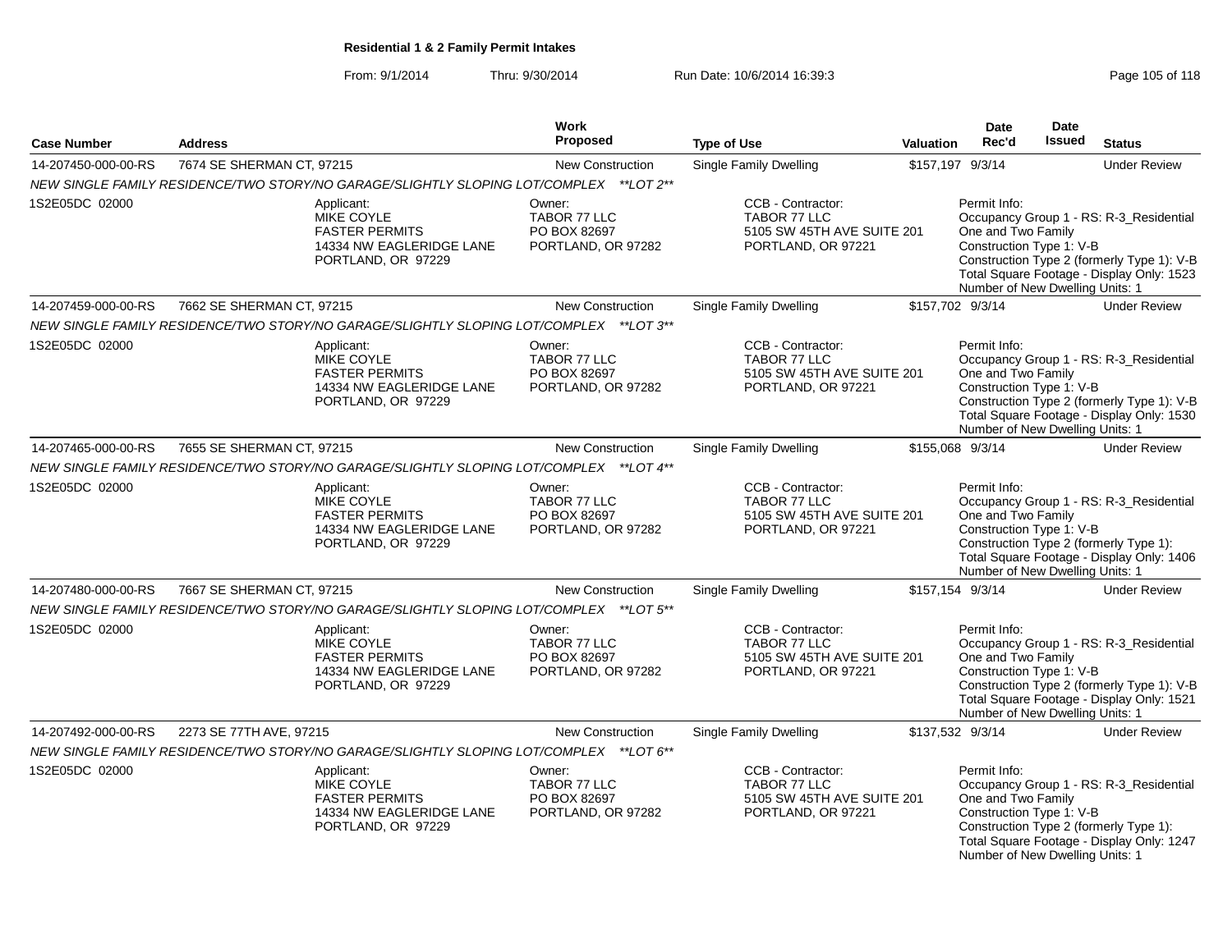From: 9/1/2014Thru: 9/30/2014 Run Date: 10/6/2014 16:39:3<br>
Page 105 of 118

|                     |                           |                                                                                                                                                                                                      | Work<br><b>Proposed</b>                                      |                                                                                       |                  | <b>Date</b><br>Rec'd                                                                              | <b>Date</b><br>Issued |                                                                                                                                    |
|---------------------|---------------------------|------------------------------------------------------------------------------------------------------------------------------------------------------------------------------------------------------|--------------------------------------------------------------|---------------------------------------------------------------------------------------|------------------|---------------------------------------------------------------------------------------------------|-----------------------|------------------------------------------------------------------------------------------------------------------------------------|
| <b>Case Number</b>  | <b>Address</b>            |                                                                                                                                                                                                      |                                                              | <b>Type of Use</b>                                                                    | <b>Valuation</b> |                                                                                                   |                       | <b>Status</b>                                                                                                                      |
| 14-207450-000-00-RS | 7674 SE SHERMAN CT, 97215 |                                                                                                                                                                                                      | <b>New Construction</b>                                      | Single Family Dwelling                                                                | \$157,197 9/3/14 |                                                                                                   |                       | <b>Under Review</b>                                                                                                                |
| 1S2E05DC 02000      |                           | NEW SINGLE FAMILY RESIDENCE/TWO STORY/NO GARAGE/SLIGHTLY SLOPING LOT/COMPLEX **LOT 2**<br>Applicant:<br><b>MIKE COYLE</b><br><b>FASTER PERMITS</b><br>14334 NW EAGLERIDGE LANE<br>PORTLAND, OR 97229 | Owner:<br>TABOR 77 LLC<br>PO BOX 82697<br>PORTLAND, OR 97282 | CCB - Contractor:<br>TABOR 77 LLC<br>5105 SW 45TH AVE SUITE 201<br>PORTLAND, OR 97221 |                  | Permit Info:<br>One and Two Family<br>Construction Type 1: V-B<br>Number of New Dwelling Units: 1 |                       | Occupancy Group 1 - RS: R-3_Residential<br>Construction Type 2 (formerly Type 1): V-B<br>Total Square Footage - Display Only: 1523 |
| 14-207459-000-00-RS | 7662 SE SHERMAN CT, 97215 |                                                                                                                                                                                                      | <b>New Construction</b>                                      | Single Family Dwelling                                                                | \$157,702 9/3/14 |                                                                                                   |                       | <b>Under Review</b>                                                                                                                |
|                     |                           | NEW SINGLE FAMILY RESIDENCE/TWO STORY/NO GARAGE/SLIGHTLY SLOPING LOT/COMPLEX ** LOT 3**                                                                                                              |                                                              |                                                                                       |                  |                                                                                                   |                       |                                                                                                                                    |
| 1S2E05DC 02000      |                           | Applicant:<br><b>MIKE COYLE</b><br><b>FASTER PERMITS</b><br>14334 NW EAGLERIDGE LANE<br>PORTLAND, OR 97229                                                                                           | Owner:<br>TABOR 77 LLC<br>PO BOX 82697<br>PORTLAND, OR 97282 | CCB - Contractor:<br>TABOR 77 LLC<br>5105 SW 45TH AVE SUITE 201<br>PORTLAND, OR 97221 |                  | Permit Info:<br>One and Two Family<br>Construction Type 1: V-B<br>Number of New Dwelling Units: 1 |                       | Occupancy Group 1 - RS: R-3_Residential<br>Construction Type 2 (formerly Type 1): V-B<br>Total Square Footage - Display Only: 1530 |
| 14-207465-000-00-RS | 7655 SE SHERMAN CT, 97215 |                                                                                                                                                                                                      | <b>New Construction</b>                                      | Single Family Dwelling                                                                | \$155,068 9/3/14 |                                                                                                   |                       | <b>Under Review</b>                                                                                                                |
|                     |                           | NEW SINGLE FAMILY RESIDENCE/TWO STORY/NO GARAGE/SLIGHTLY SLOPING LOT/COMPLEX **LOT 4**                                                                                                               |                                                              |                                                                                       |                  |                                                                                                   |                       |                                                                                                                                    |
| 1S2E05DC 02000      |                           | Applicant:<br>MIKE COYLE<br><b>FASTER PERMITS</b><br>14334 NW EAGLERIDGE LANE<br>PORTLAND, OR 97229                                                                                                  | Owner:<br>TABOR 77 LLC<br>PO BOX 82697<br>PORTLAND, OR 97282 | CCB - Contractor:<br>TABOR 77 LLC<br>5105 SW 45TH AVE SUITE 201<br>PORTLAND, OR 97221 |                  | Permit Info:<br>One and Two Family<br>Construction Type 1: V-B<br>Number of New Dwelling Units: 1 |                       | Occupancy Group 1 - RS: R-3_Residential<br>Construction Type 2 (formerly Type 1):<br>Total Square Footage - Display Only: 1406     |
| 14-207480-000-00-RS | 7667 SE SHERMAN CT, 97215 |                                                                                                                                                                                                      | <b>New Construction</b>                                      | Single Family Dwelling                                                                |                  | \$157,154 9/3/14                                                                                  |                       | <b>Under Review</b>                                                                                                                |
|                     |                           | NEW SINGLE FAMILY RESIDENCE/TWO STORY/NO GARAGE/SLIGHTLY SLOPING LOT/COMPLEX **LOT 5**                                                                                                               |                                                              |                                                                                       |                  |                                                                                                   |                       |                                                                                                                                    |
| 1S2E05DC 02000      |                           | Applicant:<br><b>MIKE COYLE</b><br><b>FASTER PERMITS</b><br>14334 NW EAGLERIDGE LANE<br>PORTLAND, OR 97229                                                                                           | Owner:<br>TABOR 77 LLC<br>PO BOX 82697<br>PORTLAND, OR 97282 | CCB - Contractor:<br>TABOR 77 LLC<br>5105 SW 45TH AVE SUITE 201<br>PORTLAND, OR 97221 |                  | Permit Info:<br>One and Two Family<br>Construction Type 1: V-B<br>Number of New Dwelling Units: 1 |                       | Occupancy Group 1 - RS: R-3_Residential<br>Construction Type 2 (formerly Type 1): V-B<br>Total Square Footage - Display Only: 1521 |
| 14-207492-000-00-RS | 2273 SE 77TH AVE, 97215   |                                                                                                                                                                                                      | <b>New Construction</b>                                      | Single Family Dwelling                                                                | \$137,532 9/3/14 |                                                                                                   |                       | <b>Under Review</b>                                                                                                                |
|                     |                           | NEW SINGLE FAMILY RESIDENCE/TWO STORY/NO GARAGE/SLIGHTLY SLOPING LOT/COMPLEX ** LOT 6**                                                                                                              |                                                              |                                                                                       |                  |                                                                                                   |                       |                                                                                                                                    |
| 1S2E05DC 02000      |                           | Applicant:<br><b>MIKE COYLE</b><br><b>FASTER PERMITS</b><br>14334 NW EAGLERIDGE LANE<br>PORTLAND, OR 97229                                                                                           | Owner:<br>TABOR 77 LLC<br>PO BOX 82697<br>PORTLAND, OR 97282 | CCB - Contractor:<br>TABOR 77 LLC<br>5105 SW 45TH AVE SUITE 201<br>PORTLAND, OR 97221 |                  | Permit Info:<br>One and Two Family<br>Construction Type 1: V-B<br>Number of New Dwelling Units: 1 |                       | Occupancy Group 1 - RS: R-3_Residential<br>Construction Type 2 (formerly Type 1):<br>Total Square Footage - Display Only: 1247     |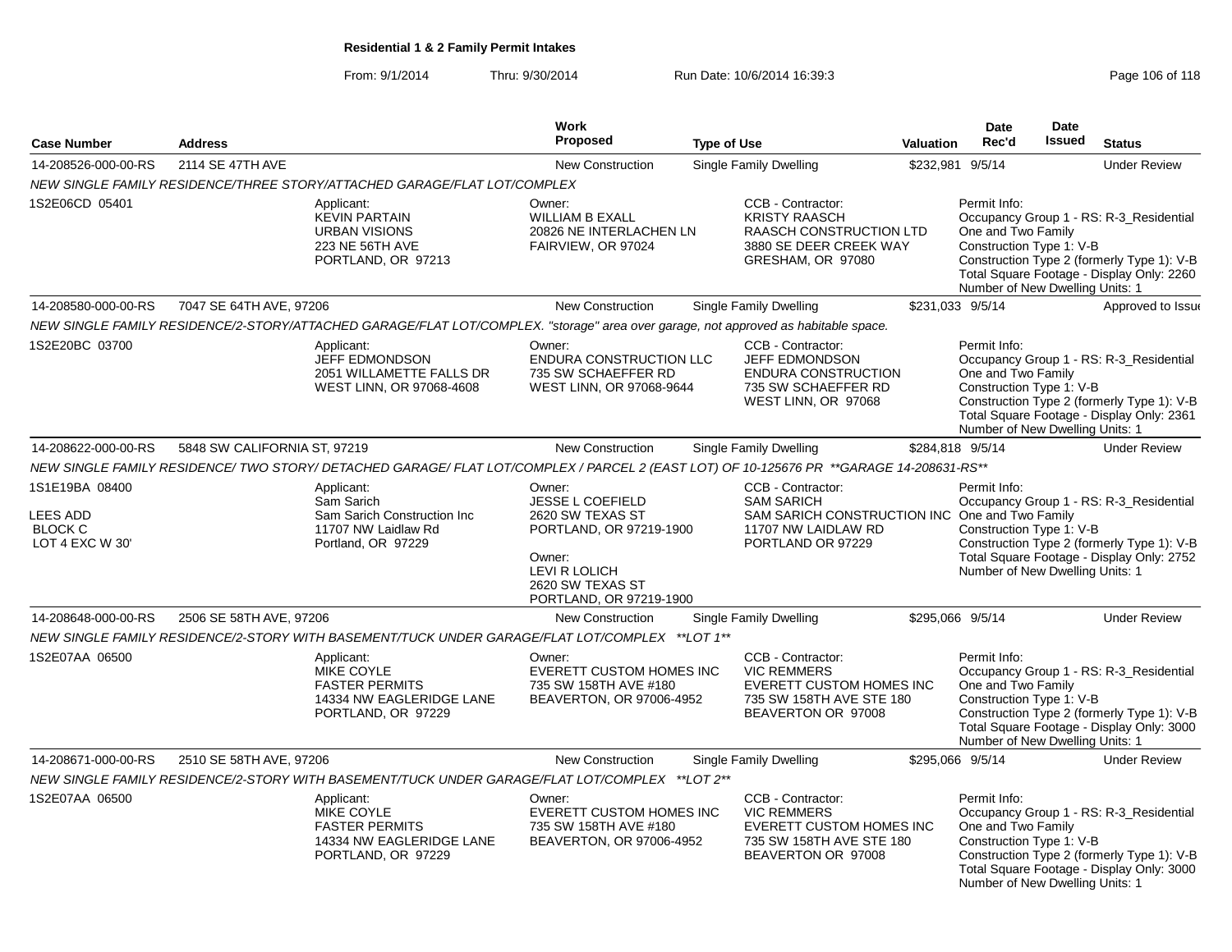From: 9/1/2014Thru: 9/30/2014 Run Date: 10/6/2014 16:39:3<br>
Page 106 of 118

| <b>Case Number</b>                                                     | <b>Address</b>                                                                                       |                                                                                                                                         | <b>Work</b><br>Proposed                                                                                                                       | <b>Type of Use</b>            |                                                                                                                        | <b>Valuation</b>                                               | <b>Date</b><br>Rec'd                                                                                                                                                                                                                    | <b>Date</b><br>Issued                                                                                                                                                                             | <b>Status</b>                                                                                                                      |
|------------------------------------------------------------------------|------------------------------------------------------------------------------------------------------|-----------------------------------------------------------------------------------------------------------------------------------------|-----------------------------------------------------------------------------------------------------------------------------------------------|-------------------------------|------------------------------------------------------------------------------------------------------------------------|----------------------------------------------------------------|-----------------------------------------------------------------------------------------------------------------------------------------------------------------------------------------------------------------------------------------|---------------------------------------------------------------------------------------------------------------------------------------------------------------------------------------------------|------------------------------------------------------------------------------------------------------------------------------------|
| 14-208526-000-00-RS                                                    | 2114 SE 47TH AVE                                                                                     |                                                                                                                                         | <b>New Construction</b>                                                                                                                       | <b>Single Family Dwelling</b> |                                                                                                                        | \$232,981                                                      | 9/5/14                                                                                                                                                                                                                                  |                                                                                                                                                                                                   | <b>Under Review</b>                                                                                                                |
|                                                                        |                                                                                                      | NEW SINGLE FAMILY RESIDENCE/THREE STORY/ATTACHED GARAGE/FLAT LOT/COMPLEX                                                                |                                                                                                                                               |                               |                                                                                                                        |                                                                |                                                                                                                                                                                                                                         |                                                                                                                                                                                                   |                                                                                                                                    |
| 1S2E06CD 05401                                                         |                                                                                                      | Applicant:<br><b>KEVIN PARTAIN</b><br><b>URBAN VISIONS</b><br>223 NE 56TH AVE<br>PORTLAND, OR 97213                                     | Owner:<br><b>WILLIAM B EXALL</b><br>20826 NE INTERLACHEN LN<br>FAIRVIEW, OR 97024                                                             |                               | CCB - Contractor:<br><b>KRISTY RAASCH</b><br>RAASCH CONSTRUCTION LTD<br>3880 SE DEER CREEK WAY<br>GRESHAM, OR 97080    |                                                                | Permit Info:<br>One and Two Family<br>Construction Type 1: V-B<br>Number of New Dwelling Units: 1                                                                                                                                       |                                                                                                                                                                                                   | Occupancy Group 1 - RS: R-3 Residential<br>Construction Type 2 (formerly Type 1): V-B<br>Total Square Footage - Display Only: 2260 |
| 14-208580-000-00-RS                                                    | 7047 SE 64TH AVE, 97206                                                                              |                                                                                                                                         | New Construction                                                                                                                              |                               | Single Family Dwelling                                                                                                 |                                                                | \$231,033 9/5/14                                                                                                                                                                                                                        |                                                                                                                                                                                                   | Approved to Issue                                                                                                                  |
|                                                                        |                                                                                                      | NEW SINGLE FAMILY RESIDENCE/2-STORY/ATTACHED GARAGE/FLAT LOT/COMPLEX. "storage" area over garage, not approved as habitable space.      |                                                                                                                                               |                               |                                                                                                                        |                                                                |                                                                                                                                                                                                                                         |                                                                                                                                                                                                   |                                                                                                                                    |
| 1S2E20BC 03700                                                         |                                                                                                      | Applicant:<br>JEFF EDMONDSON<br>2051 WILLAMETTE FALLS DR<br>WEST LINN, OR 97068-4608                                                    | Owner:<br>ENDURA CONSTRUCTION LLC<br>735 SW SCHAEFFER RD<br>WEST LINN, OR 97068-9644                                                          |                               | CCB - Contractor:<br><b>JEFF EDMONDSON</b><br><b>ENDURA CONSTRUCTION</b><br>735 SW SCHAEFFER RD<br>WEST LINN, OR 97068 |                                                                | Permit Info:<br>One and Two Family<br>Construction Type 1: V-B<br>Number of New Dwelling Units: 1                                                                                                                                       |                                                                                                                                                                                                   | Occupancy Group 1 - RS: R-3_Residential<br>Construction Type 2 (formerly Type 1): V-B<br>Total Square Footage - Display Only: 2361 |
| 14-208622-000-00-RS                                                    | 5848 SW CALIFORNIA ST, 97219                                                                         |                                                                                                                                         | <b>New Construction</b>                                                                                                                       |                               | <b>Single Family Dwelling</b>                                                                                          |                                                                | \$284,818 9/5/14                                                                                                                                                                                                                        |                                                                                                                                                                                                   | <b>Under Review</b>                                                                                                                |
|                                                                        |                                                                                                      | NEW SINGLE FAMILY RESIDENCE/ TWO STORY/ DETACHED GARAGE/ FLAT LOT/COMPLEX / PARCEL 2 (EAST LOT) OF 10-125676 PR **GARAGE 14-208631-RS** |                                                                                                                                               |                               |                                                                                                                        |                                                                |                                                                                                                                                                                                                                         |                                                                                                                                                                                                   |                                                                                                                                    |
| 1S1E19BA 08400<br><b>LEES ADD</b><br><b>BLOCK C</b><br>LOT 4 EXC W 30' | Applicant:<br>Sam Sarich<br>Sam Sarich Construction Inc<br>11707 NW Laidlaw Rd<br>Portland, OR 97229 |                                                                                                                                         | Owner:<br>JESSE L COEFIELD<br><b>SAM SARICH</b><br>2620 SW TEXAS ST<br>PORTLAND, OR 97219-1900<br>Owner:<br>LEVI R LOLICH<br>2620 SW TEXAS ST |                               | CCB - Contractor:<br>11707 NW LAIDLAW RD<br>PORTLAND OR 97229                                                          | Permit Info:<br>SAM SARICH CONSTRUCTION INC One and Two Family |                                                                                                                                                                                                                                         | Occupancy Group 1 - RS: R-3 Residential<br>Construction Type 1: V-B<br>Construction Type 2 (formerly Type 1): V-B<br>Total Square Footage - Display Only: 2752<br>Number of New Dwelling Units: 1 |                                                                                                                                    |
|                                                                        |                                                                                                      |                                                                                                                                         | PORTLAND, OR 97219-1900                                                                                                                       |                               |                                                                                                                        |                                                                |                                                                                                                                                                                                                                         |                                                                                                                                                                                                   |                                                                                                                                    |
| 14-208648-000-00-RS<br>2506 SE 58TH AVE, 97206                         |                                                                                                      | <b>New Construction</b><br><b>Single Family Dwelling</b>                                                                                |                                                                                                                                               |                               | \$295.066 9/5/14                                                                                                       |                                                                |                                                                                                                                                                                                                                         | <b>Under Review</b>                                                                                                                                                                               |                                                                                                                                    |
|                                                                        |                                                                                                      | NEW SINGLE FAMILY RESIDENCE/2-STORY WITH BASEMENT/TUCK UNDER GARAGE/FLAT LOT/COMPLEX ** LOT 1**                                         |                                                                                                                                               |                               |                                                                                                                        |                                                                |                                                                                                                                                                                                                                         |                                                                                                                                                                                                   |                                                                                                                                    |
| 1S2E07AA 06500                                                         |                                                                                                      | Applicant:<br><b>MIKE COYLE</b><br><b>FASTER PERMITS</b><br>14334 NW EAGLERIDGE LANE<br>PORTLAND, OR 97229                              | Owner:<br>EVERETT CUSTOM HOMES INC<br>735 SW 158TH AVE #180<br>BEAVERTON, OR 97006-4952                                                       |                               | CCB - Contractor:<br><b>VIC REMMERS</b><br>EVERETT CUSTOM HOMES INC<br>735 SW 158TH AVE STE 180<br>BEAVERTON OR 97008  |                                                                | Permit Info:<br>Occupancy Group 1 - RS: R-3 Residential<br>One and Two Family<br>Construction Type 1: V-B<br>Construction Type 2 (formerly Type 1): V-B<br>Total Square Footage - Display Only: 3000<br>Number of New Dwelling Units: 1 |                                                                                                                                                                                                   |                                                                                                                                    |
| 14-208671-000-00-RS                                                    | 2510 SE 58TH AVE, 97206                                                                              |                                                                                                                                         | <b>New Construction</b>                                                                                                                       |                               | <b>Single Family Dwelling</b>                                                                                          |                                                                | \$295,066 9/5/14                                                                                                                                                                                                                        |                                                                                                                                                                                                   | <b>Under Review</b>                                                                                                                |
|                                                                        |                                                                                                      | NEW SINGLE FAMILY RESIDENCE/2-STORY WITH BASEMENT/TUCK UNDER GARAGE/FLAT LOT/COMPLEX **LOT 2**                                          |                                                                                                                                               |                               |                                                                                                                        |                                                                |                                                                                                                                                                                                                                         |                                                                                                                                                                                                   |                                                                                                                                    |
| 1S2E07AA 06500                                                         |                                                                                                      | Applicant:<br>MIKE COYLE<br><b>FASTER PERMITS</b><br>14334 NW EAGLERIDGE LANE<br>PORTLAND, OR 97229                                     | Owner:<br>EVERETT CUSTOM HOMES INC<br>735 SW 158TH AVE #180<br>BEAVERTON, OR 97006-4952                                                       |                               | CCB - Contractor:<br><b>VIC REMMERS</b><br>EVERETT CUSTOM HOMES INC<br>735 SW 158TH AVE STE 180<br>BEAVERTON OR 97008  |                                                                | Permit Info:<br>One and Two Family<br>Construction Type 1: V-B<br>Number of New Dwelling Units: 1                                                                                                                                       |                                                                                                                                                                                                   | Occupancy Group 1 - RS: R-3_Residential<br>Construction Type 2 (formerly Type 1): V-B<br>Total Square Footage - Display Only: 3000 |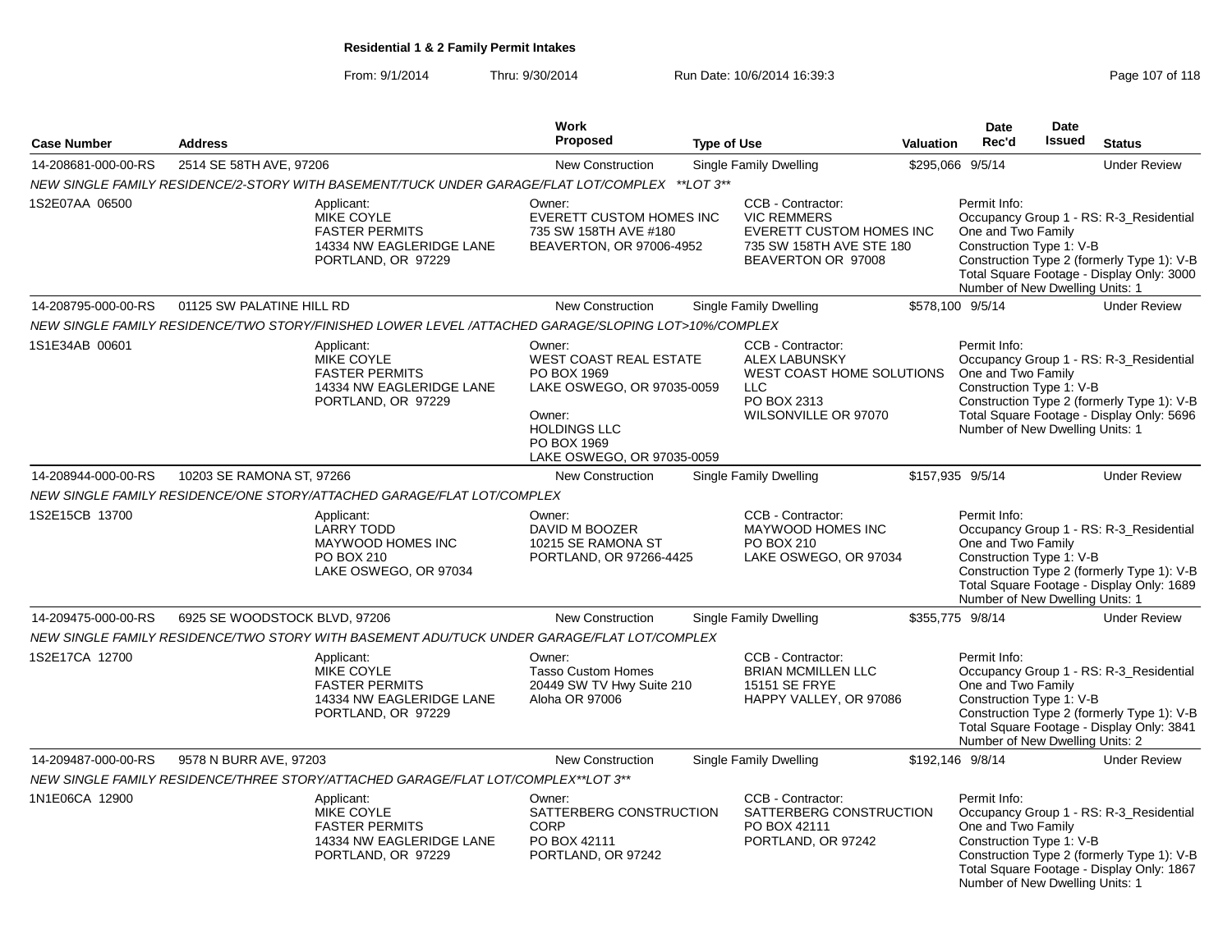From: 9/1/2014Thru: 9/30/2014 Run Date: 10/6/2014 16:39:3<br>
Page 107 of 118

|                     |                               |                                                                                                            | Work                                                                                                                                                               |                    |                                                                                                                              |           | <b>Date</b>                                                                                       | <b>Date</b>   |                                                                                                                                    |
|---------------------|-------------------------------|------------------------------------------------------------------------------------------------------------|--------------------------------------------------------------------------------------------------------------------------------------------------------------------|--------------------|------------------------------------------------------------------------------------------------------------------------------|-----------|---------------------------------------------------------------------------------------------------|---------------|------------------------------------------------------------------------------------------------------------------------------------|
| <b>Case Number</b>  | <b>Address</b>                |                                                                                                            | <b>Proposed</b>                                                                                                                                                    | <b>Type of Use</b> |                                                                                                                              | Valuation | Rec'd                                                                                             | <b>Issued</b> | <b>Status</b>                                                                                                                      |
| 14-208681-000-00-RS | 2514 SE 58TH AVE, 97206       |                                                                                                            | New Construction                                                                                                                                                   |                    | Single Family Dwelling                                                                                                       |           | \$295,066 9/5/14                                                                                  |               | <b>Under Review</b>                                                                                                                |
|                     |                               | NEW SINGLE FAMILY RESIDENCE/2-STORY WITH BASEMENT/TUCK UNDER GARAGE/FLAT LOT/COMPLEX **LOT 3**             |                                                                                                                                                                    |                    |                                                                                                                              |           |                                                                                                   |               |                                                                                                                                    |
| 1S2E07AA 06500      |                               | Applicant:<br>MIKE COYLE<br><b>FASTER PERMITS</b><br>14334 NW EAGLERIDGE LANE<br>PORTLAND, OR 97229        | Owner:<br>EVERETT CUSTOM HOMES INC<br>735 SW 158TH AVE #180<br>BEAVERTON, OR 97006-4952                                                                            |                    | CCB - Contractor:<br><b>VIC REMMERS</b><br><b>EVERETT CUSTOM HOMES INC</b><br>735 SW 158TH AVE STE 180<br>BEAVERTON OR 97008 |           | Permit Info:<br>One and Two Family<br>Construction Type 1: V-B<br>Number of New Dwelling Units: 1 |               | Occupancy Group 1 - RS: R-3_Residential<br>Construction Type 2 (formerly Type 1): V-B<br>Total Square Footage - Display Only: 3000 |
| 14-208795-000-00-RS | 01125 SW PALATINE HILL RD     |                                                                                                            | <b>New Construction</b>                                                                                                                                            |                    | <b>Single Family Dwelling</b>                                                                                                |           | \$578,100 9/5/14                                                                                  |               | <b>Under Review</b>                                                                                                                |
|                     |                               | NEW SINGLE FAMILY RESIDENCE/TWO STORY/FINISHED LOWER LEVEL /ATTACHED GARAGE/SLOPING LOT>10%/COMPLEX        |                                                                                                                                                                    |                    |                                                                                                                              |           |                                                                                                   |               |                                                                                                                                    |
| 1S1E34AB 00601      |                               | Applicant:<br><b>MIKE COYLE</b><br><b>FASTER PERMITS</b><br>14334 NW EAGLERIDGE LANE<br>PORTLAND, OR 97229 | Owner:<br><b>WEST COAST REAL ESTATE</b><br>PO BOX 1969<br>LAKE OSWEGO, OR 97035-0059<br>Owner:<br><b>HOLDINGS LLC</b><br>PO BOX 1969<br>LAKE OSWEGO, OR 97035-0059 |                    | CCB - Contractor:<br><b>ALEX LABUNSKY</b><br>WEST COAST HOME SOLUTIONS<br>LLC<br>PO BOX 2313<br>WILSONVILLE OR 97070         |           | Permit Info:<br>One and Two Family<br>Construction Type 1: V-B<br>Number of New Dwelling Units: 1 |               | Occupancy Group 1 - RS: R-3 Residential<br>Construction Type 2 (formerly Type 1): V-B<br>Total Square Footage - Display Only: 5696 |
| 14-208944-000-00-RS | 10203 SE RAMONA ST, 97266     |                                                                                                            | <b>New Construction</b>                                                                                                                                            |                    | Single Family Dwelling                                                                                                       |           | \$157,935 9/5/14                                                                                  |               | <b>Under Review</b>                                                                                                                |
|                     |                               | NEW SINGLE FAMILY RESIDENCE/ONE STORY/ATTACHED GARAGE/FLAT LOT/COMPLEX                                     |                                                                                                                                                                    |                    |                                                                                                                              |           |                                                                                                   |               |                                                                                                                                    |
| 1S2E15CB 13700      |                               | Applicant:<br><b>LARRY TODD</b><br>MAYWOOD HOMES INC<br>PO BOX 210<br>LAKE OSWEGO, OR 97034                | Owner:<br>DAVID M BOOZER<br>10215 SE RAMONA ST<br>PORTLAND, OR 97266-4425                                                                                          |                    | CCB - Contractor:<br>MAYWOOD HOMES INC<br>PO BOX 210<br>LAKE OSWEGO, OR 97034                                                |           | Permit Info:<br>One and Two Family<br>Construction Type 1: V-B<br>Number of New Dwelling Units: 1 |               | Occupancy Group 1 - RS: R-3_Residential<br>Construction Type 2 (formerly Type 1): V-B<br>Total Square Footage - Display Only: 1689 |
| 14-209475-000-00-RS | 6925 SE WOODSTOCK BLVD, 97206 |                                                                                                            | <b>New Construction</b>                                                                                                                                            |                    | Single Family Dwelling                                                                                                       |           | \$355,775 9/8/14                                                                                  |               | <b>Under Review</b>                                                                                                                |
|                     |                               | NEW SINGLE FAMILY RESIDENCE/TWO STORY WITH BASEMENT ADU/TUCK UNDER GARAGE/FLAT LOT/COMPLEX                 |                                                                                                                                                                    |                    |                                                                                                                              |           |                                                                                                   |               |                                                                                                                                    |
| 1S2E17CA 12700      |                               | Applicant:<br>MIKE COYLE<br><b>FASTER PERMITS</b><br>14334 NW EAGLERIDGE LANE<br>PORTLAND, OR 97229        | Owner:<br><b>Tasso Custom Homes</b><br>20449 SW TV Hwy Suite 210<br>Aloha OR 97006                                                                                 |                    | CCB - Contractor:<br><b>BRIAN MCMILLEN LLC</b><br><b>15151 SE FRYE</b><br>HAPPY VALLEY, OR 97086                             |           | Permit Info:<br>One and Two Family<br>Construction Type 1: V-B<br>Number of New Dwelling Units: 2 |               | Occupancy Group 1 - RS: R-3_Residential<br>Construction Type 2 (formerly Type 1): V-B<br>Total Square Footage - Display Only: 3841 |
| 14-209487-000-00-RS | 9578 N BURR AVE, 97203        |                                                                                                            | <b>New Construction</b>                                                                                                                                            |                    | <b>Single Family Dwelling</b>                                                                                                |           | \$192,146 9/8/14                                                                                  |               | <b>Under Review</b>                                                                                                                |
|                     |                               | NEW SINGLE FAMILY RESIDENCE/THREE STORY/ATTACHED GARAGE/FLAT LOT/COMPLEX**LOT 3**                          |                                                                                                                                                                    |                    |                                                                                                                              |           |                                                                                                   |               |                                                                                                                                    |
| 1N1E06CA 12900      |                               | Applicant:<br>MIKE COYLE<br><b>FASTER PERMITS</b><br>14334 NW EAGLERIDGE LANE<br>PORTLAND, OR 97229        | Owner:<br>SATTERBERG CONSTRUCTION<br><b>CORP</b><br>PO BOX 42111<br>PORTLAND, OR 97242                                                                             |                    | CCB - Contractor:<br>SATTERBERG CONSTRUCTION<br>PO BOX 42111<br>PORTLAND, OR 97242                                           |           | Permit Info:<br>One and Two Family<br>Construction Type 1: V-B<br>Number of New Dwelling Units: 1 |               | Occupancy Group 1 - RS: R-3_Residential<br>Construction Type 2 (formerly Type 1): V-B<br>Total Square Footage - Display Only: 1867 |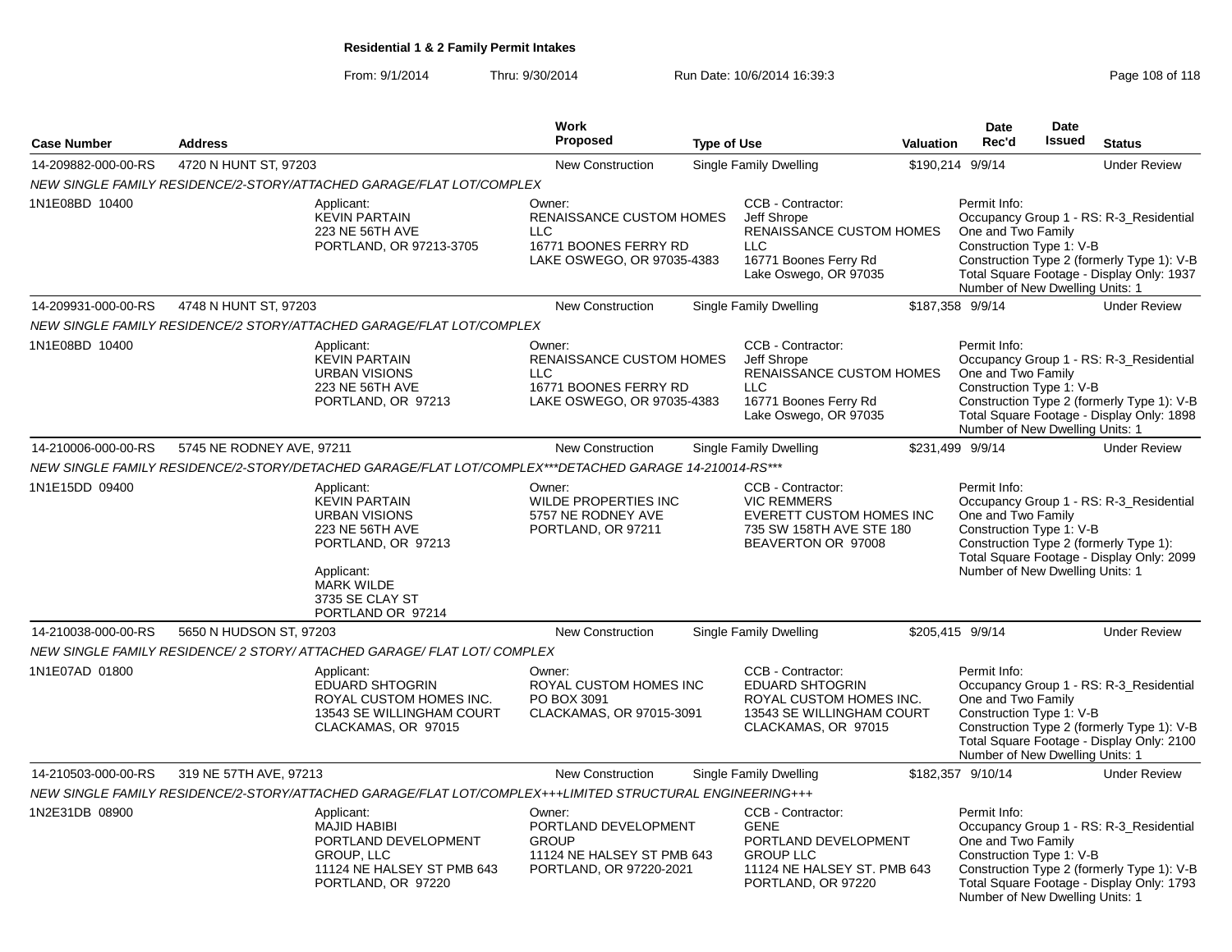From: 9/1/2014Thru: 9/30/2014 Run Date: 10/6/2014 16:39:3<br>
Page 108 of 118

|                     |                           |                                                                                                                                                                                | Work                                                                                                           |                    |                                                                                                                                     |                  | <b>Date</b>                                                                                       | <b>Date</b>   |                                                                                                                                    |
|---------------------|---------------------------|--------------------------------------------------------------------------------------------------------------------------------------------------------------------------------|----------------------------------------------------------------------------------------------------------------|--------------------|-------------------------------------------------------------------------------------------------------------------------------------|------------------|---------------------------------------------------------------------------------------------------|---------------|------------------------------------------------------------------------------------------------------------------------------------|
| <b>Case Number</b>  | <b>Address</b>            |                                                                                                                                                                                | Proposed                                                                                                       | <b>Type of Use</b> |                                                                                                                                     | <b>Valuation</b> | Rec'd                                                                                             | <b>Issued</b> | <b>Status</b>                                                                                                                      |
| 14-209882-000-00-RS | 4720 N HUNT ST, 97203     |                                                                                                                                                                                | <b>New Construction</b>                                                                                        |                    | <b>Single Family Dwelling</b>                                                                                                       |                  | \$190,214 9/9/14                                                                                  |               | <b>Under Review</b>                                                                                                                |
|                     |                           | NEW SINGLE FAMILY RESIDENCE/2-STORY/ATTACHED GARAGE/FLAT LOT/COMPLEX                                                                                                           |                                                                                                                |                    |                                                                                                                                     |                  |                                                                                                   |               |                                                                                                                                    |
| 1N1E08BD 10400      |                           | Applicant:<br><b>KEVIN PARTAIN</b><br>223 NE 56TH AVE<br>PORTLAND, OR 97213-3705                                                                                               | Owner:<br><b>RENAISSANCE CUSTOM HOMES</b><br><b>LLC</b><br>16771 BOONES FERRY RD<br>LAKE OSWEGO, OR 97035-4383 |                    | CCB - Contractor:<br>Jeff Shrope<br><b>RENAISSANCE CUSTOM HOMES</b><br><b>LLC</b><br>16771 Boones Ferry Rd<br>Lake Oswego, OR 97035 |                  | Permit Info:<br>One and Two Family<br>Construction Type 1: V-B<br>Number of New Dwelling Units: 1 |               | Occupancy Group 1 - RS: R-3_Residential<br>Construction Type 2 (formerly Type 1): V-B<br>Total Square Footage - Display Only: 1937 |
| 14-209931-000-00-RS | 4748 N HUNT ST, 97203     |                                                                                                                                                                                | <b>New Construction</b>                                                                                        |                    | Single Family Dwelling                                                                                                              |                  | \$187,358 9/9/14                                                                                  |               | <b>Under Review</b>                                                                                                                |
|                     |                           | NEW SINGLE FAMILY RESIDENCE/2 STORY/ATTACHED GARAGE/FLAT LOT/COMPLEX                                                                                                           |                                                                                                                |                    |                                                                                                                                     |                  |                                                                                                   |               |                                                                                                                                    |
| 1N1E08BD 10400      |                           | Applicant:<br><b>KEVIN PARTAIN</b><br><b>URBAN VISIONS</b><br>223 NE 56TH AVE<br>PORTLAND, OR 97213                                                                            | Owner:<br>RENAISSANCE CUSTOM HOMES<br><b>LLC</b><br>16771 BOONES FERRY RD<br>LAKE OSWEGO, OR 97035-4383        |                    | CCB - Contractor:<br>Jeff Shrope<br><b>RENAISSANCE CUSTOM HOMES</b><br><b>LLC</b><br>16771 Boones Ferry Rd<br>Lake Oswego, OR 97035 |                  | Permit Info:<br>One and Two Family<br>Construction Type 1: V-B<br>Number of New Dwelling Units: 1 |               | Occupancy Group 1 - RS: R-3_Residential<br>Construction Type 2 (formerly Type 1): V-B<br>Total Square Footage - Display Only: 1898 |
| 14-210006-000-00-RS | 5745 NE RODNEY AVE, 97211 |                                                                                                                                                                                | <b>New Construction</b>                                                                                        |                    | <b>Single Family Dwelling</b>                                                                                                       |                  | \$231,499 9/9/14                                                                                  |               | <b>Under Review</b>                                                                                                                |
|                     |                           | NEW SINGLE FAMILY RESIDENCE/2-STORY/DETACHED GARAGE/FLAT LOT/COMPLEX***DETACHED GARAGE 14-210014-RS***                                                                         |                                                                                                                |                    |                                                                                                                                     |                  |                                                                                                   |               |                                                                                                                                    |
| 1N1E15DD 09400      |                           | Applicant:<br><b>KEVIN PARTAIN</b><br><b>URBAN VISIONS</b><br>223 NE 56TH AVE<br>PORTLAND, OR 97213<br>Applicant:<br><b>MARK WILDE</b><br>3735 SE CLAY ST<br>PORTLAND OR 97214 | Owner:<br>WILDE PROPERTIES INC<br>5757 NE RODNEY AVE<br>PORTLAND, OR 97211                                     |                    | CCB - Contractor:<br><b>VIC REMMERS</b><br><b>EVERETT CUSTOM HOMES INC</b><br>735 SW 158TH AVE STE 180<br>BEAVERTON OR 97008        |                  | Permit Info:<br>One and Two Family<br>Construction Type 1: V-B<br>Number of New Dwelling Units: 1 |               | Occupancy Group 1 - RS: R-3 Residential<br>Construction Type 2 (formerly Type 1):<br>Total Square Footage - Display Only: 2099     |
| 14-210038-000-00-RS | 5650 N HUDSON ST, 97203   |                                                                                                                                                                                | <b>New Construction</b>                                                                                        |                    | Single Family Dwelling                                                                                                              |                  | \$205,415 9/9/14                                                                                  |               | <b>Under Review</b>                                                                                                                |
|                     |                           | NEW SINGLE FAMILY RESIDENCE/2 STORY/ ATTACHED GARAGE/ FLAT LOT/ COMPLEX                                                                                                        |                                                                                                                |                    |                                                                                                                                     |                  |                                                                                                   |               |                                                                                                                                    |
| 1N1E07AD 01800      |                           | Applicant:<br><b>EDUARD SHTOGRIN</b><br>ROYAL CUSTOM HOMES INC.<br>13543 SE WILLINGHAM COURT<br>CLACKAMAS, OR 97015                                                            | Owner:<br>ROYAL CUSTOM HOMES INC<br>PO BOX 3091<br>CLACKAMAS, OR 97015-3091                                    |                    | CCB - Contractor:<br><b>EDUARD SHTOGRIN</b><br>ROYAL CUSTOM HOMES INC.<br>13543 SE WILLINGHAM COURT<br>CLACKAMAS, OR 97015          |                  | Permit Info:<br>One and Two Family<br>Construction Type 1: V-B<br>Number of New Dwelling Units: 1 |               | Occupancy Group 1 - RS: R-3_Residential<br>Construction Type 2 (formerly Type 1): V-B<br>Total Square Footage - Display Only: 2100 |
| 14-210503-000-00-RS | 319 NE 57TH AVE, 97213    |                                                                                                                                                                                | New Construction                                                                                               |                    | <b>Single Family Dwelling</b>                                                                                                       |                  | \$182,357 9/10/14                                                                                 |               | <b>Under Review</b>                                                                                                                |
|                     |                           | NEW SINGLE FAMILY RESIDENCE/2-STORY/ATTACHED GARAGE/FLAT LOT/COMPLEX+++LIMITED STRUCTURAL ENGINEERING+++                                                                       |                                                                                                                |                    |                                                                                                                                     |                  |                                                                                                   |               |                                                                                                                                    |
| 1N2E31DB 08900      |                           | Applicant:<br><b>MAJID HABIBI</b><br>PORTLAND DEVELOPMENT<br>GROUP, LLC<br>11124 NE HALSEY ST PMB 643<br>PORTLAND, OR 97220                                                    | Owner:<br>PORTLAND DEVELOPMENT<br><b>GROUP</b><br>11124 NE HALSEY ST PMB 643<br>PORTLAND, OR 97220-2021        |                    | CCB - Contractor:<br><b>GENE</b><br>PORTLAND DEVELOPMENT<br><b>GROUP LLC</b><br>11124 NE HALSEY ST. PMB 643<br>PORTLAND, OR 97220   |                  | Permit Info:<br>One and Two Family<br>Construction Type 1: V-B<br>Number of New Dwelling Units: 1 |               | Occupancy Group 1 - RS: R-3_Residential<br>Construction Type 2 (formerly Type 1): V-B<br>Total Square Footage - Display Only: 1793 |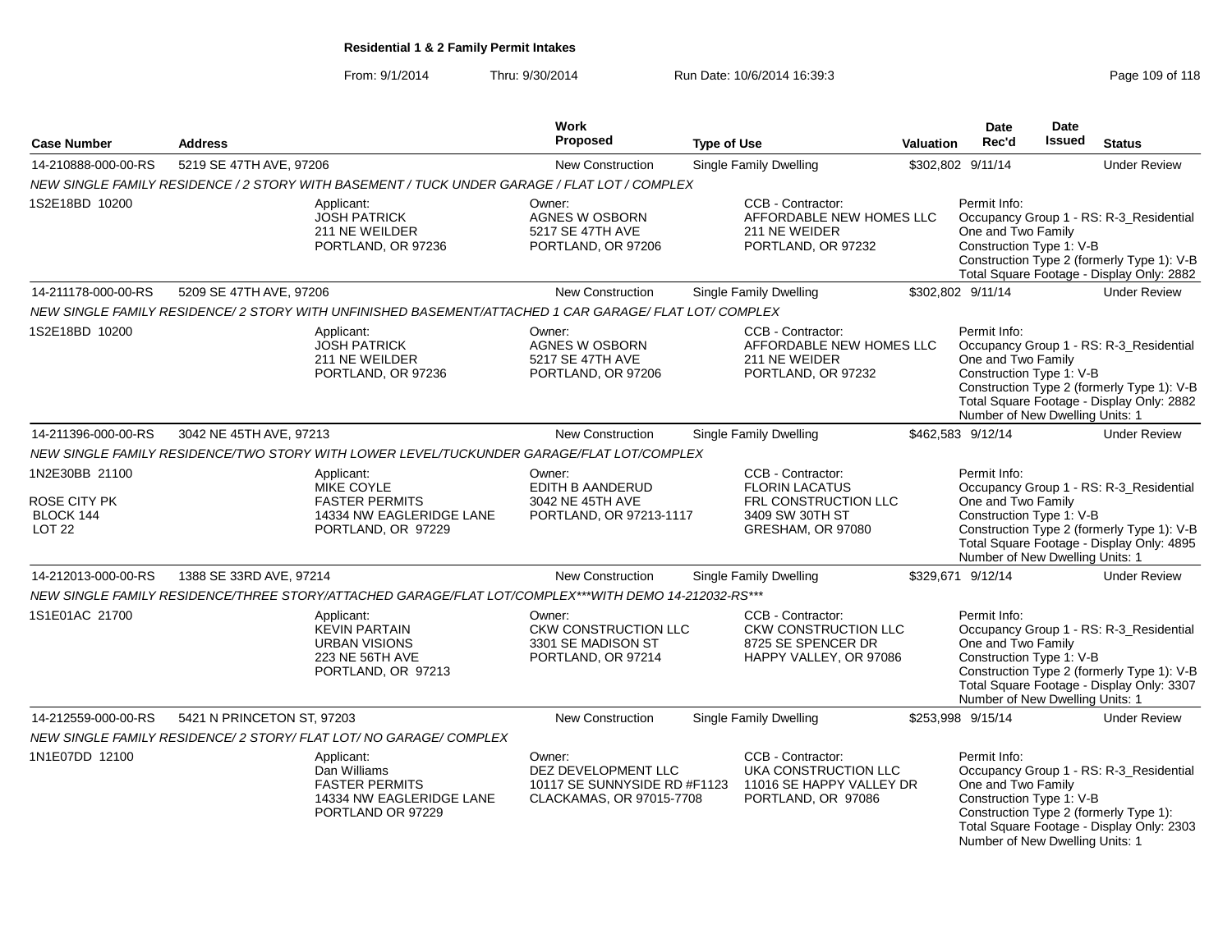From: 9/1/2014Thru: 9/30/2014 Run Date: 10/6/2014 16:39:3<br>
Page 109 of 118

| <b>Case Number</b>                                                      | <b>Address</b>                                                                                                                                                                                                                                                                                        | Work<br><b>Proposed</b>                                                    | <b>Type of Use</b>                                                                                                                                                             | <b>Valuation</b> | Date<br>Rec'd                                                                                                                                                                                                                           | Date<br>Issued | <b>Status</b>                                                                                                                      |  |
|-------------------------------------------------------------------------|-------------------------------------------------------------------------------------------------------------------------------------------------------------------------------------------------------------------------------------------------------------------------------------------------------|----------------------------------------------------------------------------|--------------------------------------------------------------------------------------------------------------------------------------------------------------------------------|------------------|-----------------------------------------------------------------------------------------------------------------------------------------------------------------------------------------------------------------------------------------|----------------|------------------------------------------------------------------------------------------------------------------------------------|--|
| 14-210888-000-00-RS                                                     | 5219 SE 47TH AVE, 97206                                                                                                                                                                                                                                                                               | <b>New Construction</b>                                                    | Single Family Dwelling                                                                                                                                                         |                  | \$302,802 9/11/14                                                                                                                                                                                                                       |                | <b>Under Review</b>                                                                                                                |  |
|                                                                         | NEW SINGLE FAMILY RESIDENCE / 2 STORY WITH BASEMENT / TUCK UNDER GARAGE / FLAT LOT / COMPLEX                                                                                                                                                                                                          |                                                                            |                                                                                                                                                                                |                  |                                                                                                                                                                                                                                         |                |                                                                                                                                    |  |
| 1S2E18BD 10200                                                          | Applicant:<br><b>JOSH PATRICK</b><br>211 NE WEILDER<br>PORTLAND, OR 97236                                                                                                                                                                                                                             | Owner:<br>AGNES W OSBORN<br>5217 SE 47TH AVE<br>PORTLAND, OR 97206         | CCB - Contractor:<br>AFFORDABLE NEW HOMES LLC<br>211 NE WEIDER<br>PORTLAND, OR 97232                                                                                           |                  | Permit Info:<br>One and Two Family<br>Construction Type 1: V-B                                                                                                                                                                          |                | Occupancy Group 1 - RS: R-3_Residential<br>Construction Type 2 (formerly Type 1): V-B<br>Total Square Footage - Display Only: 2882 |  |
| 14-211178-000-00-RS                                                     | 5209 SE 47TH AVE, 97206                                                                                                                                                                                                                                                                               | New Construction                                                           | <b>Single Family Dwelling</b>                                                                                                                                                  |                  | \$302,802 9/11/14                                                                                                                                                                                                                       |                | <b>Under Review</b>                                                                                                                |  |
|                                                                         | NEW SINGLE FAMILY RESIDENCE/2 STORY WITH UNFINISHED BASEMENT/ATTACHED 1 CAR GARAGE/ FLAT LOT/ COMPLEX                                                                                                                                                                                                 |                                                                            |                                                                                                                                                                                |                  |                                                                                                                                                                                                                                         |                |                                                                                                                                    |  |
| 1S2E18BD 10200                                                          | Applicant:<br><b>JOSH PATRICK</b><br>211 NE WEILDER<br>PORTLAND, OR 97236                                                                                                                                                                                                                             | Owner:<br>AGNES W OSBORN<br>5217 SE 47TH AVE<br>PORTLAND, OR 97206         | CCB - Contractor:<br>AFFORDABLE NEW HOMES LLC<br>211 NE WEIDER<br>PORTLAND, OR 97232                                                                                           |                  | Permit Info:<br>One and Two Family<br>Construction Type 1: V-B<br>Number of New Dwelling Units: 1                                                                                                                                       |                | Occupancy Group 1 - RS: R-3_Residential<br>Construction Type 2 (formerly Type 1): V-B<br>Total Square Footage - Display Only: 2882 |  |
| 14-211396-000-00-RS                                                     | 3042 NE 45TH AVE, 97213                                                                                                                                                                                                                                                                               | <b>New Construction</b>                                                    | <b>Single Family Dwelling</b>                                                                                                                                                  |                  | \$462,583 9/12/14                                                                                                                                                                                                                       |                | <b>Under Review</b>                                                                                                                |  |
|                                                                         | NEW SINGLE FAMILY RESIDENCE/TWO STORY WITH LOWER LEVEL/TUCKUNDER GARAGE/FLAT LOT/COMPLEX                                                                                                                                                                                                              |                                                                            |                                                                                                                                                                                |                  |                                                                                                                                                                                                                                         |                |                                                                                                                                    |  |
| 1N2E30BB 21100<br><b>ROSE CITY PK</b><br>BLOCK 144<br>LOT <sub>22</sub> | CCB - Contractor:<br>Owner:<br>Applicant:<br><b>MIKE COYLE</b><br>EDITH B AANDERUD<br><b>FLORIN LACATUS</b><br><b>FASTER PERMITS</b><br>3042 NE 45TH AVE<br>FRL CONSTRUCTION LLC<br>14334 NW EAGLERIDGE LANE<br>3409 SW 30TH ST<br>PORTLAND, OR 97213-1117<br>PORTLAND, OR 97229<br>GRESHAM, OR 97080 |                                                                            |                                                                                                                                                                                |                  | Permit Info:<br>Occupancy Group 1 - RS: R-3_Residential<br>One and Two Family<br>Construction Type 1: V-B<br>Construction Type 2 (formerly Type 1): V-B<br>Total Square Footage - Display Only: 4895<br>Number of New Dwelling Units: 1 |                |                                                                                                                                    |  |
| 14-212013-000-00-RS                                                     | 1388 SE 33RD AVE, 97214                                                                                                                                                                                                                                                                               | <b>New Construction</b>                                                    | Single Family Dwelling                                                                                                                                                         |                  | \$329,671 9/12/14                                                                                                                                                                                                                       |                | <b>Under Review</b>                                                                                                                |  |
|                                                                         | NEW SINGLE FAMILY RESIDENCE/THREE STORY/ATTACHED GARAGE/FLAT LOT/COMPLEX***WITH DEMO 14-212032-RS***                                                                                                                                                                                                  |                                                                            |                                                                                                                                                                                |                  |                                                                                                                                                                                                                                         |                |                                                                                                                                    |  |
| 1S1E01AC 21700                                                          | Applicant:<br><b>KEVIN PARTAIN</b><br><b>URBAN VISIONS</b><br>223 NE 56TH AVE<br>PORTLAND, OR 97213                                                                                                                                                                                                   | Owner:<br>CKW CONSTRUCTION LLC<br>3301 SE MADISON ST<br>PORTLAND, OR 97214 | CCB - Contractor:<br>CKW CONSTRUCTION LLC<br>8725 SE SPENCER DR<br>HAPPY VALLEY, OR 97086                                                                                      |                  | Permit Info:<br>One and Two Family<br>Construction Type 1: V-B<br>Number of New Dwelling Units: 1                                                                                                                                       |                | Occupancy Group 1 - RS: R-3_Residential<br>Construction Type 2 (formerly Type 1): V-B<br>Total Square Footage - Display Only: 3307 |  |
| 14-212559-000-00-RS                                                     | 5421 N PRINCETON ST, 97203                                                                                                                                                                                                                                                                            | New Construction                                                           | <b>Single Family Dwelling</b>                                                                                                                                                  |                  | \$253,998 9/15/14                                                                                                                                                                                                                       |                | <b>Under Review</b>                                                                                                                |  |
|                                                                         | NEW SINGLE FAMILY RESIDENCE/2 STORY/ FLAT LOT/ NO GARAGE/ COMPLEX                                                                                                                                                                                                                                     |                                                                            |                                                                                                                                                                                |                  |                                                                                                                                                                                                                                         |                |                                                                                                                                    |  |
| 1N1E07DD 12100                                                          | Applicant:<br>Dan Williams<br><b>FASTER PERMITS</b><br>14334 NW EAGLERIDGE LANE<br>PORTLAND OR 97229                                                                                                                                                                                                  | Owner:                                                                     | CCB - Contractor:<br>DEZ DEVELOPMENT LLC<br>UKA CONSTRUCTION LLC<br>10117 SE SUNNYSIDE RD #F1123<br>11016 SE HAPPY VALLEY DR<br>CLACKAMAS, OR 97015-7708<br>PORTLAND, OR 97086 |                  | Permit Info:<br>Occupancy Group 1 - RS: R-3_Residential<br>One and Two Family<br>Construction Type 1: V-B<br>Construction Type 2 (formerly Type 1):<br>Total Square Footage - Display Only: 2303<br>Number of New Dwelling Units: 1     |                |                                                                                                                                    |  |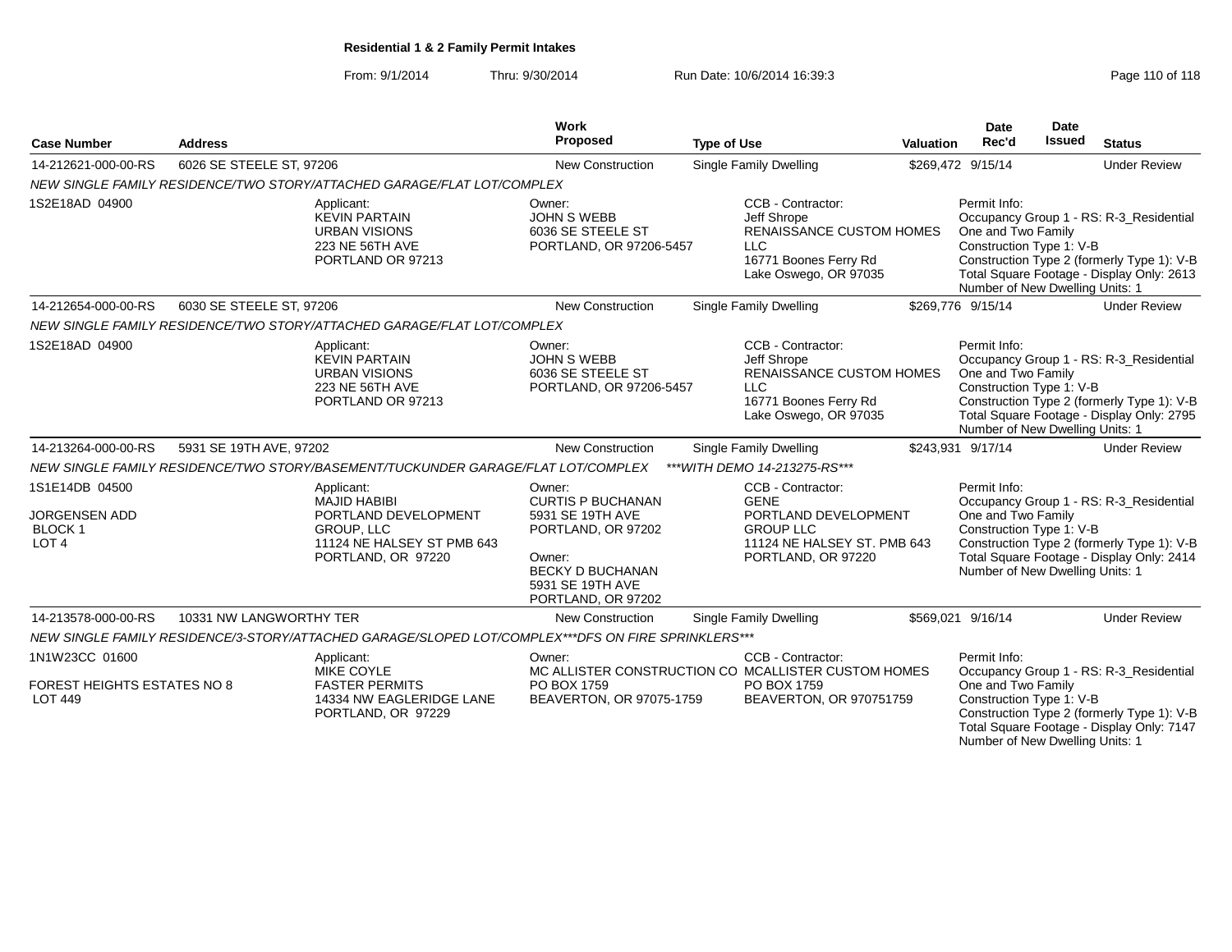From: 9/1/2014Thru: 9/30/2014 Run Date: 10/6/2014 16:39:3<br>
Page 110 of 118

| <b>Case Number</b>                                                     | <b>Address</b>           |                                                                                                                             | Work<br>Proposed                                                                                                                                            | <b>Type of Use</b> |                                                                                                                                     | Valuation | <b>Date</b><br>Rec'd                                                                              | <b>Date</b><br><b>Issued</b> | <b>Status</b>                                                                                                                      |
|------------------------------------------------------------------------|--------------------------|-----------------------------------------------------------------------------------------------------------------------------|-------------------------------------------------------------------------------------------------------------------------------------------------------------|--------------------|-------------------------------------------------------------------------------------------------------------------------------------|-----------|---------------------------------------------------------------------------------------------------|------------------------------|------------------------------------------------------------------------------------------------------------------------------------|
| 14-212621-000-00-RS                                                    | 6026 SE STEELE ST, 97206 |                                                                                                                             | New Construction                                                                                                                                            |                    | <b>Single Family Dwelling</b>                                                                                                       |           | \$269,472 9/15/14                                                                                 |                              | <b>Under Review</b>                                                                                                                |
|                                                                        |                          | NEW SINGLE FAMILY RESIDENCE/TWO STORY/ATTACHED GARAGE/FLAT LOT/COMPLEX                                                      |                                                                                                                                                             |                    |                                                                                                                                     |           |                                                                                                   |                              |                                                                                                                                    |
| 1S2E18AD 04900                                                         |                          | Applicant:<br><b>KEVIN PARTAIN</b><br><b>URBAN VISIONS</b><br>223 NE 56TH AVE<br>PORTLAND OR 97213                          | Owner:<br><b>JOHN S WEBB</b><br>6036 SE STEELE ST<br>PORTLAND, OR 97206-5457                                                                                |                    | CCB - Contractor:<br>Jeff Shrope<br><b>RENAISSANCE CUSTOM HOMES</b><br><b>LLC</b><br>16771 Boones Ferry Rd<br>Lake Oswego, OR 97035 |           | Permit Info:<br>One and Two Family<br>Construction Type 1: V-B<br>Number of New Dwelling Units: 1 |                              | Occupancy Group 1 - RS: R-3_Residential<br>Construction Type 2 (formerly Type 1): V-B<br>Total Square Footage - Display Only: 2613 |
| 14-212654-000-00-RS                                                    | 6030 SE STEELE ST, 97206 |                                                                                                                             | New Construction                                                                                                                                            |                    | Single Family Dwelling                                                                                                              |           | \$269,776 9/15/14                                                                                 |                              | <b>Under Review</b>                                                                                                                |
|                                                                        |                          | NEW SINGLE FAMILY RESIDENCE/TWO STORY/ATTACHED GARAGE/FLAT LOT/COMPLEX                                                      |                                                                                                                                                             |                    |                                                                                                                                     |           |                                                                                                   |                              |                                                                                                                                    |
| 1S2E18AD 04900                                                         |                          | Applicant:<br><b>KEVIN PARTAIN</b><br><b>URBAN VISIONS</b><br>223 NE 56TH AVE<br>PORTLAND OR 97213                          | Owner:<br><b>JOHN S WEBB</b><br>6036 SE STEELE ST<br>PORTLAND, OR 97206-5457                                                                                |                    | CCB - Contractor:<br>Jeff Shrope<br>RENAISSANCE CUSTOM HOMES<br><b>LLC</b><br>16771 Boones Ferry Rd<br>Lake Oswego, OR 97035        |           | Permit Info:<br>One and Two Family<br>Construction Type 1: V-B<br>Number of New Dwelling Units: 1 |                              | Occupancy Group 1 - RS: R-3 Residential<br>Construction Type 2 (formerly Type 1): V-B<br>Total Square Footage - Display Only: 2795 |
| 14-213264-000-00-RS                                                    | 5931 SE 19TH AVE, 97202  |                                                                                                                             | New Construction                                                                                                                                            |                    | Single Family Dwelling                                                                                                              |           | \$243,931 9/17/14                                                                                 |                              | <b>Under Review</b>                                                                                                                |
|                                                                        |                          | NEW SINGLE FAMILY RESIDENCE/TWO STORY/BASEMENT/TUCKUNDER GARAGE/FLAT LOT/COMPLEX                                            |                                                                                                                                                             |                    | *** WITH DEMO 14-213275-RS***                                                                                                       |           |                                                                                                   |                              |                                                                                                                                    |
| 1S1E14DB 04500<br><b>JORGENSEN ADD</b><br>BLOCK 1<br>LOT <sub>4</sub>  |                          | Applicant:<br><b>MAJID HABIBI</b><br>PORTLAND DEVELOPMENT<br>GROUP, LLC<br>11124 NE HALSEY ST PMB 643<br>PORTLAND, OR 97220 | Owner:<br><b>CURTIS P BUCHANAN</b><br>5931 SE 19TH AVE<br>PORTLAND, OR 97202<br>Owner:<br><b>BECKY D BUCHANAN</b><br>5931 SE 19TH AVE<br>PORTLAND, OR 97202 |                    | CCB - Contractor:<br><b>GENE</b><br>PORTLAND DEVELOPMENT<br><b>GROUP LLC</b><br>11124 NE HALSEY ST. PMB 643<br>PORTLAND, OR 97220   |           | Permit Info:<br>One and Two Family<br>Construction Type 1: V-B<br>Number of New Dwelling Units: 1 |                              | Occupancy Group 1 - RS: R-3_Residential<br>Construction Type 2 (formerly Type 1): V-B<br>Total Square Footage - Display Only: 2414 |
| 14-213578-000-00-RS                                                    | 10331 NW LANGWORTHY TER  |                                                                                                                             | New Construction                                                                                                                                            |                    | Single Family Dwelling                                                                                                              |           | \$569,021 9/16/14                                                                                 |                              | <b>Under Review</b>                                                                                                                |
|                                                                        |                          | NEW SINGLE FAMILY RESIDENCE/3-STORY/ATTACHED GARAGE/SLOPED LOT/COMPLEX***DFS ON FIRE SPRINKLERS***                          |                                                                                                                                                             |                    |                                                                                                                                     |           |                                                                                                   |                              |                                                                                                                                    |
| 1N1W23CC 01600<br><b>FOREST HEIGHTS ESTATES NO 8</b><br><b>LOT 449</b> |                          | Applicant:<br><b>MIKE COYLE</b><br><b>FASTER PERMITS</b><br>14334 NW EAGLERIDGE LANE<br>PORTLAND, OR 97229                  | Owner:<br>PO BOX 1759<br>BEAVERTON, OR 97075-1759                                                                                                           |                    | CCB - Contractor:<br>MC ALLISTER CONSTRUCTION CO MCALLISTER CUSTOM HOMES<br>PO BOX 1759<br>BEAVERTON, OR 970751759                  |           | Permit Info:<br>One and Two Family<br>Construction Type 1: V-B<br>Number of New Dwelling Units: 1 |                              | Occupancy Group 1 - RS: R-3_Residential<br>Construction Type 2 (formerly Type 1): V-B<br>Total Square Footage - Display Only: 7147 |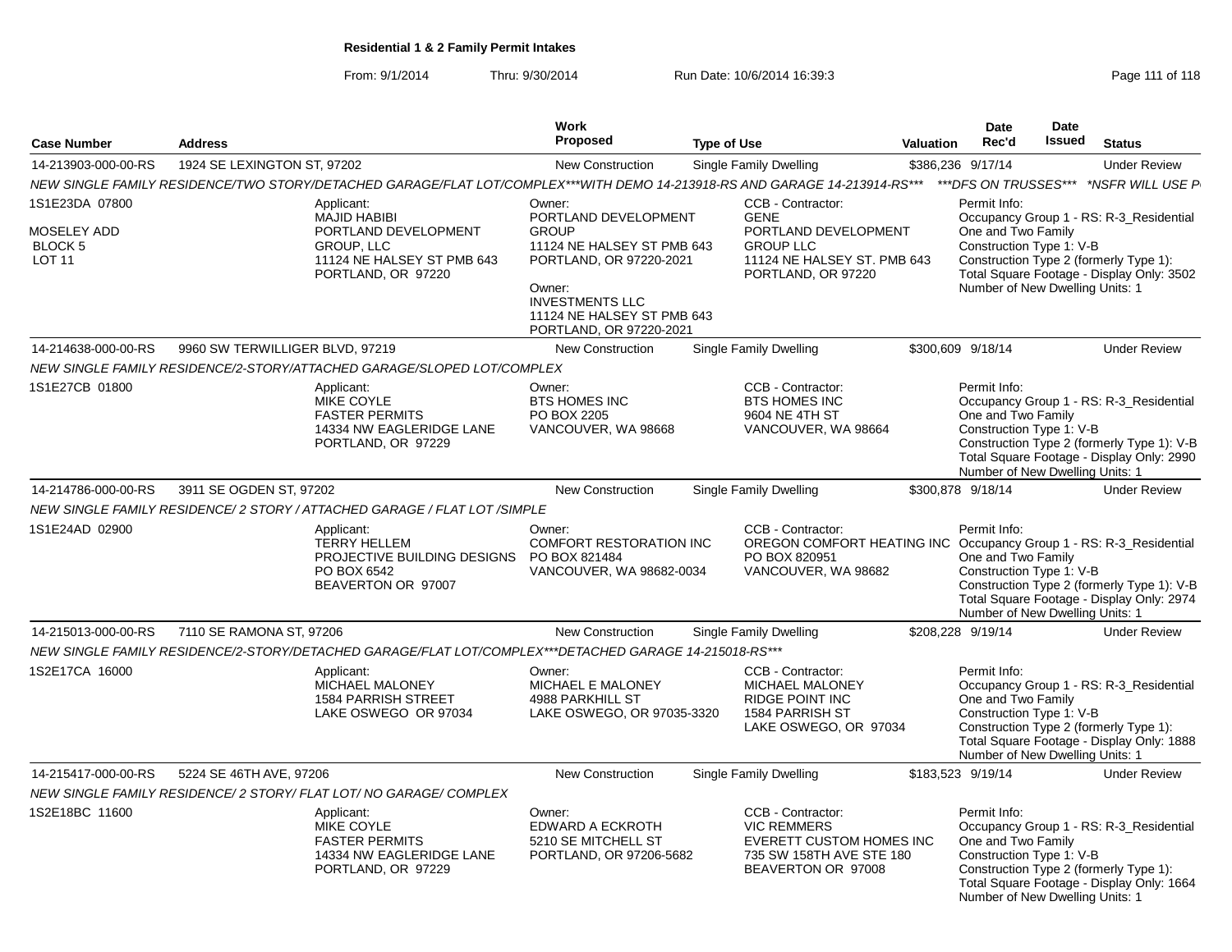From: 9/1/2014Thru: 9/30/2014 Run Date: 10/6/2014 16:39:3<br>
Page 111 of 118

| <b>Case Number</b>                                               | <b>Address</b>                                                                                                              | <b>Work</b><br><b>Proposed</b>                                                                                                                                                                       | <b>Type of Use</b>                                                                                                                | <b>Date</b><br>Rec'd<br>Valuation                                                  | Date<br>Issued                                                                    | <b>Status</b>                                                                                                                      |
|------------------------------------------------------------------|-----------------------------------------------------------------------------------------------------------------------------|------------------------------------------------------------------------------------------------------------------------------------------------------------------------------------------------------|-----------------------------------------------------------------------------------------------------------------------------------|------------------------------------------------------------------------------------|-----------------------------------------------------------------------------------|------------------------------------------------------------------------------------------------------------------------------------|
|                                                                  |                                                                                                                             |                                                                                                                                                                                                      |                                                                                                                                   |                                                                                    |                                                                                   |                                                                                                                                    |
| 14-213903-000-00-RS                                              | 1924 SE LEXINGTON ST. 97202                                                                                                 | <b>New Construction</b>                                                                                                                                                                              | Single Family Dwelling                                                                                                            | \$386,236 9/17/14                                                                  |                                                                                   | <b>Under Review</b>                                                                                                                |
|                                                                  | NEW SINGLE FAMILY RESIDENCE/TWO STORY/DETACHED GARAGE/FLAT LOT/COMPLEX***WITH DEMO 14-213918-RS AND GARAGE 14-213914-RS***  |                                                                                                                                                                                                      |                                                                                                                                   | ***DFS ON TRUSSES***                                                               |                                                                                   | *NSFR WILL USE P                                                                                                                   |
| 1S1E23DA 07800<br>MOSELEY ADD<br><b>BLOCK 5</b><br><b>LOT 11</b> | Applicant:<br><b>MAJID HABIBI</b><br>PORTLAND DEVELOPMENT<br>GROUP, LLC<br>11124 NE HALSEY ST PMB 643<br>PORTLAND, OR 97220 | Owner:<br>PORTLAND DEVELOPMENT<br><b>GROUP</b><br>11124 NE HALSEY ST PMB 643<br>PORTLAND, OR 97220-2021<br>Owner:<br><b>INVESTMENTS LLC</b><br>11124 NE HALSEY ST PMB 643<br>PORTLAND, OR 97220-2021 | CCB - Contractor:<br><b>GENE</b><br>PORTLAND DEVELOPMENT<br><b>GROUP LLC</b><br>11124 NE HALSEY ST. PMB 643<br>PORTLAND, OR 97220 | Permit Info:                                                                       | One and Two Family<br>Construction Type 1: V-B<br>Number of New Dwelling Units: 1 | Occupancy Group 1 - RS: R-3_Residential<br>Construction Type 2 (formerly Type 1):<br>Total Square Footage - Display Only: 3502     |
| 14-214638-000-00-RS                                              | 9960 SW TERWILLIGER BLVD, 97219                                                                                             | New Construction                                                                                                                                                                                     | Single Family Dwelling                                                                                                            | \$300.609 9/18/14                                                                  |                                                                                   | <b>Under Review</b>                                                                                                                |
|                                                                  | NEW SINGLE FAMILY RESIDENCE/2-STORY/ATTACHED GARAGE/SLOPED LOT/COMPLEX                                                      |                                                                                                                                                                                                      |                                                                                                                                   |                                                                                    |                                                                                   |                                                                                                                                    |
| 1S1E27CB 01800                                                   | Applicant:<br>MIKE COYLE<br><b>FASTER PERMITS</b><br>14334 NW EAGLERIDGE LANE<br>PORTLAND, OR 97229                         | Owner:<br><b>BTS HOMES INC</b><br>PO BOX 2205<br>VANCOUVER, WA 98668                                                                                                                                 | CCB - Contractor:<br><b>BTS HOMES INC</b><br>9604 NE 4TH ST<br>VANCOUVER, WA 98664                                                | Permit Info:                                                                       | One and Two Family<br>Construction Type 1: V-B<br>Number of New Dwelling Units: 1 | Occupancy Group 1 - RS: R-3 Residential<br>Construction Type 2 (formerly Type 1): V-B<br>Total Square Footage - Display Only: 2990 |
| 14-214786-000-00-RS                                              | 3911 SE OGDEN ST, 97202                                                                                                     | <b>New Construction</b>                                                                                                                                                                              | Single Family Dwelling                                                                                                            | \$300,878 9/18/14                                                                  |                                                                                   | <b>Under Review</b>                                                                                                                |
|                                                                  | NEW SINGLE FAMILY RESIDENCE/ 2 STORY / ATTACHED GARAGE / FLAT LOT /SIMPLE                                                   |                                                                                                                                                                                                      |                                                                                                                                   |                                                                                    |                                                                                   |                                                                                                                                    |
| 1S1E24AD 02900                                                   | Applicant:<br><b>TERRY HELLEM</b><br>PROJECTIVE BUILDING DESIGNS<br>PO BOX 6542<br>BEAVERTON OR 97007                       | Owner:<br><b>COMFORT RESTORATION INC</b><br>PO BOX 821484<br>VANCOUVER, WA 98682-0034                                                                                                                | CCB - Contractor:<br>PO BOX 820951<br>VANCOUVER, WA 98682                                                                         | Permit Info:<br>OREGON COMFORT HEATING INC Occupancy Group 1 - RS: R-3 Residential | One and Two Family<br>Construction Type 1: V-B<br>Number of New Dwelling Units: 1 | Construction Type 2 (formerly Type 1): V-B<br>Total Square Footage - Display Only: 2974                                            |
| 14-215013-000-00-RS                                              | 7110 SE RAMONA ST, 97206                                                                                                    | <b>New Construction</b>                                                                                                                                                                              | Single Family Dwelling                                                                                                            | \$208,228 9/19/14                                                                  |                                                                                   | <b>Under Review</b>                                                                                                                |
|                                                                  | NEW SINGLE FAMILY RESIDENCE/2-STORY/DETACHED GARAGE/FLAT LOT/COMPLEX***DETACHED GARAGE 14-215018-RS***                      |                                                                                                                                                                                                      |                                                                                                                                   |                                                                                    |                                                                                   |                                                                                                                                    |
| 1S2E17CA 16000                                                   | Applicant:<br>MICHAEL MALONEY<br><b>1584 PARRISH STREET</b><br>LAKE OSWEGO OR 97034                                         | Owner:<br>MICHAEL E MALONEY<br>4988 PARKHILL ST<br>LAKE OSWEGO, OR 97035-3320                                                                                                                        | CCB - Contractor:<br>MICHAEL MALONEY<br><b>RIDGE POINT INC</b><br>1584 PARRISH ST<br>LAKE OSWEGO, OR 97034                        | Permit Info:                                                                       | One and Two Family<br>Construction Type 1: V-B<br>Number of New Dwelling Units: 1 | Occupancy Group 1 - RS: R-3_Residential<br>Construction Type 2 (formerly Type 1):<br>Total Square Footage - Display Only: 1888     |
| 14-215417-000-00-RS                                              | 5224 SE 46TH AVE, 97206                                                                                                     | <b>New Construction</b>                                                                                                                                                                              | Single Family Dwelling                                                                                                            | \$183,523 9/19/14                                                                  |                                                                                   | <b>Under Review</b>                                                                                                                |
|                                                                  | NEW SINGLE FAMILY RESIDENCE/ 2 STORY/ FLAT LOT/ NO GARAGE/ COMPLEX                                                          |                                                                                                                                                                                                      |                                                                                                                                   |                                                                                    |                                                                                   |                                                                                                                                    |
| 1S2E18BC 11600                                                   | Applicant:<br>MIKE COYLE<br><b>FASTER PERMITS</b><br>14334 NW EAGLERIDGE LANE<br>PORTLAND, OR 97229                         | Owner:<br><b>EDWARD A ECKROTH</b><br>5210 SE MITCHELL ST<br>PORTLAND, OR 97206-5682                                                                                                                  | CCB - Contractor:<br><b>VIC REMMERS</b><br>EVERETT CUSTOM HOMES INC<br>735 SW 158TH AVE STE 180<br>BEAVERTON OR 97008             | Permit Info:                                                                       | One and Two Family<br>Construction Type 1: V-B<br>Number of New Dwelling Units: 1 | Occupancy Group 1 - RS: R-3_Residential<br>Construction Type 2 (formerly Type 1):<br>Total Square Footage - Display Only: 1664     |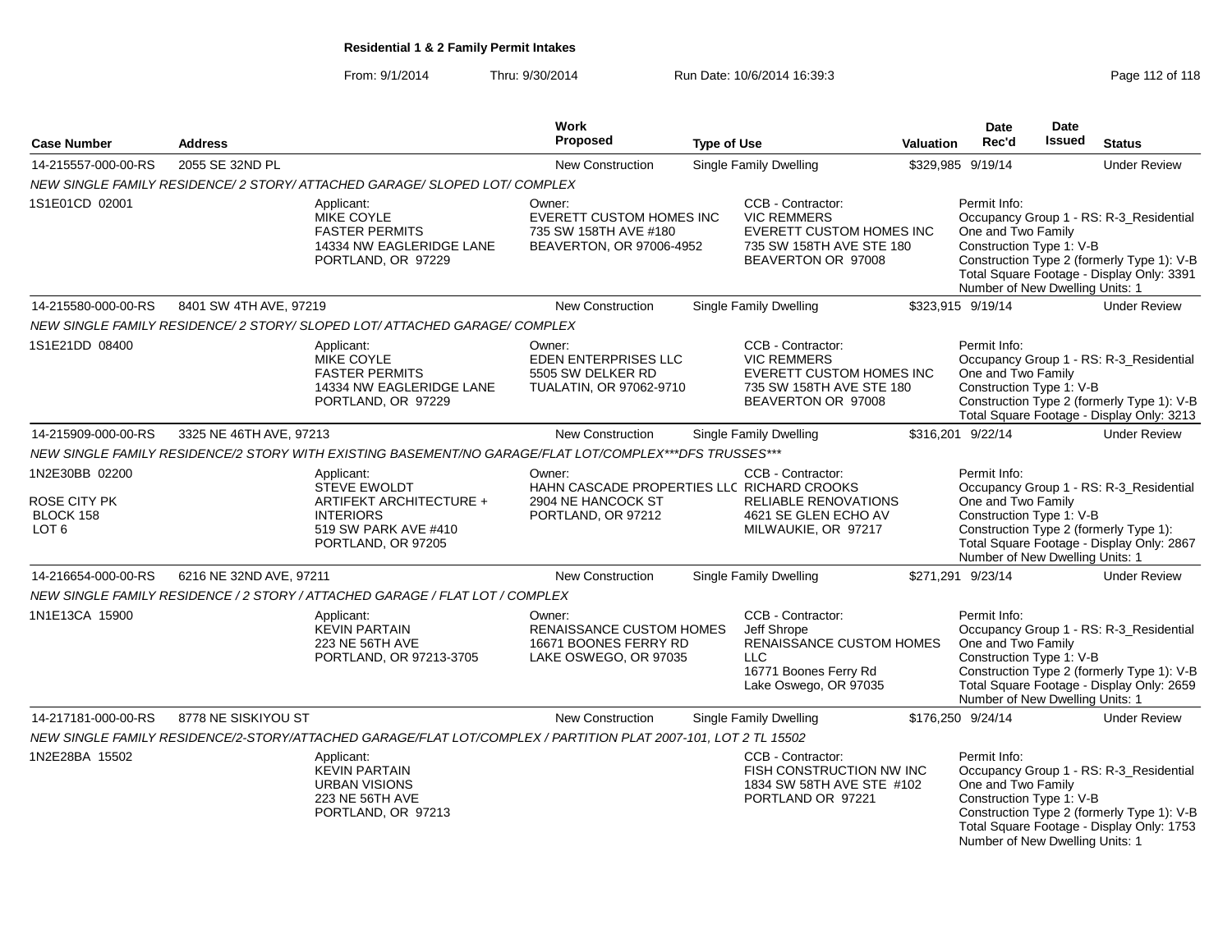From: 9/1/2014Thru: 9/30/2014 Run Date: 10/6/2014 16:39:3<br>
Page 112 of 118

|                                                                        |                         |                                                                                                                                | Work                                                                                                                                                                                                                                              |                    |                                                                                                                              |                                                                                                                                                                                                                                         | Date                                                                                                                                                                                                                                | Date          |                                                                                                                                    |
|------------------------------------------------------------------------|-------------------------|--------------------------------------------------------------------------------------------------------------------------------|---------------------------------------------------------------------------------------------------------------------------------------------------------------------------------------------------------------------------------------------------|--------------------|------------------------------------------------------------------------------------------------------------------------------|-----------------------------------------------------------------------------------------------------------------------------------------------------------------------------------------------------------------------------------------|-------------------------------------------------------------------------------------------------------------------------------------------------------------------------------------------------------------------------------------|---------------|------------------------------------------------------------------------------------------------------------------------------------|
| <b>Case Number</b>                                                     | <b>Address</b>          |                                                                                                                                | <b>Proposed</b>                                                                                                                                                                                                                                   | <b>Type of Use</b> |                                                                                                                              | Valuation                                                                                                                                                                                                                               | Rec'd                                                                                                                                                                                                                               | <b>Issued</b> | <b>Status</b>                                                                                                                      |
| 14-215557-000-00-RS                                                    | 2055 SE 32ND PL         |                                                                                                                                | New Construction                                                                                                                                                                                                                                  |                    | <b>Single Family Dwelling</b>                                                                                                |                                                                                                                                                                                                                                         | \$329,985 9/19/14                                                                                                                                                                                                                   |               | <b>Under Review</b>                                                                                                                |
|                                                                        |                         | NEW SINGLE FAMILY RESIDENCE/2 STORY/ ATTACHED GARAGE/ SLOPED LOT/ COMPLEX                                                      |                                                                                                                                                                                                                                                   |                    |                                                                                                                              |                                                                                                                                                                                                                                         |                                                                                                                                                                                                                                     |               |                                                                                                                                    |
| 1S1E01CD 02001                                                         |                         | Applicant:<br><b>MIKE COYLE</b><br><b>FASTER PERMITS</b><br>14334 NW EAGLERIDGE LANE<br>PORTLAND, OR 97229                     | CCB - Contractor:<br>Owner:<br>EVERETT CUSTOM HOMES INC<br><b>VIC REMMERS</b><br>735 SW 158TH AVE #180<br>EVERETT CUSTOM HOMES INC<br>BEAVERTON, OR 97006-4952<br>735 SW 158TH AVE STE 180<br>BEAVERTON OR 97008<br><b>Single Family Dwelling</b> |                    |                                                                                                                              | Permit Info:<br>Occupancy Group 1 - RS: R-3_Residential<br>One and Two Family<br>Construction Type 1: V-B<br>Construction Type 2 (formerly Type 1): V-B<br>Total Square Footage - Display Only: 3391<br>Number of New Dwelling Units: 1 |                                                                                                                                                                                                                                     |               |                                                                                                                                    |
| 14-215580-000-00-RS                                                    | 8401 SW 4TH AVE, 97219  |                                                                                                                                | New Construction                                                                                                                                                                                                                                  |                    |                                                                                                                              |                                                                                                                                                                                                                                         | \$323,915 9/19/14                                                                                                                                                                                                                   |               | <b>Under Review</b>                                                                                                                |
|                                                                        |                         | NEW SINGLE FAMILY RESIDENCE/2 STORY/ SLOPED LOT/ ATTACHED GARAGE/ COMPLEX                                                      |                                                                                                                                                                                                                                                   |                    |                                                                                                                              |                                                                                                                                                                                                                                         |                                                                                                                                                                                                                                     |               |                                                                                                                                    |
| 1S1E21DD 08400                                                         |                         | Applicant:<br><b>MIKE COYLE</b><br><b>FASTER PERMITS</b><br>14334 NW EAGLERIDGE LANE<br>PORTLAND, OR 97229                     | Owner:<br>EDEN ENTERPRISES LLC<br>5505 SW DELKER RD<br>TUALATIN, OR 97062-9710                                                                                                                                                                    |                    | CCB - Contractor:<br><b>VIC REMMERS</b><br>EVERETT CUSTOM HOMES INC<br>735 SW 158TH AVE STE 180<br>BEAVERTON OR 97008        |                                                                                                                                                                                                                                         | Permit Info:<br>One and Two Family<br>Construction Type 1: V-B                                                                                                                                                                      |               | Occupancy Group 1 - RS: R-3_Residential<br>Construction Type 2 (formerly Type 1): V-B<br>Total Square Footage - Display Only: 3213 |
| 14-215909-000-00-RS                                                    | 3325 NE 46TH AVE, 97213 |                                                                                                                                | <b>New Construction</b>                                                                                                                                                                                                                           |                    | Single Family Dwelling                                                                                                       |                                                                                                                                                                                                                                         | \$316,201 9/22/14                                                                                                                                                                                                                   |               | <b>Under Review</b>                                                                                                                |
|                                                                        |                         | NEW SINGLE FAMILY RESIDENCE/2 STORY WITH EXISTING BASEMENT/NO GARAGE/FLAT LOT/COMPLEX***DFS TRUSSES***                         |                                                                                                                                                                                                                                                   |                    |                                                                                                                              |                                                                                                                                                                                                                                         |                                                                                                                                                                                                                                     |               |                                                                                                                                    |
| 1N2E30BB 02200<br><b>ROSE CITY PK</b><br>BLOCK 158<br>LOT <sub>6</sub> |                         | Applicant:<br><b>STEVE EWOLDT</b><br>ARTIFEKT ARCHITECTURE +<br><b>INTERIORS</b><br>519 SW PARK AVE #410<br>PORTLAND, OR 97205 | Owner:<br>CCB - Contractor:<br>HAHN CASCADE PROPERTIES LLC RICHARD CROOKS<br><b>RELIABLE RENOVATIONS</b><br>2904 NE HANCOCK ST<br>PORTLAND, OR 97212<br>4621 SE GLEN ECHO AV<br>MILWAUKIE, OR 97217                                               |                    |                                                                                                                              |                                                                                                                                                                                                                                         | Permit Info:<br>Occupancy Group 1 - RS: R-3_Residential<br>One and Two Family<br>Construction Type 1: V-B<br>Construction Type 2 (formerly Type 1):<br>Total Square Footage - Display Only: 2867<br>Number of New Dwelling Units: 1 |               |                                                                                                                                    |
| 14-216654-000-00-RS                                                    | 6216 NE 32ND AVE, 97211 |                                                                                                                                | New Construction                                                                                                                                                                                                                                  |                    | Single Family Dwelling                                                                                                       |                                                                                                                                                                                                                                         | \$271,291 9/23/14                                                                                                                                                                                                                   |               | <b>Under Review</b>                                                                                                                |
|                                                                        |                         | NEW SINGLE FAMILY RESIDENCE / 2 STORY / ATTACHED GARAGE / FLAT LOT / COMPLEX                                                   |                                                                                                                                                                                                                                                   |                    |                                                                                                                              |                                                                                                                                                                                                                                         |                                                                                                                                                                                                                                     |               |                                                                                                                                    |
| 1N1E13CA 15900                                                         |                         | Applicant:<br><b>KEVIN PARTAIN</b><br>223 NE 56TH AVE<br>PORTLAND, OR 97213-3705                                               | Owner:<br>RENAISSANCE CUSTOM HOMES<br>16671 BOONES FERRY RD<br>LAKE OSWEGO, OR 97035                                                                                                                                                              |                    | CCB - Contractor:<br>Jeff Shrope<br>RENAISSANCE CUSTOM HOMES<br><b>LLC</b><br>16771 Boones Ferry Rd<br>Lake Oswego, OR 97035 |                                                                                                                                                                                                                                         | Permit Info:<br>One and Two Family<br>Construction Type 1: V-B<br>Number of New Dwelling Units: 1                                                                                                                                   |               | Occupancy Group 1 - RS: R-3_Residential<br>Construction Type 2 (formerly Type 1): V-B<br>Total Square Footage - Display Only: 2659 |
| 14-217181-000-00-RS                                                    | 8778 NE SISKIYOU ST     |                                                                                                                                | <b>New Construction</b>                                                                                                                                                                                                                           |                    | Single Family Dwelling                                                                                                       |                                                                                                                                                                                                                                         | \$176,250 9/24/14                                                                                                                                                                                                                   |               | <b>Under Review</b>                                                                                                                |
|                                                                        |                         | NEW SINGLE FAMILY RESIDENCE/2-STORY/ATTACHED GARAGE/FLAT LOT/COMPLEX / PARTITION PLAT 2007-101, LOT 2 TL 15502                 |                                                                                                                                                                                                                                                   |                    |                                                                                                                              |                                                                                                                                                                                                                                         |                                                                                                                                                                                                                                     |               |                                                                                                                                    |
| 1N2E28BA 15502                                                         |                         | Applicant:<br><b>KEVIN PARTAIN</b><br><b>URBAN VISIONS</b><br><b>223 NE 56TH AVE</b><br>PORTLAND, OR 97213                     |                                                                                                                                                                                                                                                   |                    | CCB - Contractor:<br>FISH CONSTRUCTION NW INC<br>1834 SW 58TH AVE STE #102<br>PORTLAND OR 97221                              |                                                                                                                                                                                                                                         | Permit Info:<br>One and Two Family<br>Construction Type 1: V-B<br>Number of New Dwelling Units: 1                                                                                                                                   |               | Occupancy Group 1 - RS: R-3 Residential<br>Construction Type 2 (formerly Type 1): V-B<br>Total Square Footage - Display Only: 1753 |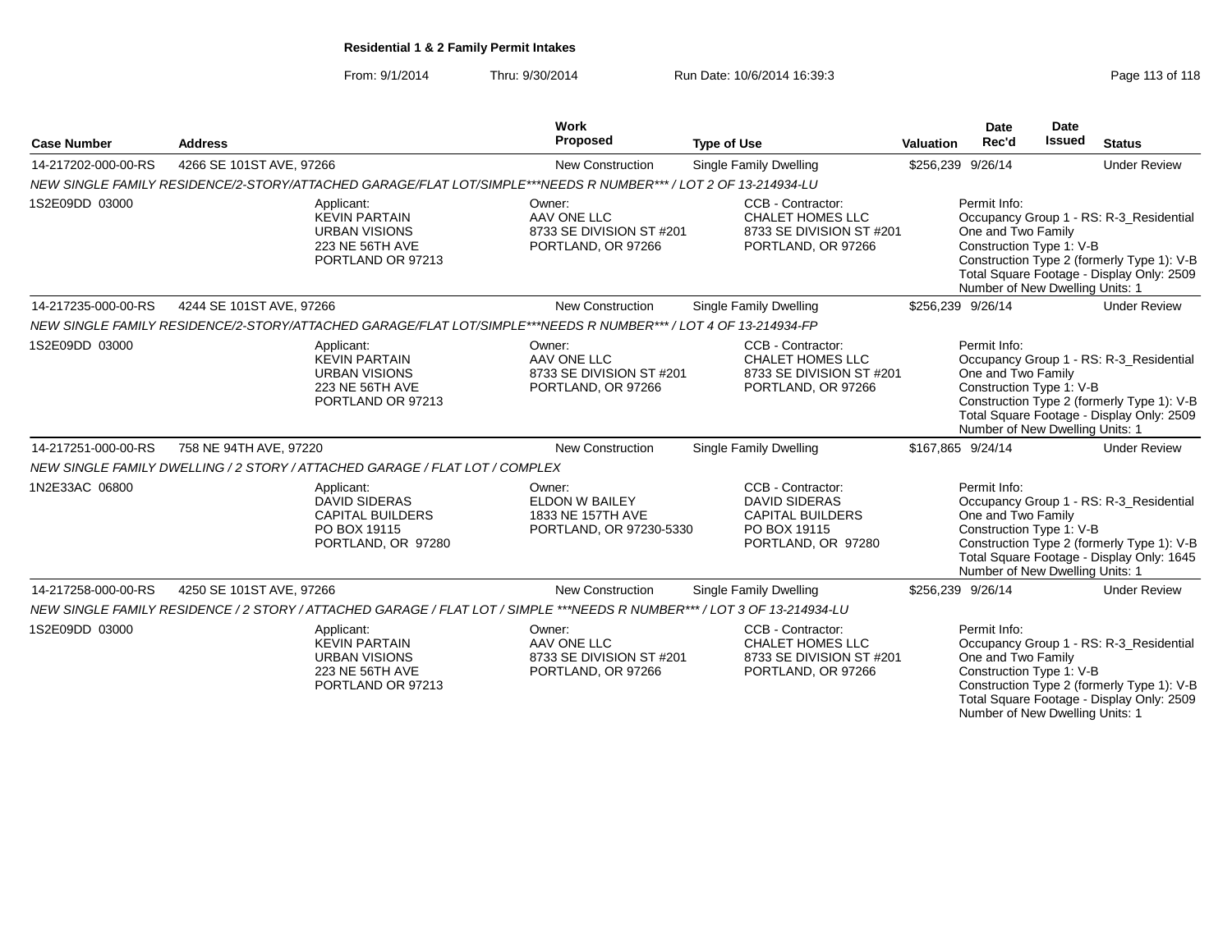From: 9/1/2014Thru: 9/30/2014 Run Date: 10/6/2014 16:39:3<br>
Page 113 of 118

| <b>Case Number</b>  | <b>Address</b>                                                                                                           | <b>Work</b><br>Proposed                                                  | <b>Type of Use</b>                                                                                                         | <b>Valuation</b> | <b>Date</b><br>Rec'd                                                                                                                                                                                                                    | Date<br><b>Issued</b> | <b>Status</b>                                                                                                                      |  |
|---------------------|--------------------------------------------------------------------------------------------------------------------------|--------------------------------------------------------------------------|----------------------------------------------------------------------------------------------------------------------------|------------------|-----------------------------------------------------------------------------------------------------------------------------------------------------------------------------------------------------------------------------------------|-----------------------|------------------------------------------------------------------------------------------------------------------------------------|--|
| 14-217202-000-00-RS | 4266 SE 101ST AVE, 97266                                                                                                 | <b>New Construction</b>                                                  | Single Family Dwelling                                                                                                     |                  | \$256,239 9/26/14                                                                                                                                                                                                                       |                       | <b>Under Review</b>                                                                                                                |  |
|                     | NEW SINGLE FAMILY RESIDENCE/2-STORY/ATTACHED GARAGE/FLAT LOT/SIMPLE***NEEDS R NUMBER***/LOT 2 OF 13-214934-LU            |                                                                          |                                                                                                                            |                  |                                                                                                                                                                                                                                         |                       |                                                                                                                                    |  |
| 1S2E09DD 03000      | Applicant:<br><b>KEVIN PARTAIN</b><br><b>URBAN VISIONS</b><br>223 NE 56TH AVE<br>PORTLAND OR 97213                       | Owner:<br>AAV ONE LLC<br>PORTLAND, OR 97266                              | CCB - Contractor:<br><b>CHALET HOMES LLC</b><br>8733 SE DIVISION ST #201<br>8733 SE DIVISION ST #201<br>PORTLAND, OR 97266 |                  | Permit Info:<br>Occupancy Group 1 - RS: R-3_Residential<br>One and Two Family<br>Construction Type 1: V-B<br>Construction Type 2 (formerly Type 1): V-B<br>Total Square Footage - Display Only: 2509<br>Number of New Dwelling Units: 1 |                       |                                                                                                                                    |  |
| 14-217235-000-00-RS | 4244 SE 101ST AVE, 97266                                                                                                 | New Construction                                                         | Single Family Dwelling                                                                                                     |                  | \$256,239 9/26/14                                                                                                                                                                                                                       |                       | <b>Under Review</b>                                                                                                                |  |
|                     | NEW SINGLE FAMILY RESIDENCE/2-STORY/ATTACHED GARAGE/FLAT LOT/SIMPLE***NEEDS R NUMBER*** / LOT 4 OF 13-214934-FP          |                                                                          |                                                                                                                            |                  |                                                                                                                                                                                                                                         |                       |                                                                                                                                    |  |
| 1S2E09DD 03000      | Applicant:<br><b>KEVIN PARTAIN</b><br><b>URBAN VISIONS</b><br>223 NE 56TH AVE<br>PORTLAND OR 97213                       | Owner:<br>AAV ONE LLC<br>8733 SE DIVISION ST #201<br>PORTLAND, OR 97266  | CCB - Contractor:<br><b>CHALET HOMES LLC</b><br>8733 SE DIVISION ST #201<br>PORTLAND, OR 97266                             |                  | Permit Info:<br>One and Two Family<br>Construction Type 1: V-B<br>Number of New Dwelling Units: 1                                                                                                                                       |                       | Occupancy Group 1 - RS: R-3_Residential<br>Construction Type 2 (formerly Type 1): V-B<br>Total Square Footage - Display Only: 2509 |  |
| 14-217251-000-00-RS | 758 NE 94TH AVE, 97220                                                                                                   | <b>New Construction</b>                                                  | <b>Single Family Dwelling</b>                                                                                              |                  | \$167,865 9/24/14                                                                                                                                                                                                                       |                       | <b>Under Review</b>                                                                                                                |  |
|                     | NEW SINGLE FAMILY DWELLING / 2 STORY / ATTACHED GARAGE / FLAT LOT / COMPLEX                                              |                                                                          |                                                                                                                            |                  |                                                                                                                                                                                                                                         |                       |                                                                                                                                    |  |
| 1N2E33AC 06800      | Applicant:<br><b>DAVID SIDERAS</b><br><b>CAPITAL BUILDERS</b><br>PO BOX 19115<br>PORTLAND, OR 97280                      | Owner:<br>ELDON W BAILEY<br>1833 NE 157TH AVE<br>PORTLAND, OR 97230-5330 | CCB - Contractor:<br><b>DAVID SIDERAS</b><br><b>CAPITAL BUILDERS</b><br>PO BOX 19115<br>PORTLAND, OR 97280                 |                  | Permit Info:<br>One and Two Family<br>Construction Type 1: V-B<br>Number of New Dwelling Units: 1                                                                                                                                       |                       | Occupancy Group 1 - RS: R-3_Residential<br>Construction Type 2 (formerly Type 1): V-B<br>Total Square Footage - Display Only: 1645 |  |
| 14-217258-000-00-RS | 4250 SE 101ST AVE, 97266                                                                                                 | New Construction                                                         | Single Family Dwelling                                                                                                     |                  | \$256,239 9/26/14                                                                                                                                                                                                                       |                       | <b>Under Review</b>                                                                                                                |  |
|                     | NEW SINGLE FAMILY RESIDENCE / 2 STORY / ATTACHED GARAGE / FLAT LOT / SIMPLE ***NEEDS R NUMBER*** / LOT 3 OF 13-214934-LU |                                                                          |                                                                                                                            |                  |                                                                                                                                                                                                                                         |                       |                                                                                                                                    |  |
| 1S2E09DD 03000      | Applicant:<br><b>KEVIN PARTAIN</b><br><b>URBAN VISIONS</b><br>223 NE 56TH AVE<br>PORTLAND OR 97213                       | Owner:<br>AAV ONE LLC<br>8733 SE DIVISION ST #201<br>PORTLAND, OR 97266  | CCB - Contractor:<br><b>CHALET HOMES LLC</b><br>8733 SE DIVISION ST #201<br>PORTLAND, OR 97266                             |                  | Permit Info:<br>One and Two Family<br>Construction Type 1: V-B<br>Number of New Dwelling Units: 1                                                                                                                                       |                       | Occupancy Group 1 - RS: R-3 Residential<br>Construction Type 2 (formerly Type 1): V-B<br>Total Square Footage - Display Only: 2509 |  |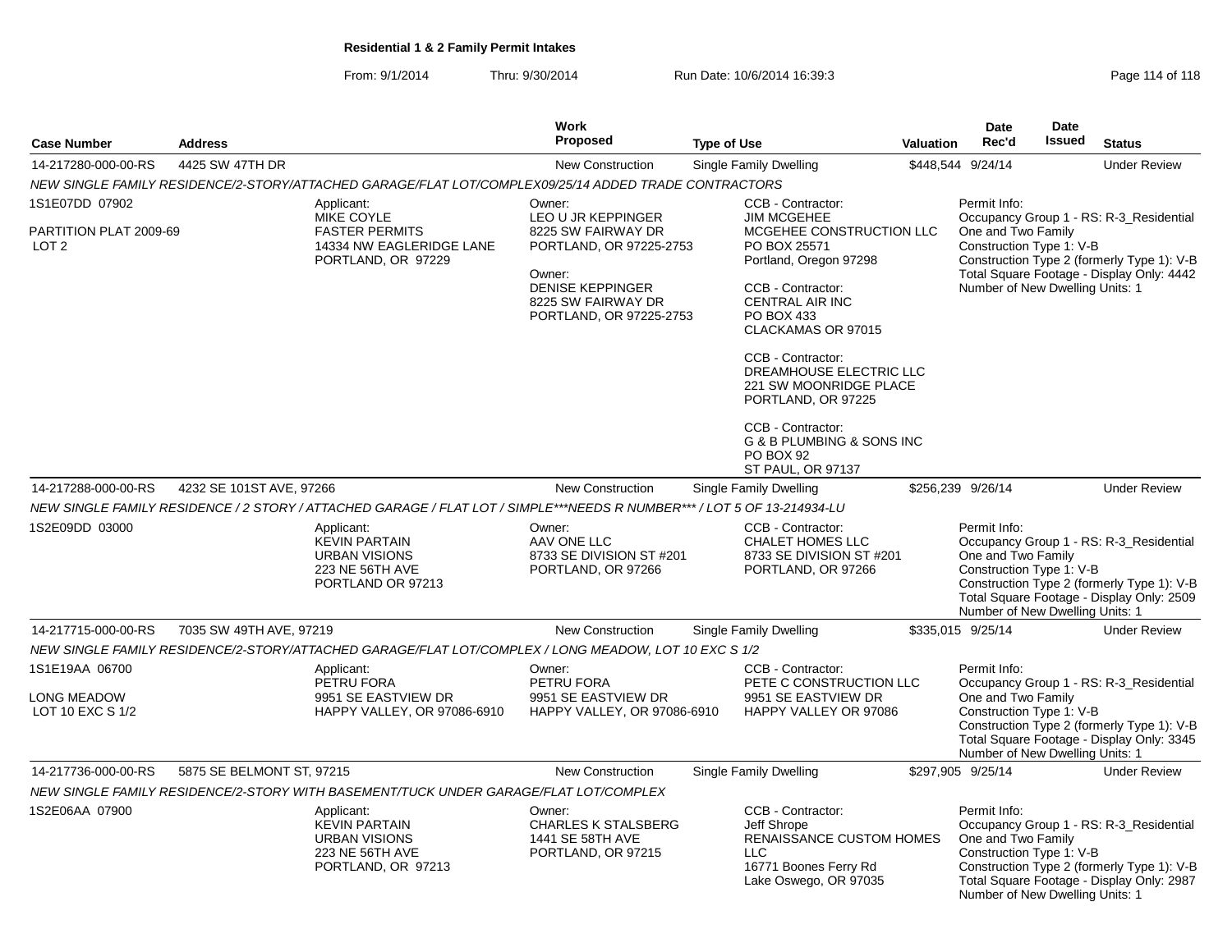From: 9/1/2014Thru: 9/30/2014 Run Date: 10/6/2014 16:39:3<br>
Page 114 of 118

|                                                              |                           |                                                                                                                         | Work                                                                                                                                                                |                                                                                                                                                                                                                                                                                                                                                                                             |                  | <b>Date</b>                                                                                                                                                                                                                             | Date          |                                                                                                                                    |
|--------------------------------------------------------------|---------------------------|-------------------------------------------------------------------------------------------------------------------------|---------------------------------------------------------------------------------------------------------------------------------------------------------------------|---------------------------------------------------------------------------------------------------------------------------------------------------------------------------------------------------------------------------------------------------------------------------------------------------------------------------------------------------------------------------------------------|------------------|-----------------------------------------------------------------------------------------------------------------------------------------------------------------------------------------------------------------------------------------|---------------|------------------------------------------------------------------------------------------------------------------------------------|
| <b>Case Number</b>                                           | <b>Address</b>            |                                                                                                                         | <b>Proposed</b>                                                                                                                                                     | <b>Type of Use</b>                                                                                                                                                                                                                                                                                                                                                                          | <b>Valuation</b> | Rec'd                                                                                                                                                                                                                                   | <b>Issued</b> | <b>Status</b>                                                                                                                      |
| 14-217280-000-00-RS                                          | 4425 SW 47TH DR           |                                                                                                                         | <b>New Construction</b>                                                                                                                                             | Single Family Dwelling                                                                                                                                                                                                                                                                                                                                                                      |                  | \$448,544 9/24/14                                                                                                                                                                                                                       |               | <b>Under Review</b>                                                                                                                |
|                                                              |                           | NEW SINGLE FAMILY RESIDENCE/2-STORY/ATTACHED GARAGE/FLAT LOT/COMPLEX09/25/14 ADDED TRADE CONTRACTORS                    |                                                                                                                                                                     |                                                                                                                                                                                                                                                                                                                                                                                             |                  |                                                                                                                                                                                                                                         |               |                                                                                                                                    |
| 1S1E07DD 07902<br>PARTITION PLAT 2009-69<br>LOT <sub>2</sub> |                           | Applicant:<br>MIKE COYLE<br><b>FASTER PERMITS</b><br>14334 NW EAGLERIDGE LANE<br>PORTLAND, OR 97229                     | Owner:<br>LEO U JR KEPPINGER<br>8225 SW FAIRWAY DR<br>PORTLAND, OR 97225-2753<br>Owner:<br><b>DENISE KEPPINGER</b><br>8225 SW FAIRWAY DR<br>PORTLAND, OR 97225-2753 | CCB - Contractor:<br><b>JIM MCGEHEE</b><br>MCGEHEE CONSTRUCTION LLC<br>PO BOX 25571<br>Portland, Oregon 97298<br>CCB - Contractor:<br><b>CENTRAL AIR INC</b><br>PO BOX 433<br>CLACKAMAS OR 97015<br>CCB - Contractor:<br>DREAMHOUSE ELECTRIC LLC<br>221 SW MOONRIDGE PLACE<br>PORTLAND, OR 97225<br>CCB - Contractor:<br>G & B PLUMBING & SONS INC<br>PO BOX 92<br><b>ST PAUL, OR 97137</b> |                  | Permit Info:<br>One and Two Family<br>Construction Type 1: V-B<br>Number of New Dwelling Units: 1                                                                                                                                       |               | Occupancy Group 1 - RS: R-3_Residential<br>Construction Type 2 (formerly Type 1): V-B<br>Total Square Footage - Display Only: 4442 |
| 14-217288-000-00-RS                                          | 4232 SE 101ST AVE, 97266  |                                                                                                                         | <b>New Construction</b>                                                                                                                                             | Single Family Dwelling                                                                                                                                                                                                                                                                                                                                                                      |                  | \$256,239 9/26/14                                                                                                                                                                                                                       |               | <b>Under Review</b>                                                                                                                |
|                                                              |                           | NEW SINGLE FAMILY RESIDENCE / 2 STORY / ATTACHED GARAGE / FLAT LOT / SIMPLE***NEEDS R NUMBER*** / LOT 5 OF 13-214934-LU |                                                                                                                                                                     |                                                                                                                                                                                                                                                                                                                                                                                             |                  |                                                                                                                                                                                                                                         |               |                                                                                                                                    |
| 1S2E09DD 03000                                               |                           | Applicant:<br><b>KEVIN PARTAIN</b><br><b>URBAN VISIONS</b><br>223 NE 56TH AVE<br>PORTLAND OR 97213                      | Owner:<br>AAV ONE LLC<br>8733 SE DIVISION ST #201<br>PORTLAND, OR 97266                                                                                             | CCB - Contractor:<br>CHALET HOMES LLC<br>8733 SE DIVISION ST #201<br>PORTLAND, OR 97266                                                                                                                                                                                                                                                                                                     |                  | Permit Info:<br>One and Two Family<br>Construction Type 1: V-B<br>Number of New Dwelling Units: 1                                                                                                                                       |               | Occupancy Group 1 - RS: R-3_Residential<br>Construction Type 2 (formerly Type 1): V-B<br>Total Square Footage - Display Only: 2509 |
| 14-217715-000-00-RS                                          | 7035 SW 49TH AVE, 97219   |                                                                                                                         | New Construction                                                                                                                                                    | Single Family Dwelling                                                                                                                                                                                                                                                                                                                                                                      |                  | \$335,015 9/25/14                                                                                                                                                                                                                       |               | <b>Under Review</b>                                                                                                                |
|                                                              |                           | NEW SINGLE FAMILY RESIDENCE/2-STORY/ATTACHED GARAGE/FLAT LOT/COMPLEX / LONG MEADOW, LOT 10 EXC S 1/2                    |                                                                                                                                                                     |                                                                                                                                                                                                                                                                                                                                                                                             |                  |                                                                                                                                                                                                                                         |               |                                                                                                                                    |
| 1S1E19AA 06700<br>LONG MEADOW<br>LOT 10 EXC S 1/2            |                           | Applicant:<br>PETRU FORA<br>9951 SE EASTVIEW DR<br>HAPPY VALLEY, OR 97086-6910                                          | Owner:<br>PETRU FORA<br>9951 SE EASTVIEW DR<br>HAPPY VALLEY, OR 97086-6910                                                                                          | CCB - Contractor:<br>PETE C CONSTRUCTION LLC<br>9951 SE EASTVIEW DR<br>HAPPY VALLEY OR 97086                                                                                                                                                                                                                                                                                                |                  | Permit Info:<br>Occupancy Group 1 - RS: R-3 Residential<br>One and Two Family<br>Construction Type 1: V-B<br>Construction Type 2 (formerly Type 1): V-B<br>Total Square Footage - Display Only: 3345<br>Number of New Dwelling Units: 1 |               |                                                                                                                                    |
| 14-217736-000-00-RS                                          | 5875 SE BELMONT ST, 97215 |                                                                                                                         | <b>New Construction</b>                                                                                                                                             | Single Family Dwelling                                                                                                                                                                                                                                                                                                                                                                      |                  | \$297,905 9/25/14                                                                                                                                                                                                                       |               | <b>Under Review</b>                                                                                                                |
|                                                              |                           | NEW SINGLE FAMILY RESIDENCE/2-STORY WITH BASEMENT/TUCK UNDER GARAGE/FLAT LOT/COMPLEX                                    |                                                                                                                                                                     |                                                                                                                                                                                                                                                                                                                                                                                             |                  |                                                                                                                                                                                                                                         |               |                                                                                                                                    |
| 1S2E06AA 07900                                               |                           | Applicant:<br><b>KEVIN PARTAIN</b><br><b>URBAN VISIONS</b><br>223 NE 56TH AVE<br>PORTLAND, OR 97213                     | Owner:<br><b>CHARLES K STALSBERG</b><br>1441 SE 58TH AVE<br>PORTLAND, OR 97215                                                                                      | CCB - Contractor:<br>Jeff Shrope<br><b>RENAISSANCE CUSTOM HOMES</b><br><b>LLC</b><br>16771 Boones Ferry Rd<br>Lake Oswego, OR 97035                                                                                                                                                                                                                                                         |                  | Permit Info:<br>One and Two Family<br>Construction Type 1: V-B<br>Number of New Dwelling Units: 1                                                                                                                                       |               | Occupancy Group 1 - RS: R-3_Residential<br>Construction Type 2 (formerly Type 1): V-B<br>Total Square Footage - Display Only: 2987 |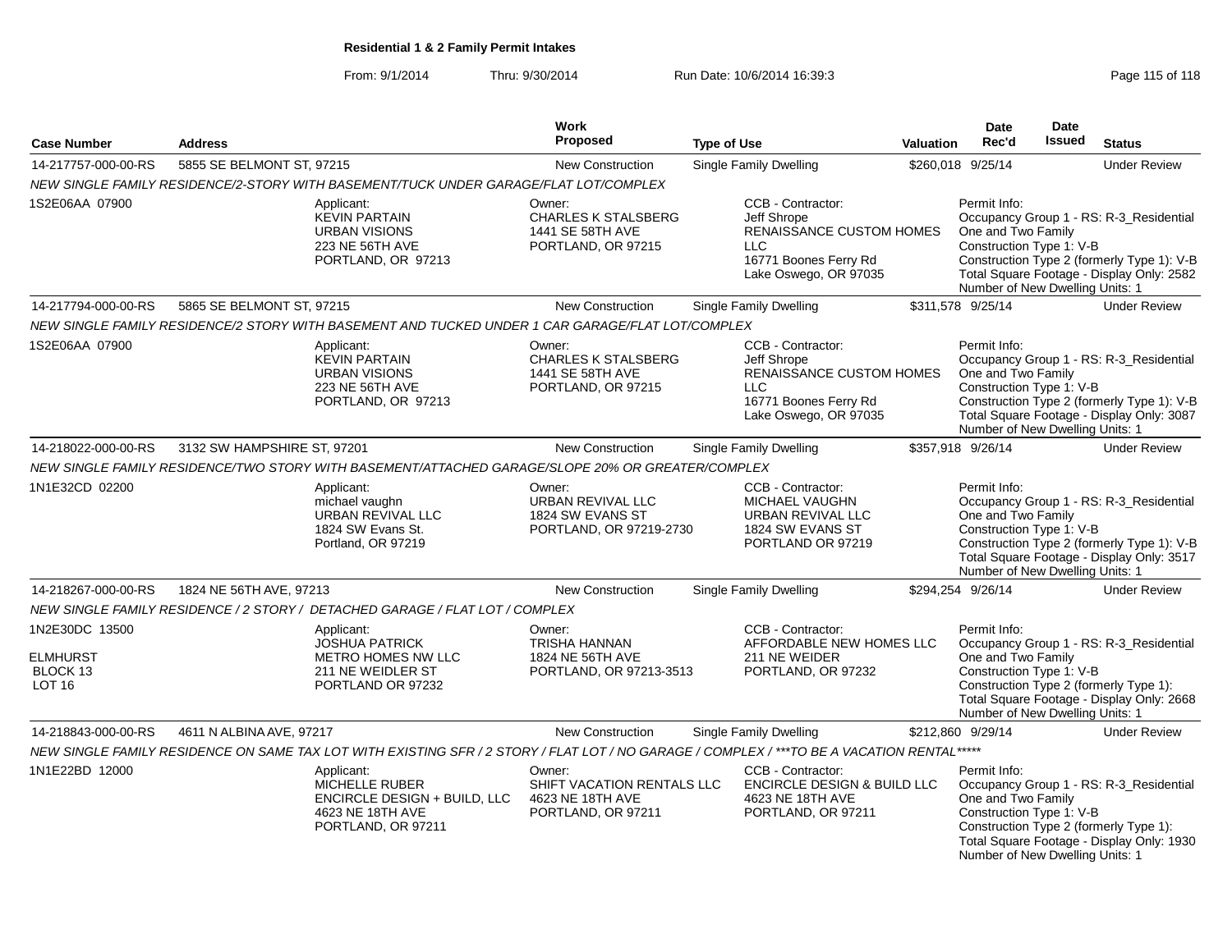From: 9/1/2014Thru: 9/30/2014 Run Date: 10/6/2014 16:39:3<br>
Page 115 of 118

|                                                                |                                                                                                                                             | Work                                                                           |                                                                                                                              |                                                                                                                                                                                                                                         | <b>Date</b>                                                                                                                                                                                                                         | <b>Date</b>   |                                                                                                                                    |
|----------------------------------------------------------------|---------------------------------------------------------------------------------------------------------------------------------------------|--------------------------------------------------------------------------------|------------------------------------------------------------------------------------------------------------------------------|-----------------------------------------------------------------------------------------------------------------------------------------------------------------------------------------------------------------------------------------|-------------------------------------------------------------------------------------------------------------------------------------------------------------------------------------------------------------------------------------|---------------|------------------------------------------------------------------------------------------------------------------------------------|
| <b>Case Number</b>                                             | <b>Address</b>                                                                                                                              | <b>Proposed</b>                                                                | <b>Type of Use</b>                                                                                                           | <b>Valuation</b>                                                                                                                                                                                                                        | Rec'd                                                                                                                                                                                                                               | <b>Issued</b> | <b>Status</b>                                                                                                                      |
| 14-217757-000-00-RS                                            | 5855 SE BELMONT ST, 97215                                                                                                                   | <b>New Construction</b>                                                        | <b>Single Family Dwelling</b>                                                                                                |                                                                                                                                                                                                                                         | \$260,018 9/25/14                                                                                                                                                                                                                   |               | <b>Under Review</b>                                                                                                                |
|                                                                | NEW SINGLE FAMILY RESIDENCE/2-STORY WITH BASEMENT/TUCK UNDER GARAGE/FLAT LOT/COMPLEX                                                        |                                                                                |                                                                                                                              |                                                                                                                                                                                                                                         |                                                                                                                                                                                                                                     |               |                                                                                                                                    |
| 1S2E06AA 07900                                                 | Applicant:<br><b>KEVIN PARTAIN</b><br>URBAN VISIONS<br>223 NE 56TH AVE<br>PORTLAND, OR 97213                                                | Owner:<br><b>CHARLES K STALSBERG</b><br>1441 SE 58TH AVE<br>PORTLAND, OR 97215 | CCB - Contractor:<br>Jeff Shrope<br>RENAISSANCE CUSTOM HOMES<br>$\sqcup$ C<br>16771 Boones Ferry Rd<br>Lake Oswego, OR 97035 |                                                                                                                                                                                                                                         | Permit Info:<br>One and Two Family<br>Construction Type 1: V-B<br>Number of New Dwelling Units: 1                                                                                                                                   |               | Occupancy Group 1 - RS: R-3_Residential<br>Construction Type 2 (formerly Type 1): V-B<br>Total Square Footage - Display Only: 2582 |
| 14-217794-000-00-RS                                            | 5865 SE BELMONT ST, 97215                                                                                                                   | <b>New Construction</b>                                                        | <b>Single Family Dwelling</b>                                                                                                |                                                                                                                                                                                                                                         | \$311,578 9/25/14                                                                                                                                                                                                                   |               | <b>Under Review</b>                                                                                                                |
|                                                                | NEW SINGLE FAMILY RESIDENCE/2 STORY WITH BASEMENT AND TUCKED UNDER 1 CAR GARAGE/FLAT LOT/COMPLEX                                            |                                                                                |                                                                                                                              |                                                                                                                                                                                                                                         |                                                                                                                                                                                                                                     |               |                                                                                                                                    |
| 1S2E06AA 07900                                                 | Applicant:<br><b>KEVIN PARTAIN</b><br><b>URBAN VISIONS</b><br>223 NE 56TH AVE<br>PORTLAND, OR 97213                                         | Owner:<br><b>CHARLES K STALSBERG</b><br>1441 SE 58TH AVE<br>PORTLAND, OR 97215 | CCB - Contractor:<br>Jeff Shrope<br>RENAISSANCE CUSTOM HOMES<br><b>LLC</b><br>16771 Boones Ferry Rd<br>Lake Oswego, OR 97035 |                                                                                                                                                                                                                                         | Permit Info:<br>One and Two Family<br>Construction Type 1: V-B<br>Number of New Dwelling Units: 1                                                                                                                                   |               | Occupancy Group 1 - RS: R-3_Residential<br>Construction Type 2 (formerly Type 1): V-B<br>Total Square Footage - Display Only: 3087 |
| 14-218022-000-00-RS                                            | 3132 SW HAMPSHIRE ST, 97201                                                                                                                 | <b>New Construction</b>                                                        | <b>Single Family Dwelling</b>                                                                                                |                                                                                                                                                                                                                                         | \$357,918 9/26/14                                                                                                                                                                                                                   |               | <b>Under Review</b>                                                                                                                |
|                                                                | NEW SINGLE FAMILY RESIDENCE/TWO STORY WITH BASEMENT/ATTACHED GARAGE/SLOPE 20% OR GREATER/COMPLEX                                            |                                                                                |                                                                                                                              |                                                                                                                                                                                                                                         |                                                                                                                                                                                                                                     |               |                                                                                                                                    |
| 1N1E32CD 02200                                                 | Applicant:<br>michael vaughn<br><b>URBAN REVIVAL LLC</b><br>1824 SW Evans St.<br>Portland, OR 97219                                         | Owner:<br>URBAN REVIVAL LLC<br>1824 SW EVANS ST<br>PORTLAND, OR 97219-2730     |                                                                                                                              | Permit Info:<br>Occupancy Group 1 - RS: R-3_Residential<br>One and Two Family<br>Construction Type 1: V-B<br>Construction Type 2 (formerly Type 1): V-B<br>Total Square Footage - Display Only: 3517<br>Number of New Dwelling Units: 1 |                                                                                                                                                                                                                                     |               |                                                                                                                                    |
| 14-218267-000-00-RS                                            | 1824 NE 56TH AVE, 97213                                                                                                                     | New Construction                                                               | Single Family Dwelling                                                                                                       |                                                                                                                                                                                                                                         | \$294,254 9/26/14                                                                                                                                                                                                                   |               | <b>Under Review</b>                                                                                                                |
|                                                                | NEW SINGLE FAMILY RESIDENCE / 2 STORY / DETACHED GARAGE / FLAT LOT / COMPLEX                                                                |                                                                                |                                                                                                                              |                                                                                                                                                                                                                                         |                                                                                                                                                                                                                                     |               |                                                                                                                                    |
| 1N2E30DC 13500<br><b>ELMHURST</b><br>BLOCK 13<br><b>LOT 16</b> | Applicant:<br><b>JOSHUA PATRICK</b><br>METRO HOMES NW LLC<br>211 NE WEIDLER ST<br>PORTLAND OR 97232                                         | Owner:<br>TRISHA HANNAN<br>1824 NE 56TH AVE<br>PORTLAND, OR 97213-3513         | CCB - Contractor:<br>AFFORDABLE NEW HOMES LLC<br>211 NE WEIDER<br>PORTLAND, OR 97232                                         |                                                                                                                                                                                                                                         | Permit Info:<br>Occupancy Group 1 - RS: R-3_Residential<br>One and Two Family<br>Construction Type 1: V-B<br>Construction Type 2 (formerly Type 1):<br>Total Square Footage - Display Only: 2668<br>Number of New Dwelling Units: 1 |               |                                                                                                                                    |
| 14-218843-000-00-RS                                            | 4611 N ALBINA AVE, 97217                                                                                                                    | <b>New Construction</b>                                                        | <b>Single Family Dwelling</b>                                                                                                |                                                                                                                                                                                                                                         | \$212,860 9/29/14                                                                                                                                                                                                                   |               | <b>Under Review</b>                                                                                                                |
|                                                                | NEW SINGLE FAMILY RESIDENCE ON SAME TAX LOT WITH EXISTING SFR / 2 STORY / FLAT LOT / NO GARAGE / COMPLEX / ***TO BE A VACATION RENTAL ***** |                                                                                |                                                                                                                              |                                                                                                                                                                                                                                         |                                                                                                                                                                                                                                     |               |                                                                                                                                    |
| 1N1E22BD 12000                                                 | Applicant:<br>MICHELLE RUBER<br>ENCIRCLE DESIGN + BUILD, LLC<br>4623 NE 18TH AVE<br>PORTLAND, OR 97211                                      | Owner:<br>SHIFT VACATION RENTALS LLC<br>4623 NE 18TH AVE<br>PORTLAND, OR 97211 | CCB - Contractor:<br><b>ENCIRCLE DESIGN &amp; BUILD LLC</b><br>4623 NE 18TH AVE<br>PORTLAND, OR 97211                        |                                                                                                                                                                                                                                         | Permit Info:<br>One and Two Family<br>Construction Type 1: V-B<br>Number of New Dwelling Units: 1                                                                                                                                   |               | Occupancy Group 1 - RS: R-3_Residential<br>Construction Type 2 (formerly Type 1):<br>Total Square Footage - Display Only: 1930     |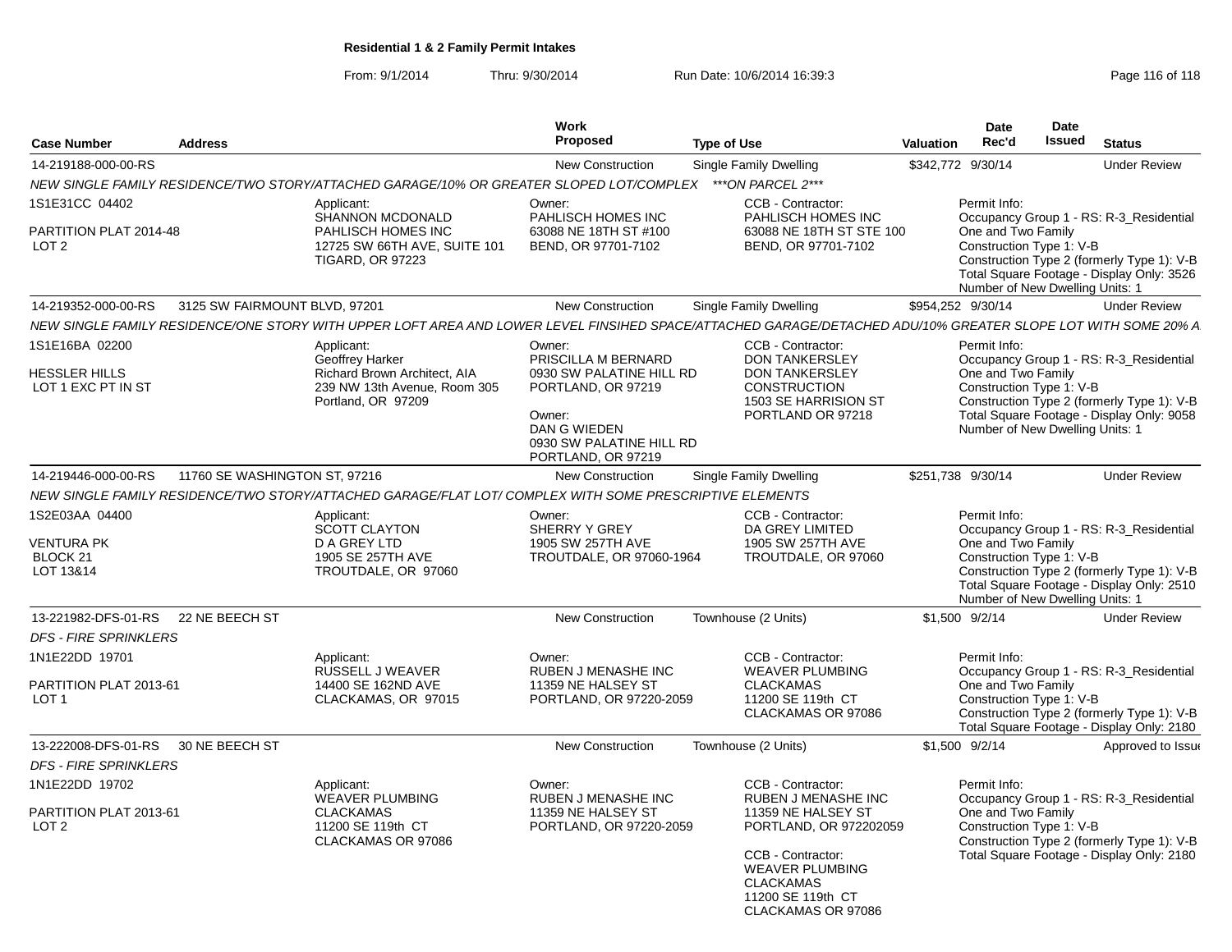From: 9/1/2014Thru: 9/30/2014 Run Date: 10/6/2014 16:39:3<br>
Page 116 of 118

| <b>Case Number</b>                                                      | <b>Address</b>                |                                                                                                                                                              | Work<br><b>Proposed</b>                                                                                                    | <b>Type of Use</b>                                                                        | <b>Valuation</b> | Date<br>Rec'd                                                                                                                                                                | Date<br>Issued | <b>Status</b>                                                                                                                      |  |
|-------------------------------------------------------------------------|-------------------------------|--------------------------------------------------------------------------------------------------------------------------------------------------------------|----------------------------------------------------------------------------------------------------------------------------|-------------------------------------------------------------------------------------------|------------------|------------------------------------------------------------------------------------------------------------------------------------------------------------------------------|----------------|------------------------------------------------------------------------------------------------------------------------------------|--|
| 14-219188-000-00-RS                                                     |                               |                                                                                                                                                              | <b>New Construction</b>                                                                                                    | Single Family Dwelling                                                                    |                  | \$342,772 9/30/14                                                                                                                                                            |                | <b>Under Review</b>                                                                                                                |  |
|                                                                         |                               | NEW SINGLE FAMILY RESIDENCE/TWO STORY/ATTACHED GARAGE/10% OR GREATER SLOPED LOT/COMPLEX                                                                      |                                                                                                                            | ***ON PARCEL 2***                                                                         |                  |                                                                                                                                                                              |                |                                                                                                                                    |  |
| 1S1E31CC 04402                                                          |                               | Applicant:<br><b>SHANNON MCDONALD</b>                                                                                                                        | Owner:<br>PAHLISCH HOMES INC                                                                                               | CCB - Contractor:<br>PAHLISCH HOMES INC                                                   |                  | Permit Info:                                                                                                                                                                 |                | Occupancy Group 1 - RS: R-3 Residential                                                                                            |  |
| PARTITION PLAT 2014-48<br>LOT <sub>2</sub>                              |                               | PAHLISCH HOMES INC<br>12725 SW 66TH AVE, SUITE 101<br><b>TIGARD, OR 97223</b>                                                                                | 63088 NE 18TH ST #100<br>BEND, OR 97701-7102                                                                               | 63088 NE 18TH ST STE 100<br>BEND, OR 97701-7102                                           |                  | One and Two Family<br>Construction Type 1: V-B<br>Construction Type 2 (formerly Type 1): V-B<br>Total Square Footage - Display Only: 3526<br>Number of New Dwelling Units: 1 |                |                                                                                                                                    |  |
| 14-219352-000-00-RS                                                     | 3125 SW FAIRMOUNT BLVD, 97201 |                                                                                                                                                              | <b>New Construction</b>                                                                                                    | Single Family Dwelling                                                                    |                  | \$954,252 9/30/14                                                                                                                                                            |                | <b>Under Review</b>                                                                                                                |  |
|                                                                         |                               | NEW SINGLE FAMILY RESIDENCE/ONE STORY WITH UPPER LOFT AREA AND LOWER LEVEL FINSIHED SPACE/ATTACHED GARAGE/DETACHED ADU/10% GREATER SLOPE LOT WITH SOME 20% A |                                                                                                                            |                                                                                           |                  |                                                                                                                                                                              |                |                                                                                                                                    |  |
| 1S1E16BA 02200                                                          |                               | Applicant:<br>Geoffrey Harker                                                                                                                                | Owner:<br>PRISCILLA M BERNARD                                                                                              | CCB - Contractor:<br><b>DON TANKERSLEY</b>                                                |                  | Permit Info:                                                                                                                                                                 |                | Occupancy Group 1 - RS: R-3_Residential                                                                                            |  |
| <b>HESSLER HILLS</b><br>LOT 1 EXC PT IN ST                              |                               | <b>Richard Brown Architect, AIA</b><br>239 NW 13th Avenue, Room 305<br>Portland, OR 97209                                                                    | 0930 SW PALATINE HILL RD<br>PORTLAND, OR 97219<br>Owner:<br>DAN G WIEDEN<br>0930 SW PALATINE HILL RD<br>PORTLAND, OR 97219 | <b>DON TANKERSLEY</b><br><b>CONSTRUCTION</b><br>1503 SE HARRISION ST<br>PORTLAND OR 97218 |                  | One and Two Family<br>Construction Type 1: V-B<br>Number of New Dwelling Units: 1                                                                                            |                | Construction Type 2 (formerly Type 1): V-B<br>Total Square Footage - Display Only: 9058                                            |  |
| 14-219446-000-00-RS                                                     | 11760 SE WASHINGTON ST, 97216 |                                                                                                                                                              | <b>New Construction</b>                                                                                                    | Single Family Dwelling                                                                    |                  | \$251,738 9/30/14                                                                                                                                                            |                | <b>Under Review</b>                                                                                                                |  |
|                                                                         |                               | NEW SINGLE FAMILY RESIDENCE/TWO STORY/ATTACHED GARAGE/FLAT LOT/ COMPLEX WITH SOME PRESCRIPTIVE ELEMENTS                                                      |                                                                                                                            |                                                                                           |                  |                                                                                                                                                                              |                |                                                                                                                                    |  |
| 1S2E03AA 04400<br><b>VENTURA PK</b><br>BLOCK <sub>21</sub><br>LOT 13&14 |                               | Applicant:<br><b>SCOTT CLAYTON</b><br>D A GREY LTD<br>1905 SE 257TH AVE<br>TROUTDALE, OR 97060                                                               | Owner:<br>SHERRY Y GREY<br>1905 SW 257TH AVE<br>TROUTDALE, OR 97060-1964                                                   | CCB - Contractor:<br>DA GREY LIMITED<br>1905 SW 257TH AVE<br>TROUTDALE, OR 97060          |                  | Permit Info:<br>One and Two Family<br>Construction Type 1: V-B<br>Number of New Dwelling Units: 1                                                                            |                | Occupancy Group 1 - RS: R-3 Residential<br>Construction Type 2 (formerly Type 1): V-B<br>Total Square Footage - Display Only: 2510 |  |
| 13-221982-DFS-01-RS                                                     | 22 NE BEECH ST                |                                                                                                                                                              | <b>New Construction</b>                                                                                                    | Townhouse (2 Units)                                                                       |                  | \$1,500 9/2/14                                                                                                                                                               |                | <b>Under Review</b>                                                                                                                |  |
| <b>DFS - FIRE SPRINKLERS</b>                                            |                               |                                                                                                                                                              |                                                                                                                            |                                                                                           |                  |                                                                                                                                                                              |                |                                                                                                                                    |  |
| 1N1E22DD 19701                                                          |                               | Applicant:<br>RUSSELL J WEAVER                                                                                                                               | Owner:<br>RUBEN J MENASHE INC                                                                                              | CCB - Contractor:<br><b>WEAVER PLUMBING</b>                                               |                  | Permit Info:                                                                                                                                                                 |                | Occupancy Group 1 - RS: R-3 Residential                                                                                            |  |
| PARTITION PLAT 2013-61<br>LOT <sub>1</sub>                              |                               | 14400 SE 162ND AVE<br>CLACKAMAS, OR 97015                                                                                                                    | 11359 NE HALSEY ST<br>PORTLAND, OR 97220-2059                                                                              | <b>CLACKAMAS</b><br>11200 SE 119th CT<br>CLACKAMAS OR 97086                               |                  | One and Two Family<br>Construction Type 1: V-B                                                                                                                               |                | Construction Type 2 (formerly Type 1): V-B<br>Total Square Footage - Display Only: 2180                                            |  |
| 13-222008-DFS-01-RS                                                     | 30 NE BEECH ST                |                                                                                                                                                              | <b>New Construction</b>                                                                                                    | Townhouse (2 Units)                                                                       |                  | \$1,500 9/2/14                                                                                                                                                               |                | Approved to Issue                                                                                                                  |  |
| <b>DFS - FIRE SPRINKLERS</b>                                            |                               |                                                                                                                                                              |                                                                                                                            |                                                                                           |                  |                                                                                                                                                                              |                |                                                                                                                                    |  |
| 1N1E22DD 19702                                                          |                               | Applicant:<br><b>WEAVER PLUMBING</b>                                                                                                                         | Owner:<br>RUBEN J MENASHE INC                                                                                              | CCB - Contractor:<br><b>RUBEN J MENASHE INC</b>                                           |                  | Permit Info:                                                                                                                                                                 |                | Occupancy Group 1 - RS: R-3 Residential                                                                                            |  |
| PARTITION PLAT 2013-61<br>LOT <sub>2</sub>                              |                               | <b>CLACKAMAS</b><br>11200 SE 119th CT<br>CLACKAMAS OR 97086                                                                                                  | 11359 NE HALSEY ST<br>PORTLAND, OR 97220-2059                                                                              | 11359 NE HALSEY ST<br>PORTLAND, OR 972202059                                              |                  | One and Two Family<br>Construction Type 1: V-B                                                                                                                               |                | Construction Type 2 (formerly Type 1): V-B                                                                                         |  |
|                                                                         |                               |                                                                                                                                                              |                                                                                                                            | CCB - Contractor:<br><b>WEAVER PLUMBING</b><br><b>CLACKAMAS</b><br>11200 SE 119th CT      |                  |                                                                                                                                                                              |                | Total Square Footage - Display Only: 2180                                                                                          |  |

CLACKAMAS OR 97086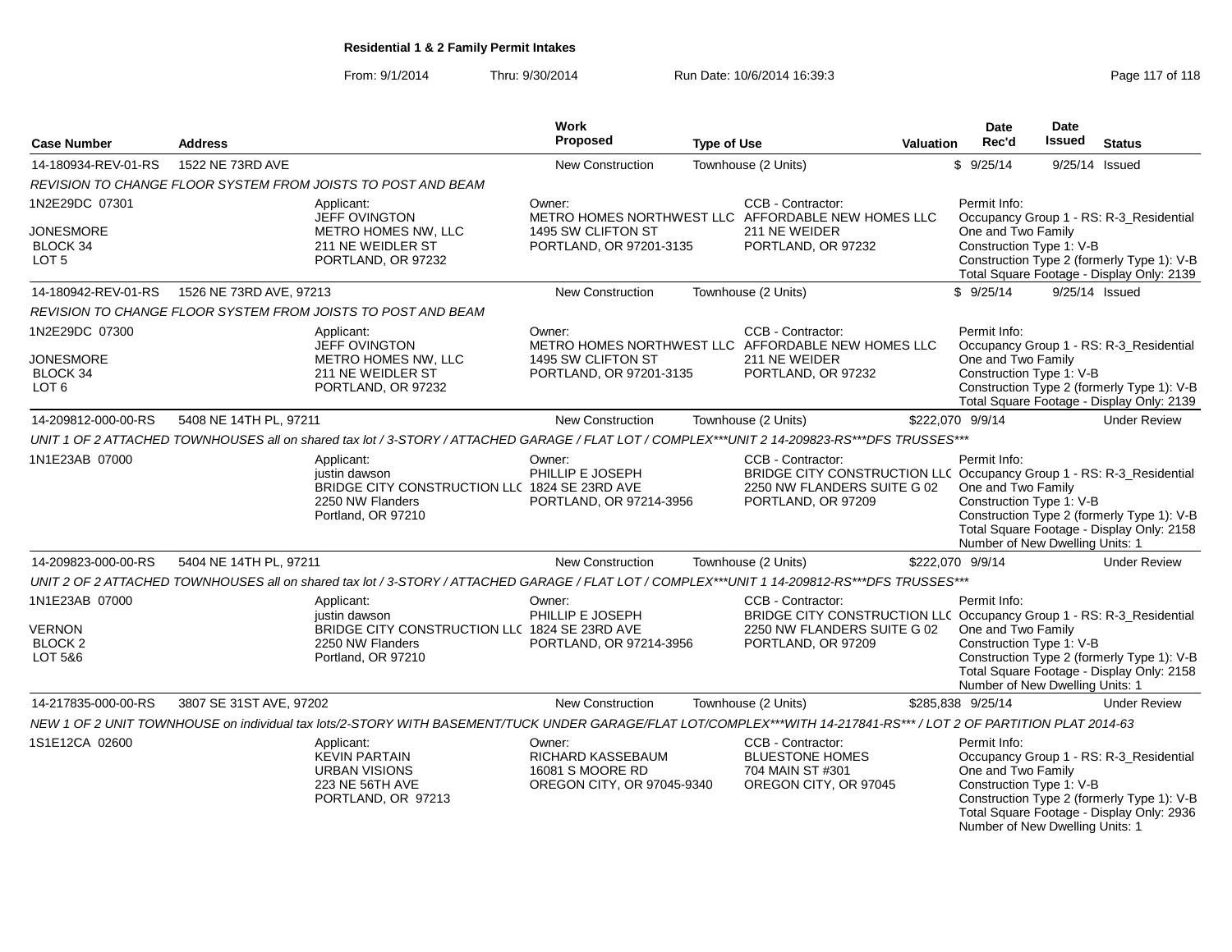From: 9/1/2014Thru: 9/30/2014 Run Date: 10/6/2014 16:39:3<br>
Page 117 of 118

| <b>Case Number</b>              | <b>Address</b>          |                                                                                                                                                                  | Work<br>Proposed                                                              | <b>Type of Use</b> |                                                                                                                                                | <b>Valuation</b> | <b>Date</b><br>Rec'd                                                                              | Date<br><b>Issued</b> | <b>Status</b>                                                                                                                      |
|---------------------------------|-------------------------|------------------------------------------------------------------------------------------------------------------------------------------------------------------|-------------------------------------------------------------------------------|--------------------|------------------------------------------------------------------------------------------------------------------------------------------------|------------------|---------------------------------------------------------------------------------------------------|-----------------------|------------------------------------------------------------------------------------------------------------------------------------|
| 14-180934-REV-01-RS             | 1522 NE 73RD AVE        |                                                                                                                                                                  | <b>New Construction</b>                                                       |                    | Townhouse (2 Units)                                                                                                                            |                  | \$9/25/14                                                                                         |                       | 9/25/14 Issued                                                                                                                     |
|                                 |                         | REVISION TO CHANGE FLOOR SYSTEM FROM JOISTS TO POST AND BEAM                                                                                                     |                                                                               |                    |                                                                                                                                                |                  |                                                                                                   |                       |                                                                                                                                    |
| 1N2E29DC 07301                  |                         | Applicant:<br>JEFF OVINGTON                                                                                                                                      | Owner:                                                                        |                    | CCB - Contractor:<br>METRO HOMES NORTHWEST LLC AFFORDABLE NEW HOMES LLC                                                                        |                  | Permit Info:                                                                                      |                       | Occupancy Group 1 - RS: R-3_Residential                                                                                            |
| <b>JONESMORE</b>                |                         | <b>METRO HOMES NW. LLC</b>                                                                                                                                       | 1495 SW CLIFTON ST                                                            |                    | 211 NE WEIDER                                                                                                                                  |                  | One and Two Family                                                                                |                       |                                                                                                                                    |
| BLOCK 34                        |                         | 211 NE WEIDLER ST                                                                                                                                                | PORTLAND, OR 97201-3135                                                       |                    | PORTLAND, OR 97232                                                                                                                             |                  | Construction Type 1: V-B                                                                          |                       |                                                                                                                                    |
| LOT <sub>5</sub>                |                         | PORTLAND, OR 97232                                                                                                                                               |                                                                               |                    |                                                                                                                                                |                  |                                                                                                   |                       | Construction Type 2 (formerly Type 1): V-B<br>Total Square Footage - Display Only: 2139                                            |
| 14-180942-REV-01-RS             | 1526 NE 73RD AVE, 97213 |                                                                                                                                                                  | <b>New Construction</b>                                                       |                    | Townhouse (2 Units)                                                                                                                            |                  | \$9/25/14                                                                                         |                       | 9/25/14 Issued                                                                                                                     |
|                                 |                         | REVISION TO CHANGE FLOOR SYSTEM FROM JOISTS TO POST AND BEAM                                                                                                     |                                                                               |                    |                                                                                                                                                |                  |                                                                                                   |                       |                                                                                                                                    |
| 1N2E29DC 07300                  |                         | Applicant:                                                                                                                                                       | Owner:                                                                        |                    | CCB - Contractor:                                                                                                                              |                  | Permit Info:                                                                                      |                       |                                                                                                                                    |
|                                 |                         | <b>JEFF OVINGTON</b>                                                                                                                                             |                                                                               |                    | METRO HOMES NORTHWEST LLC AFFORDABLE NEW HOMES LLC                                                                                             |                  |                                                                                                   |                       | Occupancy Group 1 - RS: R-3_Residential                                                                                            |
| <b>JONESMORE</b><br>BLOCK 34    |                         | METRO HOMES NW, LLC<br>211 NE WEIDLER ST                                                                                                                         | 1495 SW CLIFTON ST<br>PORTLAND, OR 97201-3135                                 |                    | 211 NE WEIDER<br>PORTLAND, OR 97232                                                                                                            |                  | One and Two Family<br>Construction Type 1: V-B                                                    |                       |                                                                                                                                    |
| LOT 6                           |                         | PORTLAND, OR 97232                                                                                                                                               |                                                                               |                    |                                                                                                                                                |                  |                                                                                                   |                       | Construction Type 2 (formerly Type 1): V-B                                                                                         |
|                                 |                         |                                                                                                                                                                  |                                                                               |                    |                                                                                                                                                |                  |                                                                                                   |                       | Total Square Footage - Display Only: 2139                                                                                          |
| 14-209812-000-00-RS             | 5408 NE 14TH PL, 97211  |                                                                                                                                                                  | New Construction                                                              |                    | Townhouse (2 Units)                                                                                                                            |                  | \$222,070 9/9/14                                                                                  |                       | <b>Under Review</b>                                                                                                                |
|                                 |                         | UNIT 1 OF 2 ATTACHED TOWNHOUSES all on shared tax lot / 3-STORY / ATTACHED GARAGE / FLAT LOT / COMPLEX***UNIT 2 14-209823-RS***DFS TRUSSES***                    |                                                                               |                    |                                                                                                                                                |                  |                                                                                                   |                       |                                                                                                                                    |
| 1N1E23AB 07000                  |                         | Applicant:<br>justin dawson<br>BRIDGE CITY CONSTRUCTION LLC 1824 SE 23RD AVE<br>2250 NW Flanders<br>Portland, OR 97210                                           | Owner:<br>PHILLIP E JOSEPH<br>PORTLAND, OR 97214-3956                         |                    | CCB - Contractor:<br>BRIDGE CITY CONSTRUCTION LLC Occupancy Group 1 - RS: R-3_Residential<br>2250 NW FLANDERS SUITE G 02<br>PORTLAND, OR 97209 |                  | Permit Info:<br>One and Two Family<br>Construction Type 1: V-B<br>Number of New Dwelling Units: 1 |                       | Construction Type 2 (formerly Type 1): V-B<br>Total Square Footage - Display Only: 2158                                            |
| 14-209823-000-00-RS             | 5404 NE 14TH PL, 97211  |                                                                                                                                                                  | <b>New Construction</b>                                                       |                    | Townhouse (2 Units)                                                                                                                            |                  | \$222,070 9/9/14                                                                                  |                       | <b>Under Review</b>                                                                                                                |
|                                 |                         | UNIT 2 OF 2 ATTACHED TOWNHOUSES all on shared tax lot / 3-STORY / ATTACHED GARAGE / FLAT LOT / COMPLEX***UNIT 1 14-209812-RS***DFS TRUSSES***                    |                                                                               |                    |                                                                                                                                                |                  |                                                                                                   |                       |                                                                                                                                    |
| 1N1E23AB 07000                  |                         | Applicant:                                                                                                                                                       | Owner:                                                                        |                    | CCB - Contractor:                                                                                                                              |                  | Permit Info:                                                                                      |                       |                                                                                                                                    |
|                                 |                         | justin dawson<br>BRIDGE CITY CONSTRUCTION LLC 1824 SE 23RD AVE                                                                                                   | PHILLIP E JOSEPH                                                              |                    | BRIDGE CITY CONSTRUCTION LLC Occupancy Group 1 - RS: R-3_Residential                                                                           |                  |                                                                                                   |                       |                                                                                                                                    |
| <b>VERNON</b><br><b>BLOCK 2</b> |                         | 2250 NW Flanders                                                                                                                                                 | PORTLAND, OR 97214-3956                                                       |                    | 2250 NW FLANDERS SUITE G 02<br>PORTLAND, OR 97209                                                                                              |                  | One and Two Family<br>Construction Type 1: V-B                                                    |                       |                                                                                                                                    |
| LOT 5&6                         |                         | Portland, OR 97210                                                                                                                                               |                                                                               |                    |                                                                                                                                                |                  | Number of New Dwelling Units: 1                                                                   |                       | Construction Type 2 (formerly Type 1): V-B<br>Total Square Footage - Display Only: 2158                                            |
| 14-217835-000-00-RS             | 3807 SE 31ST AVE, 97202 |                                                                                                                                                                  | <b>New Construction</b>                                                       |                    | Townhouse (2 Units)                                                                                                                            |                  | \$285,838 9/25/14                                                                                 |                       | <b>Under Review</b>                                                                                                                |
|                                 |                         | NEW 1 OF 2 UNIT TOWNHOUSE on individual tax lots/2-STORY WITH BASEMENT/TUCK UNDER GARAGE/FLAT LOT/COMPLEX***WITH 14-217841-RS***/LOT 2 OF PARTITION PLAT 2014-63 |                                                                               |                    |                                                                                                                                                |                  |                                                                                                   |                       |                                                                                                                                    |
| 1S1E12CA 02600                  |                         | Applicant:<br><b>KEVIN PARTAIN</b><br>URBAN VISIONS<br>223 NE 56TH AVE<br>PORTLAND, OR 97213                                                                     | Owner:<br>RICHARD KASSEBAUM<br>16081 S MOORE RD<br>OREGON CITY, OR 97045-9340 |                    | CCB - Contractor:<br><b>BLUESTONE HOMES</b><br>704 MAIN ST #301<br>OREGON CITY, OR 97045                                                       |                  | Permit Info:<br>One and Two Family<br>Construction Type 1: V-B<br>Number of New Dwelling Units: 1 |                       | Occupancy Group 1 - RS: R-3_Residential<br>Construction Type 2 (formerly Type 1): V-B<br>Total Square Footage - Display Only: 2936 |